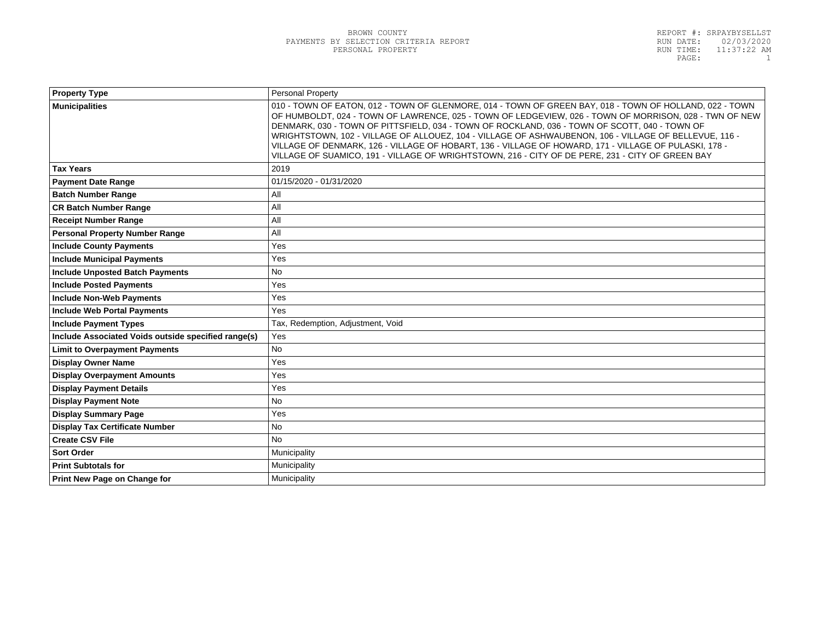| <b>Property Type</b>                                | Personal Property                                                                                                                                                                                                                                                                                                                                                                                                                                                                                                                                                                                                                        |
|-----------------------------------------------------|------------------------------------------------------------------------------------------------------------------------------------------------------------------------------------------------------------------------------------------------------------------------------------------------------------------------------------------------------------------------------------------------------------------------------------------------------------------------------------------------------------------------------------------------------------------------------------------------------------------------------------------|
| <b>Municipalities</b>                               | 010 - TOWN OF EATON, 012 - TOWN OF GLENMORE, 014 - TOWN OF GREEN BAY, 018 - TOWN OF HOLLAND, 022 - TOWN<br>OF HUMBOLDT, 024 - TOWN OF LAWRENCE, 025 - TOWN OF LEDGEVIEW, 026 - TOWN OF MORRISON, 028 - TWN OF NEW<br>DENMARK, 030 - TOWN OF PITTSFIELD, 034 - TOWN OF ROCKLAND, 036 - TOWN OF SCOTT, 040 - TOWN OF<br>WRIGHTSTOWN, 102 - VILLAGE OF ALLOUEZ, 104 - VILLAGE OF ASHWAUBENON, 106 - VILLAGE OF BELLEVUE, 116 -<br>VILLAGE OF DENMARK, 126 - VILLAGE OF HOBART, 136 - VILLAGE OF HOWARD, 171 - VILLAGE OF PULASKI, 178 -<br>VILLAGE OF SUAMICO, 191 - VILLAGE OF WRIGHTSTOWN, 216 - CITY OF DE PERE, 231 - CITY OF GREEN BAY |
| <b>Tax Years</b>                                    | 2019                                                                                                                                                                                                                                                                                                                                                                                                                                                                                                                                                                                                                                     |
| <b>Payment Date Range</b>                           | 01/15/2020 - 01/31/2020                                                                                                                                                                                                                                                                                                                                                                                                                                                                                                                                                                                                                  |
| <b>Batch Number Range</b>                           | All                                                                                                                                                                                                                                                                                                                                                                                                                                                                                                                                                                                                                                      |
| <b>CR Batch Number Range</b>                        | All                                                                                                                                                                                                                                                                                                                                                                                                                                                                                                                                                                                                                                      |
| <b>Receipt Number Range</b>                         | All                                                                                                                                                                                                                                                                                                                                                                                                                                                                                                                                                                                                                                      |
| <b>Personal Property Number Range</b>               | All                                                                                                                                                                                                                                                                                                                                                                                                                                                                                                                                                                                                                                      |
| <b>Include County Payments</b>                      | Yes                                                                                                                                                                                                                                                                                                                                                                                                                                                                                                                                                                                                                                      |
| <b>Include Municipal Payments</b>                   | Yes                                                                                                                                                                                                                                                                                                                                                                                                                                                                                                                                                                                                                                      |
| <b>Include Unposted Batch Payments</b>              | No                                                                                                                                                                                                                                                                                                                                                                                                                                                                                                                                                                                                                                       |
| <b>Include Posted Payments</b>                      | Yes                                                                                                                                                                                                                                                                                                                                                                                                                                                                                                                                                                                                                                      |
| <b>Include Non-Web Payments</b>                     | Yes                                                                                                                                                                                                                                                                                                                                                                                                                                                                                                                                                                                                                                      |
| <b>Include Web Portal Payments</b>                  | Yes                                                                                                                                                                                                                                                                                                                                                                                                                                                                                                                                                                                                                                      |
| <b>Include Payment Types</b>                        | Tax, Redemption, Adjustment, Void                                                                                                                                                                                                                                                                                                                                                                                                                                                                                                                                                                                                        |
| Include Associated Voids outside specified range(s) | Yes                                                                                                                                                                                                                                                                                                                                                                                                                                                                                                                                                                                                                                      |
| <b>Limit to Overpayment Payments</b>                | <b>No</b>                                                                                                                                                                                                                                                                                                                                                                                                                                                                                                                                                                                                                                |
| <b>Display Owner Name</b>                           | Yes                                                                                                                                                                                                                                                                                                                                                                                                                                                                                                                                                                                                                                      |
| <b>Display Overpayment Amounts</b>                  | Yes                                                                                                                                                                                                                                                                                                                                                                                                                                                                                                                                                                                                                                      |
| <b>Display Payment Details</b>                      | Yes                                                                                                                                                                                                                                                                                                                                                                                                                                                                                                                                                                                                                                      |
| <b>Display Payment Note</b>                         | <b>No</b>                                                                                                                                                                                                                                                                                                                                                                                                                                                                                                                                                                                                                                |
| <b>Display Summary Page</b>                         | Yes                                                                                                                                                                                                                                                                                                                                                                                                                                                                                                                                                                                                                                      |
| <b>Display Tax Certificate Number</b>               | <b>No</b>                                                                                                                                                                                                                                                                                                                                                                                                                                                                                                                                                                                                                                |
| <b>Create CSV File</b>                              | <b>No</b>                                                                                                                                                                                                                                                                                                                                                                                                                                                                                                                                                                                                                                |
| <b>Sort Order</b>                                   | Municipality                                                                                                                                                                                                                                                                                                                                                                                                                                                                                                                                                                                                                             |
| <b>Print Subtotals for</b>                          | Municipality                                                                                                                                                                                                                                                                                                                                                                                                                                                                                                                                                                                                                             |
| <b>Print New Page on Change for</b>                 | Municipality                                                                                                                                                                                                                                                                                                                                                                                                                                                                                                                                                                                                                             |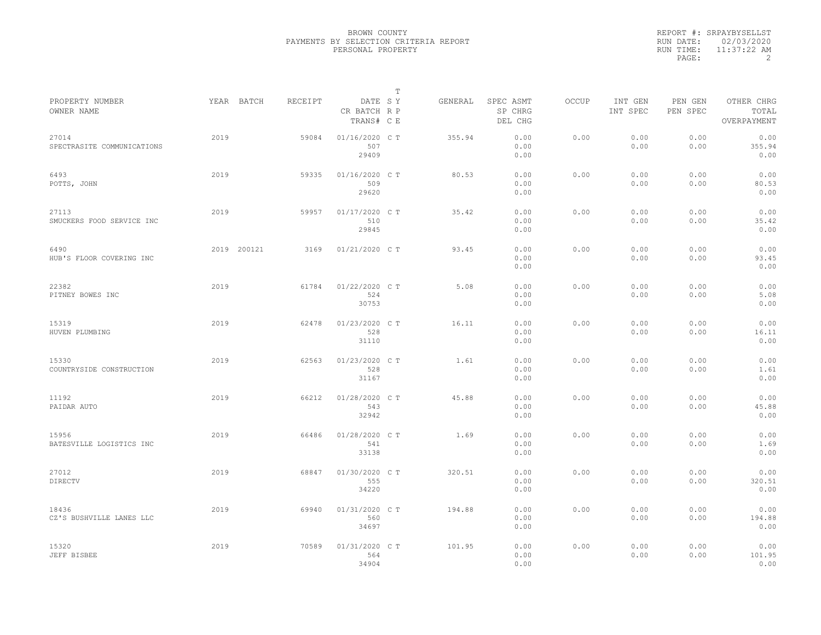|           | REPORT #: SRPAYBYSELLST |
|-----------|-------------------------|
|           | RUN DATE: 02/03/2020    |
| RUN TIME: | $11:37:22$ AM           |
| PAGE:     |                         |

|                                     |      |             |         |                                       | T |         |                                 |              |                     |                     |                                    |
|-------------------------------------|------|-------------|---------|---------------------------------------|---|---------|---------------------------------|--------------|---------------------|---------------------|------------------------------------|
| PROPERTY NUMBER<br>OWNER NAME       |      | YEAR BATCH  | RECEIPT | DATE SY<br>CR BATCH R P<br>TRANS# C E |   | GENERAL | SPEC ASMT<br>SP CHRG<br>DEL CHG | <b>OCCUP</b> | INT GEN<br>INT SPEC | PEN GEN<br>PEN SPEC | OTHER CHRG<br>TOTAL<br>OVERPAYMENT |
| 27014<br>SPECTRASITE COMMUNICATIONS | 2019 |             | 59084   | 01/16/2020 C T<br>507<br>29409        |   | 355.94  | 0.00<br>0.00<br>0.00            | 0.00         | 0.00<br>0.00        | 0.00<br>0.00        | 0.00<br>355.94<br>0.00             |
| 6493<br>POTTS, JOHN                 | 2019 |             | 59335   | 01/16/2020 C T<br>509<br>29620        |   | 80.53   | 0.00<br>0.00<br>0.00            | 0.00         | 0.00<br>0.00        | 0.00<br>0.00        | 0.00<br>80.53<br>0.00              |
| 27113<br>SMUCKERS FOOD SERVICE INC  | 2019 |             | 59957   | 01/17/2020 C T<br>510<br>29845        |   | 35.42   | 0.00<br>0.00<br>0.00            | 0.00         | 0.00<br>0.00        | 0.00<br>0.00        | 0.00<br>35.42<br>0.00              |
| 6490<br>HUB'S FLOOR COVERING INC    |      | 2019 200121 | 3169    | 01/21/2020 C T                        |   | 93.45   | 0.00<br>0.00<br>0.00            | 0.00         | 0.00<br>0.00        | 0.00<br>0.00        | 0.00<br>93.45<br>0.00              |
| 22382<br>PITNEY BOWES INC           | 2019 |             | 61784   | 01/22/2020 C T<br>524<br>30753        |   | 5.08    | 0.00<br>0.00<br>0.00            | 0.00         | 0.00<br>0.00        | 0.00<br>0.00        | 0.00<br>5.08<br>0.00               |
| 15319<br>HUVEN PLUMBING             | 2019 |             | 62478   | 01/23/2020 C T<br>528<br>31110        |   | 16.11   | 0.00<br>0.00<br>0.00            | 0.00         | 0.00<br>0.00        | 0.00<br>0.00        | 0.00<br>16.11<br>0.00              |
| 15330<br>COUNTRYSIDE CONSTRUCTION   | 2019 |             | 62563   | 01/23/2020 C T<br>528<br>31167        |   | 1.61    | 0.00<br>0.00<br>0.00            | 0.00         | 0.00<br>0.00        | 0.00<br>0.00        | 0.00<br>1.61<br>0.00               |
| 11192<br>PAIDAR AUTO                | 2019 |             | 66212   | 01/28/2020 C T<br>543<br>32942        |   | 45.88   | 0.00<br>0.00<br>0.00            | 0.00         | 0.00<br>0.00        | 0.00<br>0.00        | 0.00<br>45.88<br>0.00              |
| 15956<br>BATESVILLE LOGISTICS INC   | 2019 |             | 66486   | 01/28/2020 C T<br>541<br>33138        |   | 1.69    | 0.00<br>0.00<br>0.00            | 0.00         | 0.00<br>0.00        | 0.00<br>0.00        | 0.00<br>1.69<br>0.00               |
| 27012<br>DIRECTV                    | 2019 |             | 68847   | 01/30/2020 C T<br>555<br>34220        |   | 320.51  | 0.00<br>0.00<br>0.00            | 0.00         | 0.00<br>0.00        | 0.00<br>0.00        | 0.00<br>320.51<br>0.00             |
| 18436<br>CZ'S BUSHVILLE LANES LLC   | 2019 |             | 69940   | 01/31/2020 C T<br>560<br>34697        |   | 194.88  | 0.00<br>0.00<br>0.00            | 0.00         | 0.00<br>0.00        | 0.00<br>0.00        | 0.00<br>194.88<br>0.00             |
| 15320<br>JEFF BISBEE                | 2019 |             | 70589   | 01/31/2020 C T<br>564<br>34904        |   | 101.95  | 0.00<br>0.00<br>0.00            | 0.00         | 0.00<br>0.00        | 0.00<br>0.00        | 0.00<br>101.95<br>0.00             |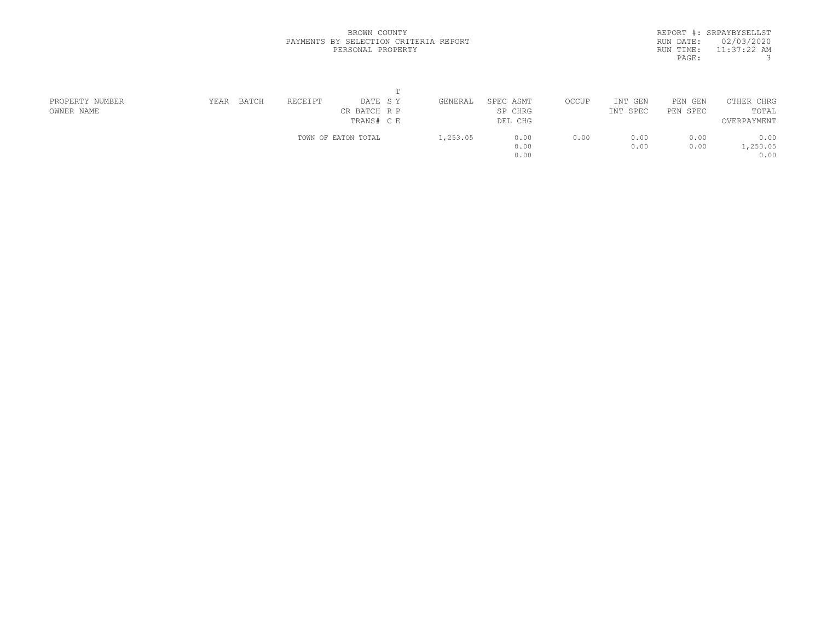|           | REPORT #: SRPAYBYSELLST |
|-----------|-------------------------|
|           | RUN DATE: 02/03/2020    |
| RUN TIME: | $11:37:22$ AM           |
| PAGE:     | 3                       |
|           |                         |

| PROPERTY NUMBER | YEAR | BATCH | RECEIPT | DATE SY             | GENERAL  | SPEC ASMT | OCCUP | INT GEN  | PEN GEN  | OTHER CHRG  |  |
|-----------------|------|-------|---------|---------------------|----------|-----------|-------|----------|----------|-------------|--|
| OWNER NAME      |      |       |         | CR BATCH R P        |          | SP CHRG   |       | INT SPEC | PEN SPEC | TOTAL       |  |
|                 |      |       |         | TRANS# C E          |          | DEL CHG   |       |          |          | OVERPAYMENT |  |
|                 |      |       |         | TOWN OF EATON TOTAL | 1,253.05 | 0.00      | 0.00  | 0.00     | 0.00     | 0.00        |  |
|                 |      |       |         |                     |          | 0.00      |       | 0.00     | 0.00     | 1,253.05    |  |
|                 |      |       |         |                     |          | 0.00      |       |          |          | 0.00        |  |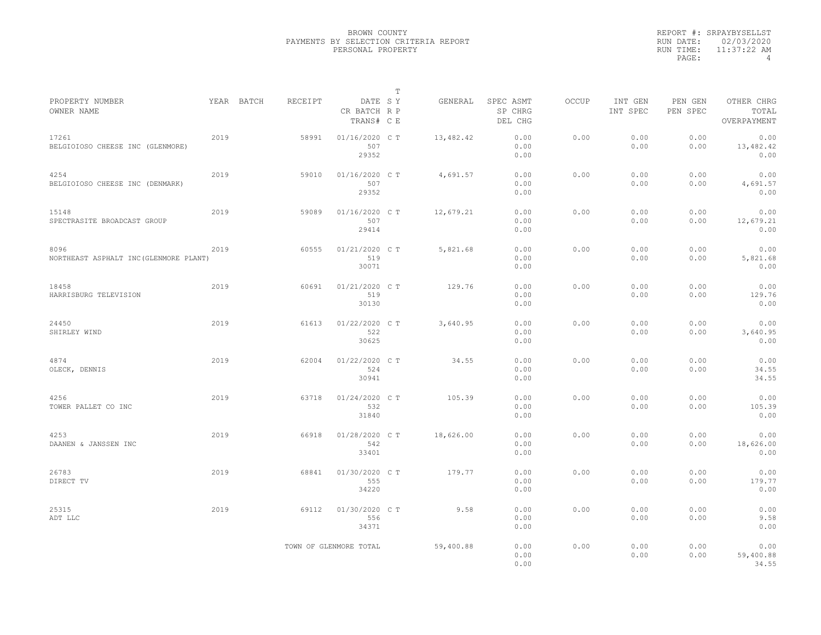|           | REPORT #: SRPAYBYSELLST |
|-----------|-------------------------|
|           | RUN DATE: 02/03/2020    |
| RUN TIME: | $11:37:22$ AM           |
| PAGE:     | 4                       |

| PROPERTY NUMBER                           |      | YEAR BATCH | RECEIPT | DATE SY                    | т | GENERAL   | SPEC ASMT          | OCCUP | INT GEN      | PEN GEN      | OTHER CHRG           |
|-------------------------------------------|------|------------|---------|----------------------------|---|-----------|--------------------|-------|--------------|--------------|----------------------|
| OWNER NAME                                |      |            |         | CR BATCH R P<br>TRANS# C E |   |           | SP CHRG<br>DEL CHG |       | INT SPEC     | PEN SPEC     | TOTAL<br>OVERPAYMENT |
| 17261<br>BELGIOIOSO CHEESE INC (GLENMORE) | 2019 |            | 58991   | 01/16/2020 C T<br>507      |   | 13,482.42 | 0.00<br>0.00       | 0.00  | 0.00<br>0.00 | 0.00<br>0.00 | 0.00<br>13,482.42    |
|                                           |      |            |         | 29352                      |   |           | 0.00               |       |              |              | 0.00                 |
| 4254<br>BELGIOIOSO CHEESE INC (DENMARK)   | 2019 |            | 59010   | 01/16/2020 C T<br>507      |   | 4,691.57  | 0.00<br>0.00       | 0.00  | 0.00<br>0.00 | 0.00<br>0.00 | 0.00<br>4,691.57     |
|                                           |      |            |         | 29352                      |   |           | 0.00               |       |              |              | 0.00                 |
| 15148                                     | 2019 |            | 59089   | 01/16/2020 C T             |   | 12,679.21 | 0.00               | 0.00  | 0.00         | 0.00         | 0.00                 |
| SPECTRASITE BROADCAST GROUP               |      |            |         | 507<br>29414               |   |           | 0.00<br>0.00       |       | 0.00         | 0.00         | 12,679.21<br>0.00    |
| 8096                                      | 2019 |            | 60555   | 01/21/2020 C T             |   | 5,821.68  | 0.00               | 0.00  | 0.00         | 0.00         | 0.00                 |
| NORTHEAST ASPHALT INC (GLENMORE PLANT)    |      |            |         | 519<br>30071               |   |           | 0.00<br>0.00       |       | 0.00         | 0.00         | 5,821.68<br>0.00     |
| 18458                                     | 2019 |            | 60691   | 01/21/2020 C T             |   | 129.76    | 0.00               | 0.00  | 0.00         | 0.00         | 0.00                 |
| HARRISBURG TELEVISION                     |      |            |         | 519<br>30130               |   |           | 0.00<br>0.00       |       | 0.00         | 0.00         | 129.76<br>0.00       |
| 24450                                     | 2019 |            | 61613   | 01/22/2020 CT              |   | 3,640.95  | 0.00               | 0.00  | 0.00         | 0.00         | 0.00                 |
| SHIRLEY WIND                              |      |            |         | 522<br>30625               |   |           | 0.00<br>0.00       |       | 0.00         | 0.00         | 3,640.95<br>0.00     |
| 4874                                      | 2019 |            | 62004   | 01/22/2020 C T             |   | 34.55     | 0.00               | 0.00  | 0.00         | 0.00         | 0.00                 |
| OLECK, DENNIS                             |      |            |         | 524<br>30941               |   |           | 0.00<br>0.00       |       | 0.00         | 0.00         | 34.55<br>34.55       |
| 4256                                      | 2019 |            | 63718   | 01/24/2020 C T             |   | 105.39    | 0.00               | 0.00  | 0.00         | 0.00         | 0.00                 |
| TOWER PALLET CO INC                       |      |            |         | 532<br>31840               |   |           | 0.00<br>0.00       |       | 0.00         | 0.00         | 105.39<br>0.00       |
| 4253                                      | 2019 |            | 66918   | 01/28/2020 C T             |   | 18,626.00 | 0.00               | 0.00  | 0.00         | 0.00         | 0.00                 |
| DAANEN & JANSSEN INC                      |      |            |         | 542<br>33401               |   |           | 0.00<br>0.00       |       | 0.00         | 0.00         | 18,626.00<br>0.00    |
| 26783                                     | 2019 |            | 68841   | 01/30/2020 C T             |   | 179.77    | 0.00               | 0.00  | 0.00         | 0.00         | 0.00                 |
| DIRECT TV                                 |      |            |         | 555<br>34220               |   |           | 0.00<br>0.00       |       | 0.00         | 0.00         | 179.77<br>0.00       |
| 25315                                     | 2019 |            | 69112   | 01/30/2020 C T             |   | 9.58      | 0.00               | 0.00  | 0.00         | 0.00         | 0.00                 |
| ADT LLC                                   |      |            |         | 556<br>34371               |   |           | 0.00<br>0.00       |       | 0.00         | 0.00         | 9.58<br>0.00         |
|                                           |      |            |         | TOWN OF GLENMORE TOTAL     |   | 59,400.88 | 0.00               | 0.00  | 0.00         | 0.00         | 0.00                 |
|                                           |      |            |         |                            |   |           | 0.00<br>0.00       |       | 0.00         | 0.00         | 59,400.88<br>34.55   |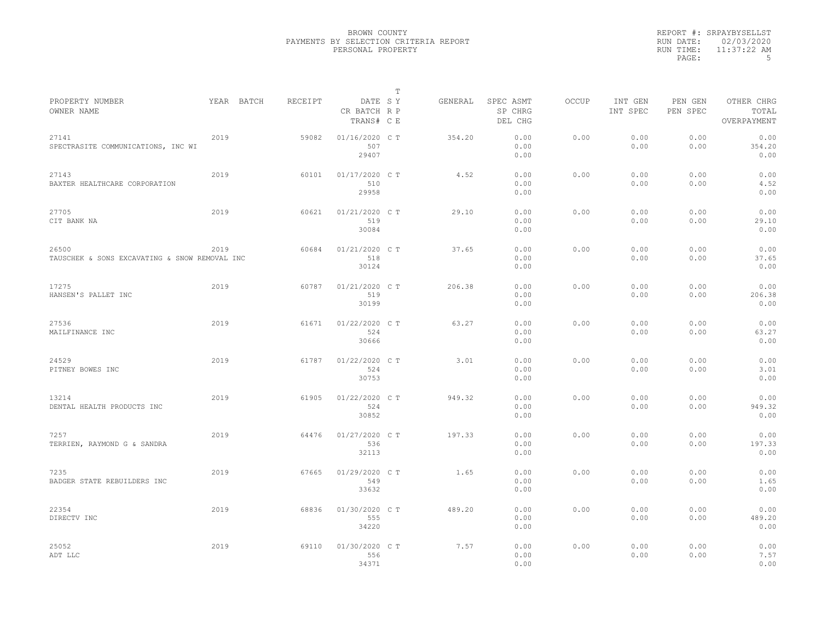|           | REPORT #: SRPAYBYSELLST |
|-----------|-------------------------|
|           | RUN DATE: 02/03/2020    |
| RUN TIME: | $11:37:22$ AM           |
| PAGE:     | .5                      |

|                                                        |            |         |                                       | $\mathbb T$ |         |                                 |              |                     |                     |                                    |
|--------------------------------------------------------|------------|---------|---------------------------------------|-------------|---------|---------------------------------|--------------|---------------------|---------------------|------------------------------------|
| PROPERTY NUMBER<br>OWNER NAME                          | YEAR BATCH | RECEIPT | DATE SY<br>CR BATCH R P<br>TRANS# C E |             | GENERAL | SPEC ASMT<br>SP CHRG<br>DEL CHG | <b>OCCUP</b> | INT GEN<br>INT SPEC | PEN GEN<br>PEN SPEC | OTHER CHRG<br>TOTAL<br>OVERPAYMENT |
| 27141<br>SPECTRASITE COMMUNICATIONS, INC WI            | 2019       | 59082   | 01/16/2020 C T<br>507<br>29407        |             | 354.20  | 0.00<br>0.00<br>0.00            | 0.00         | 0.00<br>0.00        | 0.00<br>0.00        | 0.00<br>354.20<br>0.00             |
| 27143<br>BAXTER HEALTHCARE CORPORATION                 | 2019       | 60101   | 01/17/2020 C T<br>510<br>29958        |             | 4.52    | 0.00<br>0.00<br>0.00            | 0.00         | 0.00<br>0.00        | 0.00<br>0.00        | 0.00<br>4.52<br>0.00               |
| 27705<br>CIT BANK NA                                   | 2019       | 60621   | 01/21/2020 C T<br>519<br>30084        |             | 29.10   | 0.00<br>0.00<br>0.00            | 0.00         | 0.00<br>0.00        | 0.00<br>0.00        | 0.00<br>29.10<br>0.00              |
| 26500<br>TAUSCHEK & SONS EXCAVATING & SNOW REMOVAL INC | 2019       | 60684   | 01/21/2020 C T<br>518<br>30124        |             | 37.65   | 0.00<br>0.00<br>0.00            | 0.00         | 0.00<br>0.00        | 0.00<br>0.00        | 0.00<br>37.65<br>0.00              |
| 17275<br>HANSEN'S PALLET INC                           | 2019       | 60787   | 01/21/2020 C T<br>519<br>30199        |             | 206.38  | 0.00<br>0.00<br>0.00            | 0.00         | 0.00<br>0.00        | 0.00<br>0.00        | 0.00<br>206.38<br>0.00             |
| 27536<br>MAILFINANCE INC                               | 2019       | 61671   | 01/22/2020 C T<br>524<br>30666        |             | 63.27   | 0.00<br>0.00<br>0.00            | 0.00         | 0.00<br>0.00        | 0.00<br>0.00        | 0.00<br>63.27<br>0.00              |
| 24529<br>PITNEY BOWES INC                              | 2019       | 61787   | 01/22/2020 C T<br>524<br>30753        |             | 3.01    | 0.00<br>0.00<br>0.00            | 0.00         | 0.00<br>0.00        | 0.00<br>0.00        | 0.00<br>3.01<br>0.00               |
| 13214<br>DENTAL HEALTH PRODUCTS INC                    | 2019       | 61905   | 01/22/2020 C T<br>524<br>30852        |             | 949.32  | 0.00<br>0.00<br>0.00            | 0.00         | 0.00<br>0.00        | 0.00<br>0.00        | 0.00<br>949.32<br>0.00             |
| 7257<br>TERRIEN, RAYMOND G & SANDRA                    | 2019       | 64476   | 01/27/2020 C T<br>536<br>32113        |             | 197.33  | 0.00<br>0.00<br>0.00            | 0.00         | 0.00<br>0.00        | 0.00<br>0.00        | 0.00<br>197.33<br>0.00             |
| 7235<br>BADGER STATE REBUILDERS INC                    | 2019       | 67665   | 01/29/2020 C T<br>549<br>33632        |             | 1.65    | 0.00<br>0.00<br>0.00            | 0.00         | 0.00<br>0.00        | 0.00<br>0.00        | 0.00<br>1.65<br>0.00               |
| 22354<br>DIRECTV INC                                   | 2019       | 68836   | 01/30/2020 C T<br>555<br>34220        |             | 489.20  | 0.00<br>0.00<br>0.00            | 0.00         | 0.00<br>0.00        | 0.00<br>0.00        | 0.00<br>489.20<br>0.00             |
| 25052<br>ADT LLC                                       | 2019       | 69110   | 01/30/2020 CT<br>556<br>34371         |             | 7.57    | 0.00<br>0.00<br>0.00            | 0.00         | 0.00<br>0.00        | 0.00<br>0.00        | 0.00<br>7.57<br>0.00               |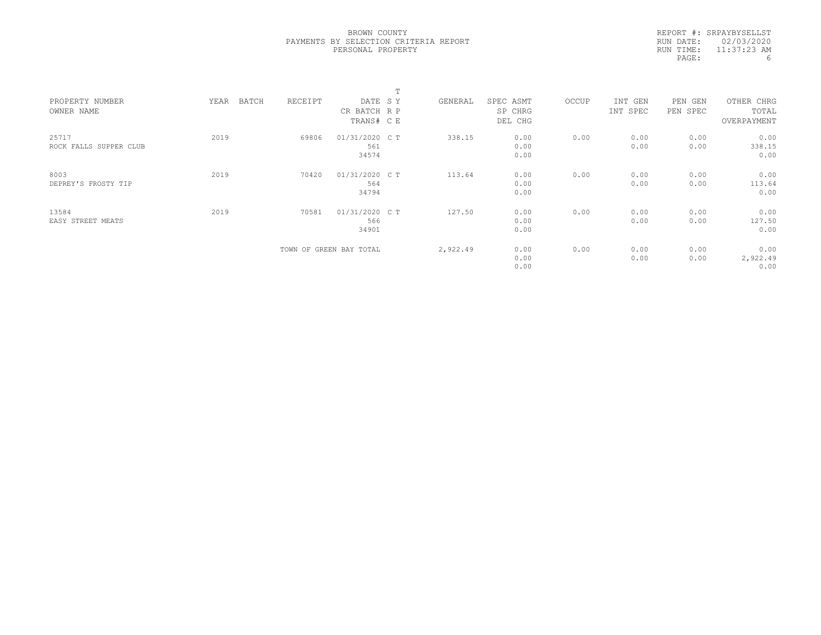|           | REPORT #: SRPAYBYSELLST |
|-----------|-------------------------|
|           | RUN DATE: 02/03/2020    |
| RUN TIME: | $11:37:23$ AM           |
| PAGE:     | 6                       |

|                                 |               |         |                                       | m |          |                                 |       |                     |                        |                                    |  |
|---------------------------------|---------------|---------|---------------------------------------|---|----------|---------------------------------|-------|---------------------|------------------------|------------------------------------|--|
| PROPERTY NUMBER<br>OWNER NAME   | BATCH<br>YEAR | RECEIPT | DATE SY<br>CR BATCH R P<br>TRANS# C E |   | GENERAL  | SPEC ASMT<br>SP CHRG<br>DEL CHG | OCCUP | INT GEN<br>INT SPEC | PEN<br>GEN<br>PEN SPEC | OTHER CHRG<br>TOTAL<br>OVERPAYMENT |  |
| 25717<br>ROCK FALLS SUPPER CLUB | 2019          | 69806   | 01/31/2020 C T<br>561<br>34574        |   | 338.15   | 0.00<br>0.00<br>0.00            | 0.00  | 0.00<br>0.00        | 0.00<br>0.00           | 0.00<br>338.15<br>0.00             |  |
| 8003<br>DEPREY'S FROSTY TIP     | 2019          | 70420   | 01/31/2020 C T<br>564<br>34794        |   | 113.64   | 0.00<br>0.00<br>0.00            | 0.00  | 0.00<br>0.00        | 0.00<br>0.00           | 0.00<br>113.64<br>0.00             |  |
| 13584<br>EASY STREET MEATS      | 2019          | 70581   | 01/31/2020 C T<br>566<br>34901        |   | 127.50   | 0.00<br>0.00<br>0.00            | 0.00  | 0.00<br>0.00        | 0.00<br>0.00           | 0.00<br>127.50<br>0.00             |  |
|                                 |               |         | TOWN OF GREEN BAY TOTAL               |   | 2,922.49 | 0.00<br>0.00<br>0.00            | 0.00  | 0.00<br>0.00        | 0.00<br>0.00           | 0.00<br>2,922.49<br>0.00           |  |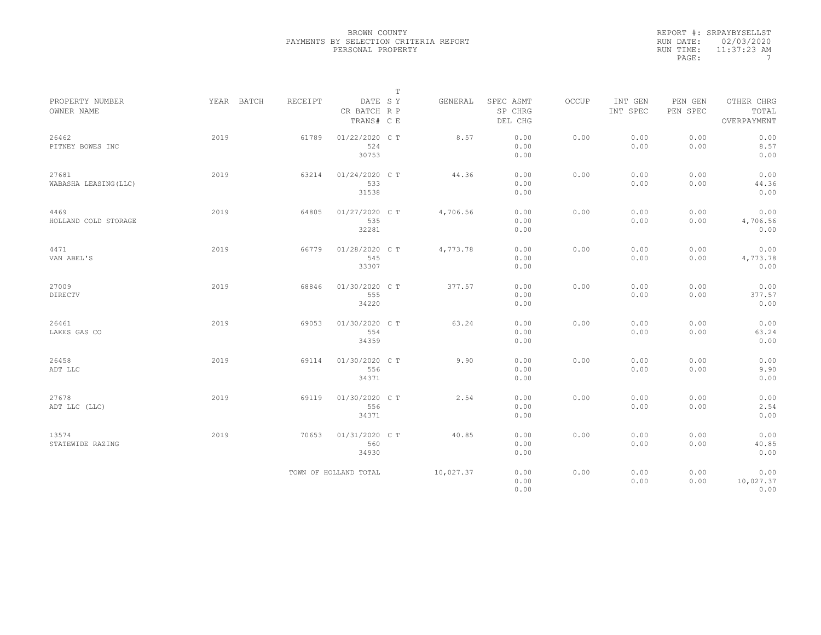|           | REPORT #: SRPAYBYSELLST |
|-----------|-------------------------|
|           | RUN DATE: 02/03/2020    |
| RUN TIME: | $11:37:23$ AM           |
| PAGE:     |                         |

|                                |            |         |                                       | $\mathbb T$ |           |                                 |       |                     |                     |                                    |
|--------------------------------|------------|---------|---------------------------------------|-------------|-----------|---------------------------------|-------|---------------------|---------------------|------------------------------------|
| PROPERTY NUMBER<br>OWNER NAME  | YEAR BATCH | RECEIPT | DATE SY<br>CR BATCH R P<br>TRANS# C E |             | GENERAL   | SPEC ASMT<br>SP CHRG<br>DEL CHG | OCCUP | INT GEN<br>INT SPEC | PEN GEN<br>PEN SPEC | OTHER CHRG<br>TOTAL<br>OVERPAYMENT |
| 26462<br>PITNEY BOWES INC      | 2019       | 61789   | 01/22/2020 C T<br>524<br>30753        |             | 8.57      | 0.00<br>0.00<br>0.00            | 0.00  | 0.00<br>0.00        | 0.00<br>0.00        | 0.00<br>8.57<br>0.00               |
| 27681<br>WABASHA LEASING (LLC) | 2019       | 63214   | 01/24/2020 C T<br>533<br>31538        |             | 44.36     | 0.00<br>0.00<br>0.00            | 0.00  | 0.00<br>0.00        | 0.00<br>0.00        | 0.00<br>44.36<br>0.00              |
| 4469<br>HOLLAND COLD STORAGE   | 2019       | 64805   | 01/27/2020 C T<br>535<br>32281        |             | 4,706.56  | 0.00<br>0.00<br>0.00            | 0.00  | 0.00<br>0.00        | 0.00<br>0.00        | 0.00<br>4,706.56<br>0.00           |
| 4471<br>VAN ABEL'S             | 2019       | 66779   | 01/28/2020 C T<br>545<br>33307        |             | 4,773.78  | 0.00<br>0.00<br>0.00            | 0.00  | 0.00<br>0.00        | 0.00<br>0.00        | 0.00<br>4,773.78<br>0.00           |
| 27009<br><b>DIRECTV</b>        | 2019       | 68846   | 01/30/2020 C T<br>555<br>34220        |             | 377.57    | 0.00<br>0.00<br>0.00            | 0.00  | 0.00<br>0.00        | 0.00<br>0.00        | 0.00<br>377.57<br>0.00             |
| 26461<br>LAKES GAS CO          | 2019       | 69053   | 01/30/2020 C T<br>554<br>34359        |             | 63.24     | 0.00<br>0.00<br>0.00            | 0.00  | 0.00<br>0.00        | 0.00<br>0.00        | 0.00<br>63.24<br>0.00              |
| 26458<br>ADT LLC               | 2019       | 69114   | 01/30/2020 C T<br>556<br>34371        |             | 9.90      | 0.00<br>0.00<br>0.00            | 0.00  | 0.00<br>0.00        | 0.00<br>0.00        | 0.00<br>9.90<br>0.00               |
| 27678<br>ADT LLC (LLC)         | 2019       | 69119   | 01/30/2020 C T<br>556<br>34371        |             | 2.54      | 0.00<br>0.00<br>0.00            | 0.00  | 0.00<br>0.00        | 0.00<br>0.00        | 0.00<br>2.54<br>0.00               |
| 13574<br>STATEWIDE RAZING      | 2019       | 70653   | 01/31/2020 C T<br>560<br>34930        |             | 40.85     | 0.00<br>0.00<br>0.00            | 0.00  | 0.00<br>0.00        | 0.00<br>0.00        | 0.00<br>40.85<br>0.00              |
|                                |            |         | TOWN OF HOLLAND TOTAL                 |             | 10,027.37 | 0.00<br>0.00<br>0.00            | 0.00  | 0.00<br>0.00        | 0.00<br>0.00        | 0.00<br>10,027.37<br>0.00          |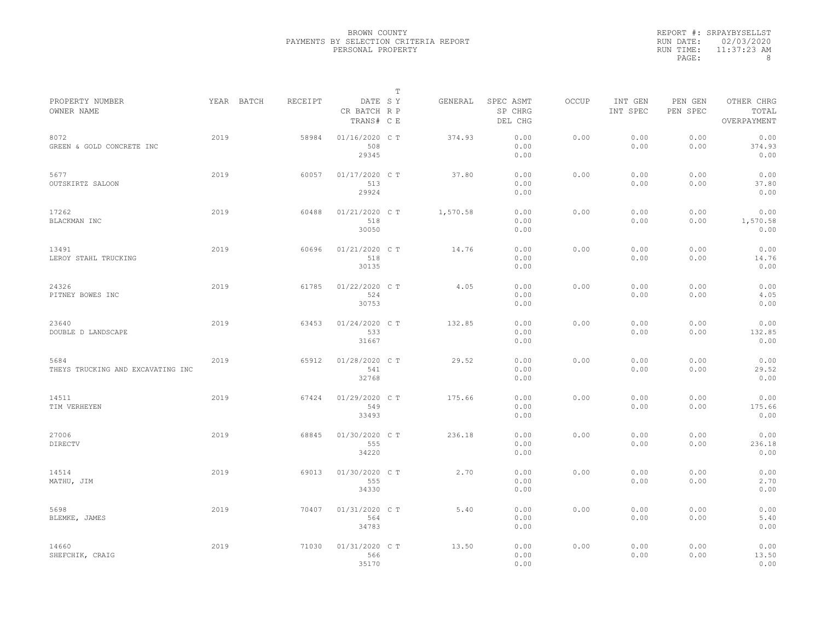|           | REPORT #: SRPAYBYSELLST |
|-----------|-------------------------|
|           | RUN DATE: 02/03/2020    |
| RUN TIME: | $11:37:23$ AM           |
| PAGE:     | 8                       |

|                                           |      |            |         |                                       | Т |          |                                 |       |                     |                     |                                    |  |
|-------------------------------------------|------|------------|---------|---------------------------------------|---|----------|---------------------------------|-------|---------------------|---------------------|------------------------------------|--|
| PROPERTY NUMBER<br>OWNER NAME             |      | YEAR BATCH | RECEIPT | DATE SY<br>CR BATCH R P<br>TRANS# C E |   | GENERAL  | SPEC ASMT<br>SP CHRG<br>DEL CHG | OCCUP | INT GEN<br>INT SPEC | PEN GEN<br>PEN SPEC | OTHER CHRG<br>TOTAL<br>OVERPAYMENT |  |
| 8072<br>GREEN & GOLD CONCRETE INC         | 2019 |            | 58984   | 01/16/2020 C T<br>508<br>29345        |   | 374.93   | 0.00<br>0.00<br>0.00            | 0.00  | 0.00<br>0.00        | 0.00<br>0.00        | 0.00<br>374.93<br>0.00             |  |
| 5677<br>OUTSKIRTZ SALOON                  | 2019 |            | 60057   | 01/17/2020 C T<br>513<br>29924        |   | 37.80    | 0.00<br>0.00<br>0.00            | 0.00  | 0.00<br>0.00        | 0.00<br>0.00        | 0.00<br>37.80<br>0.00              |  |
| 17262<br>BLACKMAN INC                     | 2019 |            | 60488   | 01/21/2020 C T<br>518<br>30050        |   | 1,570.58 | 0.00<br>0.00<br>0.00            | 0.00  | 0.00<br>0.00        | 0.00<br>0.00        | 0.00<br>1,570.58<br>0.00           |  |
| 13491<br>LEROY STAHL TRUCKING             | 2019 |            | 60696   | $01/21/2020$ CT<br>518<br>30135       |   | 14.76    | 0.00<br>0.00<br>0.00            | 0.00  | 0.00<br>0.00        | 0.00<br>0.00        | 0.00<br>14.76<br>0.00              |  |
| 24326<br>PITNEY BOWES INC                 | 2019 |            | 61785   | 01/22/2020 C T<br>524<br>30753        |   | 4.05     | 0.00<br>0.00<br>0.00            | 0.00  | 0.00<br>0.00        | 0.00<br>0.00        | 0.00<br>4.05<br>0.00               |  |
| 23640<br>DOUBLE D LANDSCAPE               | 2019 |            | 63453   | 01/24/2020 C T<br>533<br>31667        |   | 132.85   | 0.00<br>0.00<br>0.00            | 0.00  | 0.00<br>0.00        | 0.00<br>0.00        | 0.00<br>132.85<br>0.00             |  |
| 5684<br>THEYS TRUCKING AND EXCAVATING INC | 2019 |            | 65912   | 01/28/2020 C T<br>541<br>32768        |   | 29.52    | 0.00<br>0.00<br>0.00            | 0.00  | 0.00<br>0.00        | 0.00<br>0.00        | 0.00<br>29.52<br>0.00              |  |
| 14511<br>TIM VERHEYEN                     | 2019 |            | 67424   | 01/29/2020 C T<br>549<br>33493        |   | 175.66   | 0.00<br>0.00<br>0.00            | 0.00  | 0.00<br>0.00        | 0.00<br>0.00        | 0.00<br>175.66<br>0.00             |  |
| 27006<br>DIRECTV                          | 2019 |            | 68845   | 01/30/2020 C T<br>555<br>34220        |   | 236.18   | 0.00<br>0.00<br>0.00            | 0.00  | 0.00<br>0.00        | 0.00<br>0.00        | 0.00<br>236.18<br>0.00             |  |
| 14514<br>MATHU, JIM                       | 2019 |            | 69013   | 01/30/2020 C T<br>555<br>34330        |   | 2.70     | 0.00<br>0.00<br>0.00            | 0.00  | 0.00<br>0.00        | 0.00<br>0.00        | 0.00<br>2.70<br>0.00               |  |
| 5698<br>BLEMKE, JAMES                     | 2019 |            | 70407   | 01/31/2020 C T<br>564<br>34783        |   | 5.40     | 0.00<br>0.00<br>0.00            | 0.00  | 0.00<br>0.00        | 0.00<br>0.00        | 0.00<br>5.40<br>0.00               |  |
| 14660<br>SHEFCHIK, CRAIG                  | 2019 |            | 71030   | 01/31/2020 C T<br>566<br>35170        |   | 13.50    | 0.00<br>0.00<br>0.00            | 0.00  | 0.00<br>0.00        | 0.00<br>0.00        | 0.00<br>13.50<br>0.00              |  |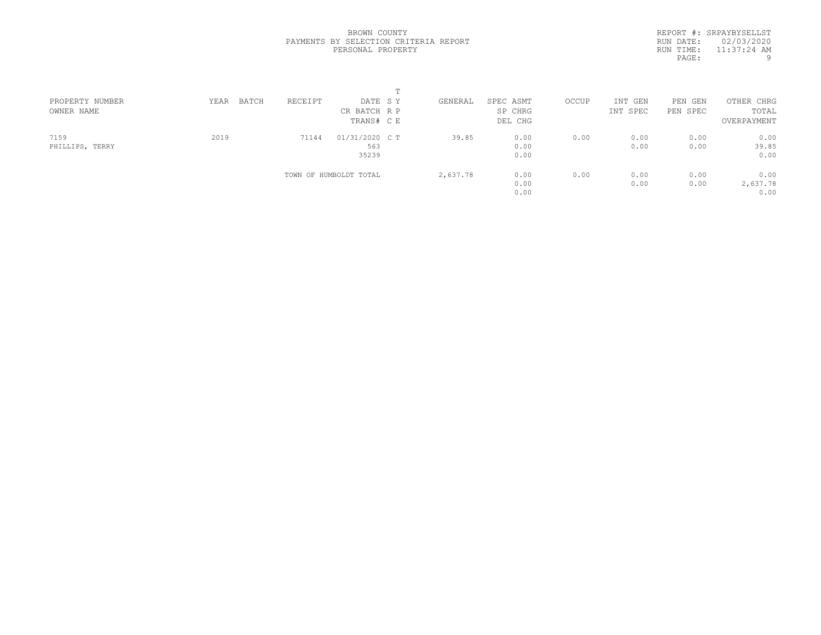REPORT #: SRPAYBYSELLST RUN DATE: 02/03/2020 RUN TIME: 11:37:24 AM PAGE: 9

|                 |               |         | $\blacksquare$         |          |           |       |          |          |             |  |
|-----------------|---------------|---------|------------------------|----------|-----------|-------|----------|----------|-------------|--|
| PROPERTY NUMBER | BATCH<br>YEAR | RECEIPT | DATE SY                | GENERAL  | SPEC ASMT | OCCUP | INT GEN  | PEN GEN  | OTHER CHRG  |  |
| OWNER NAME      |               |         | CR BATCH R P           |          | SP CHRG   |       | INT SPEC | PEN SPEC | TOTAL       |  |
|                 |               |         | TRANS# C E             |          | DEL CHG   |       |          |          | OVERPAYMENT |  |
| 7159            | 2019          | 71144   | 01/31/2020 C T         | 39.85    | 0.00      | 0.00  | 0.00     | 0.00     | 0.00        |  |
| PHILLIPS, TERRY |               |         | 563                    |          | 0.00      |       | 0.00     | 0.00     | 39.85       |  |
|                 |               |         | 35239                  |          | 0.00      |       |          |          | 0.00        |  |
|                 |               |         | TOWN OF HUMBOLDT TOTAL | 2,637.78 | 0.00      | 0.00  | 0.00     | 0.00     | 0.00        |  |
|                 |               |         |                        |          | 0.00      |       | 0.00     | 0.00     | 2,637.78    |  |
|                 |               |         |                        |          | 0.00      |       |          |          | 0.00        |  |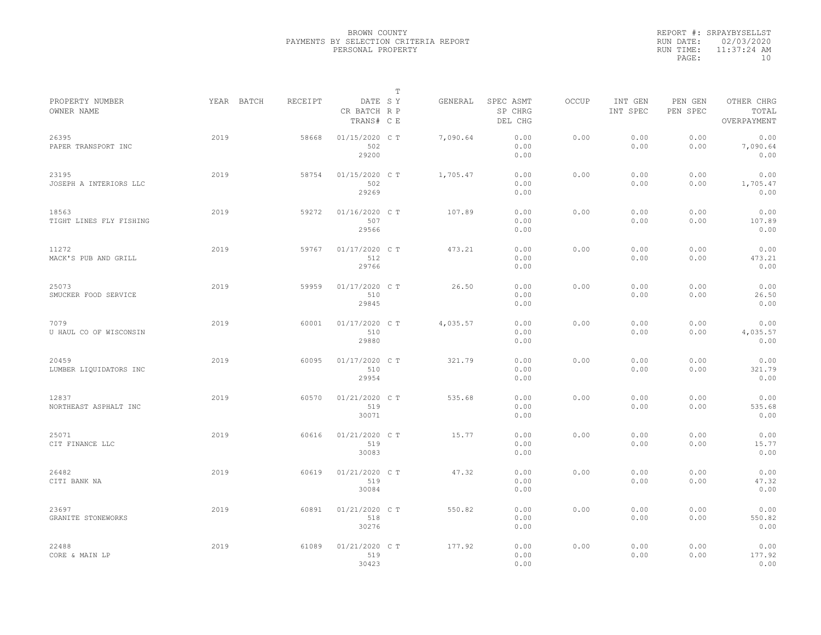|           | REPORT #: SRPAYBYSELLST |
|-----------|-------------------------|
|           | RUN DATE: 02/03/2020    |
| RUN TIME: | $11:37:24$ AM           |
| PAGE:     | 1 N                     |

|                                  |            |         |                                       | Т |          |                                 |       |                     |                     |                                    |  |
|----------------------------------|------------|---------|---------------------------------------|---|----------|---------------------------------|-------|---------------------|---------------------|------------------------------------|--|
| PROPERTY NUMBER<br>OWNER NAME    | YEAR BATCH | RECEIPT | DATE SY<br>CR BATCH R P<br>TRANS# C E |   | GENERAL  | SPEC ASMT<br>SP CHRG<br>DEL CHG | OCCUP | INT GEN<br>INT SPEC | PEN GEN<br>PEN SPEC | OTHER CHRG<br>TOTAL<br>OVERPAYMENT |  |
| 26395<br>PAPER TRANSPORT INC     | 2019       | 58668   | 01/15/2020 C T<br>502<br>29200        |   | 7,090.64 | 0.00<br>0.00<br>0.00            | 0.00  | 0.00<br>0.00        | 0.00<br>0.00        | 0.00<br>7,090.64<br>0.00           |  |
| 23195<br>JOSEPH A INTERIORS LLC  | 2019       | 58754   | 01/15/2020 C T<br>502<br>29269        |   | 1,705.47 | 0.00<br>0.00<br>0.00            | 0.00  | 0.00<br>0.00        | 0.00<br>0.00        | 0.00<br>1,705.47<br>0.00           |  |
| 18563<br>TIGHT LINES FLY FISHING | 2019       | 59272   | 01/16/2020 C T<br>507<br>29566        |   | 107.89   | 0.00<br>0.00<br>0.00            | 0.00  | 0.00<br>0.00        | 0.00<br>0.00        | 0.00<br>107.89<br>0.00             |  |
| 11272<br>MACK'S PUB AND GRILL    | 2019       | 59767   | 01/17/2020 C T<br>512<br>29766        |   | 473.21   | 0.00<br>0.00<br>0.00            | 0.00  | 0.00<br>0.00        | 0.00<br>0.00        | 0.00<br>473.21<br>0.00             |  |
| 25073<br>SMUCKER FOOD SERVICE    | 2019       | 59959   | 01/17/2020 C T<br>510<br>29845        |   | 26.50    | 0.00<br>0.00<br>0.00            | 0.00  | 0.00<br>0.00        | 0.00<br>0.00        | 0.00<br>26.50<br>0.00              |  |
| 7079<br>U HAUL CO OF WISCONSIN   | 2019       | 60001   | 01/17/2020 C T<br>510<br>29880        |   | 4,035.57 | 0.00<br>0.00<br>0.00            | 0.00  | 0.00<br>0.00        | 0.00<br>0.00        | 0.00<br>4,035.57<br>0.00           |  |
| 20459<br>LUMBER LIQUIDATORS INC  | 2019       | 60095   | 01/17/2020 C T<br>510<br>29954        |   | 321.79   | 0.00<br>0.00<br>0.00            | 0.00  | 0.00<br>0.00        | 0.00<br>0.00        | 0.00<br>321.79<br>0.00             |  |
| 12837<br>NORTHEAST ASPHALT INC   | 2019       | 60570   | 01/21/2020 C T<br>519<br>30071        |   | 535.68   | 0.00<br>0.00<br>0.00            | 0.00  | 0.00<br>0.00        | 0.00<br>0.00        | 0.00<br>535.68<br>0.00             |  |
| 25071<br>CIT FINANCE LLC         | 2019       | 60616   | 01/21/2020 C T<br>519<br>30083        |   | 15.77    | 0.00<br>0.00<br>0.00            | 0.00  | 0.00<br>0.00        | 0.00<br>0.00        | 0.00<br>15.77<br>0.00              |  |
| 26482<br>CITI BANK NA            | 2019       | 60619   | 01/21/2020 C T<br>519<br>30084        |   | 47.32    | 0.00<br>0.00<br>0.00            | 0.00  | 0.00<br>0.00        | 0.00<br>0.00        | 0.00<br>47.32<br>0.00              |  |
| 23697<br>GRANITE STONEWORKS      | 2019       | 60891   | 01/21/2020 C T<br>518<br>30276        |   | 550.82   | 0.00<br>0.00<br>0.00            | 0.00  | 0.00<br>0.00        | 0.00<br>0.00        | 0.00<br>550.82<br>0.00             |  |
| 22488<br>CORE & MAIN LP          | 2019       | 61089   | 01/21/2020 C T<br>519<br>30423        |   | 177.92   | 0.00<br>0.00<br>0.00            | 0.00  | 0.00<br>0.00        | 0.00<br>0.00        | 0.00<br>177.92<br>0.00             |  |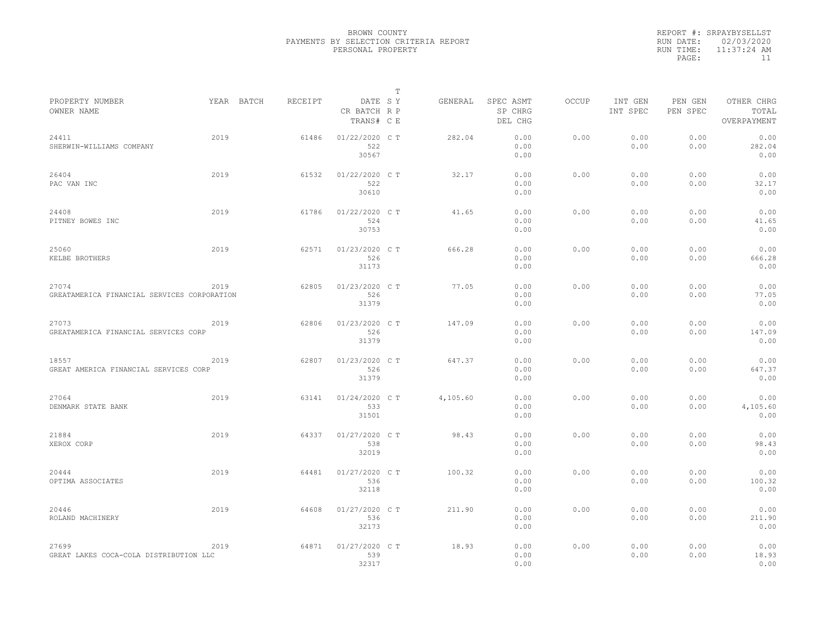|           | REPORT #: SRPAYBYSELLST |
|-----------|-------------------------|
|           | RUN DATE: 02/03/2020    |
| RUN TIME: | $11:37:24$ AM           |
| PAGE:     | 11                      |

| PROPERTY NUMBER                             |      | YEAR BATCH | RECEIPT | DATE SY                    | Т | GENERAL  | SPEC ASMT          | OCCUP | INT GEN      | PEN GEN      | OTHER CHRG           |  |
|---------------------------------------------|------|------------|---------|----------------------------|---|----------|--------------------|-------|--------------|--------------|----------------------|--|
| OWNER NAME                                  |      |            |         | CR BATCH R P<br>TRANS# C E |   |          | SP CHRG<br>DEL CHG |       | INT SPEC     | PEN SPEC     | TOTAL<br>OVERPAYMENT |  |
| 24411<br>SHERWIN-WILLIAMS COMPANY           | 2019 |            | 61486   | 01/22/2020 C T<br>522      |   | 282.04   | 0.00<br>0.00       | 0.00  | 0.00<br>0.00 | 0.00<br>0.00 | 0.00<br>282.04       |  |
|                                             |      |            |         | 30567                      |   |          | 0.00               |       |              |              | 0.00                 |  |
| 26404<br>PAC VAN INC                        | 2019 |            | 61532   | 01/22/2020 C T<br>522      |   | 32.17    | 0.00<br>0.00       | 0.00  | 0.00<br>0.00 | 0.00<br>0.00 | 0.00<br>32.17        |  |
|                                             |      |            |         | 30610                      |   |          | 0.00               |       |              |              | 0.00                 |  |
| 24408<br>PITNEY BOWES INC                   | 2019 |            | 61786   | 01/22/2020 C T<br>524      |   | 41.65    | 0.00<br>0.00       | 0.00  | 0.00<br>0.00 | 0.00<br>0.00 | 0.00<br>41.65        |  |
|                                             |      |            |         | 30753                      |   |          | 0.00               |       |              |              | 0.00                 |  |
| 25060                                       | 2019 |            | 62571   | 01/23/2020 C T             |   | 666.28   | 0.00               | 0.00  | 0.00         | 0.00         | 0.00                 |  |
| KELBE BROTHERS                              |      |            |         | 526<br>31173               |   |          | 0.00<br>0.00       |       | 0.00         | 0.00         | 666.28<br>0.00       |  |
| 27074                                       | 2019 |            | 62805   | 01/23/2020 C T             |   | 77.05    | 0.00               | 0.00  | 0.00         | 0.00         | 0.00                 |  |
| GREATAMERICA FINANCIAL SERVICES CORPORATION |      |            |         | 526<br>31379               |   |          | 0.00<br>0.00       |       | 0.00         | 0.00         | 77.05<br>0.00        |  |
| 27073                                       | 2019 |            | 62806   | 01/23/2020 C T             |   | 147.09   | 0.00               | 0.00  | 0.00         | 0.00         | 0.00                 |  |
| GREATAMERICA FINANCIAL SERVICES CORP        |      |            |         | 526<br>31379               |   |          | 0.00<br>0.00       |       | 0.00         | 0.00         | 147.09<br>0.00       |  |
| 18557                                       | 2019 |            | 62807   | 01/23/2020 C T             |   | 647.37   | 0.00               | 0.00  | 0.00         | 0.00         | 0.00                 |  |
| GREAT AMERICA FINANCIAL SERVICES CORP       |      |            |         | 526<br>31379               |   |          | 0.00<br>0.00       |       | 0.00         | 0.00         | 647.37<br>0.00       |  |
| 27064                                       | 2019 |            | 63141   | 01/24/2020 C T             |   | 4,105.60 | 0.00               | 0.00  | 0.00         | 0.00         | 0.00                 |  |
| DENMARK STATE BANK                          |      |            |         | 533<br>31501               |   |          | 0.00<br>0.00       |       | 0.00         | 0.00         | 4,105.60<br>0.00     |  |
| 21884                                       | 2019 |            | 64337   | 01/27/2020 C T             |   | 98.43    | 0.00               | 0.00  | 0.00         | 0.00         | 0.00                 |  |
| XEROX CORP                                  |      |            |         | 538<br>32019               |   |          | 0.00<br>0.00       |       | 0.00         | 0.00         | 98.43<br>0.00        |  |
| 20444                                       | 2019 |            | 64481   | 01/27/2020 C T             |   | 100.32   | 0.00               | 0.00  | 0.00         | 0.00         | 0.00                 |  |
| OPTIMA ASSOCIATES                           |      |            |         | 536<br>32118               |   |          | 0.00<br>0.00       |       | 0.00         | 0.00         | 100.32<br>0.00       |  |
| 20446                                       | 2019 |            | 64608   | 01/27/2020 C T             |   | 211.90   | 0.00               | 0.00  | 0.00         | 0.00         | 0.00                 |  |
| ROLAND MACHINERY                            |      |            |         | 536<br>32173               |   |          | 0.00<br>0.00       |       | 0.00         | 0.00         | 211.90<br>0.00       |  |
| 27699                                       | 2019 |            | 64871   | 01/27/2020 C T             |   | 18.93    | 0.00               | 0.00  | 0.00         | 0.00         | 0.00                 |  |
| GREAT LAKES COCA-COLA DISTRIBUTION LLC      |      |            |         | 539<br>32317               |   |          | 0.00<br>0.00       |       | 0.00         | 0.00         | 18.93<br>0.00        |  |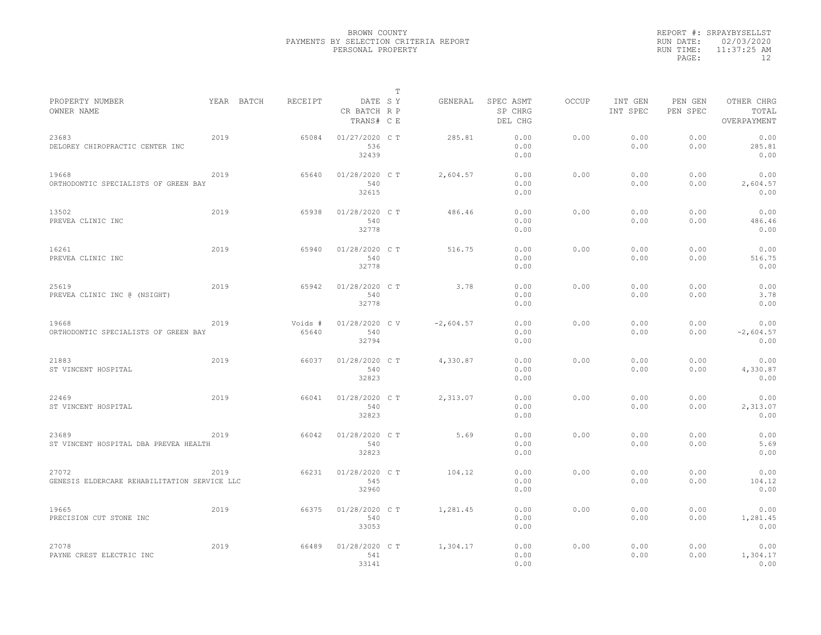|           | REPORT #: SRPAYBYSELLST |
|-----------|-------------------------|
|           | RUN DATE: 02/03/2020    |
| RUN TIME: | $11:37:25$ AM           |
| PAGE:     | 12                      |

|                                                       |      |            |                  |                                       | Т |             |                                 |       |                     |                     |                                    |  |
|-------------------------------------------------------|------|------------|------------------|---------------------------------------|---|-------------|---------------------------------|-------|---------------------|---------------------|------------------------------------|--|
| PROPERTY NUMBER<br>OWNER NAME                         |      | YEAR BATCH | RECEIPT          | DATE SY<br>CR BATCH R P<br>TRANS# C E |   | GENERAL     | SPEC ASMT<br>SP CHRG<br>DEL CHG | OCCUP | INT GEN<br>INT SPEC | PEN GEN<br>PEN SPEC | OTHER CHRG<br>TOTAL<br>OVERPAYMENT |  |
| 23683<br>DELOREY CHIROPRACTIC CENTER INC              | 2019 |            | 65084            | 01/27/2020 C T<br>536<br>32439        |   | 285.81      | 0.00<br>0.00<br>0.00            | 0.00  | 0.00<br>0.00        | 0.00<br>0.00        | 0.00<br>285.81<br>0.00             |  |
| 19668<br>ORTHODONTIC SPECIALISTS OF GREEN BAY         | 2019 |            | 65640            | 01/28/2020 C T<br>540<br>32615        |   | 2,604.57    | 0.00<br>0.00<br>0.00            | 0.00  | 0.00<br>0.00        | 0.00<br>0.00        | 0.00<br>2,604.57<br>0.00           |  |
| 13502<br>PREVEA CLINIC INC                            | 2019 |            | 65938            | 01/28/2020 C T<br>540<br>32778        |   | 486.46      | 0.00<br>0.00<br>0.00            | 0.00  | 0.00<br>0.00        | 0.00<br>0.00        | 0.00<br>486.46<br>0.00             |  |
| 16261<br>PREVEA CLINIC INC                            | 2019 |            | 65940            | 01/28/2020 C T<br>540<br>32778        |   | 516.75      | 0.00<br>0.00<br>0.00            | 0.00  | 0.00<br>0.00        | 0.00<br>0.00        | 0.00<br>516.75<br>0.00             |  |
| 25619<br>PREVEA CLINIC INC @ (NSIGHT)                 | 2019 |            | 65942            | 01/28/2020 C T<br>540<br>32778        |   | 3.78        | 0.00<br>0.00<br>0.00            | 0.00  | 0.00<br>0.00        | 0.00<br>0.00        | 0.00<br>3.78<br>0.00               |  |
| 19668<br>ORTHODONTIC SPECIALISTS OF GREEN BAY         | 2019 |            | Voids #<br>65640 | 01/28/2020 C V<br>540<br>32794        |   | $-2,604.57$ | 0.00<br>0.00<br>0.00            | 0.00  | 0.00<br>0.00        | 0.00<br>0.00        | 0.00<br>$-2,604.57$<br>0.00        |  |
| 21883<br>ST VINCENT HOSPITAL                          | 2019 |            | 66037            | 01/28/2020 C T<br>540<br>32823        |   | 4,330.87    | 0.00<br>0.00<br>0.00            | 0.00  | 0.00<br>0.00        | 0.00<br>0.00        | 0.00<br>4,330.87<br>0.00           |  |
| 22469<br>ST VINCENT HOSPITAL                          | 2019 |            | 66041            | 01/28/2020 C T<br>540<br>32823        |   | 2,313.07    | 0.00<br>0.00<br>0.00            | 0.00  | 0.00<br>0.00        | 0.00<br>0.00        | 0.00<br>2,313.07<br>0.00           |  |
| 23689<br>ST VINCENT HOSPITAL DBA PREVEA HEALTH        | 2019 |            | 66042            | 01/28/2020 C T<br>540<br>32823        |   | 5.69        | 0.00<br>0.00<br>0.00            | 0.00  | 0.00<br>0.00        | 0.00<br>0.00        | 0.00<br>5.69<br>0.00               |  |
| 27072<br>GENESIS ELDERCARE REHABILITATION SERVICE LLC | 2019 |            | 66231            | 01/28/2020 C T<br>545<br>32960        |   | 104.12      | 0.00<br>0.00<br>0.00            | 0.00  | 0.00<br>0.00        | 0.00<br>0.00        | 0.00<br>104.12<br>0.00             |  |
| 19665<br>PRECISION CUT STONE INC                      | 2019 |            | 66375            | 01/28/2020 C T<br>540<br>33053        |   | 1,281.45    | 0.00<br>0.00<br>0.00            | 0.00  | 0.00<br>0.00        | 0.00<br>0.00        | 0.00<br>1,281.45<br>0.00           |  |
| 27078<br>PAYNE CREST ELECTRIC INC                     | 2019 |            | 66489            | 01/28/2020 C T<br>541<br>33141        |   | 1,304.17    | 0.00<br>0.00<br>0.00            | 0.00  | 0.00<br>0.00        | 0.00<br>0.00        | 0.00<br>1,304.17<br>0.00           |  |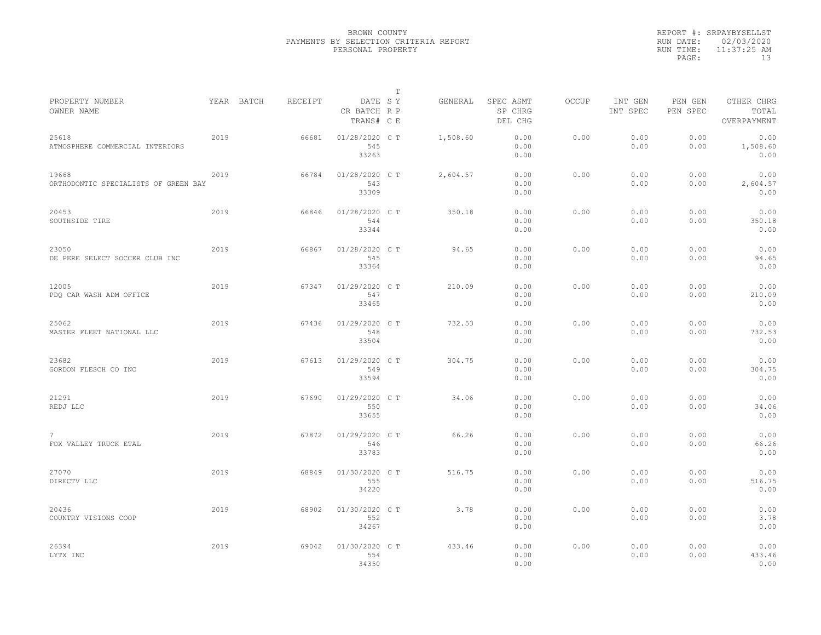|           | REPORT #: SRPAYBYSELLST |
|-----------|-------------------------|
|           | RUN DATE: 02/03/2020    |
| RUN TIME: | $11:37:25$ AM           |
| PAGE:     | 13                      |

|                                               |      |            |         |                                       | $\mathbb T$ |          |                                 |              |                     |                     |                                    |
|-----------------------------------------------|------|------------|---------|---------------------------------------|-------------|----------|---------------------------------|--------------|---------------------|---------------------|------------------------------------|
| PROPERTY NUMBER<br>OWNER NAME                 |      | YEAR BATCH | RECEIPT | DATE SY<br>CR BATCH R P<br>TRANS# C E |             | GENERAL  | SPEC ASMT<br>SP CHRG<br>DEL CHG | <b>OCCUP</b> | INT GEN<br>INT SPEC | PEN GEN<br>PEN SPEC | OTHER CHRG<br>TOTAL<br>OVERPAYMENT |
| 25618<br>ATMOSPHERE COMMERCIAL INTERIORS      | 2019 |            | 66681   | 01/28/2020 C T<br>545<br>33263        |             | 1,508.60 | 0.00<br>0.00<br>0.00            | 0.00         | 0.00<br>0.00        | 0.00<br>0.00        | 0.00<br>1,508.60<br>0.00           |
| 19668<br>ORTHODONTIC SPECIALISTS OF GREEN BAY | 2019 |            | 66784   | 01/28/2020 C T<br>543<br>33309        |             | 2,604.57 | 0.00<br>0.00<br>0.00            | 0.00         | 0.00<br>0.00        | 0.00<br>0.00        | 0.00<br>2,604.57<br>0.00           |
| 20453<br>SOUTHSIDE TIRE                       | 2019 |            | 66846   | 01/28/2020 C T<br>544<br>33344        |             | 350.18   | 0.00<br>0.00<br>0.00            | 0.00         | 0.00<br>0.00        | 0.00<br>0.00        | 0.00<br>350.18<br>0.00             |
| 23050<br>DE PERE SELECT SOCCER CLUB INC       | 2019 |            | 66867   | 01/28/2020 C T<br>545<br>33364        |             | 94.65    | 0.00<br>0.00<br>0.00            | 0.00         | 0.00<br>0.00        | 0.00<br>0.00        | 0.00<br>94.65<br>0.00              |
| 12005<br>PDO CAR WASH ADM OFFICE              | 2019 |            | 67347   | 01/29/2020 C T<br>547<br>33465        |             | 210.09   | 0.00<br>0.00<br>0.00            | 0.00         | 0.00<br>0.00        | 0.00<br>0.00        | 0.00<br>210.09<br>0.00             |
| 25062<br>MASTER FLEET NATIONAL LLC            | 2019 |            | 67436   | 01/29/2020 C T<br>548<br>33504        |             | 732.53   | 0.00<br>0.00<br>0.00            | 0.00         | 0.00<br>0.00        | 0.00<br>0.00        | 0.00<br>732.53<br>0.00             |
| 23682<br>GORDON FLESCH CO INC                 | 2019 |            | 67613   | 01/29/2020 C T<br>549<br>33594        |             | 304.75   | 0.00<br>0.00<br>0.00            | 0.00         | 0.00<br>0.00        | 0.00<br>0.00        | 0.00<br>304.75<br>0.00             |
| 21291<br>REDJ LLC                             | 2019 |            | 67690   | 01/29/2020 C T<br>550<br>33655        |             | 34.06    | 0.00<br>0.00<br>0.00            | 0.00         | 0.00<br>0.00        | 0.00<br>0.00        | 0.00<br>34.06<br>0.00              |
| $7\phantom{.0}$<br>FOX VALLEY TRUCK ETAL      | 2019 |            | 67872   | 01/29/2020 C T<br>546<br>33783        |             | 66.26    | 0.00<br>0.00<br>0.00            | 0.00         | 0.00<br>0.00        | 0.00<br>0.00        | 0.00<br>66.26<br>0.00              |
| 27070<br>DIRECTV LLC                          | 2019 |            | 68849   | 01/30/2020 C T<br>555<br>34220        |             | 516.75   | 0.00<br>0.00<br>0.00            | 0.00         | 0.00<br>0.00        | 0.00<br>0.00        | 0.00<br>516.75<br>0.00             |
| 20436<br>COUNTRY VISIONS COOP                 | 2019 |            | 68902   | 01/30/2020 C T<br>552<br>34267        |             | 3.78     | 0.00<br>0.00<br>0.00            | 0.00         | 0.00<br>0.00        | 0.00<br>0.00        | 0.00<br>3.78<br>0.00               |
| 26394<br>LYTX INC                             | 2019 |            | 69042   | 01/30/2020 CT<br>554<br>34350         |             | 433.46   | 0.00<br>0.00<br>0.00            | 0.00         | 0.00<br>0.00        | 0.00<br>0.00        | 0.00<br>433.46<br>0.00             |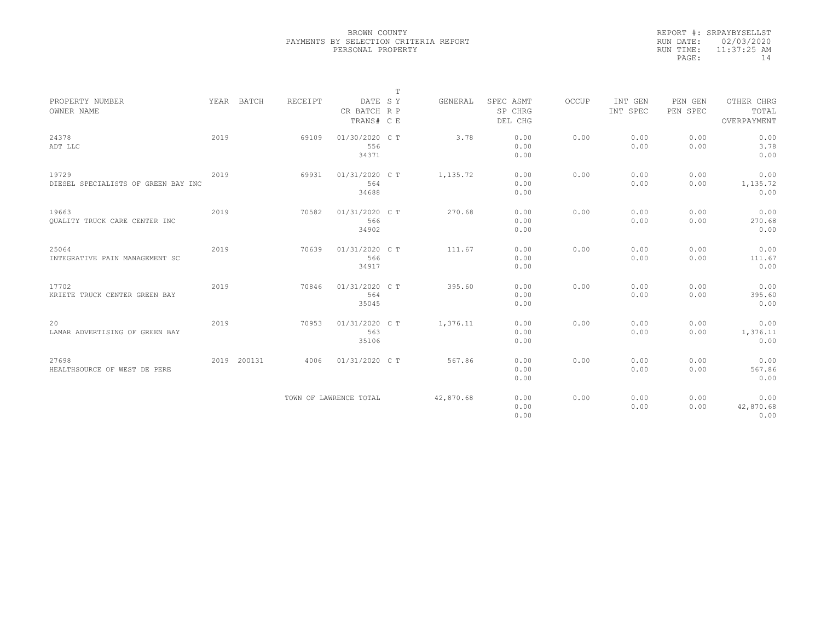|           | REPORT #: SRPAYBYSELLST |
|-----------|-------------------------|
|           | RUN DATE: 02/03/2020    |
| RUN TIME: | $11:37:25$ AM           |
| PAGE:     | 14                      |

|                                      |      |             |         |                         | T |           |                      |       |                     |                     |                     |
|--------------------------------------|------|-------------|---------|-------------------------|---|-----------|----------------------|-------|---------------------|---------------------|---------------------|
| PROPERTY NUMBER<br>OWNER NAME        |      | YEAR BATCH  | RECEIPT | DATE SY<br>CR BATCH R P |   | GENERAL   | SPEC ASMT<br>SP CHRG | OCCUP | INT GEN<br>INT SPEC | PEN GEN<br>PEN SPEC | OTHER CHRG<br>TOTAL |
|                                      |      |             |         | TRANS# C E              |   |           | DEL CHG              |       |                     |                     | OVERPAYMENT         |
| 24378                                | 2019 |             | 69109   | 01/30/2020 C T          |   | 3.78      | 0.00                 | 0.00  | 0.00                | 0.00                | 0.00                |
| ADT LLC                              |      |             |         | 556                     |   |           | 0.00                 |       | 0.00                | 0.00                | 3.78                |
|                                      |      |             |         | 34371                   |   |           | 0.00                 |       |                     |                     | 0.00                |
| 19729                                | 2019 |             | 69931   | 01/31/2020 C T          |   | 1,135.72  | 0.00                 | 0.00  | 0.00                | 0.00                | 0.00                |
| DIESEL SPECIALISTS OF GREEN BAY INC  |      |             |         | 564                     |   |           | 0.00                 |       | 0.00                | 0.00                | 1,135.72            |
|                                      |      |             |         | 34688                   |   |           | 0.00                 |       |                     |                     | 0.00                |
| 19663                                | 2019 |             | 70582   | 01/31/2020 C T          |   | 270.68    | 0.00                 | 0.00  | 0.00                | 0.00                | 0.00                |
| <b>OUALITY TRUCK CARE CENTER INC</b> |      |             |         | 566                     |   |           | 0.00                 |       | 0.00                | 0.00                | 270.68              |
|                                      |      |             |         | 34902                   |   |           | 0.00                 |       |                     |                     | 0.00                |
| 25064                                | 2019 |             | 70639   | 01/31/2020 C T          |   | 111.67    | 0.00                 | 0.00  | 0.00                | 0.00                | 0.00                |
| INTEGRATIVE PAIN MANAGEMENT SC       |      |             |         | 566                     |   |           | 0.00                 |       | 0.00                | 0.00                | 111.67              |
|                                      |      |             |         | 34917                   |   |           | 0.00                 |       |                     |                     | 0.00                |
| 17702                                | 2019 |             | 70846   | 01/31/2020 C T          |   | 395.60    | 0.00                 | 0.00  | 0.00                | 0.00                | 0.00                |
| KRIETE TRUCK CENTER GREEN BAY        |      |             |         | 564                     |   |           | 0.00                 |       | 0.00                | 0.00                | 395.60              |
|                                      |      |             |         | 35045                   |   |           | 0.00                 |       |                     |                     | 0.00                |
| 20                                   | 2019 |             | 70953   | 01/31/2020 C T          |   | 1,376.11  | 0.00                 | 0.00  | 0.00                | 0.00                | 0.00                |
| LAMAR ADVERTISING OF GREEN BAY       |      |             |         | 563                     |   |           | 0.00                 |       | 0.00                | 0.00                | 1,376.11            |
|                                      |      |             |         | 35106                   |   |           | 0.00                 |       |                     |                     | 0.00                |
| 27698                                |      | 2019 200131 | 4006    | 01/31/2020 C T          |   | 567.86    | 0.00                 | 0.00  | 0.00                | 0.00                | 0.00                |
| HEALTHSOURCE OF WEST DE PERE         |      |             |         |                         |   |           | 0.00                 |       | 0.00                | 0.00                | 567.86              |
|                                      |      |             |         |                         |   |           | 0.00                 |       |                     |                     | 0.00                |
|                                      |      |             |         | TOWN OF LAWRENCE TOTAL  |   | 42,870.68 | 0.00                 | 0.00  | 0.00                | 0.00                | 0.00                |
|                                      |      |             |         |                         |   |           | 0.00                 |       | 0.00                | 0.00                | 42,870.68           |
|                                      |      |             |         |                         |   |           | 0.00                 |       |                     |                     | 0.00                |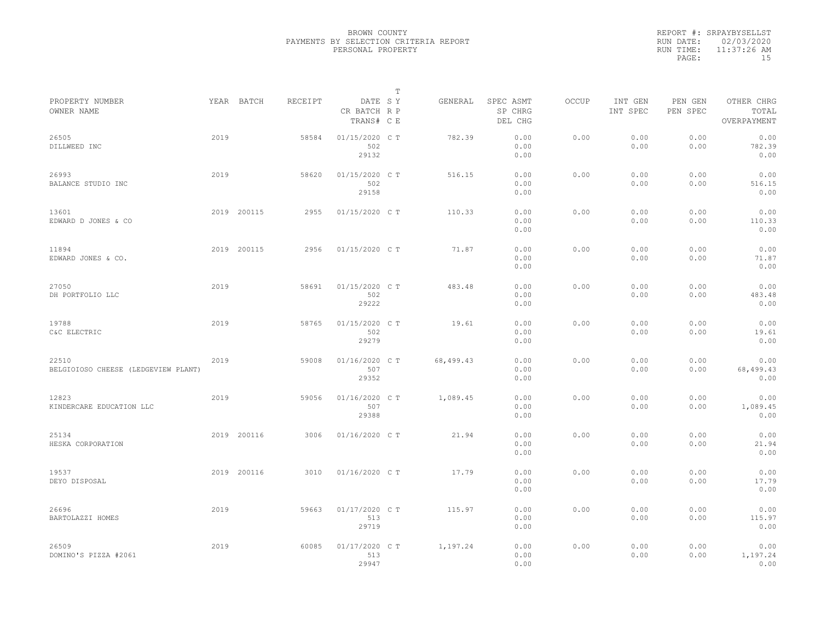|           | REPORT #: SRPAYBYSELLST |
|-----------|-------------------------|
|           | RUN DATE: 02/03/2020    |
| RUN TIME: | 11:37:26 AM             |
| PAGE:     | 1.5                     |

|                                              |      |             |         |                                       | т |           |                                 |       |                     |                     |                                    |  |
|----------------------------------------------|------|-------------|---------|---------------------------------------|---|-----------|---------------------------------|-------|---------------------|---------------------|------------------------------------|--|
| PROPERTY NUMBER<br>OWNER NAME                |      | YEAR BATCH  | RECEIPT | DATE SY<br>CR BATCH R P<br>TRANS# C E |   | GENERAL   | SPEC ASMT<br>SP CHRG<br>DEL CHG | OCCUP | INT GEN<br>INT SPEC | PEN GEN<br>PEN SPEC | OTHER CHRG<br>TOTAL<br>OVERPAYMENT |  |
| 26505<br>DILLWEED INC                        | 2019 |             | 58584   | 01/15/2020 C T<br>502<br>29132        |   | 782.39    | 0.00<br>0.00<br>0.00            | 0.00  | 0.00<br>0.00        | 0.00<br>0.00        | 0.00<br>782.39<br>0.00             |  |
| 26993<br>BALANCE STUDIO INC                  | 2019 |             | 58620   | 01/15/2020 C T<br>502<br>29158        |   | 516.15    | 0.00<br>0.00<br>0.00            | 0.00  | 0.00<br>0.00        | 0.00<br>0.00        | 0.00<br>516.15<br>0.00             |  |
| 13601<br>EDWARD D JONES & CO                 |      | 2019 200115 | 2955    | 01/15/2020 C T                        |   | 110.33    | 0.00<br>0.00<br>0.00            | 0.00  | 0.00<br>0.00        | 0.00<br>0.00        | 0.00<br>110.33<br>0.00             |  |
| 11894<br>EDWARD JONES & CO.                  |      | 2019 200115 | 2956    | 01/15/2020 C T                        |   | 71.87     | 0.00<br>0.00<br>0.00            | 0.00  | 0.00<br>0.00        | 0.00<br>0.00        | 0.00<br>71.87<br>0.00              |  |
| 27050<br>DH PORTFOLIO LLC                    | 2019 |             | 58691   | 01/15/2020 C T<br>502<br>29222        |   | 483.48    | 0.00<br>0.00<br>0.00            | 0.00  | 0.00<br>0.00        | 0.00<br>0.00        | 0.00<br>483.48<br>0.00             |  |
| 19788<br>C&C ELECTRIC                        | 2019 |             | 58765   | 01/15/2020 C T<br>502<br>29279        |   | 19.61     | 0.00<br>0.00<br>0.00            | 0.00  | 0.00<br>0.00        | 0.00<br>0.00        | 0.00<br>19.61<br>0.00              |  |
| 22510<br>BELGIOIOSO CHEESE (LEDGEVIEW PLANT) | 2019 |             | 59008   | 01/16/2020 C T<br>507<br>29352        |   | 68,499.43 | 0.00<br>0.00<br>0.00            | 0.00  | 0.00<br>0.00        | 0.00<br>0.00        | 0.00<br>68,499.43<br>0.00          |  |
| 12823<br>KINDERCARE EDUCATION LLC            | 2019 |             | 59056   | 01/16/2020 C T<br>507<br>29388        |   | 1,089.45  | 0.00<br>0.00<br>0.00            | 0.00  | 0.00<br>0.00        | 0.00<br>0.00        | 0.00<br>1,089.45<br>0.00           |  |
| 25134<br>HESKA CORPORATION                   |      | 2019 200116 | 3006    | 01/16/2020 C T                        |   | 21.94     | 0.00<br>0.00<br>0.00            | 0.00  | 0.00<br>0.00        | 0.00<br>0.00        | 0.00<br>21.94<br>0.00              |  |
| 19537<br>DEYO DISPOSAL                       |      | 2019 200116 | 3010    | 01/16/2020 C T                        |   | 17.79     | 0.00<br>0.00<br>0.00            | 0.00  | 0.00<br>0.00        | 0.00<br>0.00        | 0.00<br>17.79<br>0.00              |  |
| 26696<br>BARTOLAZZI HOMES                    | 2019 |             | 59663   | 01/17/2020 C T<br>513<br>29719        |   | 115.97    | 0.00<br>0.00<br>0.00            | 0.00  | 0.00<br>0.00        | 0.00<br>0.00        | 0.00<br>115.97<br>0.00             |  |
| 26509<br>DOMINO'S PIZZA #2061                | 2019 |             | 60085   | 01/17/2020 C T<br>513<br>29947        |   | 1,197.24  | 0.00<br>0.00<br>0.00            | 0.00  | 0.00<br>0.00        | 0.00<br>0.00        | 0.00<br>1,197.24<br>0.00           |  |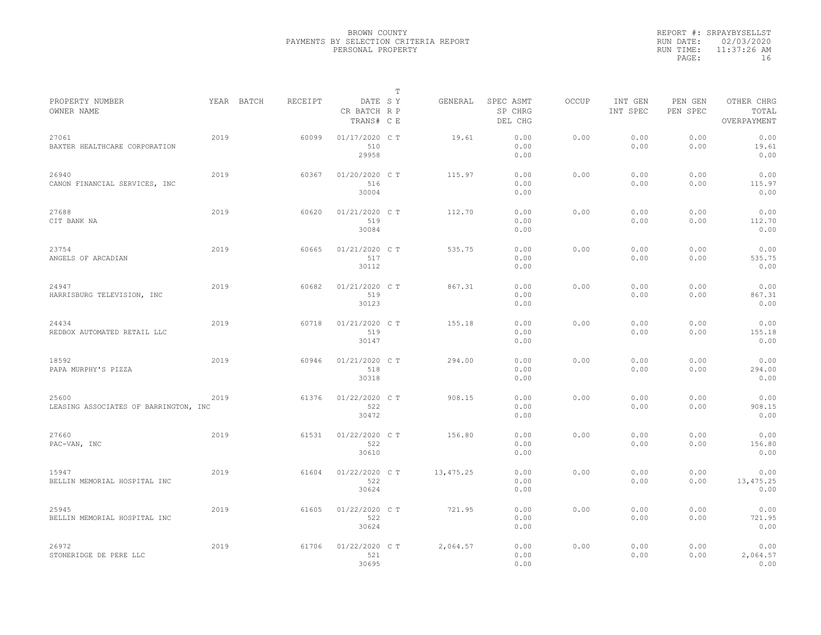|           | REPORT #: SRPAYBYSELLST |
|-----------|-------------------------|
|           | RUN DATE: 02/03/2020    |
| RUN TIME: | 11:37:26 AM             |
| PAGE:     | 16                      |

|                                                |      |            |         |                                       | T |           |                                 |              |                     |                     |                                    |  |
|------------------------------------------------|------|------------|---------|---------------------------------------|---|-----------|---------------------------------|--------------|---------------------|---------------------|------------------------------------|--|
| PROPERTY NUMBER<br>OWNER NAME                  |      | YEAR BATCH | RECEIPT | DATE SY<br>CR BATCH R P<br>TRANS# C E |   | GENERAL   | SPEC ASMT<br>SP CHRG<br>DEL CHG | <b>OCCUP</b> | INT GEN<br>INT SPEC | PEN GEN<br>PEN SPEC | OTHER CHRG<br>TOTAL<br>OVERPAYMENT |  |
| 27061<br>BAXTER HEALTHCARE CORPORATION         | 2019 |            | 60099   | 01/17/2020 C T<br>510<br>29958        |   | 19.61     | 0.00<br>0.00<br>0.00            | 0.00         | 0.00<br>0.00        | 0.00<br>0.00        | 0.00<br>19.61<br>0.00              |  |
| 26940<br>CANON FINANCIAL SERVICES, INC         | 2019 |            | 60367   | 01/20/2020 C T<br>516<br>30004        |   | 115.97    | 0.00<br>0.00<br>0.00            | 0.00         | 0.00<br>0.00        | 0.00<br>0.00        | 0.00<br>115.97<br>0.00             |  |
| 27688<br>CIT BANK NA                           | 2019 |            | 60620   | 01/21/2020 C T<br>519<br>30084        |   | 112.70    | 0.00<br>0.00<br>0.00            | 0.00         | 0.00<br>0.00        | 0.00<br>0.00        | 0.00<br>112.70<br>0.00             |  |
| 23754<br>ANGELS OF ARCADIAN                    | 2019 |            | 60665   | 01/21/2020 C T<br>517<br>30112        |   | 535.75    | 0.00<br>0.00<br>0.00            | 0.00         | 0.00<br>0.00        | 0.00<br>0.00        | 0.00<br>535.75<br>0.00             |  |
| 24947<br>HARRISBURG TELEVISION, INC            | 2019 |            | 60682   | 01/21/2020 C T<br>519<br>30123        |   | 867.31    | 0.00<br>0.00<br>0.00            | 0.00         | 0.00<br>0.00        | 0.00<br>0.00        | 0.00<br>867.31<br>0.00             |  |
| 24434<br>REDBOX AUTOMATED RETAIL LLC           | 2019 |            | 60718   | 01/21/2020 C T<br>519<br>30147        |   | 155.18    | 0.00<br>0.00<br>0.00            | 0.00         | 0.00<br>0.00        | 0.00<br>0.00        | 0.00<br>155.18<br>0.00             |  |
| 18592<br>PAPA MURPHY'S PIZZA                   | 2019 |            | 60946   | 01/21/2020 C T<br>518<br>30318        |   | 294.00    | 0.00<br>0.00<br>0.00            | 0.00         | 0.00<br>0.00        | 0.00<br>0.00        | 0.00<br>294.00<br>0.00             |  |
| 25600<br>LEASING ASSOCIATES OF BARRINGTON, INC | 2019 |            | 61376   | 01/22/2020 C T<br>522<br>30472        |   | 908.15    | 0.00<br>0.00<br>0.00            | 0.00         | 0.00<br>0.00        | 0.00<br>0.00        | 0.00<br>908.15<br>0.00             |  |
| 27660<br>PAC-VAN, INC                          | 2019 |            | 61531   | 01/22/2020 C T<br>522<br>30610        |   | 156.80    | 0.00<br>0.00<br>0.00            | 0.00         | 0.00<br>0.00        | 0.00<br>0.00        | 0.00<br>156.80<br>0.00             |  |
| 15947<br>BELLIN MEMORIAL HOSPITAL INC          | 2019 |            | 61604   | 01/22/2020 C T<br>522<br>30624        |   | 13,475.25 | 0.00<br>0.00<br>0.00            | 0.00         | 0.00<br>0.00        | 0.00<br>0.00        | 0.00<br>13, 475.25<br>0.00         |  |
| 25945<br>BELLIN MEMORIAL HOSPITAL INC          | 2019 |            | 61605   | 01/22/2020 C T<br>522<br>30624        |   | 721.95    | 0.00<br>0.00<br>0.00            | 0.00         | 0.00<br>0.00        | 0.00<br>0.00        | 0.00<br>721.95<br>0.00             |  |
| 26972<br>STONERIDGE DE PERE LLC                | 2019 |            | 61706   | 01/22/2020 C T<br>521<br>30695        |   | 2,064.57  | 0.00<br>0.00<br>0.00            | 0.00         | 0.00<br>0.00        | 0.00<br>0.00        | 0.00<br>2,064.57<br>0.00           |  |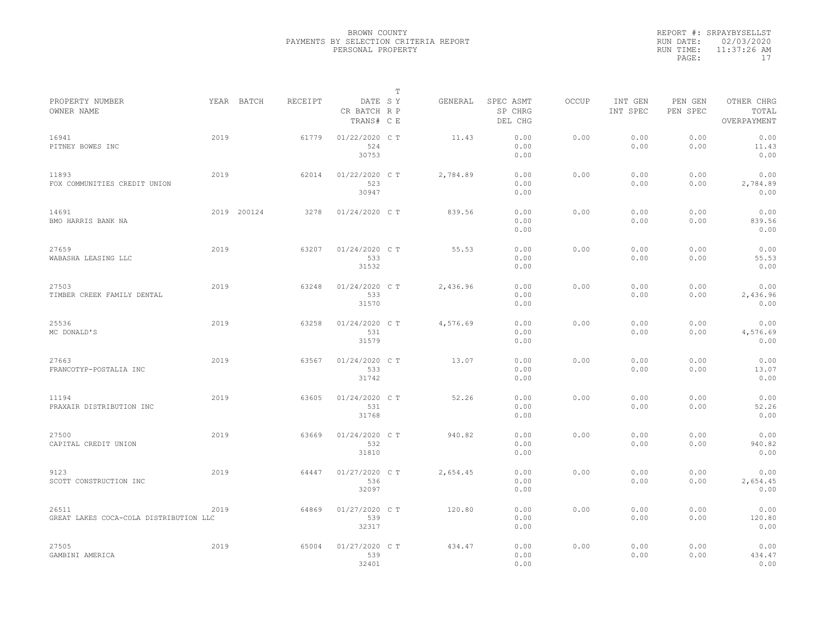| REPORT #: SRPAYBYSELLST |
|-------------------------|
| RUN DATE: 02/03/2020    |
| $11:37:26$ AM           |
| 17                      |
|                         |

|                                                 |      |             |         |                                       | Т |          |                                 |       |                     |                     |                                    |  |
|-------------------------------------------------|------|-------------|---------|---------------------------------------|---|----------|---------------------------------|-------|---------------------|---------------------|------------------------------------|--|
| PROPERTY NUMBER<br>OWNER NAME                   |      | YEAR BATCH  | RECEIPT | DATE SY<br>CR BATCH R P<br>TRANS# C E |   | GENERAL  | SPEC ASMT<br>SP CHRG<br>DEL CHG | OCCUP | INT GEN<br>INT SPEC | PEN GEN<br>PEN SPEC | OTHER CHRG<br>TOTAL<br>OVERPAYMENT |  |
| 16941<br>PITNEY BOWES INC                       | 2019 |             | 61779   | $01/22/2020$ C T<br>524<br>30753      |   | 11.43    | 0.00<br>0.00<br>0.00            | 0.00  | 0.00<br>0.00        | 0.00<br>0.00        | 0.00<br>11.43<br>0.00              |  |
| 11893<br>FOX COMMUNITIES CREDIT UNION           | 2019 |             | 62014   | 01/22/2020 C T<br>523<br>30947        |   | 2,784.89 | 0.00<br>0.00<br>0.00            | 0.00  | 0.00<br>0.00        | 0.00<br>0.00        | 0.00<br>2,784.89<br>0.00           |  |
| 14691<br>BMO HARRIS BANK NA                     |      | 2019 200124 | 3278    | 01/24/2020 C T                        |   | 839.56   | 0.00<br>0.00<br>0.00            | 0.00  | 0.00<br>0.00        | 0.00<br>0.00        | 0.00<br>839.56<br>0.00             |  |
| 27659<br>WABASHA LEASING LLC                    | 2019 |             | 63207   | 01/24/2020 C T<br>533<br>31532        |   | 55.53    | 0.00<br>0.00<br>0.00            | 0.00  | 0.00<br>0.00        | 0.00<br>0.00        | 0.00<br>55.53<br>0.00              |  |
| 27503<br>TIMBER CREEK FAMILY DENTAL             | 2019 |             | 63248   | 01/24/2020 C T<br>533<br>31570        |   | 2,436.96 | 0.00<br>0.00<br>0.00            | 0.00  | 0.00<br>0.00        | 0.00<br>0.00        | 0.00<br>2,436.96<br>0.00           |  |
| 25536<br>MC DONALD'S                            | 2019 |             | 63258   | 01/24/2020 C T<br>531<br>31579        |   | 4,576.69 | 0.00<br>0.00<br>0.00            | 0.00  | 0.00<br>0.00        | 0.00<br>0.00        | 0.00<br>4,576.69<br>0.00           |  |
| 27663<br>FRANCOTYP-POSTALIA INC                 | 2019 |             | 63567   | 01/24/2020 C T<br>533<br>31742        |   | 13.07    | 0.00<br>0.00<br>0.00            | 0.00  | 0.00<br>0.00        | 0.00<br>0.00        | 0.00<br>13.07<br>0.00              |  |
| 11194<br>PRAXAIR DISTRIBUTION INC               | 2019 |             | 63605   | 01/24/2020 C T<br>531<br>31768        |   | 52.26    | 0.00<br>0.00<br>0.00            | 0.00  | 0.00<br>0.00        | 0.00<br>0.00        | 0.00<br>52.26<br>0.00              |  |
| 27500<br>CAPITAL CREDIT UNION                   | 2019 |             | 63669   | 01/24/2020 C T<br>532<br>31810        |   | 940.82   | 0.00<br>0.00<br>0.00            | 0.00  | 0.00<br>0.00        | 0.00<br>0.00        | 0.00<br>940.82<br>0.00             |  |
| 9123<br>SCOTT CONSTRUCTION INC                  | 2019 |             | 64447   | 01/27/2020 C T<br>536<br>32097        |   | 2,654.45 | 0.00<br>0.00<br>0.00            | 0.00  | 0.00<br>0.00        | 0.00<br>0.00        | 0.00<br>2,654.45<br>0.00           |  |
| 26511<br>GREAT LAKES COCA-COLA DISTRIBUTION LLC | 2019 |             | 64869   | 01/27/2020 C T<br>539<br>32317        |   | 120.80   | 0.00<br>0.00<br>0.00            | 0.00  | 0.00<br>0.00        | 0.00<br>0.00        | 0.00<br>120.80<br>0.00             |  |
| 27505<br>GAMBINI AMERICA                        | 2019 |             | 65004   | 01/27/2020 C T<br>539<br>32401        |   | 434.47   | 0.00<br>0.00<br>0.00            | 0.00  | 0.00<br>0.00        | 0.00<br>0.00        | 0.00<br>434.47<br>0.00             |  |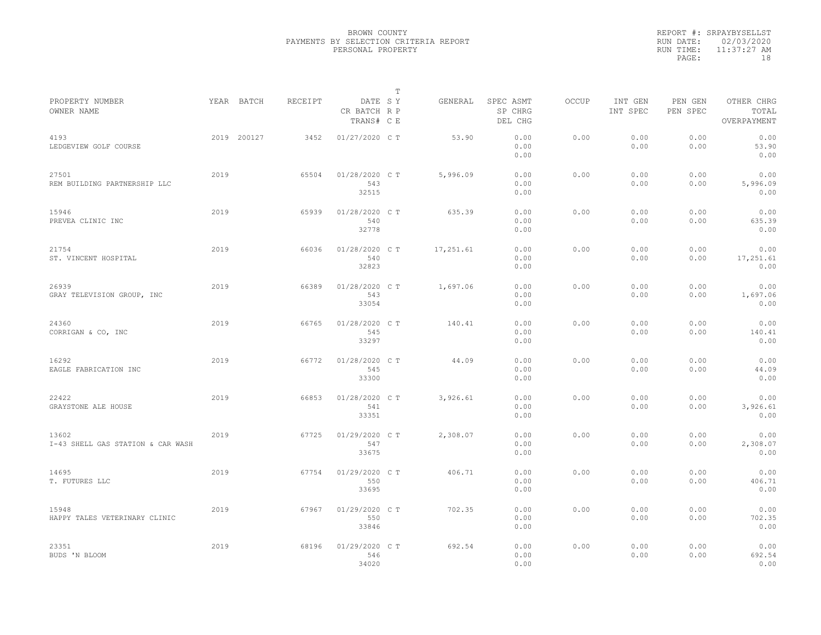|                                            |      |             |         |                                       | $\mathbb{T}$ |           |                                 |              |                     |                     |                                    |
|--------------------------------------------|------|-------------|---------|---------------------------------------|--------------|-----------|---------------------------------|--------------|---------------------|---------------------|------------------------------------|
| PROPERTY NUMBER<br>OWNER NAME              |      | YEAR BATCH  | RECEIPT | DATE SY<br>CR BATCH R P<br>TRANS# C E |              | GENERAL   | SPEC ASMT<br>SP CHRG<br>DEL CHG | <b>OCCUP</b> | INT GEN<br>INT SPEC | PEN GEN<br>PEN SPEC | OTHER CHRG<br>TOTAL<br>OVERPAYMENT |
| 4193<br>LEDGEVIEW GOLF COURSE              |      | 2019 200127 | 3452    | 01/27/2020 C T                        |              | 53.90     | 0.00<br>0.00<br>0.00            | 0.00         | 0.00<br>0.00        | 0.00<br>0.00        | 0.00<br>53.90<br>0.00              |
| 27501<br>REM BUILDING PARTNERSHIP LLC      | 2019 |             | 65504   | 01/28/2020 C T<br>543<br>32515        |              | 5,996.09  | 0.00<br>0.00<br>0.00            | 0.00         | 0.00<br>0.00        | 0.00<br>0.00        | 0.00<br>5,996.09<br>0.00           |
| 15946<br>PREVEA CLINIC INC                 | 2019 |             | 65939   | 01/28/2020 C T<br>540<br>32778        |              | 635.39    | 0.00<br>0.00<br>0.00            | 0.00         | 0.00<br>0.00        | 0.00<br>0.00        | 0.00<br>635.39<br>0.00             |
| 21754<br>ST. VINCENT HOSPITAL              | 2019 |             | 66036   | 01/28/2020 C T<br>540<br>32823        |              | 17,251.61 | 0.00<br>0.00<br>0.00            | 0.00         | 0.00<br>0.00        | 0.00<br>0.00        | 0.00<br>17,251.61<br>0.00          |
| 26939<br>GRAY TELEVISION GROUP, INC        | 2019 |             | 66389   | 01/28/2020 C T<br>543<br>33054        |              | 1,697.06  | 0.00<br>0.00<br>0.00            | 0.00         | 0.00<br>0.00        | 0.00<br>0.00        | 0.00<br>1,697.06<br>0.00           |
| 24360<br>CORRIGAN & CO, INC                | 2019 |             | 66765   | 01/28/2020 C T<br>545<br>33297        |              | 140.41    | 0.00<br>0.00<br>0.00            | 0.00         | 0.00<br>0.00        | 0.00<br>0.00        | 0.00<br>140.41<br>0.00             |
| 16292<br>EAGLE FABRICATION INC             | 2019 |             | 66772   | 01/28/2020 C T<br>545<br>33300        |              | 44.09     | 0.00<br>0.00<br>0.00            | 0.00         | 0.00<br>0.00        | 0.00<br>0.00        | 0.00<br>44.09<br>0.00              |
| 22422<br>GRAYSTONE ALE HOUSE               | 2019 |             | 66853   | 01/28/2020 C T<br>541<br>33351        |              | 3,926.61  | 0.00<br>0.00<br>0.00            | 0.00         | 0.00<br>0.00        | 0.00<br>0.00        | 0.00<br>3,926.61<br>0.00           |
| 13602<br>I-43 SHELL GAS STATION & CAR WASH | 2019 |             | 67725   | 01/29/2020 C T<br>547<br>33675        |              | 2,308.07  | 0.00<br>0.00<br>0.00            | 0.00         | 0.00<br>0.00        | 0.00<br>0.00        | 0.00<br>2,308.07<br>0.00           |
| 14695<br>T. FUTURES LLC                    | 2019 |             | 67754   | 01/29/2020 C T<br>550<br>33695        |              | 406.71    | 0.00<br>0.00<br>0.00            | 0.00         | 0.00<br>0.00        | 0.00<br>0.00        | 0.00<br>406.71<br>0.00             |
| 15948<br>HAPPY TALES VETERINARY CLINIC     | 2019 |             | 67967   | 01/29/2020 C T<br>550<br>33846        |              | 702.35    | 0.00<br>0.00<br>0.00            | 0.00         | 0.00<br>0.00        | 0.00<br>0.00        | 0.00<br>702.35<br>0.00             |
| 23351<br>BUDS 'N BLOOM                     | 2019 |             | 68196   | 01/29/2020 C T<br>546<br>34020        |              | 692.54    | 0.00<br>0.00<br>0.00            | 0.00         | 0.00<br>0.00        | 0.00<br>0.00        | 0.00<br>692.54<br>0.00             |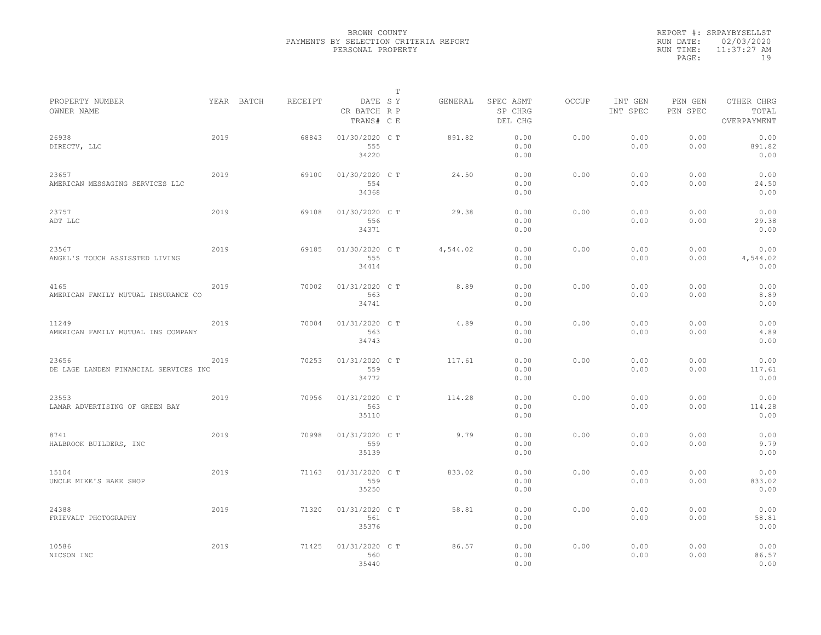|           | REPORT #: SRPAYBYSELLST |
|-----------|-------------------------|
|           | RUN DATE: 02/03/2020    |
| RUN TIME: | $11:37:27$ AM           |
| PAGE:     | 19                      |

|                                                |      |            |         |                                       | $\mathbb T$ |          |                                 |              |                     |                     |                                    |
|------------------------------------------------|------|------------|---------|---------------------------------------|-------------|----------|---------------------------------|--------------|---------------------|---------------------|------------------------------------|
| PROPERTY NUMBER<br>OWNER NAME                  |      | YEAR BATCH | RECEIPT | DATE SY<br>CR BATCH R P<br>TRANS# C E |             | GENERAL  | SPEC ASMT<br>SP CHRG<br>DEL CHG | <b>OCCUP</b> | INT GEN<br>INT SPEC | PEN GEN<br>PEN SPEC | OTHER CHRG<br>TOTAL<br>OVERPAYMENT |
| 26938<br>DIRECTV, LLC                          | 2019 |            | 68843   | 01/30/2020 C T<br>555<br>34220        |             | 891.82   | 0.00<br>0.00<br>0.00            | 0.00         | 0.00<br>0.00        | 0.00<br>0.00        | 0.00<br>891.82<br>0.00             |
| 23657<br>AMERICAN MESSAGING SERVICES LLC       | 2019 |            | 69100   | 01/30/2020 C T<br>554<br>34368        |             | 24.50    | 0.00<br>0.00<br>0.00            | 0.00         | 0.00<br>0.00        | 0.00<br>0.00        | 0.00<br>24.50<br>0.00              |
| 23757<br>ADT LLC                               | 2019 |            | 69108   | 01/30/2020 C T<br>556<br>34371        |             | 29.38    | 0.00<br>0.00<br>0.00            | 0.00         | 0.00<br>0.00        | 0.00<br>0.00        | 0.00<br>29.38<br>0.00              |
| 23567<br>ANGEL'S TOUCH ASSISSTED LIVING        | 2019 |            | 69185   | 01/30/2020 C T<br>555<br>34414        |             | 4,544.02 | 0.00<br>0.00<br>0.00            | 0.00         | 0.00<br>0.00        | 0.00<br>0.00        | 0.00<br>4,544.02<br>0.00           |
| 4165<br>AMERICAN FAMILY MUTUAL INSURANCE CO    | 2019 |            | 70002   | 01/31/2020 C T<br>563<br>34741        |             | 8.89     | 0.00<br>0.00<br>0.00            | 0.00         | 0.00<br>0.00        | 0.00<br>0.00        | 0.00<br>8.89<br>0.00               |
| 11249<br>AMERICAN FAMILY MUTUAL INS COMPANY    | 2019 |            | 70004   | 01/31/2020 C T<br>563<br>34743        |             | 4.89     | 0.00<br>0.00<br>0.00            | 0.00         | 0.00<br>0.00        | 0.00<br>0.00        | 0.00<br>4.89<br>0.00               |
| 23656<br>DE LAGE LANDEN FINANCIAL SERVICES INC | 2019 |            | 70253   | 01/31/2020 C T<br>559<br>34772        |             | 117.61   | 0.00<br>0.00<br>0.00            | 0.00         | 0.00<br>0.00        | 0.00<br>0.00        | 0.00<br>117.61<br>0.00             |
| 23553<br>LAMAR ADVERTISING OF GREEN BAY        | 2019 |            | 70956   | 01/31/2020 C T<br>563<br>35110        |             | 114.28   | 0.00<br>0.00<br>0.00            | 0.00         | 0.00<br>0.00        | 0.00<br>0.00        | 0.00<br>114.28<br>0.00             |
| 8741<br>HALBROOK BUILDERS, INC                 | 2019 |            | 70998   | 01/31/2020 C T<br>559<br>35139        |             | 9.79     | 0.00<br>0.00<br>0.00            | 0.00         | 0.00<br>0.00        | 0.00<br>0.00        | 0.00<br>9.79<br>0.00               |
| 15104<br>UNCLE MIKE'S BAKE SHOP                | 2019 |            | 71163   | 01/31/2020 C T<br>559<br>35250        |             | 833.02   | 0.00<br>0.00<br>0.00            | 0.00         | 0.00<br>0.00        | 0.00<br>0.00        | 0.00<br>833.02<br>0.00             |
| 24388<br>FRIEVALT PHOTOGRAPHY                  | 2019 |            | 71320   | 01/31/2020 C T<br>561<br>35376        |             | 58.81    | 0.00<br>0.00<br>0.00            | 0.00         | 0.00<br>0.00        | 0.00<br>0.00        | 0.00<br>58.81<br>0.00              |
| 10586<br>NICSON INC                            | 2019 |            | 71425   | 01/31/2020 C T<br>560<br>35440        |             | 86.57    | 0.00<br>0.00<br>0.00            | 0.00         | 0.00<br>0.00        | 0.00<br>0.00        | 0.00<br>86.57<br>0.00              |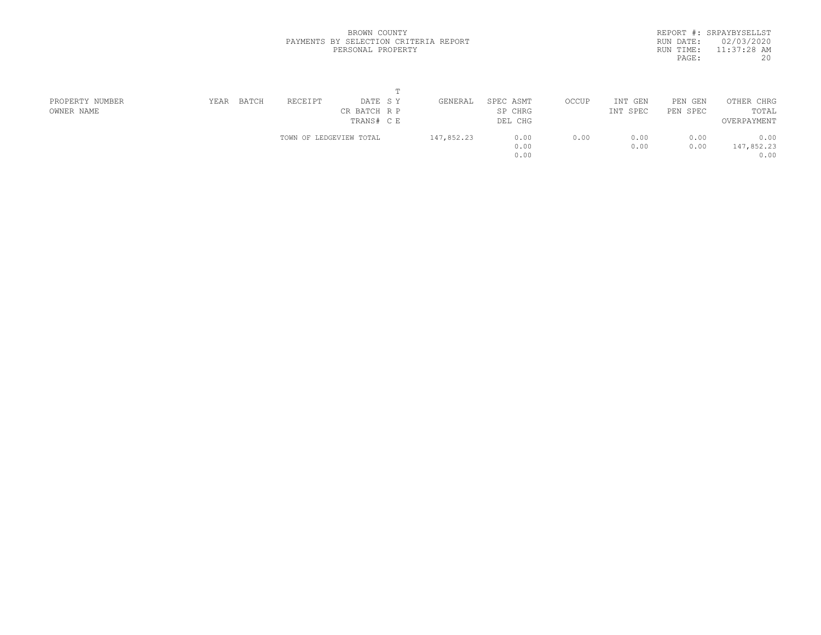|           | REPORT #: SRPAYBYSELLST |  |
|-----------|-------------------------|--|
|           | RUN DATE: 02/03/2020    |  |
| RUN TIME: | $11:37:28$ AM           |  |
| PAGE:     | 20                      |  |
|           |                         |  |

| PROPERTY NUMBER | YEAR | BATCH | RECEIPT                 | DATE SY      | GENERAL    | SPEC ASMT | OCCUP | INT GEN  | PEN<br>GEN | OTHER CHRG  |  |
|-----------------|------|-------|-------------------------|--------------|------------|-----------|-------|----------|------------|-------------|--|
| OWNER NAME      |      |       |                         | CR BATCH R P |            | SP CHRG   |       | INT SPEC | PEN SPEC   | TOTAL       |  |
|                 |      |       |                         | TRANS# CE    |            | DEL CHG   |       |          |            | OVERPAYMENT |  |
|                 |      |       | TOWN OF LEDGEVIEW TOTAL |              | 147,852.23 | 0.00      | 0.00  | 0.00     | 0.00       | 0.00        |  |
|                 |      |       |                         |              |            | 0.00      |       | 0.00     | 0.00       | 147,852.23  |  |
|                 |      |       |                         |              |            | 0.00      |       |          |            | 0.00        |  |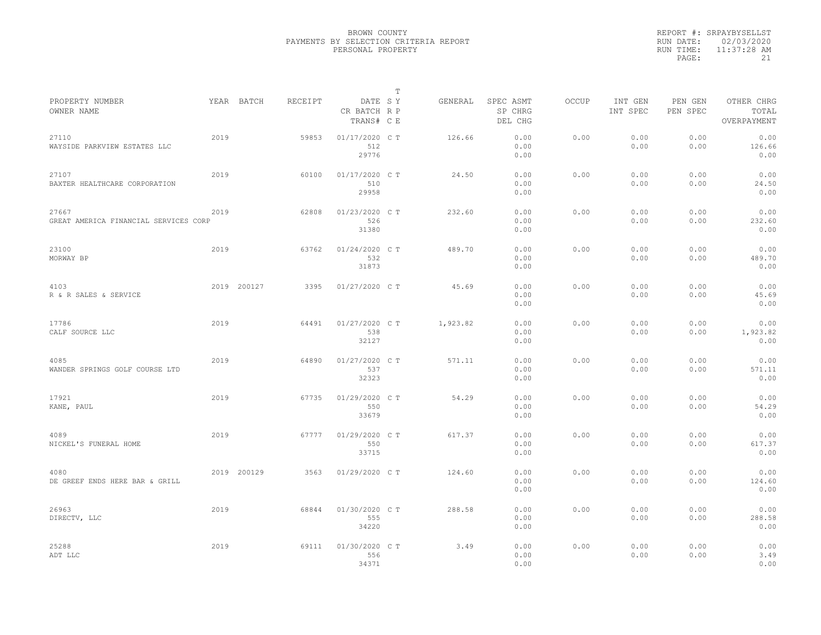|           | REPORT #: SRPAYBYSELLST |
|-----------|-------------------------|
|           | RUN DATE: 02/03/2020    |
| RUN TIME: | $11:37:28$ AM           |
| PAGE:     | 21                      |

|                                                |      |             |         |                                       | T |          |                                 |              |                     |                     |                                    |
|------------------------------------------------|------|-------------|---------|---------------------------------------|---|----------|---------------------------------|--------------|---------------------|---------------------|------------------------------------|
| PROPERTY NUMBER<br>OWNER NAME                  |      | YEAR BATCH  | RECEIPT | DATE SY<br>CR BATCH R P<br>TRANS# C E |   | GENERAL  | SPEC ASMT<br>SP CHRG<br>DEL CHG | <b>OCCUP</b> | INT GEN<br>INT SPEC | PEN GEN<br>PEN SPEC | OTHER CHRG<br>TOTAL<br>OVERPAYMENT |
| 27110<br>WAYSIDE PARKVIEW ESTATES LLC          | 2019 |             | 59853   | 01/17/2020 C T<br>512<br>29776        |   | 126.66   | 0.00<br>0.00<br>0.00            | 0.00         | 0.00<br>0.00        | 0.00<br>0.00        | 0.00<br>126.66<br>0.00             |
| 27107<br>BAXTER HEALTHCARE CORPORATION         | 2019 |             | 60100   | 01/17/2020 C T<br>510<br>29958        |   | 24.50    | 0.00<br>0.00<br>0.00            | 0.00         | 0.00<br>0.00        | 0.00<br>0.00        | 0.00<br>24.50<br>0.00              |
| 27667<br>GREAT AMERICA FINANCIAL SERVICES CORP | 2019 |             | 62808   | 01/23/2020 C T<br>526<br>31380        |   | 232.60   | 0.00<br>0.00<br>0.00            | 0.00         | 0.00<br>0.00        | 0.00<br>0.00        | 0.00<br>232.60<br>0.00             |
| 23100<br>MORWAY BP                             | 2019 |             | 63762   | 01/24/2020 C T<br>532<br>31873        |   | 489.70   | 0.00<br>0.00<br>0.00            | 0.00         | 0.00<br>0.00        | 0.00<br>0.00        | 0.00<br>489.70<br>0.00             |
| 4103<br>R & R SALES & SERVICE                  |      | 2019 200127 | 3395    | 01/27/2020 C T                        |   | 45.69    | 0.00<br>0.00<br>0.00            | 0.00         | 0.00<br>0.00        | 0.00<br>0.00        | 0.00<br>45.69<br>0.00              |
| 17786<br>CALF SOURCE LLC                       | 2019 |             | 64491   | 01/27/2020 C T<br>538<br>32127        |   | 1,923.82 | 0.00<br>0.00<br>0.00            | 0.00         | 0.00<br>0.00        | 0.00<br>0.00        | 0.00<br>1,923.82<br>0.00           |
| 4085<br>WANDER SPRINGS GOLF COURSE LTD         | 2019 |             | 64890   | 01/27/2020 C T<br>537<br>32323        |   | 571.11   | 0.00<br>0.00<br>0.00            | 0.00         | 0.00<br>0.00        | 0.00<br>0.00        | 0.00<br>571.11<br>0.00             |
| 17921<br>KANE, PAUL                            | 2019 |             | 67735   | 01/29/2020 C T<br>550<br>33679        |   | 54.29    | 0.00<br>0.00<br>0.00            | 0.00         | 0.00<br>0.00        | 0.00<br>0.00        | 0.00<br>54.29<br>0.00              |
| 4089<br>NICKEL'S FUNERAL HOME                  | 2019 |             | 67777   | 01/29/2020 C T<br>550<br>33715        |   | 617.37   | 0.00<br>0.00<br>0.00            | 0.00         | 0.00<br>0.00        | 0.00<br>0.00        | 0.00<br>617.37<br>0.00             |
| 4080<br>DE GREEF ENDS HERE BAR & GRILL         |      | 2019 200129 | 3563    | 01/29/2020 C T                        |   | 124.60   | 0.00<br>0.00<br>0.00            | 0.00         | 0.00<br>0.00        | 0.00<br>0.00        | 0.00<br>124.60<br>0.00             |
| 26963<br>DIRECTV, LLC                          | 2019 |             | 68844   | 01/30/2020 C T<br>555<br>34220        |   | 288.58   | 0.00<br>0.00<br>0.00            | 0.00         | 0.00<br>0.00        | 0.00<br>0.00        | 0.00<br>288.58<br>0.00             |
| 25288<br>ADT LLC                               | 2019 |             | 69111   | 01/30/2020 C T<br>556<br>34371        |   | 3.49     | 0.00<br>0.00<br>0.00            | 0.00         | 0.00<br>0.00        | 0.00<br>0.00        | 0.00<br>3.49<br>0.00               |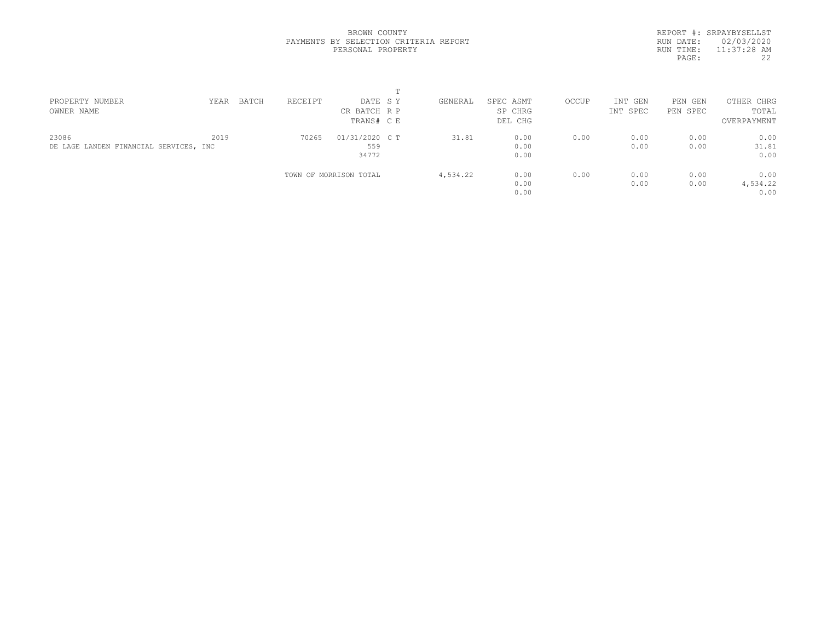REPORT #: SRPAYBYSELLST RUN DATE: 02/03/2020 RUN TIME: 11:37:28 AM<br>PAGE: 22 PAGE:

| PROPERTY NUMBER                        | YEAR | BATCH | RECEIPT | DATE SY                | GENERAL  | SPEC ASMT | OCCUP | INT GEN  | PEN<br>GEN | OTHER CHRG  |  |
|----------------------------------------|------|-------|---------|------------------------|----------|-----------|-------|----------|------------|-------------|--|
| OWNER NAME                             |      |       |         | CR BATCH R P           |          | SP CHRG   |       | INT SPEC | PEN SPEC   | TOTAL       |  |
|                                        |      |       |         | TRANS# C E             |          | DEL CHG   |       |          |            | OVERPAYMENT |  |
| 23086                                  | 2019 |       | 70265   | 01/31/2020 C T         | 31.81    | 0.00      | 0.00  | 0.00     | 0.00       | 0.00        |  |
| DE LAGE LANDEN FINANCIAL SERVICES, INC |      |       |         | 559                    |          | 0.00      |       | 0.00     | 0.00       | 31.81       |  |
|                                        |      |       |         | 34772                  |          | 0.00      |       |          |            | 0.00        |  |
|                                        |      |       |         | TOWN OF MORRISON TOTAL | 4,534.22 | 0.00      | 0.00  | 0.00     | 0.00       | 0.00        |  |
|                                        |      |       |         |                        |          | 0.00      |       | 0.00     | 0.00       | 4,534.22    |  |
|                                        |      |       |         |                        |          | 0.00      |       |          |            | 0.00        |  |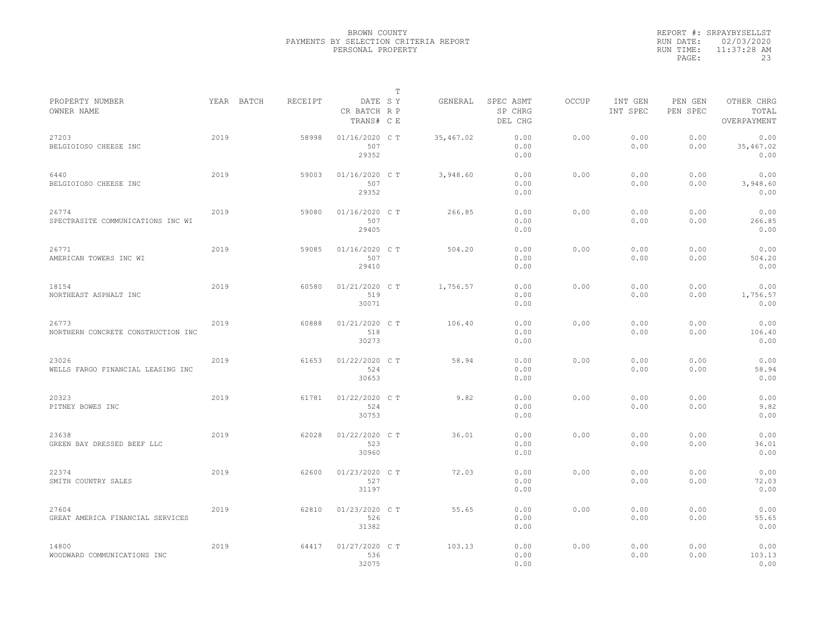|           | REPORT #: SRPAYBYSELLST |
|-----------|-------------------------|
|           | RUN DATE: 02/03/2020    |
| RUN TIME: | 11:37:28 AM             |
| PAGE:     | 23                      |

|                                             |      |            |         |                                       | $\mathbb T$ |           |                                 |              |                     |                     |                                    |
|---------------------------------------------|------|------------|---------|---------------------------------------|-------------|-----------|---------------------------------|--------------|---------------------|---------------------|------------------------------------|
| PROPERTY NUMBER<br>OWNER NAME               |      | YEAR BATCH | RECEIPT | DATE SY<br>CR BATCH R P<br>TRANS# C E |             | GENERAL   | SPEC ASMT<br>SP CHRG<br>DEL CHG | <b>OCCUP</b> | INT GEN<br>INT SPEC | PEN GEN<br>PEN SPEC | OTHER CHRG<br>TOTAL<br>OVERPAYMENT |
| 27203<br>BELGIOIOSO CHEESE INC              | 2019 |            | 58998   | 01/16/2020 C T<br>507<br>29352        |             | 35,467.02 | 0.00<br>0.00<br>0.00            | 0.00         | 0.00<br>0.00        | 0.00<br>0.00        | 0.00<br>35,467.02<br>0.00          |
| 6440<br>BELGIOIOSO CHEESE INC               | 2019 |            | 59003   | 01/16/2020 C T<br>507<br>29352        |             | 3,948.60  | 0.00<br>0.00<br>0.00            | 0.00         | 0.00<br>0.00        | 0.00<br>0.00        | 0.00<br>3,948.60<br>0.00           |
| 26774<br>SPECTRASITE COMMUNICATIONS INC WI  | 2019 |            | 59080   | 01/16/2020 C T<br>507<br>29405        |             | 266.85    | 0.00<br>0.00<br>0.00            | 0.00         | 0.00<br>0.00        | 0.00<br>0.00        | 0.00<br>266.85<br>0.00             |
| 26771<br>AMERICAN TOWERS INC WI             | 2019 |            | 59085   | 01/16/2020 C T<br>507<br>29410        |             | 504.20    | 0.00<br>0.00<br>0.00            | 0.00         | 0.00<br>0.00        | 0.00<br>0.00        | 0.00<br>504.20<br>0.00             |
| 18154<br>NORTHEAST ASPHALT INC              | 2019 |            | 60580   | 01/21/2020 C T<br>519<br>30071        |             | 1,756.57  | 0.00<br>0.00<br>0.00            | 0.00         | 0.00<br>0.00        | 0.00<br>0.00        | 0.00<br>1,756.57<br>0.00           |
| 26773<br>NORTHERN CONCRETE CONSTRUCTION INC | 2019 |            | 60888   | 01/21/2020 C T<br>518<br>30273        |             | 106.40    | 0.00<br>0.00<br>0.00            | 0.00         | 0.00<br>0.00        | 0.00<br>0.00        | 0.00<br>106.40<br>0.00             |
| 23026<br>WELLS FARGO FINANCIAL LEASING INC  | 2019 |            | 61653   | 01/22/2020 C T<br>524<br>30653        |             | 58.94     | 0.00<br>0.00<br>0.00            | 0.00         | 0.00<br>0.00        | 0.00<br>0.00        | 0.00<br>58.94<br>0.00              |
| 20323<br>PITNEY BOWES INC                   | 2019 |            | 61781   | 01/22/2020 C T<br>524<br>30753        |             | 9.82      | 0.00<br>0.00<br>0.00            | 0.00         | 0.00<br>0.00        | 0.00<br>0.00        | 0.00<br>9.82<br>0.00               |
| 23638<br>GREEN BAY DRESSED BEEF LLC         | 2019 |            | 62028   | 01/22/2020 C T<br>523<br>30960        |             | 36.01     | 0.00<br>0.00<br>0.00            | 0.00         | 0.00<br>0.00        | 0.00<br>0.00        | 0.00<br>36.01<br>0.00              |
| 22374<br>SMITH COUNTRY SALES                | 2019 |            | 62600   | 01/23/2020 C T<br>527<br>31197        |             | 72.03     | 0.00<br>0.00<br>0.00            | 0.00         | 0.00<br>0.00        | 0.00<br>0.00        | 0.00<br>72.03<br>0.00              |
| 27604<br>GREAT AMERICA FINANCIAL SERVICES   | 2019 |            | 62810   | 01/23/2020 C T<br>526<br>31382        |             | 55.65     | 0.00<br>0.00<br>0.00            | 0.00         | 0.00<br>0.00        | 0.00<br>0.00        | 0.00<br>55.65<br>0.00              |
| 14800<br>WOODWARD COMMUNICATIONS INC        | 2019 |            | 64417   | 01/27/2020 C T<br>536<br>32075        |             | 103.13    | 0.00<br>0.00<br>0.00            | 0.00         | 0.00<br>0.00        | 0.00<br>0.00        | 0.00<br>103.13<br>0.00             |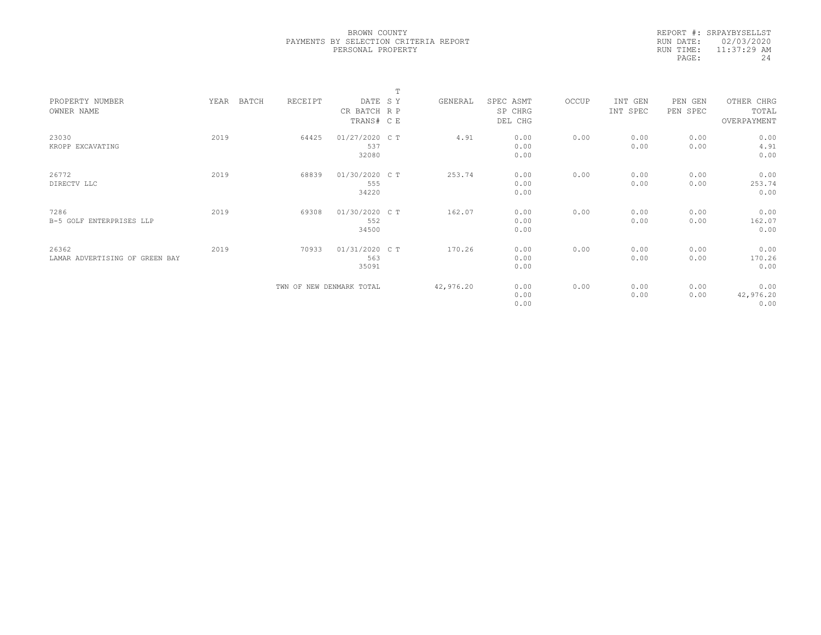|            | REPORT #: SRPAYBYSELLST |
|------------|-------------------------|
|            | RUN DATE: 02/03/2020    |
| RIIN TIME: | $11:37:29$ AM           |
| PAGE:      | 24                      |

|                                |      |       |                          |                | m |           |           |       |          |          |             |  |
|--------------------------------|------|-------|--------------------------|----------------|---|-----------|-----------|-------|----------|----------|-------------|--|
| PROPERTY NUMBER                | YEAR | BATCH | RECEIPT                  | DATE SY        |   | GENERAL   | SPEC ASMT | OCCUP | INT GEN  | PEN GEN  | OTHER CHRG  |  |
| OWNER NAME                     |      |       |                          | CR BATCH R P   |   |           | SP CHRG   |       | INT SPEC | PEN SPEC | TOTAL       |  |
|                                |      |       |                          | TRANS# C E     |   |           | DEL CHG   |       |          |          | OVERPAYMENT |  |
|                                |      |       |                          |                |   |           |           |       |          |          |             |  |
| 23030                          | 2019 |       | 64425                    | 01/27/2020 C T |   | 4.91      | 0.00      | 0.00  | 0.00     | 0.00     | 0.00        |  |
| KROPP EXCAVATING               |      |       |                          | 537            |   |           | 0.00      |       | 0.00     | 0.00     | 4.91        |  |
|                                |      |       |                          | 32080          |   |           | 0.00      |       |          |          | 0.00        |  |
| 26772                          | 2019 |       | 68839                    | 01/30/2020 C T |   | 253.74    | 0.00      | 0.00  | 0.00     | 0.00     | 0.00        |  |
| DIRECTV LLC                    |      |       |                          | 555            |   |           | 0.00      |       | 0.00     | 0.00     | 253.74      |  |
|                                |      |       |                          |                |   |           |           |       |          |          |             |  |
|                                |      |       |                          | 34220          |   |           | 0.00      |       |          |          | 0.00        |  |
| 7286                           | 2019 |       | 69308                    | 01/30/2020 C T |   | 162.07    | 0.00      | 0.00  | 0.00     | 0.00     | 0.00        |  |
| B-5 GOLF ENTERPRISES LLP       |      |       |                          | 552            |   |           | 0.00      |       | 0.00     | 0.00     | 162.07      |  |
|                                |      |       |                          | 34500          |   |           | 0.00      |       |          |          | 0.00        |  |
|                                |      |       |                          |                |   |           |           |       |          |          |             |  |
| 26362                          | 2019 |       | 70933                    | 01/31/2020 C T |   | 170.26    | 0.00      | 0.00  | 0.00     | 0.00     | 0.00        |  |
| LAMAR ADVERTISING OF GREEN BAY |      |       |                          | 563            |   |           | 0.00      |       | 0.00     | 0.00     | 170.26      |  |
|                                |      |       |                          | 35091          |   |           | 0.00      |       |          |          | 0.00        |  |
|                                |      |       |                          |                |   |           |           |       |          |          |             |  |
|                                |      |       | TWN OF NEW DENMARK TOTAL |                |   | 42,976.20 | 0.00      | 0.00  | 0.00     | 0.00     | 0.00        |  |
|                                |      |       |                          |                |   |           | 0.00      |       | 0.00     | 0.00     | 42,976.20   |  |
|                                |      |       |                          |                |   |           | 0.00      |       |          |          | 0.00        |  |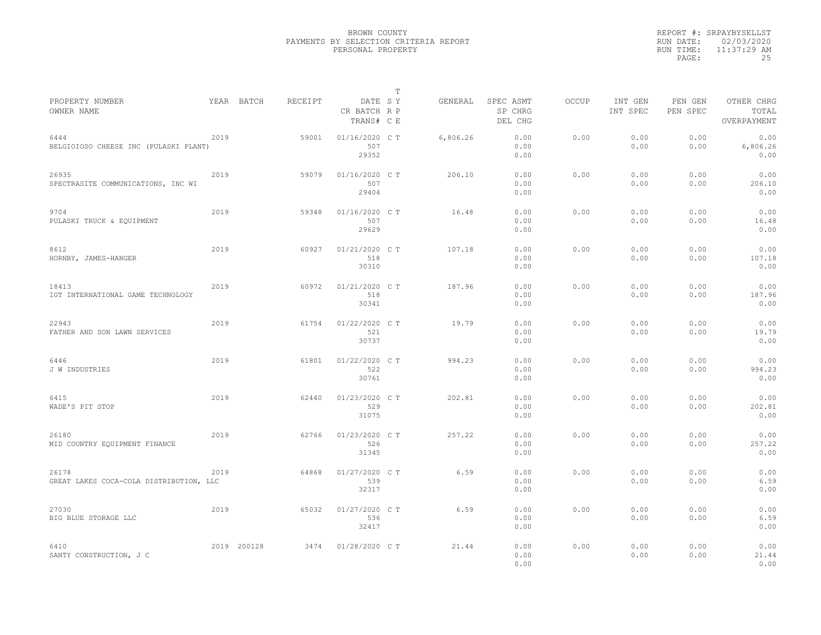| REPORT #: SRPAYBYSELLST |
|-------------------------|
| RUN DATE: 02/03/2020    |
| $11:37:29$ AM           |
| 25                      |
|                         |

|                                                  |      |             |         |                                       | T |          |                                 |       |                     |                     |                                    |
|--------------------------------------------------|------|-------------|---------|---------------------------------------|---|----------|---------------------------------|-------|---------------------|---------------------|------------------------------------|
| PROPERTY NUMBER<br>OWNER NAME                    |      | YEAR BATCH  | RECEIPT | DATE SY<br>CR BATCH R P<br>TRANS# C E |   | GENERAL  | SPEC ASMT<br>SP CHRG<br>DEL CHG | OCCUP | INT GEN<br>INT SPEC | PEN GEN<br>PEN SPEC | OTHER CHRG<br>TOTAL<br>OVERPAYMENT |
| 6444<br>BELGIOIOSO CHEESE INC (PULASKI PLANT)    | 2019 |             | 59001   | 01/16/2020 C T<br>507<br>29352        |   | 6,806.26 | 0.00<br>0.00<br>0.00            | 0.00  | 0.00<br>0.00        | 0.00<br>0.00        | 0.00<br>6,806.26<br>0.00           |
| 26935<br>SPECTRASITE COMMUNICATIONS, INC WI      | 2019 |             | 59079   | 01/16/2020 C T<br>507<br>29404        |   | 206,10   | 0.00<br>0.00<br>0.00            | 0.00  | 0.00<br>0.00        | 0.00<br>0.00        | 0.00<br>206.10<br>0.00             |
| 9704<br>PULASKI TRUCK & EQUIPMENT                | 2019 |             | 59348   | 01/16/2020 C T<br>507<br>29629        |   | 16.48    | 0.00<br>0.00<br>0.00            | 0.00  | 0.00<br>0.00        | 0.00<br>0.00        | 0.00<br>16.48<br>0.00              |
| 8612<br>HORNBY, JAMES-HANGER                     | 2019 |             | 60927   | 01/21/2020 C T<br>518<br>30310        |   | 107.18   | 0.00<br>0.00<br>0.00            | 0.00  | 0.00<br>0.00        | 0.00<br>0.00        | 0.00<br>107.18<br>0.00             |
| 18413<br>IGT INTERNATIONAL GAME TECHNOLOGY       | 2019 |             | 60972   | 01/21/2020 C T<br>518<br>30341        |   | 187.96   | 0.00<br>0.00<br>0.00            | 0.00  | 0.00<br>0.00        | 0.00<br>0.00        | 0.00<br>187.96<br>0.00             |
| 22943<br>FATHER AND SON LAWN SERVICES            | 2019 |             | 61754   | 01/22/2020 C T<br>521<br>30737        |   | 19.79    | 0.00<br>0.00<br>0.00            | 0.00  | 0.00<br>0.00        | 0.00<br>0.00        | 0.00<br>19.79<br>0.00              |
| 6446<br>J W INDUSTRIES                           | 2019 |             | 61801   | 01/22/2020 C T<br>522<br>30761        |   | 994.23   | 0.00<br>0.00<br>0.00            | 0.00  | 0.00<br>0.00        | 0.00<br>0.00        | 0.00<br>994.23<br>0.00             |
| 6415<br>WADE'S PIT STOP                          | 2019 |             | 62440   | 01/23/2020 C T<br>529<br>31075        |   | 202.81   | 0.00<br>0.00<br>0.00            | 0.00  | 0.00<br>0.00        | 0.00<br>0.00        | 0.00<br>202.81<br>0.00             |
| 26180<br>MID COUNTRY EQUIPMENT FINANCE           | 2019 |             | 62766   | 01/23/2020 C T<br>526<br>31345        |   | 257.22   | 0.00<br>0.00<br>0.00            | 0.00  | 0.00<br>0.00        | 0.00<br>0.00        | 0.00<br>257.22<br>0.00             |
| 26178<br>GREAT LAKES COCA-COLA DISTRIBUTION, LLC | 2019 |             | 64868   | 01/27/2020 C T<br>539<br>32317        |   | 6.59     | 0.00<br>0.00<br>0.00            | 0.00  | 0.00<br>0.00        | 0.00<br>0.00        | 0.00<br>6.59<br>0.00               |
| 27030<br>BIG BLUE STORAGE LLC                    | 2019 |             | 65032   | 01/27/2020 C T<br>536<br>32417        |   | 6.59     | 0.00<br>0.00<br>0.00            | 0.00  | 0.00<br>0.00        | 0.00<br>0.00        | 0.00<br>6.59<br>0.00               |
| 6410<br>SANTY CONSTRUCTION, J C                  |      | 2019 200128 | 3474    | 01/28/2020 C T                        |   | 21.44    | 0.00<br>0.00<br>0.00            | 0.00  | 0.00<br>0.00        | 0.00<br>0.00        | 0.00<br>21.44<br>0.00              |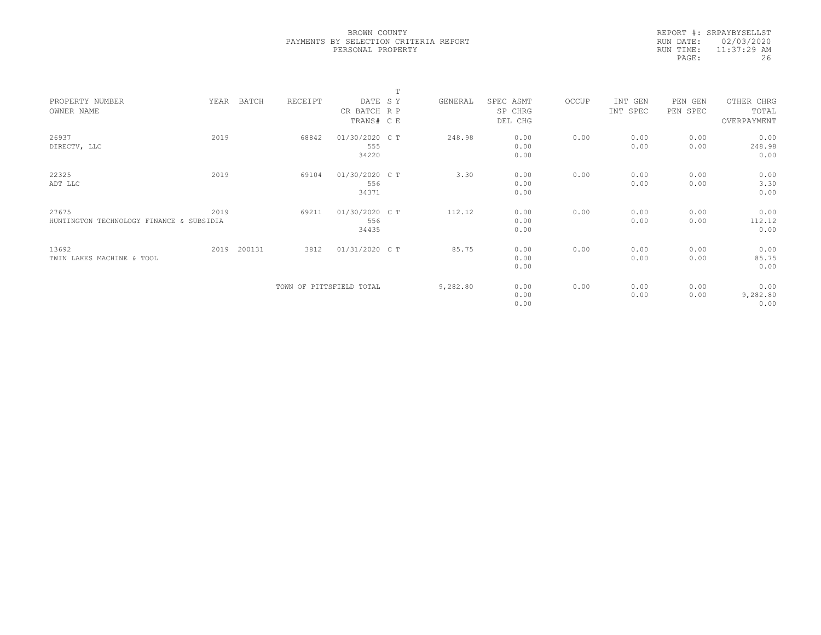|           | REPORT #: SRPAYBYSELLST |
|-----------|-------------------------|
|           | RUN DATE: 02/03/2020    |
| RUN TIME: | $11:37:29$ AM           |
| PAGE:     | 26                      |

|                                          |      |        |                          |                | T |          |           |       |          |            |             |  |
|------------------------------------------|------|--------|--------------------------|----------------|---|----------|-----------|-------|----------|------------|-------------|--|
| PROPERTY NUMBER                          | YEAR | BATCH  | RECEIPT                  | DATE SY        |   | GENERAL  | SPEC ASMT | OCCUP | INT GEN  | PEN<br>GEN | OTHER CHRG  |  |
| OWNER NAME                               |      |        |                          | CR BATCH R P   |   |          | SP CHRG   |       | INT SPEC | PEN SPEC   | TOTAL       |  |
|                                          |      |        |                          | TRANS# C E     |   |          | DEL CHG   |       |          |            | OVERPAYMENT |  |
|                                          |      |        |                          |                |   |          |           |       |          |            |             |  |
| 26937                                    | 2019 |        | 68842                    | 01/30/2020 C T |   | 248.98   | 0.00      | 0.00  | 0.00     | 0.00       | 0.00        |  |
| DIRECTV, LLC                             |      |        |                          | 555            |   |          | 0.00      |       | 0.00     | 0.00       | 248.98      |  |
|                                          |      |        |                          | 34220          |   |          | 0.00      |       |          |            | 0.00        |  |
| 22325                                    | 2019 |        | 69104                    | 01/30/2020 CT  |   | 3.30     | 0.00      | 0.00  | 0.00     | 0.00       | 0.00        |  |
| ADT LLC                                  |      |        |                          | 556            |   |          | 0.00      |       | 0.00     | 0.00       | 3.30        |  |
|                                          |      |        |                          |                |   |          |           |       |          |            |             |  |
|                                          |      |        |                          | 34371          |   |          | 0.00      |       |          |            | 0.00        |  |
| 27675                                    | 2019 |        | 69211                    | 01/30/2020 C T |   | 112.12   | 0.00      | 0.00  | 0.00     | 0.00       | 0.00        |  |
| HUNTINGTON TECHNOLOGY FINANCE & SUBSIDIA |      |        |                          | 556            |   |          | 0.00      |       | 0.00     | 0.00       | 112.12      |  |
|                                          |      |        |                          | 34435          |   |          | 0.00      |       |          |            | 0.00        |  |
|                                          |      |        |                          |                |   |          |           |       |          |            |             |  |
| 13692                                    | 2019 | 200131 | 3812                     | 01/31/2020 C T |   | 85.75    | 0.00      | 0.00  | 0.00     | 0.00       | 0.00        |  |
| TWIN LAKES MACHINE & TOOL                |      |        |                          |                |   |          | 0.00      |       | 0.00     | 0.00       | 85.75       |  |
|                                          |      |        |                          |                |   |          | 0.00      |       |          |            | 0.00        |  |
|                                          |      |        |                          |                |   |          |           |       |          |            |             |  |
|                                          |      |        | TOWN OF PITTSFIELD TOTAL |                |   | 9,282.80 | 0.00      | 0.00  | 0.00     | 0.00       | 0.00        |  |
|                                          |      |        |                          |                |   |          | 0.00      |       | 0.00     | 0.00       | 9,282.80    |  |
|                                          |      |        |                          |                |   |          | 0.00      |       |          |            | 0.00        |  |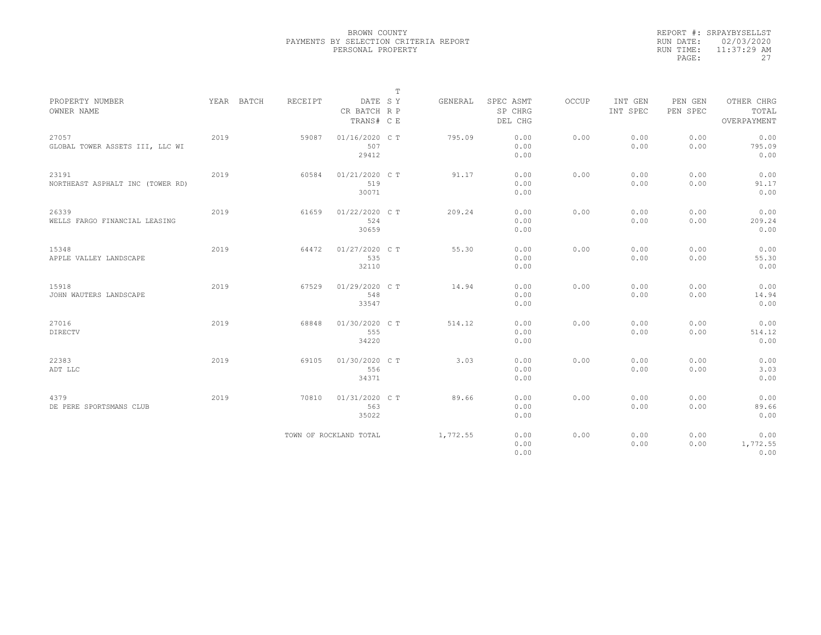|           | REPORT #: SRPAYBYSELLST |
|-----------|-------------------------|
|           | RUN DATE: 02/03/2020    |
| RUN TIME: | $11:37:29$ AM           |
| PAGE:     | 27                      |

|                                          |      |            |                |                                       | $\mathbb T$ |          |                                 | OCCUP |                     |                     |                                    |
|------------------------------------------|------|------------|----------------|---------------------------------------|-------------|----------|---------------------------------|-------|---------------------|---------------------|------------------------------------|
| PROPERTY NUMBER<br>OWNER NAME            |      | YEAR BATCH | <b>RECEIPT</b> | DATE SY<br>CR BATCH R P<br>TRANS# C E |             | GENERAL  | SPEC ASMT<br>SP CHRG<br>DEL CHG |       | INT GEN<br>INT SPEC | PEN GEN<br>PEN SPEC | OTHER CHRG<br>TOTAL<br>OVERPAYMENT |
|                                          |      |            |                |                                       |             |          |                                 |       |                     |                     |                                    |
| 27057<br>GLOBAL TOWER ASSETS III, LLC WI | 2019 |            | 59087          | 01/16/2020 C T<br>507                 |             | 795.09   | 0.00<br>0.00                    | 0.00  | 0.00<br>0.00        | 0.00<br>0.00        | 0.00<br>795.09                     |
|                                          |      |            |                | 29412                                 |             |          | 0.00                            |       |                     |                     | 0.00                               |
| 23191                                    | 2019 |            | 60584          | 01/21/2020 C T                        |             | 91.17    | 0.00                            | 0.00  | 0.00                | 0.00                | 0.00                               |
| NORTHEAST ASPHALT INC (TOWER RD)         |      |            |                | 519                                   |             |          | 0.00                            |       | 0.00                | 0.00                | 91.17                              |
|                                          |      |            |                | 30071                                 |             |          | 0.00                            |       |                     |                     | 0.00                               |
| 26339                                    | 2019 |            | 61659          | 01/22/2020 C T                        |             | 209.24   | 0.00                            | 0.00  | 0.00                | 0.00                | 0.00                               |
| WELLS FARGO FINANCIAL LEASING            |      |            |                | 524                                   |             |          | 0.00                            |       | 0.00                | 0.00                | 209.24                             |
|                                          |      |            |                | 30659                                 |             |          | 0.00                            |       |                     |                     | 0.00                               |
| 15348                                    | 2019 |            | 64472          | 01/27/2020 C T                        |             | 55.30    | 0.00                            | 0.00  | 0.00                | 0.00                | 0.00                               |
| APPLE VALLEY LANDSCAPE                   |      |            |                | 535                                   |             |          | 0.00                            |       | 0.00                | 0.00                | 55.30                              |
|                                          |      |            |                | 32110                                 |             |          | 0.00                            |       |                     |                     | 0.00                               |
| 15918                                    | 2019 |            | 67529          | 01/29/2020 C T                        |             | 14.94    | 0.00                            | 0.00  | 0.00                | 0.00                | 0.00                               |
| JOHN WAUTERS LANDSCAPE                   |      |            |                | 548                                   |             |          | 0.00                            |       | 0.00                | 0.00                | 14.94                              |
|                                          |      |            |                | 33547                                 |             |          | 0.00                            |       |                     |                     | 0.00                               |
| 27016                                    | 2019 |            | 68848          | 01/30/2020 C T                        |             | 514.12   | 0.00                            | 0.00  | 0.00                | 0.00                | 0.00                               |
| <b>DIRECTV</b>                           |      |            |                | 555                                   |             |          | 0.00                            |       | 0.00                | 0.00                | 514.12                             |
|                                          |      |            |                | 34220                                 |             |          | 0.00                            |       |                     |                     | 0.00                               |
| 22383                                    | 2019 |            | 69105          | 01/30/2020 C T                        |             | 3.03     | 0.00                            | 0.00  | 0.00                | 0.00                | 0.00                               |
| ADT LLC                                  |      |            |                | 556                                   |             |          | 0.00                            |       | 0.00                | 0.00                | 3.03                               |
|                                          |      |            |                | 34371                                 |             |          | 0.00                            |       |                     |                     | 0.00                               |
| 4379                                     | 2019 |            | 70810          | 01/31/2020 C T                        |             | 89.66    | 0.00                            | 0.00  | 0.00                | 0.00                | 0.00                               |
| DE PERE SPORTSMANS CLUB                  |      |            |                | 563                                   |             |          | 0.00                            |       | 0.00                | 0.00                | 89.66                              |
|                                          |      |            |                | 35022                                 |             |          | 0.00                            |       |                     |                     | 0.00                               |
|                                          |      |            |                | TOWN OF ROCKLAND TOTAL                |             | 1,772.55 | 0.00                            | 0.00  | 0.00                | 0.00                | 0.00                               |
|                                          |      |            |                |                                       |             |          | 0.00                            |       | 0.00                | 0.00                | 1,772.55                           |
|                                          |      |            |                |                                       |             |          | 0.00                            |       |                     |                     | 0.00                               |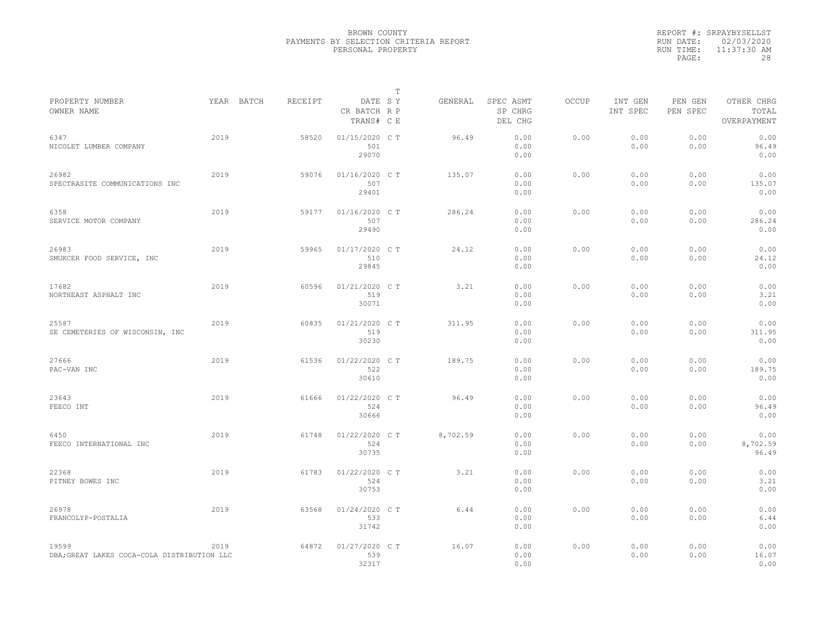|           | REPORT #: SRPAYBYSELLST |
|-----------|-------------------------|
|           | RUN DATE: 02/03/2020    |
| RUN TIME: | 11:37:30 AM             |
| PAGE:     | 28                      |

|                                                      |      |            |         |                                       | $\mathbb T$ |          |                                 |              |                     |                     |                                    |
|------------------------------------------------------|------|------------|---------|---------------------------------------|-------------|----------|---------------------------------|--------------|---------------------|---------------------|------------------------------------|
| PROPERTY NUMBER<br>OWNER NAME                        |      | YEAR BATCH | RECEIPT | DATE SY<br>CR BATCH R P<br>TRANS# C E |             | GENERAL  | SPEC ASMT<br>SP CHRG<br>DEL CHG | <b>OCCUP</b> | INT GEN<br>INT SPEC | PEN GEN<br>PEN SPEC | OTHER CHRG<br>TOTAL<br>OVERPAYMENT |
| 6347<br>NICOLET LUMBER COMPANY                       | 2019 |            | 58520   | 01/15/2020 C T<br>501<br>29070        |             | 96.49    | 0.00<br>0.00<br>0.00            | 0.00         | 0.00<br>0.00        | 0.00<br>0.00        | 0.00<br>96.49<br>0.00              |
| 26982<br>SPECTRASITE COMMUNICATIONS INC              | 2019 |            | 59076   | 01/16/2020 C T<br>507<br>29401        |             | 135.07   | 0.00<br>0.00<br>0.00            | 0.00         | 0.00<br>0.00        | 0.00<br>0.00        | 0.00<br>135.07<br>0.00             |
| 6358<br>SERVICE MOTOR COMPANY                        | 2019 |            | 59177   | 01/16/2020 C T<br>507<br>29490        |             | 286.24   | 0.00<br>0.00<br>0.00            | 0.00         | 0.00<br>0.00        | 0.00<br>0.00        | 0.00<br>286.24<br>0.00             |
| 26983<br>SMUKCER FOOD SERVICE, INC                   | 2019 |            | 59965   | 01/17/2020 C T<br>510<br>29845        |             | 24.12    | 0.00<br>0.00<br>0.00            | 0.00         | 0.00<br>0.00        | 0.00<br>0.00        | 0.00<br>24.12<br>0.00              |
| 17682<br>NORTHEAST ASPHALT INC                       | 2019 |            | 60596   | 01/21/2020 C T<br>519<br>30071        |             | 3.21     | 0.00<br>0.00<br>0.00            | 0.00         | 0.00<br>0.00        | 0.00<br>0.00        | 0.00<br>3.21<br>0.00               |
| 25587<br>SE CEMETERIES OF WISCONSIN, INC             | 2019 |            | 60835   | 01/21/2020 C T<br>519<br>30230        |             | 311.95   | 0.00<br>0.00<br>0.00            | 0.00         | 0.00<br>0.00        | 0.00<br>0.00        | 0.00<br>311.95<br>0.00             |
| 27666<br>PAC-VAN INC                                 | 2019 |            | 61536   | 01/22/2020 C T<br>522<br>30610        |             | 189.75   | 0.00<br>0.00<br>0.00            | 0.00         | 0.00<br>0.00        | 0.00<br>0.00        | 0.00<br>189.75<br>0.00             |
| 23643<br>FEECO INT                                   | 2019 |            | 61666   | 01/22/2020 C T<br>524<br>30666        |             | 96.49    | 0.00<br>0.00<br>0.00            | 0.00         | 0.00<br>0.00        | 0.00<br>0.00        | 0.00<br>96.49<br>0.00              |
| 6450<br>FEECO INTERNATIONAL INC                      | 2019 |            | 61748   | 01/22/2020 C T<br>524<br>30735        |             | 8,702.59 | 0.00<br>0.00<br>0.00            | 0.00         | 0.00<br>0.00        | 0.00<br>0.00        | 0.00<br>8,702.59<br>96.49          |
| 22368<br>PITNEY BOWES INC                            | 2019 |            | 61783   | 01/22/2020 C T<br>524<br>30753        |             | 3.21     | 0.00<br>0.00<br>0.00            | 0.00         | 0.00<br>0.00        | 0.00<br>0.00        | 0.00<br>3.21<br>0.00               |
| 26978<br>FRANCOLYP-POSTALIA                          | 2019 |            | 63568   | 01/24/2020 C T<br>533<br>31742        |             | 6.44     | 0.00<br>0.00<br>0.00            | 0.00         | 0.00<br>0.00        | 0.00<br>0.00        | 0.00<br>6.44<br>0.00               |
| 19599<br>DBA; GREAT LAKES COCA-COLA DISTRIBUTION LLC | 2019 |            | 64872   | 01/27/2020 C T<br>539<br>32317        |             | 16.07    | 0.00<br>0.00<br>0.00            | 0.00         | 0.00<br>0.00        | 0.00<br>0.00        | 0.00<br>16.07<br>0.00              |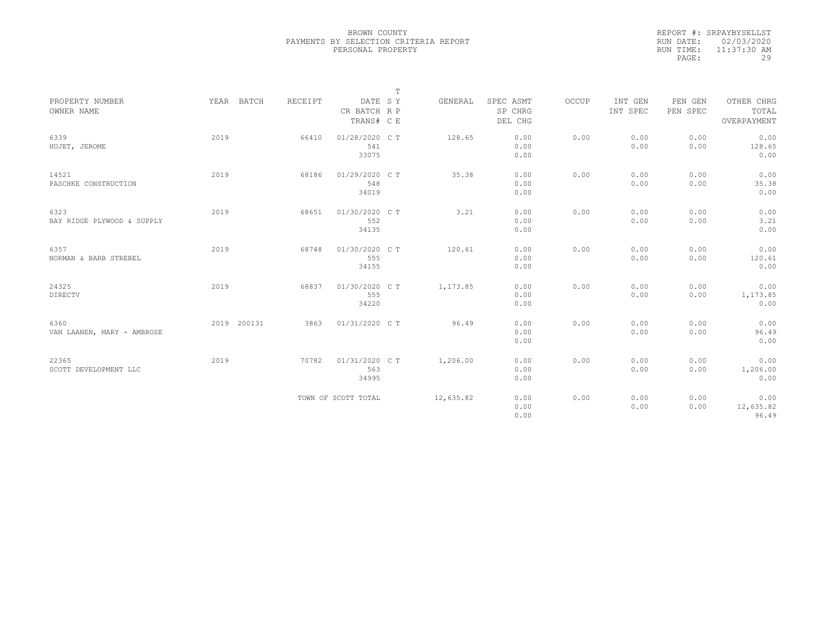|           | REPORT #: SRPAYBYSELLST |
|-----------|-------------------------|
|           | RUN DATE: 02/03/2020    |
| RUN TIME: | $11:37:30$ AM           |
| PAGE:     | 29                      |

|                               |             |         |                         | $\mathbb T$ |           |                      |       |                     |                     |                     |
|-------------------------------|-------------|---------|-------------------------|-------------|-----------|----------------------|-------|---------------------|---------------------|---------------------|
| PROPERTY NUMBER<br>OWNER NAME | YEAR BATCH  | RECEIPT | DATE SY<br>CR BATCH R P |             | GENERAL   | SPEC ASMT<br>SP CHRG | OCCUP | INT GEN<br>INT SPEC | PEN GEN<br>PEN SPEC | OTHER CHRG<br>TOTAL |
|                               |             |         | TRANS# C E              |             |           | DEL CHG              |       |                     |                     | OVERPAYMENT         |
| 6339<br>HUJET, JEROME         | 2019        | 66410   | 01/28/2020 C T<br>541   |             | 128.65    | 0.00<br>0.00         | 0.00  | 0.00<br>0.00        | 0.00<br>0.00        | 0.00<br>128.65      |
|                               |             |         | 33075                   |             |           | 0.00                 |       |                     |                     | 0.00                |
| 14521                         | 2019        | 68186   | 01/29/2020 C T          |             | 35.38     | 0.00                 | 0.00  | 0.00                | 0.00                | 0.00                |
| PASCHKE CONSTRUCTION          |             |         | 548<br>34019            |             |           | 0.00<br>0.00         |       | 0.00                | 0.00                | 35.38<br>0.00       |
| 6323                          | 2019        | 68651   | 01/30/2020 C T          |             | 3.21      | 0.00                 | 0.00  | 0.00                | 0.00                | 0.00                |
| BAY RIDGE PLYWOOD & SUPPLY    |             |         | 552                     |             |           | 0.00                 |       | 0.00                | 0.00                | 3.21                |
|                               |             |         | 34135                   |             |           | 0.00                 |       |                     |                     | 0.00                |
| 6357                          | 2019        | 68748   | 01/30/2020 C T          |             | 120.61    | 0.00                 | 0.00  | 0.00                | 0.00                | 0.00                |
| NORMAN & BARB STREBEL         |             |         | 555<br>34155            |             |           | 0.00<br>0.00         |       | 0.00                | 0.00                | 120.61<br>0.00      |
| 24325                         | 2019        | 68837   | 01/30/2020 C T          |             | 1,173.85  | 0.00                 | 0.00  | 0.00                | 0.00                | 0.00                |
| <b>DIRECTV</b>                |             |         | 555                     |             |           | 0.00                 |       | 0.00                | 0.00                | 1,173.85            |
|                               |             |         | 34220                   |             |           | 0.00                 |       |                     |                     | 0.00                |
| 6360                          | 2019 200131 | 3863    | 01/31/2020 C T          |             | 96.49     | 0.00                 | 0.00  | 0.00                | 0.00                | 0.00                |
| VAN LAANEN, MARY - AMBROSE    |             |         |                         |             |           | 0.00                 |       | 0.00                | 0.00                | 96.49               |
|                               |             |         |                         |             |           | 0.00                 |       |                     |                     | 0.00                |
| 22365                         | 2019        | 70782   | 01/31/2020 C T          |             | 1,206.00  | 0.00                 | 0.00  | 0.00                | 0.00                | 0.00                |
| SCOTT DEVELOPMENT LLC         |             |         | 563<br>34995            |             |           | 0.00<br>0.00         |       | 0.00                | 0.00                | 1,206.00<br>0.00    |
|                               |             |         | TOWN OF SCOTT TOTAL     |             | 12,635.82 | 0.00                 | 0.00  | 0.00                | 0.00                | 0.00                |
|                               |             |         |                         |             |           | 0.00                 |       | 0.00                | 0.00                | 12,635.82           |
|                               |             |         |                         |             |           | 0.00                 |       |                     |                     | 96.49               |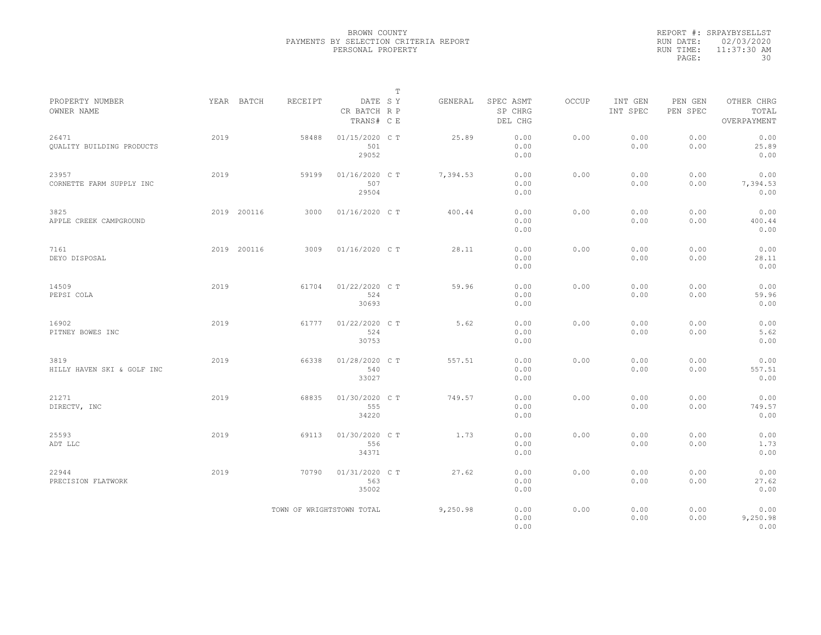|           | REPORT #: SRPAYBYSELLST |
|-----------|-------------------------|
|           | RUN DATE: 02/03/2020    |
| RUN TIME: | $11:37:30$ AM           |
| PAGE:     | 30                      |

|                                           |      |             |         |                                       | $\mathbb T$ |          |                                 |              |                     |                     |                                    |  |
|-------------------------------------------|------|-------------|---------|---------------------------------------|-------------|----------|---------------------------------|--------------|---------------------|---------------------|------------------------------------|--|
| PROPERTY NUMBER<br>OWNER NAME             |      | YEAR BATCH  | RECEIPT | DATE SY<br>CR BATCH R P<br>TRANS# C E |             | GENERAL  | SPEC ASMT<br>SP CHRG<br>DEL CHG | <b>OCCUP</b> | INT GEN<br>INT SPEC | PEN GEN<br>PEN SPEC | OTHER CHRG<br>TOTAL<br>OVERPAYMENT |  |
| 26471<br><b>OUALITY BUILDING PRODUCTS</b> | 2019 |             | 58488   | 01/15/2020 CT<br>501<br>29052         |             | 25.89    | 0.00<br>0.00<br>0.00            | 0.00         | 0.00<br>0.00        | 0.00<br>0.00        | 0.00<br>25.89<br>0.00              |  |
| 23957<br>CORNETTE FARM SUPPLY INC         | 2019 |             | 59199   | 01/16/2020 C T<br>507<br>29504        |             | 7,394.53 | 0.00<br>0.00<br>0.00            | 0.00         | 0.00<br>0.00        | 0.00<br>0.00        | 0.00<br>7,394.53<br>0.00           |  |
| 3825<br>APPLE CREEK CAMPGROUND            |      | 2019 200116 | 3000    | 01/16/2020 C T                        |             | 400.44   | 0.00<br>0.00<br>0.00            | 0.00         | 0.00<br>0.00        | 0.00<br>0.00        | 0.00<br>400.44<br>0.00             |  |
| 7161<br>DEYO DISPOSAL                     |      | 2019 200116 | 3009    | $01/16/2020$ C T                      |             | 28.11    | 0.00<br>0.00<br>0.00            | 0.00         | 0.00<br>0.00        | 0.00<br>0.00        | 0.00<br>28.11<br>0.00              |  |
| 14509<br>PEPSI COLA                       | 2019 |             | 61704   | 01/22/2020 C T<br>524<br>30693        |             | 59.96    | 0.00<br>0.00<br>0.00            | 0.00         | 0.00<br>0.00        | 0.00<br>0.00        | 0.00<br>59.96<br>0.00              |  |
| 16902<br>PITNEY BOWES INC                 | 2019 |             | 61777   | 01/22/2020 C T<br>524<br>30753        |             | 5.62     | 0.00<br>0.00<br>0.00            | 0.00         | 0.00<br>0.00        | 0.00<br>0.00        | 0.00<br>5.62<br>0.00               |  |
| 3819<br>HILLY HAVEN SKI & GOLF INC        | 2019 |             | 66338   | 01/28/2020 C T<br>540<br>33027        |             | 557.51   | 0.00<br>0.00<br>0.00            | 0.00         | 0.00<br>0.00        | 0.00<br>0.00        | 0.00<br>557.51<br>0.00             |  |
| 21271<br>DIRECTV, INC                     | 2019 |             | 68835   | 01/30/2020 C T<br>555<br>34220        |             | 749.57   | 0.00<br>0.00<br>0.00            | 0.00         | 0.00<br>0.00        | 0.00<br>0.00        | 0.00<br>749.57<br>0.00             |  |
| 25593<br>ADT LLC                          | 2019 |             | 69113   | 01/30/2020 C T<br>556<br>34371        |             | 1.73     | 0.00<br>0.00<br>0.00            | 0.00         | 0.00<br>0.00        | 0.00<br>0.00        | 0.00<br>1.73<br>0.00               |  |
| 22944<br>PRECISION FLATWORK               | 2019 |             | 70790   | 01/31/2020 C T<br>563<br>35002        |             | 27.62    | 0.00<br>0.00<br>0.00            | 0.00         | 0.00<br>0.00        | 0.00<br>0.00        | 0.00<br>27.62<br>0.00              |  |
|                                           |      |             |         | TOWN OF WRIGHTSTOWN TOTAL             |             | 9,250.98 | 0.00<br>0.00<br>0.00            | 0.00         | 0.00<br>0.00        | 0.00<br>0.00        | 0.00<br>9,250.98<br>0.00           |  |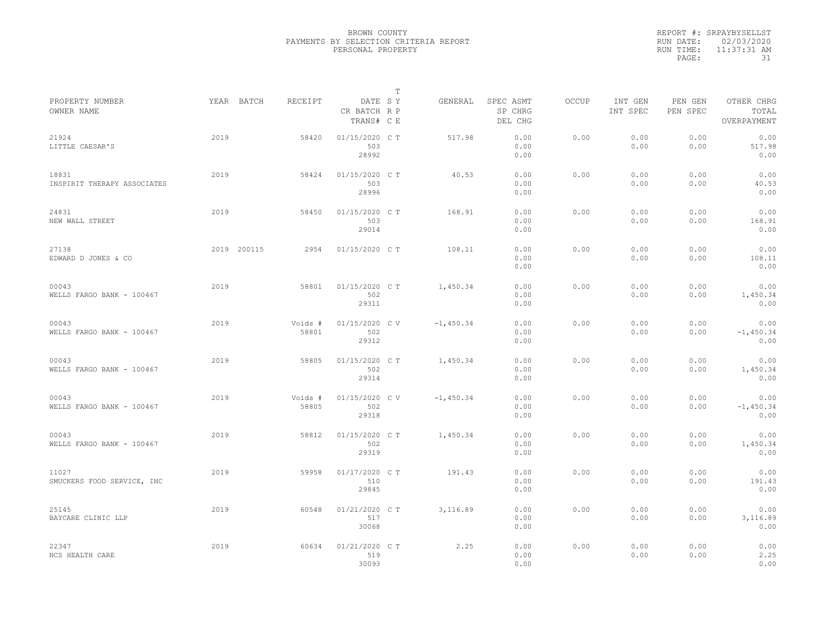|           | REPORT #: SRPAYBYSELLST |
|-----------|-------------------------|
|           | RUN DATE: 02/03/2020    |
| RUN TIME: | $11:37:31$ AM           |
| PAGE:     | 31                      |

|                                      |      |                       |                                | Т       |             |                                 |       |                     |                     |                                    |  |
|--------------------------------------|------|-----------------------|--------------------------------|---------|-------------|---------------------------------|-------|---------------------|---------------------|------------------------------------|--|
| PROPERTY NUMBER<br>OWNER NAME        |      | YEAR BATCH<br>RECEIPT | CR BATCH R P<br>TRANS# C E     | DATE SY | GENERAL     | SPEC ASMT<br>SP CHRG<br>DEL CHG | OCCUP | INT GEN<br>INT SPEC | PEN GEN<br>PEN SPEC | OTHER CHRG<br>TOTAL<br>OVERPAYMENT |  |
| 21924<br>LITTLE CAESAR'S             | 2019 | 58420                 | 01/15/2020 C T<br>503<br>28992 |         | 517.98      | 0.00<br>0.00<br>0.00            | 0.00  | 0.00<br>0.00        | 0.00<br>0.00        | 0.00<br>517.98<br>0.00             |  |
| 18831<br>INSPIRIT THERAPY ASSOCIATES | 2019 | 58424                 | 01/15/2020 C T<br>503<br>28996 |         | 40.53       | 0.00<br>0.00<br>0.00            | 0.00  | 0.00<br>0.00        | 0.00<br>0.00        | 0.00<br>40.53<br>0.00              |  |
| 24831<br>NEW WALL STREET             | 2019 | 58450                 | 01/15/2020 C T<br>503<br>29014 |         | 168.91      | 0.00<br>0.00<br>0.00            | 0.00  | 0.00<br>0.00        | 0.00<br>0.00        | 0.00<br>168.91<br>0.00             |  |
| 27138<br>EDWARD D JONES & CO         |      | 2019 200115<br>2954   | 01/15/2020 C T                 |         | 108.11      | 0.00<br>0.00<br>0.00            | 0.00  | 0.00<br>0.00        | 0.00<br>0.00        | 0.00<br>108.11<br>0.00             |  |
| 00043<br>WELLS FARGO BANK - 100467   | 2019 | 58801                 | 01/15/2020 C T<br>502<br>29311 |         | 1,450.34    | 0.00<br>0.00<br>0.00            | 0.00  | 0.00<br>0.00        | 0.00<br>0.00        | 0.00<br>1,450.34<br>0.00           |  |
| 00043<br>WELLS FARGO BANK - 100467   | 2019 | Voids #<br>58801      | 01/15/2020 C V<br>502<br>29312 |         | $-1,450.34$ | 0.00<br>0.00<br>0.00            | 0.00  | 0.00<br>0.00        | 0.00<br>0.00        | 0.00<br>$-1,450.34$<br>0.00        |  |
| 00043<br>WELLS FARGO BANK - 100467   | 2019 | 58805                 | 01/15/2020 C T<br>502<br>29314 |         | 1,450.34    | 0.00<br>0.00<br>0.00            | 0.00  | 0.00<br>0.00        | 0.00<br>0.00        | 0.00<br>1,450.34<br>0.00           |  |
| 00043<br>WELLS FARGO BANK - 100467   | 2019 | Voids #<br>58805      | 01/15/2020 C V<br>502<br>29318 |         | $-1,450.34$ | 0.00<br>0.00<br>0.00            | 0.00  | 0.00<br>0.00        | 0.00<br>0.00        | 0.00<br>$-1,450.34$<br>0.00        |  |
| 00043<br>WELLS FARGO BANK - 100467   | 2019 | 58812                 | 01/15/2020 C T<br>502<br>29319 |         | 1,450.34    | 0.00<br>0.00<br>0.00            | 0.00  | 0.00<br>0.00        | 0.00<br>0.00        | 0.00<br>1,450.34<br>0.00           |  |
| 11027<br>SMUCKERS FOOD SERVICE, INC  | 2019 | 59958                 | 01/17/2020 C T<br>510<br>29845 |         | 191.43      | 0.00<br>0.00<br>0.00            | 0.00  | 0.00<br>0.00        | 0.00<br>0.00        | 0.00<br>191.43<br>0.00             |  |
| 25145<br>BAYCARE CLINIC LLP          | 2019 | 60548                 | 01/21/2020 C T<br>517<br>30068 |         | 3,116.89    | 0.00<br>0.00<br>0.00            | 0.00  | 0.00<br>0.00        | 0.00<br>0.00        | 0.00<br>3,116.89<br>0.00           |  |
| 22347<br>NCS HEALTH CARE             | 2019 | 60634                 | 01/21/2020 C T<br>519<br>30093 |         | 2.25        | 0.00<br>0.00<br>0.00            | 0.00  | 0.00<br>0.00        | 0.00<br>0.00        | 0.00<br>2.25<br>0.00               |  |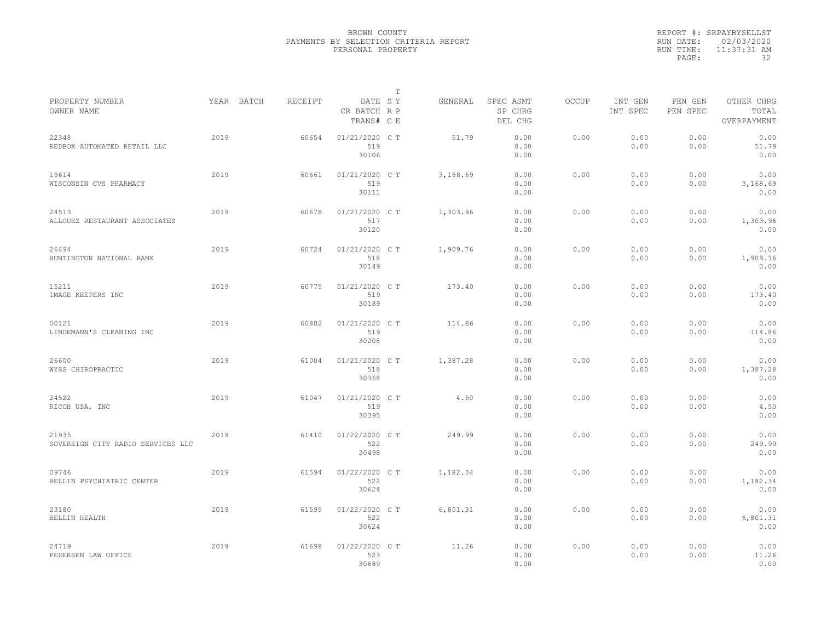|           | REPORT #: SRPAYBYSELLST |
|-----------|-------------------------|
|           | RUN DATE: 02/03/2020    |
| RUN TIME: | 11:37:31 AM             |
| PAGE:     | -32                     |

|                                            |      |            |         |                                       | T |          |                                 |              |                     |                     |                                    |
|--------------------------------------------|------|------------|---------|---------------------------------------|---|----------|---------------------------------|--------------|---------------------|---------------------|------------------------------------|
| PROPERTY NUMBER<br>OWNER NAME              |      | YEAR BATCH | RECEIPT | DATE SY<br>CR BATCH R P<br>TRANS# C E |   | GENERAL  | SPEC ASMT<br>SP CHRG<br>DEL CHG | <b>OCCUP</b> | INT GEN<br>INT SPEC | PEN GEN<br>PEN SPEC | OTHER CHRG<br>TOTAL<br>OVERPAYMENT |
| 22348<br>REDBOX AUTOMATED RETAIL LLC       | 2019 |            | 60654   | 01/21/2020 C T<br>519<br>30106        |   | 51.79    | 0.00<br>0.00<br>0.00            | 0.00         | 0.00<br>0.00        | 0.00<br>0.00        | 0.00<br>51.79<br>0.00              |
| 19614<br>WISCONSIN CVS PHARMACY            | 2019 |            | 60661   | 01/21/2020 C T<br>519<br>30111        |   | 3,168.69 | 0.00<br>0.00<br>0.00            | 0.00         | 0.00<br>0.00        | 0.00<br>0.00        | 0.00<br>3,168.69<br>0.00           |
| 24513<br>ALLOUEZ RESTAURANT ASSOCIATES     | 2019 |            | 60678   | 01/21/2020 C T<br>517<br>30120        |   | 1,303.96 | 0.00<br>0.00<br>0.00            | 0.00         | 0.00<br>0.00        | 0.00<br>0.00        | 0.00<br>1,303.96<br>0.00           |
| 26494<br>HUNTINGTON NATIONAL BANK          | 2019 |            | 60724   | 01/21/2020 C T<br>518<br>30149        |   | 1,909.76 | 0.00<br>0.00<br>0.00            | 0.00         | 0.00<br>0.00        | 0.00<br>0.00        | 0.00<br>1,909.76<br>0.00           |
| 15211<br>IMAGE KEEPERS INC                 | 2019 |            | 60775   | 01/21/2020 C T<br>519<br>30189        |   | 173.40   | 0.00<br>0.00<br>0.00            | 0.00         | 0.00<br>0.00        | 0.00<br>0.00        | 0.00<br>173.40<br>0.00             |
| 00121<br>LINDEMANN'S CLEANING INC          | 2019 |            | 60802   | 01/21/2020 C T<br>519<br>30208        |   | 114.86   | 0.00<br>0.00<br>0.00            | 0.00         | 0.00<br>0.00        | 0.00<br>0.00        | 0.00<br>114.86<br>0.00             |
| 26600<br>WYSS CHIROPRACTIC                 | 2019 |            | 61004   | 01/21/2020 C T<br>518<br>30368        |   | 1,387.28 | 0.00<br>0.00<br>0.00            | 0.00         | 0.00<br>0.00        | 0.00<br>0.00        | 0.00<br>1,387.28<br>0.00           |
| 24522<br>RICOH USA, INC                    | 2019 |            | 61047   | 01/21/2020 C T<br>519<br>30395        |   | 4.50     | 0.00<br>0.00<br>0.00            | 0.00         | 0.00<br>0.00        | 0.00<br>0.00        | 0.00<br>4.50<br>0.00               |
| 21935<br>SOVEREIGN CITY RADIO SERVICES LLC | 2019 |            | 61410   | 01/22/2020 C T<br>522<br>30498        |   | 249.99   | 0.00<br>0.00<br>0.00            | 0.00         | 0.00<br>0.00        | 0.00<br>0.00        | 0.00<br>249.99<br>0.00             |
| 09746<br>BELLIN PSYCHIATRIC CENTER         | 2019 |            | 61594   | 01/22/2020 C T<br>522<br>30624        |   | 1,182.34 | 0.00<br>0.00<br>0.00            | 0.00         | 0.00<br>0.00        | 0.00<br>0.00        | 0.00<br>1,182.34<br>0.00           |
| 23180<br>BELLIN HEALTH                     | 2019 |            | 61595   | 01/22/2020 C T<br>522<br>30624        |   | 6,801.31 | 0.00<br>0.00<br>0.00            | 0.00         | 0.00<br>0.00        | 0.00<br>0.00        | 0.00<br>6,801.31<br>0.00           |
| 24719<br>PEDERSEN LAW OFFICE               | 2019 |            | 61698   | 01/22/2020 CT<br>523<br>30689         |   | 11.26    | 0.00<br>0.00<br>0.00            | 0.00         | 0.00<br>0.00        | 0.00<br>0.00        | 0.00<br>11.26<br>0.00              |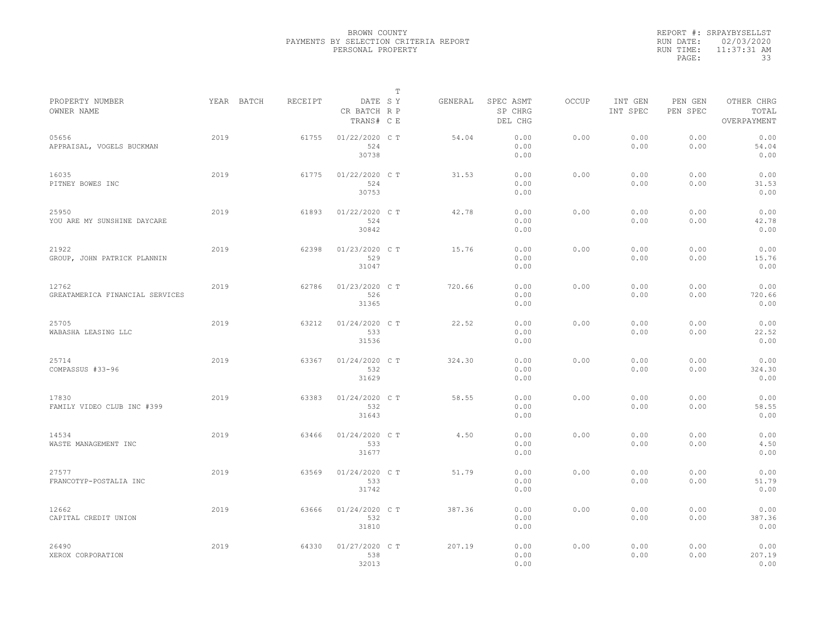|           | REPORT #: SRPAYBYSELLST |
|-----------|-------------------------|
|           | RUN DATE: 02/03/2020    |
| RUN TIME: | 11:37:31 AM             |
| PAGE:     | 33                      |

|                                          |            |         |                                       | $\mathbb T$ |         |                                 |              |                     |                     |                                    |  |
|------------------------------------------|------------|---------|---------------------------------------|-------------|---------|---------------------------------|--------------|---------------------|---------------------|------------------------------------|--|
| PROPERTY NUMBER<br>OWNER NAME            | YEAR BATCH | RECEIPT | DATE SY<br>CR BATCH R P<br>TRANS# C E |             | GENERAL | SPEC ASMT<br>SP CHRG<br>DEL CHG | <b>OCCUP</b> | INT GEN<br>INT SPEC | PEN GEN<br>PEN SPEC | OTHER CHRG<br>TOTAL<br>OVERPAYMENT |  |
| 05656<br>APPRAISAL, VOGELS BUCKMAN       | 2019       | 61755   | 01/22/2020 C T<br>524<br>30738        |             | 54.04   | 0.00<br>0.00<br>0.00            | 0.00         | 0.00<br>0.00        | 0.00<br>0.00        | 0.00<br>54.04<br>0.00              |  |
| 16035<br>PITNEY BOWES INC                | 2019       | 61775   | 01/22/2020 C T<br>524<br>30753        |             | 31.53   | 0.00<br>0.00<br>0.00            | 0.00         | 0.00<br>0.00        | 0.00<br>0.00        | 0.00<br>31.53<br>0.00              |  |
| 25950<br>YOU ARE MY SUNSHINE DAYCARE     | 2019       | 61893   | 01/22/2020 C T<br>524<br>30842        |             | 42.78   | 0.00<br>0.00<br>0.00            | 0.00         | 0.00<br>0.00        | 0.00<br>0.00        | 0.00<br>42.78<br>0.00              |  |
| 21922<br>GROUP, JOHN PATRICK PLANNIN     | 2019       | 62398   | 01/23/2020 C T<br>529<br>31047        |             | 15.76   | 0.00<br>0.00<br>0.00            | 0.00         | 0.00<br>0.00        | 0.00<br>0.00        | 0.00<br>15.76<br>0.00              |  |
| 12762<br>GREATAMERICA FINANCIAL SERVICES | 2019       | 62786   | 01/23/2020 C T<br>526<br>31365        |             | 720.66  | 0.00<br>0.00<br>0.00            | 0.00         | 0.00<br>0.00        | 0.00<br>0.00        | 0.00<br>720.66<br>0.00             |  |
| 25705<br>WABASHA LEASING LLC             | 2019       | 63212   | 01/24/2020 C T<br>533<br>31536        |             | 22.52   | 0.00<br>0.00<br>0.00            | 0.00         | 0.00<br>0.00        | 0.00<br>0.00        | 0.00<br>22.52<br>0.00              |  |
| 25714<br>COMPASSUS #33-96                | 2019       | 63367   | 01/24/2020 C T<br>532<br>31629        |             | 324.30  | 0.00<br>0.00<br>0.00            | 0.00         | 0.00<br>0.00        | 0.00<br>0.00        | 0.00<br>324.30<br>0.00             |  |
| 17830<br>FAMILY VIDEO CLUB INC #399      | 2019       | 63383   | 01/24/2020 C T<br>532<br>31643        |             | 58.55   | 0.00<br>0.00<br>0.00            | 0.00         | 0.00<br>0.00        | 0.00<br>0.00        | 0.00<br>58.55<br>0.00              |  |
| 14534<br>WASTE MANAGEMENT INC            | 2019       | 63466   | 01/24/2020 C T<br>533<br>31677        |             | 4.50    | 0.00<br>0.00<br>0.00            | 0.00         | 0.00<br>0.00        | 0.00<br>0.00        | 0.00<br>4.50<br>0.00               |  |
| 27577<br>FRANCOTYP-POSTALIA INC          | 2019       | 63569   | 01/24/2020 C T<br>533<br>31742        |             | 51.79   | 0.00<br>0.00<br>0.00            | 0.00         | 0.00<br>0.00        | 0.00<br>0.00        | 0.00<br>51.79<br>0.00              |  |
| 12662<br>CAPITAL CREDIT UNION            | 2019       | 63666   | 01/24/2020 C T<br>532<br>31810        |             | 387.36  | 0.00<br>0.00<br>0.00            | 0.00         | 0.00<br>0.00        | 0.00<br>0.00        | 0.00<br>387.36<br>0.00             |  |
| 26490<br>XEROX CORPORATION               | 2019       | 64330   | 01/27/2020 C T<br>538<br>32013        |             | 207.19  | 0.00<br>0.00<br>0.00            | 0.00         | 0.00<br>0.00        | 0.00<br>0.00        | 0.00<br>207.19<br>0.00             |  |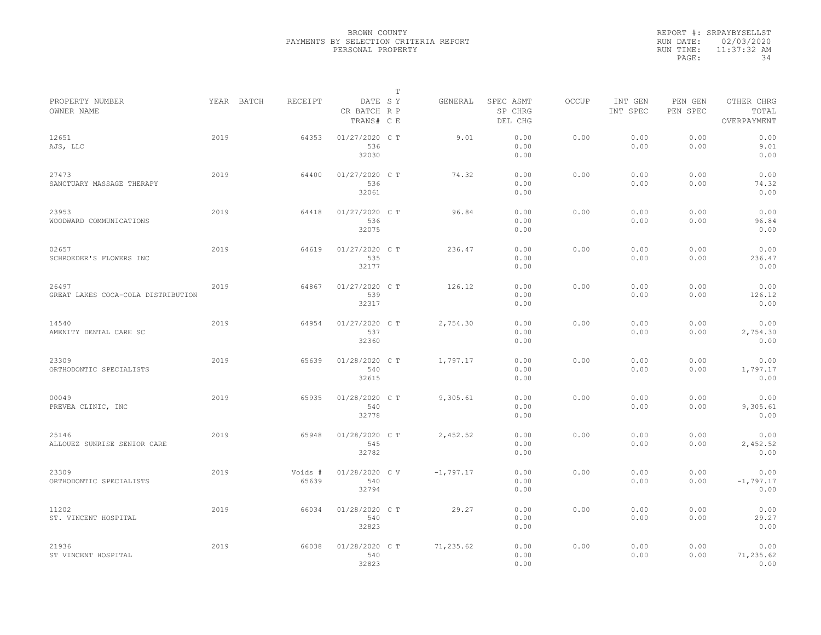|           | REPORT #: SRPAYBYSELLST |
|-----------|-------------------------|
|           | RUN DATE: 02/03/2020    |
| RUN TIME: | $11:37:32$ AM           |
| PAGE:     | 34                      |

|                                             |      |                       |                                           |         | Т           |                                 |       |                     |                     |                                    |  |
|---------------------------------------------|------|-----------------------|-------------------------------------------|---------|-------------|---------------------------------|-------|---------------------|---------------------|------------------------------------|--|
| PROPERTY NUMBER<br>OWNER NAME               |      | YEAR BATCH<br>RECEIPT | CR BATCH R P<br>TRANS# C E                | DATE SY | GENERAL     | SPEC ASMT<br>SP CHRG<br>DEL CHG | OCCUP | INT GEN<br>INT SPEC | PEN GEN<br>PEN SPEC | OTHER CHRG<br>TOTAL<br>OVERPAYMENT |  |
| 12651<br>AJS, LLC                           | 2019 |                       | $01/27/2020$ C T<br>64353<br>536<br>32030 |         | 9.01        | 0.00<br>0.00<br>0.00            | 0.00  | 0.00<br>0.00        | 0.00<br>0.00        | 0.00<br>9.01<br>0.00               |  |
| 27473<br>SANCTUARY MASSAGE THERAPY          | 2019 |                       | 64400<br>01/27/2020 C T<br>536<br>32061   |         | 74.32       | 0.00<br>0.00<br>0.00            | 0.00  | 0.00<br>0.00        | 0.00<br>0.00        | 0.00<br>74.32<br>0.00              |  |
| 23953<br>WOODWARD COMMUNICATIONS            | 2019 |                       | 01/27/2020 C T<br>64418<br>536<br>32075   |         | 96.84       | 0.00<br>0.00<br>0.00            | 0.00  | 0.00<br>0.00        | 0.00<br>0.00        | 0.00<br>96.84<br>0.00              |  |
| 02657<br>SCHROEDER'S FLOWERS INC            | 2019 |                       | 01/27/2020 C T<br>64619<br>535<br>32177   |         | 236.47      | 0.00<br>0.00<br>0.00            | 0.00  | 0.00<br>0.00        | 0.00<br>0.00        | 0.00<br>236.47<br>0.00             |  |
| 26497<br>GREAT LAKES COCA-COLA DISTRIBUTION | 2019 |                       | 01/27/2020 C T<br>64867<br>539<br>32317   |         | 126.12      | 0.00<br>0.00<br>0.00            | 0.00  | 0.00<br>0.00        | 0.00<br>0.00        | 0.00<br>126.12<br>0.00             |  |
| 14540<br>AMENITY DENTAL CARE SC             | 2019 |                       | 01/27/2020 C T<br>64954<br>537<br>32360   |         | 2,754.30    | 0.00<br>0.00<br>0.00            | 0.00  | 0.00<br>0.00        | 0.00<br>0.00        | 0.00<br>2,754.30<br>0.00           |  |
| 23309<br>ORTHODONTIC SPECIALISTS            | 2019 |                       | 01/28/2020 C T<br>65639<br>540<br>32615   |         | 1,797.17    | 0.00<br>0.00<br>0.00            | 0.00  | 0.00<br>0.00        | 0.00<br>0.00        | 0.00<br>1,797.17<br>0.00           |  |
| 00049<br>PREVEA CLINIC, INC                 | 2019 |                       | 01/28/2020 C T<br>65935<br>540<br>32778   |         | 9,305.61    | 0.00<br>0.00<br>0.00            | 0.00  | 0.00<br>0.00        | 0.00<br>0.00        | 0.00<br>9,305.61<br>0.00           |  |
| 25146<br>ALLOUEZ SUNRISE SENIOR CARE        | 2019 |                       | 01/28/2020 C T<br>65948<br>545<br>32782   |         | 2,452.52    | 0.00<br>0.00<br>0.00            | 0.00  | 0.00<br>0.00        | 0.00<br>0.00        | 0.00<br>2,452.52<br>0.00           |  |
| 23309<br>ORTHODONTIC SPECIALISTS            | 2019 | Voids #               | 01/28/2020 CV<br>65639<br>540<br>32794    |         | $-1,797.17$ | 0.00<br>0.00<br>0.00            | 0.00  | 0.00<br>0.00        | 0.00<br>0.00        | 0.00<br>$-1,797.17$<br>0.00        |  |
| 11202<br>ST. VINCENT HOSPITAL               | 2019 |                       | 66034<br>01/28/2020 C T<br>540<br>32823   |         | 29.27       | 0.00<br>0.00<br>0.00            | 0.00  | 0.00<br>0.00        | 0.00<br>0.00        | 0.00<br>29.27<br>0.00              |  |
| 21936<br>ST VINCENT HOSPITAL                | 2019 |                       | 01/28/2020 C T<br>66038<br>540<br>32823   |         | 71,235.62   | 0.00<br>0.00<br>0.00            | 0.00  | 0.00<br>0.00        | 0.00<br>0.00        | 0.00<br>71,235.62<br>0.00          |  |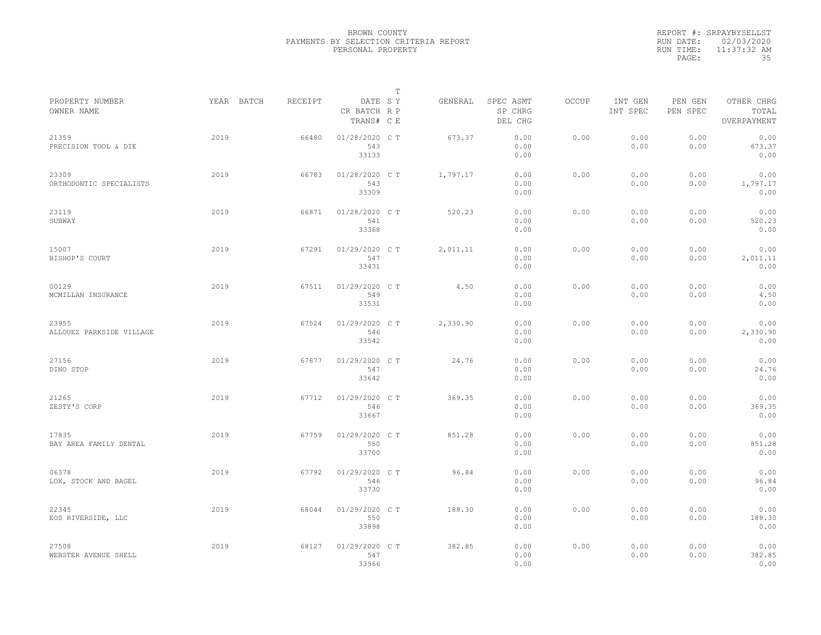|           | REPORT #: SRPAYBYSELLST |
|-----------|-------------------------|
|           | RUN DATE: 02/03/2020    |
| RUN TIME: | 11:37:32 AM             |
| PAGE:     | 35                      |

|                                   |            |         |                                       | T |          |                                 |       |                     |                     |                                    |  |
|-----------------------------------|------------|---------|---------------------------------------|---|----------|---------------------------------|-------|---------------------|---------------------|------------------------------------|--|
| PROPERTY NUMBER<br>OWNER NAME     | YEAR BATCH | RECEIPT | DATE SY<br>CR BATCH R P<br>TRANS# C E |   | GENERAL  | SPEC ASMT<br>SP CHRG<br>DEL CHG | OCCUP | INT GEN<br>INT SPEC | PEN GEN<br>PEN SPEC | OTHER CHRG<br>TOTAL<br>OVERPAYMENT |  |
| 21359<br>PRECISION TOOL & DIE     | 2019       | 66480   | 01/28/2020 C T<br>543<br>33133        |   | 673.37   | 0.00<br>0.00<br>0.00            | 0.00  | 0.00<br>0.00        | 0.00<br>0.00        | 0.00<br>673.37<br>0.00             |  |
| 23309<br>ORTHODONTIC SPECIALISTS  | 2019       | 66783   | 01/28/2020 C T<br>543<br>33309        |   | 1,797.17 | 0.00<br>0.00<br>0.00            | 0.00  | 0.00<br>0.00        | 0.00<br>0.00        | 0.00<br>1,797.17<br>0.00           |  |
| 23119<br>SUBWAY                   | 2019       | 66871   | 01/28/2020 C T<br>541<br>33368        |   | 520.23   | 0.00<br>0.00<br>0.00            | 0.00  | 0.00<br>0.00        | 0.00<br>0.00        | 0.00<br>520.23<br>0.00             |  |
| 15007<br>BISHOP'S COURT           | 2019       | 67291   | 01/29/2020 C T<br>547<br>33431        |   | 2,011.11 | 0.00<br>0.00<br>0.00            | 0.00  | 0.00<br>0.00        | 0.00<br>0.00        | 0.00<br>2,011.11<br>0.00           |  |
| 00129<br>MCMILLAN INSURANCE       | 2019       | 67511   | 01/29/2020 C T<br>549<br>33531        |   | 4.50     | 0.00<br>0.00<br>0.00            | 0.00  | 0.00<br>0.00        | 0.00<br>0.00        | 0.00<br>4.50<br>0.00               |  |
| 23955<br>ALLOUEZ PARKSIDE VILLAGE | 2019       | 67524   | 01/29/2020 C T<br>546<br>33542        |   | 2,330.90 | 0.00<br>0.00<br>0.00            | 0.00  | 0.00<br>0.00        | 0.00<br>0.00        | 0.00<br>2,330.90<br>0.00           |  |
| 27156<br>DINO STOP                | 2019       | 67677   | 01/29/2020 CT<br>547<br>33642         |   | 24.76    | 0.00<br>0.00<br>0.00            | 0.00  | 0.00<br>0.00        | 0.00<br>0.00        | 0.00<br>24.76<br>0.00              |  |
| 21265<br>ZESTY'S CORP             | 2019       | 67712   | 01/29/2020 C T<br>546<br>33667        |   | 369.35   | 0.00<br>0.00<br>0.00            | 0.00  | 0.00<br>0.00        | 0.00<br>0.00        | 0.00<br>369.35<br>0.00             |  |
| 17835<br>BAY AREA FAMILY DENTAL   | 2019       | 67759   | 01/29/2020 C T<br>550<br>33700        |   | 851.28   | 0.00<br>0.00<br>0.00            | 0.00  | 0.00<br>0.00        | 0.00<br>0.00        | 0.00<br>851.28<br>0.00             |  |
| 06378<br>LOX, STOCK AND BAGEL     | 2019       | 67792   | 01/29/2020 C T<br>546<br>33730        |   | 96.84    | 0.00<br>0.00<br>0.00            | 0.00  | 0.00<br>0.00        | 0.00<br>0.00        | 0.00<br>96.84<br>0.00              |  |
| 22345<br>EOS RIVERSIDE, LLC       | 2019       | 68044   | 01/29/2020 C T<br>550<br>33898        |   | 188.30   | 0.00<br>0.00<br>0.00            | 0.00  | 0.00<br>0.00        | 0.00<br>0.00        | 0.00<br>188.30<br>0.00             |  |
| 27508<br>WEBSTER AVENUE SHELL     | 2019       | 68127   | 01/29/2020 C T<br>547<br>33966        |   | 382.85   | 0.00<br>0.00<br>0.00            | 0.00  | 0.00<br>0.00        | 0.00<br>0.00        | 0.00<br>382.85<br>0.00             |  |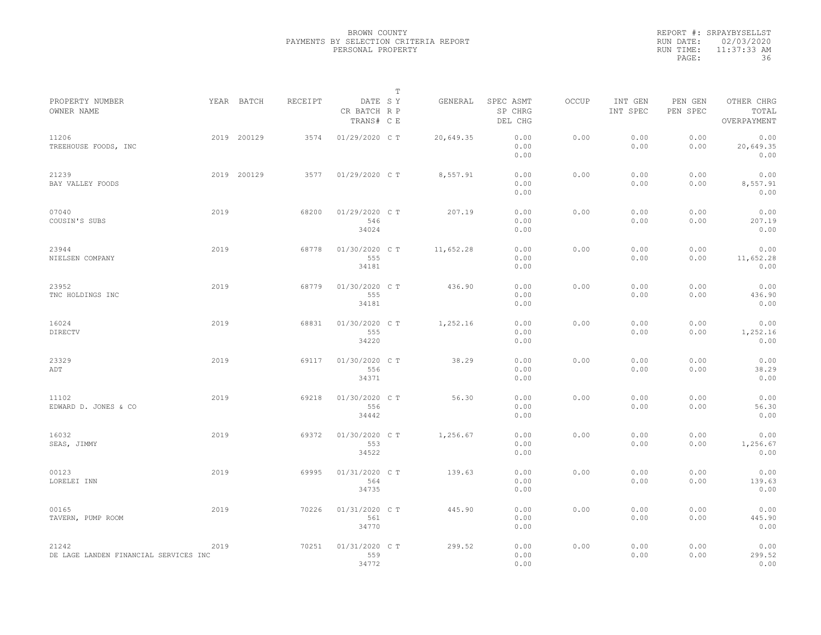|           | REPORT #: SRPAYBYSELLST |
|-----------|-------------------------|
|           | RUN DATE: 02/03/2020    |
| RUN TIME: | $11:37:33$ AM           |
| PAGE:     | 36                      |

|                                                |      |             |         |                                       | Т |           |                                 |       |                     |                     |                                    |  |
|------------------------------------------------|------|-------------|---------|---------------------------------------|---|-----------|---------------------------------|-------|---------------------|---------------------|------------------------------------|--|
| PROPERTY NUMBER<br>OWNER NAME                  |      | YEAR BATCH  | RECEIPT | DATE SY<br>CR BATCH R P<br>TRANS# C E |   | GENERAL   | SPEC ASMT<br>SP CHRG<br>DEL CHG | OCCUP | INT GEN<br>INT SPEC | PEN GEN<br>PEN SPEC | OTHER CHRG<br>TOTAL<br>OVERPAYMENT |  |
| 11206<br>TREEHOUSE FOODS, INC                  |      | 2019 200129 | 3574    | 01/29/2020 C T                        |   | 20,649.35 | 0.00<br>0.00<br>0.00            | 0.00  | 0.00<br>0.00        | 0.00<br>0.00        | 0.00<br>20,649.35<br>0.00          |  |
| 21239<br>BAY VALLEY FOODS                      |      | 2019 200129 | 3577    | 01/29/2020 C T                        |   | 8,557.91  | 0.00<br>0.00<br>0.00            | 0.00  | 0.00<br>0.00        | 0.00<br>0.00        | 0.00<br>8,557.91<br>0.00           |  |
| 07040<br>COUSIN'S SUBS                         | 2019 |             | 68200   | 01/29/2020 C T<br>546<br>34024        |   | 207.19    | 0.00<br>0.00<br>0.00            | 0.00  | 0.00<br>0.00        | 0.00<br>0.00        | 0.00<br>207.19<br>0.00             |  |
| 23944<br>NIELSEN COMPANY                       | 2019 |             | 68778   | 01/30/2020 CT<br>555<br>34181         |   | 11,652.28 | 0.00<br>0.00<br>0.00            | 0.00  | 0.00<br>0.00        | 0.00<br>0.00        | 0.00<br>11,652.28<br>0.00          |  |
| 23952<br>TNC HOLDINGS INC                      | 2019 |             | 68779   | 01/30/2020 C T<br>555<br>34181        |   | 436.90    | 0.00<br>0.00<br>0.00            | 0.00  | 0.00<br>0.00        | 0.00<br>0.00        | 0.00<br>436.90<br>0.00             |  |
| 16024<br>DIRECTV                               | 2019 |             | 68831   | 01/30/2020 C T<br>555<br>34220        |   | 1,252.16  | 0.00<br>0.00<br>0.00            | 0.00  | 0.00<br>0.00        | 0.00<br>0.00        | 0.00<br>1,252.16<br>0.00           |  |
| 23329<br>ADT                                   | 2019 |             | 69117   | 01/30/2020 C T<br>556<br>34371        |   | 38.29     | 0.00<br>0.00<br>0.00            | 0.00  | 0.00<br>0.00        | 0.00<br>0.00        | 0.00<br>38.29<br>0.00              |  |
| 11102<br>EDWARD D. JONES & CO                  | 2019 |             | 69218   | 01/30/2020 C T<br>556<br>34442        |   | 56.30     | 0.00<br>0.00<br>0.00            | 0.00  | 0.00<br>0.00        | 0.00<br>0.00        | 0.00<br>56.30<br>0.00              |  |
| 16032<br>SEAS, JIMMY                           | 2019 |             | 69372   | 01/30/2020 C T<br>553<br>34522        |   | 1,256.67  | 0.00<br>0.00<br>0.00            | 0.00  | 0.00<br>0.00        | 0.00<br>0.00        | 0.00<br>1,256.67<br>0.00           |  |
| 00123<br>LORELEI INN                           | 2019 |             | 69995   | 01/31/2020 C T<br>564<br>34735        |   | 139.63    | 0.00<br>0.00<br>0.00            | 0.00  | 0.00<br>0.00        | 0.00<br>0.00        | 0.00<br>139.63<br>0.00             |  |
| 00165<br>TAVERN, PUMP ROOM                     | 2019 |             | 70226   | 01/31/2020 C T<br>561<br>34770        |   | 445.90    | 0.00<br>0.00<br>0.00            | 0.00  | 0.00<br>0.00        | 0.00<br>0.00        | 0.00<br>445.90<br>0.00             |  |
| 21242<br>DE LAGE LANDEN FINANCIAL SERVICES INC | 2019 |             | 70251   | 01/31/2020 C T<br>559<br>34772        |   | 299.52    | 0.00<br>0.00<br>0.00            | 0.00  | 0.00<br>0.00        | 0.00<br>0.00        | 0.00<br>299.52<br>0.00             |  |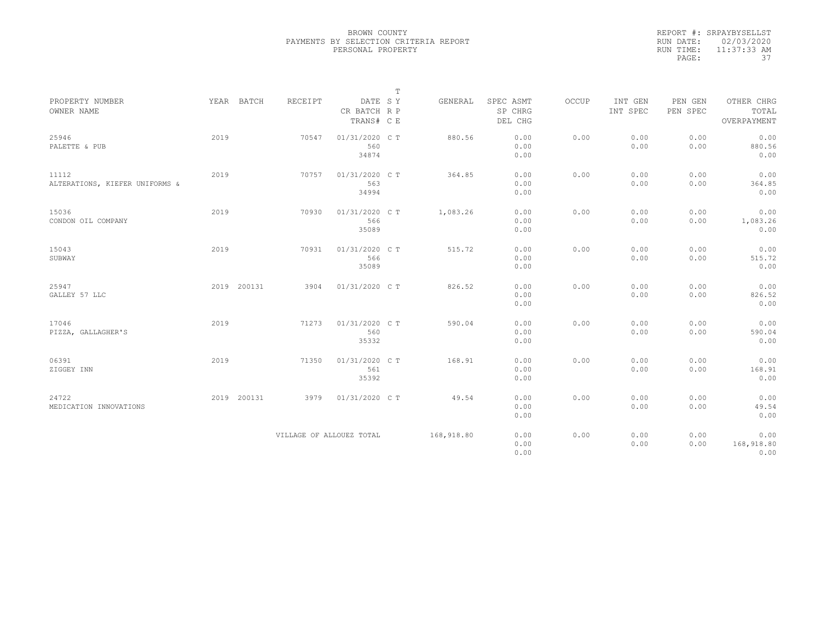|           | REPORT #: SRPAYBYSELLST |
|-----------|-------------------------|
|           | RUN DATE: 02/03/2020    |
| RUN TIME: | $11:37:33$ AM           |
| PAGE:     | -37                     |

|                                         |      |             |                          |                                       | $\mathbb{T}$ |            |                                 |       |                     |                     |                                    |
|-----------------------------------------|------|-------------|--------------------------|---------------------------------------|--------------|------------|---------------------------------|-------|---------------------|---------------------|------------------------------------|
| PROPERTY NUMBER<br>OWNER NAME           |      | YEAR BATCH  | RECEIPT                  | DATE SY<br>CR BATCH R P<br>TRANS# C E |              | GENERAL    | SPEC ASMT<br>SP CHRG<br>DEL CHG | OCCUP | INT GEN<br>INT SPEC | PEN GEN<br>PEN SPEC | OTHER CHRG<br>TOTAL<br>OVERPAYMENT |
| 25946<br>PALETTE & PUB                  | 2019 |             | 70547                    | 01/31/2020 C T<br>560<br>34874        |              | 880.56     | 0.00<br>0.00<br>0.00            | 0.00  | 0.00<br>0.00        | 0.00<br>0.00        | 0.00<br>880.56<br>0.00             |
| 11112<br>ALTERATIONS, KIEFER UNIFORMS & | 2019 |             | 70757                    | 01/31/2020 C T<br>563<br>34994        |              | 364.85     | 0.00<br>0.00<br>0.00            | 0.00  | 0.00<br>0.00        | 0.00<br>0.00        | 0.00<br>364.85<br>0.00             |
| 15036<br>CONDON OIL COMPANY             | 2019 |             | 70930                    | 01/31/2020 C T<br>566<br>35089        |              | 1,083.26   | 0.00<br>0.00<br>0.00            | 0.00  | 0.00<br>0.00        | 0.00<br>0.00        | 0.00<br>1,083.26<br>0.00           |
| 15043<br>SUBWAY                         | 2019 |             | 70931                    | 01/31/2020 C T<br>566<br>35089        |              | 515.72     | 0.00<br>0.00<br>0.00            | 0.00  | 0.00<br>0.00        | 0.00<br>0.00        | 0.00<br>515.72<br>0.00             |
| 25947<br>GALLEY 57 LLC                  |      | 2019 200131 | 3904                     | 01/31/2020 C T                        |              | 826.52     | 0.00<br>0.00<br>0.00            | 0.00  | 0.00<br>0.00        | 0.00<br>0.00        | 0.00<br>826.52<br>0.00             |
| 17046<br>PIZZA, GALLAGHER'S             | 2019 |             | 71273                    | 01/31/2020 C T<br>560<br>35332        |              | 590.04     | 0.00<br>0.00<br>0.00            | 0.00  | 0.00<br>0.00        | 0.00<br>0.00        | 0.00<br>590.04<br>0.00             |
| 06391<br>ZIGGEY INN                     | 2019 |             | 71350                    | 01/31/2020 C T<br>561<br>35392        |              | 168.91     | 0.00<br>0.00<br>0.00            | 0.00  | 0.00<br>0.00        | 0.00<br>0.00        | 0.00<br>168.91<br>0.00             |
| 24722<br>MEDICATION INNOVATIONS         |      | 2019 200131 | 3979                     | 01/31/2020 C T                        |              | 49.54      | 0.00<br>0.00<br>0.00            | 0.00  | 0.00<br>0.00        | 0.00<br>0.00        | 0.00<br>49.54<br>0.00              |
|                                         |      |             | VILLAGE OF ALLOUEZ TOTAL |                                       |              | 168,918.80 | 0.00<br>0.00<br>0.00            | 0.00  | 0.00<br>0.00        | 0.00<br>0.00        | 0.00<br>168,918.80<br>0.00         |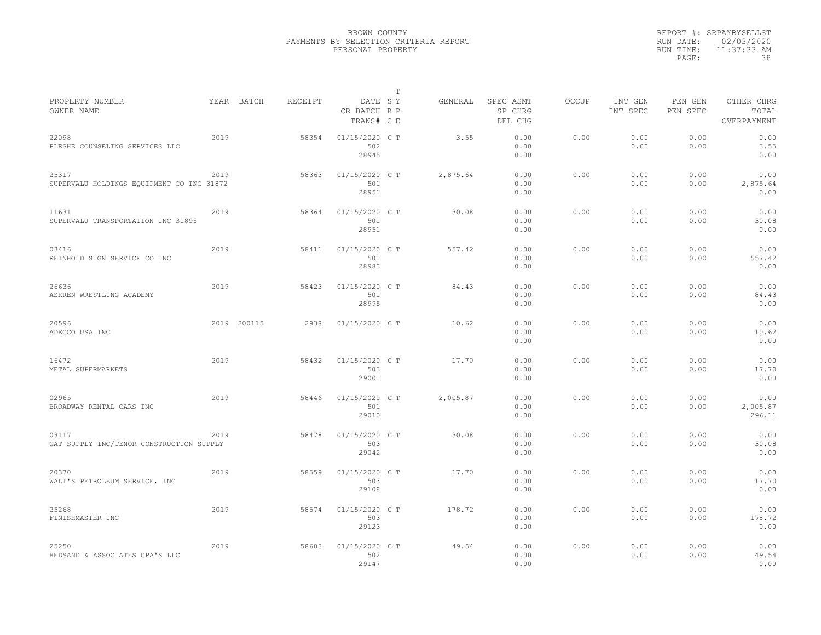|           | REPORT #: SRPAYBYSELLST |
|-----------|-------------------------|
|           | RUN DATE: 02/03/2020    |
| RUN TIME: | $11:37:33$ AM           |
| PAGE:     | 38                      |

|                                                    |      |             |         |                                       | T |          |                                 |              |                     |                     |                                    |
|----------------------------------------------------|------|-------------|---------|---------------------------------------|---|----------|---------------------------------|--------------|---------------------|---------------------|------------------------------------|
| PROPERTY NUMBER<br>OWNER NAME                      |      | YEAR BATCH  | RECEIPT | DATE SY<br>CR BATCH R P<br>TRANS# C E |   | GENERAL  | SPEC ASMT<br>SP CHRG<br>DEL CHG | <b>OCCUP</b> | INT GEN<br>INT SPEC | PEN GEN<br>PEN SPEC | OTHER CHRG<br>TOTAL<br>OVERPAYMENT |
| 22098<br>PLESHE COUNSELING SERVICES LLC            | 2019 |             | 58354   | 01/15/2020 C T<br>502<br>28945        |   | 3.55     | 0.00<br>0.00<br>0.00            | 0.00         | 0.00<br>0.00        | 0.00<br>0.00        | 0.00<br>3.55<br>0.00               |
| 25317<br>SUPERVALU HOLDINGS EQUIPMENT CO INC 31872 | 2019 |             | 58363   | 01/15/2020 C T<br>501<br>28951        |   | 2,875.64 | 0.00<br>0.00<br>0.00            | 0.00         | 0.00<br>0.00        | 0.00<br>0.00        | 0.00<br>2,875.64<br>0.00           |
| 11631<br>SUPERVALU TRANSPORTATION INC 31895        | 2019 |             | 58364   | 01/15/2020 C T<br>501<br>28951        |   | 30.08    | 0.00<br>0.00<br>0.00            | 0.00         | 0.00<br>0.00        | 0.00<br>0.00        | 0.00<br>30.08<br>0.00              |
| 03416<br>REINHOLD SIGN SERVICE CO INC              | 2019 |             | 58411   | 01/15/2020 C T<br>501<br>28983        |   | 557.42   | 0.00<br>0.00<br>0.00            | 0.00         | 0.00<br>0.00        | 0.00<br>0.00        | 0.00<br>557.42<br>0.00             |
| 26636<br>ASKREN WRESTLING ACADEMY                  | 2019 |             | 58423   | 01/15/2020 C T<br>501<br>28995        |   | 84.43    | 0.00<br>0.00<br>0.00            | 0.00         | 0.00<br>0.00        | 0.00<br>0.00        | 0.00<br>84.43<br>0.00              |
| 20596<br>ADECCO USA INC                            |      | 2019 200115 | 2938    | 01/15/2020 C T                        |   | 10.62    | 0.00<br>0.00<br>0.00            | 0.00         | 0.00<br>0.00        | 0.00<br>0.00        | 0.00<br>10.62<br>0.00              |
| 16472<br>METAL SUPERMARKETS                        | 2019 |             | 58432   | 01/15/2020 CT<br>503<br>29001         |   | 17.70    | 0.00<br>0.00<br>0.00            | 0.00         | 0.00<br>0.00        | 0.00<br>0.00        | 0.00<br>17.70<br>0.00              |
| 02965<br>BROADWAY RENTAL CARS INC                  | 2019 |             | 58446   | 01/15/2020 C T<br>501<br>29010        |   | 2,005.87 | 0.00<br>0.00<br>0.00            | 0.00         | 0.00<br>0.00        | 0.00<br>0.00        | 0.00<br>2,005.87<br>296.11         |
| 03117<br>GAT SUPPLY INC/TENOR CONSTRUCTION SUPPLY  | 2019 |             | 58478   | 01/15/2020 C T<br>503<br>29042        |   | 30.08    | 0.00<br>0.00<br>0.00            | 0.00         | 0.00<br>0.00        | 0.00<br>0.00        | 0.00<br>30.08<br>0.00              |
| 20370<br>WALT'S PETROLEUM SERVICE, INC             | 2019 |             | 58559   | 01/15/2020 C T<br>503<br>29108        |   | 17.70    | 0.00<br>0.00<br>0.00            | 0.00         | 0.00<br>0.00        | 0.00<br>0.00        | 0.00<br>17.70<br>0.00              |
| 25268<br>FINISHMASTER INC                          | 2019 |             | 58574   | 01/15/2020 C T<br>503<br>29123        |   | 178.72   | 0.00<br>0.00<br>0.00            | 0.00         | 0.00<br>0.00        | 0.00<br>0.00        | 0.00<br>178.72<br>0.00             |
| 25250<br>HEDSAND & ASSOCIATES CPA'S LLC            | 2019 |             | 58603   | 01/15/2020 C T<br>502<br>29147        |   | 49.54    | 0.00<br>0.00<br>0.00            | 0.00         | 0.00<br>0.00        | 0.00<br>0.00        | 0.00<br>49.54<br>0.00              |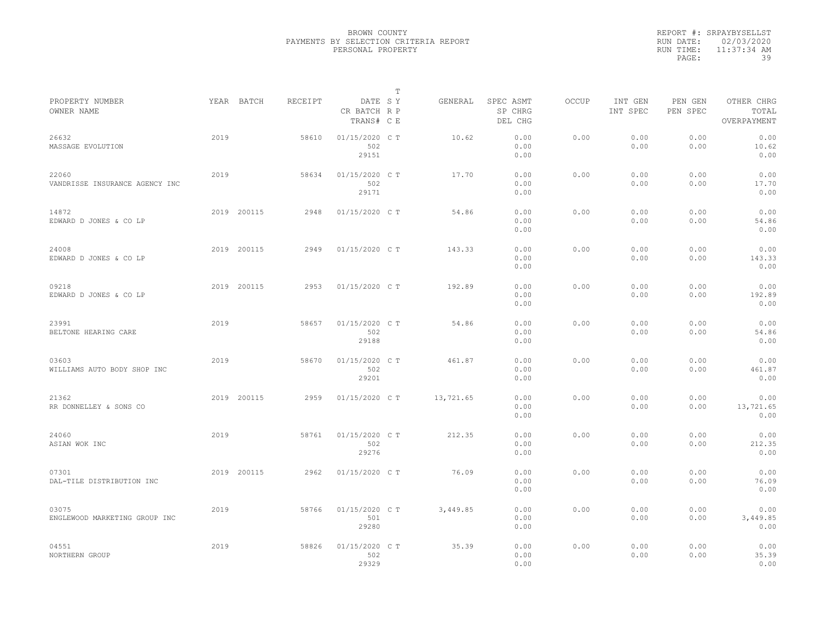|           | REPORT #: SRPAYBYSELLST |
|-----------|-------------------------|
|           | RUN DATE: 02/03/2020    |
| RUN TIME: | $11:37:34$ AM           |
| PAGE:     | 39                      |

|                                         |      |             |         |                                       | т |           |                                 |       |                     |                     |                                    |  |
|-----------------------------------------|------|-------------|---------|---------------------------------------|---|-----------|---------------------------------|-------|---------------------|---------------------|------------------------------------|--|
| PROPERTY NUMBER<br>OWNER NAME           |      | YEAR BATCH  | RECEIPT | DATE SY<br>CR BATCH R P<br>TRANS# C E |   | GENERAL   | SPEC ASMT<br>SP CHRG<br>DEL CHG | OCCUP | INT GEN<br>INT SPEC | PEN GEN<br>PEN SPEC | OTHER CHRG<br>TOTAL<br>OVERPAYMENT |  |
| 26632<br>MASSAGE EVOLUTION              | 2019 |             | 58610   | 01/15/2020 C T<br>502<br>29151        |   | 10.62     | 0.00<br>0.00<br>0.00            | 0.00  | 0.00<br>0.00        | 0.00<br>0.00        | 0.00<br>10.62<br>0.00              |  |
| 22060<br>VANDRISSE INSURANCE AGENCY INC | 2019 |             | 58634   | 01/15/2020 C T<br>502<br>29171        |   | 17.70     | 0.00<br>0.00<br>0.00            | 0.00  | 0.00<br>0.00        | 0.00<br>0.00        | 0.00<br>17.70<br>0.00              |  |
| 14872<br>EDWARD D JONES & CO LP         |      | 2019 200115 | 2948    | 01/15/2020 C T                        |   | 54.86     | 0.00<br>0.00<br>0.00            | 0.00  | 0.00<br>0.00        | 0.00<br>0.00        | 0.00<br>54.86<br>0.00              |  |
| 24008<br>EDWARD D JONES & CO LP         |      | 2019 200115 | 2949    | 01/15/2020 C T                        |   | 143.33    | 0.00<br>0.00<br>0.00            | 0.00  | 0.00<br>0.00        | 0.00<br>0.00        | 0.00<br>143.33<br>0.00             |  |
| 09218<br>EDWARD D JONES & CO LP         |      | 2019 200115 | 2953    | 01/15/2020 C T                        |   | 192.89    | 0.00<br>0.00<br>0.00            | 0.00  | 0.00<br>0.00        | 0.00<br>0.00        | 0.00<br>192.89<br>0.00             |  |
| 23991<br>BELTONE HEARING CARE           | 2019 |             | 58657   | 01/15/2020 C T<br>502<br>29188        |   | 54.86     | 0.00<br>0.00<br>0.00            | 0.00  | 0.00<br>0.00        | 0.00<br>0.00        | 0.00<br>54.86<br>0.00              |  |
| 03603<br>WILLIAMS AUTO BODY SHOP INC    | 2019 |             | 58670   | 01/15/2020 C T<br>502<br>29201        |   | 461.87    | 0.00<br>0.00<br>0.00            | 0.00  | 0.00<br>0.00        | 0.00<br>0.00        | 0.00<br>461.87<br>0.00             |  |
| 21362<br>RR DONNELLEY & SONS CO         |      | 2019 200115 | 2959    | 01/15/2020 C T                        |   | 13,721.65 | 0.00<br>0.00<br>0.00            | 0.00  | 0.00<br>0.00        | 0.00<br>0.00        | 0.00<br>13,721.65<br>0.00          |  |
| 24060<br>ASIAN WOK INC                  | 2019 |             | 58761   | 01/15/2020 C T<br>502<br>29276        |   | 212.35    | 0.00<br>0.00<br>0.00            | 0.00  | 0.00<br>0.00        | 0.00<br>0.00        | 0.00<br>212.35<br>0.00             |  |
| 07301<br>DAL-TILE DISTRIBUTION INC      |      | 2019 200115 | 2962    | 01/15/2020 C T                        |   | 76.09     | 0.00<br>0.00<br>0.00            | 0.00  | 0.00<br>0.00        | 0.00<br>0.00        | 0.00<br>76.09<br>0.00              |  |
| 03075<br>ENGLEWOOD MARKETING GROUP INC  | 2019 |             | 58766   | 01/15/2020 C T<br>501<br>29280        |   | 3,449.85  | 0.00<br>0.00<br>0.00            | 0.00  | 0.00<br>0.00        | 0.00<br>0.00        | 0.00<br>3,449.85<br>0.00           |  |
| 04551<br>NORTHERN GROUP                 | 2019 |             | 58826   | 01/15/2020 C T<br>502<br>29329        |   | 35.39     | 0.00<br>0.00<br>0.00            | 0.00  | 0.00<br>0.00        | 0.00<br>0.00        | 0.00<br>35.39<br>0.00              |  |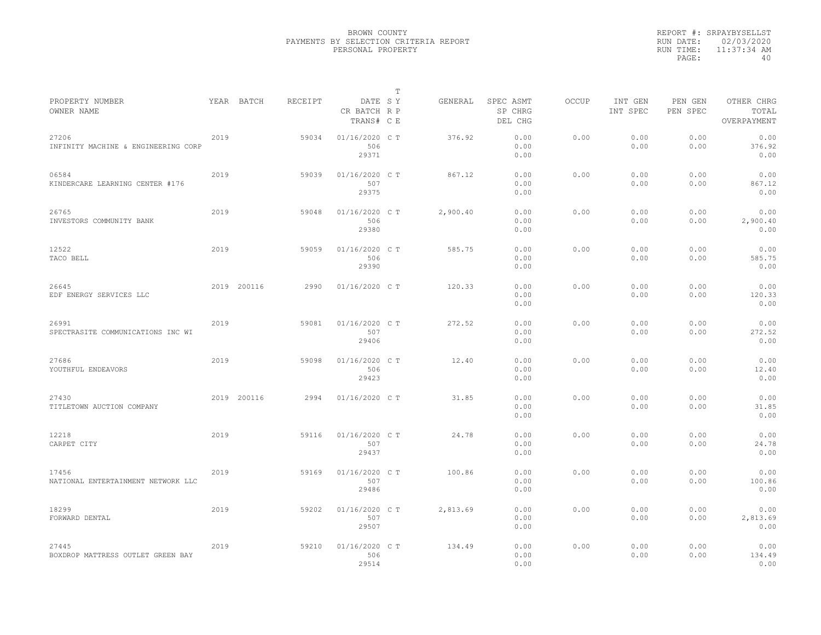|           | REPORT #: SRPAYBYSELLST |
|-----------|-------------------------|
|           | RUN DATE: 02/03/2020    |
| RUN TIME: | 11:37:34 AM             |
| PAGE:     | 40                      |

|                                              |      |             |         |                                       | T |          |                                 |              |                     |                     |                                    |  |
|----------------------------------------------|------|-------------|---------|---------------------------------------|---|----------|---------------------------------|--------------|---------------------|---------------------|------------------------------------|--|
| PROPERTY NUMBER<br>OWNER NAME                |      | YEAR BATCH  | RECEIPT | DATE SY<br>CR BATCH R P<br>TRANS# C E |   | GENERAL  | SPEC ASMT<br>SP CHRG<br>DEL CHG | <b>OCCUP</b> | INT GEN<br>INT SPEC | PEN GEN<br>PEN SPEC | OTHER CHRG<br>TOTAL<br>OVERPAYMENT |  |
| 27206<br>INFINITY MACHINE & ENGINEERING CORP | 2019 |             | 59034   | 01/16/2020 C T<br>506<br>29371        |   | 376.92   | 0.00<br>0.00<br>0.00            | 0.00         | 0.00<br>0.00        | 0.00<br>0.00        | 0.00<br>376.92<br>0.00             |  |
| 06584<br>KINDERCARE LEARNING CENTER #176     | 2019 |             | 59039   | 01/16/2020 C T<br>507<br>29375        |   | 867.12   | 0.00<br>0.00<br>0.00            | 0.00         | 0.00<br>0.00        | 0.00<br>0.00        | 0.00<br>867.12<br>0.00             |  |
| 26765<br>INVESTORS COMMUNITY BANK            | 2019 |             | 59048   | 01/16/2020 C T<br>506<br>29380        |   | 2,900.40 | 0.00<br>0.00<br>0.00            | 0.00         | 0.00<br>0.00        | 0.00<br>0.00        | 0.00<br>2,900.40<br>0.00           |  |
| 12522<br>TACO BELL                           | 2019 |             | 59059   | 01/16/2020 C T<br>506<br>29390        |   | 585.75   | 0.00<br>0.00<br>0.00            | 0.00         | 0.00<br>0.00        | 0.00<br>0.00        | 0.00<br>585.75<br>0.00             |  |
| 26645<br>EDF ENERGY SERVICES LLC             |      | 2019 200116 | 2990    | 01/16/2020 C T                        |   | 120.33   | 0.00<br>0.00<br>0.00            | 0.00         | 0.00<br>0.00        | 0.00<br>0.00        | 0.00<br>120.33<br>0.00             |  |
| 26991<br>SPECTRASITE COMMUNICATIONS INC WI   | 2019 |             | 59081   | 01/16/2020 C T<br>507<br>29406        |   | 272.52   | 0.00<br>0.00<br>0.00            | 0.00         | 0.00<br>0.00        | 0.00<br>0.00        | 0.00<br>272.52<br>0.00             |  |
| 27686<br>YOUTHFUL ENDEAVORS                  | 2019 |             | 59098   | 01/16/2020 C T<br>506<br>29423        |   | 12.40    | 0.00<br>0.00<br>0.00            | 0.00         | 0.00<br>0.00        | 0.00<br>0.00        | 0.00<br>12.40<br>0.00              |  |
| 27430<br>TITLETOWN AUCTION COMPANY           |      | 2019 200116 | 2994    | 01/16/2020 C T                        |   | 31.85    | 0.00<br>0.00<br>0.00            | 0.00         | 0.00<br>0.00        | 0.00<br>0.00        | 0.00<br>31.85<br>0.00              |  |
| 12218<br>CARPET CITY                         | 2019 |             | 59116   | 01/16/2020 C T<br>507<br>29437        |   | 24.78    | 0.00<br>0.00<br>0.00            | 0.00         | 0.00<br>0.00        | 0.00<br>0.00        | 0.00<br>24.78<br>0.00              |  |
| 17456<br>NATIONAL ENTERTAINMENT NETWORK LLC  | 2019 |             | 59169   | 01/16/2020 C T<br>507<br>29486        |   | 100.86   | 0.00<br>0.00<br>0.00            | 0.00         | 0.00<br>0.00        | 0.00<br>0.00        | 0.00<br>100.86<br>0.00             |  |
| 18299<br>FORWARD DENTAL                      | 2019 |             | 59202   | 01/16/2020 C T<br>507<br>29507        |   | 2,813.69 | 0.00<br>0.00<br>0.00            | 0.00         | 0.00<br>0.00        | 0.00<br>0.00        | 0.00<br>2,813.69<br>0.00           |  |
| 27445<br>BOXDROP MATTRESS OUTLET GREEN BAY   | 2019 |             | 59210   | 01/16/2020 C T<br>506<br>29514        |   | 134.49   | 0.00<br>0.00<br>0.00            | 0.00         | 0.00<br>0.00        | 0.00<br>0.00        | 0.00<br>134.49<br>0.00             |  |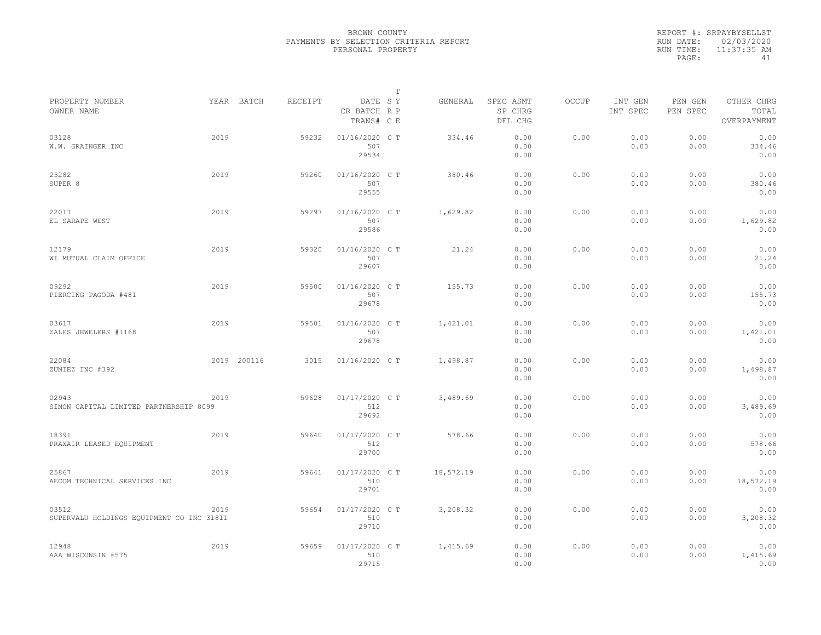|           | REPORT #: SRPAYBYSELLST |
|-----------|-------------------------|
|           | RUN DATE: 02/03/2020    |
| RUN TIME: | 11:37:35 AM             |
| PAGE:     | 41                      |

|                                                    |      |             |         |                                       | Т |           |                                 |       |                     |                     |                                    |  |
|----------------------------------------------------|------|-------------|---------|---------------------------------------|---|-----------|---------------------------------|-------|---------------------|---------------------|------------------------------------|--|
| PROPERTY NUMBER<br>OWNER NAME                      |      | YEAR BATCH  | RECEIPT | DATE SY<br>CR BATCH R P<br>TRANS# C E |   | GENERAL   | SPEC ASMT<br>SP CHRG<br>DEL CHG | OCCUP | INT GEN<br>INT SPEC | PEN GEN<br>PEN SPEC | OTHER CHRG<br>TOTAL<br>OVERPAYMENT |  |
| 03128<br>W.W. GRAINGER INC                         | 2019 |             | 59232   | 01/16/2020 C T<br>507<br>29534        |   | 334.46    | 0.00<br>0.00<br>0.00            | 0.00  | 0.00<br>0.00        | 0.00<br>0.00        | 0.00<br>334.46<br>0.00             |  |
| 25282<br>SUPER 8                                   | 2019 |             | 59260   | 01/16/2020 C T<br>507<br>29555        |   | 380.46    | 0.00<br>0.00<br>0.00            | 0.00  | 0.00<br>0.00        | 0.00<br>0.00        | 0.00<br>380.46<br>0.00             |  |
| 22017<br>EL SARAPE WEST                            | 2019 |             | 59297   | 01/16/2020 C T<br>507<br>29586        |   | 1,629.82  | 0.00<br>0.00<br>0.00            | 0.00  | 0.00<br>0.00        | 0.00<br>0.00        | 0.00<br>1,629.82<br>0.00           |  |
| 12179<br>WI MUTUAL CLAIM OFFICE                    | 2019 |             | 59320   | 01/16/2020 C T<br>507<br>29607        |   | 21.24     | 0.00<br>0.00<br>0.00            | 0.00  | 0.00<br>0.00        | 0.00<br>0.00        | 0.00<br>21.24<br>0.00              |  |
| 09292<br>PIERCING PAGODA #481                      | 2019 |             | 59500   | 01/16/2020 C T<br>507<br>29678        |   | 155.73    | 0.00<br>0.00<br>0.00            | 0.00  | 0.00<br>0.00        | 0.00<br>0.00        | 0.00<br>155.73<br>0.00             |  |
| 03617<br>ZALES JEWELERS #1168                      | 2019 |             | 59501   | 01/16/2020 C T<br>507<br>29678        |   | 1,421.01  | 0.00<br>0.00<br>0.00            | 0.00  | 0.00<br>0.00        | 0.00<br>0.00        | 0.00<br>1,421.01<br>0.00           |  |
| 22084<br>ZUMIEZ INC #392                           |      | 2019 200116 | 3015    | 01/16/2020 C T                        |   | 1,498.87  | 0.00<br>0.00<br>0.00            | 0.00  | 0.00<br>0.00        | 0.00<br>0.00        | 0.00<br>1,498.87<br>0.00           |  |
| 02943<br>SIMON CAPITAL LIMITED PARTNERSHIP 8099    | 2019 |             | 59628   | 01/17/2020 C T<br>512<br>29692        |   | 3,489.69  | 0.00<br>0.00<br>0.00            | 0.00  | 0.00<br>0.00        | 0.00<br>0.00        | 0.00<br>3,489.69<br>0.00           |  |
| 18391<br>PRAXAIR LEASED EQUIPMENT                  | 2019 |             | 59640   | 01/17/2020 C T<br>512<br>29700        |   | 578.66    | 0.00<br>0.00<br>0.00            | 0.00  | 0.00<br>0.00        | 0.00<br>0.00        | 0.00<br>578.66<br>0.00             |  |
| 25867<br>AECOM TECHNICAL SERVICES INC              | 2019 |             | 59641   | 01/17/2020 C T<br>510<br>29701        |   | 18,572.19 | 0.00<br>0.00<br>0.00            | 0.00  | 0.00<br>0.00        | 0.00<br>0.00        | 0.00<br>18,572.19<br>0.00          |  |
| 03512<br>SUPERVALU HOLDINGS EQUIPMENT CO INC 31811 | 2019 |             | 59654   | 01/17/2020 C T<br>510<br>29710        |   | 3,208.32  | 0.00<br>0.00<br>0.00            | 0.00  | 0.00<br>0.00        | 0.00<br>0.00        | 0.00<br>3,208.32<br>0.00           |  |
| 12948<br>AAA WISCONSIN #575                        | 2019 |             | 59659   | 01/17/2020 C T<br>510<br>29715        |   | 1,415.69  | 0.00<br>0.00<br>0.00            | 0.00  | 0.00<br>0.00        | 0.00<br>0.00        | 0.00<br>1,415.69<br>0.00           |  |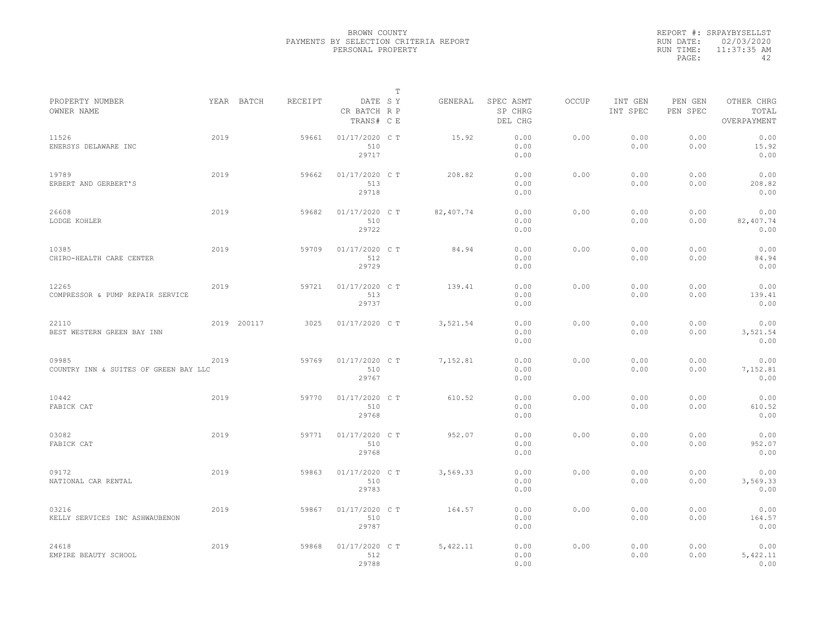|           | REPORT #: SRPAYBYSELLST |
|-----------|-------------------------|
|           | RUN DATE: 02/03/2020    |
| RUN TIME: | $11:37:35$ AM           |
| PAGE:     | ΔΩ                      |

|                                                |      |             |         |                                       | т |           |                                 |       |                     |                     |                                    |  |
|------------------------------------------------|------|-------------|---------|---------------------------------------|---|-----------|---------------------------------|-------|---------------------|---------------------|------------------------------------|--|
| PROPERTY NUMBER<br>OWNER NAME                  |      | YEAR BATCH  | RECEIPT | DATE SY<br>CR BATCH R P<br>TRANS# C E |   | GENERAL   | SPEC ASMT<br>SP CHRG<br>DEL CHG | OCCUP | INT GEN<br>INT SPEC | PEN GEN<br>PEN SPEC | OTHER CHRG<br>TOTAL<br>OVERPAYMENT |  |
| 11526<br>ENERSYS DELAWARE INC                  | 2019 |             | 59661   | 01/17/2020 C T<br>510<br>29717        |   | 15.92     | 0.00<br>0.00<br>0.00            | 0.00  | 0.00<br>0.00        | 0.00<br>0.00        | 0.00<br>15.92<br>0.00              |  |
| 19789<br>ERBERT AND GERBERT'S                  | 2019 |             | 59662   | 01/17/2020 C T<br>513<br>29718        |   | 208.82    | 0.00<br>0.00<br>0.00            | 0.00  | 0.00<br>0.00        | 0.00<br>0.00        | 0.00<br>208.82<br>0.00             |  |
| 26608<br>LODGE KOHLER                          | 2019 |             | 59682   | 01/17/2020 C T<br>510<br>29722        |   | 82,407.74 | 0.00<br>0.00<br>0.00            | 0.00  | 0.00<br>0.00        | 0.00<br>0.00        | 0.00<br>82,407.74<br>0.00          |  |
| 10385<br>CHIRO-HEALTH CARE CENTER              | 2019 |             | 59709   | 01/17/2020 C T<br>512<br>29729        |   | 84.94     | 0.00<br>0.00<br>0.00            | 0.00  | 0.00<br>0.00        | 0.00<br>0.00        | 0.00<br>84.94<br>0.00              |  |
| 12265<br>COMPRESSOR & PUMP REPAIR SERVICE      | 2019 |             | 59721   | 01/17/2020 C T<br>513<br>29737        |   | 139.41    | 0.00<br>0.00<br>0.00            | 0.00  | 0.00<br>0.00        | 0.00<br>0.00        | 0.00<br>139.41<br>0.00             |  |
| 22110<br>BEST WESTERN GREEN BAY INN            |      | 2019 200117 | 3025    | 01/17/2020 C T                        |   | 3,521.54  | 0.00<br>0.00<br>0.00            | 0.00  | 0.00<br>0.00        | 0.00<br>0.00        | 0.00<br>3,521.54<br>0.00           |  |
| 09985<br>COUNTRY INN & SUITES OF GREEN BAY LLC | 2019 |             | 59769   | 01/17/2020 C T<br>510<br>29767        |   | 7,152.81  | 0.00<br>0.00<br>0.00            | 0.00  | 0.00<br>0.00        | 0.00<br>0.00        | 0.00<br>7,152.81<br>0.00           |  |
| 10442<br>FABICK CAT                            | 2019 |             | 59770   | 01/17/2020 C T<br>510<br>29768        |   | 610.52    | 0.00<br>0.00<br>0.00            | 0.00  | 0.00<br>0.00        | 0.00<br>0.00        | 0.00<br>610.52<br>0.00             |  |
| 03082<br>FABICK CAT                            | 2019 |             | 59771   | 01/17/2020 C T<br>510<br>29768        |   | 952.07    | 0.00<br>0.00<br>0.00            | 0.00  | 0.00<br>0.00        | 0.00<br>0.00        | 0.00<br>952.07<br>0.00             |  |
| 09172<br>NATIONAL CAR RENTAL                   | 2019 |             | 59863   | 01/17/2020 C T<br>510<br>29783        |   | 3,569.33  | 0.00<br>0.00<br>0.00            | 0.00  | 0.00<br>0.00        | 0.00<br>0.00        | 0.00<br>3,569.33<br>0.00           |  |
| 03216<br>KELLY SERVICES INC ASHWAUBENON        | 2019 |             | 59867   | 01/17/2020 C T<br>510<br>29787        |   | 164.57    | 0.00<br>0.00<br>0.00            | 0.00  | 0.00<br>0.00        | 0.00<br>0.00        | 0.00<br>164.57<br>0.00             |  |
| 24618<br>EMPIRE BEAUTY SCHOOL                  | 2019 |             | 59868   | 01/17/2020 C T<br>512<br>29788        |   | 5,422.11  | 0.00<br>0.00<br>0.00            | 0.00  | 0.00<br>0.00        | 0.00<br>0.00        | 0.00<br>5,422.11<br>0.00           |  |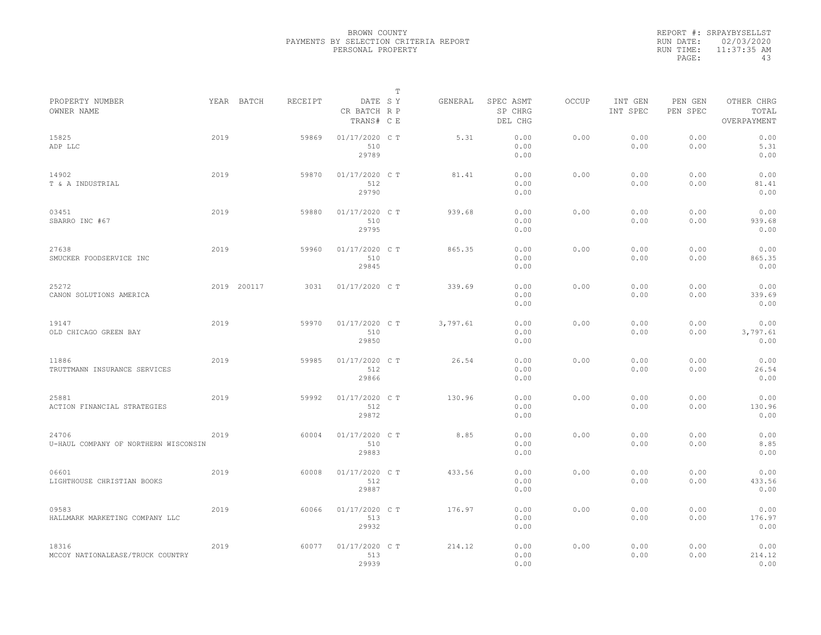|                                               |      |             |         |                                       | T |          |                                 |              |                     |                     |                                    |
|-----------------------------------------------|------|-------------|---------|---------------------------------------|---|----------|---------------------------------|--------------|---------------------|---------------------|------------------------------------|
| PROPERTY NUMBER<br>OWNER NAME                 |      | YEAR BATCH  | RECEIPT | DATE SY<br>CR BATCH R P<br>TRANS# C E |   | GENERAL  | SPEC ASMT<br>SP CHRG<br>DEL CHG | <b>OCCUP</b> | INT GEN<br>INT SPEC | PEN GEN<br>PEN SPEC | OTHER CHRG<br>TOTAL<br>OVERPAYMENT |
| 15825<br>ADP LLC                              | 2019 |             | 59869   | 01/17/2020 C T<br>510<br>29789        |   | 5.31     | 0.00<br>0.00<br>0.00            | 0.00         | 0.00<br>0.00        | 0.00<br>0.00        | 0.00<br>5.31<br>0.00               |
| 14902<br>T & A INDUSTRIAL                     | 2019 |             | 59870   | 01/17/2020 C T<br>512<br>29790        |   | 81.41    | 0.00<br>0.00<br>0.00            | 0.00         | 0.00<br>0.00        | 0.00<br>0.00        | 0.00<br>81.41<br>0.00              |
| 03451<br>SBARRO INC #67                       | 2019 |             | 59880   | 01/17/2020 C T<br>510<br>29795        |   | 939.68   | 0.00<br>0.00<br>0.00            | 0.00         | 0.00<br>0.00        | 0.00<br>0.00        | 0.00<br>939.68<br>0.00             |
| 27638<br>SMUCKER FOODSERVICE INC              | 2019 |             | 59960   | 01/17/2020 C T<br>510<br>29845        |   | 865.35   | 0.00<br>0.00<br>0.00            | 0.00         | 0.00<br>0.00        | 0.00<br>0.00        | 0.00<br>865.35<br>0.00             |
| 25272<br>CANON SOLUTIONS AMERICA              |      | 2019 200117 | 3031    | 01/17/2020 C T                        |   | 339.69   | 0.00<br>0.00<br>0.00            | 0.00         | 0.00<br>0.00        | 0.00<br>0.00        | 0.00<br>339.69<br>0.00             |
| 19147<br>OLD CHICAGO GREEN BAY                | 2019 |             | 59970   | 01/17/2020 C T<br>510<br>29850        |   | 3,797.61 | 0.00<br>0.00<br>0.00            | 0.00         | 0.00<br>0.00        | 0.00<br>0.00        | 0.00<br>3,797.61<br>0.00           |
| 11886<br>TRUTTMANN INSURANCE SERVICES         | 2019 |             | 59985   | 01/17/2020 C T<br>512<br>29866        |   | 26.54    | 0.00<br>0.00<br>0.00            | 0.00         | 0.00<br>0.00        | 0.00<br>0.00        | 0.00<br>26.54<br>0.00              |
| 25881<br>ACTION FINANCIAL STRATEGIES          | 2019 |             | 59992   | 01/17/2020 C T<br>512<br>29872        |   | 130.96   | 0.00<br>0.00<br>0.00            | 0.00         | 0.00<br>0.00        | 0.00<br>0.00        | 0.00<br>130.96<br>0.00             |
| 24706<br>U-HAUL COMPANY OF NORTHERN WISCONSIN | 2019 |             | 60004   | 01/17/2020 C T<br>510<br>29883        |   | 8.85     | 0.00<br>0.00<br>0.00            | 0.00         | 0.00<br>0.00        | 0.00<br>0.00        | 0.00<br>8.85<br>0.00               |
| 06601<br>LIGHTHOUSE CHRISTIAN BOOKS           | 2019 |             | 60008   | 01/17/2020 C T<br>512<br>29887        |   | 433.56   | 0.00<br>0.00<br>0.00            | 0.00         | 0.00<br>0.00        | 0.00<br>0.00        | 0.00<br>433.56<br>0.00             |
| 09583<br>HALLMARK MARKETING COMPANY LLC       | 2019 |             | 60066   | 01/17/2020 C T<br>513<br>29932        |   | 176.97   | 0.00<br>0.00<br>0.00            | 0.00         | 0.00<br>0.00        | 0.00<br>0.00        | 0.00<br>176.97<br>0.00             |
| 18316<br>MCCOY NATIONALEASE/TRUCK COUNTRY     | 2019 |             | 60077   | 01/17/2020 C T<br>513<br>29939        |   | 214.12   | 0.00<br>0.00<br>0.00            | 0.00         | 0.00<br>0.00        | 0.00<br>0.00        | 0.00<br>214.12<br>0.00             |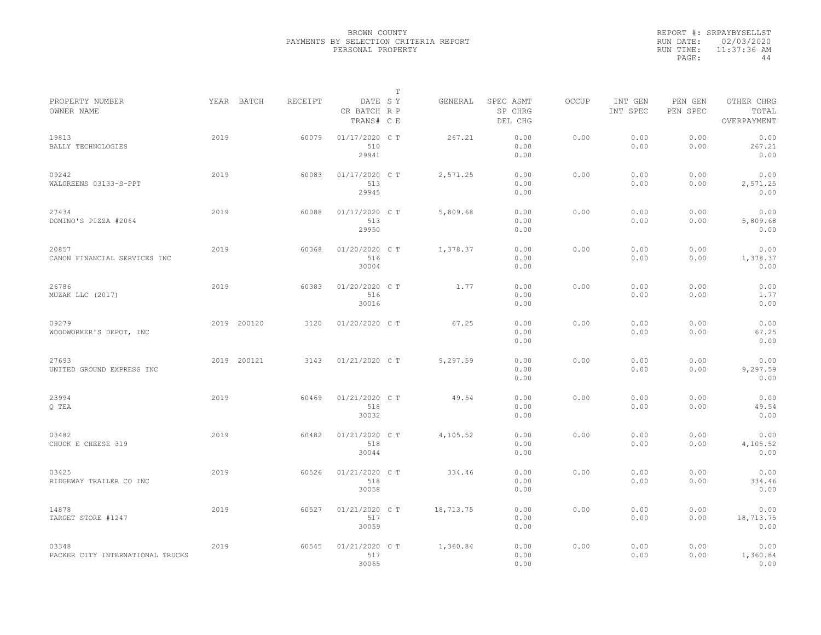|           | REPORT #: SRPAYBYSELLST |
|-----------|-------------------------|
|           | RUN DATE: 02/03/2020    |
| RUN TIME: | 11:37:36 AM             |
| PAGE:     | 44                      |

|                                           |      |             |         |                                       | т |           |                                 |       |                     |                     |                                    |  |
|-------------------------------------------|------|-------------|---------|---------------------------------------|---|-----------|---------------------------------|-------|---------------------|---------------------|------------------------------------|--|
| PROPERTY NUMBER<br>OWNER NAME             |      | YEAR BATCH  | RECEIPT | DATE SY<br>CR BATCH R P<br>TRANS# C E |   | GENERAL   | SPEC ASMT<br>SP CHRG<br>DEL CHG | OCCUP | INT GEN<br>INT SPEC | PEN GEN<br>PEN SPEC | OTHER CHRG<br>TOTAL<br>OVERPAYMENT |  |
| 19813<br>BALLY TECHNOLOGIES               | 2019 |             | 60079   | 01/17/2020 C T<br>510<br>29941        |   | 267.21    | 0.00<br>0.00<br>0.00            | 0.00  | 0.00<br>0.00        | 0.00<br>0.00        | 0.00<br>267.21<br>0.00             |  |
| 09242<br>WALGREENS 03133-S-PPT            | 2019 |             | 60083   | 01/17/2020 C T<br>513<br>29945        |   | 2,571.25  | 0.00<br>0.00<br>0.00            | 0.00  | 0.00<br>0.00        | 0.00<br>0.00        | 0.00<br>2,571.25<br>0.00           |  |
| 27434<br>DOMINO'S PIZZA #2064             | 2019 |             | 60088   | 01/17/2020 C T<br>513<br>29950        |   | 5,809.68  | 0.00<br>0.00<br>0.00            | 0.00  | 0.00<br>0.00        | 0.00<br>0.00        | 0.00<br>5,809.68<br>0.00           |  |
| 20857<br>CANON FINANCIAL SERVICES INC     | 2019 |             | 60368   | 01/20/2020 CT<br>516<br>30004         |   | 1,378.37  | 0.00<br>0.00<br>0.00            | 0.00  | 0.00<br>0.00        | 0.00<br>0.00        | 0.00<br>1,378.37<br>0.00           |  |
| 26786<br>MUZAK LLC (2017)                 | 2019 |             | 60383   | 01/20/2020 C T<br>516<br>30016        |   | 1.77      | 0.00<br>0.00<br>0.00            | 0.00  | 0.00<br>0.00        | 0.00<br>0.00        | 0.00<br>1.77<br>0.00               |  |
| 09279<br>WOODWORKER'S DEPOT, INC          |      | 2019 200120 | 3120    | 01/20/2020 C T                        |   | 67.25     | 0.00<br>0.00<br>0.00            | 0.00  | 0.00<br>0.00        | 0.00<br>0.00        | 0.00<br>67.25<br>0.00              |  |
| 27693<br>UNITED GROUND EXPRESS INC        |      | 2019 200121 | 3143    | 01/21/2020 C T                        |   | 9,297.59  | 0.00<br>0.00<br>0.00            | 0.00  | 0.00<br>0.00        | 0.00<br>0.00        | 0.00<br>9,297.59<br>0.00           |  |
| 23994<br>Q TEA                            | 2019 |             | 60469   | 01/21/2020 C T<br>518<br>30032        |   | 49.54     | 0.00<br>0.00<br>0.00            | 0.00  | 0.00<br>0.00        | 0.00<br>0.00        | 0.00<br>49.54<br>0.00              |  |
| 03482<br>CHUCK E CHEESE 319               | 2019 |             | 60482   | 01/21/2020 C T<br>518<br>30044        |   | 4,105.52  | 0.00<br>0.00<br>0.00            | 0.00  | 0.00<br>0.00        | 0.00<br>0.00        | 0.00<br>4,105.52<br>0.00           |  |
| 03425<br>RIDGEWAY TRAILER CO INC          | 2019 |             | 60526   | 01/21/2020 C T<br>518<br>30058        |   | 334.46    | 0.00<br>0.00<br>0.00            | 0.00  | 0.00<br>0.00        | 0.00<br>0.00        | 0.00<br>334.46<br>0.00             |  |
| 14878<br>TARGET STORE #1247               | 2019 |             | 60527   | 01/21/2020 C T<br>517<br>30059        |   | 18,713.75 | 0.00<br>0.00<br>0.00            | 0.00  | 0.00<br>0.00        | 0.00<br>0.00        | 0.00<br>18,713.75<br>0.00          |  |
| 03348<br>PACKER CITY INTERNATIONAL TRUCKS | 2019 |             | 60545   | 01/21/2020 C T<br>517<br>30065        |   | 1,360.84  | 0.00<br>0.00<br>0.00            | 0.00  | 0.00<br>0.00        | 0.00<br>0.00        | 0.00<br>1,360.84<br>0.00           |  |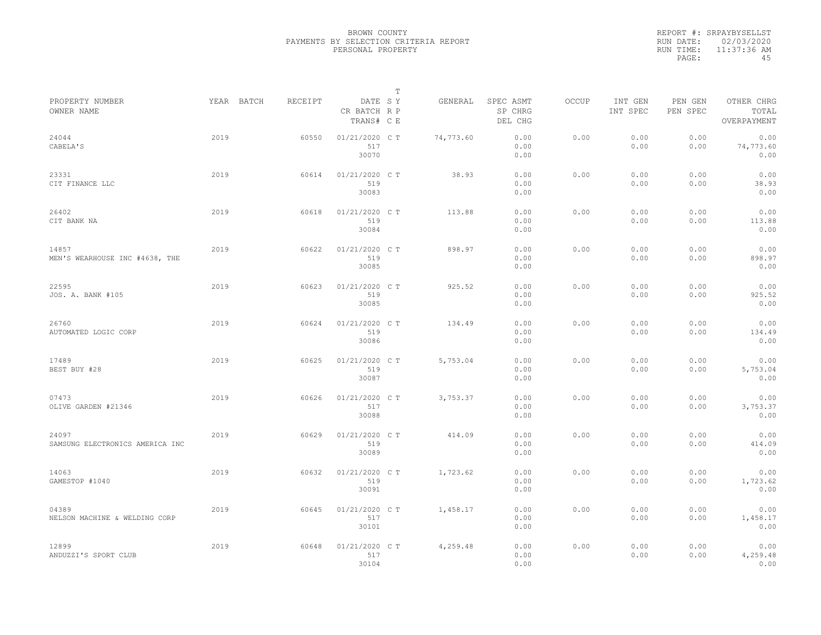|           | REPORT #: SRPAYBYSELLST |
|-----------|-------------------------|
|           | RUN DATE: 02/03/2020    |
| RUN TIME: | 11:37:36 AM             |
| PAGE:     | 45                      |

|                                          |      |            |         |                                       | $\mathbb T$ |           |                                 |              |                     |                     |                                    |
|------------------------------------------|------|------------|---------|---------------------------------------|-------------|-----------|---------------------------------|--------------|---------------------|---------------------|------------------------------------|
| PROPERTY NUMBER<br>OWNER NAME            |      | YEAR BATCH | RECEIPT | DATE SY<br>CR BATCH R P<br>TRANS# C E |             | GENERAL   | SPEC ASMT<br>SP CHRG<br>DEL CHG | <b>OCCUP</b> | INT GEN<br>INT SPEC | PEN GEN<br>PEN SPEC | OTHER CHRG<br>TOTAL<br>OVERPAYMENT |
| 24044<br>CABELA'S                        | 2019 |            | 60550   | 01/21/2020 C T<br>517<br>30070        |             | 74,773.60 | 0.00<br>0.00<br>0.00            | 0.00         | 0.00<br>0.00        | 0.00<br>0.00        | 0.00<br>74,773.60<br>0.00          |
| 23331<br>CIT FINANCE LLC                 | 2019 |            | 60614   | 01/21/2020 C T<br>519<br>30083        |             | 38.93     | 0.00<br>0.00<br>0.00            | 0.00         | 0.00<br>0.00        | 0.00<br>0.00        | 0.00<br>38.93<br>0.00              |
| 26402<br>CIT BANK NA                     | 2019 |            | 60618   | 01/21/2020 C T<br>519<br>30084        |             | 113.88    | 0.00<br>0.00<br>0.00            | 0.00         | 0.00<br>0.00        | 0.00<br>0.00        | 0.00<br>113.88<br>0.00             |
| 14857<br>MEN'S WEARHOUSE INC #4638, THE  | 2019 |            | 60622   | 01/21/2020 C T<br>519<br>30085        |             | 898.97    | 0.00<br>0.00<br>0.00            | 0.00         | 0.00<br>0.00        | 0.00<br>0.00        | 0.00<br>898.97<br>0.00             |
| 22595<br>JOS. A. BANK #105               | 2019 |            | 60623   | 01/21/2020 C T<br>519<br>30085        |             | 925.52    | 0.00<br>0.00<br>0.00            | 0.00         | 0.00<br>0.00        | 0.00<br>0.00        | 0.00<br>925.52<br>0.00             |
| 26760<br>AUTOMATED LOGIC CORP            | 2019 |            | 60624   | 01/21/2020 C T<br>519<br>30086        |             | 134.49    | 0.00<br>0.00<br>0.00            | 0.00         | 0.00<br>0.00        | 0.00<br>0.00        | 0.00<br>134.49<br>0.00             |
| 17489<br>BEST BUY #28                    | 2019 |            | 60625   | 01/21/2020 C T<br>519<br>30087        |             | 5,753.04  | 0.00<br>0.00<br>0.00            | 0.00         | 0.00<br>0.00        | 0.00<br>0.00        | 0.00<br>5,753.04<br>0.00           |
| 07473<br>OLIVE GARDEN #21346             | 2019 |            | 60626   | 01/21/2020 C T<br>517<br>30088        |             | 3,753.37  | 0.00<br>0.00<br>0.00            | 0.00         | 0.00<br>0.00        | 0.00<br>0.00        | 0.00<br>3,753.37<br>0.00           |
| 24097<br>SAMSUNG ELECTRONICS AMERICA INC | 2019 |            | 60629   | 01/21/2020 C T<br>519<br>30089        |             | 414.09    | 0.00<br>0.00<br>0.00            | 0.00         | 0.00<br>0.00        | 0.00<br>0.00        | 0.00<br>414.09<br>0.00             |
| 14063<br>GAMESTOP #1040                  | 2019 |            | 60632   | 01/21/2020 C T<br>519<br>30091        |             | 1,723.62  | 0.00<br>0.00<br>0.00            | 0.00         | 0.00<br>0.00        | 0.00<br>0.00        | 0.00<br>1,723.62<br>0.00           |
| 04389<br>NELSON MACHINE & WELDING CORP   | 2019 |            | 60645   | 01/21/2020 C T<br>517<br>30101        |             | 1,458.17  | 0.00<br>0.00<br>0.00            | 0.00         | 0.00<br>0.00        | 0.00<br>0.00        | 0.00<br>1,458.17<br>0.00           |
| 12899<br>ANDUZZI'S SPORT CLUB            | 2019 |            | 60648   | 01/21/2020 C T<br>517<br>30104        |             | 4,259.48  | 0.00<br>0.00<br>0.00            | 0.00         | 0.00<br>0.00        | 0.00<br>0.00        | 0.00<br>4,259.48<br>0.00           |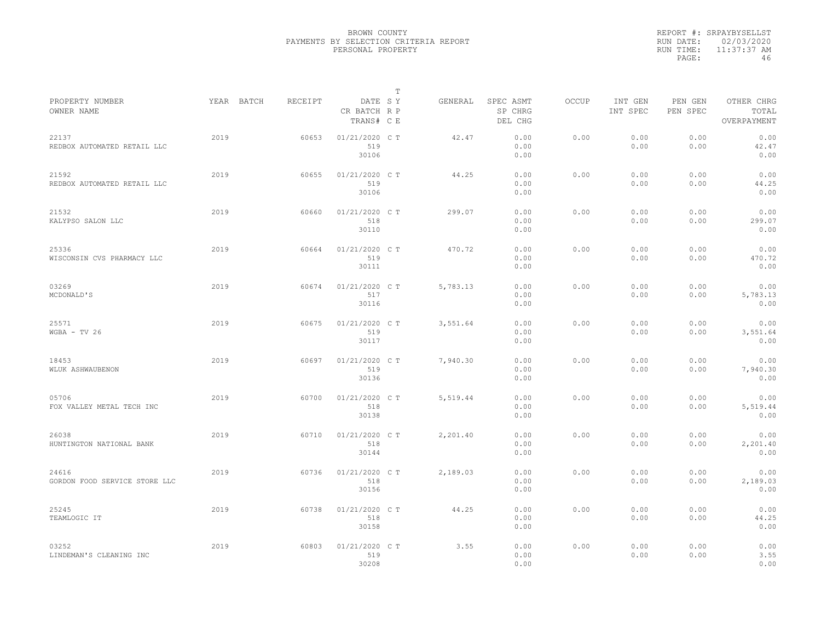|           | REPORT #: SRPAYBYSELLST |
|-----------|-------------------------|
|           | RUN DATE: 02/03/2020    |
| RUN TIME: | $11:37:37$ AM           |
| PAGE:     | 46                      |

|                                        |            |         |                                       | $\mathbb T$ |          |                                 |              |                     |                     |                                    |
|----------------------------------------|------------|---------|---------------------------------------|-------------|----------|---------------------------------|--------------|---------------------|---------------------|------------------------------------|
| PROPERTY NUMBER<br>OWNER NAME          | YEAR BATCH | RECEIPT | DATE SY<br>CR BATCH R P<br>TRANS# C E |             | GENERAL  | SPEC ASMT<br>SP CHRG<br>DEL CHG | <b>OCCUP</b> | INT GEN<br>INT SPEC | PEN GEN<br>PEN SPEC | OTHER CHRG<br>TOTAL<br>OVERPAYMENT |
| 22137<br>REDBOX AUTOMATED RETAIL LLC   | 2019       | 60653   | 01/21/2020 C T<br>519<br>30106        |             | 42.47    | 0.00<br>0.00<br>0.00            | 0.00         | 0.00<br>0.00        | 0.00<br>0.00        | 0.00<br>42.47<br>0.00              |
| 21592<br>REDBOX AUTOMATED RETAIL LLC   | 2019       | 60655   | 01/21/2020 C T<br>519<br>30106        |             | 44.25    | 0.00<br>0.00<br>0.00            | 0.00         | 0.00<br>0.00        | 0.00<br>0.00        | 0.00<br>44.25<br>0.00              |
| 21532<br>KALYPSO SALON LLC             | 2019       | 60660   | 01/21/2020 C T<br>518<br>30110        |             | 299.07   | 0.00<br>0.00<br>0.00            | 0.00         | 0.00<br>0.00        | 0.00<br>0.00        | 0.00<br>299.07<br>0.00             |
| 25336<br>WISCONSIN CVS PHARMACY LLC    | 2019       | 60664   | 01/21/2020 C T<br>519<br>30111        |             | 470.72   | 0.00<br>0.00<br>0.00            | 0.00         | 0.00<br>0.00        | 0.00<br>0.00        | 0.00<br>470.72<br>0.00             |
| 03269<br>MCDONALD'S                    | 2019       | 60674   | 01/21/2020 C T<br>517<br>30116        |             | 5,783.13 | 0.00<br>0.00<br>0.00            | 0.00         | 0.00<br>0.00        | 0.00<br>0.00        | 0.00<br>5,783.13<br>0.00           |
| 25571<br>$WGBA - TV 26$                | 2019       | 60675   | 01/21/2020 C T<br>519<br>30117        |             | 3,551.64 | 0.00<br>0.00<br>0.00            | 0.00         | 0.00<br>0.00        | 0.00<br>0.00        | 0.00<br>3,551.64<br>0.00           |
| 18453<br>WLUK ASHWAUBENON              | 2019       | 60697   | 01/21/2020 C T<br>519<br>30136        |             | 7,940.30 | 0.00<br>0.00<br>0.00            | 0.00         | 0.00<br>0.00        | 0.00<br>0.00        | 0.00<br>7,940.30<br>0.00           |
| 05706<br>FOX VALLEY METAL TECH INC     | 2019       | 60700   | 01/21/2020 C T<br>518<br>30138        |             | 5,519.44 | 0.00<br>0.00<br>0.00            | 0.00         | 0.00<br>0.00        | 0.00<br>0.00        | 0.00<br>5,519.44<br>0.00           |
| 26038<br>HUNTINGTON NATIONAL BANK      | 2019       | 60710   | 01/21/2020 C T<br>518<br>30144        |             | 2,201.40 | 0.00<br>0.00<br>0.00            | 0.00         | 0.00<br>0.00        | 0.00<br>0.00        | 0.00<br>2,201.40<br>0.00           |
| 24616<br>GORDON FOOD SERVICE STORE LLC | 2019       | 60736   | 01/21/2020 C T<br>518<br>30156        |             | 2,189.03 | 0.00<br>0.00<br>0.00            | 0.00         | 0.00<br>0.00        | 0.00<br>0.00        | 0.00<br>2,189.03<br>0.00           |
| 25245<br>TEAMLOGIC IT                  | 2019       | 60738   | 01/21/2020 C T<br>518<br>30158        |             | 44.25    | 0.00<br>0.00<br>0.00            | 0.00         | 0.00<br>0.00        | 0.00<br>0.00        | 0.00<br>44.25<br>0.00              |
| 03252<br>LINDEMAN'S CLEANING INC       | 2019       | 60803   | 01/21/2020 CT<br>519<br>30208         |             | 3.55     | 0.00<br>0.00<br>0.00            | 0.00         | 0.00<br>0.00        | 0.00<br>0.00        | 0.00<br>3.55<br>0.00               |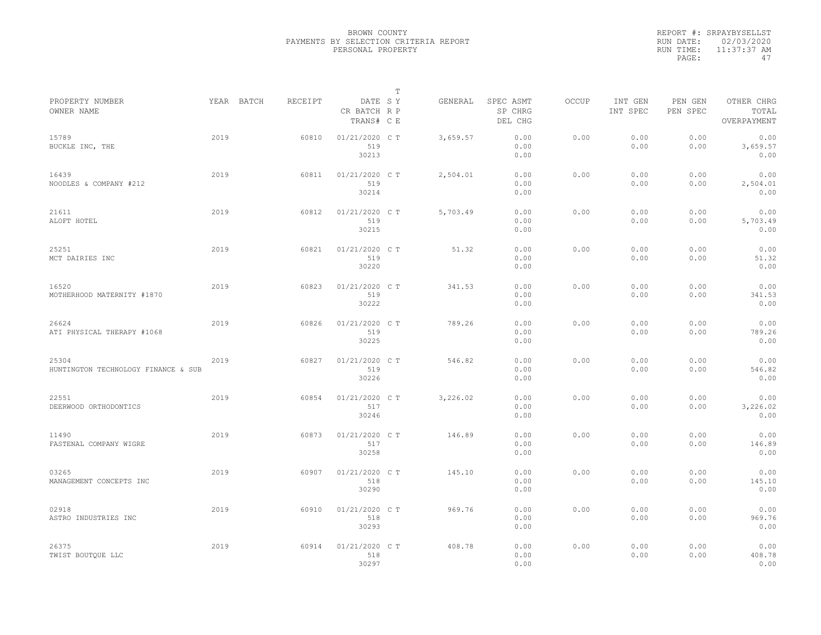|           | REPORT #: SRPAYBYSELLST |
|-----------|-------------------------|
|           | RUN DATE: 02/03/2020    |
| RUN TIME: | $11:37:37$ AM           |
| PAGE:     | 47                      |

|                                              |      |            |         |                                       | Т |          |                                 |       |                     |                     |                                    |  |
|----------------------------------------------|------|------------|---------|---------------------------------------|---|----------|---------------------------------|-------|---------------------|---------------------|------------------------------------|--|
| PROPERTY NUMBER<br>OWNER NAME                |      | YEAR BATCH | RECEIPT | DATE SY<br>CR BATCH R P<br>TRANS# C E |   | GENERAL  | SPEC ASMT<br>SP CHRG<br>DEL CHG | OCCUP | INT GEN<br>INT SPEC | PEN GEN<br>PEN SPEC | OTHER CHRG<br>TOTAL<br>OVERPAYMENT |  |
| 15789<br>BUCKLE INC, THE                     | 2019 |            | 60810   | 01/21/2020 C T<br>519<br>30213        |   | 3,659.57 | 0.00<br>0.00<br>0.00            | 0.00  | 0.00<br>0.00        | 0.00<br>0.00        | 0.00<br>3,659.57<br>0.00           |  |
| 16439<br>NOODLES & COMPANY #212              | 2019 |            | 60811   | 01/21/2020 C T<br>519<br>30214        |   | 2,504.01 | 0.00<br>0.00<br>0.00            | 0.00  | 0.00<br>0.00        | 0.00<br>0.00        | 0.00<br>2,504.01<br>0.00           |  |
| 21611<br>ALOFT HOTEL                         | 2019 |            | 60812   | 01/21/2020 C T<br>519<br>30215        |   | 5,703.49 | 0.00<br>0.00<br>0.00            | 0.00  | 0.00<br>0.00        | 0.00<br>0.00        | 0.00<br>5,703.49<br>0.00           |  |
| 25251<br>MCT DAIRIES INC                     | 2019 |            | 60821   | $01/21/2020$ C T<br>519<br>30220      |   | 51.32    | 0.00<br>0.00<br>0.00            | 0.00  | 0.00<br>0.00        | 0.00<br>0.00        | 0.00<br>51.32<br>0.00              |  |
| 16520<br>MOTHERHOOD MATERNITY #1870          | 2019 |            | 60823   | 01/21/2020 C T<br>519<br>30222        |   | 341.53   | 0.00<br>0.00<br>0.00            | 0.00  | 0.00<br>0.00        | 0.00<br>0.00        | 0.00<br>341.53<br>0.00             |  |
| 26624<br>ATI PHYSICAL THERAPY #1068          | 2019 |            | 60826   | 01/21/2020 C T<br>519<br>30225        |   | 789.26   | 0.00<br>0.00<br>0.00            | 0.00  | 0.00<br>0.00        | 0.00<br>0.00        | 0.00<br>789.26<br>0.00             |  |
| 25304<br>HUNTINGTON TECHNOLOGY FINANCE & SUB | 2019 |            | 60827   | 01/21/2020 C T<br>519<br>30226        |   | 546.82   | 0.00<br>0.00<br>0.00            | 0.00  | 0.00<br>0.00        | 0.00<br>0.00        | 0.00<br>546.82<br>0.00             |  |
| 22551<br>DEERWOOD ORTHODONTICS               | 2019 |            | 60854   | 01/21/2020 C T<br>517<br>30246        |   | 3,226.02 | 0.00<br>0.00<br>0.00            | 0.00  | 0.00<br>0.00        | 0.00<br>0.00        | 0.00<br>3,226.02<br>0.00           |  |
| 11490<br>FASTENAL COMPANY WIGRE              | 2019 |            | 60873   | 01/21/2020 C T<br>517<br>30258        |   | 146.89   | 0.00<br>0.00<br>0.00            | 0.00  | 0.00<br>0.00        | 0.00<br>0.00        | 0.00<br>146.89<br>0.00             |  |
| 03265<br>MANAGEMENT CONCEPTS INC             | 2019 |            | 60907   | 01/21/2020 C T<br>518<br>30290        |   | 145.10   | 0.00<br>0.00<br>0.00            | 0.00  | 0.00<br>0.00        | 0.00<br>0.00        | 0.00<br>145.10<br>0.00             |  |
| 02918<br>ASTRO INDUSTRIES INC                | 2019 |            | 60910   | 01/21/2020 C T<br>518<br>30293        |   | 969.76   | 0.00<br>0.00<br>0.00            | 0.00  | 0.00<br>0.00        | 0.00<br>0.00        | 0.00<br>969.76<br>0.00             |  |
| 26375<br>TWIST BOUTQUE LLC                   | 2019 |            | 60914   | 01/21/2020 C T<br>518<br>30297        |   | 408.78   | 0.00<br>0.00<br>0.00            | 0.00  | 0.00<br>0.00        | 0.00<br>0.00        | 0.00<br>408.78<br>0.00             |  |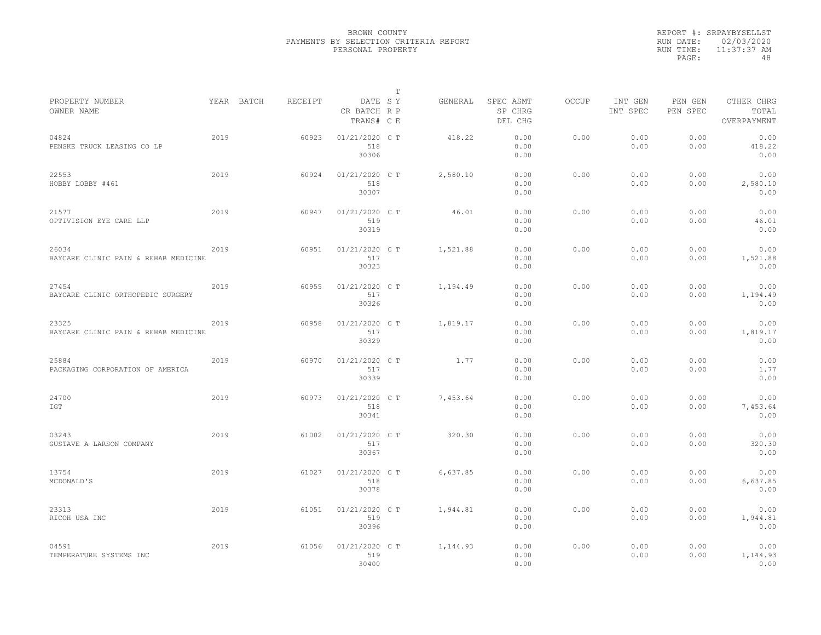|           | REPORT #: SRPAYBYSELLST |
|-----------|-------------------------|
|           | RUN DATE: 02/03/2020    |
| RUN TIME: | 11:37:37 AM             |
| PAGE:     | 48                      |

|                                               |      |            |         |                                       | т |          |                                 |       |                     |                     |                                    |  |
|-----------------------------------------------|------|------------|---------|---------------------------------------|---|----------|---------------------------------|-------|---------------------|---------------------|------------------------------------|--|
| PROPERTY NUMBER<br>OWNER NAME                 |      | YEAR BATCH | RECEIPT | DATE SY<br>CR BATCH R P<br>TRANS# C E |   | GENERAL  | SPEC ASMT<br>SP CHRG<br>DEL CHG | OCCUP | INT GEN<br>INT SPEC | PEN GEN<br>PEN SPEC | OTHER CHRG<br>TOTAL<br>OVERPAYMENT |  |
| 04824<br>PENSKE TRUCK LEASING CO LP           | 2019 |            | 60923   | 01/21/2020 C T<br>518<br>30306        |   | 418.22   | 0.00<br>0.00<br>0.00            | 0.00  | 0.00<br>0.00        | 0.00<br>0.00        | 0.00<br>418.22<br>0.00             |  |
| 22553<br>HOBBY LOBBY #461                     | 2019 |            | 60924   | 01/21/2020 C T<br>518<br>30307        |   | 2,580.10 | 0.00<br>0.00<br>0.00            | 0.00  | 0.00<br>0.00        | 0.00<br>0.00        | 0.00<br>2,580.10<br>0.00           |  |
| 21577<br>OPTIVISION EYE CARE LLP              | 2019 |            | 60947   | 01/21/2020 C T<br>519<br>30319        |   | 46.01    | 0.00<br>0.00<br>0.00            | 0.00  | 0.00<br>0.00        | 0.00<br>0.00        | 0.00<br>46.01<br>0.00              |  |
| 26034<br>BAYCARE CLINIC PAIN & REHAB MEDICINE | 2019 |            | 60951   | $01/21/2020$ CT<br>517<br>30323       |   | 1,521.88 | 0.00<br>0.00<br>0.00            | 0.00  | 0.00<br>0.00        | 0.00<br>0.00        | 0.00<br>1,521.88<br>0.00           |  |
| 27454<br>BAYCARE CLINIC ORTHOPEDIC SURGERY    | 2019 |            | 60955   | 01/21/2020 C T<br>517<br>30326        |   | 1,194.49 | 0.00<br>0.00<br>0.00            | 0.00  | 0.00<br>0.00        | 0.00<br>0.00        | 0.00<br>1,194.49<br>0.00           |  |
| 23325<br>BAYCARE CLINIC PAIN & REHAB MEDICINE | 2019 |            | 60958   | $01/21/2020$ C T<br>517<br>30329      |   | 1,819.17 | 0.00<br>0.00<br>0.00            | 0.00  | 0.00<br>0.00        | 0.00<br>0.00        | 0.00<br>1,819.17<br>0.00           |  |
| 25884<br>PACKAGING CORPORATION OF AMERICA     | 2019 |            | 60970   | 01/21/2020 C T<br>517<br>30339        |   | 1.77     | 0.00<br>0.00<br>0.00            | 0.00  | 0.00<br>0.00        | 0.00<br>0.00        | 0.00<br>1.77<br>0.00               |  |
| 24700<br>IGT                                  | 2019 |            | 60973   | 01/21/2020 C T<br>518<br>30341        |   | 7,453.64 | 0.00<br>0.00<br>0.00            | 0.00  | 0.00<br>0.00        | 0.00<br>0.00        | 0.00<br>7,453.64<br>0.00           |  |
| 03243<br>GUSTAVE A LARSON COMPANY             | 2019 |            | 61002   | 01/21/2020 C T<br>517<br>30367        |   | 320.30   | 0.00<br>0.00<br>0.00            | 0.00  | 0.00<br>0.00        | 0.00<br>0.00        | 0.00<br>320.30<br>0.00             |  |
| 13754<br>MCDONALD'S                           | 2019 |            | 61027   | 01/21/2020 C T<br>518<br>30378        |   | 6,637.85 | 0.00<br>0.00<br>0.00            | 0.00  | 0.00<br>0.00        | 0.00<br>0.00        | 0.00<br>6,637.85<br>0.00           |  |
| 23313<br>RICOH USA INC                        | 2019 |            | 61051   | 01/21/2020 C T<br>519<br>30396        |   | 1,944.81 | 0.00<br>0.00<br>0.00            | 0.00  | 0.00<br>0.00        | 0.00<br>0.00        | 0.00<br>1,944.81<br>0.00           |  |
| 04591<br>TEMPERATURE SYSTEMS INC              | 2019 |            | 61056   | 01/21/2020 C T<br>519<br>30400        |   | 1,144.93 | 0.00<br>0.00<br>0.00            | 0.00  | 0.00<br>0.00        | 0.00<br>0.00        | 0.00<br>1,144.93<br>0.00           |  |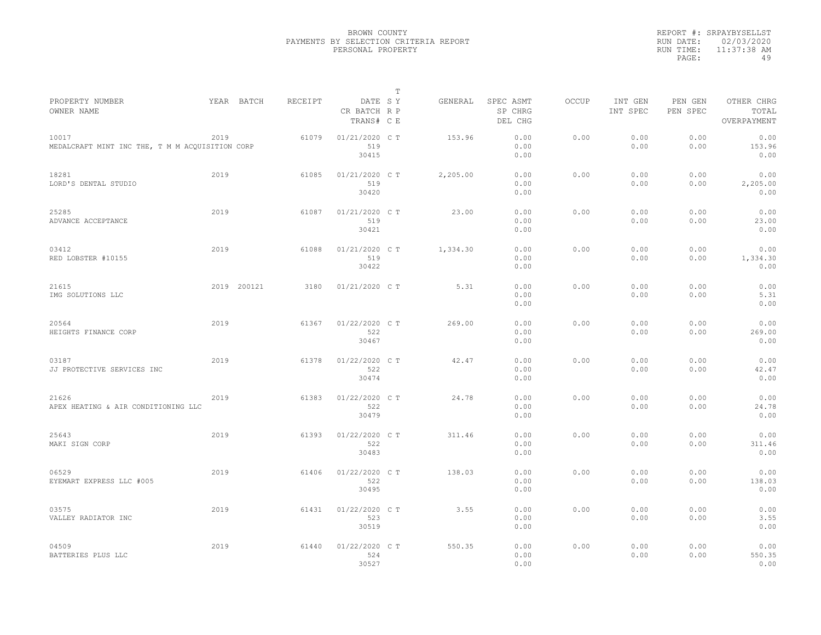|           | REPORT #: SRPAYBYSELLST |
|-----------|-------------------------|
|           | RUN DATE: 02/03/2020    |
| RUN TIME: | $11:37:38$ AM           |
| PAGE:     | 49                      |

| PROPERTY NUMBER                                          |      | YEAR BATCH  | RECEIPT | DATE SY                        | Т | GENERAL  | SPEC ASMT            | OCCUP | INT GEN      | PEN GEN      | OTHER CHRG               |  |
|----------------------------------------------------------|------|-------------|---------|--------------------------------|---|----------|----------------------|-------|--------------|--------------|--------------------------|--|
| OWNER NAME                                               |      |             |         | CR BATCH R P<br>TRANS# C E     |   |          | SP CHRG<br>DEL CHG   |       | INT SPEC     | PEN SPEC     | TOTAL<br>OVERPAYMENT     |  |
| 10017<br>MEDALCRAFT MINT INC THE, T M M ACQUISITION CORP | 2019 |             | 61079   | 01/21/2020 C T<br>519<br>30415 |   | 153.96   | 0.00<br>0.00<br>0.00 | 0.00  | 0.00<br>0.00 | 0.00<br>0.00 | 0.00<br>153.96<br>0.00   |  |
| 18281<br>LORD'S DENTAL STUDIO                            | 2019 |             | 61085   | 01/21/2020 C T<br>519<br>30420 |   | 2,205.00 | 0.00<br>0.00<br>0.00 | 0.00  | 0.00<br>0.00 | 0.00<br>0.00 | 0.00<br>2,205.00<br>0.00 |  |
| 25285<br>ADVANCE ACCEPTANCE                              | 2019 |             | 61087   | 01/21/2020 C T<br>519<br>30421 |   | 23.00    | 0.00<br>0.00<br>0.00 | 0.00  | 0.00<br>0.00 | 0.00<br>0.00 | 0.00<br>23.00<br>0.00    |  |
| 03412<br>RED LOBSTER #10155                              | 2019 |             | 61088   | 01/21/2020 C T<br>519<br>30422 |   | 1,334.30 | 0.00<br>0.00<br>0.00 | 0.00  | 0.00<br>0.00 | 0.00<br>0.00 | 0.00<br>1,334.30<br>0.00 |  |
| 21615<br>IMG SOLUTIONS LLC                               |      | 2019 200121 | 3180    | 01/21/2020 C T                 |   | 5.31     | 0.00<br>0.00<br>0.00 | 0.00  | 0.00<br>0.00 | 0.00<br>0.00 | 0.00<br>5.31<br>0.00     |  |
| 20564<br>HEIGHTS FINANCE CORP                            | 2019 |             | 61367   | 01/22/2020 C T<br>522<br>30467 |   | 269.00   | 0.00<br>0.00<br>0.00 | 0.00  | 0.00<br>0.00 | 0.00<br>0.00 | 0.00<br>269.00<br>0.00   |  |
| 03187<br>JJ PROTECTIVE SERVICES INC                      | 2019 |             | 61378   | 01/22/2020 C T<br>522<br>30474 |   | 42.47    | 0.00<br>0.00<br>0.00 | 0.00  | 0.00<br>0.00 | 0.00<br>0.00 | 0.00<br>42.47<br>0.00    |  |
| 21626<br>APEX HEATING & AIR CONDITIONING LLC             | 2019 |             | 61383   | 01/22/2020 CT<br>522<br>30479  |   | 24.78    | 0.00<br>0.00<br>0.00 | 0.00  | 0.00<br>0.00 | 0.00<br>0.00 | 0.00<br>24.78<br>0.00    |  |
| 25643<br>MAKI SIGN CORP                                  | 2019 |             | 61393   | 01/22/2020 C T<br>522<br>30483 |   | 311.46   | 0.00<br>0.00<br>0.00 | 0.00  | 0.00<br>0.00 | 0.00<br>0.00 | 0.00<br>311.46<br>0.00   |  |
| 06529<br>EYEMART EXPRESS LLC #005                        | 2019 |             | 61406   | 01/22/2020 C T<br>522<br>30495 |   | 138.03   | 0.00<br>0.00<br>0.00 | 0.00  | 0.00<br>0.00 | 0.00<br>0.00 | 0.00<br>138.03<br>0.00   |  |
| 03575<br>VALLEY RADIATOR INC                             | 2019 |             | 61431   | 01/22/2020 C T<br>523<br>30519 |   | 3.55     | 0.00<br>0.00<br>0.00 | 0.00  | 0.00<br>0.00 | 0.00<br>0.00 | 0.00<br>3.55<br>0.00     |  |
| 04509<br>BATTERIES PLUS LLC                              | 2019 |             | 61440   | 01/22/2020 CT<br>524<br>30527  |   | 550.35   | 0.00<br>0.00<br>0.00 | 0.00  | 0.00<br>0.00 | 0.00<br>0.00 | 0.00<br>550.35<br>0.00   |  |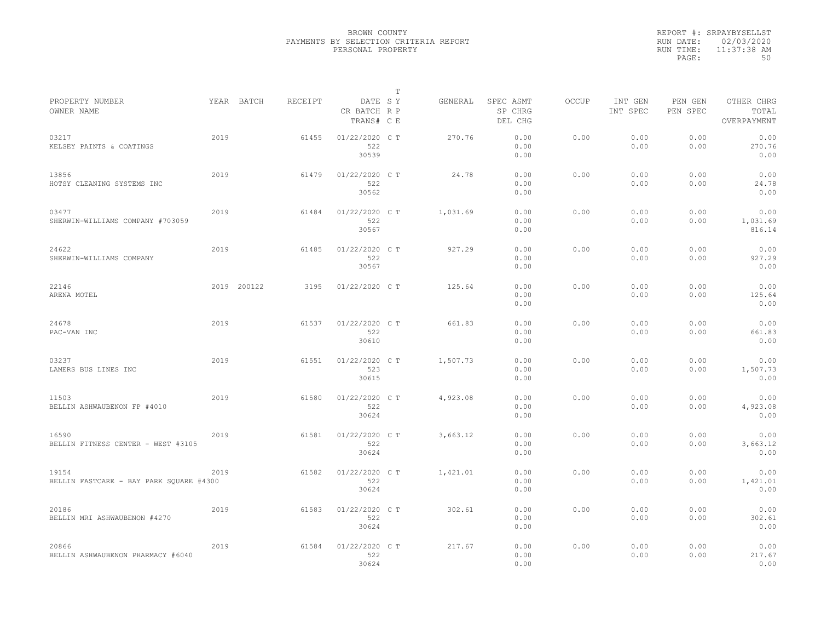|           | REPORT #: SRPAYBYSELLST |
|-----------|-------------------------|
|           | RUN DATE: 02/03/2020    |
| RUN TIME: | 11:37:38 AM             |
| PAGE:     | 50                      |

|                                                  |      |             |         |                                       | T |          |                                 |              |                     |                     |                                    |
|--------------------------------------------------|------|-------------|---------|---------------------------------------|---|----------|---------------------------------|--------------|---------------------|---------------------|------------------------------------|
| PROPERTY NUMBER<br>OWNER NAME                    |      | YEAR BATCH  | RECEIPT | DATE SY<br>CR BATCH R P<br>TRANS# C E |   | GENERAL  | SPEC ASMT<br>SP CHRG<br>DEL CHG | <b>OCCUP</b> | INT GEN<br>INT SPEC | PEN GEN<br>PEN SPEC | OTHER CHRG<br>TOTAL<br>OVERPAYMENT |
| 03217<br>KELSEY PAINTS & COATINGS                | 2019 |             | 61455   | 01/22/2020 C T<br>522<br>30539        |   | 270.76   | 0.00<br>0.00<br>0.00            | 0.00         | 0.00<br>0.00        | 0.00<br>0.00        | 0.00<br>270.76<br>0.00             |
| 13856<br>HOTSY CLEANING SYSTEMS INC              | 2019 |             | 61479   | 01/22/2020 C T<br>522<br>30562        |   | 24.78    | 0.00<br>0.00<br>0.00            | 0.00         | 0.00<br>0.00        | 0.00<br>0.00        | 0.00<br>24.78<br>0.00              |
| 03477<br>SHERWIN-WILLIAMS COMPANY #703059        | 2019 |             | 61484   | 01/22/2020 C T<br>522<br>30567        |   | 1,031.69 | 0.00<br>0.00<br>0.00            | 0.00         | 0.00<br>0.00        | 0.00<br>0.00        | 0.00<br>1,031.69<br>816.14         |
| 24622<br>SHERWIN-WILLIAMS COMPANY                | 2019 |             | 61485   | 01/22/2020 C T<br>522<br>30567        |   | 927.29   | 0.00<br>0.00<br>0.00            | 0.00         | 0.00<br>0.00        | 0.00<br>0.00        | 0.00<br>927.29<br>0.00             |
| 22146<br>ARENA MOTEL                             |      | 2019 200122 | 3195    | 01/22/2020 C T                        |   | 125.64   | 0.00<br>0.00<br>0.00            | 0.00         | 0.00<br>0.00        | 0.00<br>0.00        | 0.00<br>125.64<br>0.00             |
| 24678<br>PAC-VAN INC                             | 2019 |             | 61537   | 01/22/2020 C T<br>522<br>30610        |   | 661.83   | 0.00<br>0.00<br>0.00            | 0.00         | 0.00<br>0.00        | 0.00<br>0.00        | 0.00<br>661.83<br>0.00             |
| 03237<br>LAMERS BUS LINES INC                    | 2019 |             | 61551   | 01/22/2020 C T<br>523<br>30615        |   | 1,507.73 | 0.00<br>0.00<br>0.00            | 0.00         | 0.00<br>0.00        | 0.00<br>0.00        | 0.00<br>1,507.73<br>0.00           |
| 11503<br>BELLIN ASHWAUBENON FP #4010             | 2019 |             | 61580   | 01/22/2020 C T<br>522<br>30624        |   | 4,923.08 | 0.00<br>0.00<br>0.00            | 0.00         | 0.00<br>0.00        | 0.00<br>0.00        | 0.00<br>4,923.08<br>0.00           |
| 16590<br>BELLIN FITNESS CENTER - WEST #3105      | 2019 |             | 61581   | 01/22/2020 C T<br>522<br>30624        |   | 3,663.12 | 0.00<br>0.00<br>0.00            | 0.00         | 0.00<br>0.00        | 0.00<br>0.00        | 0.00<br>3,663.12<br>0.00           |
| 19154<br>BELLIN FASTCARE - BAY PARK SQUARE #4300 | 2019 |             | 61582   | 01/22/2020 C T<br>522<br>30624        |   | 1,421.01 | 0.00<br>0.00<br>0.00            | 0.00         | 0.00<br>0.00        | 0.00<br>0.00        | 0.00<br>1,421.01<br>0.00           |
| 20186<br>BELLIN MRI ASHWAUBENON #4270            | 2019 |             | 61583   | 01/22/2020 C T<br>522<br>30624        |   | 302.61   | 0.00<br>0.00<br>0.00            | 0.00         | 0.00<br>0.00        | 0.00<br>0.00        | 0.00<br>302.61<br>0.00             |
| 20866<br>BELLIN ASHWAUBENON PHARMACY #6040       | 2019 |             | 61584   | 01/22/2020 CT<br>522<br>30624         |   | 217.67   | 0.00<br>0.00<br>0.00            | 0.00         | 0.00<br>0.00        | 0.00<br>0.00        | 0.00<br>217.67<br>0.00             |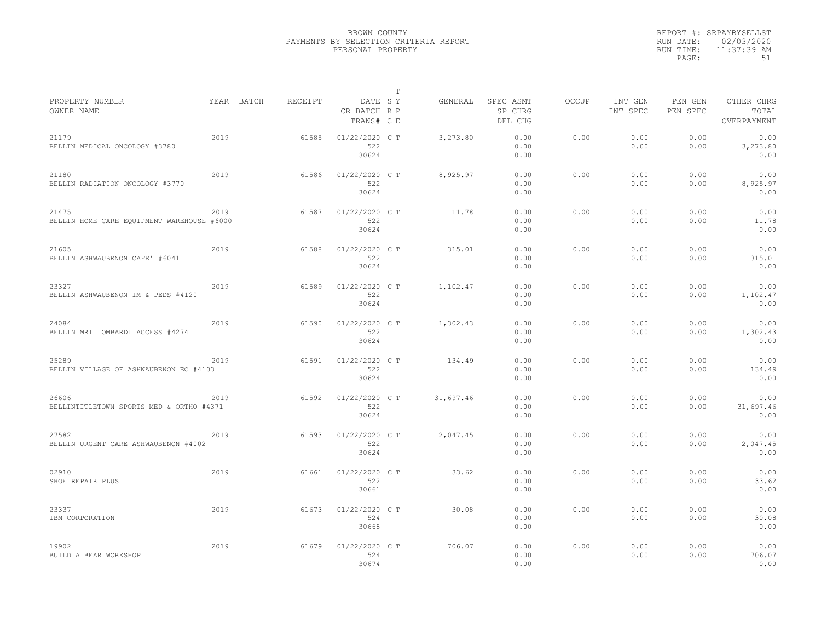|           | REPORT #: SRPAYBYSELLST |
|-----------|-------------------------|
|           | RUN DATE: 02/03/2020    |
| RUN TIME: | 11:37:39 AM             |
| PAGE:     | 51                      |

|                                                     |      |            |         |                                       | $\mathbb T$ |           |                                 |              |                     |                     |                                    |
|-----------------------------------------------------|------|------------|---------|---------------------------------------|-------------|-----------|---------------------------------|--------------|---------------------|---------------------|------------------------------------|
| PROPERTY NUMBER<br>OWNER NAME                       |      | YEAR BATCH | RECEIPT | DATE SY<br>CR BATCH R P<br>TRANS# C E |             | GENERAL   | SPEC ASMT<br>SP CHRG<br>DEL CHG | <b>OCCUP</b> | INT GEN<br>INT SPEC | PEN GEN<br>PEN SPEC | OTHER CHRG<br>TOTAL<br>OVERPAYMENT |
| 21179<br>BELLIN MEDICAL ONCOLOGY #3780              | 2019 |            | 61585   | 01/22/2020 CT<br>522<br>30624         |             | 3,273.80  | 0.00<br>0.00<br>0.00            | 0.00         | 0.00<br>0.00        | 0.00<br>0.00        | 0.00<br>3,273.80<br>0.00           |
| 21180<br>BELLIN RADIATION ONCOLOGY #3770            | 2019 |            | 61586   | 01/22/2020 C T<br>522<br>30624        |             | 8,925.97  | 0.00<br>0.00<br>0.00            | 0.00         | 0.00<br>0.00        | 0.00<br>0.00        | 0.00<br>8,925.97<br>0.00           |
| 21475<br>BELLIN HOME CARE EQUIPMENT WAREHOUSE #6000 | 2019 |            | 61587   | 01/22/2020 C T<br>522<br>30624        |             | 11.78     | 0.00<br>0.00<br>0.00            | 0.00         | 0.00<br>0.00        | 0.00<br>0.00        | 0.00<br>11.78<br>0.00              |
| 21605<br>BELLIN ASHWAUBENON CAFE' #6041             | 2019 |            | 61588   | 01/22/2020 C T<br>522<br>30624        |             | 315.01    | 0.00<br>0.00<br>0.00            | 0.00         | 0.00<br>0.00        | 0.00<br>0.00        | 0.00<br>315.01<br>0.00             |
| 23327<br>BELLIN ASHWAUBENON IM & PEDS #4120         | 2019 |            | 61589   | 01/22/2020 C T<br>522<br>30624        |             | 1,102.47  | 0.00<br>0.00<br>0.00            | 0.00         | 0.00<br>0.00        | 0.00<br>0.00        | 0.00<br>1,102.47<br>0.00           |
| 24084<br>BELLIN MRI LOMBARDI ACCESS #4274           | 2019 |            | 61590   | 01/22/2020 C T<br>522<br>30624        |             | 1,302.43  | 0.00<br>0.00<br>0.00            | 0.00         | 0.00<br>0.00        | 0.00<br>0.00        | 0.00<br>1,302.43<br>0.00           |
| 25289<br>BELLIN VILLAGE OF ASHWAUBENON EC #4103     | 2019 |            | 61591   | 01/22/2020 C T<br>522<br>30624        |             | 134.49    | 0.00<br>0.00<br>0.00            | 0.00         | 0.00<br>0.00        | 0.00<br>0.00        | 0.00<br>134.49<br>0.00             |
| 26606<br>BELLINTITLETOWN SPORTS MED & ORTHO #4371   | 2019 |            | 61592   | 01/22/2020 C T<br>522<br>30624        |             | 31,697.46 | 0.00<br>0.00<br>0.00            | 0.00         | 0.00<br>0.00        | 0.00<br>0.00        | 0.00<br>31,697.46<br>0.00          |
| 27582<br>BELLIN URGENT CARE ASHWAUBENON #4002       | 2019 |            | 61593   | 01/22/2020 C T<br>522<br>30624        |             | 2,047.45  | 0.00<br>0.00<br>0.00            | 0.00         | 0.00<br>0.00        | 0.00<br>0.00        | 0.00<br>2,047.45<br>0.00           |
| 02910<br>SHOE REPAIR PLUS                           | 2019 |            | 61661   | 01/22/2020 C T<br>522<br>30661        |             | 33.62     | 0.00<br>0.00<br>0.00            | 0.00         | 0.00<br>0.00        | 0.00<br>0.00        | 0.00<br>33.62<br>0.00              |
| 23337<br>IBM CORPORATION                            | 2019 |            | 61673   | 01/22/2020 C T<br>524<br>30668        |             | 30.08     | 0.00<br>0.00<br>0.00            | 0.00         | 0.00<br>0.00        | 0.00<br>0.00        | 0.00<br>30.08<br>0.00              |
| 19902<br>BUILD A BEAR WORKSHOP                      | 2019 |            | 61679   | 01/22/2020 C T<br>524<br>30674        |             | 706.07    | 0.00<br>0.00<br>0.00            | 0.00         | 0.00<br>0.00        | 0.00<br>0.00        | 0.00<br>706.07<br>0.00             |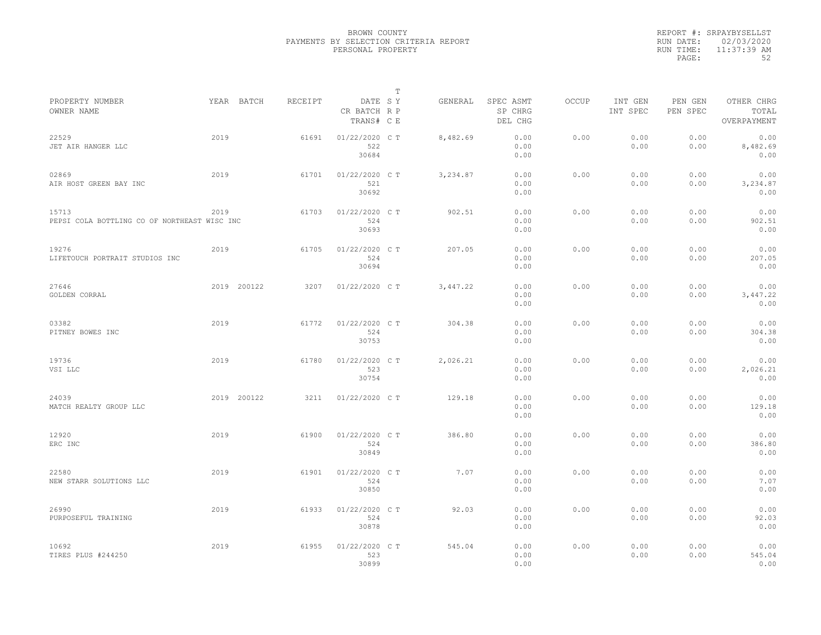|           | REPORT #: SRPAYBYSELLST |
|-----------|-------------------------|
|           | RUN DATE: 02/03/2020    |
| RUN TIME: | $11:37:39$ AM           |
| PAGE:     | 52                      |

|                                                       |             |         |                                       | $\mathbb T$ |          |                                 |              |                     |                     |                                    |
|-------------------------------------------------------|-------------|---------|---------------------------------------|-------------|----------|---------------------------------|--------------|---------------------|---------------------|------------------------------------|
| PROPERTY NUMBER<br>OWNER NAME                         | YEAR BATCH  | RECEIPT | DATE SY<br>CR BATCH R P<br>TRANS# C E |             | GENERAL  | SPEC ASMT<br>SP CHRG<br>DEL CHG | <b>OCCUP</b> | INT GEN<br>INT SPEC | PEN GEN<br>PEN SPEC | OTHER CHRG<br>TOTAL<br>OVERPAYMENT |
| 22529<br>JET AIR HANGER LLC                           | 2019        | 61691   | 01/22/2020 C T<br>522<br>30684        |             | 8,482.69 | 0.00<br>0.00<br>0.00            | 0.00         | 0.00<br>0.00        | 0.00<br>0.00        | 0.00<br>8,482.69<br>0.00           |
| 02869<br>AIR HOST GREEN BAY INC                       | 2019        | 61701   | 01/22/2020 C T<br>521<br>30692        |             | 3,234.87 | 0.00<br>0.00<br>0.00            | 0.00         | 0.00<br>0.00        | 0.00<br>0.00        | 0.00<br>3,234.87<br>0.00           |
| 15713<br>PEPSI COLA BOTTLING CO OF NORTHEAST WISC INC | 2019        | 61703   | 01/22/2020 C T<br>524<br>30693        |             | 902.51   | 0.00<br>0.00<br>0.00            | 0.00         | 0.00<br>0.00        | 0.00<br>0.00        | 0.00<br>902.51<br>0.00             |
| 19276<br>LIFETOUCH PORTRAIT STUDIOS INC               | 2019        | 61705   | 01/22/2020 C T<br>524<br>30694        |             | 207.05   | 0.00<br>0.00<br>0.00            | 0.00         | 0.00<br>0.00        | 0.00<br>0.00        | 0.00<br>207.05<br>0.00             |
| 27646<br>GOLDEN CORRAL                                | 2019 200122 | 3207    | 01/22/2020 C T                        |             | 3,447.22 | 0.00<br>0.00<br>0.00            | 0.00         | 0.00<br>0.00        | 0.00<br>0.00        | 0.00<br>3,447.22<br>0.00           |
| 03382<br>PITNEY BOWES INC                             | 2019        | 61772   | 01/22/2020 C T<br>524<br>30753        |             | 304.38   | 0.00<br>0.00<br>0.00            | 0.00         | 0.00<br>0.00        | 0.00<br>0.00        | 0.00<br>304.38<br>0.00             |
| 19736<br>VSI LLC                                      | 2019        | 61780   | 01/22/2020 C T<br>523<br>30754        |             | 2,026.21 | 0.00<br>0.00<br>0.00            | 0.00         | 0.00<br>0.00        | 0.00<br>0.00        | 0.00<br>2,026.21<br>0.00           |
| 24039<br>MATCH REALTY GROUP LLC                       | 2019 200122 | 3211    | 01/22/2020 C T                        |             | 129.18   | 0.00<br>0.00<br>0.00            | 0.00         | 0.00<br>0.00        | 0.00<br>0.00        | 0.00<br>129.18<br>0.00             |
| 12920<br>ERC INC                                      | 2019        | 61900   | 01/22/2020 C T<br>524<br>30849        |             | 386.80   | 0.00<br>0.00<br>0.00            | 0.00         | 0.00<br>0.00        | 0.00<br>0.00        | 0.00<br>386.80<br>0.00             |
| 22580<br>NEW STARR SOLUTIONS LLC                      | 2019        | 61901   | 01/22/2020 C T<br>524<br>30850        |             | 7.07     | 0.00<br>0.00<br>0.00            | 0.00         | 0.00<br>0.00        | 0.00<br>0.00        | 0.00<br>7.07<br>0.00               |
| 26990<br>PURPOSEFUL TRAINING                          | 2019        | 61933   | 01/22/2020 C T<br>524<br>30878        |             | 92.03    | 0.00<br>0.00<br>0.00            | 0.00         | 0.00<br>0.00        | 0.00<br>0.00        | 0.00<br>92.03<br>0.00              |
| 10692<br>TIRES PLUS #244250                           | 2019        | 61955   | 01/22/2020 C T<br>523<br>30899        |             | 545.04   | 0.00<br>0.00<br>0.00            | 0.00         | 0.00<br>0.00        | 0.00<br>0.00        | 0.00<br>545.04<br>0.00             |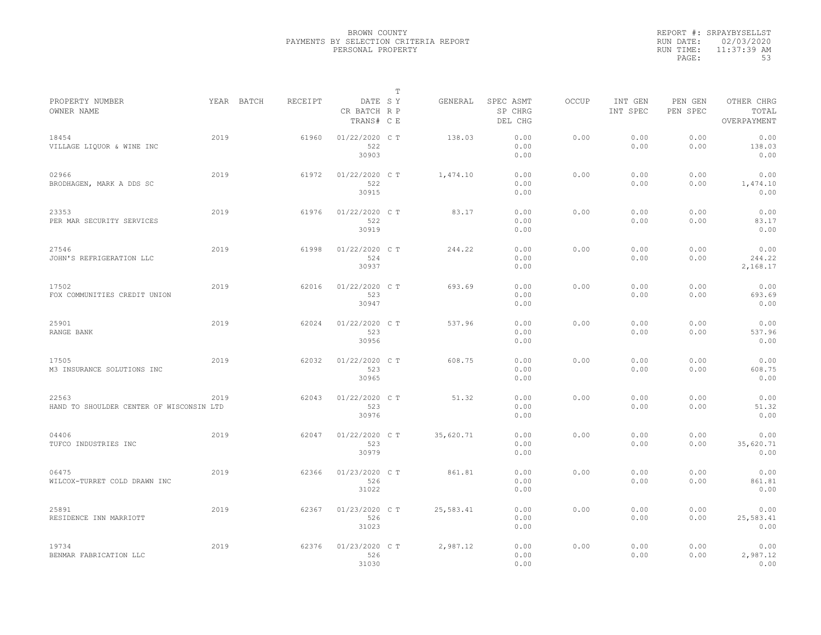|           | REPORT #: SRPAYBYSELLST |
|-----------|-------------------------|
|           | RUN DATE: 02/03/2020    |
| RUN TIME: | $11:37:39$ AM           |
| PAGE:     | 53                      |

|                                                   |      |            |         |                                       | T |           |                                 |              |                     |                     |                                    |
|---------------------------------------------------|------|------------|---------|---------------------------------------|---|-----------|---------------------------------|--------------|---------------------|---------------------|------------------------------------|
| PROPERTY NUMBER<br>OWNER NAME                     |      | YEAR BATCH | RECEIPT | DATE SY<br>CR BATCH R P<br>TRANS# C E |   | GENERAL   | SPEC ASMT<br>SP CHRG<br>DEL CHG | <b>OCCUP</b> | INT GEN<br>INT SPEC | PEN GEN<br>PEN SPEC | OTHER CHRG<br>TOTAL<br>OVERPAYMENT |
| 18454<br>VILLAGE LIQUOR & WINE INC                | 2019 |            | 61960   | 01/22/2020 C T<br>522<br>30903        |   | 138.03    | 0.00<br>0.00<br>0.00            | 0.00         | 0.00<br>0.00        | 0.00<br>0.00        | 0.00<br>138.03<br>0.00             |
| 02966<br>BRODHAGEN, MARK A DDS SC                 | 2019 |            | 61972   | 01/22/2020 C T<br>522<br>30915        |   | 1,474.10  | 0.00<br>0.00<br>0.00            | 0.00         | 0.00<br>0.00        | 0.00<br>0.00        | 0.00<br>1,474.10<br>0.00           |
| 23353<br>PER MAR SECURITY SERVICES                | 2019 |            | 61976   | 01/22/2020 C T<br>522<br>30919        |   | 83.17     | 0.00<br>0.00<br>0.00            | 0.00         | 0.00<br>0.00        | 0.00<br>0.00        | 0.00<br>83.17<br>0.00              |
| 27546<br>JOHN'S REFRIGERATION LLC                 | 2019 |            | 61998   | 01/22/2020 C T<br>524<br>30937        |   | 244.22    | 0.00<br>0.00<br>0.00            | 0.00         | 0.00<br>0.00        | 0.00<br>0.00        | 0.00<br>244.22<br>2,168.17         |
| 17502<br>FOX COMMUNITIES CREDIT UNION             | 2019 |            | 62016   | 01/22/2020 C T<br>523<br>30947        |   | 693.69    | 0.00<br>0.00<br>0.00            | 0.00         | 0.00<br>0.00        | 0.00<br>0.00        | 0.00<br>693.69<br>0.00             |
| 25901<br>RANGE BANK                               | 2019 |            | 62024   | 01/22/2020 C T<br>523<br>30956        |   | 537.96    | 0.00<br>0.00<br>0.00            | 0.00         | 0.00<br>0.00        | 0.00<br>0.00        | 0.00<br>537.96<br>0.00             |
| 17505<br>M3 INSURANCE SOLUTIONS INC               | 2019 |            | 62032   | 01/22/2020 C T<br>523<br>30965        |   | 608.75    | 0.00<br>0.00<br>0.00            | 0.00         | 0.00<br>0.00        | 0.00<br>0.00        | 0.00<br>608.75<br>0.00             |
| 22563<br>HAND TO SHOULDER CENTER OF WISCONSIN LTD | 2019 |            | 62043   | 01/22/2020 C T<br>523<br>30976        |   | 51.32     | 0.00<br>0.00<br>0.00            | 0.00         | 0.00<br>0.00        | 0.00<br>0.00        | 0.00<br>51.32<br>0.00              |
| 04406<br>TUFCO INDUSTRIES INC                     | 2019 |            | 62047   | 01/22/2020 C T<br>523<br>30979        |   | 35,620.71 | 0.00<br>0.00<br>0.00            | 0.00         | 0.00<br>0.00        | 0.00<br>0.00        | 0.00<br>35,620.71<br>0.00          |
| 06475<br>WILCOX-TURRET COLD DRAWN INC             | 2019 |            | 62366   | 01/23/2020 C T<br>526<br>31022        |   | 861.81    | 0.00<br>0.00<br>0.00            | 0.00         | 0.00<br>0.00        | 0.00<br>0.00        | 0.00<br>861.81<br>0.00             |
| 25891<br>RESIDENCE INN MARRIOTT                   | 2019 |            | 62367   | 01/23/2020 C T<br>526<br>31023        |   | 25,583.41 | 0.00<br>0.00<br>0.00            | 0.00         | 0.00<br>0.00        | 0.00<br>0.00        | 0.00<br>25,583.41<br>0.00          |
| 19734<br>BENMAR FABRICATION LLC                   | 2019 |            | 62376   | 01/23/2020 C T<br>526<br>31030        |   | 2,987.12  | 0.00<br>0.00<br>0.00            | 0.00         | 0.00<br>0.00        | 0.00<br>0.00        | 0.00<br>2,987.12<br>0.00           |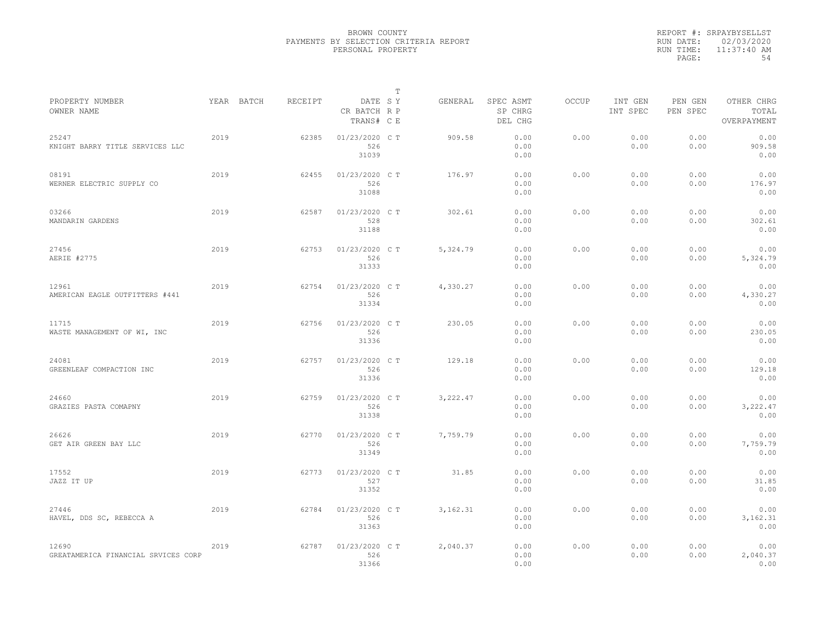|           | REPORT #: SRPAYBYSELLST |
|-----------|-------------------------|
|           | RUN DATE: 02/03/2020    |
| RUN TIME: | $11:37:40$ AM           |
| PAGE:     | 54                      |

|                                              |            |         |                                       | T |          |                                 |              |                     |                     |                                    |
|----------------------------------------------|------------|---------|---------------------------------------|---|----------|---------------------------------|--------------|---------------------|---------------------|------------------------------------|
| PROPERTY NUMBER<br>OWNER NAME                | YEAR BATCH | RECEIPT | DATE SY<br>CR BATCH R P<br>TRANS# C E |   | GENERAL  | SPEC ASMT<br>SP CHRG<br>DEL CHG | <b>OCCUP</b> | INT GEN<br>INT SPEC | PEN GEN<br>PEN SPEC | OTHER CHRG<br>TOTAL<br>OVERPAYMENT |
| 25247<br>KNIGHT BARRY TITLE SERVICES LLC     | 2019       | 62385   | 01/23/2020 C T<br>526<br>31039        |   | 909.58   | 0.00<br>0.00<br>0.00            | 0.00         | 0.00<br>0.00        | 0.00<br>0.00        | 0.00<br>909.58<br>0.00             |
| 08191<br>WERNER ELECTRIC SUPPLY CO           | 2019       | 62455   | 01/23/2020 C T<br>526<br>31088        |   | 176.97   | 0.00<br>0.00<br>0.00            | 0.00         | 0.00<br>0.00        | 0.00<br>0.00        | 0.00<br>176.97<br>0.00             |
| 03266<br>MANDARIN GARDENS                    | 2019       | 62587   | 01/23/2020 C T<br>528<br>31188        |   | 302.61   | 0.00<br>0.00<br>0.00            | 0.00         | 0.00<br>0.00        | 0.00<br>0.00        | 0.00<br>302.61<br>0.00             |
| 27456<br>AERIE #2775                         | 2019       | 62753   | 01/23/2020 C T<br>526<br>31333        |   | 5,324.79 | 0.00<br>0.00<br>0.00            | 0.00         | 0.00<br>0.00        | 0.00<br>0.00        | 0.00<br>5,324.79<br>0.00           |
| 12961<br>AMERICAN EAGLE OUTFITTERS #441      | 2019       | 62754   | 01/23/2020 C T<br>526<br>31334        |   | 4,330.27 | 0.00<br>0.00<br>0.00            | 0.00         | 0.00<br>0.00        | 0.00<br>0.00        | 0.00<br>4,330.27<br>0.00           |
| 11715<br>WASTE MANAGEMENT OF WI, INC         | 2019       | 62756   | 01/23/2020 C T<br>526<br>31336        |   | 230.05   | 0.00<br>0.00<br>0.00            | 0.00         | 0.00<br>0.00        | 0.00<br>0.00        | 0.00<br>230.05<br>0.00             |
| 24081<br>GREENLEAF COMPACTION INC            | 2019       | 62757   | 01/23/2020 C T<br>526<br>31336        |   | 129.18   | 0.00<br>0.00<br>0.00            | 0.00         | 0.00<br>0.00        | 0.00<br>0.00        | 0.00<br>129.18<br>0.00             |
| 24660<br>GRAZIES PASTA COMAPNY               | 2019       | 62759   | 01/23/2020 C T<br>526<br>31338        |   | 3,222.47 | 0.00<br>0.00<br>0.00            | 0.00         | 0.00<br>0.00        | 0.00<br>0.00        | 0.00<br>3,222.47<br>0.00           |
| 26626<br>GET AIR GREEN BAY LLC               | 2019       | 62770   | 01/23/2020 C T<br>526<br>31349        |   | 7,759.79 | 0.00<br>0.00<br>0.00            | 0.00         | 0.00<br>0.00        | 0.00<br>0.00        | 0.00<br>7,759.79<br>0.00           |
| 17552<br>JAZZ IT UP                          | 2019       | 62773   | 01/23/2020 C T<br>527<br>31352        |   | 31.85    | 0.00<br>0.00<br>0.00            | 0.00         | 0.00<br>0.00        | 0.00<br>0.00        | 0.00<br>31.85<br>0.00              |
| 27446<br>HAVEL, DDS SC, REBECCA A            | 2019       | 62784   | 01/23/2020 C T<br>526<br>31363        |   | 3,162.31 | 0.00<br>0.00<br>0.00            | 0.00         | 0.00<br>0.00        | 0.00<br>0.00        | 0.00<br>3, 162.31<br>0.00          |
| 12690<br>GREATAMERICA FINANCIAL SRVICES CORP | 2019       | 62787   | 01/23/2020 C T<br>526<br>31366        |   | 2,040.37 | 0.00<br>0.00<br>0.00            | 0.00         | 0.00<br>0.00        | 0.00<br>0.00        | 0.00<br>2,040.37<br>0.00           |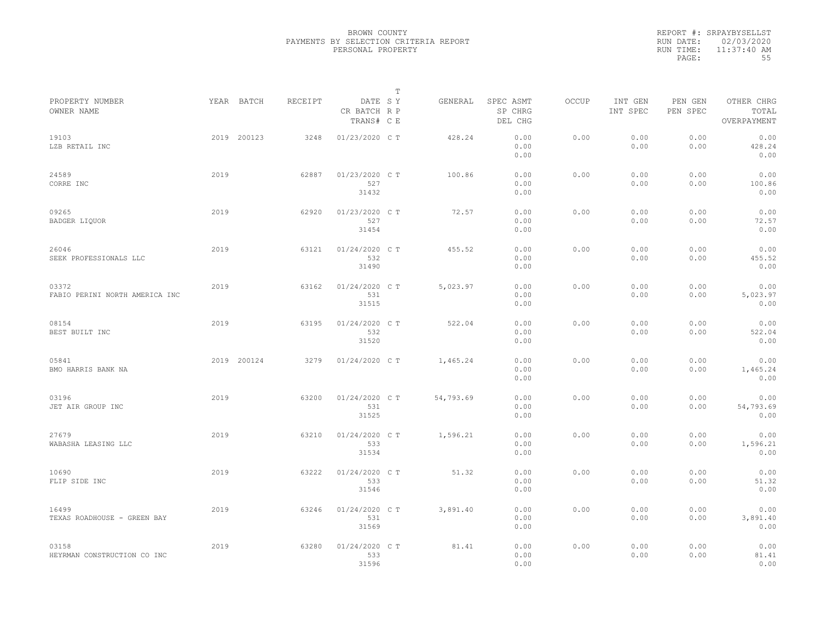|           | REPORT #: SRPAYBYSELLST |
|-----------|-------------------------|
|           | RUN DATE: 02/03/2020    |
| RUN TIME: | $11:37:40$ AM           |
| PAGE:     | 55                      |

|                                         |      |             |         |                                       | T |           |                                 |       |                     |                     |                                    |  |
|-----------------------------------------|------|-------------|---------|---------------------------------------|---|-----------|---------------------------------|-------|---------------------|---------------------|------------------------------------|--|
| PROPERTY NUMBER<br>OWNER NAME           |      | YEAR BATCH  | RECEIPT | DATE SY<br>CR BATCH R P<br>TRANS# C E |   | GENERAL   | SPEC ASMT<br>SP CHRG<br>DEL CHG | OCCUP | INT GEN<br>INT SPEC | PEN GEN<br>PEN SPEC | OTHER CHRG<br>TOTAL<br>OVERPAYMENT |  |
| 19103<br>LZB RETAIL INC                 |      | 2019 200123 | 3248    | 01/23/2020 C T                        |   | 428.24    | 0.00<br>0.00<br>0.00            | 0.00  | 0.00<br>0.00        | 0.00<br>0.00        | 0.00<br>428.24<br>0.00             |  |
| 24589<br>CORRE INC                      | 2019 |             | 62887   | 01/23/2020 C T<br>527<br>31432        |   | 100.86    | 0.00<br>0.00<br>0.00            | 0.00  | 0.00<br>0.00        | 0.00<br>0.00        | 0.00<br>100.86<br>0.00             |  |
| 09265<br>BADGER LIQUOR                  | 2019 |             | 62920   | 01/23/2020 C T<br>527<br>31454        |   | 72.57     | 0.00<br>0.00<br>0.00            | 0.00  | 0.00<br>0.00        | 0.00<br>0.00        | 0.00<br>72.57<br>0.00              |  |
| 26046<br>SEEK PROFESSIONALS LLC         | 2019 |             | 63121   | 01/24/2020 C T<br>532<br>31490        |   | 455.52    | 0.00<br>0.00<br>0.00            | 0.00  | 0.00<br>0.00        | 0.00<br>0.00        | 0.00<br>455.52<br>0.00             |  |
| 03372<br>FABIO PERINI NORTH AMERICA INC | 2019 |             | 63162   | 01/24/2020 C T<br>531<br>31515        |   | 5,023.97  | 0.00<br>0.00<br>0.00            | 0.00  | 0.00<br>0.00        | 0.00<br>0.00        | 0.00<br>5,023.97<br>0.00           |  |
| 08154<br>BEST BUILT INC                 | 2019 |             | 63195   | 01/24/2020 C T<br>532<br>31520        |   | 522.04    | 0.00<br>0.00<br>0.00            | 0.00  | 0.00<br>0.00        | 0.00<br>0.00        | 0.00<br>522.04<br>0.00             |  |
| 05841<br>BMO HARRIS BANK NA             |      | 2019 200124 | 3279    | 01/24/2020 C T                        |   | 1,465.24  | 0.00<br>0.00<br>0.00            | 0.00  | 0.00<br>0.00        | 0.00<br>0.00        | 0.00<br>1,465.24<br>0.00           |  |
| 03196<br>JET AIR GROUP INC              | 2019 |             | 63200   | 01/24/2020 C T<br>531<br>31525        |   | 54,793.69 | 0.00<br>0.00<br>0.00            | 0.00  | 0.00<br>0.00        | 0.00<br>0.00        | 0.00<br>54,793.69<br>0.00          |  |
| 27679<br>WABASHA LEASING LLC            | 2019 |             | 63210   | 01/24/2020 C T<br>533<br>31534        |   | 1,596.21  | 0.00<br>0.00<br>0.00            | 0.00  | 0.00<br>0.00        | 0.00<br>0.00        | 0.00<br>1,596.21<br>0.00           |  |
| 10690<br>FLIP SIDE INC                  | 2019 |             | 63222   | 01/24/2020 C T<br>533<br>31546        |   | 51.32     | 0.00<br>0.00<br>0.00            | 0.00  | 0.00<br>0.00        | 0.00<br>0.00        | 0.00<br>51.32<br>0.00              |  |
| 16499<br>TEXAS ROADHOUSE - GREEN BAY    | 2019 |             | 63246   | 01/24/2020 C T<br>531<br>31569        |   | 3,891.40  | 0.00<br>0.00<br>0.00            | 0.00  | 0.00<br>0.00        | 0.00<br>0.00        | 0.00<br>3,891.40<br>0.00           |  |
| 03158<br>HEYRMAN CONSTRUCTION CO INC    | 2019 |             | 63280   | 01/24/2020 C T<br>533<br>31596        |   | 81.41     | 0.00<br>0.00<br>0.00            | 0.00  | 0.00<br>0.00        | 0.00<br>0.00        | 0.00<br>81.41<br>0.00              |  |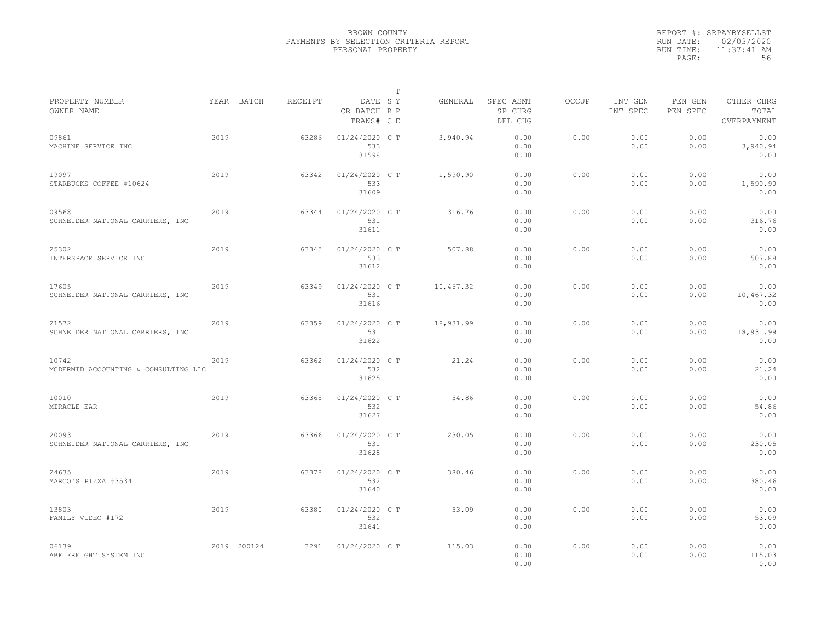|           | REPORT #: SRPAYBYSELLST |
|-----------|-------------------------|
|           | RUN DATE: 02/03/2020    |
| RUN TIME: | $11:37:41$ AM           |
| PAGE:     | 56                      |

|                                               |      |             |         |                                       | T |           |                                 |       |                     |                     |                                    |
|-----------------------------------------------|------|-------------|---------|---------------------------------------|---|-----------|---------------------------------|-------|---------------------|---------------------|------------------------------------|
| PROPERTY NUMBER<br>OWNER NAME                 |      | YEAR BATCH  | RECEIPT | DATE SY<br>CR BATCH R P<br>TRANS# C E |   | GENERAL   | SPEC ASMT<br>SP CHRG<br>DEL CHG | OCCUP | INT GEN<br>INT SPEC | PEN GEN<br>PEN SPEC | OTHER CHRG<br>TOTAL<br>OVERPAYMENT |
| 09861<br>MACHINE SERVICE INC                  | 2019 |             | 63286   | 01/24/2020 C T<br>533<br>31598        |   | 3,940.94  | 0.00<br>0.00<br>0.00            | 0.00  | 0.00<br>0.00        | 0.00<br>0.00        | 0.00<br>3,940.94<br>0.00           |
| 19097<br>STARBUCKS COFFEE #10624              | 2019 |             | 63342   | 01/24/2020 C T<br>533<br>31609        |   | 1,590.90  | 0.00<br>0.00<br>0.00            | 0.00  | 0.00<br>0.00        | 0.00<br>0.00        | 0.00<br>1,590.90<br>0.00           |
| 09568<br>SCHNEIDER NATIONAL CARRIERS, INC     | 2019 |             | 63344   | 01/24/2020 C T<br>531<br>31611        |   | 316.76    | 0.00<br>0.00<br>0.00            | 0.00  | 0.00<br>0.00        | 0.00<br>0.00        | 0.00<br>316.76<br>0.00             |
| 25302<br>INTERSPACE SERVICE INC               | 2019 |             | 63345   | 01/24/2020 C T<br>533<br>31612        |   | 507.88    | 0.00<br>0.00<br>0.00            | 0.00  | 0.00<br>0.00        | 0.00<br>0.00        | 0.00<br>507.88<br>0.00             |
| 17605<br>SCHNEIDER NATIONAL CARRIERS, INC     | 2019 |             | 63349   | 01/24/2020 C T<br>531<br>31616        |   | 10,467.32 | 0.00<br>0.00<br>0.00            | 0.00  | 0.00<br>0.00        | 0.00<br>0.00        | 0.00<br>10,467.32<br>0.00          |
| 21572<br>SCHNEIDER NATIONAL CARRIERS, INC     | 2019 |             | 63359   | 01/24/2020 C T<br>531<br>31622        |   | 18,931.99 | 0.00<br>0.00<br>0.00            | 0.00  | 0.00<br>0.00        | 0.00<br>0.00        | 0.00<br>18,931.99<br>0.00          |
| 10742<br>MCDERMID ACCOUNTING & CONSULTING LLC | 2019 |             | 63362   | 01/24/2020 C T<br>532<br>31625        |   | 21.24     | 0.00<br>0.00<br>0.00            | 0.00  | 0.00<br>0.00        | 0.00<br>0.00        | 0.00<br>21.24<br>0.00              |
| 10010<br>MIRACLE EAR                          | 2019 |             | 63365   | 01/24/2020 C T<br>532<br>31627        |   | 54.86     | 0.00<br>0.00<br>0.00            | 0.00  | 0.00<br>0.00        | 0.00<br>0.00        | 0.00<br>54.86<br>0.00              |
| 20093<br>SCHNEIDER NATIONAL CARRIERS, INC     | 2019 |             | 63366   | 01/24/2020 C T<br>531<br>31628        |   | 230.05    | 0.00<br>0.00<br>0.00            | 0.00  | 0.00<br>0.00        | 0.00<br>0.00        | 0.00<br>230.05<br>0.00             |
| 24635<br>MARCO'S PIZZA #3534                  | 2019 |             | 63378   | 01/24/2020 C T<br>532<br>31640        |   | 380.46    | 0.00<br>0.00<br>0.00            | 0.00  | 0.00<br>0.00        | 0.00<br>0.00        | 0.00<br>380.46<br>0.00             |
| 13803<br>FAMILY VIDEO #172                    | 2019 |             | 63380   | 01/24/2020 C T<br>532<br>31641        |   | 53.09     | 0.00<br>0.00<br>0.00            | 0.00  | 0.00<br>0.00        | 0.00<br>0.00        | 0.00<br>53.09<br>0.00              |
| 06139<br>ABF FREIGHT SYSTEM INC               |      | 2019 200124 | 3291    | 01/24/2020 C T                        |   | 115.03    | 0.00<br>0.00<br>0.00            | 0.00  | 0.00<br>0.00        | 0.00<br>0.00        | 0.00<br>115.03<br>0.00             |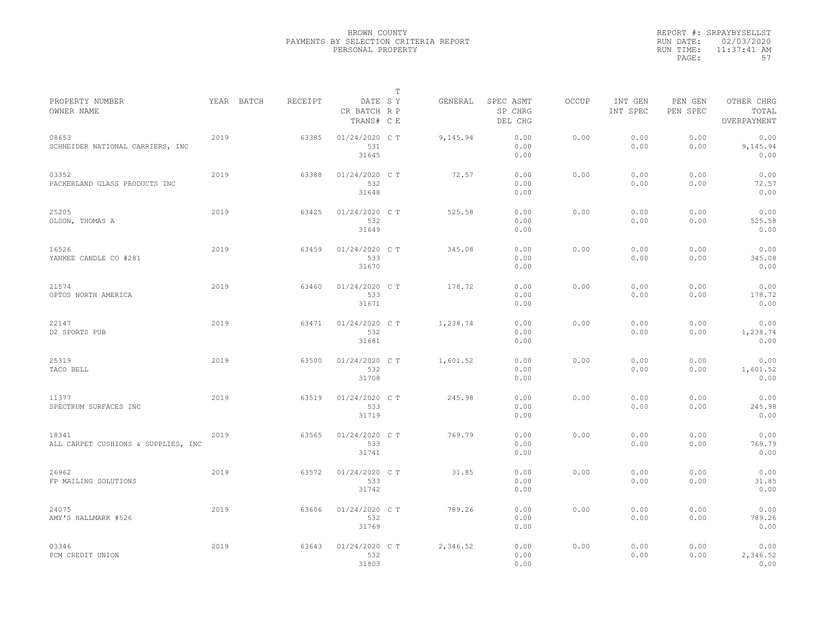|           | REPORT #: SRPAYBYSELLST |
|-----------|-------------------------|
|           | RUN DATE: 02/03/2020    |
| RUN TIME: | $11:37:41$ AM           |
| PAGE:     | 57                      |

|                                              |            |         |                                       | T |          |                                 |              |                     |                     |                                    |
|----------------------------------------------|------------|---------|---------------------------------------|---|----------|---------------------------------|--------------|---------------------|---------------------|------------------------------------|
| PROPERTY NUMBER<br>OWNER NAME                | YEAR BATCH | RECEIPT | DATE SY<br>CR BATCH R P<br>TRANS# C E |   | GENERAL  | SPEC ASMT<br>SP CHRG<br>DEL CHG | <b>OCCUP</b> | INT GEN<br>INT SPEC | PEN GEN<br>PEN SPEC | OTHER CHRG<br>TOTAL<br>OVERPAYMENT |
| 08653<br>SCHNEIDER NATIONAL CARRIERS, INC    | 2019       | 63385   | 01/24/2020 C T<br>531<br>31645        |   | 9,145.94 | 0.00<br>0.00<br>0.00            | 0.00         | 0.00<br>0.00        | 0.00<br>0.00        | 0.00<br>9,145.94<br>0.00           |
| 03352<br>PACKERLAND GLASS PRODUCTS INC       | 2019       | 63388   | 01/24/2020 C T<br>532<br>31648        |   | 72.57    | 0.00<br>0.00<br>0.00            | 0.00         | 0.00<br>0.00        | 0.00<br>0.00        | 0.00<br>72.57<br>0.00              |
| 25205<br>OLSON, THOMAS A                     | 2019       | 63425   | 01/24/2020 C T<br>532<br>31649        |   | 525.58   | 0.00<br>0.00<br>0.00            | 0.00         | 0.00<br>0.00        | 0.00<br>0.00        | 0.00<br>525.58<br>0.00             |
| 16526<br>YANKEE CANDLE CO #281               | 2019       | 63459   | 01/24/2020 C T<br>533<br>31670        |   | 345.08   | 0.00<br>0.00<br>0.00            | 0.00         | 0.00<br>0.00        | 0.00<br>0.00        | 0.00<br>345.08<br>0.00             |
| 21574<br>OPTOS NORTH AMERICA                 | 2019       | 63460   | 01/24/2020 C T<br>533<br>31671        |   | 178.72   | 0.00<br>0.00<br>0.00            | 0.00         | 0.00<br>0.00        | 0.00<br>0.00        | 0.00<br>178.72<br>0.00             |
| 22147<br>D2 SPORTS PUB                       | 2019       | 63471   | 01/24/2020 C T<br>532<br>31681        |   | 1,238.74 | 0.00<br>0.00<br>0.00            | 0.00         | 0.00<br>0.00        | 0.00<br>0.00        | 0.00<br>1,238.74<br>0.00           |
| 25319<br>TACO BELL                           | 2019       | 63500   | 01/24/2020 C T<br>532<br>31708        |   | 1,601.52 | 0.00<br>0.00<br>0.00            | 0.00         | 0.00<br>0.00        | 0.00<br>0.00        | 0.00<br>1,601.52<br>0.00           |
| 11377<br>SPECTRUM SURFACES INC               | 2019       | 63519   | 01/24/2020 C T<br>533<br>31719        |   | 245.98   | 0.00<br>0.00<br>0.00            | 0.00         | 0.00<br>0.00        | 0.00<br>0.00        | 0.00<br>245.98<br>0.00             |
| 18341<br>ALL CARPET CUSHIONS & SUPPLIES, INC | 2019       | 63565   | 01/24/2020 C T<br>533<br>31741        |   | 769.79   | 0.00<br>0.00<br>0.00            | 0.00         | 0.00<br>0.00        | 0.00<br>0.00        | 0.00<br>769.79<br>0.00             |
| 26962<br>FP MAILING SOLUTIONS                | 2019       | 63572   | 01/24/2020 C T<br>533<br>31742        |   | 31.85    | 0.00<br>0.00<br>0.00            | 0.00         | 0.00<br>0.00        | 0.00<br>0.00        | 0.00<br>31.85<br>0.00              |
| 24075<br>AMY'S HALLMARK #526                 | 2019       | 63606   | 01/24/2020 C T<br>532<br>31769        |   | 789.26   | 0.00<br>0.00<br>0.00            | 0.00         | 0.00<br>0.00        | 0.00<br>0.00        | 0.00<br>789.26<br>0.00             |
| 03346<br>PCM CREDIT UNION                    | 2019       | 63643   | 01/24/2020 C T<br>532<br>31803        |   | 2,346.52 | 0.00<br>0.00<br>0.00            | 0.00         | 0.00<br>0.00        | 0.00<br>0.00        | 0.00<br>2,346.52<br>0.00           |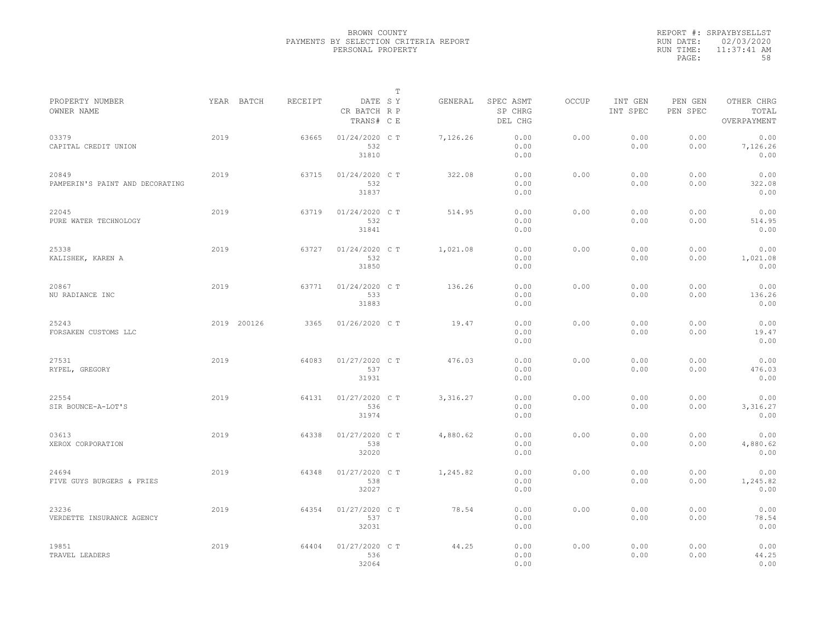|           | REPORT #: SRPAYBYSELLST |
|-----------|-------------------------|
|           | RUN DATE: 02/03/2020    |
| RUN TIME: | $11:37:41$ AM           |
| PAGE:     | 58                      |

|                                          |      |             |         |                                       | т |          |                                 |       |                     |                     |                                    |  |
|------------------------------------------|------|-------------|---------|---------------------------------------|---|----------|---------------------------------|-------|---------------------|---------------------|------------------------------------|--|
| PROPERTY NUMBER<br>OWNER NAME            |      | YEAR BATCH  | RECEIPT | DATE SY<br>CR BATCH R P<br>TRANS# C E |   | GENERAL  | SPEC ASMT<br>SP CHRG<br>DEL CHG | OCCUP | INT GEN<br>INT SPEC | PEN GEN<br>PEN SPEC | OTHER CHRG<br>TOTAL<br>OVERPAYMENT |  |
| 03379<br>CAPITAL CREDIT UNION            | 2019 |             | 63665   | 01/24/2020 C T<br>532<br>31810        |   | 7,126.26 | 0.00<br>0.00<br>0.00            | 0.00  | 0.00<br>0.00        | 0.00<br>0.00        | 0.00<br>7,126.26<br>0.00           |  |
| 20849<br>PAMPERIN'S PAINT AND DECORATING | 2019 |             | 63715   | 01/24/2020 C T<br>532<br>31837        |   | 322.08   | 0.00<br>0.00<br>0.00            | 0.00  | 0.00<br>0.00        | 0.00<br>0.00        | 0.00<br>322.08<br>0.00             |  |
| 22045<br>PURE WATER TECHNOLOGY           | 2019 |             | 63719   | 01/24/2020 C T<br>532<br>31841        |   | 514.95   | 0.00<br>0.00<br>0.00            | 0.00  | 0.00<br>0.00        | 0.00<br>0.00        | 0.00<br>514.95<br>0.00             |  |
| 25338<br>KALISHEK, KAREN A               | 2019 |             | 63727   | 01/24/2020 C T<br>532<br>31850        |   | 1,021.08 | 0.00<br>0.00<br>0.00            | 0.00  | 0.00<br>0.00        | 0.00<br>0.00        | 0.00<br>1,021.08<br>0.00           |  |
| 20867<br>NU RADIANCE INC                 | 2019 |             | 63771   | 01/24/2020 C T<br>533<br>31883        |   | 136.26   | 0.00<br>0.00<br>0.00            | 0.00  | 0.00<br>0.00        | 0.00<br>0.00        | 0.00<br>136.26<br>0.00             |  |
| 25243<br>FORSAKEN CUSTOMS LLC            |      | 2019 200126 | 3365    | 01/26/2020 C T                        |   | 19.47    | 0.00<br>0.00<br>0.00            | 0.00  | 0.00<br>0.00        | 0.00<br>0.00        | 0.00<br>19.47<br>0.00              |  |
| 27531<br>RYPEL, GREGORY                  | 2019 |             | 64083   | 01/27/2020 C T<br>537<br>31931        |   | 476.03   | 0.00<br>0.00<br>0.00            | 0.00  | 0.00<br>0.00        | 0.00<br>0.00        | 0.00<br>476.03<br>0.00             |  |
| 22554<br>SIR BOUNCE-A-LOT'S              | 2019 |             | 64131   | 01/27/2020 C T<br>536<br>31974        |   | 3,316.27 | 0.00<br>0.00<br>0.00            | 0.00  | 0.00<br>0.00        | 0.00<br>0.00        | 0.00<br>3,316.27<br>0.00           |  |
| 03613<br>XEROX CORPORATION               | 2019 |             | 64338   | 01/27/2020 C T<br>538<br>32020        |   | 4,880.62 | 0.00<br>0.00<br>0.00            | 0.00  | 0.00<br>0.00        | 0.00<br>0.00        | 0.00<br>4,880.62<br>0.00           |  |
| 24694<br>FIVE GUYS BURGERS & FRIES       | 2019 |             | 64348   | 01/27/2020 C T<br>538<br>32027        |   | 1,245.82 | 0.00<br>0.00<br>0.00            | 0.00  | 0.00<br>0.00        | 0.00<br>0.00        | 0.00<br>1,245.82<br>0.00           |  |
| 23236<br>VERDETTE INSURANCE AGENCY       | 2019 |             | 64354   | 01/27/2020 C T<br>537<br>32031        |   | 78.54    | 0.00<br>0.00<br>0.00            | 0.00  | 0.00<br>0.00        | 0.00<br>0.00        | 0.00<br>78.54<br>0.00              |  |
| 19851<br>TRAVEL LEADERS                  | 2019 |             | 64404   | 01/27/2020 C T<br>536<br>32064        |   | 44.25    | 0.00<br>0.00<br>0.00            | 0.00  | 0.00<br>0.00        | 0.00<br>0.00        | 0.00<br>44.25<br>0.00              |  |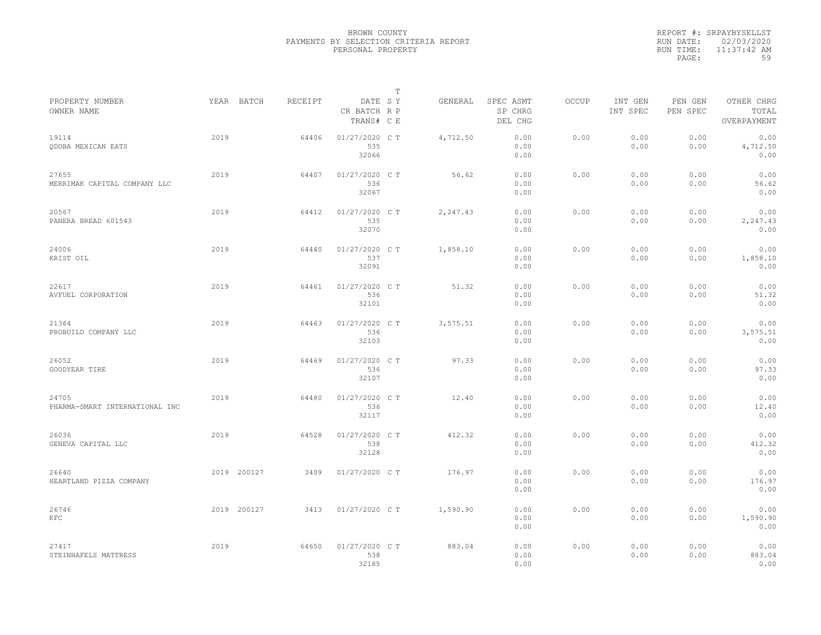|           | REPORT #: SRPAYBYSELLST |
|-----------|-------------------------|
|           | RUN DATE: 02/03/2020    |
| RUN TIME: | $11:37:42$ AM           |
| PAGE:     | 59                      |

|                                         |             |         |                                       | $\mathbb T$ |          |                                 |              |                     |                     |                                    |
|-----------------------------------------|-------------|---------|---------------------------------------|-------------|----------|---------------------------------|--------------|---------------------|---------------------|------------------------------------|
| PROPERTY NUMBER<br>OWNER NAME           | YEAR BATCH  | RECEIPT | DATE SY<br>CR BATCH R P<br>TRANS# C E |             | GENERAL  | SPEC ASMT<br>SP CHRG<br>DEL CHG | <b>OCCUP</b> | INT GEN<br>INT SPEC | PEN GEN<br>PEN SPEC | OTHER CHRG<br>TOTAL<br>OVERPAYMENT |
| 19114<br>ODOBA MEXICAN EATS             | 2019        | 64406   | 01/27/2020 C T<br>535<br>32066        |             | 4,712.50 | 0.00<br>0.00<br>0.00            | 0.00         | 0.00<br>0.00        | 0.00<br>0.00        | 0.00<br>4,712.50<br>0.00           |
| 27655<br>MERRIMAK CAPITAL COMPANY LLC   | 2019        | 64407   | 01/27/2020 C T<br>536<br>32067        |             | 56.62    | 0.00<br>0.00<br>0.00            | 0.00         | 0.00<br>0.00        | 0.00<br>0.00        | 0.00<br>56.62<br>0.00              |
| 20567<br>PANERA BREAD 601543            | 2019        | 64412   | 01/27/2020 C T<br>535<br>32070        |             | 2,247.43 | 0.00<br>0.00<br>0.00            | 0.00         | 0.00<br>0.00        | 0.00<br>0.00        | 0.00<br>2,247.43<br>0.00           |
| 24006<br>KRIST OIL                      | 2019        | 64440   | 01/27/2020 C T<br>537<br>32091        |             | 1,858.10 | 0.00<br>0.00<br>0.00            | 0.00         | 0.00<br>0.00        | 0.00<br>0.00        | 0.00<br>1,858.10<br>0.00           |
| 22617<br>AVFUEL CORPORATION             | 2019        | 64461   | 01/27/2020 C T<br>536<br>32101        |             | 51.32    | 0.00<br>0.00<br>0.00            | 0.00         | 0.00<br>0.00        | 0.00<br>0.00        | 0.00<br>51.32<br>0.00              |
| 21364<br>PROBUILD COMPANY LLC           | 2019        | 64463   | 01/27/2020 C T<br>536<br>32103        |             | 3,575.51 | 0.00<br>0.00<br>0.00            | 0.00         | 0.00<br>0.00        | 0.00<br>0.00        | 0.00<br>3,575.51<br>0.00           |
| 26052<br>GOODYEAR TIRE                  | 2019        | 64469   | 01/27/2020 C T<br>536<br>32107        |             | 97.33    | 0.00<br>0.00<br>0.00            | 0.00         | 0.00<br>0.00        | 0.00<br>0.00        | 0.00<br>97.33<br>0.00              |
| 24705<br>PHARMA-SMART INTERNATIONAL INC | 2019        | 64480   | 01/27/2020 C T<br>536<br>32117        |             | 12.40    | 0.00<br>0.00<br>0.00            | 0.00         | 0.00<br>0.00        | 0.00<br>0.00        | 0.00<br>12.40<br>0.00              |
| 26036<br>GENEVA CAPITAL LLC             | 2019        | 64528   | 01/27/2020 C T<br>538<br>32128        |             | 412.32   | 0.00<br>0.00<br>0.00            | 0.00         | 0.00<br>0.00        | 0.00<br>0.00        | 0.00<br>412.32<br>0.00             |
| 26640<br>HEARTLAND PIZZA COMPANY        | 2019 200127 | 3409    | 01/27/2020 C T                        |             | 176.97   | 0.00<br>0.00<br>0.00            | 0.00         | 0.00<br>0.00        | 0.00<br>0.00        | 0.00<br>176.97<br>0.00             |
| 26746<br>KFC                            | 2019 200127 | 3413    | 01/27/2020 C T                        |             | 1,590.90 | 0.00<br>0.00<br>0.00            | 0.00         | 0.00<br>0.00        | 0.00<br>0.00        | 0.00<br>1,590.90<br>0.00           |
| 27417<br>STEINHAFELS MATTRESS           | 2019        | 64650   | 01/27/2020 C T<br>538<br>32185        |             | 883.04   | 0.00<br>0.00<br>0.00            | 0.00         | 0.00<br>0.00        | 0.00<br>0.00        | 0.00<br>883.04<br>0.00             |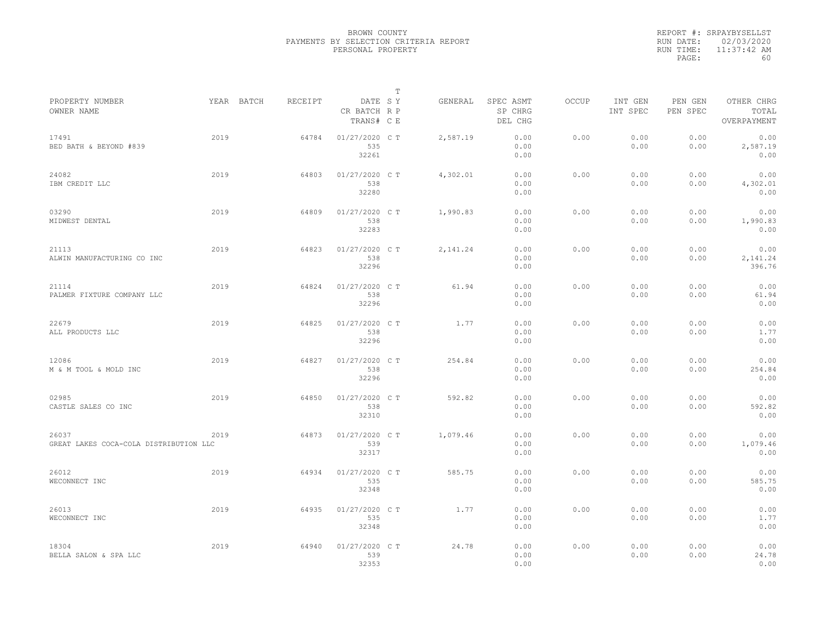|           | REPORT #: SRPAYBYSELLST |
|-----------|-------------------------|
|           | RUN DATE: 02/03/2020    |
| RUN TIME: | $11:37:42$ AM           |
| PAGE:     | 60                      |

|                                                 |      |                       |       |                                       | т |          |                                 |       |                     |                     |                                    |  |
|-------------------------------------------------|------|-----------------------|-------|---------------------------------------|---|----------|---------------------------------|-------|---------------------|---------------------|------------------------------------|--|
| PROPERTY NUMBER<br>OWNER NAME                   |      | YEAR BATCH<br>RECEIPT |       | DATE SY<br>CR BATCH R P<br>TRANS# C E |   | GENERAL  | SPEC ASMT<br>SP CHRG<br>DEL CHG | OCCUP | INT GEN<br>INT SPEC | PEN GEN<br>PEN SPEC | OTHER CHRG<br>TOTAL<br>OVERPAYMENT |  |
| 17491<br>BED BATH & BEYOND #839                 | 2019 |                       | 64784 | 01/27/2020 C T<br>535<br>32261        |   | 2,587.19 | 0.00<br>0.00<br>0.00            | 0.00  | 0.00<br>0.00        | 0.00<br>0.00        | 0.00<br>2,587.19<br>0.00           |  |
| 24082<br>IBM CREDIT LLC                         | 2019 |                       | 64803 | 01/27/2020 C T<br>538<br>32280        |   | 4,302.01 | 0.00<br>0.00<br>0.00            | 0.00  | 0.00<br>0.00        | 0.00<br>0.00        | 0.00<br>4,302.01<br>0.00           |  |
| 03290<br>MIDWEST DENTAL                         | 2019 |                       | 64809 | 01/27/2020 C T<br>538<br>32283        |   | 1,990.83 | 0.00<br>0.00<br>0.00            | 0.00  | 0.00<br>0.00        | 0.00<br>0.00        | 0.00<br>1,990.83<br>0.00           |  |
| 21113<br>ALWIN MANUFACTURING CO INC             | 2019 |                       | 64823 | $01/27/2020$ C T<br>538<br>32296      |   | 2,141.24 | 0.00<br>0.00<br>0.00            | 0.00  | 0.00<br>0.00        | 0.00<br>0.00        | 0.00<br>2,141.24<br>396.76         |  |
| 21114<br>PALMER FIXTURE COMPANY LLC             | 2019 |                       | 64824 | 01/27/2020 C T<br>538<br>32296        |   | 61.94    | 0.00<br>0.00<br>0.00            | 0.00  | 0.00<br>0.00        | 0.00<br>0.00        | 0.00<br>61.94<br>0.00              |  |
| 22679<br>ALL PRODUCTS LLC                       | 2019 |                       | 64825 | 01/27/2020 C T<br>538<br>32296        |   | 1.77     | 0.00<br>0.00<br>0.00            | 0.00  | 0.00<br>0.00        | 0.00<br>0.00        | 0.00<br>1.77<br>0.00               |  |
| 12086<br>M & M TOOL & MOLD INC                  | 2019 |                       | 64827 | 01/27/2020 C T<br>538<br>32296        |   | 254.84   | 0.00<br>0.00<br>0.00            | 0.00  | 0.00<br>0.00        | 0.00<br>0.00        | 0.00<br>254.84<br>0.00             |  |
| 02985<br>CASTLE SALES CO INC                    | 2019 |                       | 64850 | 01/27/2020 C T<br>538<br>32310        |   | 592.82   | 0.00<br>0.00<br>0.00            | 0.00  | 0.00<br>0.00        | 0.00<br>0.00        | 0.00<br>592.82<br>0.00             |  |
| 26037<br>GREAT LAKES COCA-COLA DISTRIBUTION LLC | 2019 |                       | 64873 | 01/27/2020 C T<br>539<br>32317        |   | 1,079.46 | 0.00<br>0.00<br>0.00            | 0.00  | 0.00<br>0.00        | 0.00<br>0.00        | 0.00<br>1,079.46<br>0.00           |  |
| 26012<br>WECONNECT INC                          | 2019 |                       | 64934 | 01/27/2020 C T<br>535<br>32348        |   | 585.75   | 0.00<br>0.00<br>0.00            | 0.00  | 0.00<br>0.00        | 0.00<br>0.00        | 0.00<br>585.75<br>0.00             |  |
| 26013<br>WECONNECT INC                          | 2019 |                       | 64935 | 01/27/2020 C T<br>535<br>32348        |   | 1.77     | 0.00<br>0.00<br>0.00            | 0.00  | 0.00<br>0.00        | 0.00<br>0.00        | 0.00<br>1.77<br>0.00               |  |
| 18304<br>BELLA SALON & SPA LLC                  | 2019 |                       | 64940 | 01/27/2020 C T<br>539<br>32353        |   | 24.78    | 0.00<br>0.00<br>0.00            | 0.00  | 0.00<br>0.00        | 0.00<br>0.00        | 0.00<br>24.78<br>0.00              |  |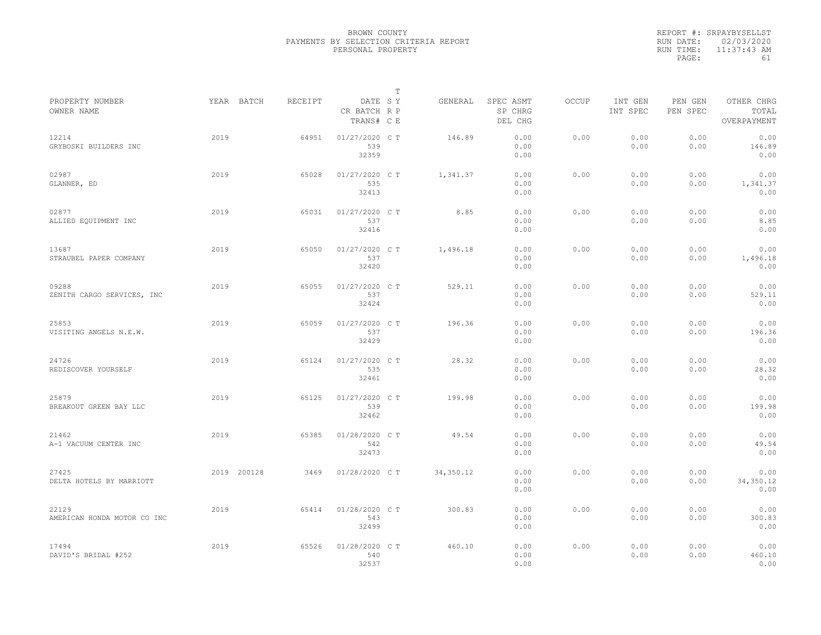|           | REPORT #: SRPAYBYSELLST |  |
|-----------|-------------------------|--|
|           | RUN DATE: 02/03/2020    |  |
| RUN TIME: | $11:37:43$ AM           |  |
| PAGE:     | 61                      |  |

|                                      |             |         |                                       | T |            |                                 |       |                     |                     |                                    |  |
|--------------------------------------|-------------|---------|---------------------------------------|---|------------|---------------------------------|-------|---------------------|---------------------|------------------------------------|--|
| PROPERTY NUMBER<br>OWNER NAME        | YEAR BATCH  | RECEIPT | DATE SY<br>CR BATCH R P<br>TRANS# C E |   | GENERAL    | SPEC ASMT<br>SP CHRG<br>DEL CHG | OCCUP | INT GEN<br>INT SPEC | PEN GEN<br>PEN SPEC | OTHER CHRG<br>TOTAL<br>OVERPAYMENT |  |
| 12214<br>GRYBOSKI BUILDERS INC       | 2019        | 64951   | $01/27/2020$ C T<br>539<br>32359      |   | 146.89     | 0.00<br>0.00<br>0.00            | 0.00  | 0.00<br>0.00        | 0.00<br>0.00        | 0.00<br>146.89<br>0.00             |  |
| 02987<br>GLANNER, ED                 | 2019        | 65028   | 01/27/2020 C T<br>535<br>32413        |   | 1,341.37   | 0.00<br>0.00<br>0.00            | 0.00  | 0.00<br>0.00        | 0.00<br>0.00        | 0.00<br>1,341.37<br>0.00           |  |
| 02877<br>ALLIED EQUIPMENT INC        | 2019        | 65031   | 01/27/2020 C T<br>537<br>32416        |   | 8.85       | 0.00<br>0.00<br>0.00            | 0.00  | 0.00<br>0.00        | 0.00<br>0.00        | 0.00<br>8.85<br>0.00               |  |
| 13687<br>STRAUBEL PAPER COMPANY      | 2019        | 65050   | 01/27/2020 C T<br>537<br>32420        |   | 1,496.18   | 0.00<br>0.00<br>0.00            | 0.00  | 0.00<br>0.00        | 0.00<br>0.00        | 0.00<br>1,496.18<br>0.00           |  |
| 09288<br>ZENITH CARGO SERVICES, INC  | 2019        | 65055   | 01/27/2020 C T<br>537<br>32424        |   | 529.11     | 0.00<br>0.00<br>0.00            | 0.00  | 0.00<br>0.00        | 0.00<br>0.00        | 0.00<br>529.11<br>0.00             |  |
| 25853<br>VISITING ANGELS N.E.W.      | 2019        | 65059   | 01/27/2020 C T<br>537<br>32429        |   | 196.36     | 0.00<br>0.00<br>0.00            | 0.00  | 0.00<br>0.00        | 0.00<br>0.00        | 0.00<br>196.36<br>0.00             |  |
| 24726<br>REDISCOVER YOURSELF         | 2019        | 65124   | 01/27/2020 C T<br>535<br>32461        |   | 28.32      | 0.00<br>0.00<br>0.00            | 0.00  | 0.00<br>0.00        | 0.00<br>0.00        | 0.00<br>28.32<br>0.00              |  |
| 25879<br>BREAKOUT GREEN BAY LLC      | 2019        | 65125   | 01/27/2020 C T<br>539<br>32462        |   | 199.98     | 0.00<br>0.00<br>0.00            | 0.00  | 0.00<br>0.00        | 0.00<br>0.00        | 0.00<br>199.98<br>0.00             |  |
| 21462<br>A-1 VACUUM CENTER INC       | 2019        | 65385   | 01/28/2020 CT<br>542<br>32473         |   | 49.54      | 0.00<br>0.00<br>0.00            | 0.00  | 0.00<br>0.00        | 0.00<br>0.00        | 0.00<br>49.54<br>0.00              |  |
| 27425<br>DELTA HOTELS BY MARRIOTT    | 2019 200128 | 3469    | 01/28/2020 C T                        |   | 34, 350.12 | 0.00<br>0.00<br>0.00            | 0.00  | 0.00<br>0.00        | 0.00<br>0.00        | 0.00<br>34,350.12<br>0.00          |  |
| 22129<br>AMERICAN HONDA MOTOR CO INC | 2019        | 65414   | 01/28/2020 C T<br>543<br>32499        |   | 300.83     | 0.00<br>0.00<br>0.00            | 0.00  | 0.00<br>0.00        | 0.00<br>0.00        | 0.00<br>300.83<br>0.00             |  |
| 17494<br>DAVID'S BRIDAL #252         | 2019        | 65526   | 01/28/2020 C T<br>540<br>32537        |   | 460.10     | 0.00<br>0.00<br>0.00            | 0.00  | 0.00<br>0.00        | 0.00<br>0.00        | 0.00<br>460.10<br>0.00             |  |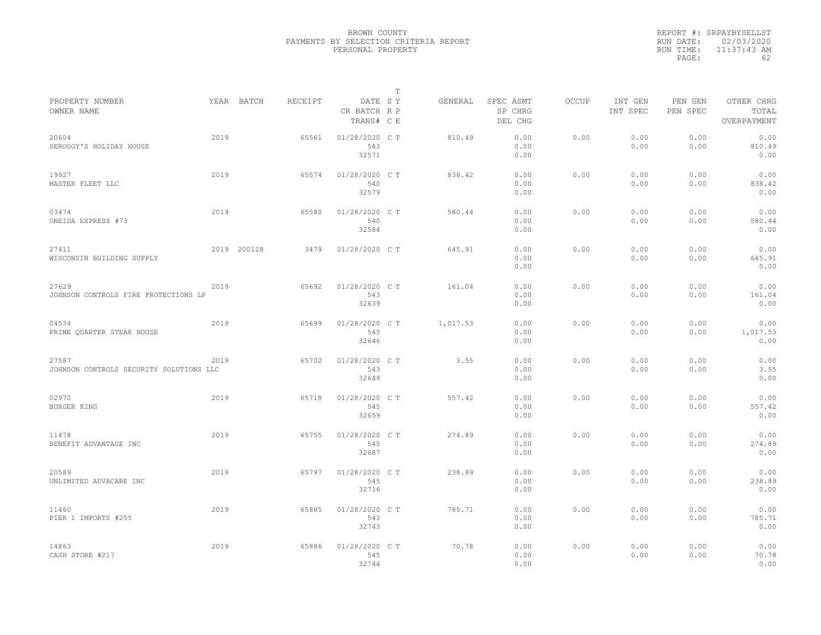|           | REPORT #: SRPAYBYSELLST |
|-----------|-------------------------|
|           | RUN DATE: 02/03/2020    |
| RUN TIME: | $11:37:43$ AM           |
| PAGE:     | 62                      |

|                                                  |      |             |         |                                       | $\mathbb T$ |          |                                 |              |                     |                     |                                    |
|--------------------------------------------------|------|-------------|---------|---------------------------------------|-------------|----------|---------------------------------|--------------|---------------------|---------------------|------------------------------------|
| PROPERTY NUMBER<br>OWNER NAME                    |      | YEAR BATCH  | RECEIPT | DATE SY<br>CR BATCH R P<br>TRANS# C E |             | GENERAL  | SPEC ASMT<br>SP CHRG<br>DEL CHG | <b>OCCUP</b> | INT GEN<br>INT SPEC | PEN GEN<br>PEN SPEC | OTHER CHRG<br>TOTAL<br>OVERPAYMENT |
| 20604<br>SEROOGY'S HOLIDAY HOUSE                 | 2019 |             | 65561   | 01/28/2020 C T<br>543<br>32571        |             | 810.49   | 0.00<br>0.00<br>0.00            | 0.00         | 0.00<br>0.00        | 0.00<br>0.00        | 0.00<br>810.49<br>0.00             |
| 19927<br>MASTER FLEET LLC                        | 2019 |             | 65574   | 01/28/2020 C T<br>540<br>32579        |             | 838.42   | 0.00<br>0.00<br>0.00            | 0.00         | 0.00<br>0.00        | 0.00<br>0.00        | 0.00<br>838.42<br>0.00             |
| 03474<br>ONEIDA EXPRESS #73                      | 2019 |             | 65580   | 01/28/2020 C T<br>540<br>32584        |             | 580.44   | 0.00<br>0.00<br>0.00            | 0.00         | 0.00<br>0.00        | 0.00<br>0.00        | 0.00<br>580.44<br>0.00             |
| 27411<br>WISCONSIN BUILDING SUPPLY               |      | 2019 200128 | 3479    | 01/28/2020 C T                        |             | 645.91   | 0.00<br>0.00<br>0.00            | 0.00         | 0.00<br>0.00        | 0.00<br>0.00        | 0.00<br>645.91<br>0.00             |
| 27629<br>JOHNSON CONTROLS FIRE PROTECTIONS LP    | 2019 |             | 65692   | 01/28/2020 C T<br>543<br>32639        |             | 161.04   | 0.00<br>0.00<br>0.00            | 0.00         | 0.00<br>0.00        | 0.00<br>0.00        | 0.00<br>161.04<br>0.00             |
| 04534<br>PRIME QUARTER STEAK HOUSE               | 2019 |             | 65699   | 01/28/2020 C T<br>545<br>32646        |             | 1,017.53 | 0.00<br>0.00<br>0.00            | 0.00         | 0.00<br>0.00        | 0.00<br>0.00        | 0.00<br>1,017.53<br>0.00           |
| 27587<br>JOHNSON CONTROLS SECURITY SOLUTIONS LLC | 2019 |             | 65702   | 01/28/2020 C T<br>543<br>32649        |             | 3.55     | 0.00<br>0.00<br>0.00            | 0.00         | 0.00<br>0.00        | 0.00<br>0.00        | 0.00<br>3.55<br>0.00               |
| 02970<br>BURGER KING                             | 2019 |             | 65718   | 01/28/2020 C T<br>545<br>32659        |             | 557.42   | 0.00<br>0.00<br>0.00            | 0.00         | 0.00<br>0.00        | 0.00<br>0.00        | 0.00<br>557.42<br>0.00             |
| 11478<br>BENEFIT ADVANTAGE INC                   | 2019 |             | 65755   | 01/28/2020 C T<br>545<br>32687        |             | 274.89   | 0.00<br>0.00<br>0.00            | 0.00         | 0.00<br>0.00        | 0.00<br>0.00        | 0.00<br>274.89<br>0.00             |
| 20589<br>UNLIMITED ADVACARE INC                  | 2019 |             | 65797   | 01/28/2020 C T<br>545<br>32716        |             | 238.89   | 0.00<br>0.00<br>0.00            | 0.00         | 0.00<br>0.00        | 0.00<br>0.00        | 0.00<br>238.89<br>0.00             |
| 11460<br>PIER 1 IMPORTS #255                     | 2019 |             | 65885   | 01/28/2020 C T<br>543<br>32743        |             | 785.71   | 0.00<br>0.00<br>0.00            | 0.00         | 0.00<br>0.00        | 0.00<br>0.00        | 0.00<br>785.71<br>0.00             |
| 14863<br>CASH STORE #217                         | 2019 |             | 65886   | 01/28/2020 C T<br>545<br>32744        |             | 70.78    | 0.00<br>0.00<br>0.00            | 0.00         | 0.00<br>0.00        | 0.00<br>0.00        | 0.00<br>70.78<br>0.00              |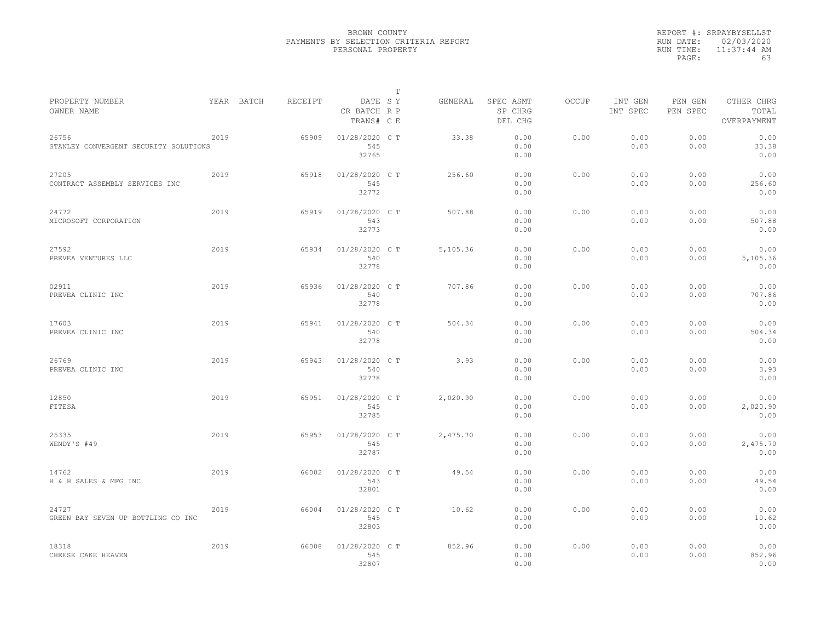|           | REPORT #: SRPAYBYSELLST |
|-----------|-------------------------|
|           | RUN DATE: 02/03/2020    |
| RUN TIME: | $11:37:44$ AM           |
| PAGE:     | 63                      |

|                                                |      |            |         |                                       | $\mathbb T$ |          |                                 |              |                     |                     |                                    |  |
|------------------------------------------------|------|------------|---------|---------------------------------------|-------------|----------|---------------------------------|--------------|---------------------|---------------------|------------------------------------|--|
| PROPERTY NUMBER<br>OWNER NAME                  |      | YEAR BATCH | RECEIPT | DATE SY<br>CR BATCH R P<br>TRANS# C E |             | GENERAL  | SPEC ASMT<br>SP CHRG<br>DEL CHG | <b>OCCUP</b> | INT GEN<br>INT SPEC | PEN GEN<br>PEN SPEC | OTHER CHRG<br>TOTAL<br>OVERPAYMENT |  |
| 26756<br>STANLEY CONVERGENT SECURITY SOLUTIONS | 2019 |            | 65909   | 01/28/2020 C T<br>545<br>32765        |             | 33.38    | 0.00<br>0.00<br>0.00            | 0.00         | 0.00<br>0.00        | 0.00<br>0.00        | 0.00<br>33.38<br>0.00              |  |
| 27205<br>CONTRACT ASSEMBLY SERVICES INC        | 2019 |            | 65918   | 01/28/2020 C T<br>545<br>32772        |             | 256.60   | 0.00<br>0.00<br>0.00            | 0.00         | 0.00<br>0.00        | 0.00<br>0.00        | 0.00<br>256.60<br>0.00             |  |
| 24772<br>MICROSOFT CORPORATION                 | 2019 |            | 65919   | 01/28/2020 C T<br>543<br>32773        |             | 507.88   | 0.00<br>0.00<br>0.00            | 0.00         | 0.00<br>0.00        | 0.00<br>0.00        | 0.00<br>507.88<br>0.00             |  |
| 27592<br>PREVEA VENTURES LLC                   | 2019 |            | 65934   | 01/28/2020 C T<br>540<br>32778        |             | 5,105.36 | 0.00<br>0.00<br>0.00            | 0.00         | 0.00<br>0.00        | 0.00<br>0.00        | 0.00<br>5,105.36<br>0.00           |  |
| 02911<br>PREVEA CLINIC INC                     | 2019 |            | 65936   | 01/28/2020 C T<br>540<br>32778        |             | 707.86   | 0.00<br>0.00<br>0.00            | 0.00         | 0.00<br>0.00        | 0.00<br>0.00        | 0.00<br>707.86<br>0.00             |  |
| 17603<br>PREVEA CLINIC INC                     | 2019 |            | 65941   | 01/28/2020 C T<br>540<br>32778        |             | 504.34   | 0.00<br>0.00<br>0.00            | 0.00         | 0.00<br>0.00        | 0.00<br>0.00        | 0.00<br>504.34<br>0.00             |  |
| 26769<br>PREVEA CLINIC INC                     | 2019 |            | 65943   | 01/28/2020 CT<br>540<br>32778         |             | 3.93     | 0.00<br>0.00<br>0.00            | 0.00         | 0.00<br>0.00        | 0.00<br>0.00        | 0.00<br>3.93<br>0.00               |  |
| 12850<br>FITESA                                | 2019 |            | 65951   | 01/28/2020 C T<br>545<br>32785        |             | 2,020.90 | 0.00<br>0.00<br>0.00            | 0.00         | 0.00<br>0.00        | 0.00<br>0.00        | 0.00<br>2,020.90<br>0.00           |  |
| 25335<br>WENDY'S #49                           | 2019 |            | 65953   | 01/28/2020 CT<br>545<br>32787         |             | 2,475.70 | 0.00<br>0.00<br>0.00            | 0.00         | 0.00<br>0.00        | 0.00<br>0.00        | 0.00<br>2,475.70<br>0.00           |  |
| 14762<br>H & H SALES & MFG INC                 | 2019 |            | 66002   | 01/28/2020 C T<br>543<br>32801        |             | 49.54    | 0.00<br>0.00<br>0.00            | 0.00         | 0.00<br>0.00        | 0.00<br>0.00        | 0.00<br>49.54<br>0.00              |  |
| 24727<br>GREEN BAY SEVEN UP BOTTLING CO INC    | 2019 |            | 66004   | 01/28/2020 C T<br>545<br>32803        |             | 10.62    | 0.00<br>0.00<br>0.00            | 0.00         | 0.00<br>0.00        | 0.00<br>0.00        | 0.00<br>10.62<br>0.00              |  |
| 18318<br>CHEESE CAKE HEAVEN                    | 2019 |            | 66008   | 01/28/2020 C T<br>545<br>32807        |             | 852.96   | 0.00<br>0.00<br>0.00            | 0.00         | 0.00<br>0.00        | 0.00<br>0.00        | 0.00<br>852.96<br>0.00             |  |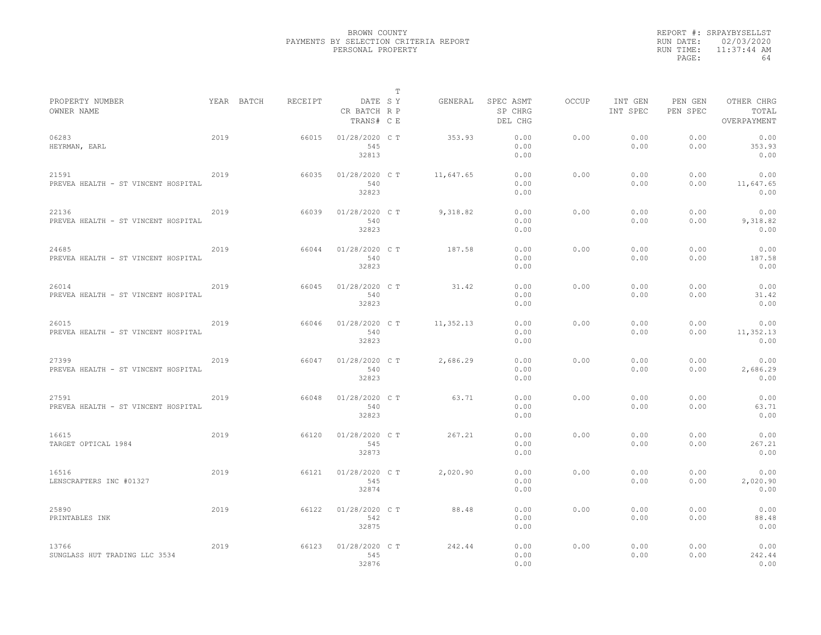|           | REPORT #: SRPAYBYSELLST |
|-----------|-------------------------|
|           | RUN DATE: 02/03/2020    |
| RUN TIME: | $11:37:44$ AM           |
| PAGE:     | 64                      |

|                                              |      |            |         |                                       | т |           |                                 |       |                     |                     |                                    |  |
|----------------------------------------------|------|------------|---------|---------------------------------------|---|-----------|---------------------------------|-------|---------------------|---------------------|------------------------------------|--|
| PROPERTY NUMBER<br>OWNER NAME                |      | YEAR BATCH | RECEIPT | DATE SY<br>CR BATCH R P<br>TRANS# C E |   | GENERAL   | SPEC ASMT<br>SP CHRG<br>DEL CHG | OCCUP | INT GEN<br>INT SPEC | PEN GEN<br>PEN SPEC | OTHER CHRG<br>TOTAL<br>OVERPAYMENT |  |
| 06283<br>HEYRMAN, EARL                       | 2019 |            | 66015   | 01/28/2020 C T<br>545<br>32813        |   | 353.93    | 0.00<br>0.00<br>0.00            | 0.00  | 0.00<br>0.00        | 0.00<br>0.00        | 0.00<br>353.93<br>0.00             |  |
| 21591<br>PREVEA HEALTH - ST VINCENT HOSPITAL | 2019 |            | 66035   | 01/28/2020 C T<br>540<br>32823        |   | 11,647.65 | 0.00<br>0.00<br>0.00            | 0.00  | 0.00<br>0.00        | 0.00<br>0.00        | 0.00<br>11,647.65<br>0.00          |  |
| 22136<br>PREVEA HEALTH - ST VINCENT HOSPITAL | 2019 |            | 66039   | 01/28/2020 C T<br>540<br>32823        |   | 9,318.82  | 0.00<br>0.00<br>0.00            | 0.00  | 0.00<br>0.00        | 0.00<br>0.00        | 0.00<br>9,318.82<br>0.00           |  |
| 24685<br>PREVEA HEALTH - ST VINCENT HOSPITAL | 2019 |            | 66044   | 01/28/2020 C T<br>540<br>32823        |   | 187.58    | 0.00<br>0.00<br>0.00            | 0.00  | 0.00<br>0.00        | 0.00<br>0.00        | 0.00<br>187.58<br>0.00             |  |
| 26014<br>PREVEA HEALTH - ST VINCENT HOSPITAL | 2019 |            | 66045   | 01/28/2020 C T<br>540<br>32823        |   | 31.42     | 0.00<br>0.00<br>0.00            | 0.00  | 0.00<br>0.00        | 0.00<br>0.00        | 0.00<br>31.42<br>0.00              |  |
| 26015<br>PREVEA HEALTH - ST VINCENT HOSPITAL | 2019 |            | 66046   | 01/28/2020 C T<br>540<br>32823        |   | 11,352.13 | 0.00<br>0.00<br>0.00            | 0.00  | 0.00<br>0.00        | 0.00<br>0.00        | 0.00<br>11,352.13<br>0.00          |  |
| 27399<br>PREVEA HEALTH - ST VINCENT HOSPITAL | 2019 |            | 66047   | 01/28/2020 C T<br>540<br>32823        |   | 2,686.29  | 0.00<br>0.00<br>0.00            | 0.00  | 0.00<br>0.00        | 0.00<br>0.00        | 0.00<br>2,686.29<br>0.00           |  |
| 27591<br>PREVEA HEALTH - ST VINCENT HOSPITAL | 2019 |            | 66048   | 01/28/2020 CT<br>540<br>32823         |   | 63.71     | 0.00<br>0.00<br>0.00            | 0.00  | 0.00<br>0.00        | 0.00<br>0.00        | 0.00<br>63.71<br>0.00              |  |
| 16615<br>TARGET OPTICAL 1984                 | 2019 |            | 66120   | 01/28/2020 CT<br>545<br>32873         |   | 267.21    | 0.00<br>0.00<br>0.00            | 0.00  | 0.00<br>0.00        | 0.00<br>0.00        | 0.00<br>267.21<br>0.00             |  |
| 16516<br>LENSCRAFTERS INC #01327             | 2019 |            | 66121   | 01/28/2020 C T<br>545<br>32874        |   | 2,020.90  | 0.00<br>0.00<br>0.00            | 0.00  | 0.00<br>0.00        | 0.00<br>0.00        | 0.00<br>2,020.90<br>0.00           |  |
| 25890<br>PRINTABLES INK                      | 2019 |            | 66122   | 01/28/2020 CT<br>542<br>32875         |   | 88.48     | 0.00<br>0.00<br>0.00            | 0.00  | 0.00<br>0.00        | 0.00<br>0.00        | 0.00<br>88.48<br>0.00              |  |
| 13766<br>SUNGLASS HUT TRADING LLC 3534       | 2019 |            | 66123   | 01/28/2020 C T<br>545<br>32876        |   | 242.44    | 0.00<br>0.00<br>0.00            | 0.00  | 0.00<br>0.00        | 0.00<br>0.00        | 0.00<br>242.44<br>0.00             |  |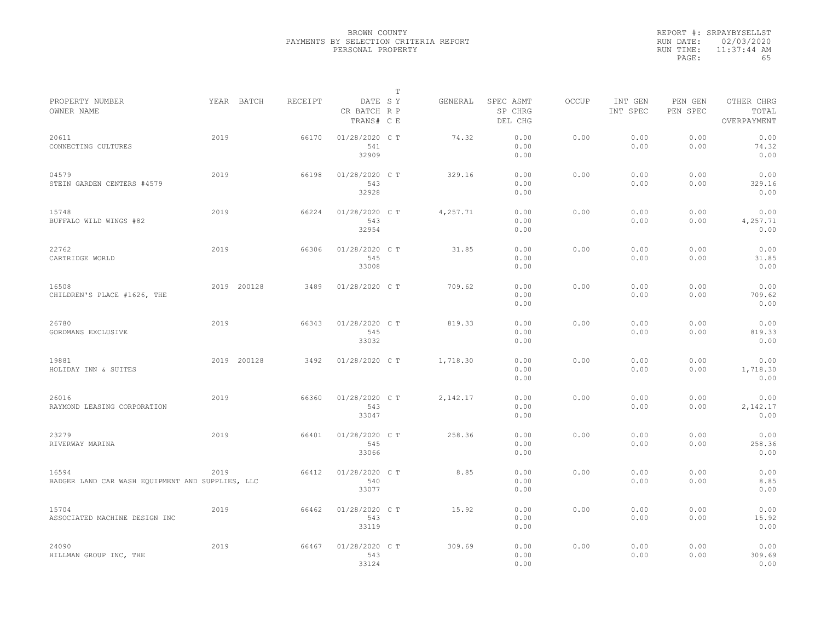|           | REPORT #: SRPAYBYSELLST |
|-----------|-------------------------|
|           | RUN DATE: 02/03/2020    |
| RUN TIME: | $11:37:44$ AM           |
| PAGE:     | 65                      |

|                                                           |      |             |         |                                       | T |          |                                 |              |                     |                     |                                    |
|-----------------------------------------------------------|------|-------------|---------|---------------------------------------|---|----------|---------------------------------|--------------|---------------------|---------------------|------------------------------------|
| PROPERTY NUMBER<br>OWNER NAME                             |      | YEAR BATCH  | RECEIPT | DATE SY<br>CR BATCH R P<br>TRANS# C E |   | GENERAL  | SPEC ASMT<br>SP CHRG<br>DEL CHG | <b>OCCUP</b> | INT GEN<br>INT SPEC | PEN GEN<br>PEN SPEC | OTHER CHRG<br>TOTAL<br>OVERPAYMENT |
| 20611<br>CONNECTING CULTURES                              | 2019 |             | 66170   | 01/28/2020 C T<br>541<br>32909        |   | 74.32    | 0.00<br>0.00<br>0.00            | 0.00         | 0.00<br>0.00        | 0.00<br>0.00        | 0.00<br>74.32<br>0.00              |
| 04579<br>STEIN GARDEN CENTERS #4579                       | 2019 |             | 66198   | 01/28/2020 C T<br>543<br>32928        |   | 329.16   | 0.00<br>0.00<br>0.00            | 0.00         | 0.00<br>0.00        | 0.00<br>0.00        | 0.00<br>329.16<br>0.00             |
| 15748<br>BUFFALO WILD WINGS #82                           | 2019 |             | 66224   | 01/28/2020 C T<br>543<br>32954        |   | 4,257.71 | 0.00<br>0.00<br>0.00            | 0.00         | 0.00<br>0.00        | 0.00<br>0.00        | 0.00<br>4,257.71<br>0.00           |
| 22762<br>CARTRIDGE WORLD                                  | 2019 |             | 66306   | 01/28/2020 C T<br>545<br>33008        |   | 31.85    | 0.00<br>0.00<br>0.00            | 0.00         | 0.00<br>0.00        | 0.00<br>0.00        | 0.00<br>31.85<br>0.00              |
| 16508<br>CHILDREN'S PLACE #1626, THE                      |      | 2019 200128 | 3489    | 01/28/2020 C T                        |   | 709.62   | 0.00<br>0.00<br>0.00            | 0.00         | 0.00<br>0.00        | 0.00<br>0.00        | 0.00<br>709.62<br>0.00             |
| 26780<br>GORDMANS EXCLUSIVE                               | 2019 |             | 66343   | 01/28/2020 C T<br>545<br>33032        |   | 819.33   | 0.00<br>0.00<br>0.00            | 0.00         | 0.00<br>0.00        | 0.00<br>0.00        | 0.00<br>819.33<br>0.00             |
| 19881<br>HOLIDAY INN & SUITES                             |      | 2019 200128 | 3492    | 01/28/2020 C T                        |   | 1,718.30 | 0.00<br>0.00<br>0.00            | 0.00         | 0.00<br>0.00        | 0.00<br>0.00        | 0.00<br>1,718.30<br>0.00           |
| 26016<br>RAYMOND LEASING CORPORATION                      | 2019 |             | 66360   | 01/28/2020 C T<br>543<br>33047        |   | 2,142.17 | 0.00<br>0.00<br>0.00            | 0.00         | 0.00<br>0.00        | 0.00<br>0.00        | 0.00<br>2,142.17<br>0.00           |
| 23279<br>RIVERWAY MARINA                                  | 2019 |             | 66401   | 01/28/2020 C T<br>545<br>33066        |   | 258.36   | 0.00<br>0.00<br>0.00            | 0.00         | 0.00<br>0.00        | 0.00<br>0.00        | 0.00<br>258.36<br>0.00             |
| 16594<br>BADGER LAND CAR WASH EQUIPMENT AND SUPPLIES, LLC | 2019 |             | 66412   | 01/28/2020 CT<br>540<br>33077         |   | 8.85     | 0.00<br>0.00<br>0.00            | 0.00         | 0.00<br>0.00        | 0.00<br>0.00        | 0.00<br>8.85<br>0.00               |
| 15704<br>ASSOCIATED MACHINE DESIGN INC                    | 2019 |             | 66462   | 01/28/2020 C T<br>543<br>33119        |   | 15.92    | 0.00<br>0.00<br>0.00            | 0.00         | 0.00<br>0.00        | 0.00<br>0.00        | 0.00<br>15.92<br>0.00              |
| 24090<br>HILLMAN GROUP INC, THE                           | 2019 |             | 66467   | 01/28/2020 CT<br>543<br>33124         |   | 309.69   | 0.00<br>0.00<br>0.00            | 0.00         | 0.00<br>0.00        | 0.00<br>0.00        | 0.00<br>309.69<br>0.00             |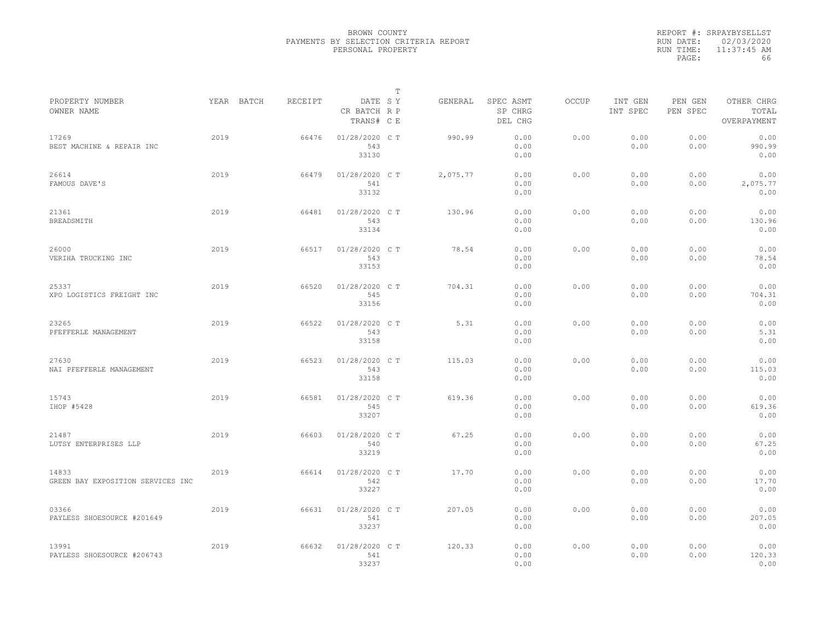|           | REPORT #: SRPAYBYSELLST |
|-----------|-------------------------|
|           | RUN DATE: 02/03/2020    |
| RUN TIME: | $11:37:45$ AM           |
| PAGE:     | 66                      |

|                                            |      |            |         |                                       | Т |          |                                 |       |                     |                     |                                    |  |
|--------------------------------------------|------|------------|---------|---------------------------------------|---|----------|---------------------------------|-------|---------------------|---------------------|------------------------------------|--|
| PROPERTY NUMBER<br>OWNER NAME              |      | YEAR BATCH | RECEIPT | DATE SY<br>CR BATCH R P<br>TRANS# C E |   | GENERAL  | SPEC ASMT<br>SP CHRG<br>DEL CHG | OCCUP | INT GEN<br>INT SPEC | PEN GEN<br>PEN SPEC | OTHER CHRG<br>TOTAL<br>OVERPAYMENT |  |
| 17269<br>BEST MACHINE & REPAIR INC         | 2019 |            | 66476   | 01/28/2020 C T<br>543<br>33130        |   | 990.99   | 0.00<br>0.00<br>0.00            | 0.00  | 0.00<br>0.00        | 0.00<br>0.00        | 0.00<br>990.99<br>0.00             |  |
| 26614<br>FAMOUS DAVE'S                     | 2019 |            | 66479   | 01/28/2020 C T<br>541<br>33132        |   | 2,075.77 | 0.00<br>0.00<br>0.00            | 0.00  | 0.00<br>0.00        | 0.00<br>0.00        | 0.00<br>2,075.77<br>0.00           |  |
| 21361<br>BREADSMITH                        | 2019 |            | 66481   | 01/28/2020 C T<br>543<br>33134        |   | 130.96   | 0.00<br>0.00<br>0.00            | 0.00  | 0.00<br>0.00        | 0.00<br>0.00        | 0.00<br>130.96<br>0.00             |  |
| 26000<br>VERIHA TRUCKING INC               | 2019 |            | 66517   | 01/28/2020 C T<br>543<br>33153        |   | 78.54    | 0.00<br>0.00<br>0.00            | 0.00  | 0.00<br>0.00        | 0.00<br>0.00        | 0.00<br>78.54<br>0.00              |  |
| 25337<br>XPO LOGISTICS FREIGHT INC         | 2019 |            | 66520   | 01/28/2020 C T<br>545<br>33156        |   | 704.31   | 0.00<br>0.00<br>0.00            | 0.00  | 0.00<br>0.00        | 0.00<br>0.00        | 0.00<br>704.31<br>0.00             |  |
| 23265<br>PFEFFERLE MANAGEMENT              | 2019 |            | 66522   | 01/28/2020 C T<br>543<br>33158        |   | 5.31     | 0.00<br>0.00<br>0.00            | 0.00  | 0.00<br>0.00        | 0.00<br>0.00        | 0.00<br>5.31<br>0.00               |  |
| 27630<br>NAI PFEFFERLE MANAGEMENT          | 2019 |            | 66523   | 01/28/2020 C T<br>543<br>33158        |   | 115.03   | 0.00<br>0.00<br>0.00            | 0.00  | 0.00<br>0.00        | 0.00<br>0.00        | 0.00<br>115.03<br>0.00             |  |
| 15743<br>IHOP #5428                        | 2019 |            | 66581   | 01/28/2020 C T<br>545<br>33207        |   | 619.36   | 0.00<br>0.00<br>0.00            | 0.00  | 0.00<br>0.00        | 0.00<br>0.00        | 0.00<br>619.36<br>0.00             |  |
| 21487<br>LUTSY ENTERPRISES LLP             | 2019 |            | 66603   | 01/28/2020 C T<br>540<br>33219        |   | 67.25    | 0.00<br>0.00<br>0.00            | 0.00  | 0.00<br>0.00        | 0.00<br>0.00        | 0.00<br>67.25<br>0.00              |  |
| 14833<br>GREEN BAY EXPOSITION SERVICES INC | 2019 |            | 66614   | 01/28/2020 C T<br>542<br>33227        |   | 17.70    | 0.00<br>0.00<br>0.00            | 0.00  | 0.00<br>0.00        | 0.00<br>0.00        | 0.00<br>17.70<br>0.00              |  |
| 03366<br>PAYLESS SHOESOURCE #201649        | 2019 |            | 66631   | 01/28/2020 C T<br>541<br>33237        |   | 207.05   | 0.00<br>0.00<br>0.00            | 0.00  | 0.00<br>0.00        | 0.00<br>0.00        | 0.00<br>207.05<br>0.00             |  |
| 13991<br>PAYLESS SHOESOURCE #206743        | 2019 |            | 66632   | 01/28/2020 C T<br>541<br>33237        |   | 120.33   | 0.00<br>0.00<br>0.00            | 0.00  | 0.00<br>0.00        | 0.00<br>0.00        | 0.00<br>120.33<br>0.00             |  |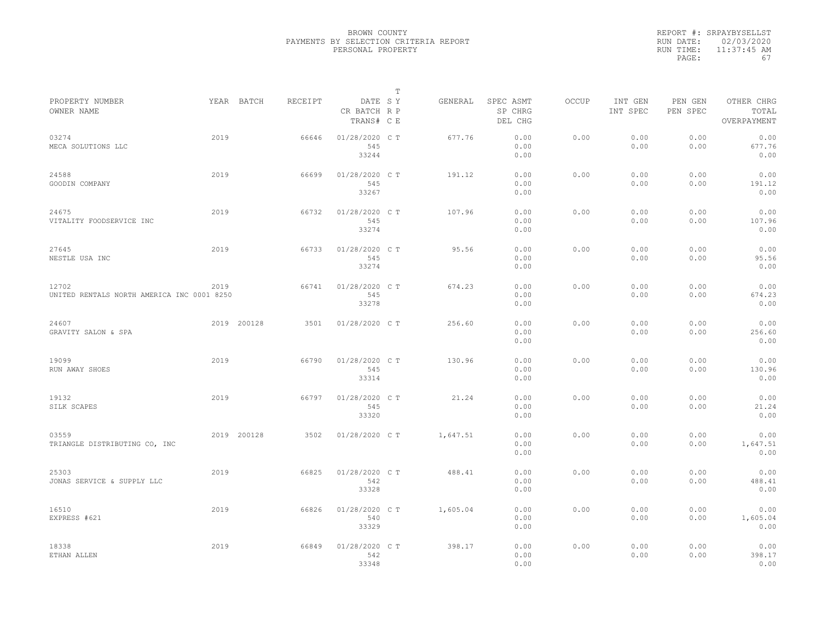| REPORT #: SRPAYBYSELLST    |
|----------------------------|
| RUN DATE: 02/03/2020       |
| $11:37:45$ AM<br>RUN TIME: |
| 67                         |
|                            |

|                                                     |      |             |         |                                       | Т |          |                                 |       |                     |                     |                                    |  |
|-----------------------------------------------------|------|-------------|---------|---------------------------------------|---|----------|---------------------------------|-------|---------------------|---------------------|------------------------------------|--|
| PROPERTY NUMBER<br>OWNER NAME                       |      | YEAR BATCH  | RECEIPT | DATE SY<br>CR BATCH R P<br>TRANS# C E |   | GENERAL  | SPEC ASMT<br>SP CHRG<br>DEL CHG | OCCUP | INT GEN<br>INT SPEC | PEN GEN<br>PEN SPEC | OTHER CHRG<br>TOTAL<br>OVERPAYMENT |  |
| 03274<br>MECA SOLUTIONS LLC                         | 2019 |             | 66646   | 01/28/2020 C T<br>545<br>33244        |   | 677.76   | 0.00<br>0.00<br>0.00            | 0.00  | 0.00<br>0.00        | 0.00<br>0.00        | 0.00<br>677.76<br>0.00             |  |
| 24588<br>GOODIN COMPANY                             | 2019 |             | 66699   | 01/28/2020 C T<br>545<br>33267        |   | 191.12   | 0.00<br>0.00<br>0.00            | 0.00  | 0.00<br>0.00        | 0.00<br>0.00        | 0.00<br>191.12<br>0.00             |  |
| 24675<br>VITALITY FOODSERVICE INC                   | 2019 |             | 66732   | 01/28/2020 C T<br>545<br>33274        |   | 107.96   | 0.00<br>0.00<br>0.00            | 0.00  | 0.00<br>0.00        | 0.00<br>0.00        | 0.00<br>107.96<br>0.00             |  |
| 27645<br>NESTLE USA INC                             | 2019 |             | 66733   | 01/28/2020 C T<br>545<br>33274        |   | 95.56    | 0.00<br>0.00<br>0.00            | 0.00  | 0.00<br>0.00        | 0.00<br>0.00        | 0.00<br>95.56<br>0.00              |  |
| 12702<br>UNITED RENTALS NORTH AMERICA INC 0001 8250 | 2019 |             | 66741   | 01/28/2020 C T<br>545<br>33278        |   | 674.23   | 0.00<br>0.00<br>0.00            | 0.00  | 0.00<br>0.00        | 0.00<br>0.00        | 0.00<br>674.23<br>0.00             |  |
| 24607<br>GRAVITY SALON & SPA                        |      | 2019 200128 | 3501    | 01/28/2020 C T                        |   | 256.60   | 0.00<br>0.00<br>0.00            | 0.00  | 0.00<br>0.00        | 0.00<br>0.00        | 0.00<br>256.60<br>0.00             |  |
| 19099<br>RUN AWAY SHOES                             | 2019 |             | 66790   | 01/28/2020 C T<br>545<br>33314        |   | 130.96   | 0.00<br>0.00<br>0.00            | 0.00  | 0.00<br>0.00        | 0.00<br>0.00        | 0.00<br>130.96<br>0.00             |  |
| 19132<br>SILK SCAPES                                | 2019 |             | 66797   | 01/28/2020 C T<br>545<br>33320        |   | 21.24    | 0.00<br>0.00<br>0.00            | 0.00  | 0.00<br>0.00        | 0.00<br>0.00        | 0.00<br>21.24<br>0.00              |  |
| 03559<br>TRIANGLE DISTRIBUTING CO, INC              |      | 2019 200128 | 3502    | 01/28/2020 C T                        |   | 1,647.51 | 0.00<br>0.00<br>0.00            | 0.00  | 0.00<br>0.00        | 0.00<br>0.00        | 0.00<br>1,647.51<br>0.00           |  |
| 25303<br>JONAS SERVICE & SUPPLY LLC                 | 2019 |             | 66825   | 01/28/2020 C T<br>542<br>33328        |   | 488.41   | 0.00<br>0.00<br>0.00            | 0.00  | 0.00<br>0.00        | 0.00<br>0.00        | 0.00<br>488.41<br>0.00             |  |
| 16510<br>EXPRESS #621                               | 2019 |             | 66826   | 01/28/2020 CT<br>540<br>33329         |   | 1,605.04 | 0.00<br>0.00<br>0.00            | 0.00  | 0.00<br>0.00        | 0.00<br>0.00        | 0.00<br>1,605.04<br>0.00           |  |
| 18338<br>ETHAN ALLEN                                | 2019 |             | 66849   | 01/28/2020 C T<br>542<br>33348        |   | 398.17   | 0.00<br>0.00<br>0.00            | 0.00  | 0.00<br>0.00        | 0.00<br>0.00        | 0.00<br>398.17<br>0.00             |  |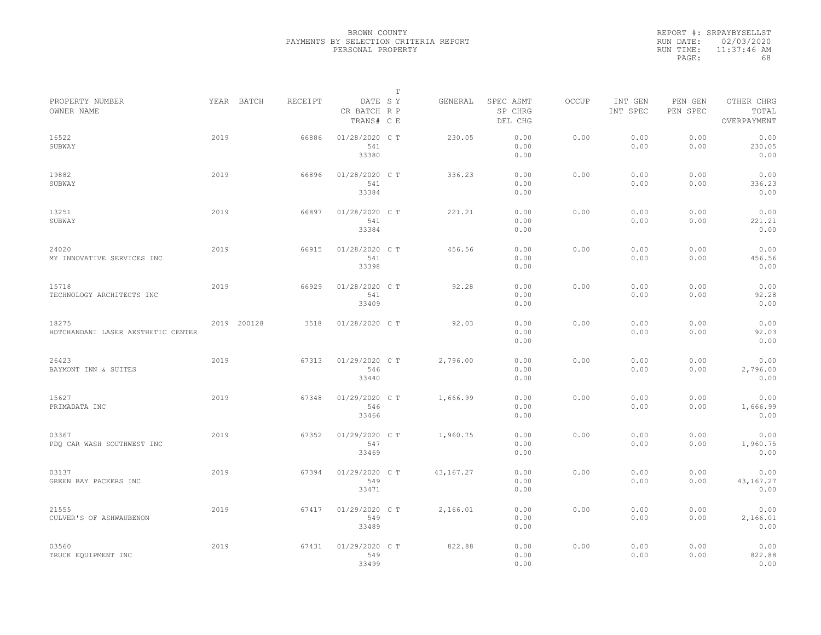|           | REPORT #: SRPAYBYSELLST |
|-----------|-------------------------|
|           | RUN DATE: 02/03/2020    |
| RUN TIME: | $11:37:46$ AM           |
| PAGE:     | 68                      |

| PROPERTY NUMBER                             |      | YEAR BATCH  | RECEIPT | DATE SY                        | T | GENERAL     | SPEC ASMT            | OCCUP | INT GEN      | PEN GEN      | OTHER CHRG                |  |
|---------------------------------------------|------|-------------|---------|--------------------------------|---|-------------|----------------------|-------|--------------|--------------|---------------------------|--|
| OWNER NAME                                  |      |             |         | CR BATCH R P<br>TRANS# C E     |   |             | SP CHRG<br>DEL CHG   |       | INT SPEC     | PEN SPEC     | TOTAL<br>OVERPAYMENT      |  |
| 16522<br>SUBWAY                             | 2019 |             | 66886   | 01/28/2020 C T<br>541<br>33380 |   | 230.05      | 0.00<br>0.00<br>0.00 | 0.00  | 0.00<br>0.00 | 0.00<br>0.00 | 0.00<br>230.05<br>0.00    |  |
| 19882<br>SUBWAY                             | 2019 |             | 66896   | 01/28/2020 C T<br>541<br>33384 |   | 336.23      | 0.00<br>0.00<br>0.00 | 0.00  | 0.00<br>0.00 | 0.00<br>0.00 | 0.00<br>336.23<br>0.00    |  |
| 13251<br>SUBWAY                             | 2019 |             | 66897   | 01/28/2020 C T<br>541<br>33384 |   | 221.21      | 0.00<br>0.00<br>0.00 | 0.00  | 0.00<br>0.00 | 0.00<br>0.00 | 0.00<br>221.21<br>0.00    |  |
| 24020<br>MY INNOVATIVE SERVICES INC         | 2019 |             | 66915   | 01/28/2020 C T<br>541<br>33398 |   | 456.56      | 0.00<br>0.00<br>0.00 | 0.00  | 0.00<br>0.00 | 0.00<br>0.00 | 0.00<br>456.56<br>0.00    |  |
| 15718<br>TECHNOLOGY ARCHITECTS INC          | 2019 |             | 66929   | 01/28/2020 C T<br>541<br>33409 |   | 92.28       | 0.00<br>0.00<br>0.00 | 0.00  | 0.00<br>0.00 | 0.00<br>0.00 | 0.00<br>92.28<br>0.00     |  |
| 18275<br>HOTCHANDANI LASER AESTHETIC CENTER |      | 2019 200128 | 3518    | 01/28/2020 C T                 |   | 92.03       | 0.00<br>0.00<br>0.00 | 0.00  | 0.00<br>0.00 | 0.00<br>0.00 | 0.00<br>92.03<br>0.00     |  |
| 26423<br>BAYMONT INN & SUITES               | 2019 |             | 67313   | 01/29/2020 CT<br>546<br>33440  |   | 2,796.00    | 0.00<br>0.00<br>0.00 | 0.00  | 0.00<br>0.00 | 0.00<br>0.00 | 0.00<br>2,796.00<br>0.00  |  |
| 15627<br>PRIMADATA INC                      | 2019 |             | 67348   | 01/29/2020 C T<br>546<br>33466 |   | 1,666.99    | 0.00<br>0.00<br>0.00 | 0.00  | 0.00<br>0.00 | 0.00<br>0.00 | 0.00<br>1,666.99<br>0.00  |  |
| 03367<br>PDQ CAR WASH SOUTHWEST INC         | 2019 |             | 67352   | 01/29/2020 CT<br>547<br>33469  |   | 1,960.75    | 0.00<br>0.00<br>0.00 | 0.00  | 0.00<br>0.00 | 0.00<br>0.00 | 0.00<br>1,960.75<br>0.00  |  |
| 03137<br>GREEN BAY PACKERS INC              | 2019 |             | 67394   | 01/29/2020 C T<br>549<br>33471 |   | 43, 167. 27 | 0.00<br>0.00<br>0.00 | 0.00  | 0.00<br>0.00 | 0.00<br>0.00 | 0.00<br>43,167.27<br>0.00 |  |
| 21555<br>CULVER'S OF ASHWAUBENON            | 2019 |             | 67417   | 01/29/2020 C T<br>549<br>33489 |   | 2,166.01    | 0.00<br>0.00<br>0.00 | 0.00  | 0.00<br>0.00 | 0.00<br>0.00 | 0.00<br>2,166.01<br>0.00  |  |
| 03560<br>TRUCK EQUIPMENT INC                | 2019 |             | 67431   | 01/29/2020 C T<br>549<br>33499 |   | 822.88      | 0.00<br>0.00<br>0.00 | 0.00  | 0.00<br>0.00 | 0.00<br>0.00 | 0.00<br>822.88<br>0.00    |  |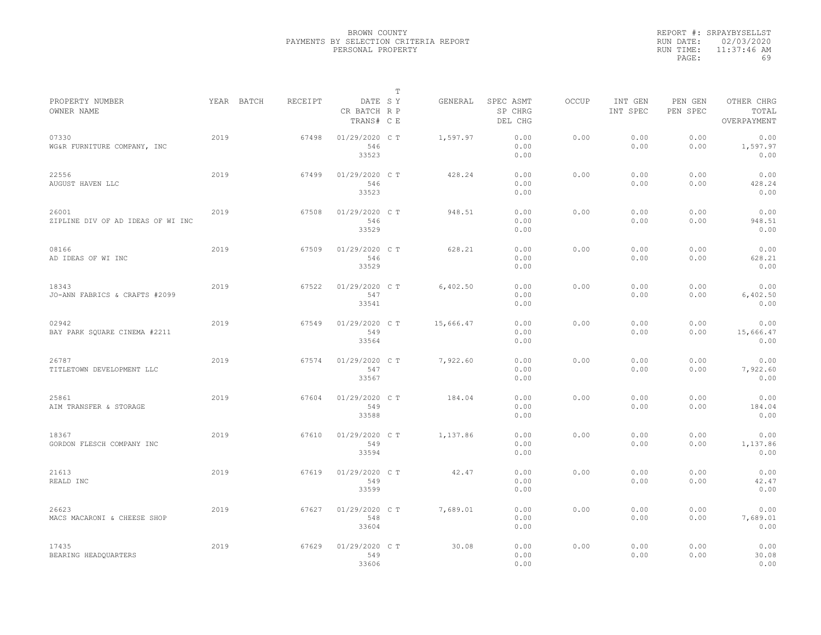|           | REPORT #: SRPAYBYSELLST |
|-----------|-------------------------|
|           | RUN DATE: 02/03/2020    |
| RUN TIME: | $11:37:46$ AM           |
| PAGE:     | 69                      |

|                                            |            |         |                                       | T |           |                                 |              |                     |                     |                                    |
|--------------------------------------------|------------|---------|---------------------------------------|---|-----------|---------------------------------|--------------|---------------------|---------------------|------------------------------------|
| PROPERTY NUMBER<br>OWNER NAME              | YEAR BATCH | RECEIPT | DATE SY<br>CR BATCH R P<br>TRANS# C E |   | GENERAL   | SPEC ASMT<br>SP CHRG<br>DEL CHG | <b>OCCUP</b> | INT GEN<br>INT SPEC | PEN GEN<br>PEN SPEC | OTHER CHRG<br>TOTAL<br>OVERPAYMENT |
| 07330<br>WG&R FURNITURE COMPANY, INC       | 2019       | 67498   | 01/29/2020 C T<br>546<br>33523        |   | 1,597.97  | 0.00<br>0.00<br>0.00            | 0.00         | 0.00<br>0.00        | 0.00<br>0.00        | 0.00<br>1,597.97<br>0.00           |
| 22556<br>AUGUST HAVEN LLC                  | 2019       | 67499   | 01/29/2020 C T<br>546<br>33523        |   | 428.24    | 0.00<br>0.00<br>0.00            | 0.00         | 0.00<br>0.00        | 0.00<br>0.00        | 0.00<br>428.24<br>0.00             |
| 26001<br>ZIPLINE DIV OF AD IDEAS OF WI INC | 2019       | 67508   | 01/29/2020 C T<br>546<br>33529        |   | 948.51    | 0.00<br>0.00<br>0.00            | 0.00         | 0.00<br>0.00        | 0.00<br>0.00        | 0.00<br>948.51<br>0.00             |
| 08166<br>AD IDEAS OF WI INC                | 2019       | 67509   | 01/29/2020 C T<br>546<br>33529        |   | 628.21    | 0.00<br>0.00<br>0.00            | 0.00         | 0.00<br>0.00        | 0.00<br>0.00        | 0.00<br>628.21<br>0.00             |
| 18343<br>JO-ANN FABRICS & CRAFTS #2099     | 2019       | 67522   | 01/29/2020 C T<br>547<br>33541        |   | 6,402.50  | 0.00<br>0.00<br>0.00            | 0.00         | 0.00<br>0.00        | 0.00<br>0.00        | 0.00<br>6,402.50<br>0.00           |
| 02942<br>BAY PARK SQUARE CINEMA #2211      | 2019       | 67549   | 01/29/2020 C T<br>549<br>33564        |   | 15,666.47 | 0.00<br>0.00<br>0.00            | 0.00         | 0.00<br>0.00        | 0.00<br>0.00        | 0.00<br>15,666.47<br>0.00          |
| 26787<br>TITLETOWN DEVELOPMENT LLC         | 2019       | 67574   | 01/29/2020 C T<br>547<br>33567        |   | 7,922.60  | 0.00<br>0.00<br>0.00            | 0.00         | 0.00<br>0.00        | 0.00<br>0.00        | 0.00<br>7,922.60<br>0.00           |
| 25861<br>AIM TRANSFER & STORAGE            | 2019       | 67604   | 01/29/2020 C T<br>549<br>33588        |   | 184.04    | 0.00<br>0.00<br>0.00            | 0.00         | 0.00<br>0.00        | 0.00<br>0.00        | 0.00<br>184.04<br>0.00             |
| 18367<br>GORDON FLESCH COMPANY INC         | 2019       | 67610   | 01/29/2020 C T<br>549<br>33594        |   | 1,137.86  | 0.00<br>0.00<br>0.00            | 0.00         | 0.00<br>0.00        | 0.00<br>0.00        | 0.00<br>1,137.86<br>0.00           |
| 21613<br>REALD INC                         | 2019       | 67619   | 01/29/2020 C T<br>549<br>33599        |   | 42.47     | 0.00<br>0.00<br>0.00            | 0.00         | 0.00<br>0.00        | 0.00<br>0.00        | 0.00<br>42.47<br>0.00              |
| 26623<br>MACS MACARONI & CHEESE SHOP       | 2019       | 67627   | 01/29/2020 C T<br>548<br>33604        |   | 7,689.01  | 0.00<br>0.00<br>0.00            | 0.00         | 0.00<br>0.00        | 0.00<br>0.00        | 0.00<br>7,689.01<br>0.00           |
| 17435<br>BEARING HEADQUARTERS              | 2019       | 67629   | 01/29/2020 C T<br>549<br>33606        |   | 30.08     | 0.00<br>0.00<br>0.00            | 0.00         | 0.00<br>0.00        | 0.00<br>0.00        | 0.00<br>30.08<br>0.00              |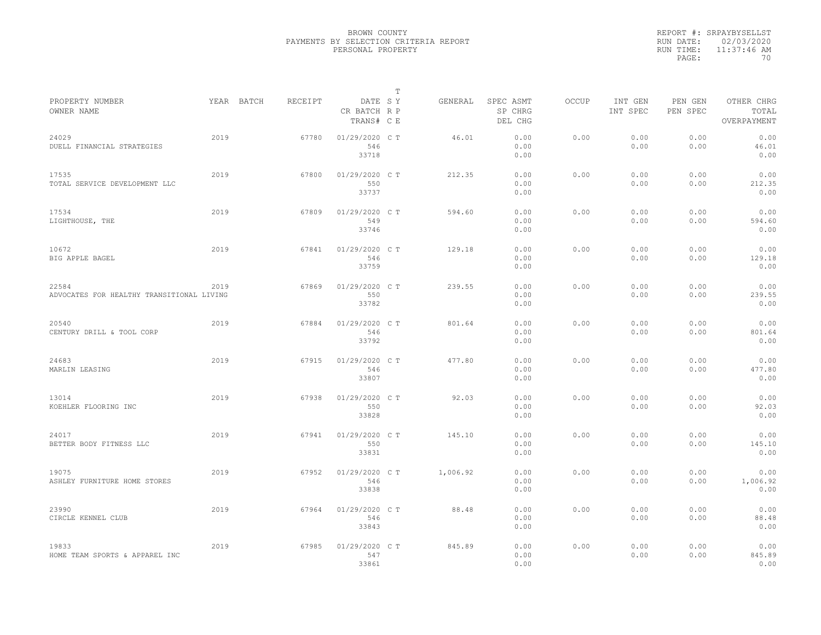|           | REPORT #: SRPAYBYSELLST |
|-----------|-------------------------|
|           | RUN DATE: 02/03/2020    |
| RUN TIME: | $11:37:46$ AM           |
| PAGE:     | 70                      |

|                                                    |      |            |         |                                       | T |          |                                 |              |                     |                     |                                    |
|----------------------------------------------------|------|------------|---------|---------------------------------------|---|----------|---------------------------------|--------------|---------------------|---------------------|------------------------------------|
| PROPERTY NUMBER<br>OWNER NAME                      |      | YEAR BATCH | RECEIPT | DATE SY<br>CR BATCH R P<br>TRANS# C E |   | GENERAL  | SPEC ASMT<br>SP CHRG<br>DEL CHG | <b>OCCUP</b> | INT GEN<br>INT SPEC | PEN GEN<br>PEN SPEC | OTHER CHRG<br>TOTAL<br>OVERPAYMENT |
| 24029<br>DUELL FINANCIAL STRATEGIES                | 2019 |            | 67780   | 01/29/2020 C T<br>546<br>33718        |   | 46.01    | 0.00<br>0.00<br>0.00            | 0.00         | 0.00<br>0.00        | 0.00<br>0.00        | 0.00<br>46.01<br>0.00              |
| 17535<br>TOTAL SERVICE DEVELOPMENT LLC             | 2019 |            | 67800   | 01/29/2020 C T<br>550<br>33737        |   | 212.35   | 0.00<br>0.00<br>0.00            | 0.00         | 0.00<br>0.00        | 0.00<br>0.00        | 0.00<br>212.35<br>0.00             |
| 17534<br>LIGHTHOUSE, THE                           | 2019 |            | 67809   | 01/29/2020 C T<br>549<br>33746        |   | 594.60   | 0.00<br>0.00<br>0.00            | 0.00         | 0.00<br>0.00        | 0.00<br>0.00        | 0.00<br>594.60<br>0.00             |
| 10672<br>BIG APPLE BAGEL                           | 2019 |            | 67841   | 01/29/2020 C T<br>546<br>33759        |   | 129.18   | 0.00<br>0.00<br>0.00            | 0.00         | 0.00<br>0.00        | 0.00<br>0.00        | 0.00<br>129.18<br>0.00             |
| 22584<br>ADVOCATES FOR HEALTHY TRANSITIONAL LIVING | 2019 |            | 67869   | 01/29/2020 C T<br>550<br>33782        |   | 239.55   | 0.00<br>0.00<br>0.00            | 0.00         | 0.00<br>0.00        | 0.00<br>0.00        | 0.00<br>239.55<br>0.00             |
| 20540<br>CENTURY DRILL & TOOL CORP                 | 2019 |            | 67884   | 01/29/2020 C T<br>546<br>33792        |   | 801.64   | 0.00<br>0.00<br>0.00            | 0.00         | 0.00<br>0.00        | 0.00<br>0.00        | 0.00<br>801.64<br>0.00             |
| 24683<br>MARLIN LEASING                            | 2019 |            | 67915   | 01/29/2020 C T<br>546<br>33807        |   | 477.80   | 0.00<br>0.00<br>0.00            | 0.00         | 0.00<br>0.00        | 0.00<br>0.00        | 0.00<br>477.80<br>0.00             |
| 13014<br>KOEHLER FLOORING INC                      | 2019 |            | 67938   | 01/29/2020 C T<br>550<br>33828        |   | 92.03    | 0.00<br>0.00<br>0.00            | 0.00         | 0.00<br>0.00        | 0.00<br>0.00        | 0.00<br>92.03<br>0.00              |
| 24017<br>BETTER BODY FITNESS LLC                   | 2019 |            | 67941   | 01/29/2020 C T<br>550<br>33831        |   | 145.10   | 0.00<br>0.00<br>0.00            | 0.00         | 0.00<br>0.00        | 0.00<br>0.00        | 0.00<br>145.10<br>0.00             |
| 19075<br>ASHLEY FURNITURE HOME STORES              | 2019 |            | 67952   | 01/29/2020 C T<br>546<br>33838        |   | 1,006.92 | 0.00<br>0.00<br>0.00            | 0.00         | 0.00<br>0.00        | 0.00<br>0.00        | 0.00<br>1,006.92<br>0.00           |
| 23990<br>CIRCLE KENNEL CLUB                        | 2019 |            | 67964   | 01/29/2020 C T<br>546<br>33843        |   | 88.48    | 0.00<br>0.00<br>0.00            | 0.00         | 0.00<br>0.00        | 0.00<br>0.00        | 0.00<br>88.48<br>0.00              |
| 19833<br>HOME TEAM SPORTS & APPAREL INC            | 2019 |            | 67985   | 01/29/2020 CT<br>547<br>33861         |   | 845.89   | 0.00<br>0.00<br>0.00            | 0.00         | 0.00<br>0.00        | 0.00<br>0.00        | 0.00<br>845.89<br>0.00             |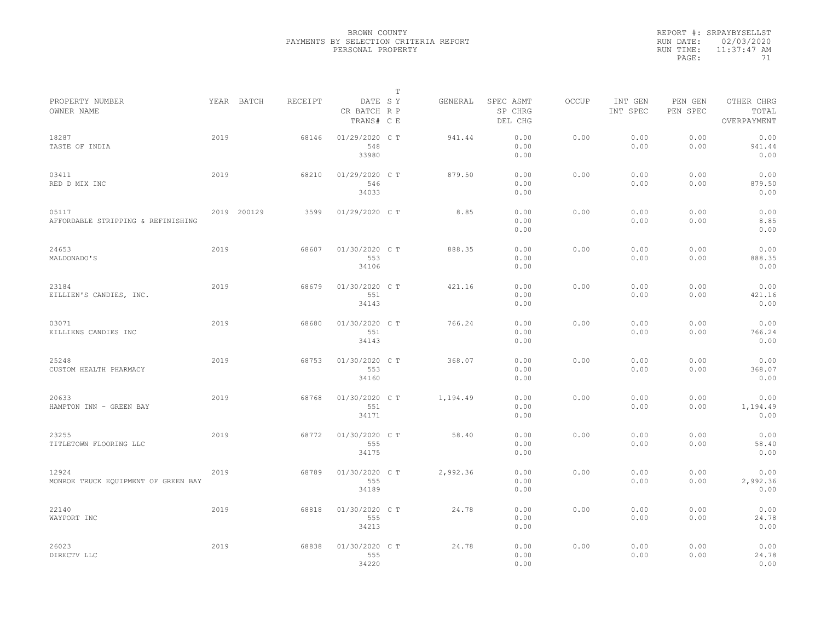|           | REPORT #: SRPAYBYSELLST |
|-----------|-------------------------|
|           | RUN DATE: 02/03/2020    |
| RUN TIME: | $11:37:47$ AM           |
| PAGE:     | 71                      |

| PROPERTY NUMBER                              |      | YEAR BATCH  | RECEIPT | DATE SY                        | т | GENERAL  | SPEC ASMT            | OCCUP | INT GEN      | PEN GEN      | OTHER CHRG               |  |
|----------------------------------------------|------|-------------|---------|--------------------------------|---|----------|----------------------|-------|--------------|--------------|--------------------------|--|
| OWNER NAME                                   |      |             |         | CR BATCH R P<br>TRANS# C E     |   |          | SP CHRG<br>DEL CHG   |       | INT SPEC     | PEN SPEC     | TOTAL<br>OVERPAYMENT     |  |
| 18287<br>TASTE OF INDIA                      | 2019 |             | 68146   | 01/29/2020 C T<br>548<br>33980 |   | 941.44   | 0.00<br>0.00<br>0.00 | 0.00  | 0.00<br>0.00 | 0.00<br>0.00 | 0.00<br>941.44<br>0.00   |  |
| 03411<br>RED D MIX INC                       | 2019 |             | 68210   | 01/29/2020 C T<br>546<br>34033 |   | 879.50   | 0.00<br>0.00<br>0.00 | 0.00  | 0.00<br>0.00 | 0.00<br>0.00 | 0.00<br>879.50<br>0.00   |  |
| 05117<br>AFFORDABLE STRIPPING & REFINISHING  |      | 2019 200129 | 3599    | 01/29/2020 C T                 |   | 8.85     | 0.00<br>0.00<br>0.00 | 0.00  | 0.00<br>0.00 | 0.00<br>0.00 | 0.00<br>8.85<br>0.00     |  |
| 24653<br>MALDONADO'S                         | 2019 |             | 68607   | 01/30/2020 C T<br>553<br>34106 |   | 888.35   | 0.00<br>0.00<br>0.00 | 0.00  | 0.00<br>0.00 | 0.00<br>0.00 | 0.00<br>888.35<br>0.00   |  |
| 23184<br>EILLIEN'S CANDIES, INC.             | 2019 |             | 68679   | 01/30/2020 C T<br>551<br>34143 |   | 421.16   | 0.00<br>0.00<br>0.00 | 0.00  | 0.00<br>0.00 | 0.00<br>0.00 | 0.00<br>421.16<br>0.00   |  |
| 03071<br>EILLIENS CANDIES INC                | 2019 |             | 68680   | 01/30/2020 C T<br>551<br>34143 |   | 766.24   | 0.00<br>0.00<br>0.00 | 0.00  | 0.00<br>0.00 | 0.00<br>0.00 | 0.00<br>766.24<br>0.00   |  |
| 25248<br>CUSTOM HEALTH PHARMACY              | 2019 |             | 68753   | 01/30/2020 C T<br>553<br>34160 |   | 368.07   | 0.00<br>0.00<br>0.00 | 0.00  | 0.00<br>0.00 | 0.00<br>0.00 | 0.00<br>368.07<br>0.00   |  |
| 20633<br>HAMPTON INN - GREEN BAY             | 2019 |             | 68768   | 01/30/2020 C T<br>551<br>34171 |   | 1,194.49 | 0.00<br>0.00<br>0.00 | 0.00  | 0.00<br>0.00 | 0.00<br>0.00 | 0.00<br>1,194.49<br>0.00 |  |
| 23255<br>TITLETOWN FLOORING LLC              | 2019 |             | 68772   | 01/30/2020 C T<br>555<br>34175 |   | 58.40    | 0.00<br>0.00<br>0.00 | 0.00  | 0.00<br>0.00 | 0.00<br>0.00 | 0.00<br>58.40<br>0.00    |  |
| 12924<br>MONROE TRUCK EQUIPMENT OF GREEN BAY | 2019 |             | 68789   | 01/30/2020 C T<br>555<br>34189 |   | 2,992.36 | 0.00<br>0.00<br>0.00 | 0.00  | 0.00<br>0.00 | 0.00<br>0.00 | 0.00<br>2,992.36<br>0.00 |  |
| 22140<br>WAYPORT INC                         | 2019 |             | 68818   | 01/30/2020 C T<br>555<br>34213 |   | 24.78    | 0.00<br>0.00<br>0.00 | 0.00  | 0.00<br>0.00 | 0.00<br>0.00 | 0.00<br>24.78<br>0.00    |  |
| 26023<br>DIRECTV LLC                         | 2019 |             | 68838   | 01/30/2020 C T<br>555<br>34220 |   | 24.78    | 0.00<br>0.00<br>0.00 | 0.00  | 0.00<br>0.00 | 0.00<br>0.00 | 0.00<br>24.78<br>0.00    |  |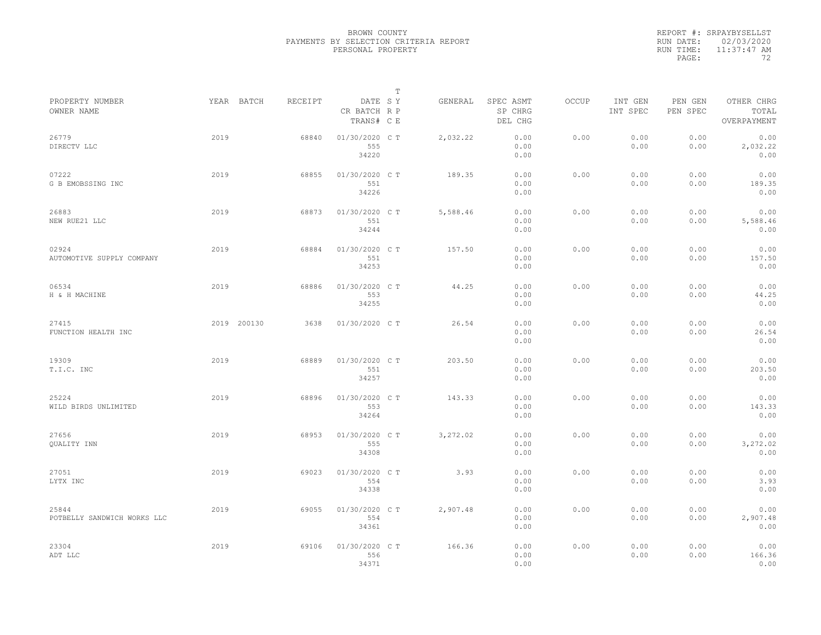| REPORT #: SRPAYBYSELLST |
|-------------------------|
| RUN DATE: 02/03/2020    |
| $11:37:47$ AM           |
| フク                      |
|                         |

|                                      |      |             |         |                                       | $\mathbb T$ |          |                                 |              |                     |                     |                                    |  |
|--------------------------------------|------|-------------|---------|---------------------------------------|-------------|----------|---------------------------------|--------------|---------------------|---------------------|------------------------------------|--|
| PROPERTY NUMBER<br>OWNER NAME        |      | YEAR BATCH  | RECEIPT | DATE SY<br>CR BATCH R P<br>TRANS# C E |             | GENERAL  | SPEC ASMT<br>SP CHRG<br>DEL CHG | <b>OCCUP</b> | INT GEN<br>INT SPEC | PEN GEN<br>PEN SPEC | OTHER CHRG<br>TOTAL<br>OVERPAYMENT |  |
| 26779<br>DIRECTV LLC                 | 2019 |             | 68840   | 01/30/2020 C T<br>555<br>34220        |             | 2,032.22 | 0.00<br>0.00<br>0.00            | 0.00         | 0.00<br>0.00        | 0.00<br>0.00        | 0.00<br>2,032.22<br>0.00           |  |
| 07222<br>G B EMOBSSING INC           | 2019 |             | 68855   | 01/30/2020 C T<br>551<br>34226        |             | 189.35   | 0.00<br>0.00<br>0.00            | 0.00         | 0.00<br>0.00        | 0.00<br>0.00        | 0.00<br>189.35<br>0.00             |  |
| 26883<br>NEW RUE21 LLC               | 2019 |             | 68873   | 01/30/2020 C T<br>551<br>34244        |             | 5,588.46 | 0.00<br>0.00<br>0.00            | 0.00         | 0.00<br>0.00        | 0.00<br>0.00        | 0.00<br>5,588.46<br>0.00           |  |
| 02924<br>AUTOMOTIVE SUPPLY COMPANY   | 2019 |             | 68884   | 01/30/2020 C T<br>551<br>34253        |             | 157.50   | 0.00<br>0.00<br>0.00            | 0.00         | 0.00<br>0.00        | 0.00<br>0.00        | 0.00<br>157.50<br>0.00             |  |
| 06534<br>H & H MACHINE               | 2019 |             | 68886   | 01/30/2020 C T<br>553<br>34255        |             | 44.25    | 0.00<br>0.00<br>0.00            | 0.00         | 0.00<br>0.00        | 0.00<br>0.00        | 0.00<br>44.25<br>0.00              |  |
| 27415<br>FUNCTION HEALTH INC         |      | 2019 200130 | 3638    | 01/30/2020 C T                        |             | 26.54    | 0.00<br>0.00<br>0.00            | 0.00         | 0.00<br>0.00        | 0.00<br>0.00        | 0.00<br>26.54<br>0.00              |  |
| 19309<br>T.I.C. INC                  | 2019 |             | 68889   | 01/30/2020 C T<br>551<br>34257        |             | 203.50   | 0.00<br>0.00<br>0.00            | 0.00         | 0.00<br>0.00        | 0.00<br>0.00        | 0.00<br>203.50<br>0.00             |  |
| 25224<br>WILD BIRDS UNLIMITED        | 2019 |             | 68896   | 01/30/2020 C T<br>553<br>34264        |             | 143.33   | 0.00<br>0.00<br>0.00            | 0.00         | 0.00<br>0.00        | 0.00<br>0.00        | 0.00<br>143.33<br>0.00             |  |
| 27656<br>QUALITY INN                 | 2019 |             | 68953   | 01/30/2020 C T<br>555<br>34308        |             | 3,272.02 | 0.00<br>0.00<br>0.00            | 0.00         | 0.00<br>0.00        | 0.00<br>0.00        | 0.00<br>3,272.02<br>0.00           |  |
| 27051<br>LYTX INC                    | 2019 |             | 69023   | 01/30/2020 C T<br>554<br>34338        |             | 3.93     | 0.00<br>0.00<br>0.00            | 0.00         | 0.00<br>0.00        | 0.00<br>0.00        | 0.00<br>3.93<br>0.00               |  |
| 25844<br>POTBELLY SANDWICH WORKS LLC | 2019 |             | 69055   | 01/30/2020 C T<br>554<br>34361        |             | 2,907.48 | 0.00<br>0.00<br>0.00            | 0.00         | 0.00<br>0.00        | 0.00<br>0.00        | 0.00<br>2,907.48<br>0.00           |  |
| 23304<br>ADT LLC                     | 2019 |             | 69106   | 01/30/2020 CT<br>556<br>34371         |             | 166.36   | 0.00<br>0.00<br>0.00            | 0.00         | 0.00<br>0.00        | 0.00<br>0.00        | 0.00<br>166.36<br>0.00             |  |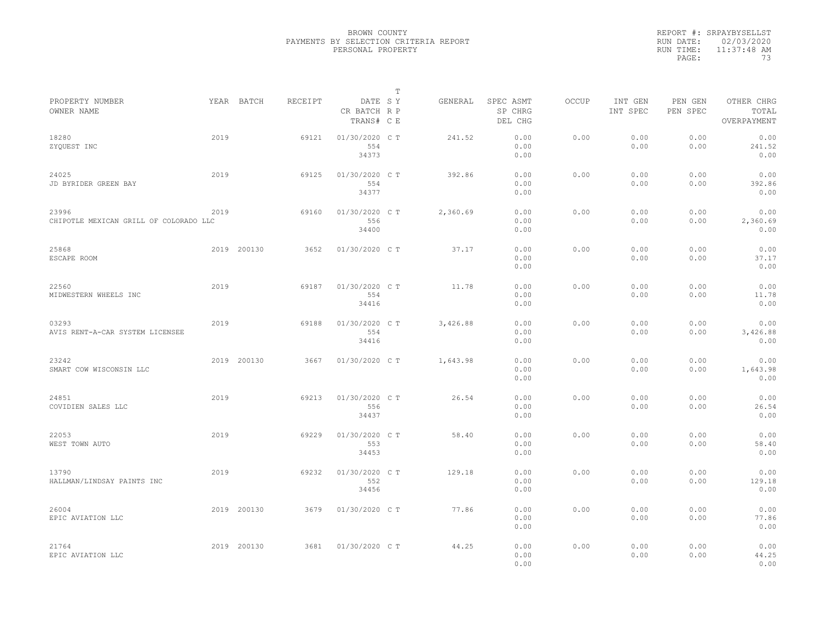|           | REPORT #: SRPAYBYSELLST |
|-----------|-------------------------|
|           | RUN DATE: 02/03/2020    |
| RUN TIME: | $11:37:48$ AM           |
| PAGE:     | 73                      |

|                                                 |      |             |         |                                       | т |          |                                 |       |                     |                     |                                    |  |
|-------------------------------------------------|------|-------------|---------|---------------------------------------|---|----------|---------------------------------|-------|---------------------|---------------------|------------------------------------|--|
| PROPERTY NUMBER<br>OWNER NAME                   |      | YEAR BATCH  | RECEIPT | DATE SY<br>CR BATCH R P<br>TRANS# C E |   | GENERAL  | SPEC ASMT<br>SP CHRG<br>DEL CHG | OCCUP | INT GEN<br>INT SPEC | PEN GEN<br>PEN SPEC | OTHER CHRG<br>TOTAL<br>OVERPAYMENT |  |
| 18280<br>ZYQUEST INC                            | 2019 |             | 69121   | 01/30/2020 C T<br>554<br>34373        |   | 241.52   | 0.00<br>0.00<br>0.00            | 0.00  | 0.00<br>0.00        | 0.00<br>0.00        | 0.00<br>241.52<br>0.00             |  |
| 24025<br>JD BYRIDER GREEN BAY                   | 2019 |             | 69125   | 01/30/2020 C T<br>554<br>34377        |   | 392.86   | 0.00<br>0.00<br>0.00            | 0.00  | 0.00<br>0.00        | 0.00<br>0.00        | 0.00<br>392.86<br>0.00             |  |
| 23996<br>CHIPOTLE MEXICAN GRILL OF COLORADO LLC | 2019 |             | 69160   | 01/30/2020 C T<br>556<br>34400        |   | 2,360.69 | 0.00<br>0.00<br>0.00            | 0.00  | 0.00<br>0.00        | 0.00<br>0.00        | 0.00<br>2,360.69<br>0.00           |  |
| 25868<br>ESCAPE ROOM                            |      | 2019 200130 | 3652    | 01/30/2020 C T                        |   | 37.17    | 0.00<br>0.00<br>0.00            | 0.00  | 0.00<br>0.00        | 0.00<br>0.00        | 0.00<br>37.17<br>0.00              |  |
| 22560<br>MIDWESTERN WHEELS INC                  | 2019 |             | 69187   | 01/30/2020 C T<br>554<br>34416        |   | 11.78    | 0.00<br>0.00<br>0.00            | 0.00  | 0.00<br>0.00        | 0.00<br>0.00        | 0.00<br>11.78<br>0.00              |  |
| 03293<br>AVIS RENT-A-CAR SYSTEM LICENSEE        | 2019 |             | 69188   | 01/30/2020 C T<br>554<br>34416        |   | 3,426.88 | 0.00<br>0.00<br>0.00            | 0.00  | 0.00<br>0.00        | 0.00<br>0.00        | 0.00<br>3,426.88<br>0.00           |  |
| 23242<br>SMART COW WISCONSIN LLC                |      | 2019 200130 | 3667    | 01/30/2020 C T                        |   | 1,643.98 | 0.00<br>0.00<br>0.00            | 0.00  | 0.00<br>0.00        | 0.00<br>0.00        | 0.00<br>1,643.98<br>0.00           |  |
| 24851<br>COVIDIEN SALES LLC                     | 2019 |             | 69213   | 01/30/2020 C T<br>556<br>34437        |   | 26.54    | 0.00<br>0.00<br>0.00            | 0.00  | 0.00<br>0.00        | 0.00<br>0.00        | 0.00<br>26.54<br>0.00              |  |
| 22053<br>WEST TOWN AUTO                         | 2019 |             | 69229   | 01/30/2020 C T<br>553<br>34453        |   | 58.40    | 0.00<br>0.00<br>0.00            | 0.00  | 0.00<br>0.00        | 0.00<br>0.00        | 0.00<br>58.40<br>0.00              |  |
| 13790<br>HALLMAN/LINDSAY PAINTS INC             | 2019 |             | 69232   | 01/30/2020 C T<br>552<br>34456        |   | 129.18   | 0.00<br>0.00<br>0.00            | 0.00  | 0.00<br>0.00        | 0.00<br>0.00        | 0.00<br>129.18<br>0.00             |  |
| 26004<br>EPIC AVIATION LLC                      |      | 2019 200130 | 3679    | 01/30/2020 C T                        |   | 77.86    | 0.00<br>0.00<br>0.00            | 0.00  | 0.00<br>0.00        | 0.00<br>0.00        | 0.00<br>77.86<br>0.00              |  |
| 21764<br>EPIC AVIATION LLC                      |      | 2019 200130 | 3681    | 01/30/2020 C T                        |   | 44.25    | 0.00<br>0.00<br>0.00            | 0.00  | 0.00<br>0.00        | 0.00<br>0.00        | 0.00<br>44.25<br>0.00              |  |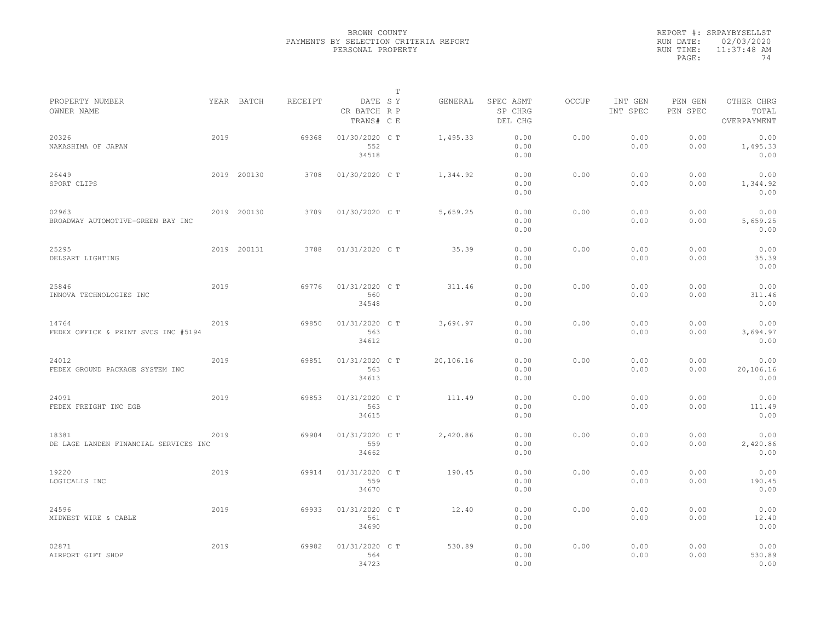|           | REPORT #: SRPAYBYSELLST |
|-----------|-------------------------|
|           | RUN DATE: 02/03/2020    |
| RUN TIME: | $11:37:48$ AM           |
| PAGE:     | 74                      |

|                                                |      |             |         |                                       | $\mathbb T$ |           |                                 |              |                     |                     |                                    |
|------------------------------------------------|------|-------------|---------|---------------------------------------|-------------|-----------|---------------------------------|--------------|---------------------|---------------------|------------------------------------|
| PROPERTY NUMBER<br>OWNER NAME                  |      | YEAR BATCH  | RECEIPT | DATE SY<br>CR BATCH R P<br>TRANS# C E |             | GENERAL   | SPEC ASMT<br>SP CHRG<br>DEL CHG | <b>OCCUP</b> | INT GEN<br>INT SPEC | PEN GEN<br>PEN SPEC | OTHER CHRG<br>TOTAL<br>OVERPAYMENT |
| 20326<br>NAKASHIMA OF JAPAN                    | 2019 |             | 69368   | 01/30/2020 C T<br>552<br>34518        |             | 1,495.33  | 0.00<br>0.00<br>0.00            | 0.00         | 0.00<br>0.00        | 0.00<br>0.00        | 0.00<br>1,495.33<br>0.00           |
| 26449<br>SPORT CLIPS                           |      | 2019 200130 | 3708    | 01/30/2020 C T                        |             | 1,344.92  | 0.00<br>0.00<br>0.00            | 0.00         | 0.00<br>0.00        | 0.00<br>0.00        | 0.00<br>1,344.92<br>0.00           |
| 02963<br>BROADWAY AUTOMOTIVE-GREEN BAY INC     |      | 2019 200130 | 3709    | 01/30/2020 C T                        |             | 5,659.25  | 0.00<br>0.00<br>0.00            | 0.00         | 0.00<br>0.00        | 0.00<br>0.00        | 0.00<br>5,659.25<br>0.00           |
| 25295<br>DELSART LIGHTING                      |      | 2019 200131 | 3788    | 01/31/2020 C T                        |             | 35.39     | 0.00<br>0.00<br>0.00            | 0.00         | 0.00<br>0.00        | 0.00<br>0.00        | 0.00<br>35.39<br>0.00              |
| 25846<br>INNOVA TECHNOLOGIES INC               | 2019 |             | 69776   | 01/31/2020 C T<br>560<br>34548        |             | 311.46    | 0.00<br>0.00<br>0.00            | 0.00         | 0.00<br>0.00        | 0.00<br>0.00        | 0.00<br>311.46<br>0.00             |
| 14764<br>FEDEX OFFICE & PRINT SVCS INC #5194   | 2019 |             | 69850   | 01/31/2020 C T<br>563<br>34612        |             | 3,694.97  | 0.00<br>0.00<br>0.00            | 0.00         | 0.00<br>0.00        | 0.00<br>0.00        | 0.00<br>3,694.97<br>0.00           |
| 24012<br>FEDEX GROUND PACKAGE SYSTEM INC       | 2019 |             | 69851   | 01/31/2020 C T<br>563<br>34613        |             | 20,106.16 | 0.00<br>0.00<br>0.00            | 0.00         | 0.00<br>0.00        | 0.00<br>0.00        | 0.00<br>20,106.16<br>0.00          |
| 24091<br>FEDEX FREIGHT INC EGB                 | 2019 |             | 69853   | 01/31/2020 C T<br>563<br>34615        |             | 111.49    | 0.00<br>0.00<br>0.00            | 0.00         | 0.00<br>0.00        | 0.00<br>0.00        | 0.00<br>111.49<br>0.00             |
| 18381<br>DE LAGE LANDEN FINANCIAL SERVICES INC | 2019 |             | 69904   | 01/31/2020 C T<br>559<br>34662        |             | 2,420.86  | 0.00<br>0.00<br>0.00            | 0.00         | 0.00<br>0.00        | 0.00<br>0.00        | 0.00<br>2,420.86<br>0.00           |
| 19220<br>LOGICALIS INC                         | 2019 |             | 69914   | 01/31/2020 C T<br>559<br>34670        |             | 190.45    | 0.00<br>0.00<br>0.00            | 0.00         | 0.00<br>0.00        | 0.00<br>0.00        | 0.00<br>190.45<br>0.00             |
| 24596<br>MIDWEST WIRE & CABLE                  | 2019 |             | 69933   | 01/31/2020 C T<br>561<br>34690        |             | 12.40     | 0.00<br>0.00<br>0.00            | 0.00         | 0.00<br>0.00        | 0.00<br>0.00        | 0.00<br>12.40<br>0.00              |
| 02871<br>AIRPORT GIFT SHOP                     | 2019 |             | 69982   | 01/31/2020 C T<br>564<br>34723        |             | 530.89    | 0.00<br>0.00<br>0.00            | 0.00         | 0.00<br>0.00        | 0.00<br>0.00        | 0.00<br>530.89<br>0.00             |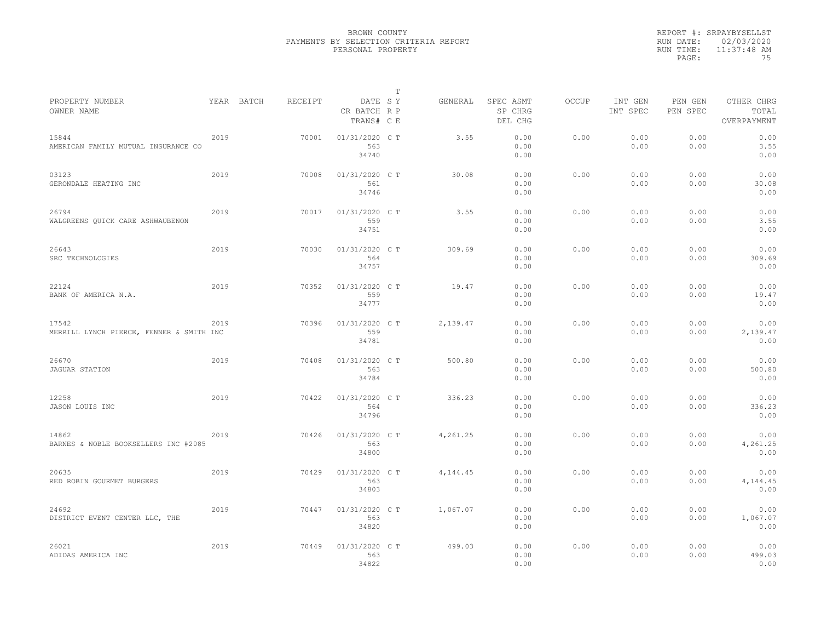|                                                   |      |            |         |                                       | $\mathbb{T}$ |          |                                 |              |                     |                     |                                    |
|---------------------------------------------------|------|------------|---------|---------------------------------------|--------------|----------|---------------------------------|--------------|---------------------|---------------------|------------------------------------|
| PROPERTY NUMBER<br>OWNER NAME                     |      | YEAR BATCH | RECEIPT | DATE SY<br>CR BATCH R P<br>TRANS# C E |              | GENERAL  | SPEC ASMT<br>SP CHRG<br>DEL CHG | <b>OCCUP</b> | INT GEN<br>INT SPEC | PEN GEN<br>PEN SPEC | OTHER CHRG<br>TOTAL<br>OVERPAYMENT |
| 15844<br>AMERICAN FAMILY MUTUAL INSURANCE CO      | 2019 |            | 70001   | 01/31/2020 C T<br>563<br>34740        |              | 3.55     | 0.00<br>0.00<br>0.00            | 0.00         | 0.00<br>0.00        | 0.00<br>0.00        | 0.00<br>3.55<br>0.00               |
| 03123<br>GERONDALE HEATING INC                    | 2019 |            | 70008   | 01/31/2020 C T<br>561<br>34746        |              | 30.08    | 0.00<br>0.00<br>0.00            | 0.00         | 0.00<br>0.00        | 0.00<br>0.00        | 0.00<br>30.08<br>0.00              |
| 26794<br>WALGREENS QUICK CARE ASHWAUBENON         | 2019 |            | 70017   | 01/31/2020 C T<br>559<br>34751        |              | 3.55     | 0.00<br>0.00<br>0.00            | 0.00         | 0.00<br>0.00        | 0.00<br>0.00        | 0.00<br>3.55<br>0.00               |
| 26643<br>SRC TECHNOLOGIES                         | 2019 |            | 70030   | 01/31/2020 C T<br>564<br>34757        |              | 309.69   | 0.00<br>0.00<br>0.00            | 0.00         | 0.00<br>0.00        | 0.00<br>0.00        | 0.00<br>309.69<br>0.00             |
| 22124<br>BANK OF AMERICA N.A.                     | 2019 |            | 70352   | 01/31/2020 C T<br>559<br>34777        |              | 19.47    | 0.00<br>0.00<br>0.00            | 0.00         | 0.00<br>0.00        | 0.00<br>0.00        | 0.00<br>19.47<br>0.00              |
| 17542<br>MERRILL LYNCH PIERCE, FENNER & SMITH INC | 2019 |            | 70396   | 01/31/2020 C T<br>559<br>34781        |              | 2,139.47 | 0.00<br>0.00<br>0.00            | 0.00         | 0.00<br>0.00        | 0.00<br>0.00        | 0.00<br>2,139.47<br>0.00           |
| 26670<br><b>JAGUAR STATION</b>                    | 2019 |            | 70408   | 01/31/2020 C T<br>563<br>34784        |              | 500.80   | 0.00<br>0.00<br>0.00            | 0.00         | 0.00<br>0.00        | 0.00<br>0.00        | 0.00<br>500.80<br>0.00             |
| 12258<br>JASON LOUIS INC                          | 2019 |            | 70422   | 01/31/2020 C T<br>564<br>34796        |              | 336.23   | 0.00<br>0.00<br>0.00            | 0.00         | 0.00<br>0.00        | 0.00<br>0.00        | 0.00<br>336.23<br>0.00             |
| 14862<br>BARNES & NOBLE BOOKSELLERS INC #2085     | 2019 |            | 70426   | 01/31/2020 C T<br>563<br>34800        |              | 4,261.25 | 0.00<br>0.00<br>0.00            | 0.00         | 0.00<br>0.00        | 0.00<br>0.00        | 0.00<br>4,261.25<br>0.00           |
| 20635<br>RED ROBIN GOURMET BURGERS                | 2019 |            | 70429   | 01/31/2020 C T<br>563<br>34803        |              | 4,144.45 | 0.00<br>0.00<br>0.00            | 0.00         | 0.00<br>0.00        | 0.00<br>0.00        | 0.00<br>4,144.45<br>0.00           |
| 24692<br>DISTRICT EVENT CENTER LLC, THE           | 2019 |            | 70447   | 01/31/2020 C T<br>563<br>34820        |              | 1,067.07 | 0.00<br>0.00<br>0.00            | 0.00         | 0.00<br>0.00        | 0.00<br>0.00        | 0.00<br>1,067.07<br>0.00           |
| 26021<br>ADIDAS AMERICA INC                       | 2019 |            | 70449   | 01/31/2020 C T<br>563<br>34822        |              | 499.03   | 0.00<br>0.00<br>0.00            | 0.00         | 0.00<br>0.00        | 0.00<br>0.00        | 0.00<br>499.03<br>0.00             |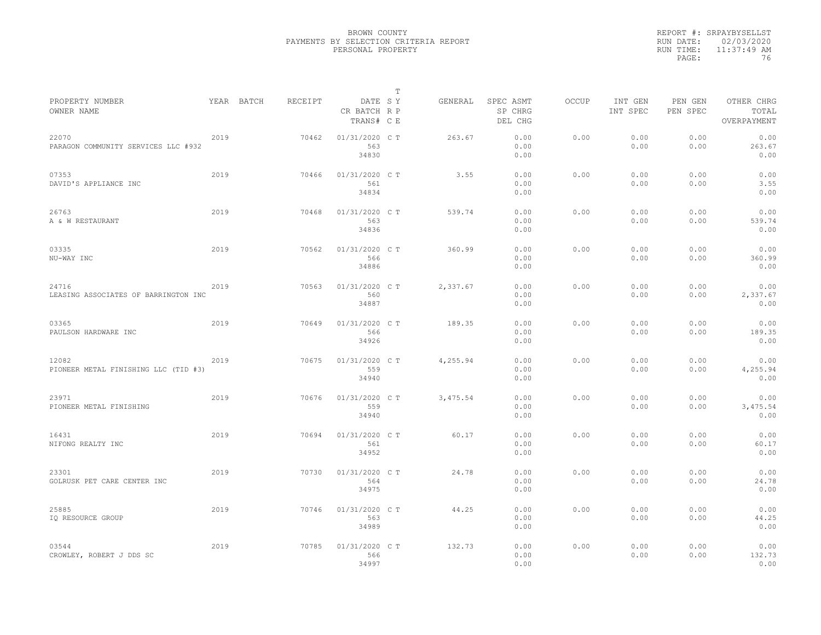|                                               |      |            |         |                                       | $\mathbb{T}$ |          |                                 |              |                     |                     |                                    |  |
|-----------------------------------------------|------|------------|---------|---------------------------------------|--------------|----------|---------------------------------|--------------|---------------------|---------------------|------------------------------------|--|
| PROPERTY NUMBER<br>OWNER NAME                 |      | YEAR BATCH | RECEIPT | DATE SY<br>CR BATCH R P<br>TRANS# C E |              | GENERAL  | SPEC ASMT<br>SP CHRG<br>DEL CHG | <b>OCCUP</b> | INT GEN<br>INT SPEC | PEN GEN<br>PEN SPEC | OTHER CHRG<br>TOTAL<br>OVERPAYMENT |  |
| 22070<br>PARAGON COMMUNITY SERVICES LLC #932  | 2019 |            | 70462   | 01/31/2020 C T<br>563<br>34830        |              | 263.67   | 0.00<br>0.00<br>0.00            | 0.00         | 0.00<br>0.00        | 0.00<br>0.00        | 0.00<br>263.67<br>0.00             |  |
| 07353<br>DAVID'S APPLIANCE INC                | 2019 |            | 70466   | 01/31/2020 C T<br>561<br>34834        |              | 3.55     | 0.00<br>0.00<br>0.00            | 0.00         | 0.00<br>0.00        | 0.00<br>0.00        | 0.00<br>3.55<br>0.00               |  |
| 26763<br>A & W RESTAURANT                     | 2019 |            | 70468   | 01/31/2020 C T<br>563<br>34836        |              | 539.74   | 0.00<br>0.00<br>0.00            | 0.00         | 0.00<br>0.00        | 0.00<br>0.00        | 0.00<br>539.74<br>0.00             |  |
| 03335<br>NU-WAY INC                           | 2019 |            | 70562   | 01/31/2020 C T<br>566<br>34886        |              | 360.99   | 0.00<br>0.00<br>0.00            | 0.00         | 0.00<br>0.00        | 0.00<br>0.00        | 0.00<br>360.99<br>0.00             |  |
| 24716<br>LEASING ASSOCIATES OF BARRINGTON INC | 2019 |            | 70563   | 01/31/2020 C T<br>560<br>34887        |              | 2,337.67 | 0.00<br>0.00<br>0.00            | 0.00         | 0.00<br>0.00        | 0.00<br>0.00        | 0.00<br>2,337.67<br>0.00           |  |
| 03365<br>PAULSON HARDWARE INC                 | 2019 |            | 70649   | 01/31/2020 C T<br>566<br>34926        |              | 189.35   | 0.00<br>0.00<br>0.00            | 0.00         | 0.00<br>0.00        | 0.00<br>0.00        | 0.00<br>189.35<br>0.00             |  |
| 12082<br>PIONEER METAL FINISHING LLC (TID #3) | 2019 |            | 70675   | 01/31/2020 C T<br>559<br>34940        |              | 4,255.94 | 0.00<br>0.00<br>0.00            | 0.00         | 0.00<br>0.00        | 0.00<br>0.00        | 0.00<br>4,255.94<br>0.00           |  |
| 23971<br>PIONEER METAL FINISHING              | 2019 |            | 70676   | 01/31/2020 C T<br>559<br>34940        |              | 3,475.54 | 0.00<br>0.00<br>0.00            | 0.00         | 0.00<br>0.00        | 0.00<br>0.00        | 0.00<br>3,475.54<br>0.00           |  |
| 16431<br>NIFONG REALTY INC                    | 2019 |            | 70694   | 01/31/2020 C T<br>561<br>34952        |              | 60.17    | 0.00<br>0.00<br>0.00            | 0.00         | 0.00<br>0.00        | 0.00<br>0.00        | 0.00<br>60.17<br>0.00              |  |
| 23301<br>GOLRUSK PET CARE CENTER INC          | 2019 |            | 70730   | 01/31/2020 C T<br>564<br>34975        |              | 24.78    | 0.00<br>0.00<br>0.00            | 0.00         | 0.00<br>0.00        | 0.00<br>0.00        | 0.00<br>24.78<br>0.00              |  |
| 25885<br>IO RESOURCE GROUP                    | 2019 |            | 70746   | 01/31/2020 C T<br>563<br>34989        |              | 44.25    | 0.00<br>0.00<br>0.00            | 0.00         | 0.00<br>0.00        | 0.00<br>0.00        | 0.00<br>44.25<br>0.00              |  |
| 03544<br>CROWLEY, ROBERT J DDS SC             | 2019 |            | 70785   | 01/31/2020 C T<br>566<br>34997        |              | 132.73   | 0.00<br>0.00<br>0.00            | 0.00         | 0.00<br>0.00        | 0.00<br>0.00        | 0.00<br>132.73<br>0.00             |  |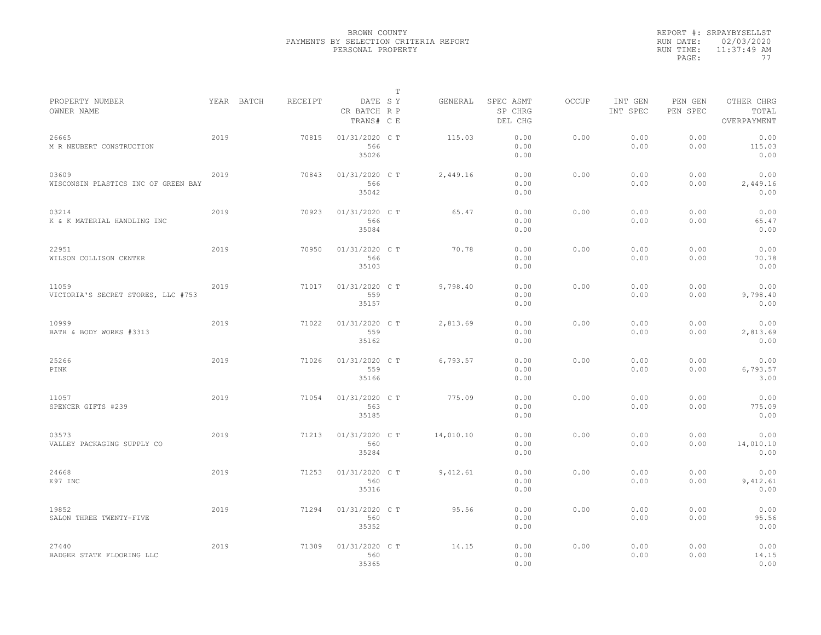|           | REPORT #: SRPAYBYSELLST |
|-----------|-------------------------|
|           | RUN DATE: 02/03/2020    |
| RUN TIME: | $11:37:49$ AM           |
| PAGE:     | 77                      |

|                                              |      |            |         |                                       | T |           |                                 |              |                     |                     |                                    |
|----------------------------------------------|------|------------|---------|---------------------------------------|---|-----------|---------------------------------|--------------|---------------------|---------------------|------------------------------------|
| PROPERTY NUMBER<br>OWNER NAME                |      | YEAR BATCH | RECEIPT | DATE SY<br>CR BATCH R P<br>TRANS# C E |   | GENERAL   | SPEC ASMT<br>SP CHRG<br>DEL CHG | <b>OCCUP</b> | INT GEN<br>INT SPEC | PEN GEN<br>PEN SPEC | OTHER CHRG<br>TOTAL<br>OVERPAYMENT |
| 26665<br>M R NEUBERT CONSTRUCTION            | 2019 |            | 70815   | 01/31/2020 C T<br>566<br>35026        |   | 115.03    | 0.00<br>0.00<br>0.00            | 0.00         | 0.00<br>0.00        | 0.00<br>0.00        | 0.00<br>115.03<br>0.00             |
| 03609<br>WISCONSIN PLASTICS INC OF GREEN BAY | 2019 |            | 70843   | 01/31/2020 C T<br>566<br>35042        |   | 2,449.16  | 0.00<br>0.00<br>0.00            | 0.00         | 0.00<br>0.00        | 0.00<br>0.00        | 0.00<br>2,449.16<br>0.00           |
| 03214<br>K & K MATERIAL HANDLING INC         | 2019 |            | 70923   | 01/31/2020 C T<br>566<br>35084        |   | 65.47     | 0.00<br>0.00<br>0.00            | 0.00         | 0.00<br>0.00        | 0.00<br>0.00        | 0.00<br>65.47<br>0.00              |
| 22951<br>WILSON COLLISON CENTER              | 2019 |            | 70950   | 01/31/2020 C T<br>566<br>35103        |   | 70.78     | 0.00<br>0.00<br>0.00            | 0.00         | 0.00<br>0.00        | 0.00<br>0.00        | 0.00<br>70.78<br>0.00              |
| 11059<br>VICTORIA'S SECRET STORES, LLC #753  | 2019 |            | 71017   | 01/31/2020 C T<br>559<br>35157        |   | 9,798.40  | 0.00<br>0.00<br>0.00            | 0.00         | 0.00<br>0.00        | 0.00<br>0.00        | 0.00<br>9,798.40<br>0.00           |
| 10999<br>BATH & BODY WORKS #3313             | 2019 |            | 71022   | 01/31/2020 C T<br>559<br>35162        |   | 2,813.69  | 0.00<br>0.00<br>0.00            | 0.00         | 0.00<br>0.00        | 0.00<br>0.00        | 0.00<br>2,813.69<br>0.00           |
| 25266<br>PINK                                | 2019 |            | 71026   | 01/31/2020 C T<br>559<br>35166        |   | 6,793.57  | 0.00<br>0.00<br>0.00            | 0.00         | 0.00<br>0.00        | 0.00<br>0.00        | 0.00<br>6,793.57<br>3.00           |
| 11057<br>SPENCER GIFTS #239                  | 2019 |            | 71054   | 01/31/2020 C T<br>563<br>35185        |   | 775.09    | 0.00<br>0.00<br>0.00            | 0.00         | 0.00<br>0.00        | 0.00<br>0.00        | 0.00<br>775.09<br>0.00             |
| 03573<br>VALLEY PACKAGING SUPPLY CO          | 2019 |            | 71213   | 01/31/2020 C T<br>560<br>35284        |   | 14,010.10 | 0.00<br>0.00<br>0.00            | 0.00         | 0.00<br>0.00        | 0.00<br>0.00        | 0.00<br>14,010.10<br>0.00          |
| 24668<br>E97 INC                             | 2019 |            | 71253   | 01/31/2020 C T<br>560<br>35316        |   | 9,412.61  | 0.00<br>0.00<br>0.00            | 0.00         | 0.00<br>0.00        | 0.00<br>0.00        | 0.00<br>9,412.61<br>0.00           |
| 19852<br>SALON THREE TWENTY-FIVE             | 2019 |            | 71294   | 01/31/2020 C T<br>560<br>35352        |   | 95.56     | 0.00<br>0.00<br>0.00            | 0.00         | 0.00<br>0.00        | 0.00<br>0.00        | 0.00<br>95.56<br>0.00              |
| 27440<br>BADGER STATE FLOORING LLC           | 2019 |            | 71309   | 01/31/2020 C T<br>560<br>35365        |   | 14.15     | 0.00<br>0.00<br>0.00            | 0.00         | 0.00<br>0.00        | 0.00<br>0.00        | 0.00<br>14.15<br>0.00              |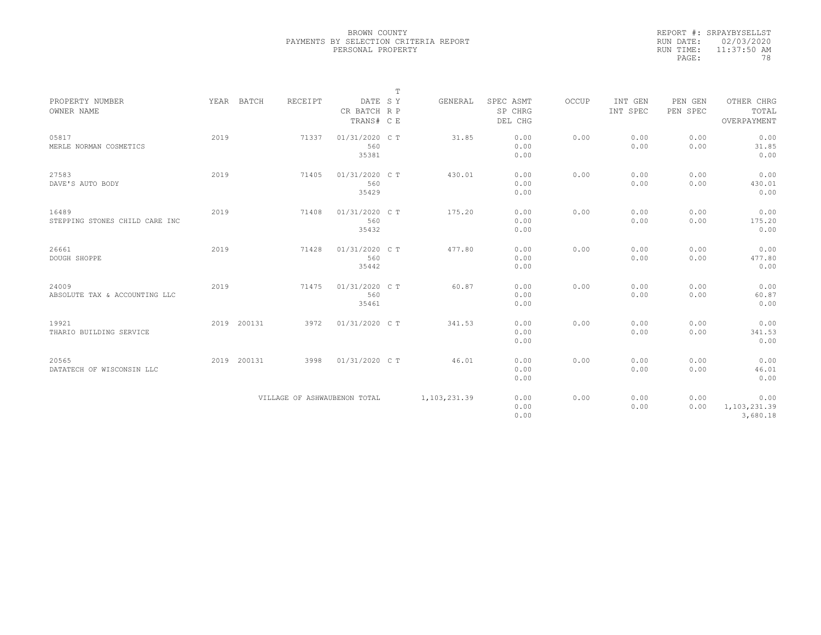|           | REPORT #: SRPAYBYSELLST |
|-----------|-------------------------|
|           | RUN DATE: 02/03/2020    |
| RUN TIME: | 11:37:50 AM             |
| PAGE:     | 78                      |

|                                         |      |             |                              |                                | т |                |                      |       |                     |                     |                                  |
|-----------------------------------------|------|-------------|------------------------------|--------------------------------|---|----------------|----------------------|-------|---------------------|---------------------|----------------------------------|
| PROPERTY NUMBER<br>OWNER NAME           |      | YEAR BATCH  | RECEIPT                      | DATE SY<br>CR BATCH R P        |   | GENERAL        | SPEC ASMT<br>SP CHRG | OCCUP | INT GEN<br>INT SPEC | PEN GEN<br>PEN SPEC | OTHER CHRG<br>TOTAL              |
|                                         |      |             |                              | TRANS# C E                     |   |                | DEL CHG              |       |                     |                     | OVERPAYMENT                      |
| 05817<br>MERLE NORMAN COSMETICS         | 2019 |             | 71337                        | 01/31/2020 C T<br>560<br>35381 |   | 31.85          | 0.00<br>0.00<br>0.00 | 0.00  | 0.00<br>0.00        | 0.00<br>0.00        | 0.00<br>31.85<br>0.00            |
| 27583<br>DAVE'S AUTO BODY               | 2019 |             | 71405                        | 01/31/2020 C T<br>560<br>35429 |   | 430.01         | 0.00<br>0.00<br>0.00 | 0.00  | 0.00<br>0.00        | 0.00<br>0.00        | 0.00<br>430.01<br>0.00           |
| 16489<br>STEPPING STONES CHILD CARE INC | 2019 |             | 71408                        | 01/31/2020 C T<br>560<br>35432 |   | 175.20         | 0.00<br>0.00<br>0.00 | 0.00  | 0.00<br>0.00        | 0.00<br>0.00        | 0.00<br>175.20<br>0.00           |
| 26661<br>DOUGH SHOPPE                   | 2019 |             | 71428                        | 01/31/2020 C T<br>560<br>35442 |   | 477.80         | 0.00<br>0.00<br>0.00 | 0.00  | 0.00<br>0.00        | 0.00<br>0.00        | 0.00<br>477.80<br>0.00           |
| 24009<br>ABSOLUTE TAX & ACCOUNTING LLC  | 2019 |             | 71475                        | 01/31/2020 C T<br>560<br>35461 |   | 60.87          | 0.00<br>0.00<br>0.00 | 0.00  | 0.00<br>0.00        | 0.00<br>0.00        | 0.00<br>60.87<br>0.00            |
| 19921<br>THARIO BUILDING SERVICE        |      | 2019 200131 | 3972                         | 01/31/2020 C T                 |   | 341.53         | 0.00<br>0.00<br>0.00 | 0.00  | 0.00<br>0.00        | 0.00<br>0.00        | 0.00<br>341.53<br>0.00           |
| 20565<br>DATATECH OF WISCONSIN LLC      |      | 2019 200131 | 3998                         | 01/31/2020 C T                 |   | 46.01          | 0.00<br>0.00<br>0.00 | 0.00  | 0.00<br>0.00        | 0.00<br>0.00        | 0.00<br>46.01<br>0.00            |
|                                         |      |             | VILLAGE OF ASHWAUBENON TOTAL |                                |   | 1, 103, 231.39 | 0.00<br>0.00<br>0.00 | 0.00  | 0.00<br>0.00        | 0.00<br>0.00        | 0.00<br>1,103,231.39<br>3,680.18 |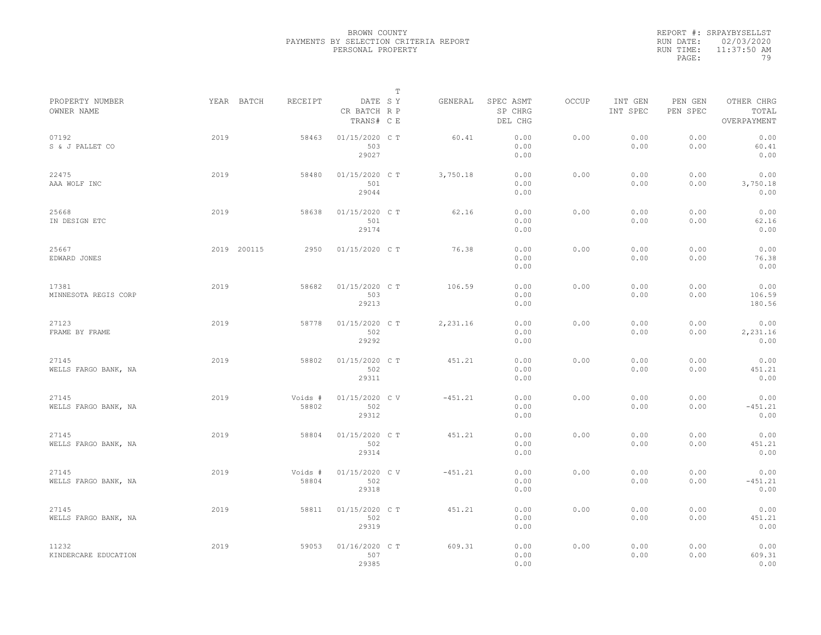|           | REPORT #: SRPAYBYSELLST |
|-----------|-------------------------|
|           | RUN DATE: 02/03/2020    |
| RUN TIME: | 11:37:50 AM             |
| PAGE:     | 79                      |

|                               |             |                  |                                       | $\mathbb T$ |           |                                 |       |                     |                     |                                    |
|-------------------------------|-------------|------------------|---------------------------------------|-------------|-----------|---------------------------------|-------|---------------------|---------------------|------------------------------------|
| PROPERTY NUMBER<br>OWNER NAME | YEAR BATCH  | RECEIPT          | DATE SY<br>CR BATCH R P<br>TRANS# C E |             | GENERAL   | SPEC ASMT<br>SP CHRG<br>DEL CHG | OCCUP | INT GEN<br>INT SPEC | PEN GEN<br>PEN SPEC | OTHER CHRG<br>TOTAL<br>OVERPAYMENT |
| 07192<br>S & J PALLET CO      | 2019        | 58463            | 01/15/2020 C T<br>503<br>29027        |             | 60.41     | 0.00<br>0.00<br>0.00            | 0.00  | 0.00<br>0.00        | 0.00<br>0.00        | 0.00<br>60.41<br>0.00              |
| 22475<br>AAA WOLF INC         | 2019        | 58480            | 01/15/2020 C T<br>501<br>29044        |             | 3,750.18  | 0.00<br>0.00<br>0.00            | 0.00  | 0.00<br>0.00        | 0.00<br>0.00        | 0.00<br>3,750.18<br>0.00           |
| 25668<br>IN DESIGN ETC        | 2019        | 58638            | 01/15/2020 C T<br>501<br>29174        |             | 62.16     | 0.00<br>0.00<br>0.00            | 0.00  | 0.00<br>0.00        | 0.00<br>0.00        | 0.00<br>62.16<br>0.00              |
| 25667<br>EDWARD JONES         | 2019 200115 | 2950             | 01/15/2020 C T                        |             | 76.38     | 0.00<br>0.00<br>0.00            | 0.00  | 0.00<br>0.00        | 0.00<br>0.00        | 0.00<br>76.38<br>0.00              |
| 17381<br>MINNESOTA REGIS CORP | 2019        | 58682            | 01/15/2020 C T<br>503<br>29213        |             | 106.59    | 0.00<br>0.00<br>0.00            | 0.00  | 0.00<br>0.00        | 0.00<br>0.00        | 0.00<br>106.59<br>180.56           |
| 27123<br>FRAME BY FRAME       | 2019        | 58778            | 01/15/2020 C T<br>502<br>29292        |             | 2,231.16  | 0.00<br>0.00<br>0.00            | 0.00  | 0.00<br>0.00        | 0.00<br>0.00        | 0.00<br>2,231.16<br>0.00           |
| 27145<br>WELLS FARGO BANK, NA | 2019        | 58802            | 01/15/2020 C T<br>502<br>29311        |             | 451.21    | 0.00<br>0.00<br>0.00            | 0.00  | 0.00<br>0.00        | 0.00<br>0.00        | 0.00<br>451.21<br>0.00             |
| 27145<br>WELLS FARGO BANK, NA | 2019        | Voids #<br>58802 | 01/15/2020 CV<br>502<br>29312         |             | $-451.21$ | 0.00<br>0.00<br>0.00            | 0.00  | 0.00<br>0.00        | 0.00<br>0.00        | 0.00<br>$-451.21$<br>0.00          |
| 27145<br>WELLS FARGO BANK, NA | 2019        | 58804            | 01/15/2020 C T<br>502<br>29314        |             | 451.21    | 0.00<br>0.00<br>0.00            | 0.00  | 0.00<br>0.00        | 0.00<br>0.00        | 0.00<br>451.21<br>0.00             |
| 27145<br>WELLS FARGO BANK, NA | 2019        | Voids #<br>58804 | 01/15/2020 CV<br>502<br>29318         |             | $-451.21$ | 0.00<br>0.00<br>0.00            | 0.00  | 0.00<br>0.00        | 0.00<br>0.00        | 0.00<br>$-451.21$<br>0.00          |
| 27145<br>WELLS FARGO BANK, NA | 2019        | 58811            | 01/15/2020 C T<br>502<br>29319        |             | 451.21    | 0.00<br>0.00<br>0.00            | 0.00  | 0.00<br>0.00        | 0.00<br>0.00        | 0.00<br>451.21<br>0.00             |
| 11232<br>KINDERCARE EDUCATION | 2019        | 59053            | 01/16/2020 C T<br>507<br>29385        |             | 609.31    | 0.00<br>0.00<br>0.00            | 0.00  | 0.00<br>0.00        | 0.00<br>0.00        | 0.00<br>609.31<br>0.00             |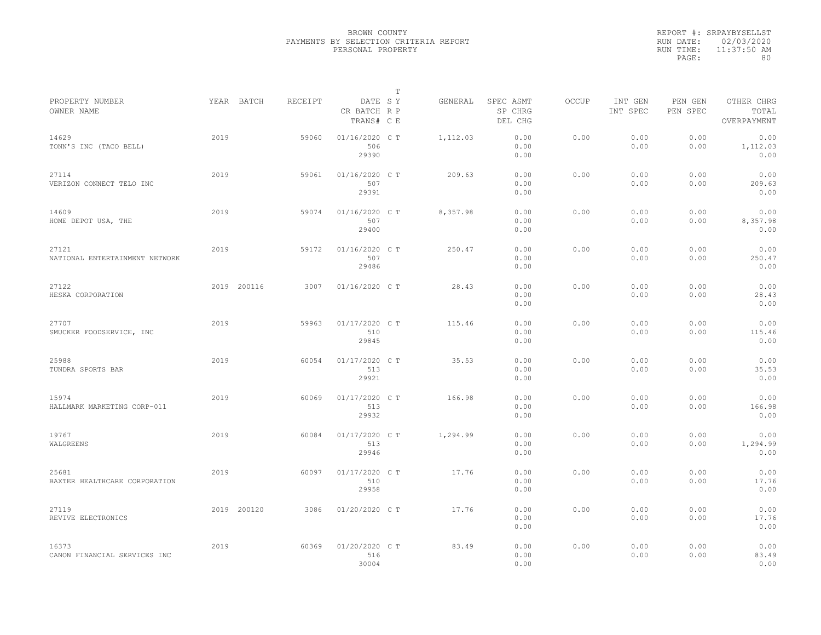|           | REPORT #: SRPAYBYSELLST |
|-----------|-------------------------|
|           | RUN DATE: 02/03/2020    |
| RUN TIME: | 11:37:50 AM             |
| PAGE:     | 80.                     |

|                                         |      |             |         |                                       | T |          |                                 |              |                     |                     |                                    |
|-----------------------------------------|------|-------------|---------|---------------------------------------|---|----------|---------------------------------|--------------|---------------------|---------------------|------------------------------------|
| PROPERTY NUMBER<br>OWNER NAME           |      | YEAR BATCH  | RECEIPT | DATE SY<br>CR BATCH R P<br>TRANS# C E |   | GENERAL  | SPEC ASMT<br>SP CHRG<br>DEL CHG | <b>OCCUP</b> | INT GEN<br>INT SPEC | PEN GEN<br>PEN SPEC | OTHER CHRG<br>TOTAL<br>OVERPAYMENT |
| 14629<br>TONN'S INC (TACO BELL)         | 2019 |             | 59060   | 01/16/2020 C T<br>506<br>29390        |   | 1,112.03 | 0.00<br>0.00<br>0.00            | 0.00         | 0.00<br>0.00        | 0.00<br>0.00        | 0.00<br>1,112.03<br>0.00           |
| 27114<br>VERIZON CONNECT TELO INC       | 2019 |             | 59061   | 01/16/2020 C T<br>507<br>29391        |   | 209.63   | 0.00<br>0.00<br>0.00            | 0.00         | 0.00<br>0.00        | 0.00<br>0.00        | 0.00<br>209.63<br>0.00             |
| 14609<br>HOME DEPOT USA, THE            | 2019 |             | 59074   | 01/16/2020 C T<br>507<br>29400        |   | 8,357.98 | 0.00<br>0.00<br>0.00            | 0.00         | 0.00<br>0.00        | 0.00<br>0.00        | 0.00<br>8,357.98<br>0.00           |
| 27121<br>NATIONAL ENTERTAINMENT NETWORK | 2019 |             | 59172   | 01/16/2020 C T<br>507<br>29486        |   | 250.47   | 0.00<br>0.00<br>0.00            | 0.00         | 0.00<br>0.00        | 0.00<br>0.00        | 0.00<br>250.47<br>0.00             |
| 27122<br>HESKA CORPORATION              |      | 2019 200116 | 3007    | 01/16/2020 C T                        |   | 28.43    | 0.00<br>0.00<br>0.00            | 0.00         | 0.00<br>0.00        | 0.00<br>0.00        | 0.00<br>28.43<br>0.00              |
| 27707<br>SMUCKER FOODSERVICE, INC       | 2019 |             | 59963   | 01/17/2020 C T<br>510<br>29845        |   | 115.46   | 0.00<br>0.00<br>0.00            | 0.00         | 0.00<br>0.00        | 0.00<br>0.00        | 0.00<br>115.46<br>0.00             |
| 25988<br>TUNDRA SPORTS BAR              | 2019 |             | 60054   | 01/17/2020 C T<br>513<br>29921        |   | 35.53    | 0.00<br>0.00<br>0.00            | 0.00         | 0.00<br>0.00        | 0.00<br>0.00        | 0.00<br>35.53<br>0.00              |
| 15974<br>HALLMARK MARKETING CORP-011    | 2019 |             | 60069   | 01/17/2020 C T<br>513<br>29932        |   | 166.98   | 0.00<br>0.00<br>0.00            | 0.00         | 0.00<br>0.00        | 0.00<br>0.00        | 0.00<br>166.98<br>0.00             |
| 19767<br>WALGREENS                      | 2019 |             | 60084   | 01/17/2020 C T<br>513<br>29946        |   | 1,294.99 | 0.00<br>0.00<br>0.00            | 0.00         | 0.00<br>0.00        | 0.00<br>0.00        | 0.00<br>1,294.99<br>0.00           |
| 25681<br>BAXTER HEALTHCARE CORPORATION  | 2019 |             | 60097   | 01/17/2020 CT<br>510<br>29958         |   | 17.76    | 0.00<br>0.00<br>0.00            | 0.00         | 0.00<br>0.00        | 0.00<br>0.00        | 0.00<br>17.76<br>0.00              |
| 27119<br>REVIVE ELECTRONICS             |      | 2019 200120 | 3086    | 01/20/2020 CT                         |   | 17.76    | 0.00<br>0.00<br>0.00            | 0.00         | 0.00<br>0.00        | 0.00<br>0.00        | 0.00<br>17.76<br>0.00              |
| 16373<br>CANON FINANCIAL SERVICES INC   | 2019 |             | 60369   | 01/20/2020 C T<br>516<br>30004        |   | 83.49    | 0.00<br>0.00<br>0.00            | 0.00         | 0.00<br>0.00        | 0.00<br>0.00        | 0.00<br>83.49<br>0.00              |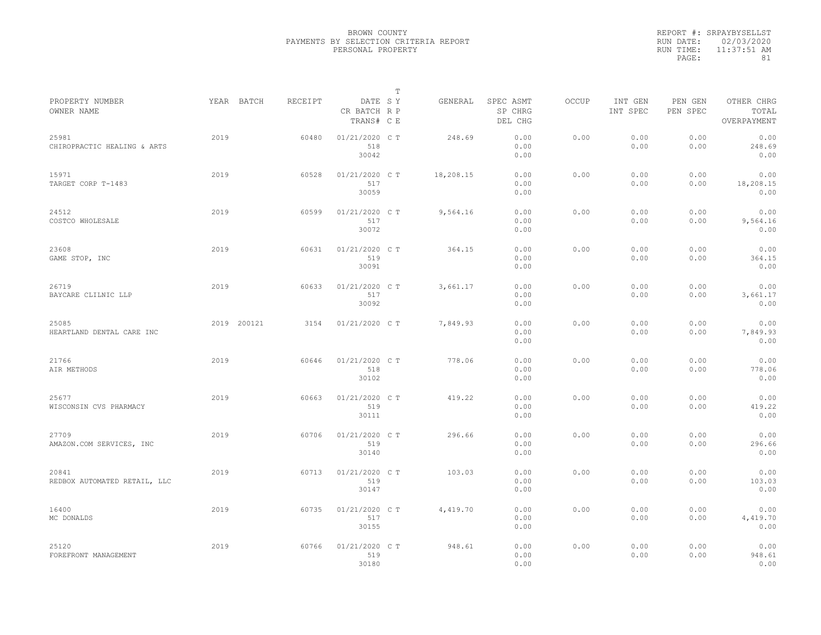|           | REPORT #: SRPAYBYSELLST |
|-----------|-------------------------|
|           | RUN DATE: 02/03/2020    |
| RUN TIME: | $11:37:51$ AM           |
| PAGE:     | 81                      |

| PROPERTY NUMBER                       |      | YEAR BATCH  | <b>RECEIPT</b> | DATE SY                        | T | GENERAL   | SPEC ASMT            | <b>OCCUP</b> | INT GEN      | PEN GEN      | OTHER CHRG                |  |
|---------------------------------------|------|-------------|----------------|--------------------------------|---|-----------|----------------------|--------------|--------------|--------------|---------------------------|--|
| OWNER NAME                            |      |             |                | CR BATCH R P<br>TRANS# C E     |   |           | SP CHRG<br>DEL CHG   |              | INT SPEC     | PEN SPEC     | TOTAL<br>OVERPAYMENT      |  |
| 25981<br>CHIROPRACTIC HEALING & ARTS  | 2019 |             | 60480          | 01/21/2020 C T<br>518<br>30042 |   | 248.69    | 0.00<br>0.00<br>0.00 | 0.00         | 0.00<br>0.00 | 0.00<br>0.00 | 0.00<br>248.69<br>0.00    |  |
| 15971<br>TARGET CORP T-1483           | 2019 |             | 60528          | 01/21/2020 C T<br>517<br>30059 |   | 18,208.15 | 0.00<br>0.00<br>0.00 | 0.00         | 0.00<br>0.00 | 0.00<br>0.00 | 0.00<br>18,208.15<br>0.00 |  |
| 24512<br>COSTCO WHOLESALE             | 2019 |             | 60599          | 01/21/2020 C T<br>517<br>30072 |   | 9,564.16  | 0.00<br>0.00<br>0.00 | 0.00         | 0.00<br>0.00 | 0.00<br>0.00 | 0.00<br>9,564.16<br>0.00  |  |
| 23608<br>GAME STOP, INC               | 2019 |             | 60631          | 01/21/2020 C T<br>519<br>30091 |   | 364.15    | 0.00<br>0.00<br>0.00 | 0.00         | 0.00<br>0.00 | 0.00<br>0.00 | 0.00<br>364.15<br>0.00    |  |
| 26719<br>BAYCARE CLILNIC LLP          | 2019 |             | 60633          | 01/21/2020 C T<br>517<br>30092 |   | 3,661.17  | 0.00<br>0.00<br>0.00 | 0.00         | 0.00<br>0.00 | 0.00<br>0.00 | 0.00<br>3,661.17<br>0.00  |  |
| 25085<br>HEARTLAND DENTAL CARE INC    |      | 2019 200121 | 3154           | 01/21/2020 C T                 |   | 7,849.93  | 0.00<br>0.00<br>0.00 | 0.00         | 0.00<br>0.00 | 0.00<br>0.00 | 0.00<br>7,849.93<br>0.00  |  |
| 21766<br>AIR METHODS                  | 2019 |             | 60646          | 01/21/2020 C T<br>518<br>30102 |   | 778.06    | 0.00<br>0.00<br>0.00 | 0.00         | 0.00<br>0.00 | 0.00<br>0.00 | 0.00<br>778.06<br>0.00    |  |
| 25677<br>WISCONSIN CVS PHARMACY       | 2019 |             | 60663          | 01/21/2020 C T<br>519<br>30111 |   | 419.22    | 0.00<br>0.00<br>0.00 | 0.00         | 0.00<br>0.00 | 0.00<br>0.00 | 0.00<br>419.22<br>0.00    |  |
| 27709<br>AMAZON.COM SERVICES, INC     | 2019 |             | 60706          | 01/21/2020 C T<br>519<br>30140 |   | 296.66    | 0.00<br>0.00<br>0.00 | 0.00         | 0.00<br>0.00 | 0.00<br>0.00 | 0.00<br>296.66<br>0.00    |  |
| 20841<br>REDBOX AUTOMATED RETAIL, LLC | 2019 |             | 60713          | 01/21/2020 C T<br>519<br>30147 |   | 103.03    | 0.00<br>0.00<br>0.00 | 0.00         | 0.00<br>0.00 | 0.00<br>0.00 | 0.00<br>103.03<br>0.00    |  |
| 16400<br>MC DONALDS                   | 2019 |             | 60735          | 01/21/2020 C T<br>517<br>30155 |   | 4,419.70  | 0.00<br>0.00<br>0.00 | 0.00         | 0.00<br>0.00 | 0.00<br>0.00 | 0.00<br>4,419.70<br>0.00  |  |
| 25120<br>FOREFRONT MANAGEMENT         | 2019 |             | 60766          | 01/21/2020 C T<br>519<br>30180 |   | 948.61    | 0.00<br>0.00<br>0.00 | 0.00         | 0.00<br>0.00 | 0.00<br>0.00 | 0.00<br>948.61<br>0.00    |  |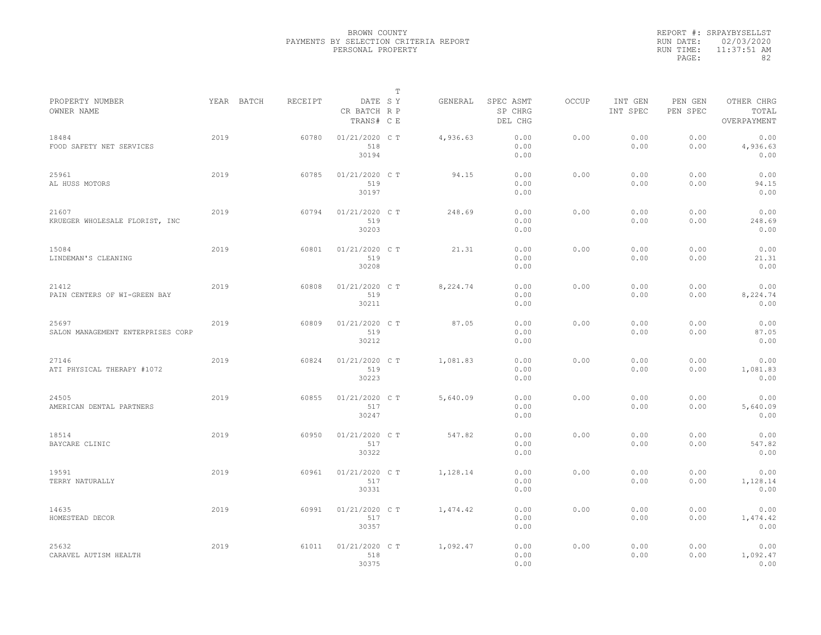|           | REPORT #: SRPAYBYSELLST |
|-----------|-------------------------|
|           | RUN DATE: 02/03/2020    |
| RUN TIME: | $11:37:51$ AM           |
| PAGE:     | 82                      |

|                                            |            |         |                                       | T |          |                                 |              |                     |                     |                                    |
|--------------------------------------------|------------|---------|---------------------------------------|---|----------|---------------------------------|--------------|---------------------|---------------------|------------------------------------|
| PROPERTY NUMBER<br>OWNER NAME              | YEAR BATCH | RECEIPT | DATE SY<br>CR BATCH R P<br>TRANS# C E |   | GENERAL  | SPEC ASMT<br>SP CHRG<br>DEL CHG | <b>OCCUP</b> | INT GEN<br>INT SPEC | PEN GEN<br>PEN SPEC | OTHER CHRG<br>TOTAL<br>OVERPAYMENT |
| 18484<br>FOOD SAFETY NET SERVICES          | 2019       | 60780   | 01/21/2020 C T<br>518<br>30194        |   | 4,936.63 | 0.00<br>0.00<br>0.00            | 0.00         | 0.00<br>0.00        | 0.00<br>0.00        | 0.00<br>4,936.63<br>0.00           |
| 25961<br>AL HUSS MOTORS                    | 2019       | 60785   | 01/21/2020 C T<br>519<br>30197        |   | 94.15    | 0.00<br>0.00<br>0.00            | 0.00         | 0.00<br>0.00        | 0.00<br>0.00        | 0.00<br>94.15<br>0.00              |
| 21607<br>KRUEGER WHOLESALE FLORIST, INC    | 2019       | 60794   | 01/21/2020 C T<br>519<br>30203        |   | 248.69   | 0.00<br>0.00<br>0.00            | 0.00         | 0.00<br>0.00        | 0.00<br>0.00        | 0.00<br>248.69<br>0.00             |
| 15084<br>LINDEMAN'S CLEANING               | 2019       | 60801   | 01/21/2020 C T<br>519<br>30208        |   | 21.31    | 0.00<br>0.00<br>0.00            | 0.00         | 0.00<br>0.00        | 0.00<br>0.00        | 0.00<br>21.31<br>0.00              |
| 21412<br>PAIN CENTERS OF WI-GREEN BAY      | 2019       | 60808   | 01/21/2020 C T<br>519<br>30211        |   | 8,224.74 | 0.00<br>0.00<br>0.00            | 0.00         | 0.00<br>0.00        | 0.00<br>0.00        | 0.00<br>8,224.74<br>0.00           |
| 25697<br>SALON MANAGEMENT ENTERPRISES CORP | 2019       | 60809   | 01/21/2020 C T<br>519<br>30212        |   | 87.05    | 0.00<br>0.00<br>0.00            | 0.00         | 0.00<br>0.00        | 0.00<br>0.00        | 0.00<br>87.05<br>0.00              |
| 27146<br>ATI PHYSICAL THERAPY #1072        | 2019       | 60824   | 01/21/2020 C T<br>519<br>30223        |   | 1,081.83 | 0.00<br>0.00<br>0.00            | 0.00         | 0.00<br>0.00        | 0.00<br>0.00        | 0.00<br>1,081.83<br>0.00           |
| 24505<br>AMERICAN DENTAL PARTNERS          | 2019       | 60855   | 01/21/2020 C T<br>517<br>30247        |   | 5,640.09 | 0.00<br>0.00<br>0.00            | 0.00         | 0.00<br>0.00        | 0.00<br>0.00        | 0.00<br>5,640.09<br>0.00           |
| 18514<br>BAYCARE CLINIC                    | 2019       | 60950   | 01/21/2020 C T<br>517<br>30322        |   | 547.82   | 0.00<br>0.00<br>0.00            | 0.00         | 0.00<br>0.00        | 0.00<br>0.00        | 0.00<br>547.82<br>0.00             |
| 19591<br>TERRY NATURALLY                   | 2019       | 60961   | 01/21/2020 C T<br>517<br>30331        |   | 1,128.14 | 0.00<br>0.00<br>0.00            | 0.00         | 0.00<br>0.00        | 0.00<br>0.00        | 0.00<br>1,128.14<br>0.00           |
| 14635<br>HOMESTEAD DECOR                   | 2019       | 60991   | 01/21/2020 C T<br>517<br>30357        |   | 1,474.42 | 0.00<br>0.00<br>0.00            | 0.00         | 0.00<br>0.00        | 0.00<br>0.00        | 0.00<br>1,474.42<br>0.00           |
| 25632<br>CARAVEL AUTISM HEALTH             | 2019       | 61011   | 01/21/2020 C T<br>518<br>30375        |   | 1,092.47 | 0.00<br>0.00<br>0.00            | 0.00         | 0.00<br>0.00        | 0.00<br>0.00        | 0.00<br>1,092.47<br>0.00           |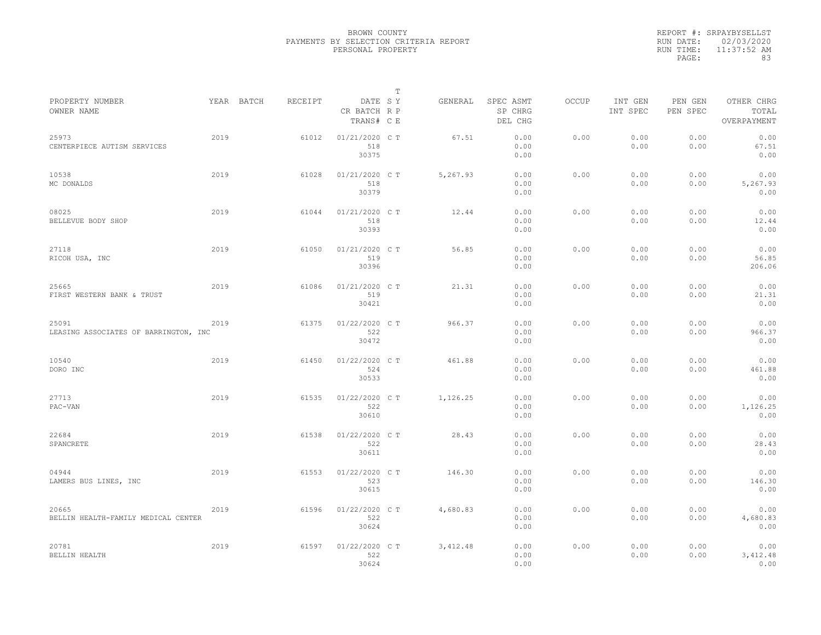|           | REPORT #: SRPAYBYSELLST |
|-----------|-------------------------|
|           | RUN DATE: 02/03/2020    |
| RUN TIME: | $11:37:52$ AM           |
| PAGE:     | 83                      |

|                                                |      |            |         |                                       | T |           |                                 |       |                     |                     |                                    |  |
|------------------------------------------------|------|------------|---------|---------------------------------------|---|-----------|---------------------------------|-------|---------------------|---------------------|------------------------------------|--|
| PROPERTY NUMBER<br>OWNER NAME                  |      | YEAR BATCH | RECEIPT | DATE SY<br>CR BATCH R P<br>TRANS# C E |   | GENERAL   | SPEC ASMT<br>SP CHRG<br>DEL CHG | OCCUP | INT GEN<br>INT SPEC | PEN GEN<br>PEN SPEC | OTHER CHRG<br>TOTAL<br>OVERPAYMENT |  |
| 25973<br>CENTERPIECE AUTISM SERVICES           | 2019 |            | 61012   | 01/21/2020 C T<br>518<br>30375        |   | 67.51     | 0.00<br>0.00<br>0.00            | 0.00  | 0.00<br>0.00        | 0.00<br>0.00        | 0.00<br>67.51<br>0.00              |  |
| 10538<br>MC DONALDS                            | 2019 |            | 61028   | 01/21/2020 C T<br>518<br>30379        |   | 5,267.93  | 0.00<br>0.00<br>0.00            | 0.00  | 0.00<br>0.00        | 0.00<br>0.00        | 0.00<br>5,267.93<br>0.00           |  |
| 08025<br>BELLEVUE BODY SHOP                    | 2019 |            | 61044   | 01/21/2020 C T<br>518<br>30393        |   | 12.44     | 0.00<br>0.00<br>0.00            | 0.00  | 0.00<br>0.00        | 0.00<br>0.00        | 0.00<br>12.44<br>0.00              |  |
| 27118<br>RICOH USA, INC                        | 2019 |            | 61050   | 01/21/2020 C T<br>519<br>30396        |   | 56.85     | 0.00<br>0.00<br>0.00            | 0.00  | 0.00<br>0.00        | 0.00<br>0.00        | 0.00<br>56.85<br>206.06            |  |
| 25665<br>FIRST WESTERN BANK & TRUST            | 2019 |            | 61086   | 01/21/2020 C T<br>519<br>30421        |   | 21.31     | 0.00<br>0.00<br>0.00            | 0.00  | 0.00<br>0.00        | 0.00<br>0.00        | 0.00<br>21.31<br>0.00              |  |
| 25091<br>LEASING ASSOCIATES OF BARRINGTON, INC | 2019 |            | 61375   | 01/22/2020 C T<br>522<br>30472        |   | 966.37    | 0.00<br>0.00<br>0.00            | 0.00  | 0.00<br>0.00        | 0.00<br>0.00        | 0.00<br>966.37<br>0.00             |  |
| 10540<br>DORO INC                              | 2019 |            | 61450   | 01/22/2020 C T<br>524<br>30533        |   | 461.88    | 0.00<br>0.00<br>0.00            | 0.00  | 0.00<br>0.00        | 0.00<br>0.00        | 0.00<br>461.88<br>0.00             |  |
| 27713<br>PAC-VAN                               | 2019 |            | 61535   | 01/22/2020 CT<br>522<br>30610         |   | 1,126.25  | 0.00<br>0.00<br>0.00            | 0.00  | 0.00<br>0.00        | 0.00<br>0.00        | 0.00<br>1,126.25<br>0.00           |  |
| 22684<br>SPANCRETE                             | 2019 |            | 61538   | 01/22/2020 C T<br>522<br>30611        |   | 28.43     | 0.00<br>0.00<br>0.00            | 0.00  | 0.00<br>0.00        | 0.00<br>0.00        | 0.00<br>28.43<br>0.00              |  |
| 04944<br>LAMERS BUS LINES, INC                 | 2019 |            | 61553   | 01/22/2020 C T<br>523<br>30615        |   | 146.30    | 0.00<br>0.00<br>0.00            | 0.00  | 0.00<br>0.00        | 0.00<br>0.00        | 0.00<br>146.30<br>0.00             |  |
| 20665<br>BELLIN HEALTH-FAMILY MEDICAL CENTER   | 2019 |            | 61596   | 01/22/2020 C T<br>522<br>30624        |   | 4,680.83  | 0.00<br>0.00<br>0.00            | 0.00  | 0.00<br>0.00        | 0.00<br>0.00        | 0.00<br>4,680.83<br>0.00           |  |
| 20781<br>BELLIN HEALTH                         | 2019 |            | 61597   | 01/22/2020 C T<br>522<br>30624        |   | 3, 412.48 | 0.00<br>0.00<br>0.00            | 0.00  | 0.00<br>0.00        | 0.00<br>0.00        | 0.00<br>3,412.48<br>0.00           |  |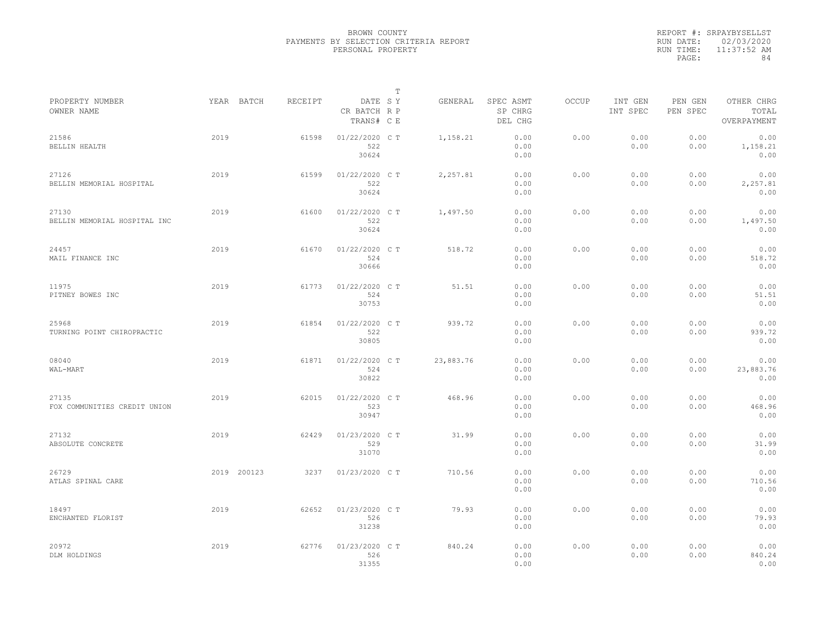|           | REPORT #: SRPAYBYSELLST |
|-----------|-------------------------|
|           | RUN DATE: 02/03/2020    |
| RUN TIME: | $11:37:52$ AM           |
| PAGE:     | 84                      |

|                                       |      |             |         |                                       | т |           |                                 |       |                     |                     |                                    |  |
|---------------------------------------|------|-------------|---------|---------------------------------------|---|-----------|---------------------------------|-------|---------------------|---------------------|------------------------------------|--|
| PROPERTY NUMBER<br>OWNER NAME         |      | YEAR BATCH  | RECEIPT | DATE SY<br>CR BATCH R P<br>TRANS# C E |   | GENERAL   | SPEC ASMT<br>SP CHRG<br>DEL CHG | OCCUP | INT GEN<br>INT SPEC | PEN GEN<br>PEN SPEC | OTHER CHRG<br>TOTAL<br>OVERPAYMENT |  |
| 21586<br>BELLIN HEALTH                | 2019 |             | 61598   | 01/22/2020 C T<br>522<br>30624        |   | 1,158.21  | 0.00<br>0.00<br>0.00            | 0.00  | 0.00<br>0.00        | 0.00<br>0.00        | 0.00<br>1,158.21<br>0.00           |  |
| 27126<br>BELLIN MEMORIAL HOSPITAL     | 2019 |             | 61599   | 01/22/2020 C T<br>522<br>30624        |   | 2,257.81  | 0.00<br>0.00<br>0.00            | 0.00  | 0.00<br>0.00        | 0.00<br>0.00        | 0.00<br>2,257.81<br>0.00           |  |
| 27130<br>BELLIN MEMORIAL HOSPITAL INC | 2019 |             | 61600   | 01/22/2020 C T<br>522<br>30624        |   | 1,497.50  | 0.00<br>0.00<br>0.00            | 0.00  | 0.00<br>0.00        | 0.00<br>0.00        | 0.00<br>1,497.50<br>0.00           |  |
| 24457<br>MAIL FINANCE INC             | 2019 |             | 61670   | 01/22/2020 C T<br>524<br>30666        |   | 518.72    | 0.00<br>0.00<br>0.00            | 0.00  | 0.00<br>0.00        | 0.00<br>0.00        | 0.00<br>518.72<br>0.00             |  |
| 11975<br>PITNEY BOWES INC             | 2019 |             | 61773   | 01/22/2020 C T<br>524<br>30753        |   | 51.51     | 0.00<br>0.00<br>0.00            | 0.00  | 0.00<br>0.00        | 0.00<br>0.00        | 0.00<br>51.51<br>0.00              |  |
| 25968<br>TURNING POINT CHIROPRACTIC   | 2019 |             | 61854   | 01/22/2020 C T<br>522<br>30805        |   | 939.72    | 0.00<br>0.00<br>0.00            | 0.00  | 0.00<br>0.00        | 0.00<br>0.00        | 0.00<br>939.72<br>0.00             |  |
| 08040<br>WAL-MART                     | 2019 |             | 61871   | 01/22/2020 C T<br>524<br>30822        |   | 23,883.76 | 0.00<br>0.00<br>0.00            | 0.00  | 0.00<br>0.00        | 0.00<br>0.00        | 0.00<br>23,883.76<br>0.00          |  |
| 27135<br>FOX COMMUNITIES CREDIT UNION | 2019 |             | 62015   | 01/22/2020 C T<br>523<br>30947        |   | 468.96    | 0.00<br>0.00<br>0.00            | 0.00  | 0.00<br>0.00        | 0.00<br>0.00        | 0.00<br>468.96<br>0.00             |  |
| 27132<br>ABSOLUTE CONCRETE            | 2019 |             | 62429   | 01/23/2020 C T<br>529<br>31070        |   | 31.99     | 0.00<br>0.00<br>0.00            | 0.00  | 0.00<br>0.00        | 0.00<br>0.00        | 0.00<br>31.99<br>0.00              |  |
| 26729<br>ATLAS SPINAL CARE            |      | 2019 200123 | 3237    | 01/23/2020 C T                        |   | 710.56    | 0.00<br>0.00<br>0.00            | 0.00  | 0.00<br>0.00        | 0.00<br>0.00        | 0.00<br>710.56<br>0.00             |  |
| 18497<br>ENCHANTED FLORIST            | 2019 |             | 62652   | 01/23/2020 CT<br>526<br>31238         |   | 79.93     | 0.00<br>0.00<br>0.00            | 0.00  | 0.00<br>0.00        | 0.00<br>0.00        | 0.00<br>79.93<br>0.00              |  |
| 20972<br>DLM HOLDINGS                 | 2019 |             | 62776   | 01/23/2020 C T<br>526<br>31355        |   | 840.24    | 0.00<br>0.00<br>0.00            | 0.00  | 0.00<br>0.00        | 0.00<br>0.00        | 0.00<br>840.24<br>0.00             |  |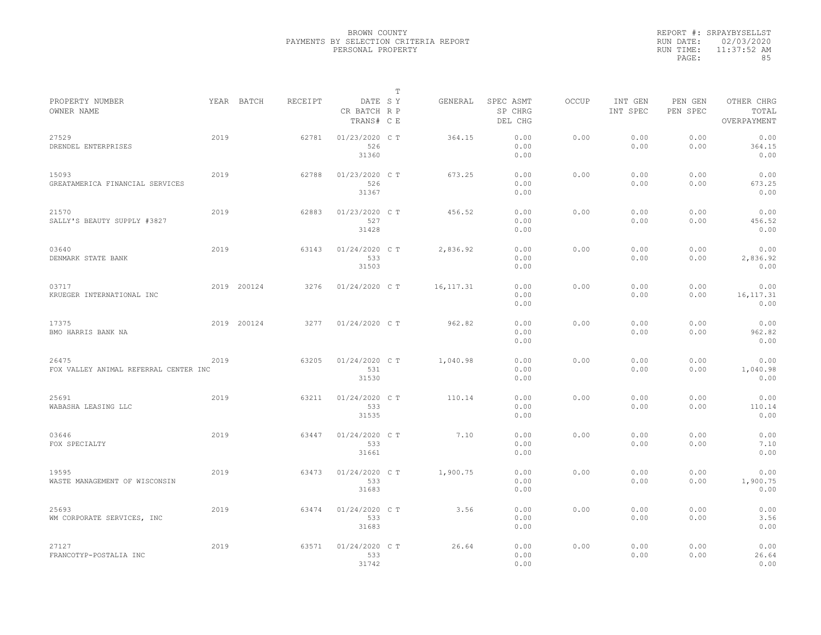|                                                |      |             |         |                                       | $\mathbb{T}$ |            |                                 |              |                     |                     |                                    |
|------------------------------------------------|------|-------------|---------|---------------------------------------|--------------|------------|---------------------------------|--------------|---------------------|---------------------|------------------------------------|
| PROPERTY NUMBER<br>OWNER NAME                  |      | YEAR BATCH  | RECEIPT | DATE SY<br>CR BATCH R P<br>TRANS# C E |              | GENERAL    | SPEC ASMT<br>SP CHRG<br>DEL CHG | <b>OCCUP</b> | INT GEN<br>INT SPEC | PEN GEN<br>PEN SPEC | OTHER CHRG<br>TOTAL<br>OVERPAYMENT |
| 27529<br>DRENDEL ENTERPRISES                   | 2019 |             | 62781   | 01/23/2020 C T<br>526<br>31360        |              | 364.15     | 0.00<br>0.00<br>0.00            | 0.00         | 0.00<br>0.00        | 0.00<br>0.00        | 0.00<br>364.15<br>0.00             |
| 15093<br>GREATAMERICA FINANCIAL SERVICES       | 2019 |             | 62788   | 01/23/2020 C T<br>526<br>31367        |              | 673.25     | 0.00<br>0.00<br>0.00            | 0.00         | 0.00<br>0.00        | 0.00<br>0.00        | 0.00<br>673.25<br>0.00             |
| 21570<br>SALLY'S BEAUTY SUPPLY #3827           | 2019 |             | 62883   | 01/23/2020 C T<br>527<br>31428        |              | 456.52     | 0.00<br>0.00<br>0.00            | 0.00         | 0.00<br>0.00        | 0.00<br>0.00        | 0.00<br>456.52<br>0.00             |
| 03640<br>DENMARK STATE BANK                    | 2019 |             | 63143   | $01/24/2020$ C T<br>533<br>31503      |              | 2,836.92   | 0.00<br>0.00<br>0.00            | 0.00         | 0.00<br>0.00        | 0.00<br>0.00        | 0.00<br>2,836.92<br>0.00           |
| 03717<br>KRUEGER INTERNATIONAL INC             |      | 2019 200124 | 3276    | 01/24/2020 C T                        |              | 16, 117.31 | 0.00<br>0.00<br>0.00            | 0.00         | 0.00<br>0.00        | 0.00<br>0.00        | 0.00<br>16, 117.31<br>0.00         |
| 17375<br>BMO HARRIS BANK NA                    |      | 2019 200124 | 3277    | 01/24/2020 C T                        |              | 962.82     | 0.00<br>0.00<br>0.00            | 0.00         | 0.00<br>0.00        | 0.00<br>0.00        | 0.00<br>962.82<br>0.00             |
| 26475<br>FOX VALLEY ANIMAL REFERRAL CENTER INC | 2019 |             | 63205   | $01/24/2020$ C T<br>531<br>31530      |              | 1,040.98   | 0.00<br>0.00<br>0.00            | 0.00         | 0.00<br>0.00        | 0.00<br>0.00        | 0.00<br>1,040.98<br>0.00           |
| 25691<br>WABASHA LEASING LLC                   | 2019 |             | 63211   | 01/24/2020 C T<br>533<br>31535        |              | 110.14     | 0.00<br>0.00<br>0.00            | 0.00         | 0.00<br>0.00        | 0.00<br>0.00        | 0.00<br>110.14<br>0.00             |
| 03646<br>FOX SPECIALTY                         | 2019 |             | 63447   | 01/24/2020 C T<br>533<br>31661        |              | 7.10       | 0.00<br>0.00<br>0.00            | 0.00         | 0.00<br>0.00        | 0.00<br>0.00        | 0.00<br>7.10<br>0.00               |
| 19595<br>WASTE MANAGEMENT OF WISCONSIN         | 2019 |             | 63473   | 01/24/2020 C T<br>533<br>31683        |              | 1,900.75   | 0.00<br>0.00<br>0.00            | 0.00         | 0.00<br>0.00        | 0.00<br>0.00        | 0.00<br>1,900.75<br>0.00           |
| 25693<br>WM CORPORATE SERVICES, INC            | 2019 |             | 63474   | 01/24/2020 C T<br>533<br>31683        |              | 3.56       | 0.00<br>0.00<br>0.00            | 0.00         | 0.00<br>0.00        | 0.00<br>0.00        | 0.00<br>3.56<br>0.00               |
| 27127<br>FRANCOTYP-POSTALIA INC                | 2019 |             | 63571   | 01/24/2020 C T<br>533<br>31742        |              | 26.64      | 0.00<br>0.00<br>0.00            | 0.00         | 0.00<br>0.00        | 0.00<br>0.00        | 0.00<br>26.64<br>0.00              |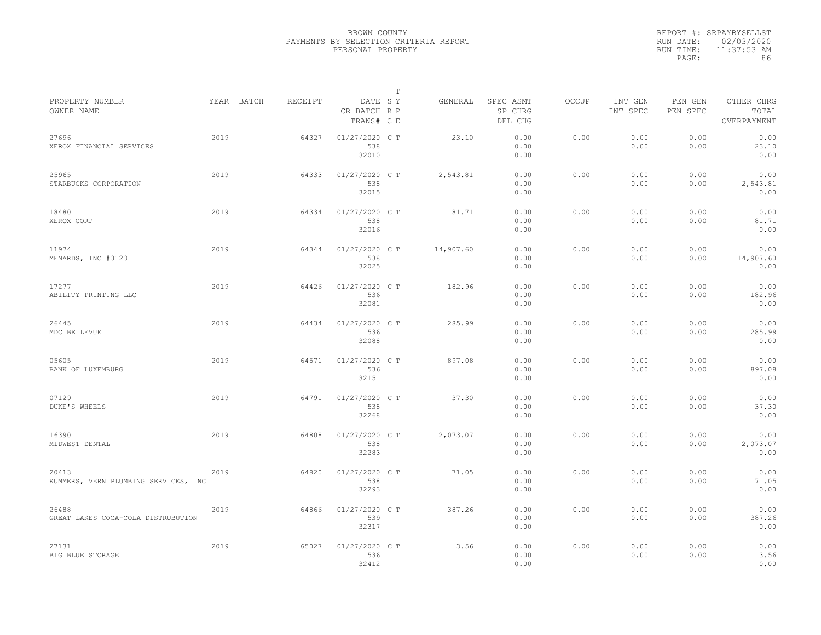|           | REPORT #: SRPAYBYSELLST |
|-----------|-------------------------|
|           | RUN DATE: 02/03/2020    |
| RUN TIME: | $11:37:53$ AM           |
| PAGE:     | 86                      |

|                                               |      |            |         |                                       | T |           |                                 |       |                     |                     |                                    |  |
|-----------------------------------------------|------|------------|---------|---------------------------------------|---|-----------|---------------------------------|-------|---------------------|---------------------|------------------------------------|--|
| PROPERTY NUMBER<br>OWNER NAME                 |      | YEAR BATCH | RECEIPT | DATE SY<br>CR BATCH R P<br>TRANS# C E |   | GENERAL   | SPEC ASMT<br>SP CHRG<br>DEL CHG | OCCUP | INT GEN<br>INT SPEC | PEN GEN<br>PEN SPEC | OTHER CHRG<br>TOTAL<br>OVERPAYMENT |  |
| 27696<br>XEROX FINANCIAL SERVICES             | 2019 |            | 64327   | 01/27/2020 C T<br>538<br>32010        |   | 23.10     | 0.00<br>0.00<br>0.00            | 0.00  | 0.00<br>0.00        | 0.00<br>0.00        | 0.00<br>23.10<br>0.00              |  |
| 25965<br>STARBUCKS CORPORATION                | 2019 |            | 64333   | 01/27/2020 C T<br>538<br>32015        |   | 2,543.81  | 0.00<br>0.00<br>0.00            | 0.00  | 0.00<br>0.00        | 0.00<br>0.00        | 0.00<br>2,543.81<br>0.00           |  |
| 18480<br>XEROX CORP                           | 2019 |            | 64334   | 01/27/2020 C T<br>538<br>32016        |   | 81.71     | 0.00<br>0.00<br>0.00            | 0.00  | 0.00<br>0.00        | 0.00<br>0.00        | 0.00<br>81.71<br>0.00              |  |
| 11974<br>MENARDS, INC #3123                   | 2019 |            | 64344   | 01/27/2020 C T<br>538<br>32025        |   | 14,907.60 | 0.00<br>0.00<br>0.00            | 0.00  | 0.00<br>0.00        | 0.00<br>0.00        | 0.00<br>14,907.60<br>0.00          |  |
| 17277<br>ABILITY PRINTING LLC                 | 2019 |            | 64426   | 01/27/2020 C T<br>536<br>32081        |   | 182.96    | 0.00<br>0.00<br>0.00            | 0.00  | 0.00<br>0.00        | 0.00<br>0.00        | 0.00<br>182.96<br>0.00             |  |
| 26445<br>MDC BELLEVUE                         | 2019 |            | 64434   | 01/27/2020 C T<br>536<br>32088        |   | 285.99    | 0.00<br>0.00<br>0.00            | 0.00  | 0.00<br>0.00        | 0.00<br>0.00        | 0.00<br>285.99<br>0.00             |  |
| 05605<br>BANK OF LUXEMBURG                    | 2019 |            | 64571   | 01/27/2020 C T<br>536<br>32151        |   | 897.08    | 0.00<br>0.00<br>0.00            | 0.00  | 0.00<br>0.00        | 0.00<br>0.00        | 0.00<br>897.08<br>0.00             |  |
| 07129<br>DUKE'S WHEELS                        | 2019 |            | 64791   | 01/27/2020 C T<br>538<br>32268        |   | 37.30     | 0.00<br>0.00<br>0.00            | 0.00  | 0.00<br>0.00        | 0.00<br>0.00        | 0.00<br>37.30<br>0.00              |  |
| 16390<br>MIDWEST DENTAL                       | 2019 |            | 64808   | 01/27/2020 C T<br>538<br>32283        |   | 2,073.07  | 0.00<br>0.00<br>0.00            | 0.00  | 0.00<br>0.00        | 0.00<br>0.00        | 0.00<br>2,073.07<br>0.00           |  |
| 20413<br>KUMMERS, VERN PLUMBING SERVICES, INC | 2019 |            | 64820   | 01/27/2020 C T<br>538<br>32293        |   | 71.05     | 0.00<br>0.00<br>0.00            | 0.00  | 0.00<br>0.00        | 0.00<br>0.00        | 0.00<br>71.05<br>0.00              |  |
| 26488<br>GREAT LAKES COCA-COLA DISTRUBUTION   | 2019 |            | 64866   | 01/27/2020 C T<br>539<br>32317        |   | 387.26    | 0.00<br>0.00<br>0.00            | 0.00  | 0.00<br>0.00        | 0.00<br>0.00        | 0.00<br>387.26<br>0.00             |  |
| 27131<br>BIG BLUE STORAGE                     | 2019 |            | 65027   | 01/27/2020 C T<br>536<br>32412        |   | 3.56      | 0.00<br>0.00<br>0.00            | 0.00  | 0.00<br>0.00        | 0.00<br>0.00        | 0.00<br>3.56<br>0.00               |  |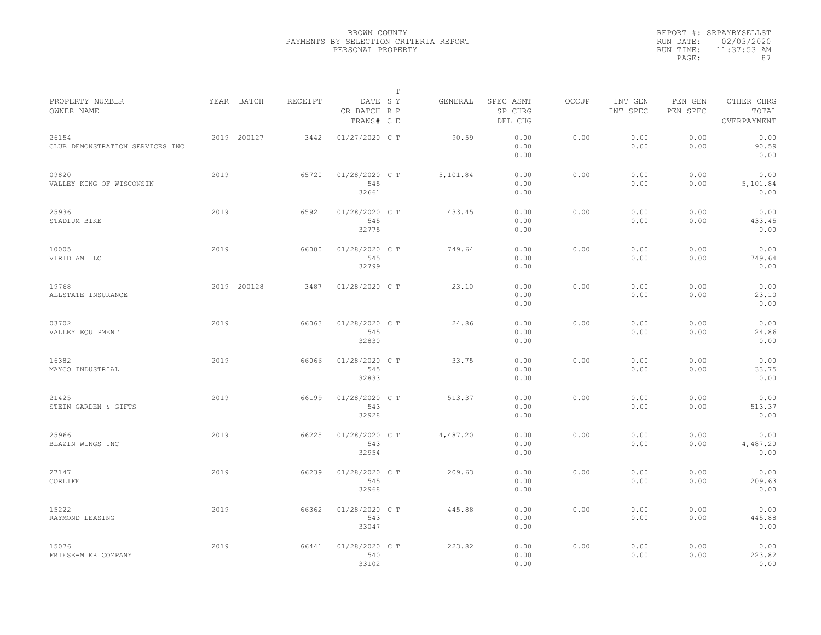|                                          |      |             |         |                                       | $\mathbb{T}$ |          |                                 |              |                     |                     |                                    |
|------------------------------------------|------|-------------|---------|---------------------------------------|--------------|----------|---------------------------------|--------------|---------------------|---------------------|------------------------------------|
| PROPERTY NUMBER<br>OWNER NAME            |      | YEAR BATCH  | RECEIPT | DATE SY<br>CR BATCH R P<br>TRANS# C E |              | GENERAL  | SPEC ASMT<br>SP CHRG<br>DEL CHG | <b>OCCUP</b> | INT GEN<br>INT SPEC | PEN GEN<br>PEN SPEC | OTHER CHRG<br>TOTAL<br>OVERPAYMENT |
| 26154<br>CLUB DEMONSTRATION SERVICES INC |      | 2019 200127 | 3442    | 01/27/2020 C T                        |              | 90.59    | 0.00<br>0.00<br>0.00            | 0.00         | 0.00<br>0.00        | 0.00<br>0.00        | 0.00<br>90.59<br>0.00              |
| 09820<br>VALLEY KING OF WISCONSIN        | 2019 |             | 65720   | 01/28/2020 C T<br>545<br>32661        |              | 5,101.84 | 0.00<br>0.00<br>0.00            | 0.00         | 0.00<br>0.00        | 0.00<br>0.00        | 0.00<br>5,101.84<br>0.00           |
| 25936<br>STADIUM BIKE                    | 2019 |             | 65921   | 01/28/2020 C T<br>545<br>32775        |              | 433.45   | 0.00<br>0.00<br>0.00            | 0.00         | 0.00<br>0.00        | 0.00<br>0.00        | 0.00<br>433.45<br>0.00             |
| 10005<br>VIRIDIAM LLC                    | 2019 |             | 66000   | 01/28/2020 C T<br>545<br>32799        |              | 749.64   | 0.00<br>0.00<br>0.00            | 0.00         | 0.00<br>0.00        | 0.00<br>0.00        | 0.00<br>749.64<br>0.00             |
| 19768<br>ALLSTATE INSURANCE              |      | 2019 200128 | 3487    | 01/28/2020 C T                        |              | 23.10    | 0.00<br>0.00<br>0.00            | 0.00         | 0.00<br>0.00        | 0.00<br>0.00        | 0.00<br>23.10<br>0.00              |
| 03702<br>VALLEY EQUIPMENT                | 2019 |             | 66063   | 01/28/2020 C T<br>545<br>32830        |              | 24.86    | 0.00<br>0.00<br>0.00            | 0.00         | 0.00<br>0.00        | 0.00<br>0.00        | 0.00<br>24.86<br>0.00              |
| 16382<br>MAYCO INDUSTRIAL                | 2019 |             | 66066   | 01/28/2020 C T<br>545<br>32833        |              | 33.75    | 0.00<br>0.00<br>0.00            | 0.00         | 0.00<br>0.00        | 0.00<br>0.00        | 0.00<br>33.75<br>0.00              |
| 21425<br>STEIN GARDEN & GIFTS            | 2019 |             | 66199   | 01/28/2020 C T<br>543<br>32928        |              | 513.37   | 0.00<br>0.00<br>0.00            | 0.00         | 0.00<br>0.00        | 0.00<br>0.00        | 0.00<br>513.37<br>0.00             |
| 25966<br>BLAZIN WINGS INC                | 2019 |             | 66225   | 01/28/2020 C T<br>543<br>32954        |              | 4,487.20 | 0.00<br>0.00<br>0.00            | 0.00         | 0.00<br>0.00        | 0.00<br>0.00        | 0.00<br>4,487.20<br>0.00           |
| 27147<br>CORLIFE                         | 2019 |             | 66239   | 01/28/2020 C T<br>545<br>32968        |              | 209.63   | 0.00<br>0.00<br>0.00            | 0.00         | 0.00<br>0.00        | 0.00<br>0.00        | 0.00<br>209.63<br>0.00             |
| 15222<br>RAYMOND LEASING                 | 2019 |             | 66362   | 01/28/2020 C T<br>543<br>33047        |              | 445.88   | 0.00<br>0.00<br>0.00            | 0.00         | 0.00<br>0.00        | 0.00<br>0.00        | 0.00<br>445.88<br>0.00             |
| 15076<br>FRIESE-MIER COMPANY             | 2019 |             | 66441   | 01/28/2020 C T<br>540<br>33102        |              | 223.82   | 0.00<br>0.00<br>0.00            | 0.00         | 0.00<br>0.00        | 0.00<br>0.00        | 0.00<br>223.82<br>0.00             |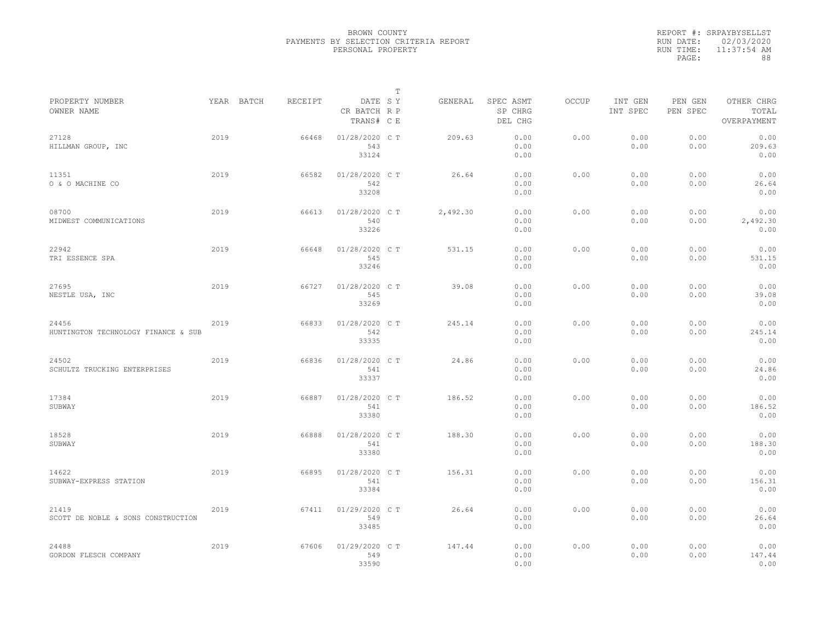|           | REPORT #: SRPAYBYSELLST |
|-----------|-------------------------|
|           | RUN DATE: 02/03/2020    |
| RUN TIME: | 11:37:54 AM             |
| PAGE:     | 88                      |

|                                              |      |            |         |                                       | Т |          |                                 |       |                     |                     |                                    |  |
|----------------------------------------------|------|------------|---------|---------------------------------------|---|----------|---------------------------------|-------|---------------------|---------------------|------------------------------------|--|
| PROPERTY NUMBER<br>OWNER NAME                |      | YEAR BATCH | RECEIPT | DATE SY<br>CR BATCH R P<br>TRANS# C E |   | GENERAL  | SPEC ASMT<br>SP CHRG<br>DEL CHG | OCCUP | INT GEN<br>INT SPEC | PEN GEN<br>PEN SPEC | OTHER CHRG<br>TOTAL<br>OVERPAYMENT |  |
| 27128<br>HILLMAN GROUP, INC                  | 2019 |            | 66468   | 01/28/2020 C T<br>543<br>33124        |   | 209.63   | 0.00<br>0.00<br>0.00            | 0.00  | 0.00<br>0.00        | 0.00<br>0.00        | 0.00<br>209.63<br>0.00             |  |
| 11351<br>O & O MACHINE CO                    | 2019 |            | 66582   | 01/28/2020 C T<br>542<br>33208        |   | 26.64    | 0.00<br>0.00<br>0.00            | 0.00  | 0.00<br>0.00        | 0.00<br>0.00        | 0.00<br>26.64<br>0.00              |  |
| 08700<br>MIDWEST COMMUNICATIONS              | 2019 |            | 66613   | 01/28/2020 C T<br>540<br>33226        |   | 2,492.30 | 0.00<br>0.00<br>0.00            | 0.00  | 0.00<br>0.00        | 0.00<br>0.00        | 0.00<br>2,492.30<br>0.00           |  |
| 22942<br>TRI ESSENCE SPA                     | 2019 |            | 66648   | 01/28/2020 C T<br>545<br>33246        |   | 531.15   | 0.00<br>0.00<br>0.00            | 0.00  | 0.00<br>0.00        | 0.00<br>0.00        | 0.00<br>531.15<br>0.00             |  |
| 27695<br>NESTLE USA, INC                     | 2019 |            | 66727   | 01/28/2020 C T<br>545<br>33269        |   | 39.08    | 0.00<br>0.00<br>0.00            | 0.00  | 0.00<br>0.00        | 0.00<br>0.00        | 0.00<br>39.08<br>0.00              |  |
| 24456<br>HUNTINGTON TECHNOLOGY FINANCE & SUB | 2019 |            | 66833   | 01/28/2020 C T<br>542<br>33335        |   | 245.14   | 0.00<br>0.00<br>0.00            | 0.00  | 0.00<br>0.00        | 0.00<br>0.00        | 0.00<br>245.14<br>0.00             |  |
| 24502<br>SCHULTZ TRUCKING ENTERPRISES        | 2019 |            | 66836   | 01/28/2020 C T<br>541<br>33337        |   | 24.86    | 0.00<br>0.00<br>0.00            | 0.00  | 0.00<br>0.00        | 0.00<br>0.00        | 0.00<br>24.86<br>0.00              |  |
| 17384<br>SUBWAY                              | 2019 |            | 66887   | 01/28/2020 CT<br>541<br>33380         |   | 186.52   | 0.00<br>0.00<br>0.00            | 0.00  | 0.00<br>0.00        | 0.00<br>0.00        | 0.00<br>186.52<br>0.00             |  |
| 18528<br>SUBWAY                              | 2019 |            | 66888   | 01/28/2020 CT<br>541<br>33380         |   | 188.30   | 0.00<br>0.00<br>0.00            | 0.00  | 0.00<br>0.00        | 0.00<br>0.00        | 0.00<br>188.30<br>0.00             |  |
| 14622<br>SUBWAY-EXPRESS STATION              | 2019 |            | 66895   | 01/28/2020 C T<br>541<br>33384        |   | 156.31   | 0.00<br>0.00<br>0.00            | 0.00  | 0.00<br>0.00        | 0.00<br>0.00        | 0.00<br>156.31<br>0.00             |  |
| 21419<br>SCOTT DE NOBLE & SONS CONSTRUCTION  | 2019 |            | 67411   | 01/29/2020 C T<br>549<br>33485        |   | 26.64    | 0.00<br>0.00<br>0.00            | 0.00  | 0.00<br>0.00        | 0.00<br>0.00        | 0.00<br>26.64<br>0.00              |  |
| 24488<br>GORDON FLESCH COMPANY               | 2019 |            | 67606   | 01/29/2020 C T<br>549<br>33590        |   | 147.44   | 0.00<br>0.00<br>0.00            | 0.00  | 0.00<br>0.00        | 0.00<br>0.00        | 0.00<br>147.44<br>0.00             |  |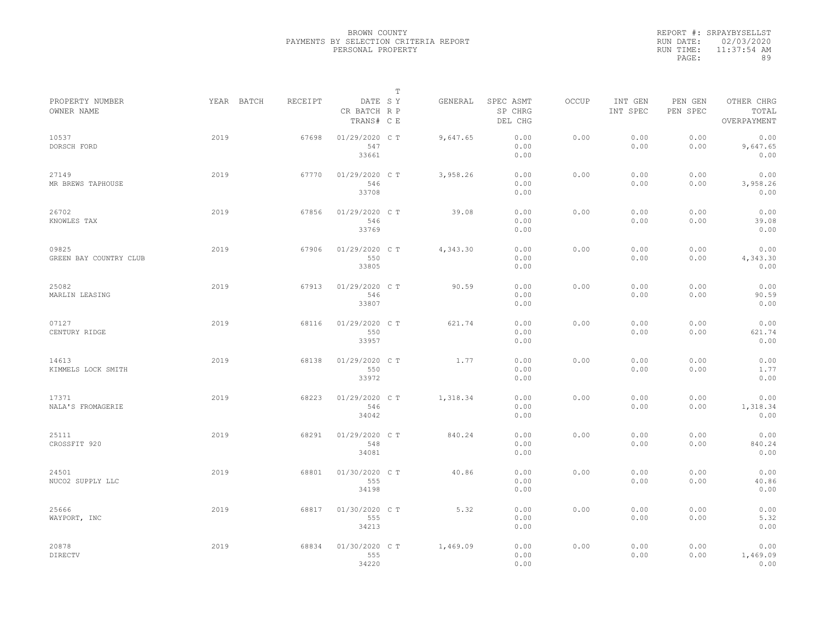|           | REPORT #: SRPAYBYSELLST |
|-----------|-------------------------|
|           | RUN DATE: 02/03/2020    |
| RUN TIME: | $11:37:54$ AM           |
| PAGE:     | 89                      |

|                                 |            |         |                                       | T |          |                                 |       |                     |                     |                                    |  |
|---------------------------------|------------|---------|---------------------------------------|---|----------|---------------------------------|-------|---------------------|---------------------|------------------------------------|--|
| PROPERTY NUMBER<br>OWNER NAME   | YEAR BATCH | RECEIPT | DATE SY<br>CR BATCH R P<br>TRANS# C E |   | GENERAL  | SPEC ASMT<br>SP CHRG<br>DEL CHG | OCCUP | INT GEN<br>INT SPEC | PEN GEN<br>PEN SPEC | OTHER CHRG<br>TOTAL<br>OVERPAYMENT |  |
| 10537<br>DORSCH FORD            | 2019       | 67698   | 01/29/2020 C T<br>547<br>33661        |   | 9,647.65 | 0.00<br>0.00<br>0.00            | 0.00  | 0.00<br>0.00        | 0.00<br>0.00        | 0.00<br>9,647.65<br>0.00           |  |
| 27149<br>MR BREWS TAPHOUSE      | 2019       | 67770   | 01/29/2020 C T<br>546<br>33708        |   | 3,958.26 | 0.00<br>0.00<br>0.00            | 0.00  | 0.00<br>0.00        | 0.00<br>0.00        | 0.00<br>3,958.26<br>0.00           |  |
| 26702<br>KNOWLES TAX            | 2019       | 67856   | 01/29/2020 C T<br>546<br>33769        |   | 39.08    | 0.00<br>0.00<br>0.00            | 0.00  | 0.00<br>0.00        | 0.00<br>0.00        | 0.00<br>39.08<br>0.00              |  |
| 09825<br>GREEN BAY COUNTRY CLUB | 2019       | 67906   | 01/29/2020 C T<br>550<br>33805        |   | 4,343.30 | 0.00<br>0.00<br>0.00            | 0.00  | 0.00<br>0.00        | 0.00<br>0.00        | 0.00<br>4,343.30<br>0.00           |  |
| 25082<br>MARLIN LEASING         | 2019       | 67913   | 01/29/2020 C T<br>546<br>33807        |   | 90.59    | 0.00<br>0.00<br>0.00            | 0.00  | 0.00<br>0.00        | 0.00<br>0.00        | 0.00<br>90.59<br>0.00              |  |
| 07127<br>CENTURY RIDGE          | 2019       | 68116   | $01/29/2020$ C T<br>550<br>33957      |   | 621.74   | 0.00<br>0.00<br>0.00            | 0.00  | 0.00<br>0.00        | 0.00<br>0.00        | 0.00<br>621.74<br>0.00             |  |
| 14613<br>KIMMELS LOCK SMITH     | 2019       | 68138   | 01/29/2020 C T<br>550<br>33972        |   | 1.77     | 0.00<br>0.00<br>0.00            | 0.00  | 0.00<br>0.00        | 0.00<br>0.00        | 0.00<br>1.77<br>0.00               |  |
| 17371<br>NALA'S FROMAGERIE      | 2019       | 68223   | 01/29/2020 CT<br>546<br>34042         |   | 1,318.34 | 0.00<br>0.00<br>0.00            | 0.00  | 0.00<br>0.00        | 0.00<br>0.00        | 0.00<br>1,318.34<br>0.00           |  |
| 25111<br>CROSSFIT 920           | 2019       | 68291   | 01/29/2020 C T<br>548<br>34081        |   | 840.24   | 0.00<br>0.00<br>0.00            | 0.00  | 0.00<br>0.00        | 0.00<br>0.00        | 0.00<br>840.24<br>0.00             |  |
| 24501<br>NUCO2 SUPPLY LLC       | 2019       | 68801   | 01/30/2020 C T<br>555<br>34198        |   | 40.86    | 0.00<br>0.00<br>0.00            | 0.00  | 0.00<br>0.00        | 0.00<br>0.00        | 0.00<br>40.86<br>0.00              |  |
| 25666<br>WAYPORT, INC           | 2019       | 68817   | 01/30/2020 C T<br>555<br>34213        |   | 5.32     | 0.00<br>0.00<br>0.00            | 0.00  | 0.00<br>0.00        | 0.00<br>0.00        | 0.00<br>5.32<br>0.00               |  |
| 20878<br>DIRECTV                | 2019       | 68834   | 01/30/2020 CT<br>555<br>34220         |   | 1,469.09 | 0.00<br>0.00<br>0.00            | 0.00  | 0.00<br>0.00        | 0.00<br>0.00        | 0.00<br>1,469.09<br>0.00           |  |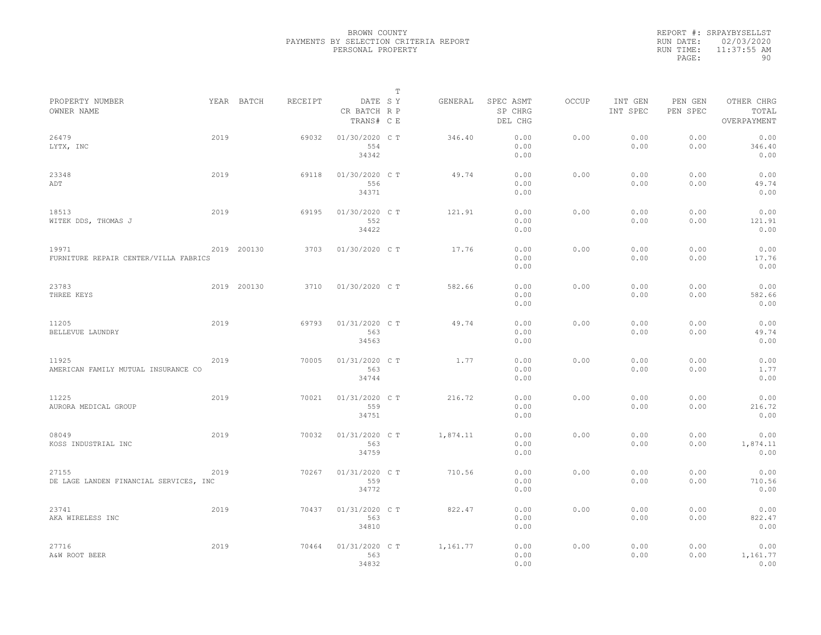|           | REPORT #: SRPAYBYSELLST |
|-----------|-------------------------|
|           | RUN DATE: 02/03/2020    |
| RUN TIME: | $11:37:55$ AM           |
| PAGE:     | 90                      |

| PROPERTY NUMBER                                 |      | YEAR BATCH  | RECEIPT |                                       | т | GENERAL  | SPEC ASMT            | OCCUP | INT GEN      |                     | OTHER CHRG               |  |
|-------------------------------------------------|------|-------------|---------|---------------------------------------|---|----------|----------------------|-------|--------------|---------------------|--------------------------|--|
| OWNER NAME                                      |      |             |         | DATE SY<br>CR BATCH R P<br>TRANS# C E |   |          | SP CHRG<br>DEL CHG   |       | INT SPEC     | PEN GEN<br>PEN SPEC | TOTAL<br>OVERPAYMENT     |  |
| 26479<br>LYTX, INC                              | 2019 |             | 69032   | 01/30/2020 C T<br>554<br>34342        |   | 346.40   | 0.00<br>0.00<br>0.00 | 0.00  | 0.00<br>0.00 | 0.00<br>0.00        | 0.00<br>346.40<br>0.00   |  |
| 23348<br>ADT                                    | 2019 |             | 69118   | 01/30/2020 C T<br>556<br>34371        |   | 49.74    | 0.00<br>0.00<br>0.00 | 0.00  | 0.00<br>0.00 | 0.00<br>0.00        | 0.00<br>49.74<br>0.00    |  |
| 18513<br>WITEK DDS, THOMAS J                    | 2019 |             | 69195   | 01/30/2020 C T<br>552<br>34422        |   | 121.91   | 0.00<br>0.00<br>0.00 | 0.00  | 0.00<br>0.00 | 0.00<br>0.00        | 0.00<br>121.91<br>0.00   |  |
| 19971<br>FURNITURE REPAIR CENTER/VILLA FABRICS  |      | 2019 200130 | 3703    | 01/30/2020 C T                        |   | 17.76    | 0.00<br>0.00<br>0.00 | 0.00  | 0.00<br>0.00 | 0.00<br>0.00        | 0.00<br>17.76<br>0.00    |  |
| 23783<br>THREE KEYS                             |      | 2019 200130 | 3710    | 01/30/2020 C T                        |   | 582.66   | 0.00<br>0.00<br>0.00 | 0.00  | 0.00<br>0.00 | 0.00<br>0.00        | 0.00<br>582.66<br>0.00   |  |
| 11205<br>BELLEVUE LAUNDRY                       | 2019 |             | 69793   | 01/31/2020 C T<br>563<br>34563        |   | 49.74    | 0.00<br>0.00<br>0.00 | 0.00  | 0.00<br>0.00 | 0.00<br>0.00        | 0.00<br>49.74<br>0.00    |  |
| 11925<br>AMERICAN FAMILY MUTUAL INSURANCE CO    | 2019 |             | 70005   | 01/31/2020 C T<br>563<br>34744        |   | 1.77     | 0.00<br>0.00<br>0.00 | 0.00  | 0.00<br>0.00 | 0.00<br>0.00        | 0.00<br>1.77<br>0.00     |  |
| 11225<br>AURORA MEDICAL GROUP                   | 2019 |             | 70021   | 01/31/2020 C T<br>559<br>34751        |   | 216.72   | 0.00<br>0.00<br>0.00 | 0.00  | 0.00<br>0.00 | 0.00<br>0.00        | 0.00<br>216.72<br>0.00   |  |
| 08049<br>KOSS INDUSTRIAL INC                    | 2019 |             | 70032   | 01/31/2020 C T<br>563<br>34759        |   | 1,874.11 | 0.00<br>0.00<br>0.00 | 0.00  | 0.00<br>0.00 | 0.00<br>0.00        | 0.00<br>1,874.11<br>0.00 |  |
| 27155<br>DE LAGE LANDEN FINANCIAL SERVICES, INC | 2019 |             | 70267   | 01/31/2020 C T<br>559<br>34772        |   | 710.56   | 0.00<br>0.00<br>0.00 | 0.00  | 0.00<br>0.00 | 0.00<br>0.00        | 0.00<br>710.56<br>0.00   |  |
| 23741<br>AKA WIRELESS INC                       | 2019 |             | 70437   | 01/31/2020 C T<br>563<br>34810        |   | 822.47   | 0.00<br>0.00<br>0.00 | 0.00  | 0.00<br>0.00 | 0.00<br>0.00        | 0.00<br>822.47<br>0.00   |  |
| 27716<br>A&W ROOT BEER                          | 2019 |             | 70464   | 01/31/2020 C T<br>563<br>34832        |   | 1,161.77 | 0.00<br>0.00<br>0.00 | 0.00  | 0.00<br>0.00 | 0.00<br>0.00        | 0.00<br>1,161.77<br>0.00 |  |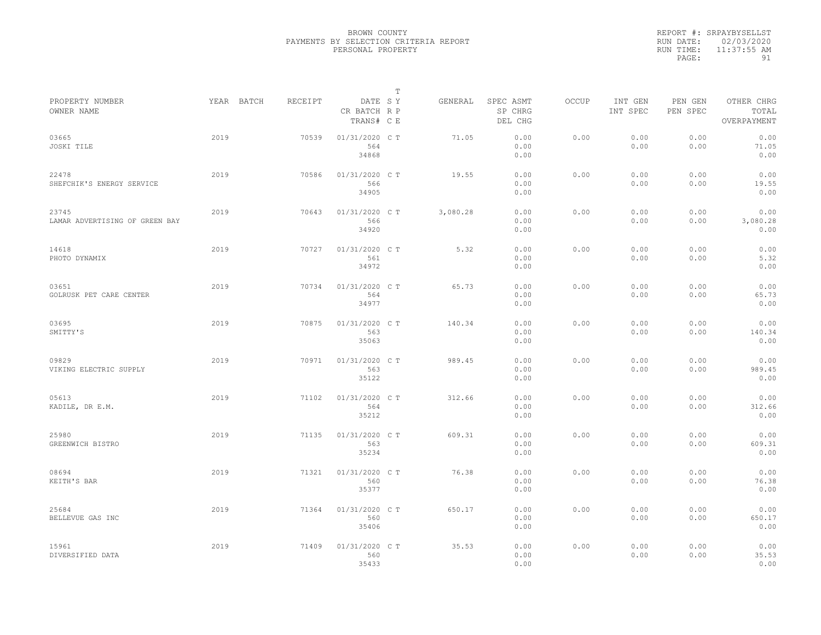|           | REPORT #: SRPAYBYSELLST |
|-----------|-------------------------|
|           | RUN DATE: 02/03/2020    |
| RUN TIME: | $11:37:55$ AM           |
| PAGE:     | 91                      |

|                                         |      |            |         |                                       | T |          |                                 |       |                     |                     |                                    |  |
|-----------------------------------------|------|------------|---------|---------------------------------------|---|----------|---------------------------------|-------|---------------------|---------------------|------------------------------------|--|
| PROPERTY NUMBER<br>OWNER NAME           |      | YEAR BATCH | RECEIPT | DATE SY<br>CR BATCH R P<br>TRANS# C E |   | GENERAL  | SPEC ASMT<br>SP CHRG<br>DEL CHG | OCCUP | INT GEN<br>INT SPEC | PEN GEN<br>PEN SPEC | OTHER CHRG<br>TOTAL<br>OVERPAYMENT |  |
| 03665<br>JOSKI TILE                     | 2019 |            | 70539   | 01/31/2020 C T<br>564<br>34868        |   | 71.05    | 0.00<br>0.00<br>0.00            | 0.00  | 0.00<br>0.00        | 0.00<br>0.00        | 0.00<br>71.05<br>0.00              |  |
| 22478<br>SHEFCHIK'S ENERGY SERVICE      | 2019 |            | 70586   | 01/31/2020 C T<br>566<br>34905        |   | 19.55    | 0.00<br>0.00<br>0.00            | 0.00  | 0.00<br>0.00        | 0.00<br>0.00        | 0.00<br>19.55<br>0.00              |  |
| 23745<br>LAMAR ADVERTISING OF GREEN BAY | 2019 |            | 70643   | 01/31/2020 C T<br>566<br>34920        |   | 3,080.28 | 0.00<br>0.00<br>0.00            | 0.00  | 0.00<br>0.00        | 0.00<br>0.00        | 0.00<br>3,080.28<br>0.00           |  |
| 14618<br>PHOTO DYNAMIX                  | 2019 |            | 70727   | 01/31/2020 C T<br>561<br>34972        |   | 5.32     | 0.00<br>0.00<br>0.00            | 0.00  | 0.00<br>0.00        | 0.00<br>0.00        | 0.00<br>5.32<br>0.00               |  |
| 03651<br>GOLRUSK PET CARE CENTER        | 2019 |            | 70734   | 01/31/2020 C T<br>564<br>34977        |   | 65.73    | 0.00<br>0.00<br>0.00            | 0.00  | 0.00<br>0.00        | 0.00<br>0.00        | 0.00<br>65.73<br>0.00              |  |
| 03695<br>SMITTY'S                       | 2019 |            | 70875   | 01/31/2020 C T<br>563<br>35063        |   | 140.34   | 0.00<br>0.00<br>0.00            | 0.00  | 0.00<br>0.00        | 0.00<br>0.00        | 0.00<br>140.34<br>0.00             |  |
| 09829<br>VIKING ELECTRIC SUPPLY         | 2019 |            | 70971   | 01/31/2020 C T<br>563<br>35122        |   | 989.45   | 0.00<br>0.00<br>0.00            | 0.00  | 0.00<br>0.00        | 0.00<br>0.00        | 0.00<br>989.45<br>0.00             |  |
| 05613<br>KADILE, DR E.M.                | 2019 |            | 71102   | 01/31/2020 C T<br>564<br>35212        |   | 312.66   | 0.00<br>0.00<br>0.00            | 0.00  | 0.00<br>0.00        | 0.00<br>0.00        | 0.00<br>312.66<br>0.00             |  |
| 25980<br>GREENWICH BISTRO               | 2019 |            | 71135   | 01/31/2020 C T<br>563<br>35234        |   | 609.31   | 0.00<br>0.00<br>0.00            | 0.00  | 0.00<br>0.00        | 0.00<br>0.00        | 0.00<br>609.31<br>0.00             |  |
| 08694<br>KEITH'S BAR                    | 2019 |            | 71321   | 01/31/2020 C T<br>560<br>35377        |   | 76.38    | 0.00<br>0.00<br>0.00            | 0.00  | 0.00<br>0.00        | 0.00<br>0.00        | 0.00<br>76.38<br>0.00              |  |
| 25684<br>BELLEVUE GAS INC               | 2019 |            | 71364   | 01/31/2020 C T<br>560<br>35406        |   | 650.17   | 0.00<br>0.00<br>0.00            | 0.00  | 0.00<br>0.00        | 0.00<br>0.00        | 0.00<br>650.17<br>0.00             |  |
| 15961<br>DIVERSIFIED DATA               | 2019 |            | 71409   | 01/31/2020 C T<br>560<br>35433        |   | 35.53    | 0.00<br>0.00<br>0.00            | 0.00  | 0.00<br>0.00        | 0.00<br>0.00        | 0.00<br>35.53<br>0.00              |  |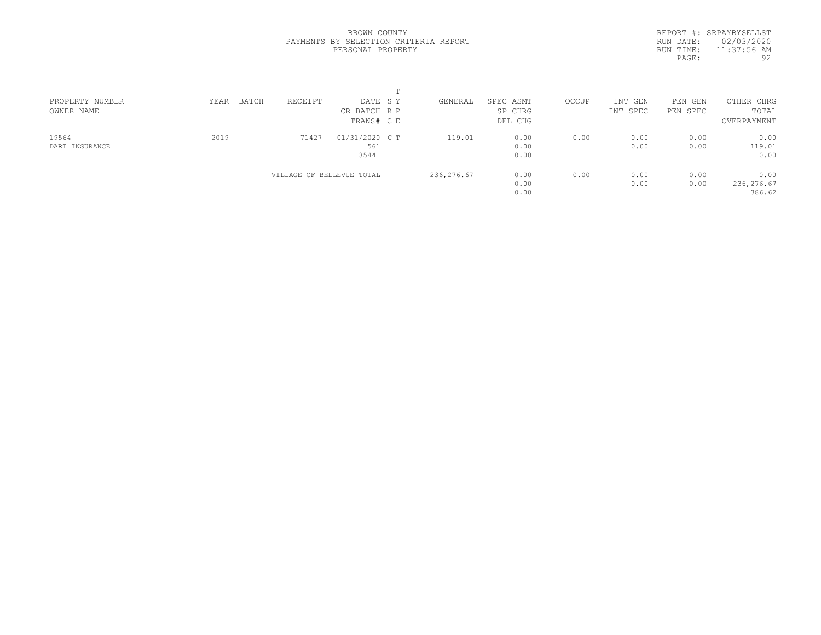REPORT #: SRPAYBYSELLST RUN DATE: 02/03/2020 RUN TIME: 11:37:56 AM PAGE: 92

| PROPERTY NUMBER | BATCH<br>YEAR | RECEIPT                   | DATE SY        | GENERAL     | SPEC ASMT | OCCUP | INT GEN  | PEN<br>GEN | OTHER CHRG  |  |
|-----------------|---------------|---------------------------|----------------|-------------|-----------|-------|----------|------------|-------------|--|
| OWNER NAME      |               |                           | CR BATCH R P   |             | SP CHRG   |       | INT SPEC | PEN SPEC   | TOTAL       |  |
|                 |               |                           | TRANS# CE      |             | DEL CHG   |       |          |            | OVERPAYMENT |  |
| 19564           | 2019          | 71427                     | 01/31/2020 C T | 119.01      | 0.00      | 0.00  | 0.00     | 0.00       | 0.00        |  |
| DART INSURANCE  |               |                           | 561            |             | 0.00      |       | 0.00     | 0.00       | 119.01      |  |
|                 |               |                           | 35441          |             | 0.00      |       |          |            | 0.00        |  |
|                 |               | VILLAGE OF BELLEVUE TOTAL |                | 236, 276.67 | 0.00      | 0.00  | 0.00     | 0.00       | 0.00        |  |
|                 |               |                           |                |             | 0.00      |       | 0.00     | 0.00       | 236,276.67  |  |
|                 |               |                           |                |             | 0.00      |       |          |            | 386.62      |  |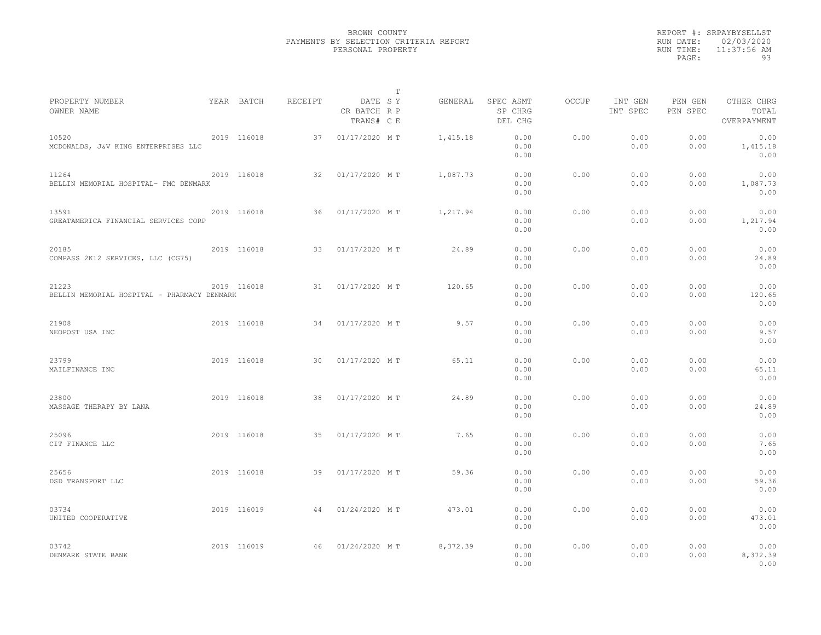|                                                      |             |         |                                       | T |          |                                 |              |                     |                     |                                    |  |
|------------------------------------------------------|-------------|---------|---------------------------------------|---|----------|---------------------------------|--------------|---------------------|---------------------|------------------------------------|--|
| PROPERTY NUMBER<br>OWNER NAME                        | YEAR BATCH  | RECEIPT | DATE SY<br>CR BATCH R P<br>TRANS# C E |   | GENERAL  | SPEC ASMT<br>SP CHRG<br>DEL CHG | <b>OCCUP</b> | INT GEN<br>INT SPEC | PEN GEN<br>PEN SPEC | OTHER CHRG<br>TOTAL<br>OVERPAYMENT |  |
| 10520<br>MCDONALDS, J&V KING ENTERPRISES LLC         | 2019 116018 | 37      | 01/17/2020 MT                         |   | 1,415.18 | 0.00<br>0.00<br>0.00            | 0.00         | 0.00<br>0.00        | 0.00<br>0.00        | 0.00<br>1,415.18<br>0.00           |  |
| 11264<br>BELLIN MEMORIAL HOSPITAL- FMC DENMARK       | 2019 116018 | 32      | 01/17/2020 MT                         |   | 1,087.73 | 0.00<br>0.00<br>0.00            | 0.00         | 0.00<br>0.00        | 0.00<br>0.00        | 0.00<br>1,087.73<br>0.00           |  |
| 13591<br>GREATAMERICA FINANCIAL SERVICES CORP        | 2019 116018 | 36      | 01/17/2020 MT                         |   | 1,217.94 | 0.00<br>0.00<br>0.00            | 0.00         | 0.00<br>0.00        | 0.00<br>0.00        | 0.00<br>1,217.94<br>0.00           |  |
| 20185<br>COMPASS 2K12 SERVICES, LLC (CG75)           | 2019 116018 | 33      | 01/17/2020 MT                         |   | 24.89    | 0.00<br>0.00<br>0.00            | 0.00         | 0.00<br>0.00        | 0.00<br>0.00        | 0.00<br>24.89<br>0.00              |  |
| 21223<br>BELLIN MEMORIAL HOSPITAL - PHARMACY DENMARK | 2019 116018 | 31      | 01/17/2020 MT                         |   | 120.65   | 0.00<br>0.00<br>0.00            | 0.00         | 0.00<br>0.00        | 0.00<br>0.00        | 0.00<br>120.65<br>0.00             |  |
| 21908<br>NEOPOST USA INC                             | 2019 116018 | 34      | 01/17/2020 MT                         |   | 9.57     | 0.00<br>0.00<br>0.00            | 0.00         | 0.00<br>0.00        | 0.00<br>0.00        | 0.00<br>9.57<br>0.00               |  |
| 23799<br>MAILFINANCE INC                             | 2019 116018 | 30      | 01/17/2020 MT                         |   | 65.11    | 0.00<br>0.00<br>0.00            | 0.00         | 0.00<br>0.00        | 0.00<br>0.00        | 0.00<br>65.11<br>0.00              |  |
| 23800<br>MASSAGE THERAPY BY LANA                     | 2019 116018 | 38      | 01/17/2020 MT                         |   | 24.89    | 0.00<br>0.00<br>0.00            | 0.00         | 0.00<br>0.00        | 0.00<br>0.00        | 0.00<br>24.89<br>0.00              |  |
| 25096<br>CIT FINANCE LLC                             | 2019 116018 | 35      | 01/17/2020 MT                         |   | 7.65     | 0.00<br>0.00<br>0.00            | 0.00         | 0.00<br>0.00        | 0.00<br>0.00        | 0.00<br>7.65<br>0.00               |  |
| 25656<br>DSD TRANSPORT LLC                           | 2019 116018 | 39      | 01/17/2020 MT                         |   | 59.36    | 0.00<br>0.00<br>0.00            | 0.00         | 0.00<br>0.00        | 0.00<br>0.00        | 0.00<br>59.36<br>0.00              |  |
| 03734<br>UNITED COOPERATIVE                          | 2019 116019 | 44      | 01/24/2020 MT                         |   | 473.01   | 0.00<br>0.00<br>0.00            | 0.00         | 0.00<br>0.00        | 0.00<br>0.00        | 0.00<br>473.01<br>0.00             |  |
| 03742<br>DENMARK STATE BANK                          | 2019 116019 | 46      | 01/24/2020 MT                         |   | 8,372.39 | 0.00<br>0.00<br>0.00            | 0.00         | 0.00<br>0.00        | 0.00<br>0.00        | 0.00<br>8,372.39<br>0.00           |  |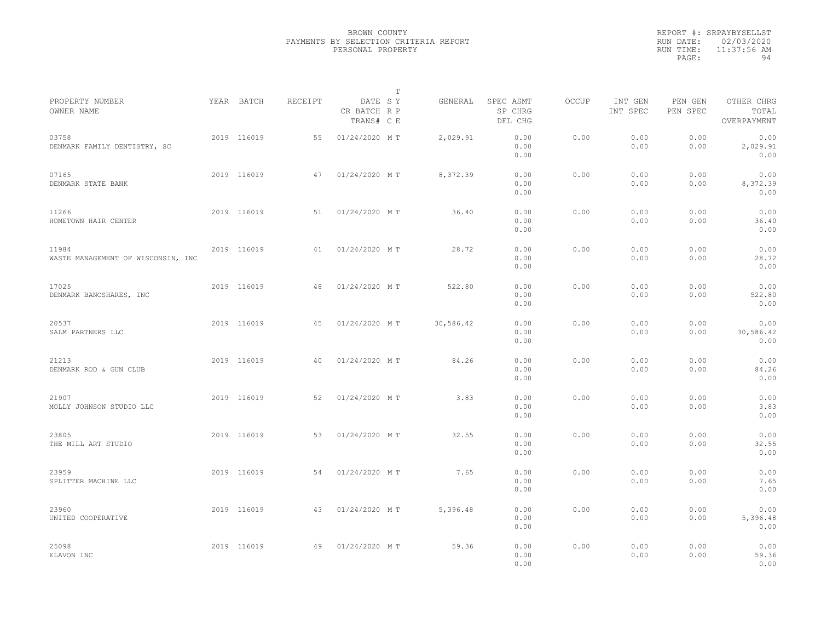|                                             |             |         |                                       | $\mathbb{T}$ |           |                                 |              |                     |                     |                                    |  |
|---------------------------------------------|-------------|---------|---------------------------------------|--------------|-----------|---------------------------------|--------------|---------------------|---------------------|------------------------------------|--|
| PROPERTY NUMBER<br>OWNER NAME               | YEAR BATCH  | RECEIPT | DATE SY<br>CR BATCH R P<br>TRANS# C E |              | GENERAL   | SPEC ASMT<br>SP CHRG<br>DEL CHG | <b>OCCUP</b> | INT GEN<br>INT SPEC | PEN GEN<br>PEN SPEC | OTHER CHRG<br>TOTAL<br>OVERPAYMENT |  |
| 03758<br>DENMARK FAMILY DENTISTRY, SC       | 2019 116019 | 55      | 01/24/2020 MT                         |              | 2,029.91  | 0.00<br>0.00<br>0.00            | 0.00         | 0.00<br>0.00        | 0.00<br>0.00        | 0.00<br>2,029.91<br>0.00           |  |
| 07165<br>DENMARK STATE BANK                 | 2019 116019 | 47      | 01/24/2020 MT                         |              | 8,372.39  | 0.00<br>0.00<br>0.00            | 0.00         | 0.00<br>0.00        | 0.00<br>0.00        | 0.00<br>8,372.39<br>0.00           |  |
| 11266<br>HOMETOWN HAIR CENTER               | 2019 116019 | 51      | 01/24/2020 MT                         |              | 36.40     | 0.00<br>0.00<br>0.00            | 0.00         | 0.00<br>0.00        | 0.00<br>0.00        | 0.00<br>36.40<br>0.00              |  |
| 11984<br>WASTE MANAGEMENT OF WISCONSIN, INC | 2019 116019 | 41      | 01/24/2020 MT                         |              | 28.72     | 0.00<br>0.00<br>0.00            | 0.00         | 0.00<br>0.00        | 0.00<br>0.00        | 0.00<br>28.72<br>0.00              |  |
| 17025<br>DENMARK BANCSHARES, INC            | 2019 116019 | 48      | 01/24/2020 MT                         |              | 522.80    | 0.00<br>0.00<br>0.00            | 0.00         | 0.00<br>0.00        | 0.00<br>0.00        | 0.00<br>522.80<br>0.00             |  |
| 20537<br>SALM PARTNERS LLC                  | 2019 116019 | 45      | 01/24/2020 MT                         |              | 30,586.42 | 0.00<br>0.00<br>0.00            | 0.00         | 0.00<br>0.00        | 0.00<br>0.00        | 0.00<br>30,586.42<br>0.00          |  |
| 21213<br>DENMARK ROD & GUN CLUB             | 2019 116019 | 40      | 01/24/2020 MT                         |              | 84.26     | 0.00<br>0.00<br>0.00            | 0.00         | 0.00<br>0.00        | 0.00<br>0.00        | 0.00<br>84.26<br>0.00              |  |
| 21907<br>MOLLY JOHNSON STUDIO LLC           | 2019 116019 | 52      | 01/24/2020 MT                         |              | 3.83      | 0.00<br>0.00<br>0.00            | 0.00         | 0.00<br>0.00        | 0.00<br>0.00        | 0.00<br>3.83<br>0.00               |  |
| 23805<br>THE MILL ART STUDIO                | 2019 116019 | 53      | 01/24/2020 MT                         |              | 32.55     | 0.00<br>0.00<br>0.00            | 0.00         | 0.00<br>0.00        | 0.00<br>0.00        | 0.00<br>32.55<br>0.00              |  |
| 23959<br>SPLITTER MACHINE LLC               | 2019 116019 | 54      | 01/24/2020 MT                         |              | 7.65      | 0.00<br>0.00<br>0.00            | 0.00         | 0.00<br>0.00        | 0.00<br>0.00        | 0.00<br>7.65<br>0.00               |  |
| 23960<br>UNITED COOPERATIVE                 | 2019 116019 | 43      | 01/24/2020 MT                         |              | 5,396.48  | 0.00<br>0.00<br>0.00            | 0.00         | 0.00<br>0.00        | 0.00<br>0.00        | 0.00<br>5,396.48<br>0.00           |  |
| 25098<br>ELAVON INC                         | 2019 116019 | 49      | 01/24/2020 MT                         |              | 59.36     | 0.00<br>0.00<br>0.00            | 0.00         | 0.00<br>0.00        | 0.00<br>0.00        | 0.00<br>59.36<br>0.00              |  |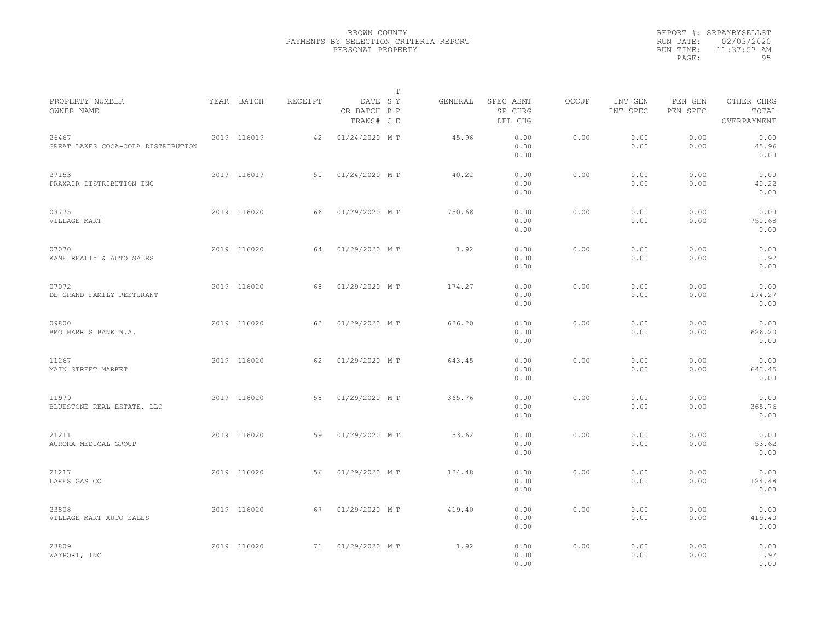|                                             |             |         |                                       | $\mathbb T$ |         |                                 |              |                     |                     |                                    |  |
|---------------------------------------------|-------------|---------|---------------------------------------|-------------|---------|---------------------------------|--------------|---------------------|---------------------|------------------------------------|--|
| PROPERTY NUMBER<br>OWNER NAME               | YEAR BATCH  | RECEIPT | DATE SY<br>CR BATCH R P<br>TRANS# C E |             | GENERAL | SPEC ASMT<br>SP CHRG<br>DEL CHG | <b>OCCUP</b> | INT GEN<br>INT SPEC | PEN GEN<br>PEN SPEC | OTHER CHRG<br>TOTAL<br>OVERPAYMENT |  |
| 26467<br>GREAT LAKES COCA-COLA DISTRIBUTION | 2019 116019 | 42      | 01/24/2020 MT                         |             | 45.96   | 0.00<br>0.00<br>0.00            | 0.00         | 0.00<br>0.00        | 0.00<br>0.00        | 0.00<br>45.96<br>0.00              |  |
| 27153<br>PRAXAIR DISTRIBUTION INC           | 2019 116019 | 50      | 01/24/2020 MT                         |             | 40.22   | 0.00<br>0.00<br>0.00            | 0.00         | 0.00<br>0.00        | 0.00<br>0.00        | 0.00<br>40.22<br>0.00              |  |
| 03775<br>VILLAGE MART                       | 2019 116020 | 66      | 01/29/2020 MT                         |             | 750.68  | 0.00<br>0.00<br>0.00            | 0.00         | 0.00<br>0.00        | 0.00<br>0.00        | 0.00<br>750.68<br>0.00             |  |
| 07070<br>KANE REALTY & AUTO SALES           | 2019 116020 | 64      | 01/29/2020 MT                         |             | 1.92    | 0.00<br>0.00<br>0.00            | 0.00         | 0.00<br>0.00        | 0.00<br>0.00        | 0.00<br>1.92<br>0.00               |  |
| 07072<br>DE GRAND FAMILY RESTURANT          | 2019 116020 | 68      | 01/29/2020 MT                         |             | 174.27  | 0.00<br>0.00<br>0.00            | 0.00         | 0.00<br>0.00        | 0.00<br>0.00        | 0.00<br>174.27<br>0.00             |  |
| 09800<br>BMO HARRIS BANK N.A.               | 2019 116020 | 65      | 01/29/2020 MT                         |             | 626.20  | 0.00<br>0.00<br>0.00            | 0.00         | 0.00<br>0.00        | 0.00<br>0.00        | 0.00<br>626.20<br>0.00             |  |
| 11267<br>MAIN STREET MARKET                 | 2019 116020 | 62      | 01/29/2020 MT                         |             | 643.45  | 0.00<br>0.00<br>0.00            | 0.00         | 0.00<br>0.00        | 0.00<br>0.00        | 0.00<br>643.45<br>0.00             |  |
| 11979<br>BLUESTONE REAL ESTATE, LLC         | 2019 116020 | 58      | 01/29/2020 MT                         |             | 365.76  | 0.00<br>0.00<br>0.00            | 0.00         | 0.00<br>0.00        | 0.00<br>0.00        | 0.00<br>365.76<br>0.00             |  |
| 21211<br>AURORA MEDICAL GROUP               | 2019 116020 | 59      | 01/29/2020 MT                         |             | 53.62   | 0.00<br>0.00<br>0.00            | 0.00         | 0.00<br>0.00        | 0.00<br>0.00        | 0.00<br>53.62<br>0.00              |  |
| 21217<br>LAKES GAS CO                       | 2019 116020 | 56      | 01/29/2020 MT                         |             | 124.48  | 0.00<br>0.00<br>0.00            | 0.00         | 0.00<br>0.00        | 0.00<br>0.00        | 0.00<br>124.48<br>0.00             |  |
| 23808<br>VILLAGE MART AUTO SALES            | 2019 116020 | 67      | 01/29/2020 MT                         |             | 419.40  | 0.00<br>0.00<br>0.00            | 0.00         | 0.00<br>0.00        | 0.00<br>0.00        | 0.00<br>419.40<br>0.00             |  |
| 23809<br>WAYPORT, INC                       | 2019 116020 | 71      | 01/29/2020 MT                         |             | 1.92    | 0.00<br>0.00<br>0.00            | 0.00         | 0.00<br>0.00        | 0.00<br>0.00        | 0.00<br>1.92<br>0.00               |  |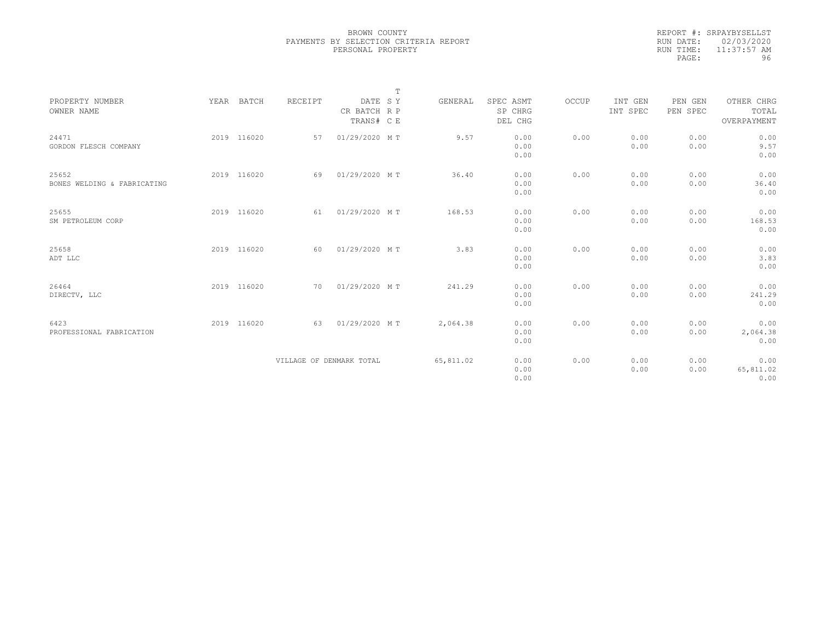|           | REPORT #: SRPAYBYSELLST |
|-----------|-------------------------|
|           | RUN DATE: 02/03/2020    |
| RUN TIME: | $11:37:57$ AM           |
| PAGE:     | 96                      |

|                                      |             |                          |                                       | $\mathbb T$ |           |                                 |       |                     |                     |                                    |  |
|--------------------------------------|-------------|--------------------------|---------------------------------------|-------------|-----------|---------------------------------|-------|---------------------|---------------------|------------------------------------|--|
| PROPERTY NUMBER<br>OWNER NAME        | YEAR BATCH  | RECEIPT                  | DATE SY<br>CR BATCH R P<br>TRANS# C E |             | GENERAL   | SPEC ASMT<br>SP CHRG<br>DEL CHG | OCCUP | INT GEN<br>INT SPEC | PEN GEN<br>PEN SPEC | OTHER CHRG<br>TOTAL<br>OVERPAYMENT |  |
| 24471<br>GORDON FLESCH COMPANY       | 2019 116020 | 57                       | 01/29/2020 MT                         |             | 9.57      | 0.00<br>0.00<br>0.00            | 0.00  | 0.00<br>0.00        | 0.00<br>0.00        | 0.00<br>9.57<br>0.00               |  |
| 25652<br>BONES WELDING & FABRICATING | 2019 116020 | 69                       | 01/29/2020 MT                         |             | 36.40     | 0.00<br>0.00<br>0.00            | 0.00  | 0.00<br>0.00        | 0.00<br>0.00        | 0.00<br>36.40<br>0.00              |  |
| 25655<br>SM PETROLEUM CORP           | 2019 116020 | 61                       | 01/29/2020 MT                         |             | 168.53    | 0.00<br>0.00<br>0.00            | 0.00  | 0.00<br>0.00        | 0.00<br>0.00        | 0.00<br>168.53<br>0.00             |  |
| 25658<br>ADT LLC                     | 2019 116020 | 60                       | 01/29/2020 MT                         |             | 3.83      | 0.00<br>0.00<br>0.00            | 0.00  | 0.00<br>0.00        | 0.00<br>0.00        | 0.00<br>3.83<br>0.00               |  |
| 26464<br>DIRECTV, LLC                | 2019 116020 | 70                       | 01/29/2020 MT                         |             | 241.29    | 0.00<br>0.00<br>0.00            | 0.00  | 0.00<br>0.00        | 0.00<br>0.00        | 0.00<br>241.29<br>0.00             |  |
| 6423<br>PROFESSIONAL FABRICATION     | 2019 116020 | 63                       | 01/29/2020 MT                         |             | 2,064.38  | 0.00<br>0.00<br>0.00            | 0.00  | 0.00<br>0.00        | 0.00<br>0.00        | 0.00<br>2,064.38<br>0.00           |  |
|                                      |             | VILLAGE OF DENMARK TOTAL |                                       |             | 65,811.02 | 0.00<br>0.00<br>0.00            | 0.00  | 0.00<br>0.00        | 0.00<br>0.00        | 0.00<br>65,811.02<br>0.00          |  |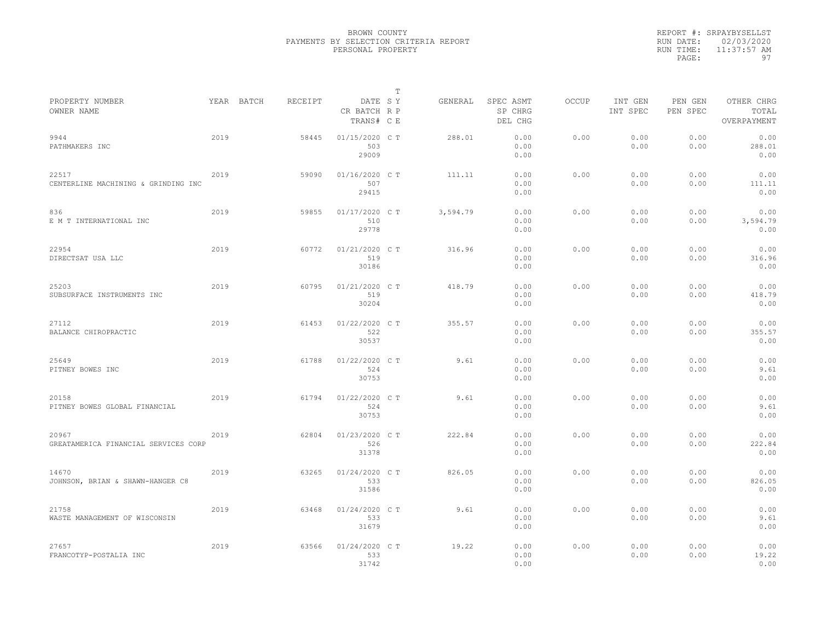|           | REPORT #: SRPAYBYSELLST |
|-----------|-------------------------|
|           | RUN DATE: 02/03/2020    |
| RUN TIME: | $11:37:57$ AM           |
| PAGE:     | 97                      |

|                                               |      |            |         |                                       | Т |          |                                 |       |                     |                     |                                    |  |
|-----------------------------------------------|------|------------|---------|---------------------------------------|---|----------|---------------------------------|-------|---------------------|---------------------|------------------------------------|--|
| PROPERTY NUMBER<br>OWNER NAME                 |      | YEAR BATCH | RECEIPT | DATE SY<br>CR BATCH R P<br>TRANS# C E |   | GENERAL  | SPEC ASMT<br>SP CHRG<br>DEL CHG | OCCUP | INT GEN<br>INT SPEC | PEN GEN<br>PEN SPEC | OTHER CHRG<br>TOTAL<br>OVERPAYMENT |  |
| 9944<br>PATHMAKERS INC                        | 2019 |            | 58445   | 01/15/2020 C T<br>503<br>29009        |   | 288.01   | 0.00<br>0.00<br>0.00            | 0.00  | 0.00<br>0.00        | 0.00<br>0.00        | 0.00<br>288.01<br>0.00             |  |
| 22517<br>CENTERLINE MACHINING & GRINDING INC  | 2019 |            | 59090   | 01/16/2020 C T<br>507<br>29415        |   | 111.11   | 0.00<br>0.00<br>0.00            | 0.00  | 0.00<br>0.00        | 0.00<br>0.00        | 0.00<br>111.11<br>0.00             |  |
| 836<br>E M T INTERNATIONAL INC                | 2019 |            | 59855   | 01/17/2020 C T<br>510<br>29778        |   | 3,594.79 | 0.00<br>0.00<br>0.00            | 0.00  | 0.00<br>0.00        | 0.00<br>0.00        | 0.00<br>3,594.79<br>0.00           |  |
| 22954<br>DIRECTSAT USA LLC                    | 2019 |            | 60772   | 01/21/2020 C T<br>519<br>30186        |   | 316.96   | 0.00<br>0.00<br>0.00            | 0.00  | 0.00<br>0.00        | 0.00<br>0.00        | 0.00<br>316.96<br>0.00             |  |
| 25203<br>SUBSURFACE INSTRUMENTS INC           | 2019 |            | 60795   | 01/21/2020 C T<br>519<br>30204        |   | 418.79   | 0.00<br>0.00<br>0.00            | 0.00  | 0.00<br>0.00        | 0.00<br>0.00        | 0.00<br>418.79<br>0.00             |  |
| 27112<br>BALANCE CHIROPRACTIC                 | 2019 |            | 61453   | $01/22/2020$ C T<br>522<br>30537      |   | 355.57   | 0.00<br>0.00<br>0.00            | 0.00  | 0.00<br>0.00        | 0.00<br>0.00        | 0.00<br>355.57<br>0.00             |  |
| 25649<br>PITNEY BOWES INC                     | 2019 |            | 61788   | 01/22/2020 C T<br>524<br>30753        |   | 9.61     | 0.00<br>0.00<br>0.00            | 0.00  | 0.00<br>0.00        | 0.00<br>0.00        | 0.00<br>9.61<br>0.00               |  |
| 20158<br>PITNEY BOWES GLOBAL FINANCIAL        | 2019 |            | 61794   | 01/22/2020 CT<br>524<br>30753         |   | 9.61     | 0.00<br>0.00<br>0.00            | 0.00  | 0.00<br>0.00        | 0.00<br>0.00        | 0.00<br>9.61<br>0.00               |  |
| 20967<br>GREATAMERICA FINANCIAL SERVICES CORP | 2019 |            | 62804   | 01/23/2020 C T<br>526<br>31378        |   | 222.84   | 0.00<br>0.00<br>0.00            | 0.00  | 0.00<br>0.00        | 0.00<br>0.00        | 0.00<br>222.84<br>0.00             |  |
| 14670<br>JOHNSON, BRIAN & SHAWN-HANGER C8     | 2019 |            | 63265   | 01/24/2020 C T<br>533<br>31586        |   | 826.05   | 0.00<br>0.00<br>0.00            | 0.00  | 0.00<br>0.00        | 0.00<br>0.00        | 0.00<br>826.05<br>0.00             |  |
| 21758<br>WASTE MANAGEMENT OF WISCONSIN        | 2019 |            | 63468   | 01/24/2020 C T<br>533<br>31679        |   | 9.61     | 0.00<br>0.00<br>0.00            | 0.00  | 0.00<br>0.00        | 0.00<br>0.00        | 0.00<br>9.61<br>0.00               |  |
| 27657<br>FRANCOTYP-POSTALIA INC               | 2019 |            | 63566   | 01/24/2020 C T<br>533<br>31742        |   | 19.22    | 0.00<br>0.00<br>0.00            | 0.00  | 0.00<br>0.00        | 0.00<br>0.00        | 0.00<br>19.22<br>0.00              |  |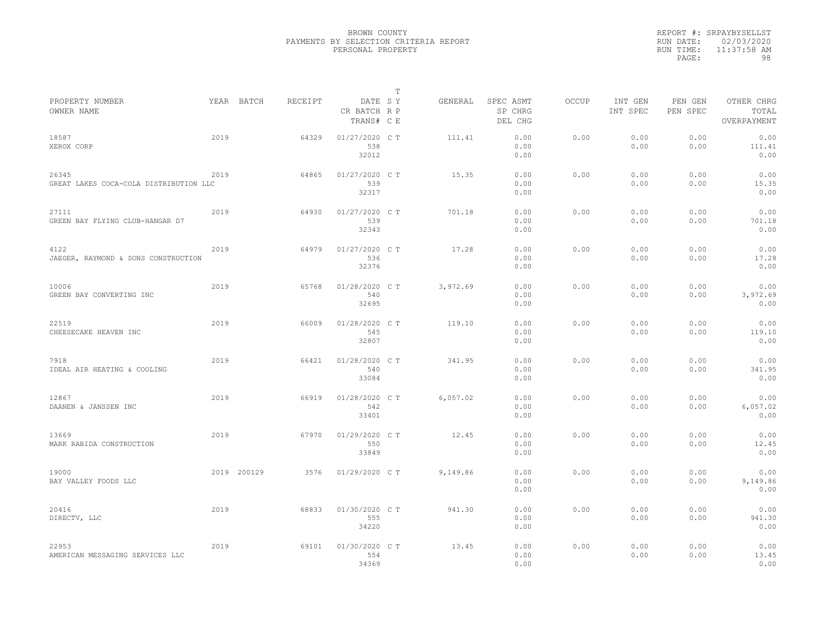|           | REPORT #: SRPAYBYSELLST |
|-----------|-------------------------|
|           | RUN DATE: 02/03/2020    |
| RUN TIME: | $11:37:58$ AM           |
| PAGE:     | 98                      |

|                                                 |      |             |         |                                       | Т |          |                                 |       |                     |                     |                                    |  |
|-------------------------------------------------|------|-------------|---------|---------------------------------------|---|----------|---------------------------------|-------|---------------------|---------------------|------------------------------------|--|
| PROPERTY NUMBER<br>OWNER NAME                   |      | YEAR BATCH  | RECEIPT | DATE SY<br>CR BATCH R P<br>TRANS# C E |   | GENERAL  | SPEC ASMT<br>SP CHRG<br>DEL CHG | OCCUP | INT GEN<br>INT SPEC | PEN GEN<br>PEN SPEC | OTHER CHRG<br>TOTAL<br>OVERPAYMENT |  |
| 18587<br>XEROX CORP                             | 2019 |             | 64329   | 01/27/2020 C T<br>538<br>32012        |   | 111.41   | 0.00<br>0.00<br>0.00            | 0.00  | 0.00<br>0.00        | 0.00<br>0.00        | 0.00<br>111.41<br>0.00             |  |
| 26345<br>GREAT LAKES COCA-COLA DISTRIBUTION LLC | 2019 |             | 64865   | 01/27/2020 C T<br>539<br>32317        |   | 15.35    | 0.00<br>0.00<br>0.00            | 0.00  | 0.00<br>0.00        | 0.00<br>0.00        | 0.00<br>15.35<br>0.00              |  |
| 27111<br>GREEN BAY FLYING CLUB-HANGAR D7        | 2019 |             | 64930   | 01/27/2020 C T<br>539<br>32343        |   | 701.18   | 0.00<br>0.00<br>0.00            | 0.00  | 0.00<br>0.00        | 0.00<br>0.00        | 0.00<br>701.18<br>0.00             |  |
| 4122<br>JAEGER, RAYMOND & SONS CONSTRUCTION     | 2019 |             | 64979   | 01/27/2020 C T<br>536<br>32376        |   | 17.28    | 0.00<br>0.00<br>0.00            | 0.00  | 0.00<br>0.00        | 0.00<br>0.00        | 0.00<br>17.28<br>0.00              |  |
| 10006<br>GREEN BAY CONVERTING INC               | 2019 |             | 65768   | 01/28/2020 C T<br>540<br>32695        |   | 3,972.69 | 0.00<br>0.00<br>0.00            | 0.00  | 0.00<br>0.00        | 0.00<br>0.00        | 0.00<br>3,972.69<br>0.00           |  |
| 22519<br>CHEESECAKE HEAVEN INC                  | 2019 |             | 66009   | 01/28/2020 CT<br>545<br>32807         |   | 119.10   | 0.00<br>0.00<br>0.00            | 0.00  | 0.00<br>0.00        | 0.00<br>0.00        | 0.00<br>119.10<br>0.00             |  |
| 7918<br>IDEAL AIR HEATING & COOLING             | 2019 |             | 66421   | 01/28/2020 C T<br>540<br>33084        |   | 341.95   | 0.00<br>0.00<br>0.00            | 0.00  | 0.00<br>0.00        | 0.00<br>0.00        | 0.00<br>341.95<br>0.00             |  |
| 12867<br>DAANEN & JANSSEN INC                   | 2019 |             | 66919   | 01/28/2020 C T<br>542<br>33401        |   | 6,057.02 | 0.00<br>0.00<br>0.00            | 0.00  | 0.00<br>0.00        | 0.00<br>0.00        | 0.00<br>6,057.02<br>0.00           |  |
| 13669<br>MARK RABIDA CONSTRUCTION               | 2019 |             | 67970   | 01/29/2020 CT<br>550<br>33849         |   | 12.45    | 0.00<br>0.00<br>0.00            | 0.00  | 0.00<br>0.00        | 0.00<br>0.00        | 0.00<br>12.45<br>0.00              |  |
| 19000<br>BAY VALLEY FOODS LLC                   |      | 2019 200129 | 3576    | 01/29/2020 C T                        |   | 9,149.86 | 0.00<br>0.00<br>0.00            | 0.00  | 0.00<br>0.00        | 0.00<br>0.00        | 0.00<br>9,149.86<br>0.00           |  |
| 20416<br>DIRECTV, LLC                           | 2019 |             | 68833   | 01/30/2020 C T<br>555<br>34220        |   | 941.30   | 0.00<br>0.00<br>0.00            | 0.00  | 0.00<br>0.00        | 0.00<br>0.00        | 0.00<br>941.30<br>0.00             |  |
| 22953<br>AMERICAN MESSAGING SERVICES LLC        | 2019 |             | 69101   | 01/30/2020 C T<br>554<br>34369        |   | 13.45    | 0.00<br>0.00<br>0.00            | 0.00  | 0.00<br>0.00        | 0.00<br>0.00        | 0.00<br>13.45<br>0.00              |  |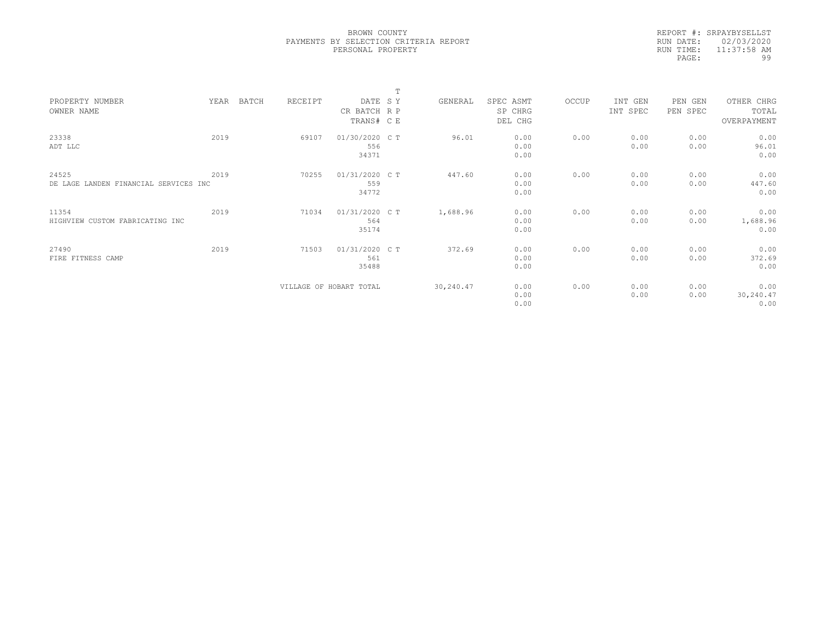|           | REPORT #: SRPAYBYSELLST |
|-----------|-------------------------|
|           | RUN DATE: 02/03/2020    |
| RUN TIME: | $11:37:58$ AM           |
| PAGE:     | 99                      |

|      |         |                | $\mathbf T$             |                                                                                                               |                                           |                                      |                      |                      |                                      |                                                                 |
|------|---------|----------------|-------------------------|---------------------------------------------------------------------------------------------------------------|-------------------------------------------|--------------------------------------|----------------------|----------------------|--------------------------------------|-----------------------------------------------------------------|
| YEAR | RECEIPT |                |                         | GENERAL                                                                                                       | SPEC ASMT                                 | OCCUP                                | INT GEN              | PEN GEN              | OTHER CHRG                           |                                                                 |
|      |         |                |                         |                                                                                                               | SP CHRG                                   |                                      | INT SPEC             | PEN SPEC             | TOTAL                                |                                                                 |
|      |         |                |                         |                                                                                                               | DEL CHG                                   |                                      |                      |                      | OVERPAYMENT                          |                                                                 |
| 2019 | 69107   |                |                         | 96.01                                                                                                         | 0.00                                      | 0.00                                 | 0.00                 | 0.00                 | 0.00                                 |                                                                 |
|      |         | 556            |                         |                                                                                                               | 0.00                                      |                                      | 0.00                 | 0.00                 | 96.01                                |                                                                 |
|      |         | 34371          |                         |                                                                                                               | 0.00                                      |                                      |                      |                      | 0.00                                 |                                                                 |
| 2019 |         |                |                         |                                                                                                               |                                           |                                      |                      |                      |                                      |                                                                 |
|      |         | 559            |                         |                                                                                                               | 0.00                                      |                                      | 0.00                 | 0.00                 | 447.60                               |                                                                 |
|      |         | 34772          |                         |                                                                                                               | 0.00                                      |                                      |                      |                      | 0.00                                 |                                                                 |
| 2019 | 71034   |                |                         |                                                                                                               |                                           | 0.00                                 | 0.00                 |                      |                                      |                                                                 |
|      |         | 564            |                         |                                                                                                               | 0.00                                      |                                      | 0.00                 | 0.00                 |                                      |                                                                 |
|      |         | 35174          |                         |                                                                                                               | 0.00                                      |                                      |                      |                      | 0.00                                 |                                                                 |
| 2019 |         |                |                         |                                                                                                               |                                           |                                      |                      |                      |                                      |                                                                 |
|      |         | 561            |                         |                                                                                                               |                                           |                                      | 0.00                 |                      |                                      |                                                                 |
|      |         | 35488          |                         |                                                                                                               | 0.00                                      |                                      |                      |                      | 0.00                                 |                                                                 |
|      |         |                |                         |                                                                                                               |                                           |                                      |                      |                      |                                      |                                                                 |
|      |         |                |                         |                                                                                                               | 0.00                                      |                                      | 0.00                 | 0.00                 |                                      |                                                                 |
|      |         |                |                         |                                                                                                               | 0.00                                      |                                      |                      |                      | 0.00                                 |                                                                 |
|      | BATCH   | 70255<br>71503 | VILLAGE OF HOBART TOTAL | DATE SY<br>CR BATCH R P<br>TRANS# C E<br>01/30/2020 C T<br>01/31/2020 C T<br>01/31/2020 C T<br>01/31/2020 C T | 447.60<br>1,688.96<br>372.69<br>30,240.47 | 0.00<br>0.00<br>0.00<br>0.00<br>0.00 | 0.00<br>0.00<br>0.00 | 0.00<br>0.00<br>0.00 | 0.00<br>0.00<br>0.00<br>0.00<br>0.00 | 0.00<br>0.00<br>1,688.96<br>0.00<br>372.69<br>0.00<br>30,240.47 |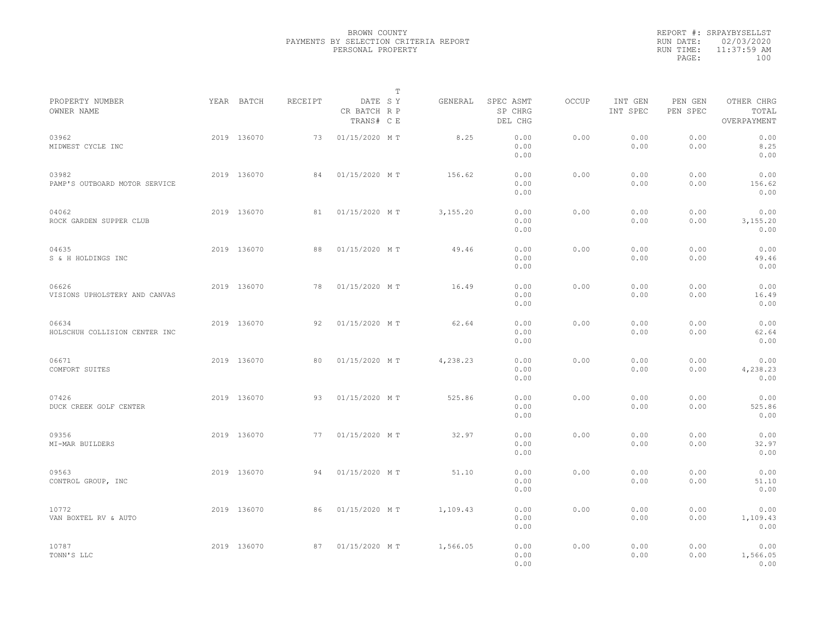|                                        |             |         |                                       | $\mathbb{T}$ |          |                                 |              |                     |                     |                                    |  |
|----------------------------------------|-------------|---------|---------------------------------------|--------------|----------|---------------------------------|--------------|---------------------|---------------------|------------------------------------|--|
| PROPERTY NUMBER<br>OWNER NAME          | YEAR BATCH  | RECEIPT | DATE SY<br>CR BATCH R P<br>TRANS# C E |              | GENERAL  | SPEC ASMT<br>SP CHRG<br>DEL CHG | <b>OCCUP</b> | INT GEN<br>INT SPEC | PEN GEN<br>PEN SPEC | OTHER CHRG<br>TOTAL<br>OVERPAYMENT |  |
| 03962<br>MIDWEST CYCLE INC             | 2019 136070 | 73      | 01/15/2020 MT                         |              | 8.25     | 0.00<br>0.00<br>0.00            | 0.00         | 0.00<br>0.00        | 0.00<br>0.00        | 0.00<br>8.25<br>0.00               |  |
| 03982<br>PAMP'S OUTBOARD MOTOR SERVICE | 2019 136070 | 84      | 01/15/2020 MT                         |              | 156.62   | 0.00<br>0.00<br>0.00            | 0.00         | 0.00<br>0.00        | 0.00<br>0.00        | 0.00<br>156.62<br>0.00             |  |
| 04062<br>ROCK GARDEN SUPPER CLUB       | 2019 136070 | 81      | 01/15/2020 MT                         |              | 3,155.20 | 0.00<br>0.00<br>0.00            | 0.00         | 0.00<br>0.00        | 0.00<br>0.00        | 0.00<br>3,155.20<br>0.00           |  |
| 04635<br>S & H HOLDINGS INC            | 2019 136070 | 88      | 01/15/2020 MT                         |              | 49.46    | 0.00<br>0.00<br>0.00            | 0.00         | 0.00<br>0.00        | 0.00<br>0.00        | 0.00<br>49.46<br>0.00              |  |
| 06626<br>VISIONS UPHOLSTERY AND CANVAS | 2019 136070 | 78      | 01/15/2020 MT                         |              | 16.49    | 0.00<br>0.00<br>0.00            | 0.00         | 0.00<br>0.00        | 0.00<br>0.00        | 0.00<br>16.49<br>0.00              |  |
| 06634<br>HOLSCHUH COLLISION CENTER INC | 2019 136070 | 92      | 01/15/2020 MT                         |              | 62.64    | 0.00<br>0.00<br>0.00            | 0.00         | 0.00<br>0.00        | 0.00<br>0.00        | 0.00<br>62.64<br>0.00              |  |
| 06671<br>COMFORT SUITES                | 2019 136070 | 80      | 01/15/2020 MT                         |              | 4,238.23 | 0.00<br>0.00<br>0.00            | 0.00         | 0.00<br>0.00        | 0.00<br>0.00        | 0.00<br>4,238.23<br>0.00           |  |
| 07426<br>DUCK CREEK GOLF CENTER        | 2019 136070 | 93      | 01/15/2020 MT                         |              | 525.86   | 0.00<br>0.00<br>0.00            | 0.00         | 0.00<br>0.00        | 0.00<br>0.00        | 0.00<br>525.86<br>0.00             |  |
| 09356<br>MI-MAR BUILDERS               | 2019 136070 | 77      | 01/15/2020 MT                         |              | 32.97    | 0.00<br>0.00<br>0.00            | 0.00         | 0.00<br>0.00        | 0.00<br>0.00        | 0.00<br>32.97<br>0.00              |  |
| 09563<br>CONTROL GROUP, INC            | 2019 136070 | 94      | 01/15/2020 MT                         |              | 51.10    | 0.00<br>0.00<br>0.00            | 0.00         | 0.00<br>0.00        | 0.00<br>0.00        | 0.00<br>51.10<br>0.00              |  |
| 10772<br>VAN BOXTEL RV & AUTO          | 2019 136070 | 86      | 01/15/2020 MT                         |              | 1,109.43 | 0.00<br>0.00<br>0.00            | 0.00         | 0.00<br>0.00        | 0.00<br>0.00        | 0.00<br>1,109.43<br>0.00           |  |
| 10787<br>TONN'S LLC                    | 2019 136070 | 87      | 01/15/2020 MT                         |              | 1,566.05 | 0.00<br>0.00<br>0.00            | 0.00         | 0.00<br>0.00        | 0.00<br>0.00        | 0.00<br>1,566.05<br>0.00           |  |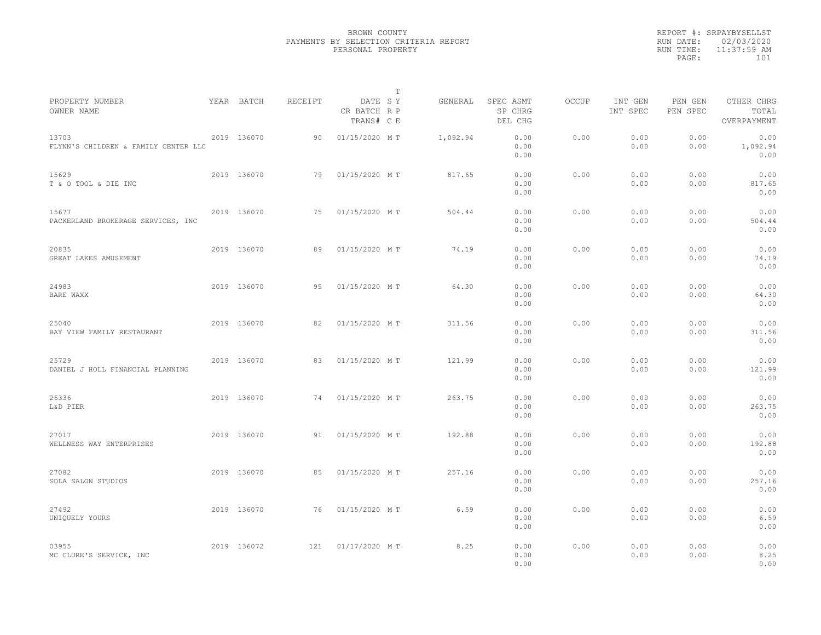|                                               |             |         |                                       | $\mathbb{T}$ |                                 |              |                     |                     |                                    |
|-----------------------------------------------|-------------|---------|---------------------------------------|--------------|---------------------------------|--------------|---------------------|---------------------|------------------------------------|
| PROPERTY NUMBER<br>OWNER NAME                 | YEAR BATCH  | RECEIPT | DATE SY<br>CR BATCH R P<br>TRANS# C E | GENERAL      | SPEC ASMT<br>SP CHRG<br>DEL CHG | <b>OCCUP</b> | INT GEN<br>INT SPEC | PEN GEN<br>PEN SPEC | OTHER CHRG<br>TOTAL<br>OVERPAYMENT |
| 13703<br>FLYNN'S CHILDREN & FAMILY CENTER LLC | 2019 136070 | 90      | 01/15/2020 MT                         | 1,092.94     | 0.00<br>0.00<br>0.00            | 0.00         | 0.00<br>0.00        | 0.00<br>0.00        | 0.00<br>1,092.94<br>0.00           |
| 15629<br>T & O TOOL & DIE INC                 | 2019 136070 | 79      | 01/15/2020 MT                         | 817.65       | 0.00<br>0.00<br>0.00            | 0.00         | 0.00<br>0.00        | 0.00<br>0.00        | 0.00<br>817.65<br>0.00             |
| 15677<br>PACKERLAND BROKERAGE SERVICES, INC   | 2019 136070 | 75      | 01/15/2020 MT                         | 504.44       | 0.00<br>0.00<br>0.00            | 0.00         | 0.00<br>0.00        | 0.00<br>0.00        | 0.00<br>504.44<br>0.00             |
| 20835<br>GREAT LAKES AMUSEMENT                | 2019 136070 | 89      | 01/15/2020 MT                         | 74.19        | 0.00<br>0.00<br>0.00            | 0.00         | 0.00<br>0.00        | 0.00<br>0.00        | 0.00<br>74.19<br>0.00              |
| 24983<br>BARE WAXX                            | 2019 136070 | 95      | 01/15/2020 MT                         | 64.30        | 0.00<br>0.00<br>0.00            | 0.00         | 0.00<br>0.00        | 0.00<br>0.00        | 0.00<br>64.30<br>0.00              |
| 25040<br>BAY VIEW FAMILY RESTAURANT           | 2019 136070 | 82      | 01/15/2020 MT                         | 311.56       | 0.00<br>0.00<br>0.00            | 0.00         | 0.00<br>0.00        | 0.00<br>0.00        | 0.00<br>311.56<br>0.00             |
| 25729<br>DANIEL J HOLL FINANCIAL PLANNING     | 2019 136070 | 83      | 01/15/2020 MT                         | 121.99       | 0.00<br>0.00<br>0.00            | 0.00         | 0.00<br>0.00        | 0.00<br>0.00        | 0.00<br>121.99<br>0.00             |
| 26336<br>L&D PIER                             | 2019 136070 | 74      | 01/15/2020 MT                         | 263.75       | 0.00<br>0.00<br>0.00            | 0.00         | 0.00<br>0.00        | 0.00<br>0.00        | 0.00<br>263.75<br>0.00             |
| 27017<br>WELLNESS WAY ENTERPRISES             | 2019 136070 | 91      | 01/15/2020 MT                         | 192.88       | 0.00<br>0.00<br>0.00            | 0.00         | 0.00<br>0.00        | 0.00<br>0.00        | 0.00<br>192.88<br>0.00             |
| 27082<br>SOLA SALON STUDIOS                   | 2019 136070 | 85      | 01/15/2020 MT                         | 257.16       | 0.00<br>0.00<br>0.00            | 0.00         | 0.00<br>0.00        | 0.00<br>0.00        | 0.00<br>257.16<br>0.00             |
| 27492<br>UNIQUELY YOURS                       | 2019 136070 | 76      | 01/15/2020 MT                         | 6.59         | 0.00<br>0.00<br>0.00            | 0.00         | 0.00<br>0.00        | 0.00<br>0.00        | 0.00<br>6.59<br>0.00               |
| 03955<br>MC CLURE'S SERVICE, INC              | 2019 136072 | 121     | 01/17/2020 MT                         | 8.25         | 0.00<br>0.00<br>0.00            | 0.00         | 0.00<br>0.00        | 0.00<br>0.00        | 0.00<br>8.25<br>0.00               |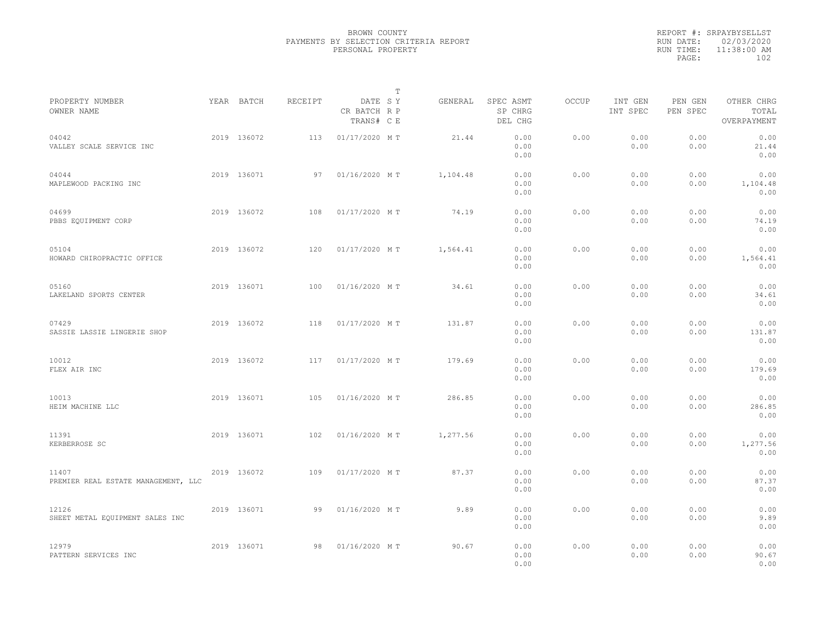|                                              |             |         |                                       | T |          |                                 |              |                     |                     |                                    |  |
|----------------------------------------------|-------------|---------|---------------------------------------|---|----------|---------------------------------|--------------|---------------------|---------------------|------------------------------------|--|
| PROPERTY NUMBER<br>OWNER NAME                | YEAR BATCH  | RECEIPT | DATE SY<br>CR BATCH R P<br>TRANS# C E |   | GENERAL  | SPEC ASMT<br>SP CHRG<br>DEL CHG | <b>OCCUP</b> | INT GEN<br>INT SPEC | PEN GEN<br>PEN SPEC | OTHER CHRG<br>TOTAL<br>OVERPAYMENT |  |
| 04042<br>VALLEY SCALE SERVICE INC            | 2019 136072 | 113     | 01/17/2020 MT                         |   | 21.44    | 0.00<br>0.00<br>0.00            | 0.00         | 0.00<br>0.00        | 0.00<br>0.00        | 0.00<br>21.44<br>0.00              |  |
| 04044<br>MAPLEWOOD PACKING INC               | 2019 136071 | 97      | 01/16/2020 MT                         |   | 1,104.48 | 0.00<br>0.00<br>0.00            | 0.00         | 0.00<br>0.00        | 0.00<br>0.00        | 0.00<br>1,104.48<br>0.00           |  |
| 04699<br>PBBS EQUIPMENT CORP                 | 2019 136072 | 108     | 01/17/2020 MT                         |   | 74.19    | 0.00<br>0.00<br>0.00            | 0.00         | 0.00<br>0.00        | 0.00<br>0.00        | 0.00<br>74.19<br>0.00              |  |
| 05104<br>HOWARD CHIROPRACTIC OFFICE          | 2019 136072 | 120     | 01/17/2020 MT                         |   | 1,564.41 | 0.00<br>0.00<br>0.00            | 0.00         | 0.00<br>0.00        | 0.00<br>0.00        | 0.00<br>1,564.41<br>0.00           |  |
| 05160<br>LAKELAND SPORTS CENTER              | 2019 136071 | 100     | 01/16/2020 MT                         |   | 34.61    | 0.00<br>0.00<br>0.00            | 0.00         | 0.00<br>0.00        | 0.00<br>0.00        | 0.00<br>34.61<br>0.00              |  |
| 07429<br>SASSIE LASSIE LINGERIE SHOP         | 2019 136072 | 118     | 01/17/2020 MT                         |   | 131.87   | 0.00<br>0.00<br>0.00            | 0.00         | 0.00<br>0.00        | 0.00<br>0.00        | 0.00<br>131.87<br>0.00             |  |
| 10012<br>FLEX AIR INC                        | 2019 136072 | 117     | 01/17/2020 MT                         |   | 179.69   | 0.00<br>0.00<br>0.00            | 0.00         | 0.00<br>0.00        | 0.00<br>0.00        | 0.00<br>179.69<br>0.00             |  |
| 10013<br>HEIM MACHINE LLC                    | 2019 136071 | 105     | 01/16/2020 MT                         |   | 286.85   | 0.00<br>0.00<br>0.00            | 0.00         | 0.00<br>0.00        | 0.00<br>0.00        | 0.00<br>286.85<br>0.00             |  |
| 11391<br>KERBERROSE SC                       | 2019 136071 | 102     | 01/16/2020 MT                         |   | 1,277.56 | 0.00<br>0.00<br>0.00            | 0.00         | 0.00<br>0.00        | 0.00<br>0.00        | 0.00<br>1,277.56<br>0.00           |  |
| 11407<br>PREMIER REAL ESTATE MANAGEMENT, LLC | 2019 136072 | 109     | 01/17/2020 MT                         |   | 87.37    | 0.00<br>0.00<br>0.00            | 0.00         | 0.00<br>0.00        | 0.00<br>0.00        | 0.00<br>87.37<br>0.00              |  |
| 12126<br>SHEET METAL EQUIPMENT SALES INC     | 2019 136071 | 99      | 01/16/2020 MT                         |   | 9.89     | 0.00<br>0.00<br>0.00            | 0.00         | 0.00<br>0.00        | 0.00<br>0.00        | 0.00<br>9.89<br>0.00               |  |
| 12979<br>PATTERN SERVICES INC                | 2019 136071 | 98      | 01/16/2020 MT                         |   | 90.67    | 0.00<br>0.00<br>0.00            | 0.00         | 0.00<br>0.00        | 0.00<br>0.00        | 0.00<br>90.67<br>0.00              |  |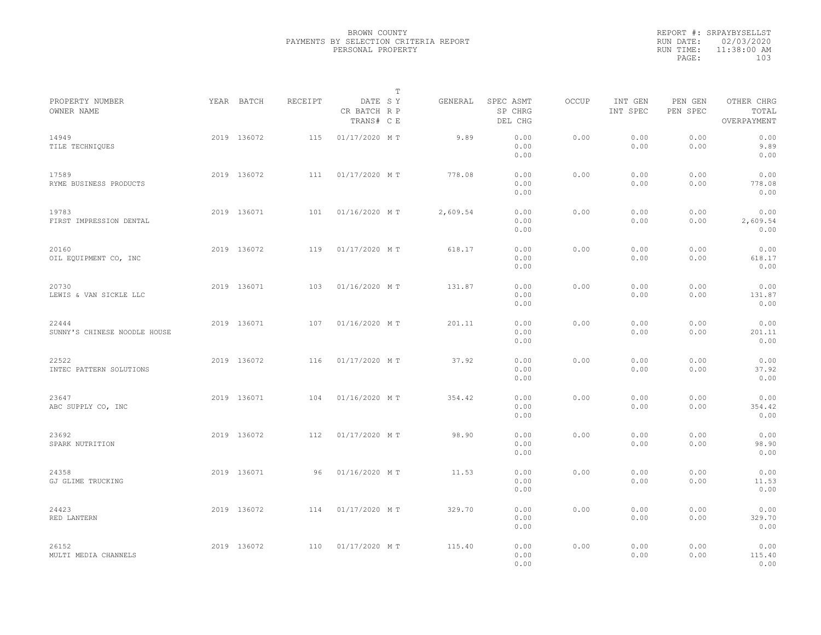|           | REPORT #: SRPAYBYSELLST |  |
|-----------|-------------------------|--|
|           | RUN DATE: 02/03/2020    |  |
| RUN TIME: | 11:38:00 AM             |  |
| PAGE:     | 103                     |  |
|           |                         |  |

|                                       |             |         |                                       | T |          |                                 |       |                     |                     |                                    |  |
|---------------------------------------|-------------|---------|---------------------------------------|---|----------|---------------------------------|-------|---------------------|---------------------|------------------------------------|--|
| PROPERTY NUMBER<br>OWNER NAME         | YEAR BATCH  | RECEIPT | DATE SY<br>CR BATCH R P<br>TRANS# C E |   | GENERAL  | SPEC ASMT<br>SP CHRG<br>DEL CHG | OCCUP | INT GEN<br>INT SPEC | PEN GEN<br>PEN SPEC | OTHER CHRG<br>TOTAL<br>OVERPAYMENT |  |
| 14949<br>TILE TECHNIQUES              | 2019 136072 | 115     | 01/17/2020 MT                         |   | 9.89     | 0.00<br>0.00<br>0.00            | 0.00  | 0.00<br>0.00        | 0.00<br>0.00        | 0.00<br>9.89<br>0.00               |  |
| 17589<br>RYME BUSINESS PRODUCTS       | 2019 136072 | 111     | 01/17/2020 MT                         |   | 778.08   | 0.00<br>0.00<br>0.00            | 0.00  | 0.00<br>0.00        | 0.00<br>0.00        | 0.00<br>778.08<br>0.00             |  |
| 19783<br>FIRST IMPRESSION DENTAL      | 2019 136071 | 101     | 01/16/2020 MT                         |   | 2,609.54 | 0.00<br>0.00<br>0.00            | 0.00  | 0.00<br>0.00        | 0.00<br>0.00        | 0.00<br>2,609.54<br>0.00           |  |
| 20160<br>OIL EQUIPMENT CO, INC        | 2019 136072 | 119     | 01/17/2020 MT                         |   | 618.17   | 0.00<br>0.00<br>0.00            | 0.00  | 0.00<br>0.00        | 0.00<br>0.00        | 0.00<br>618.17<br>0.00             |  |
| 20730<br>LEWIS & VAN SICKLE LLC       | 2019 136071 | 103     | 01/16/2020 MT                         |   | 131.87   | 0.00<br>0.00<br>0.00            | 0.00  | 0.00<br>0.00        | 0.00<br>0.00        | 0.00<br>131.87<br>0.00             |  |
| 22444<br>SUNNY'S CHINESE NOODLE HOUSE | 2019 136071 | 107     | 01/16/2020 MT                         |   | 201.11   | 0.00<br>0.00<br>0.00            | 0.00  | 0.00<br>0.00        | 0.00<br>0.00        | 0.00<br>201.11<br>0.00             |  |
| 22522<br>INTEC PATTERN SOLUTIONS      | 2019 136072 | 116     | 01/17/2020 MT                         |   | 37.92    | 0.00<br>0.00<br>0.00            | 0.00  | 0.00<br>0.00        | 0.00<br>0.00        | 0.00<br>37.92<br>0.00              |  |
| 23647<br>ABC SUPPLY CO, INC           | 2019 136071 | 104     | 01/16/2020 MT                         |   | 354.42   | 0.00<br>0.00<br>0.00            | 0.00  | 0.00<br>0.00        | 0.00<br>0.00        | 0.00<br>354.42<br>0.00             |  |
| 23692<br>SPARK NUTRITION              | 2019 136072 | 112     | 01/17/2020 MT                         |   | 98.90    | 0.00<br>0.00<br>0.00            | 0.00  | 0.00<br>0.00        | 0.00<br>0.00        | 0.00<br>98.90<br>0.00              |  |
| 24358<br>GJ GLIME TRUCKING            | 2019 136071 | 96      | 01/16/2020 MT                         |   | 11.53    | 0.00<br>0.00<br>0.00            | 0.00  | 0.00<br>0.00        | 0.00<br>0.00        | 0.00<br>11.53<br>0.00              |  |
| 24423<br>RED LANTERN                  | 2019 136072 | 114     | 01/17/2020 MT                         |   | 329.70   | 0.00<br>0.00<br>0.00            | 0.00  | 0.00<br>0.00        | 0.00<br>0.00        | 0.00<br>329.70<br>0.00             |  |
| 26152<br>MULTI MEDIA CHANNELS         | 2019 136072 | 110     | 01/17/2020 MT                         |   | 115.40   | 0.00<br>0.00<br>0.00            | 0.00  | 0.00<br>0.00        | 0.00<br>0.00        | 0.00<br>115.40<br>0.00             |  |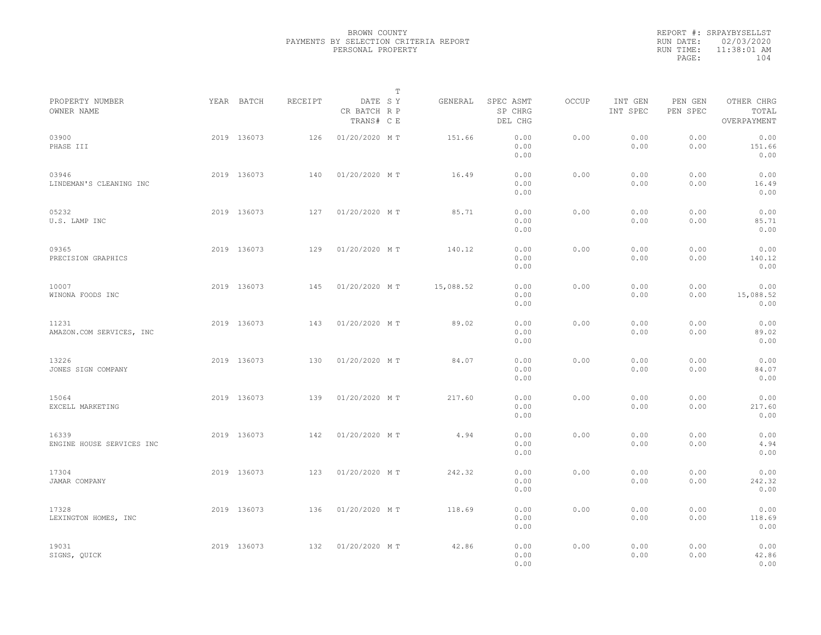|                                    |             |         |                                       | $\mathbb T$ |           |                                 |              |                     |                     |                                    |  |
|------------------------------------|-------------|---------|---------------------------------------|-------------|-----------|---------------------------------|--------------|---------------------|---------------------|------------------------------------|--|
| PROPERTY NUMBER<br>OWNER NAME      | YEAR BATCH  | RECEIPT | DATE SY<br>CR BATCH R P<br>TRANS# C E |             | GENERAL   | SPEC ASMT<br>SP CHRG<br>DEL CHG | <b>OCCUP</b> | INT GEN<br>INT SPEC | PEN GEN<br>PEN SPEC | OTHER CHRG<br>TOTAL<br>OVERPAYMENT |  |
| 03900<br>PHASE III                 | 2019 136073 | 126     | 01/20/2020 MT                         |             | 151.66    | 0.00<br>0.00<br>0.00            | 0.00         | 0.00<br>0.00        | 0.00<br>0.00        | 0.00<br>151.66<br>0.00             |  |
| 03946<br>LINDEMAN'S CLEANING INC   | 2019 136073 | 140     | 01/20/2020 MT                         |             | 16.49     | 0.00<br>0.00<br>0.00            | 0.00         | 0.00<br>0.00        | 0.00<br>0.00        | 0.00<br>16.49<br>0.00              |  |
| 05232<br>U.S. LAMP INC             | 2019 136073 | 127     | 01/20/2020 MT                         |             | 85.71     | 0.00<br>0.00<br>0.00            | 0.00         | 0.00<br>0.00        | 0.00<br>0.00        | 0.00<br>85.71<br>0.00              |  |
| 09365<br>PRECISION GRAPHICS        | 2019 136073 | 129     | 01/20/2020 MT                         |             | 140.12    | 0.00<br>0.00<br>0.00            | 0.00         | 0.00<br>0.00        | 0.00<br>0.00        | 0.00<br>140.12<br>0.00             |  |
| 10007<br>WINONA FOODS INC          | 2019 136073 | 145     | 01/20/2020 MT                         |             | 15,088.52 | 0.00<br>0.00<br>0.00            | 0.00         | 0.00<br>0.00        | 0.00<br>0.00        | 0.00<br>15,088.52<br>0.00          |  |
| 11231<br>AMAZON.COM SERVICES, INC  | 2019 136073 | 143     | 01/20/2020 MT                         |             | 89.02     | 0.00<br>0.00<br>0.00            | 0.00         | 0.00<br>0.00        | 0.00<br>0.00        | 0.00<br>89.02<br>0.00              |  |
| 13226<br>JONES SIGN COMPANY        | 2019 136073 | 130     | 01/20/2020 MT                         |             | 84.07     | 0.00<br>0.00<br>0.00            | 0.00         | 0.00<br>0.00        | 0.00<br>0.00        | 0.00<br>84.07<br>0.00              |  |
| 15064<br>EXCELL MARKETING          | 2019 136073 | 139     | 01/20/2020 MT                         |             | 217.60    | 0.00<br>0.00<br>0.00            | 0.00         | 0.00<br>0.00        | 0.00<br>0.00        | 0.00<br>217.60<br>0.00             |  |
| 16339<br>ENGINE HOUSE SERVICES INC | 2019 136073 | 142     | 01/20/2020 MT                         |             | 4.94      | 0.00<br>0.00<br>0.00            | 0.00         | 0.00<br>0.00        | 0.00<br>0.00        | 0.00<br>4.94<br>0.00               |  |
| 17304<br>JAMAR COMPANY             | 2019 136073 | 123     | 01/20/2020 MT                         |             | 242.32    | 0.00<br>0.00<br>0.00            | 0.00         | 0.00<br>0.00        | 0.00<br>0.00        | 0.00<br>242.32<br>0.00             |  |
| 17328<br>LEXINGTON HOMES, INC      | 2019 136073 | 136     | 01/20/2020 MT                         |             | 118.69    | 0.00<br>0.00<br>0.00            | 0.00         | 0.00<br>0.00        | 0.00<br>0.00        | 0.00<br>118.69<br>0.00             |  |
| 19031<br>SIGNS, QUICK              | 2019 136073 | 132     | 01/20/2020 MT                         |             | 42.86     | 0.00<br>0.00<br>0.00            | 0.00         | 0.00<br>0.00        | 0.00<br>0.00        | 0.00<br>42.86<br>0.00              |  |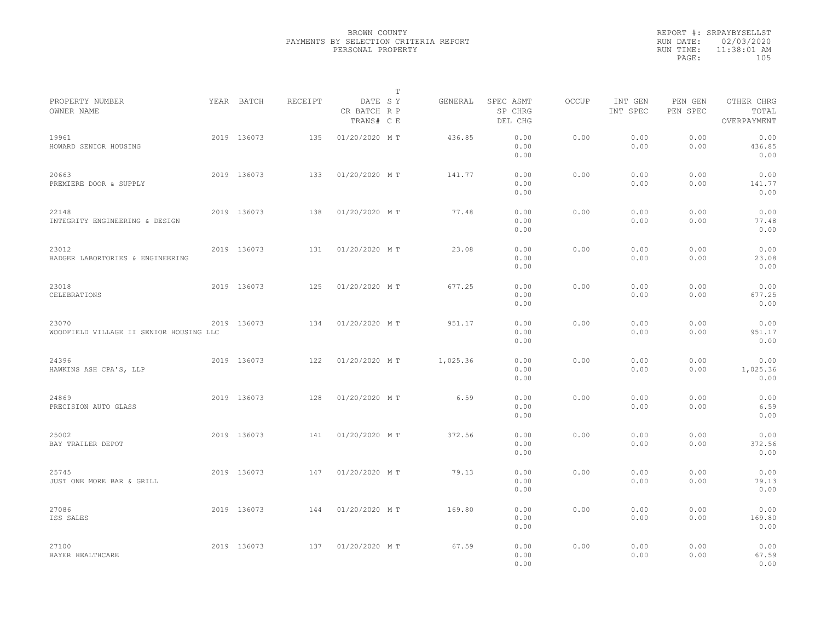|                                                  |             |         |                                       | $\mathbb{T}$ |          |                                 |              |                     |                     |                                    |  |
|--------------------------------------------------|-------------|---------|---------------------------------------|--------------|----------|---------------------------------|--------------|---------------------|---------------------|------------------------------------|--|
| PROPERTY NUMBER<br>OWNER NAME                    | YEAR BATCH  | RECEIPT | DATE SY<br>CR BATCH R P<br>TRANS# C E |              | GENERAL  | SPEC ASMT<br>SP CHRG<br>DEL CHG | <b>OCCUP</b> | INT GEN<br>INT SPEC | PEN GEN<br>PEN SPEC | OTHER CHRG<br>TOTAL<br>OVERPAYMENT |  |
| 19961<br>HOWARD SENIOR HOUSING                   | 2019 136073 | 135     | 01/20/2020 MT                         |              | 436.85   | 0.00<br>0.00<br>0.00            | 0.00         | 0.00<br>0.00        | 0.00<br>0.00        | 0.00<br>436.85<br>0.00             |  |
| 20663<br>PREMIERE DOOR & SUPPLY                  | 2019 136073 | 133     | 01/20/2020 MT                         |              | 141.77   | 0.00<br>0.00<br>0.00            | 0.00         | 0.00<br>0.00        | 0.00<br>0.00        | 0.00<br>141.77<br>0.00             |  |
| 22148<br>INTEGRITY ENGINEERING & DESIGN          | 2019 136073 | 138     | 01/20/2020 MT                         |              | 77.48    | 0.00<br>0.00<br>0.00            | 0.00         | 0.00<br>0.00        | 0.00<br>0.00        | 0.00<br>77.48<br>0.00              |  |
| 23012<br>BADGER LABORTORIES & ENGINEERING        | 2019 136073 | 131     | 01/20/2020 MT                         |              | 23.08    | 0.00<br>0.00<br>0.00            | 0.00         | 0.00<br>0.00        | 0.00<br>0.00        | 0.00<br>23.08<br>0.00              |  |
| 23018<br>CELEBRATIONS                            | 2019 136073 | 125     | 01/20/2020 MT                         |              | 677.25   | 0.00<br>0.00<br>0.00            | 0.00         | 0.00<br>0.00        | 0.00<br>0.00        | 0.00<br>677.25<br>0.00             |  |
| 23070<br>WOODFIELD VILLAGE II SENIOR HOUSING LLC | 2019 136073 | 134     | 01/20/2020 MT                         |              | 951.17   | 0.00<br>0.00<br>0.00            | 0.00         | 0.00<br>0.00        | 0.00<br>0.00        | 0.00<br>951.17<br>0.00             |  |
| 24396<br>HAWKINS ASH CPA'S, LLP                  | 2019 136073 | 122     | 01/20/2020 MT                         |              | 1,025.36 | 0.00<br>0.00<br>0.00            | 0.00         | 0.00<br>0.00        | 0.00<br>0.00        | 0.00<br>1,025.36<br>0.00           |  |
| 24869<br>PRECISION AUTO GLASS                    | 2019 136073 | 128     | 01/20/2020 MT                         |              | 6.59     | 0.00<br>0.00<br>0.00            | 0.00         | 0.00<br>0.00        | 0.00<br>0.00        | 0.00<br>6.59<br>0.00               |  |
| 25002<br>BAY TRAILER DEPOT                       | 2019 136073 | 141     | 01/20/2020 MT                         |              | 372.56   | 0.00<br>0.00<br>0.00            | 0.00         | 0.00<br>0.00        | 0.00<br>0.00        | 0.00<br>372.56<br>0.00             |  |
| 25745<br>JUST ONE MORE BAR & GRILL               | 2019 136073 | 147     | 01/20/2020 MT                         |              | 79.13    | 0.00<br>0.00<br>0.00            | 0.00         | 0.00<br>0.00        | 0.00<br>0.00        | 0.00<br>79.13<br>0.00              |  |
| 27086<br>ISS SALES                               | 2019 136073 | 144     | 01/20/2020 MT                         |              | 169.80   | 0.00<br>0.00<br>0.00            | 0.00         | 0.00<br>0.00        | 0.00<br>0.00        | 0.00<br>169.80<br>0.00             |  |
| 27100<br>BAYER HEALTHCARE                        | 2019 136073 | 137     | 01/20/2020 MT                         |              | 67.59    | 0.00<br>0.00<br>0.00            | 0.00         | 0.00<br>0.00        | 0.00<br>0.00        | 0.00<br>67.59<br>0.00              |  |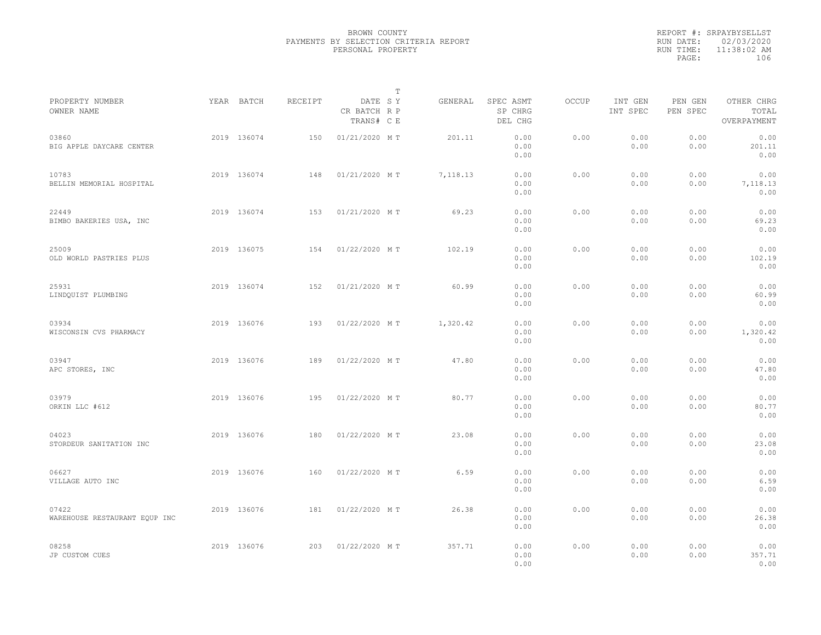|           | REPORT #: SRPAYBYSELLST |
|-----------|-------------------------|
|           | RUN DATE: 02/03/2020    |
| RUN TIME: | 11:38:02 AM             |
| PAGE:     | 106                     |
|           |                         |

|                                        |             |                |                                       | т |          |                                 |       |                     |                     |                                    |  |
|----------------------------------------|-------------|----------------|---------------------------------------|---|----------|---------------------------------|-------|---------------------|---------------------|------------------------------------|--|
| PROPERTY NUMBER<br>OWNER NAME          | YEAR BATCH  | <b>RECEIPT</b> | DATE SY<br>CR BATCH R P<br>TRANS# C E |   | GENERAL  | SPEC ASMT<br>SP CHRG<br>DEL CHG | OCCUP | INT GEN<br>INT SPEC | PEN GEN<br>PEN SPEC | OTHER CHRG<br>TOTAL<br>OVERPAYMENT |  |
| 03860<br>BIG APPLE DAYCARE CENTER      | 2019 136074 | 150            | 01/21/2020 MT                         |   | 201.11   | 0.00<br>0.00<br>0.00            | 0.00  | 0.00<br>0.00        | 0.00<br>0.00        | 0.00<br>201.11<br>0.00             |  |
| 10783<br>BELLIN MEMORIAL HOSPITAL      | 2019 136074 | 148            | 01/21/2020 MT                         |   | 7,118.13 | 0.00<br>0.00<br>0.00            | 0.00  | 0.00<br>0.00        | 0.00<br>0.00        | 0.00<br>7,118.13<br>0.00           |  |
| 22449<br>BIMBO BAKERIES USA, INC       | 2019 136074 | 153            | 01/21/2020 MT                         |   | 69.23    | 0.00<br>0.00<br>0.00            | 0.00  | 0.00<br>0.00        | 0.00<br>0.00        | 0.00<br>69.23<br>0.00              |  |
| 25009<br>OLD WORLD PASTRIES PLUS       | 2019 136075 | 154            | 01/22/2020 MT                         |   | 102.19   | 0.00<br>0.00<br>0.00            | 0.00  | 0.00<br>0.00        | 0.00<br>0.00        | 0.00<br>102.19<br>0.00             |  |
| 25931<br>LINDQUIST PLUMBING            | 2019 136074 | 152            | 01/21/2020 MT                         |   | 60.99    | 0.00<br>0.00<br>0.00            | 0.00  | 0.00<br>0.00        | 0.00<br>0.00        | 0.00<br>60.99<br>0.00              |  |
| 03934<br>WISCONSIN CVS PHARMACY        | 2019 136076 | 193            | 01/22/2020 MT                         |   | 1,320.42 | 0.00<br>0.00<br>0.00            | 0.00  | 0.00<br>0.00        | 0.00<br>0.00        | 0.00<br>1,320.42<br>0.00           |  |
| 03947<br>APC STORES, INC               | 2019 136076 | 189            | 01/22/2020 MT                         |   | 47.80    | 0.00<br>0.00<br>0.00            | 0.00  | 0.00<br>0.00        | 0.00<br>0.00        | 0.00<br>47.80<br>0.00              |  |
| 03979<br>ORKIN LLC #612                | 2019 136076 | 195            | 01/22/2020 MT                         |   | 80.77    | 0.00<br>0.00<br>0.00            | 0.00  | 0.00<br>0.00        | 0.00<br>0.00        | 0.00<br>80.77<br>0.00              |  |
| 04023<br>STORDEUR SANITATION INC       | 2019 136076 | 180            | 01/22/2020 MT                         |   | 23.08    | 0.00<br>0.00<br>0.00            | 0.00  | 0.00<br>0.00        | 0.00<br>0.00        | 0.00<br>23.08<br>0.00              |  |
| 06627<br>VILLAGE AUTO INC              | 2019 136076 | 160            | 01/22/2020 MT                         |   | 6.59     | 0.00<br>0.00<br>0.00            | 0.00  | 0.00<br>0.00        | 0.00<br>0.00        | 0.00<br>6.59<br>0.00               |  |
| 07422<br>WAREHOUSE RESTAURANT EQUP INC | 2019 136076 | 181            | 01/22/2020 MT                         |   | 26.38    | 0.00<br>0.00<br>0.00            | 0.00  | 0.00<br>0.00        | 0.00<br>0.00        | 0.00<br>26.38<br>0.00              |  |
| 08258<br>JP CUSTOM CUES                | 2019 136076 | 203            | 01/22/2020 MT                         |   | 357.71   | 0.00<br>0.00<br>0.00            | 0.00  | 0.00<br>0.00        | 0.00<br>0.00        | 0.00<br>357.71<br>0.00             |  |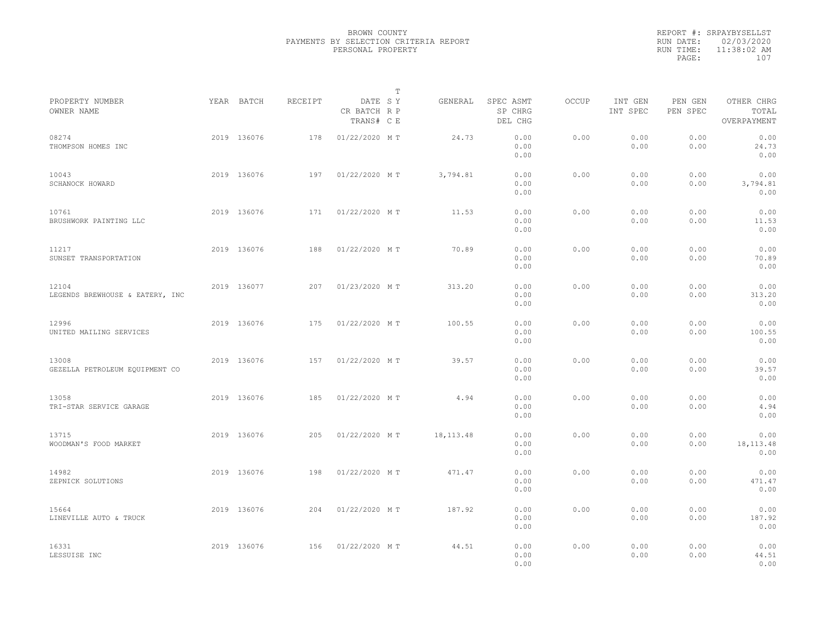|           | REPORT #: SRPAYBYSELLST |  |
|-----------|-------------------------|--|
|           | RUN DATE: 02/03/2020    |  |
| RUN TIME: | $11:38:02$ AM           |  |
| PAGE:     | 107                     |  |
|           |                         |  |

|                                          |             |         |                                       | T |             |                                 |       |                     |                     |                                    |  |
|------------------------------------------|-------------|---------|---------------------------------------|---|-------------|---------------------------------|-------|---------------------|---------------------|------------------------------------|--|
| PROPERTY NUMBER<br>OWNER NAME            | YEAR BATCH  | RECEIPT | DATE SY<br>CR BATCH R P<br>TRANS# C E |   | GENERAL     | SPEC ASMT<br>SP CHRG<br>DEL CHG | OCCUP | INT GEN<br>INT SPEC | PEN GEN<br>PEN SPEC | OTHER CHRG<br>TOTAL<br>OVERPAYMENT |  |
| 08274<br>THOMPSON HOMES INC              | 2019 136076 | 178     | 01/22/2020 MT                         |   | 24.73       | 0.00<br>0.00<br>0.00            | 0.00  | 0.00<br>0.00        | 0.00<br>0.00        | 0.00<br>24.73<br>0.00              |  |
| 10043<br>SCHANOCK HOWARD                 | 2019 136076 | 197     | 01/22/2020 MT                         |   | 3,794.81    | 0.00<br>0.00<br>0.00            | 0.00  | 0.00<br>0.00        | 0.00<br>0.00        | 0.00<br>3,794.81<br>0.00           |  |
| 10761<br>BRUSHWORK PAINTING LLC          | 2019 136076 | 171     | 01/22/2020 MT                         |   | 11.53       | 0.00<br>0.00<br>0.00            | 0.00  | 0.00<br>0.00        | 0.00<br>0.00        | 0.00<br>11.53<br>0.00              |  |
| 11217<br>SUNSET TRANSPORTATION           | 2019 136076 | 188     | 01/22/2020 MT                         |   | 70.89       | 0.00<br>0.00<br>0.00            | 0.00  | 0.00<br>0.00        | 0.00<br>0.00        | 0.00<br>70.89<br>0.00              |  |
| 12104<br>LEGENDS BREWHOUSE & EATERY, INC | 2019 136077 | 207     | 01/23/2020 MT                         |   | 313.20      | 0.00<br>0.00<br>0.00            | 0.00  | 0.00<br>0.00        | 0.00<br>0.00        | 0.00<br>313.20<br>0.00             |  |
| 12996<br>UNITED MAILING SERVICES         | 2019 136076 | 175     | 01/22/2020 MT                         |   | 100.55      | 0.00<br>0.00<br>0.00            | 0.00  | 0.00<br>0.00        | 0.00<br>0.00        | 0.00<br>100.55<br>0.00             |  |
| 13008<br>GEZELLA PETROLEUM EQUIPMENT CO  | 2019 136076 | 157     | 01/22/2020 MT                         |   | 39.57       | 0.00<br>0.00<br>0.00            | 0.00  | 0.00<br>0.00        | 0.00<br>0.00        | 0.00<br>39.57<br>0.00              |  |
| 13058<br>TRI-STAR SERVICE GARAGE         | 2019 136076 | 185     | 01/22/2020 MT                         |   | 4.94        | 0.00<br>0.00<br>0.00            | 0.00  | 0.00<br>0.00        | 0.00<br>0.00        | 0.00<br>4.94<br>0.00               |  |
| 13715<br>WOODMAN'S FOOD MARKET           | 2019 136076 | 205     | 01/22/2020 MT                         |   | 18, 113. 48 | 0.00<br>0.00<br>0.00            | 0.00  | 0.00<br>0.00        | 0.00<br>0.00        | 0.00<br>18, 113. 48<br>0.00        |  |
| 14982<br>ZEPNICK SOLUTIONS               | 2019 136076 | 198     | 01/22/2020 MT                         |   | 471.47      | 0.00<br>0.00<br>0.00            | 0.00  | 0.00<br>0.00        | 0.00<br>0.00        | 0.00<br>471.47<br>0.00             |  |
| 15664<br>LINEVILLE AUTO & TRUCK          | 2019 136076 | 204     | 01/22/2020 MT                         |   | 187.92      | 0.00<br>0.00<br>0.00            | 0.00  | 0.00<br>0.00        | 0.00<br>0.00        | 0.00<br>187.92<br>0.00             |  |
| 16331<br>LESSUISE INC                    | 2019 136076 | 156     | 01/22/2020 MT                         |   | 44.51       | 0.00<br>0.00<br>0.00            | 0.00  | 0.00<br>0.00        | 0.00<br>0.00        | 0.00<br>44.51<br>0.00              |  |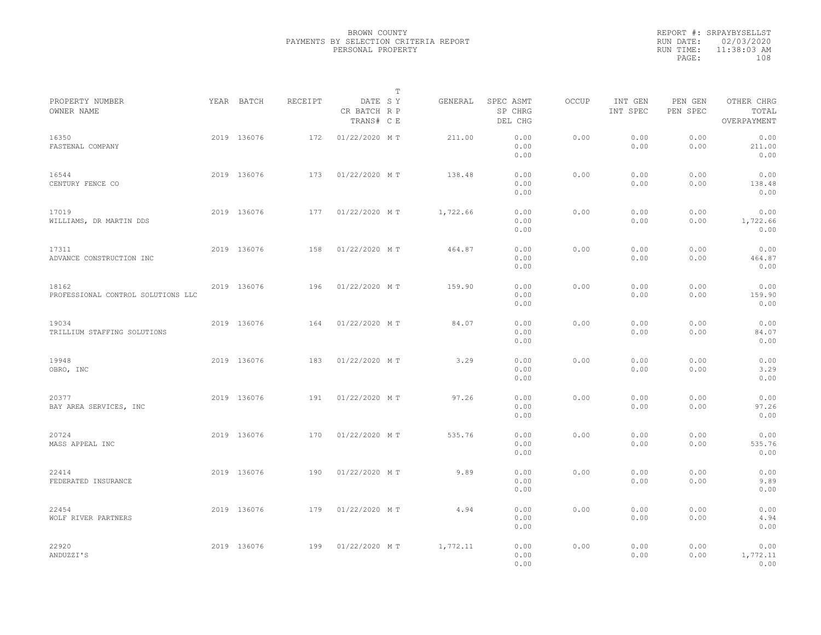|           | REPORT #: SRPAYBYSELLST |  |
|-----------|-------------------------|--|
|           | RUN DATE: 02/03/2020    |  |
| RUN TIME: | 11:38:03 AM             |  |
| PAGE:     | 108                     |  |
|           |                         |  |

|                                             |             |         |                                       | $\mathbb T$ |          |                                 |       |                     |                     |                                    |  |
|---------------------------------------------|-------------|---------|---------------------------------------|-------------|----------|---------------------------------|-------|---------------------|---------------------|------------------------------------|--|
| PROPERTY NUMBER<br>OWNER NAME               | YEAR BATCH  | RECEIPT | DATE SY<br>CR BATCH R P<br>TRANS# C E |             | GENERAL  | SPEC ASMT<br>SP CHRG<br>DEL CHG | OCCUP | INT GEN<br>INT SPEC | PEN GEN<br>PEN SPEC | OTHER CHRG<br>TOTAL<br>OVERPAYMENT |  |
| 16350<br>FASTENAL COMPANY                   | 2019 136076 | 172     | 01/22/2020 MT                         |             | 211.00   | 0.00<br>0.00<br>0.00            | 0.00  | 0.00<br>0.00        | 0.00<br>0.00        | 0.00<br>211.00<br>0.00             |  |
| 16544<br>CENTURY FENCE CO                   | 2019 136076 | 173     | 01/22/2020 MT                         |             | 138.48   | 0.00<br>0.00<br>0.00            | 0.00  | 0.00<br>0.00        | 0.00<br>0.00        | 0.00<br>138.48<br>0.00             |  |
| 17019<br>WILLIAMS, DR MARTIN DDS            | 2019 136076 | 177     | 01/22/2020 MT                         |             | 1,722.66 | 0.00<br>0.00<br>0.00            | 0.00  | 0.00<br>0.00        | 0.00<br>0.00        | 0.00<br>1,722.66<br>0.00           |  |
| 17311<br>ADVANCE CONSTRUCTION INC           | 2019 136076 | 158     | 01/22/2020 MT                         |             | 464.87   | 0.00<br>0.00<br>0.00            | 0.00  | 0.00<br>0.00        | 0.00<br>0.00        | 0.00<br>464.87<br>0.00             |  |
| 18162<br>PROFESSIONAL CONTROL SOLUTIONS LLC | 2019 136076 | 196     | 01/22/2020 MT                         |             | 159.90   | 0.00<br>0.00<br>0.00            | 0.00  | 0.00<br>0.00        | 0.00<br>0.00        | 0.00<br>159.90<br>0.00             |  |
| 19034<br>TRILLIUM STAFFING SOLUTIONS        | 2019 136076 | 164     | 01/22/2020 MT                         |             | 84.07    | 0.00<br>0.00<br>0.00            | 0.00  | 0.00<br>0.00        | 0.00<br>0.00        | 0.00<br>84.07<br>0.00              |  |
| 19948<br>OBRO, INC                          | 2019 136076 | 183     | 01/22/2020 MT                         |             | 3.29     | 0.00<br>0.00<br>0.00            | 0.00  | 0.00<br>0.00        | 0.00<br>0.00        | 0.00<br>3.29<br>0.00               |  |
| 20377<br>BAY AREA SERVICES, INC             | 2019 136076 | 191     | 01/22/2020 MT                         |             | 97.26    | 0.00<br>0.00<br>0.00            | 0.00  | 0.00<br>0.00        | 0.00<br>0.00        | 0.00<br>97.26<br>0.00              |  |
| 20724<br>MASS APPEAL INC                    | 2019 136076 | 170     | 01/22/2020 MT                         |             | 535.76   | 0.00<br>0.00<br>0.00            | 0.00  | 0.00<br>0.00        | 0.00<br>0.00        | 0.00<br>535.76<br>0.00             |  |
| 22414<br>FEDERATED INSURANCE                | 2019 136076 | 190     | 01/22/2020 MT                         |             | 9.89     | 0.00<br>0.00<br>0.00            | 0.00  | 0.00<br>0.00        | 0.00<br>0.00        | 0.00<br>9.89<br>0.00               |  |
| 22454<br>WOLF RIVER PARTNERS                | 2019 136076 | 179     | 01/22/2020 MT                         |             | 4.94     | 0.00<br>0.00<br>0.00            | 0.00  | 0.00<br>0.00        | 0.00<br>0.00        | 0.00<br>4.94<br>0.00               |  |
| 22920<br>ANDUZZI'S                          | 2019 136076 | 199     | 01/22/2020 MT                         |             | 1,772.11 | 0.00<br>0.00<br>0.00            | 0.00  | 0.00<br>0.00        | 0.00<br>0.00        | 0.00<br>1,772.11<br>0.00           |  |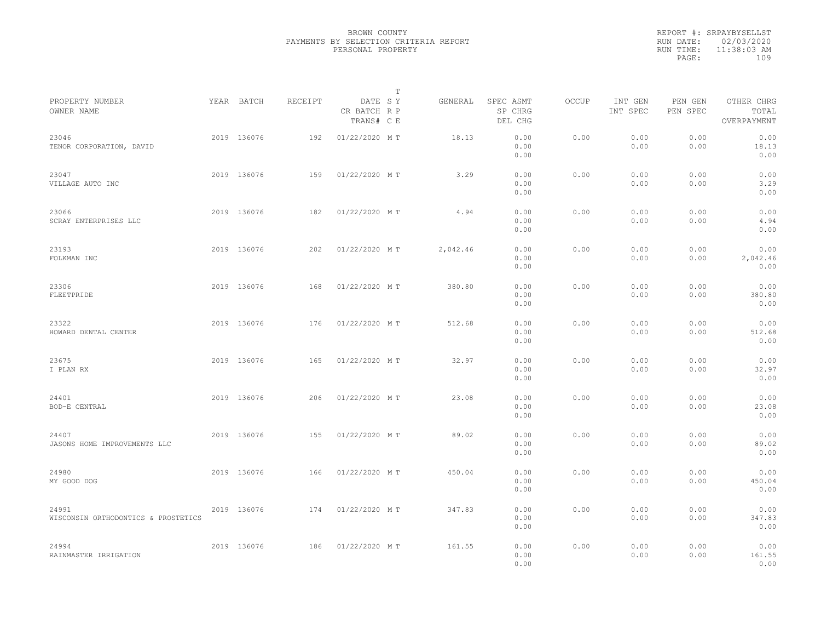|                                              |             |         |                                       | T |          |                                 |              |                     |                     |                                    |  |
|----------------------------------------------|-------------|---------|---------------------------------------|---|----------|---------------------------------|--------------|---------------------|---------------------|------------------------------------|--|
| PROPERTY NUMBER<br>OWNER NAME                | YEAR BATCH  | RECEIPT | DATE SY<br>CR BATCH R P<br>TRANS# C E |   | GENERAL  | SPEC ASMT<br>SP CHRG<br>DEL CHG | <b>OCCUP</b> | INT GEN<br>INT SPEC | PEN GEN<br>PEN SPEC | OTHER CHRG<br>TOTAL<br>OVERPAYMENT |  |
| 23046<br>TENOR CORPORATION, DAVID            | 2019 136076 | 192     | 01/22/2020 MT                         |   | 18.13    | 0.00<br>0.00<br>0.00            | 0.00         | 0.00<br>0.00        | 0.00<br>0.00        | 0.00<br>18.13<br>0.00              |  |
| 23047<br>VILLAGE AUTO INC                    | 2019 136076 | 159     | 01/22/2020 MT                         |   | 3.29     | 0.00<br>0.00<br>0.00            | 0.00         | 0.00<br>0.00        | 0.00<br>0.00        | 0.00<br>3.29<br>0.00               |  |
| 23066<br>SCRAY ENTERPRISES LLC               | 2019 136076 | 182     | 01/22/2020 MT                         |   | 4.94     | 0.00<br>0.00<br>0.00            | 0.00         | 0.00<br>0.00        | 0.00<br>0.00        | 0.00<br>4.94<br>0.00               |  |
| 23193<br>FOLKMAN INC                         | 2019 136076 | 202     | 01/22/2020 MT                         |   | 2,042.46 | 0.00<br>0.00<br>0.00            | 0.00         | 0.00<br>0.00        | 0.00<br>0.00        | 0.00<br>2,042.46<br>0.00           |  |
| 23306<br>FLEETPRIDE                          | 2019 136076 | 168     | 01/22/2020 MT                         |   | 380.80   | 0.00<br>0.00<br>0.00            | 0.00         | 0.00<br>0.00        | 0.00<br>0.00        | 0.00<br>380.80<br>0.00             |  |
| 23322<br>HOWARD DENTAL CENTER                | 2019 136076 | 176     | 01/22/2020 MT                         |   | 512.68   | 0.00<br>0.00<br>0.00            | 0.00         | 0.00<br>0.00        | 0.00<br>0.00        | 0.00<br>512.68<br>0.00             |  |
| 23675<br>I PLAN RX                           | 2019 136076 | 165     | 01/22/2020 MT                         |   | 32.97    | 0.00<br>0.00<br>0.00            | 0.00         | 0.00<br>0.00        | 0.00<br>0.00        | 0.00<br>32.97<br>0.00              |  |
| 24401<br>BOD-E CENTRAL                       | 2019 136076 | 206     | 01/22/2020 MT                         |   | 23.08    | 0.00<br>0.00<br>0.00            | 0.00         | 0.00<br>0.00        | 0.00<br>0.00        | 0.00<br>23.08<br>0.00              |  |
| 24407<br>JASONS HOME IMPROVEMENTS LLC        | 2019 136076 | 155     | 01/22/2020 MT                         |   | 89.02    | 0.00<br>0.00<br>0.00            | 0.00         | 0.00<br>0.00        | 0.00<br>0.00        | 0.00<br>89.02<br>0.00              |  |
| 24980<br>MY GOOD DOG                         | 2019 136076 | 166     | 01/22/2020 MT                         |   | 450.04   | 0.00<br>0.00<br>0.00            | 0.00         | 0.00<br>0.00        | 0.00<br>0.00        | 0.00<br>450.04<br>0.00             |  |
| 24991<br>WISCONSIN ORTHODONTICS & PROSTETICS | 2019 136076 | 174     | 01/22/2020 MT                         |   | 347.83   | 0.00<br>0.00<br>0.00            | 0.00         | 0.00<br>0.00        | 0.00<br>0.00        | 0.00<br>347.83<br>0.00             |  |
| 24994<br>RAINMASTER IRRIGATION               | 2019 136076 | 186     | 01/22/2020 MT                         |   | 161.55   | 0.00<br>0.00<br>0.00            | 0.00         | 0.00<br>0.00        | 0.00<br>0.00        | 0.00<br>161.55<br>0.00             |  |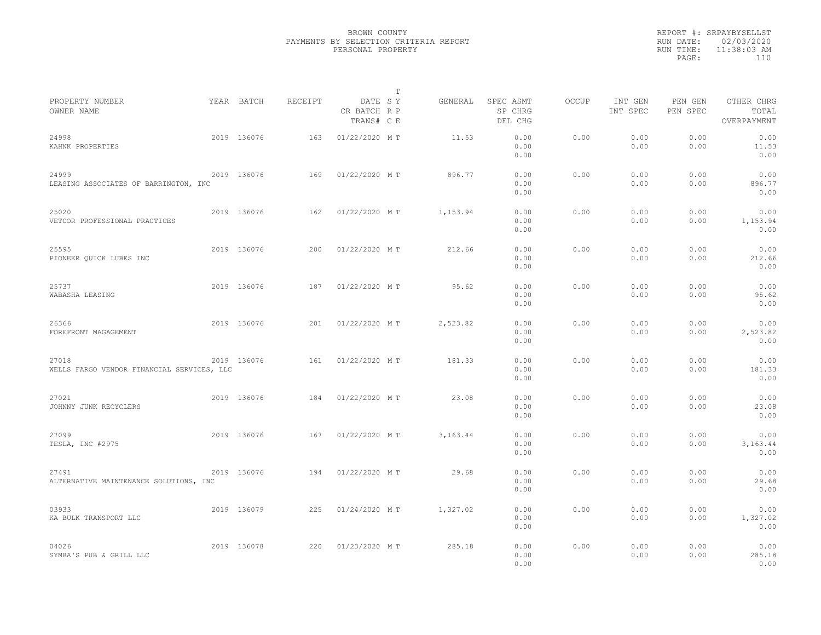|                                                     |             |         |                                       | $\mathbb T$ |           |                                 |              |                     |                     |                                    |  |
|-----------------------------------------------------|-------------|---------|---------------------------------------|-------------|-----------|---------------------------------|--------------|---------------------|---------------------|------------------------------------|--|
| PROPERTY NUMBER<br>OWNER NAME                       | YEAR BATCH  | RECEIPT | DATE SY<br>CR BATCH R P<br>TRANS# C E |             | GENERAL   | SPEC ASMT<br>SP CHRG<br>DEL CHG | <b>OCCUP</b> | INT GEN<br>INT SPEC | PEN GEN<br>PEN SPEC | OTHER CHRG<br>TOTAL<br>OVERPAYMENT |  |
| 24998<br>KAHNK PROPERTIES                           | 2019 136076 | 163     | 01/22/2020 MT                         |             | 11.53     | 0.00<br>0.00<br>0.00            | 0.00         | 0.00<br>0.00        | 0.00<br>0.00        | 0.00<br>11.53<br>0.00              |  |
| 24999<br>LEASING ASSOCIATES OF BARRINGTON, INC      | 2019 136076 | 169     | 01/22/2020 MT                         |             | 896.77    | 0.00<br>0.00<br>0.00            | 0.00         | 0.00<br>0.00        | 0.00<br>0.00        | 0.00<br>896.77<br>0.00             |  |
| 25020<br>VETCOR PROFESSIONAL PRACTICES              | 2019 136076 | 162     | 01/22/2020 MT                         |             | 1,153.94  | 0.00<br>0.00<br>0.00            | 0.00         | 0.00<br>0.00        | 0.00<br>0.00        | 0.00<br>1,153.94<br>0.00           |  |
| 25595<br>PIONEER QUICK LUBES INC                    | 2019 136076 | 200     | 01/22/2020 MT                         |             | 212.66    | 0.00<br>0.00<br>0.00            | 0.00         | 0.00<br>0.00        | 0.00<br>0.00        | 0.00<br>212.66<br>0.00             |  |
| 25737<br>WABASHA LEASING                            | 2019 136076 | 187     | 01/22/2020 MT                         |             | 95.62     | 0.00<br>0.00<br>0.00            | 0.00         | 0.00<br>0.00        | 0.00<br>0.00        | 0.00<br>95.62<br>0.00              |  |
| 26366<br>FOREFRONT MAGAGEMENT                       | 2019 136076 | 201     | 01/22/2020 MT                         |             | 2,523.82  | 0.00<br>0.00<br>0.00            | 0.00         | 0.00<br>0.00        | 0.00<br>0.00        | 0.00<br>2,523.82<br>0.00           |  |
| 27018<br>WELLS FARGO VENDOR FINANCIAL SERVICES, LLC | 2019 136076 | 161     | 01/22/2020 MT                         |             | 181.33    | 0.00<br>0.00<br>0.00            | 0.00         | 0.00<br>0.00        | 0.00<br>0.00        | 0.00<br>181.33<br>0.00             |  |
| 27021<br>JOHNNY JUNK RECYCLERS                      | 2019 136076 | 184     | 01/22/2020 MT                         |             | 23.08     | 0.00<br>0.00<br>0.00            | 0.00         | 0.00<br>0.00        | 0.00<br>0.00        | 0.00<br>23.08<br>0.00              |  |
| 27099<br>TESLA, INC #2975                           | 2019 136076 | 167     | 01/22/2020 MT                         |             | 3, 163.44 | 0.00<br>0.00<br>0.00            | 0.00         | 0.00<br>0.00        | 0.00<br>0.00        | 0.00<br>3,163.44<br>0.00           |  |
| 27491<br>ALTERNATIVE MAINTENANCE SOLUTIONS, INC     | 2019 136076 | 194     | 01/22/2020 MT                         |             | 29.68     | 0.00<br>0.00<br>0.00            | 0.00         | 0.00<br>0.00        | 0.00<br>0.00        | 0.00<br>29.68<br>0.00              |  |
| 03933<br>KA BULK TRANSPORT LLC                      | 2019 136079 | 225     | 01/24/2020 MT                         |             | 1,327.02  | 0.00<br>0.00<br>0.00            | 0.00         | 0.00<br>0.00        | 0.00<br>0.00        | 0.00<br>1,327.02<br>0.00           |  |
| 04026<br>SYMBA'S PUB & GRILL LLC                    | 2019 136078 | 220     | 01/23/2020 MT                         |             | 285.18    | 0.00<br>0.00<br>0.00            | 0.00         | 0.00<br>0.00        | 0.00<br>0.00        | 0.00<br>285.18<br>0.00             |  |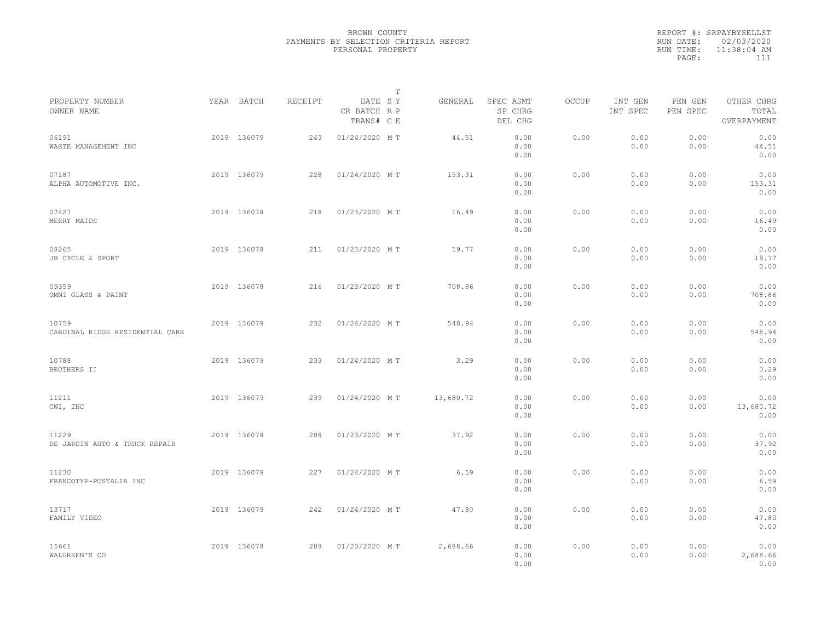|                                          |             |         |                                       | T |           |                                 |              |                     |                     |                                    |  |
|------------------------------------------|-------------|---------|---------------------------------------|---|-----------|---------------------------------|--------------|---------------------|---------------------|------------------------------------|--|
| PROPERTY NUMBER<br>OWNER NAME            | YEAR BATCH  | RECEIPT | DATE SY<br>CR BATCH R P<br>TRANS# C E |   | GENERAL   | SPEC ASMT<br>SP CHRG<br>DEL CHG | <b>OCCUP</b> | INT GEN<br>INT SPEC | PEN GEN<br>PEN SPEC | OTHER CHRG<br>TOTAL<br>OVERPAYMENT |  |
| 06191<br>WASTE MANAGEMENT INC            | 2019 136079 | 243     | 01/24/2020 MT                         |   | 44.51     | 0.00<br>0.00<br>0.00            | 0.00         | 0.00<br>0.00        | 0.00<br>0.00        | 0.00<br>44.51<br>0.00              |  |
| 07187<br>ALPHA AUTOMOTIVE INC.           | 2019 136079 | 228     | 01/24/2020 MT                         |   | 153.31    | 0.00<br>0.00<br>0.00            | 0.00         | 0.00<br>0.00        | 0.00<br>0.00        | 0.00<br>153.31<br>0.00             |  |
| 07427<br>MERRY MAIDS                     | 2019 136078 | 218     | 01/23/2020 MT                         |   | 16.49     | 0.00<br>0.00<br>0.00            | 0.00         | 0.00<br>0.00        | 0.00<br>0.00        | 0.00<br>16.49<br>0.00              |  |
| 08265<br>JB CYCLE & SPORT                | 2019 136078 | 211     | 01/23/2020 MT                         |   | 19.77     | 0.00<br>0.00<br>0.00            | 0.00         | 0.00<br>0.00        | 0.00<br>0.00        | 0.00<br>19.77<br>0.00              |  |
| 09359<br>OMNI GLASS & PAINT              | 2019 136078 | 216     | 01/23/2020 MT                         |   | 708.86    | 0.00<br>0.00<br>0.00            | 0.00         | 0.00<br>0.00        | 0.00<br>0.00        | 0.00<br>708.86<br>0.00             |  |
| 10759<br>CARDINAL RIDGE RESIDENTIAL CARE | 2019 136079 | 232     | 01/24/2020 MT                         |   | 548.94    | 0.00<br>0.00<br>0.00            | 0.00         | 0.00<br>0.00        | 0.00<br>0.00        | 0.00<br>548.94<br>0.00             |  |
| 10788<br>BROTHERS II                     | 2019 136079 | 233     | 01/24/2020 MT                         |   | 3.29      | 0.00<br>0.00<br>0.00            | 0.00         | 0.00<br>0.00        | 0.00<br>0.00        | 0.00<br>3.29<br>0.00               |  |
| 11211<br>CWI, INC                        | 2019 136079 | 239     | 01/24/2020 MT                         |   | 13,680.72 | 0.00<br>0.00<br>0.00            | 0.00         | 0.00<br>0.00        | 0.00<br>0.00        | 0.00<br>13,680.72<br>0.00          |  |
| 11229<br>DE JARDIN AUTO & TRUCK REPAIR   | 2019 136078 | 208     | 01/23/2020 MT                         |   | 37.92     | 0.00<br>0.00<br>0.00            | 0.00         | 0.00<br>0.00        | 0.00<br>0.00        | 0.00<br>37.92<br>0.00              |  |
| 11230<br>FRANCOTYP-POSTALIA INC          | 2019 136079 | 227     | 01/24/2020 MT                         |   | 6.59      | 0.00<br>0.00<br>0.00            | 0.00         | 0.00<br>0.00        | 0.00<br>0.00        | 0.00<br>6.59<br>0.00               |  |
| 13717<br>FAMILY VIDEO                    | 2019 136079 | 242     | 01/24/2020 MT                         |   | 47.80     | 0.00<br>0.00<br>0.00            | 0.00         | 0.00<br>0.00        | 0.00<br>0.00        | 0.00<br>47.80<br>0.00              |  |
| 15661<br>WALGREEN'S CO                   | 2019 136078 | 209     | 01/23/2020 MT                         |   | 2,688.66  | 0.00<br>0.00<br>0.00            | 0.00         | 0.00<br>0.00        | 0.00<br>0.00        | 0.00<br>2,688.66<br>0.00           |  |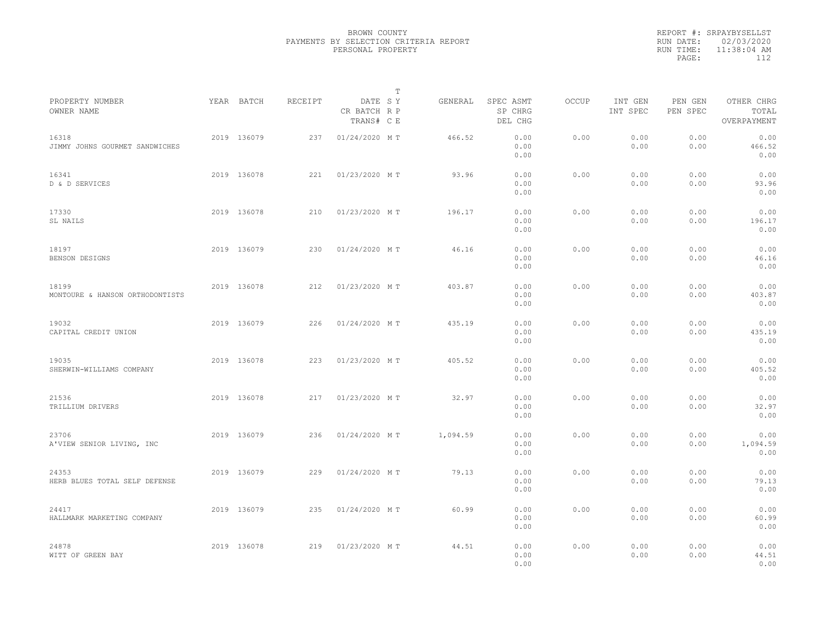|                                          |             |         | $\mathbb{T}$                          |          |                                 |       |                     |                     |                                    |  |
|------------------------------------------|-------------|---------|---------------------------------------|----------|---------------------------------|-------|---------------------|---------------------|------------------------------------|--|
| PROPERTY NUMBER<br>OWNER NAME            | YEAR BATCH  | RECEIPT | DATE SY<br>CR BATCH R P<br>TRANS# C E | GENERAL  | SPEC ASMT<br>SP CHRG<br>DEL CHG | OCCUP | INT GEN<br>INT SPEC | PEN GEN<br>PEN SPEC | OTHER CHRG<br>TOTAL<br>OVERPAYMENT |  |
| 16318<br>JIMMY JOHNS GOURMET SANDWICHES  | 2019 136079 | 237     | 01/24/2020 MT                         | 466.52   | 0.00<br>0.00<br>0.00            | 0.00  | 0.00<br>0.00        | 0.00<br>0.00        | 0.00<br>466.52<br>0.00             |  |
| 16341<br>D & D SERVICES                  | 2019 136078 | 221     | 01/23/2020 MT                         | 93.96    | 0.00<br>0.00<br>0.00            | 0.00  | 0.00<br>0.00        | 0.00<br>0.00        | 0.00<br>93.96<br>0.00              |  |
| 17330<br>SL NAILS                        | 2019 136078 | 210     | 01/23/2020 MT                         | 196.17   | 0.00<br>0.00<br>0.00            | 0.00  | 0.00<br>0.00        | 0.00<br>0.00        | 0.00<br>196.17<br>0.00             |  |
| 18197<br>BENSON DESIGNS                  | 2019 136079 | 230     | 01/24/2020 MT                         | 46.16    | 0.00<br>0.00<br>0.00            | 0.00  | 0.00<br>0.00        | 0.00<br>0.00        | 0.00<br>46.16<br>0.00              |  |
| 18199<br>MONTOURE & HANSON ORTHODONTISTS | 2019 136078 | 212     | 01/23/2020 MT                         | 403.87   | 0.00<br>0.00<br>0.00            | 0.00  | 0.00<br>0.00        | 0.00<br>0.00        | 0.00<br>403.87<br>0.00             |  |
| 19032<br>CAPITAL CREDIT UNION            | 2019 136079 | 226     | 01/24/2020 MT                         | 435.19   | 0.00<br>0.00<br>0.00            | 0.00  | 0.00<br>0.00        | 0.00<br>0.00        | 0.00<br>435.19<br>0.00             |  |
| 19035<br>SHERWIN-WILLIAMS COMPANY        | 2019 136078 | 223     | 01/23/2020 MT                         | 405.52   | 0.00<br>0.00<br>0.00            | 0.00  | 0.00<br>0.00        | 0.00<br>0.00        | 0.00<br>405.52<br>0.00             |  |
| 21536<br>TRILLIUM DRIVERS                | 2019 136078 | 217     | 01/23/2020 MT                         | 32.97    | 0.00<br>0.00<br>0.00            | 0.00  | 0.00<br>0.00        | 0.00<br>0.00        | 0.00<br>32.97<br>0.00              |  |
| 23706<br>A'VIEW SENIOR LIVING, INC       | 2019 136079 | 236     | 01/24/2020 MT                         | 1,094.59 | 0.00<br>0.00<br>0.00            | 0.00  | 0.00<br>0.00        | 0.00<br>0.00        | 0.00<br>1,094.59<br>0.00           |  |
| 24353<br>HERB BLUES TOTAL SELF DEFENSE   | 2019 136079 | 229     | 01/24/2020 MT                         | 79.13    | 0.00<br>0.00<br>0.00            | 0.00  | 0.00<br>0.00        | 0.00<br>0.00        | 0.00<br>79.13<br>0.00              |  |
| 24417<br>HALLMARK MARKETING COMPANY      | 2019 136079 | 235     | 01/24/2020 MT                         | 60.99    | 0.00<br>0.00<br>0.00            | 0.00  | 0.00<br>0.00        | 0.00<br>0.00        | 0.00<br>60.99<br>0.00              |  |
| 24878<br>WITT OF GREEN BAY               | 2019 136078 | 219     | 01/23/2020 MT                         | 44.51    | 0.00<br>0.00<br>0.00            | 0.00  | 0.00<br>0.00        | 0.00<br>0.00        | 0.00<br>44.51<br>0.00              |  |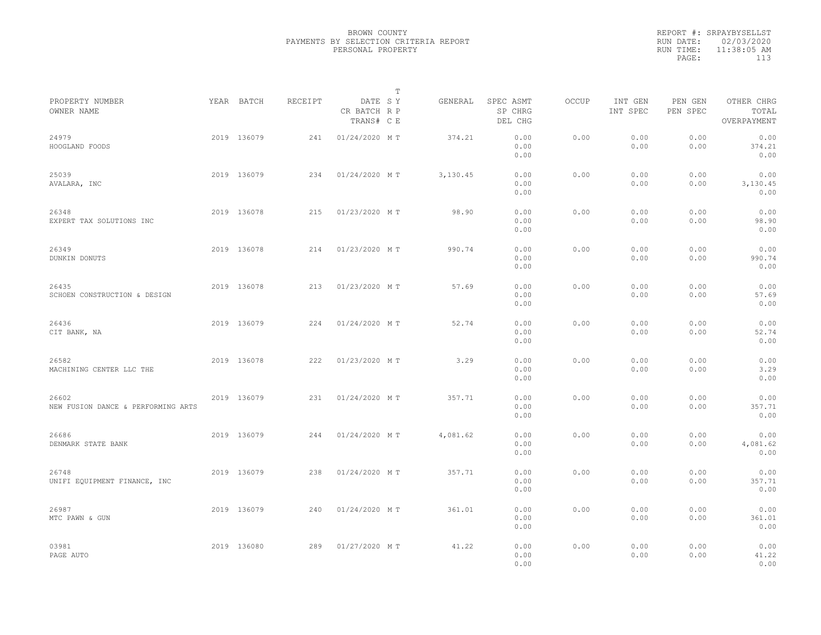|           | REPORT #: SRPAYBYSELLST |
|-----------|-------------------------|
|           | RUN DATE: 02/03/2020    |
| RUN TIME: | 11:38:05 AM             |
| PAGE:     | 113                     |
|           |                         |

|                                             |             |         |                                       | $\mathbb T$ |          |                                 |       |                     |                     |                                    |  |
|---------------------------------------------|-------------|---------|---------------------------------------|-------------|----------|---------------------------------|-------|---------------------|---------------------|------------------------------------|--|
| PROPERTY NUMBER<br>OWNER NAME               | YEAR BATCH  | RECEIPT | DATE SY<br>CR BATCH R P<br>TRANS# C E |             | GENERAL  | SPEC ASMT<br>SP CHRG<br>DEL CHG | OCCUP | INT GEN<br>INT SPEC | PEN GEN<br>PEN SPEC | OTHER CHRG<br>TOTAL<br>OVERPAYMENT |  |
| 24979<br>HOOGLAND FOODS                     | 2019 136079 | 241     | 01/24/2020 MT                         |             | 374.21   | 0.00<br>0.00<br>0.00            | 0.00  | 0.00<br>0.00        | 0.00<br>0.00        | 0.00<br>374.21<br>0.00             |  |
| 25039<br>AVALARA, INC                       | 2019 136079 | 234     | 01/24/2020 MT                         |             | 3,130.45 | 0.00<br>0.00<br>0.00            | 0.00  | 0.00<br>0.00        | 0.00<br>0.00        | 0.00<br>3,130.45<br>0.00           |  |
| 26348<br>EXPERT TAX SOLUTIONS INC           | 2019 136078 | 215     | 01/23/2020 MT                         |             | 98.90    | 0.00<br>0.00<br>0.00            | 0.00  | 0.00<br>0.00        | 0.00<br>0.00        | 0.00<br>98.90<br>0.00              |  |
| 26349<br>DUNKIN DONUTS                      | 2019 136078 | 214     | 01/23/2020 MT                         |             | 990.74   | 0.00<br>0.00<br>0.00            | 0.00  | 0.00<br>0.00        | 0.00<br>0.00        | 0.00<br>990.74<br>0.00             |  |
| 26435<br>SCHOEN CONSTRUCTION & DESIGN       | 2019 136078 | 213     | 01/23/2020 MT                         |             | 57.69    | 0.00<br>0.00<br>0.00            | 0.00  | 0.00<br>0.00        | 0.00<br>0.00        | 0.00<br>57.69<br>0.00              |  |
| 26436<br>CIT BANK, NA                       | 2019 136079 | 224     | 01/24/2020 MT                         |             | 52.74    | 0.00<br>0.00<br>0.00            | 0.00  | 0.00<br>0.00        | 0.00<br>0.00        | 0.00<br>52.74<br>0.00              |  |
| 26582<br>MACHINING CENTER LLC THE           | 2019 136078 | 222     | 01/23/2020 MT                         |             | 3.29     | 0.00<br>0.00<br>0.00            | 0.00  | 0.00<br>0.00        | 0.00<br>0.00        | 0.00<br>3.29<br>0.00               |  |
| 26602<br>NEW FUSION DANCE & PERFORMING ARTS | 2019 136079 | 231     | 01/24/2020 MT                         |             | 357.71   | 0.00<br>0.00<br>0.00            | 0.00  | 0.00<br>0.00        | 0.00<br>0.00        | 0.00<br>357.71<br>0.00             |  |
| 26686<br>DENMARK STATE BANK                 | 2019 136079 | 244     | 01/24/2020 MT                         |             | 4,081.62 | 0.00<br>0.00<br>0.00            | 0.00  | 0.00<br>0.00        | 0.00<br>0.00        | 0.00<br>4,081.62<br>0.00           |  |
| 26748<br>UNIFI EQUIPMENT FINANCE, INC       | 2019 136079 | 238     | 01/24/2020 MT                         |             | 357.71   | 0.00<br>0.00<br>0.00            | 0.00  | 0.00<br>0.00        | 0.00<br>0.00        | 0.00<br>357.71<br>0.00             |  |
| 26987<br>MTC PAWN & GUN                     | 2019 136079 | 240     | 01/24/2020 MT                         |             | 361.01   | 0.00<br>0.00<br>0.00            | 0.00  | 0.00<br>0.00        | 0.00<br>0.00        | 0.00<br>361.01<br>0.00             |  |
| 03981<br>PAGE AUTO                          | 2019 136080 | 289     | 01/27/2020 MT                         |             | 41.22    | 0.00<br>0.00<br>0.00            | 0.00  | 0.00<br>0.00        | 0.00<br>0.00        | 0.00<br>41.22<br>0.00              |  |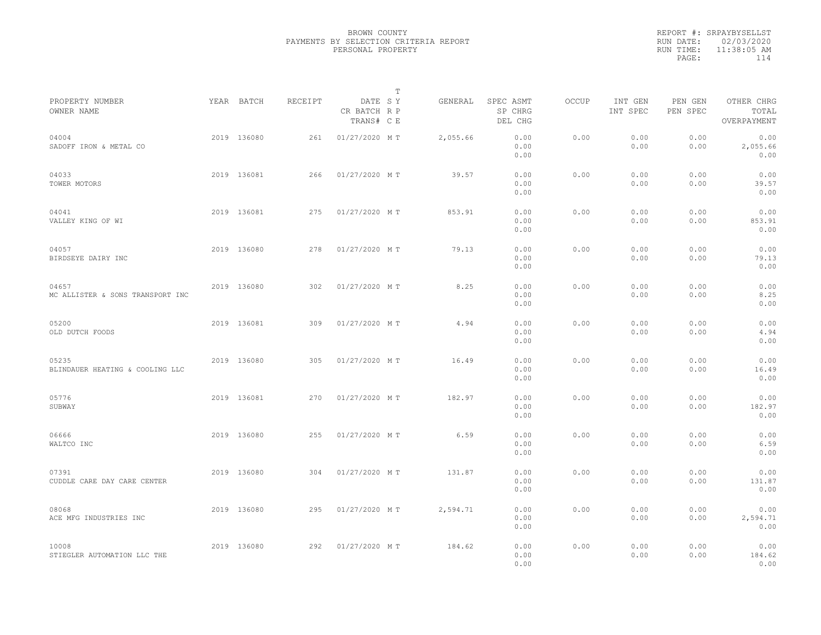|           | REPORT #: SRPAYBYSELLST |
|-----------|-------------------------|
|           | RUN DATE: 02/03/2020    |
| RUN TIME: | 11:38:05 AM             |
| PAGE:     | 114                     |
|           |                         |

|                                           |             |         |                                       | т |          |                                 |       |                     |                     |                                    |  |
|-------------------------------------------|-------------|---------|---------------------------------------|---|----------|---------------------------------|-------|---------------------|---------------------|------------------------------------|--|
| PROPERTY NUMBER<br>OWNER NAME             | YEAR BATCH  | RECEIPT | DATE SY<br>CR BATCH R P<br>TRANS# C E |   | GENERAL  | SPEC ASMT<br>SP CHRG<br>DEL CHG | OCCUP | INT GEN<br>INT SPEC | PEN GEN<br>PEN SPEC | OTHER CHRG<br>TOTAL<br>OVERPAYMENT |  |
| 04004<br>SADOFF IRON & METAL CO           | 2019 136080 | 261     | 01/27/2020 MT                         |   | 2,055.66 | 0.00<br>0.00<br>0.00            | 0.00  | 0.00<br>0.00        | 0.00<br>0.00        | 0.00<br>2,055.66<br>0.00           |  |
| 04033<br>TOWER MOTORS                     | 2019 136081 | 266     | 01/27/2020 MT                         |   | 39.57    | 0.00<br>0.00<br>0.00            | 0.00  | 0.00<br>0.00        | 0.00<br>0.00        | 0.00<br>39.57<br>0.00              |  |
| 04041<br>VALLEY KING OF WI                | 2019 136081 | 275     | 01/27/2020 MT                         |   | 853.91   | 0.00<br>0.00<br>0.00            | 0.00  | 0.00<br>0.00        | 0.00<br>0.00        | 0.00<br>853.91<br>0.00             |  |
| 04057<br>BIRDSEYE DAIRY INC               | 2019 136080 | 278     | 01/27/2020 MT                         |   | 79.13    | 0.00<br>0.00<br>0.00            | 0.00  | 0.00<br>0.00        | 0.00<br>0.00        | 0.00<br>79.13<br>0.00              |  |
| 04657<br>MC ALLISTER & SONS TRANSPORT INC | 2019 136080 | 302     | 01/27/2020 MT                         |   | 8.25     | 0.00<br>0.00<br>0.00            | 0.00  | 0.00<br>0.00        | 0.00<br>0.00        | 0.00<br>8.25<br>0.00               |  |
| 05200<br>OLD DUTCH FOODS                  | 2019 136081 | 309     | 01/27/2020 MT                         |   | 4.94     | 0.00<br>0.00<br>0.00            | 0.00  | 0.00<br>0.00        | 0.00<br>0.00        | 0.00<br>4.94<br>0.00               |  |
| 05235<br>BLINDAUER HEATING & COOLING LLC  | 2019 136080 | 305     | 01/27/2020 MT                         |   | 16.49    | 0.00<br>0.00<br>0.00            | 0.00  | 0.00<br>0.00        | 0.00<br>0.00        | 0.00<br>16.49<br>0.00              |  |
| 05776<br>SUBWAY                           | 2019 136081 | 270     | 01/27/2020 MT                         |   | 182.97   | 0.00<br>0.00<br>0.00            | 0.00  | 0.00<br>0.00        | 0.00<br>0.00        | 0.00<br>182.97<br>0.00             |  |
| 06666<br>WALTCO INC                       | 2019 136080 | 255     | 01/27/2020 MT                         |   | 6.59     | 0.00<br>0.00<br>0.00            | 0.00  | 0.00<br>0.00        | 0.00<br>0.00        | 0.00<br>6.59<br>0.00               |  |
| 07391<br>CUDDLE CARE DAY CARE CENTER      | 2019 136080 | 304     | 01/27/2020 MT                         |   | 131.87   | 0.00<br>0.00<br>0.00            | 0.00  | 0.00<br>0.00        | 0.00<br>0.00        | 0.00<br>131.87<br>0.00             |  |
| 08068<br>ACE MFG INDUSTRIES INC           | 2019 136080 | 295     | 01/27/2020 MT                         |   | 2,594.71 | 0.00<br>0.00<br>0.00            | 0.00  | 0.00<br>0.00        | 0.00<br>0.00        | 0.00<br>2,594.71<br>0.00           |  |
| 10008<br>STIEGLER AUTOMATION LLC THE      | 2019 136080 | 292     | 01/27/2020 MT                         |   | 184.62   | 0.00<br>0.00<br>0.00            | 0.00  | 0.00<br>0.00        | 0.00<br>0.00        | 0.00<br>184.62<br>0.00             |  |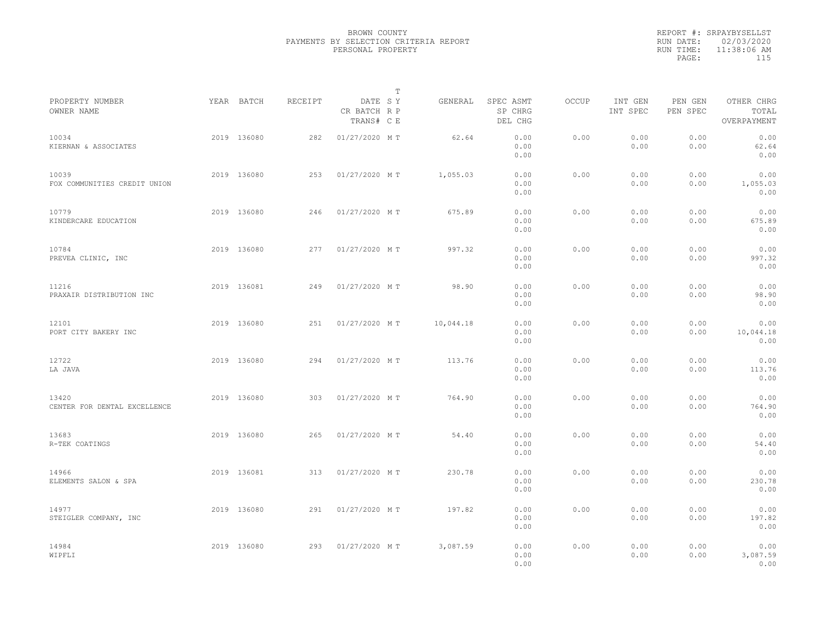|                                       |             |         |                                       | $\mathbb{T}$ |           |                                 |              |                     |                     |                                    |  |
|---------------------------------------|-------------|---------|---------------------------------------|--------------|-----------|---------------------------------|--------------|---------------------|---------------------|------------------------------------|--|
| PROPERTY NUMBER<br>OWNER NAME         | YEAR BATCH  | RECEIPT | DATE SY<br>CR BATCH R P<br>TRANS# C E |              | GENERAL   | SPEC ASMT<br>SP CHRG<br>DEL CHG | <b>OCCUP</b> | INT GEN<br>INT SPEC | PEN GEN<br>PEN SPEC | OTHER CHRG<br>TOTAL<br>OVERPAYMENT |  |
| 10034<br>KIERNAN & ASSOCIATES         | 2019 136080 | 282     | 01/27/2020 MT                         |              | 62.64     | 0.00<br>0.00<br>0.00            | 0.00         | 0.00<br>0.00        | 0.00<br>0.00        | 0.00<br>62.64<br>0.00              |  |
| 10039<br>FOX COMMUNITIES CREDIT UNION | 2019 136080 | 253     | 01/27/2020 MT                         |              | 1,055.03  | 0.00<br>0.00<br>0.00            | 0.00         | 0.00<br>0.00        | 0.00<br>0.00        | 0.00<br>1,055.03<br>0.00           |  |
| 10779<br>KINDERCARE EDUCATION         | 2019 136080 | 246     | 01/27/2020 MT                         |              | 675.89    | 0.00<br>0.00<br>0.00            | 0.00         | 0.00<br>0.00        | 0.00<br>0.00        | 0.00<br>675.89<br>0.00             |  |
| 10784<br>PREVEA CLINIC, INC           | 2019 136080 | 277     | 01/27/2020 MT                         |              | 997.32    | 0.00<br>0.00<br>0.00            | 0.00         | 0.00<br>0.00        | 0.00<br>0.00        | 0.00<br>997.32<br>0.00             |  |
| 11216<br>PRAXAIR DISTRIBUTION INC     | 2019 136081 | 249     | 01/27/2020 MT                         |              | 98.90     | 0.00<br>0.00<br>0.00            | 0.00         | 0.00<br>0.00        | 0.00<br>0.00        | 0.00<br>98.90<br>0.00              |  |
| 12101<br>PORT CITY BAKERY INC         | 2019 136080 | 251     | 01/27/2020 MT                         |              | 10,044.18 | 0.00<br>0.00<br>0.00            | 0.00         | 0.00<br>0.00        | 0.00<br>0.00        | 0.00<br>10,044.18<br>0.00          |  |
| 12722<br>LA JAVA                      | 2019 136080 | 294     | 01/27/2020 MT                         |              | 113.76    | 0.00<br>0.00<br>0.00            | 0.00         | 0.00<br>0.00        | 0.00<br>0.00        | 0.00<br>113.76<br>0.00             |  |
| 13420<br>CENTER FOR DENTAL EXCELLENCE | 2019 136080 | 303     | 01/27/2020 MT                         |              | 764.90    | 0.00<br>0.00<br>0.00            | 0.00         | 0.00<br>0.00        | 0.00<br>0.00        | 0.00<br>764.90<br>0.00             |  |
| 13683<br>R-TEK COATINGS               | 2019 136080 | 265     | 01/27/2020 MT                         |              | 54.40     | 0.00<br>0.00<br>0.00            | 0.00         | 0.00<br>0.00        | 0.00<br>0.00        | 0.00<br>54.40<br>0.00              |  |
| 14966<br>ELEMENTS SALON & SPA         | 2019 136081 | 313     | 01/27/2020 MT                         |              | 230.78    | 0.00<br>0.00<br>0.00            | 0.00         | 0.00<br>0.00        | 0.00<br>0.00        | 0.00<br>230.78<br>0.00             |  |
| 14977<br>STEIGLER COMPANY, INC        | 2019 136080 | 291     | 01/27/2020 MT                         |              | 197.82    | 0.00<br>0.00<br>0.00            | 0.00         | 0.00<br>0.00        | 0.00<br>0.00        | 0.00<br>197.82<br>0.00             |  |
| 14984<br>WIPFLI                       | 2019 136080 | 293     | 01/27/2020 MT                         |              | 3,087.59  | 0.00<br>0.00<br>0.00            | 0.00         | 0.00<br>0.00        | 0.00<br>0.00        | 0.00<br>3,087.59<br>0.00           |  |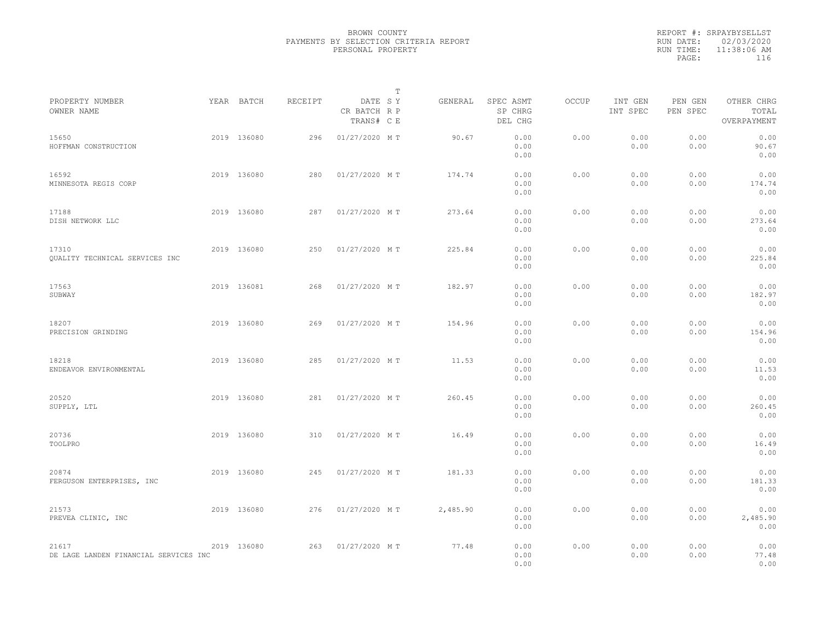|                                                |             |         |                                       | $\mathbb T$ |          |                                 |       |                     |                     |                                    |  |
|------------------------------------------------|-------------|---------|---------------------------------------|-------------|----------|---------------------------------|-------|---------------------|---------------------|------------------------------------|--|
| PROPERTY NUMBER<br>OWNER NAME                  | YEAR BATCH  | RECEIPT | DATE SY<br>CR BATCH R P<br>TRANS# C E |             | GENERAL  | SPEC ASMT<br>SP CHRG<br>DEL CHG | OCCUP | INT GEN<br>INT SPEC | PEN GEN<br>PEN SPEC | OTHER CHRG<br>TOTAL<br>OVERPAYMENT |  |
| 15650<br>HOFFMAN CONSTRUCTION                  | 2019 136080 | 296     | 01/27/2020 MT                         |             | 90.67    | 0.00<br>0.00<br>0.00            | 0.00  | 0.00<br>0.00        | 0.00<br>0.00        | 0.00<br>90.67<br>0.00              |  |
| 16592<br>MINNESOTA REGIS CORP                  | 2019 136080 | 280     | 01/27/2020 MT                         |             | 174.74   | 0.00<br>0.00<br>0.00            | 0.00  | 0.00<br>0.00        | 0.00<br>0.00        | 0.00<br>174.74<br>0.00             |  |
| 17188<br>DISH NETWORK LLC                      | 2019 136080 | 287     | 01/27/2020 MT                         |             | 273.64   | 0.00<br>0.00<br>0.00            | 0.00  | 0.00<br>0.00        | 0.00<br>0.00        | 0.00<br>273.64<br>0.00             |  |
| 17310<br>QUALITY TECHNICAL SERVICES INC        | 2019 136080 | 250     | 01/27/2020 MT                         |             | 225.84   | 0.00<br>0.00<br>0.00            | 0.00  | 0.00<br>0.00        | 0.00<br>0.00        | 0.00<br>225.84<br>0.00             |  |
| 17563<br>SUBWAY                                | 2019 136081 | 268     | 01/27/2020 MT                         |             | 182.97   | 0.00<br>0.00<br>0.00            | 0.00  | 0.00<br>0.00        | 0.00<br>0.00        | 0.00<br>182.97<br>0.00             |  |
| 18207<br>PRECISION GRINDING                    | 2019 136080 | 269     | 01/27/2020 MT                         |             | 154.96   | 0.00<br>0.00<br>0.00            | 0.00  | 0.00<br>0.00        | 0.00<br>0.00        | 0.00<br>154.96<br>0.00             |  |
| 18218<br>ENDEAVOR ENVIRONMENTAL                | 2019 136080 | 285     | 01/27/2020 MT                         |             | 11.53    | 0.00<br>0.00<br>0.00            | 0.00  | 0.00<br>0.00        | 0.00<br>0.00        | 0.00<br>11.53<br>0.00              |  |
| 20520<br>SUPPLY, LTL                           | 2019 136080 | 281     | 01/27/2020 MT                         |             | 260.45   | 0.00<br>0.00<br>0.00            | 0.00  | 0.00<br>0.00        | 0.00<br>0.00        | 0.00<br>260.45<br>0.00             |  |
| 20736<br>TOOLPRO                               | 2019 136080 | 310     | 01/27/2020 MT                         |             | 16.49    | 0.00<br>0.00<br>0.00            | 0.00  | 0.00<br>0.00        | 0.00<br>0.00        | 0.00<br>16.49<br>0.00              |  |
| 20874<br>FERGUSON ENTERPRISES, INC             | 2019 136080 | 245     | 01/27/2020 MT                         |             | 181.33   | 0.00<br>0.00<br>0.00            | 0.00  | 0.00<br>0.00        | 0.00<br>0.00        | 0.00<br>181.33<br>0.00             |  |
| 21573<br>PREVEA CLINIC, INC                    | 2019 136080 | 276     | 01/27/2020 MT                         |             | 2,485.90 | 0.00<br>0.00<br>0.00            | 0.00  | 0.00<br>0.00        | 0.00<br>0.00        | 0.00<br>2,485.90<br>0.00           |  |
| 21617<br>DE LAGE LANDEN FINANCIAL SERVICES INC | 2019 136080 | 263     | 01/27/2020 MT                         |             | 77.48    | 0.00<br>0.00<br>0.00            | 0.00  | 0.00<br>0.00        | 0.00<br>0.00        | 0.00<br>77.48<br>0.00              |  |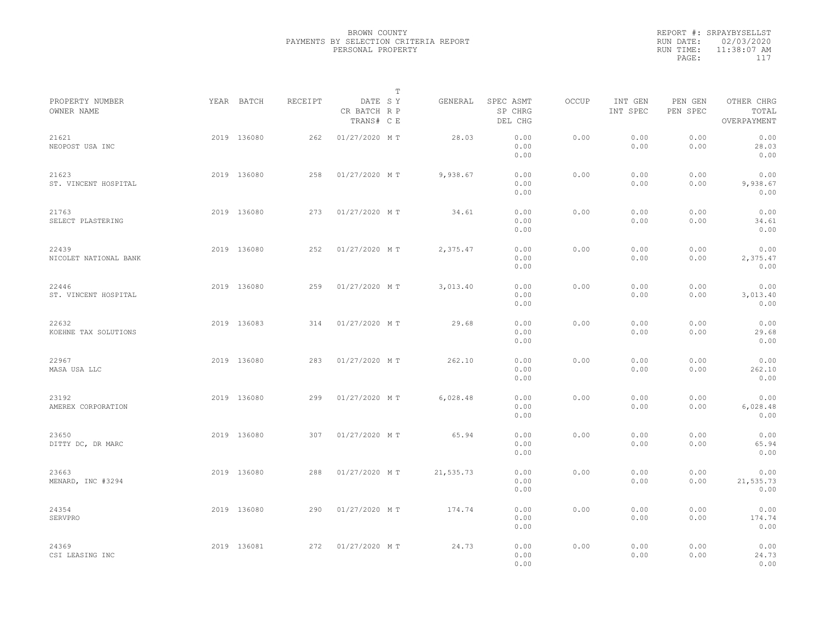|           | REPORT #: SRPAYBYSELLST |  |
|-----------|-------------------------|--|
|           | RUN DATE: 02/03/2020    |  |
| RUN TIME: | $11:38:07$ AM           |  |
| PAGE:     | 117                     |  |
|           |                         |  |

|                                |             |         |                                       | $\mathbb T$ |           |                                 |       |                     |                     |                                    |  |
|--------------------------------|-------------|---------|---------------------------------------|-------------|-----------|---------------------------------|-------|---------------------|---------------------|------------------------------------|--|
| PROPERTY NUMBER<br>OWNER NAME  | YEAR BATCH  | RECEIPT | DATE SY<br>CR BATCH R P<br>TRANS# C E |             | GENERAL   | SPEC ASMT<br>SP CHRG<br>DEL CHG | OCCUP | INT GEN<br>INT SPEC | PEN GEN<br>PEN SPEC | OTHER CHRG<br>TOTAL<br>OVERPAYMENT |  |
| 21621<br>NEOPOST USA INC       | 2019 136080 | 262     | 01/27/2020 MT                         |             | 28.03     | 0.00<br>0.00<br>0.00            | 0.00  | 0.00<br>0.00        | 0.00<br>0.00        | 0.00<br>28.03<br>0.00              |  |
| 21623<br>ST. VINCENT HOSPITAL  | 2019 136080 | 258     | 01/27/2020 MT                         |             | 9,938.67  | 0.00<br>0.00<br>0.00            | 0.00  | 0.00<br>0.00        | 0.00<br>0.00        | 0.00<br>9,938.67<br>0.00           |  |
| 21763<br>SELECT PLASTERING     | 2019 136080 | 273     | 01/27/2020 MT                         |             | 34.61     | 0.00<br>0.00<br>0.00            | 0.00  | 0.00<br>0.00        | 0.00<br>0.00        | 0.00<br>34.61<br>0.00              |  |
| 22439<br>NICOLET NATIONAL BANK | 2019 136080 | 252     | 01/27/2020 MT                         |             | 2,375.47  | 0.00<br>0.00<br>0.00            | 0.00  | 0.00<br>0.00        | 0.00<br>0.00        | 0.00<br>2,375.47<br>0.00           |  |
| 22446<br>ST. VINCENT HOSPITAL  | 2019 136080 | 259     | 01/27/2020 MT                         |             | 3,013.40  | 0.00<br>0.00<br>0.00            | 0.00  | 0.00<br>0.00        | 0.00<br>0.00        | 0.00<br>3,013.40<br>0.00           |  |
| 22632<br>KOEHNE TAX SOLUTIONS  | 2019 136083 | 314     | 01/27/2020 MT                         |             | 29.68     | 0.00<br>0.00<br>0.00            | 0.00  | 0.00<br>0.00        | 0.00<br>0.00        | 0.00<br>29.68<br>0.00              |  |
| 22967<br>MASA USA LLC          | 2019 136080 | 283     | 01/27/2020 MT                         |             | 262.10    | 0.00<br>0.00<br>0.00            | 0.00  | 0.00<br>0.00        | 0.00<br>0.00        | 0.00<br>262.10<br>0.00             |  |
| 23192<br>AMEREX CORPORATION    | 2019 136080 | 299     | 01/27/2020 MT                         |             | 6,028.48  | 0.00<br>0.00<br>0.00            | 0.00  | 0.00<br>0.00        | 0.00<br>0.00        | 0.00<br>6,028.48<br>0.00           |  |
| 23650<br>DITTY DC, DR MARC     | 2019 136080 | 307     | 01/27/2020 MT                         |             | 65.94     | 0.00<br>0.00<br>0.00            | 0.00  | 0.00<br>0.00        | 0.00<br>0.00        | 0.00<br>65.94<br>0.00              |  |
| 23663<br>MENARD, INC #3294     | 2019 136080 | 288     | 01/27/2020 MT                         |             | 21,535.73 | 0.00<br>0.00<br>0.00            | 0.00  | 0.00<br>0.00        | 0.00<br>0.00        | 0.00<br>21,535.73<br>0.00          |  |
| 24354<br>SERVPRO               | 2019 136080 | 290     | 01/27/2020 MT                         |             | 174.74    | 0.00<br>0.00<br>0.00            | 0.00  | 0.00<br>0.00        | 0.00<br>0.00        | 0.00<br>174.74<br>0.00             |  |
| 24369<br>CSI LEASING INC       | 2019 136081 | 272     | 01/27/2020 MT                         |             | 24.73     | 0.00<br>0.00<br>0.00            | 0.00  | 0.00<br>0.00        | 0.00<br>0.00        | 0.00<br>24.73<br>0.00              |  |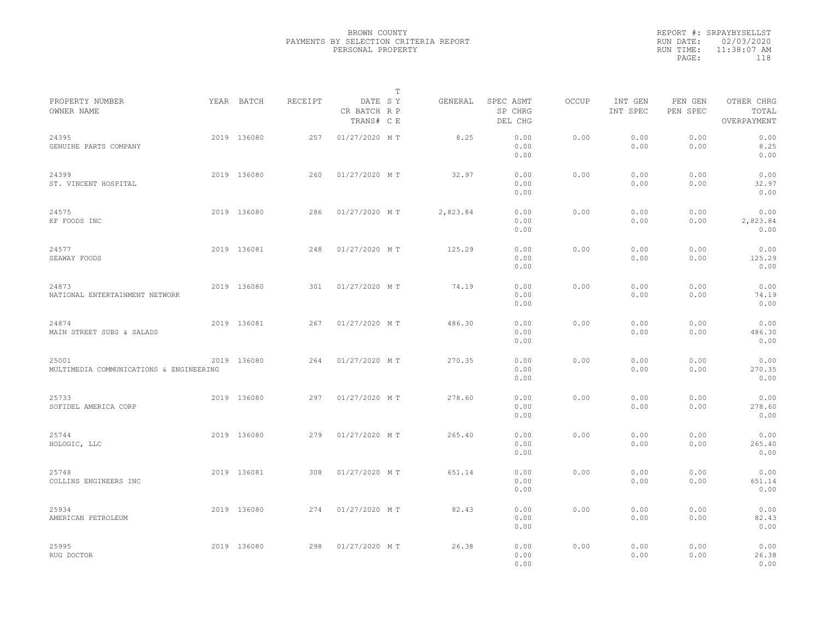|                                                  |             |         |                                       | $\mathbb{T}$ |          |                                 |       |                     |                     |                                    |  |
|--------------------------------------------------|-------------|---------|---------------------------------------|--------------|----------|---------------------------------|-------|---------------------|---------------------|------------------------------------|--|
| PROPERTY NUMBER<br>OWNER NAME                    | YEAR BATCH  | RECEIPT | DATE SY<br>CR BATCH R P<br>TRANS# C E |              | GENERAL  | SPEC ASMT<br>SP CHRG<br>DEL CHG | OCCUP | INT GEN<br>INT SPEC | PEN GEN<br>PEN SPEC | OTHER CHRG<br>TOTAL<br>OVERPAYMENT |  |
| 24395<br>GENUINE PARTS COMPANY                   | 2019 136080 | 257     | 01/27/2020 MT                         |              | 8.25     | 0.00<br>0.00<br>0.00            | 0.00  | 0.00<br>0.00        | 0.00<br>0.00        | 0.00<br>8.25<br>0.00               |  |
| 24399<br>ST. VINCENT HOSPITAL                    | 2019 136080 | 260     | 01/27/2020 MT                         |              | 32.97    | 0.00<br>0.00<br>0.00            | 0.00  | 0.00<br>0.00        | 0.00<br>0.00        | 0.00<br>32.97<br>0.00              |  |
| 24575<br>KF FOODS INC                            | 2019 136080 | 286     | 01/27/2020 MT                         |              | 2,823.84 | 0.00<br>0.00<br>0.00            | 0.00  | 0.00<br>0.00        | 0.00<br>0.00        | 0.00<br>2,823.84<br>0.00           |  |
| 24577<br>SEAWAY FOODS                            | 2019 136081 | 248     | 01/27/2020 MT                         |              | 125.29   | 0.00<br>0.00<br>0.00            | 0.00  | 0.00<br>0.00        | 0.00<br>0.00        | 0.00<br>125.29<br>0.00             |  |
| 24873<br>NATIONAL ENTERTAINMENT NETWORK          | 2019 136080 | 301     | 01/27/2020 MT                         |              | 74.19    | 0.00<br>0.00<br>0.00            | 0.00  | 0.00<br>0.00        | 0.00<br>0.00        | 0.00<br>74.19<br>0.00              |  |
| 24874<br>MAIN STREET SUBS & SALADS               | 2019 136081 | 267     | 01/27/2020 MT                         |              | 486.30   | 0.00<br>0.00<br>0.00            | 0.00  | 0.00<br>0.00        | 0.00<br>0.00        | 0.00<br>486.30<br>0.00             |  |
| 25001<br>MULTIMEDIA COMMUNICATIONS & ENGINEERING | 2019 136080 | 264     | 01/27/2020 MT                         |              | 270.35   | 0.00<br>0.00<br>0.00            | 0.00  | 0.00<br>0.00        | 0.00<br>0.00        | 0.00<br>270.35<br>0.00             |  |
| 25733<br>SOFIDEL AMERICA CORP                    | 2019 136080 | 297     | 01/27/2020 MT                         |              | 278.60   | 0.00<br>0.00<br>0.00            | 0.00  | 0.00<br>0.00        | 0.00<br>0.00        | 0.00<br>278.60<br>0.00             |  |
| 25744<br>HOLOGIC, LLC                            | 2019 136080 | 279     | 01/27/2020 MT                         |              | 265.40   | 0.00<br>0.00<br>0.00            | 0.00  | 0.00<br>0.00        | 0.00<br>0.00        | 0.00<br>265.40<br>0.00             |  |
| 25748<br>COLLINS ENGINEERS INC                   | 2019 136081 | 308     | 01/27/2020 MT                         |              | 651.14   | 0.00<br>0.00<br>0.00            | 0.00  | 0.00<br>0.00        | 0.00<br>0.00        | 0.00<br>651.14<br>0.00             |  |
| 25934<br>AMERICAN PETROLEUM                      | 2019 136080 | 274     | 01/27/2020 MT                         |              | 82.43    | 0.00<br>0.00<br>0.00            | 0.00  | 0.00<br>0.00        | 0.00<br>0.00        | 0.00<br>82.43<br>0.00              |  |
| 25995<br>RUG DOCTOR                              | 2019 136080 | 298     | 01/27/2020 MT                         |              | 26.38    | 0.00<br>0.00<br>0.00            | 0.00  | 0.00<br>0.00        | 0.00<br>0.00        | 0.00<br>26.38<br>0.00              |  |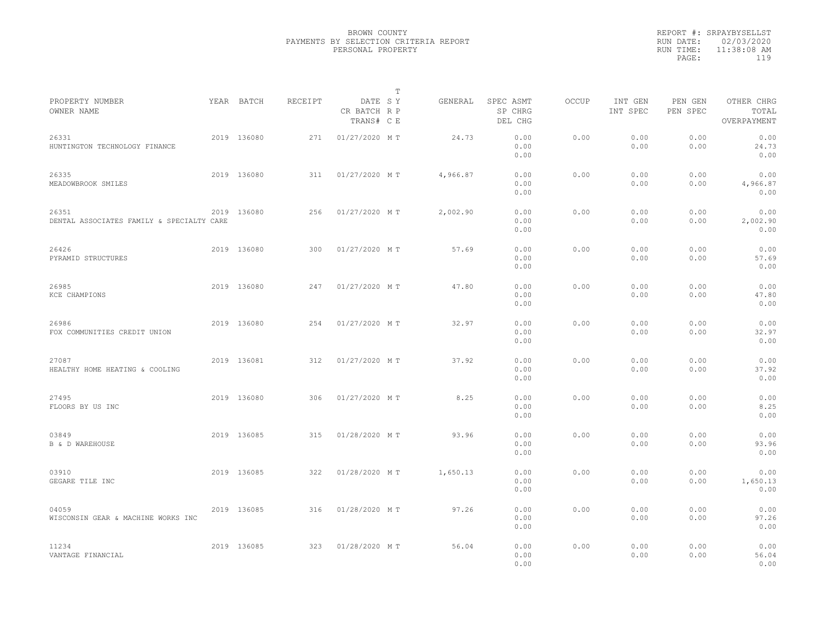|                                                    |             |         |                                       | T |          |                                 |              |                     |                     |                                    |  |
|----------------------------------------------------|-------------|---------|---------------------------------------|---|----------|---------------------------------|--------------|---------------------|---------------------|------------------------------------|--|
| PROPERTY NUMBER<br>OWNER NAME                      | YEAR BATCH  | RECEIPT | DATE SY<br>CR BATCH R P<br>TRANS# C E |   | GENERAL  | SPEC ASMT<br>SP CHRG<br>DEL CHG | <b>OCCUP</b> | INT GEN<br>INT SPEC | PEN GEN<br>PEN SPEC | OTHER CHRG<br>TOTAL<br>OVERPAYMENT |  |
| 26331<br>HUNTINGTON TECHNOLOGY FINANCE             | 2019 136080 | 271     | 01/27/2020 MT                         |   | 24.73    | 0.00<br>0.00<br>0.00            | 0.00         | 0.00<br>0.00        | 0.00<br>0.00        | 0.00<br>24.73<br>0.00              |  |
| 26335<br>MEADOWBROOK SMILES                        | 2019 136080 | 311     | 01/27/2020 MT                         |   | 4,966.87 | 0.00<br>0.00<br>0.00            | 0.00         | 0.00<br>0.00        | 0.00<br>0.00        | 0.00<br>4,966.87<br>0.00           |  |
| 26351<br>DENTAL ASSOCIATES FAMILY & SPECIALTY CARE | 2019 136080 | 256     | 01/27/2020 MT                         |   | 2,002.90 | 0.00<br>0.00<br>0.00            | 0.00         | 0.00<br>0.00        | 0.00<br>0.00        | 0.00<br>2,002.90<br>0.00           |  |
| 26426<br>PYRAMID STRUCTURES                        | 2019 136080 | 300     | 01/27/2020 MT                         |   | 57.69    | 0.00<br>0.00<br>0.00            | 0.00         | 0.00<br>0.00        | 0.00<br>0.00        | 0.00<br>57.69<br>0.00              |  |
| 26985<br>KCE CHAMPIONS                             | 2019 136080 | 247     | 01/27/2020 MT                         |   | 47.80    | 0.00<br>0.00<br>0.00            | 0.00         | 0.00<br>0.00        | 0.00<br>0.00        | 0.00<br>47.80<br>0.00              |  |
| 26986<br>FOX COMMUNITIES CREDIT UNION              | 2019 136080 | 254     | 01/27/2020 MT                         |   | 32.97    | 0.00<br>0.00<br>0.00            | 0.00         | 0.00<br>0.00        | 0.00<br>0.00        | 0.00<br>32.97<br>0.00              |  |
| 27087<br>HEALTHY HOME HEATING & COOLING            | 2019 136081 | 312     | 01/27/2020 MT                         |   | 37.92    | 0.00<br>0.00<br>0.00            | 0.00         | 0.00<br>0.00        | 0.00<br>0.00        | 0.00<br>37.92<br>0.00              |  |
| 27495<br>FLOORS BY US INC                          | 2019 136080 | 306     | 01/27/2020 MT                         |   | 8.25     | 0.00<br>0.00<br>0.00            | 0.00         | 0.00<br>0.00        | 0.00<br>0.00        | 0.00<br>8.25<br>0.00               |  |
| 03849<br><b>B</b> & <b>D</b> WAREHOUSE             | 2019 136085 | 315     | 01/28/2020 MT                         |   | 93.96    | 0.00<br>0.00<br>0.00            | 0.00         | 0.00<br>0.00        | 0.00<br>0.00        | 0.00<br>93.96<br>0.00              |  |
| 03910<br>GEGARE TILE INC                           | 2019 136085 | 322     | 01/28/2020 MT                         |   | 1,650.13 | 0.00<br>0.00<br>0.00            | 0.00         | 0.00<br>0.00        | 0.00<br>0.00        | 0.00<br>1,650.13<br>0.00           |  |
| 04059<br>WISCONSIN GEAR & MACHINE WORKS INC        | 2019 136085 | 316     | 01/28/2020 MT                         |   | 97.26    | 0.00<br>0.00<br>0.00            | 0.00         | 0.00<br>0.00        | 0.00<br>0.00        | 0.00<br>97.26<br>0.00              |  |
| 11234<br>VANTAGE FINANCIAL                         | 2019 136085 | 323     | 01/28/2020 MT                         |   | 56.04    | 0.00<br>0.00<br>0.00            | 0.00         | 0.00<br>0.00        | 0.00<br>0.00        | 0.00<br>56.04<br>0.00              |  |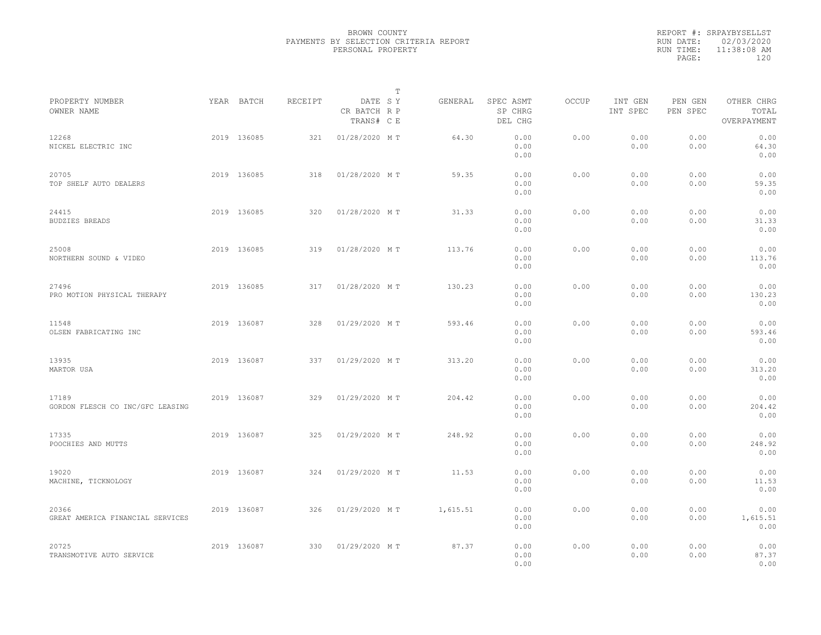|                                           |             |         | $\mathbb T$                           |          |                                 |       |                     |                     |                                    |  |
|-------------------------------------------|-------------|---------|---------------------------------------|----------|---------------------------------|-------|---------------------|---------------------|------------------------------------|--|
| PROPERTY NUMBER<br>OWNER NAME             | YEAR BATCH  | RECEIPT | DATE SY<br>CR BATCH R P<br>TRANS# C E | GENERAL  | SPEC ASMT<br>SP CHRG<br>DEL CHG | OCCUP | INT GEN<br>INT SPEC | PEN GEN<br>PEN SPEC | OTHER CHRG<br>TOTAL<br>OVERPAYMENT |  |
| 12268<br>NICKEL ELECTRIC INC              | 2019 136085 | 321     | 01/28/2020 MT                         | 64.30    | 0.00<br>0.00<br>0.00            | 0.00  | 0.00<br>0.00        | 0.00<br>0.00        | 0.00<br>64.30<br>0.00              |  |
| 20705<br>TOP SHELF AUTO DEALERS           | 2019 136085 | 318     | 01/28/2020 MT                         | 59.35    | 0.00<br>0.00<br>0.00            | 0.00  | 0.00<br>0.00        | 0.00<br>0.00        | 0.00<br>59.35<br>0.00              |  |
| 24415<br><b>BUDZIES BREADS</b>            | 2019 136085 | 320     | 01/28/2020 MT                         | 31.33    | 0.00<br>0.00<br>0.00            | 0.00  | 0.00<br>0.00        | 0.00<br>0.00        | 0.00<br>31.33<br>0.00              |  |
| 25008<br>NORTHERN SOUND & VIDEO           | 2019 136085 | 319     | 01/28/2020 MT                         | 113.76   | 0.00<br>0.00<br>0.00            | 0.00  | 0.00<br>0.00        | 0.00<br>0.00        | 0.00<br>113.76<br>0.00             |  |
| 27496<br>PRO MOTION PHYSICAL THERAPY      | 2019 136085 | 317     | 01/28/2020 MT                         | 130.23   | 0.00<br>0.00<br>0.00            | 0.00  | 0.00<br>0.00        | 0.00<br>0.00        | 0.00<br>130.23<br>0.00             |  |
| 11548<br>OLSEN FABRICATING INC            | 2019 136087 | 328     | 01/29/2020 MT                         | 593.46   | 0.00<br>0.00<br>0.00            | 0.00  | 0.00<br>0.00        | 0.00<br>0.00        | 0.00<br>593.46<br>0.00             |  |
| 13935<br>MARTOR USA                       | 2019 136087 | 337     | 01/29/2020 MT                         | 313.20   | 0.00<br>0.00<br>0.00            | 0.00  | 0.00<br>0.00        | 0.00<br>0.00        | 0.00<br>313.20<br>0.00             |  |
| 17189<br>GORDON FLESCH CO INC/GFC LEASING | 2019 136087 | 329     | 01/29/2020 MT                         | 204.42   | 0.00<br>0.00<br>0.00            | 0.00  | 0.00<br>0.00        | 0.00<br>0.00        | 0.00<br>204.42<br>0.00             |  |
| 17335<br>POOCHIES AND MUTTS               | 2019 136087 | 325     | 01/29/2020 MT                         | 248.92   | 0.00<br>0.00<br>0.00            | 0.00  | 0.00<br>0.00        | 0.00<br>0.00        | 0.00<br>248.92<br>0.00             |  |
| 19020<br>MACHINE, TICKNOLOGY              | 2019 136087 | 324     | 01/29/2020 MT                         | 11.53    | 0.00<br>0.00<br>0.00            | 0.00  | 0.00<br>0.00        | 0.00<br>0.00        | 0.00<br>11.53<br>0.00              |  |
| 20366<br>GREAT AMERICA FINANCIAL SERVICES | 2019 136087 | 326     | 01/29/2020 MT                         | 1,615.51 | 0.00<br>0.00<br>0.00            | 0.00  | 0.00<br>0.00        | 0.00<br>0.00        | 0.00<br>1,615.51<br>0.00           |  |
| 20725<br>TRANSMOTIVE AUTO SERVICE         | 2019 136087 | 330     | 01/29/2020 MT                         | 87.37    | 0.00<br>0.00<br>0.00            | 0.00  | 0.00<br>0.00        | 0.00<br>0.00        | 0.00<br>87.37<br>0.00              |  |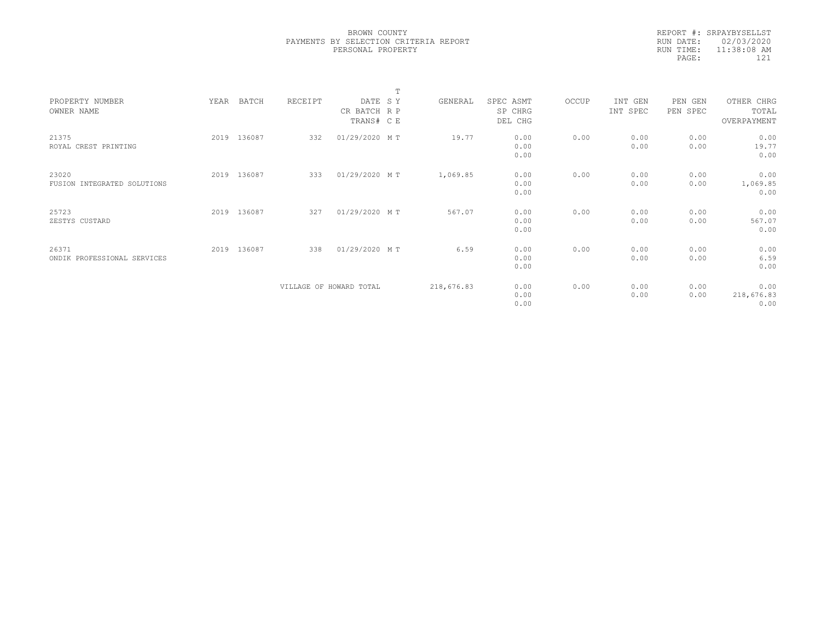|            | REPORT #: SRPAYBYSELLST |  |
|------------|-------------------------|--|
|            | RUN DATE: 02/03/2020    |  |
| RIIN TIME: | $11:38:08$ AM           |  |
| PAGE:      | 121                     |  |

|                             |      |             |         |                         | $\mathbf{r}$ |            |           |       |          |          |             |  |
|-----------------------------|------|-------------|---------|-------------------------|--------------|------------|-----------|-------|----------|----------|-------------|--|
| PROPERTY NUMBER             | YEAR | BATCH       | RECEIPT | DATE SY                 |              | GENERAL    | SPEC ASMT | OCCUP | INT GEN  | PEN GEN  | OTHER CHRG  |  |
| OWNER NAME                  |      |             |         | CR BATCH R P            |              |            | SP CHRG   |       | INT SPEC | PEN SPEC | TOTAL       |  |
|                             |      |             |         | TRANS# C E              |              |            | DEL CHG   |       |          |          | OVERPAYMENT |  |
|                             |      |             |         |                         |              |            |           |       |          |          |             |  |
| 21375                       | 2019 | 136087      | 332     | 01/29/2020 MT           |              | 19.77      | 0.00      | 0.00  | 0.00     | 0.00     | 0.00        |  |
| ROYAL CREST PRINTING        |      |             |         |                         |              |            | 0.00      |       | 0.00     | 0.00     | 19.77       |  |
|                             |      |             |         |                         |              |            | 0.00      |       |          |          | 0.00        |  |
|                             |      |             |         |                         |              |            |           |       |          |          |             |  |
| 23020                       |      | 2019 136087 | 333     | 01/29/2020 MT           |              | 1,069.85   | 0.00      | 0.00  | 0.00     | 0.00     | 0.00        |  |
| FUSION INTEGRATED SOLUTIONS |      |             |         |                         |              |            | 0.00      |       | 0.00     | 0.00     | 1,069.85    |  |
|                             |      |             |         |                         |              |            | 0.00      |       |          |          | 0.00        |  |
| 25723                       |      | 2019 136087 | 327     | 01/29/2020 MT           |              | 567.07     | 0.00      | 0.00  | 0.00     | 0.00     | 0.00        |  |
| ZESTYS CUSTARD              |      |             |         |                         |              |            | 0.00      |       | 0.00     | 0.00     | 567.07      |  |
|                             |      |             |         |                         |              |            | 0.00      |       |          |          | 0.00        |  |
|                             |      |             |         |                         |              |            |           |       |          |          |             |  |
| 26371                       | 2019 | 136087      | 338     | 01/29/2020 MT           |              | 6.59       | 0.00      | 0.00  | 0.00     | 0.00     | 0.00        |  |
| ONDIK PROFESSIONAL SERVICES |      |             |         |                         |              |            | 0.00      |       | 0.00     | 0.00     | 6.59        |  |
|                             |      |             |         |                         |              |            | 0.00      |       |          |          | 0.00        |  |
|                             |      |             |         |                         |              |            |           |       |          |          |             |  |
|                             |      |             |         | VILLAGE OF HOWARD TOTAL |              | 218,676.83 | 0.00      | 0.00  | 0.00     | 0.00     | 0.00        |  |
|                             |      |             |         |                         |              |            | 0.00      |       | 0.00     | 0.00     | 218,676.83  |  |
|                             |      |             |         |                         |              |            | 0.00      |       |          |          | 0.00        |  |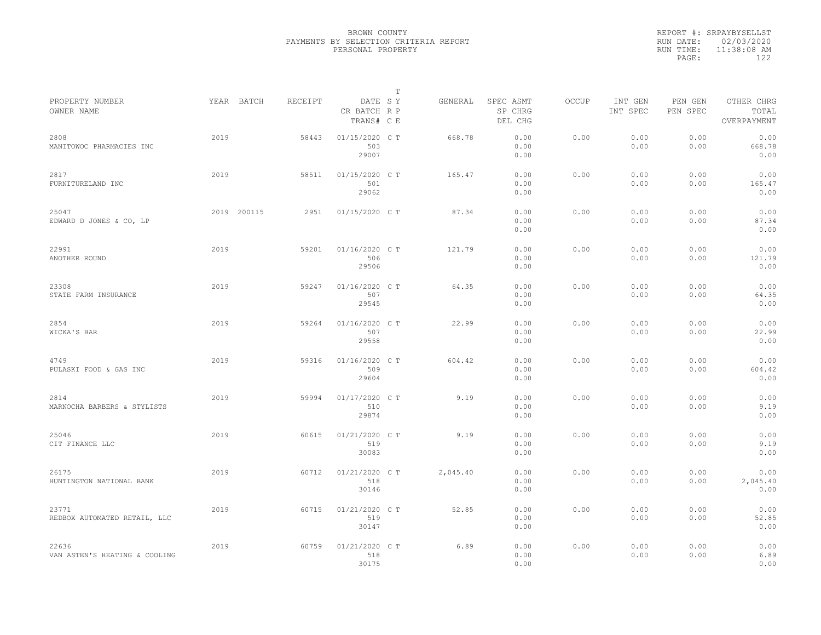|           | REPORT #: SRPAYBYSELLST |
|-----------|-------------------------|
|           | RUN DATE: 02/03/2020    |
| RUN TIME: | 11:38:08 AM             |
| PAGE:     | 122                     |
|           |                         |

|                                        |      |             |         |                                       | $\mathbb T$ |          |                                 |       |                     |                     |                                    |  |
|----------------------------------------|------|-------------|---------|---------------------------------------|-------------|----------|---------------------------------|-------|---------------------|---------------------|------------------------------------|--|
| PROPERTY NUMBER<br>OWNER NAME          |      | YEAR BATCH  | RECEIPT | DATE SY<br>CR BATCH R P<br>TRANS# C E |             | GENERAL  | SPEC ASMT<br>SP CHRG<br>DEL CHG | OCCUP | INT GEN<br>INT SPEC | PEN GEN<br>PEN SPEC | OTHER CHRG<br>TOTAL<br>OVERPAYMENT |  |
| 2808<br>MANITOWOC PHARMACIES INC       | 2019 |             | 58443   | 01/15/2020 C T<br>503<br>29007        |             | 668.78   | 0.00<br>0.00<br>0.00            | 0.00  | 0.00<br>0.00        | 0.00<br>0.00        | 0.00<br>668.78<br>0.00             |  |
| 2817<br>FURNITURELAND INC              | 2019 |             | 58511   | 01/15/2020 C T<br>501<br>29062        |             | 165.47   | 0.00<br>0.00<br>0.00            | 0.00  | 0.00<br>0.00        | 0.00<br>0.00        | 0.00<br>165.47<br>0.00             |  |
| 25047<br>EDWARD D JONES & CO, LP       |      | 2019 200115 | 2951    | 01/15/2020 C T                        |             | 87.34    | 0.00<br>0.00<br>0.00            | 0.00  | 0.00<br>0.00        | 0.00<br>0.00        | 0.00<br>87.34<br>0.00              |  |
| 22991<br>ANOTHER ROUND                 | 2019 |             | 59201   | 01/16/2020 C T<br>506<br>29506        |             | 121.79   | 0.00<br>0.00<br>0.00            | 0.00  | 0.00<br>0.00        | 0.00<br>0.00        | 0.00<br>121.79<br>0.00             |  |
| 23308<br>STATE FARM INSURANCE          | 2019 |             | 59247   | 01/16/2020 C T<br>507<br>29545        |             | 64.35    | 0.00<br>0.00<br>0.00            | 0.00  | 0.00<br>0.00        | 0.00<br>0.00        | 0.00<br>64.35<br>0.00              |  |
| 2854<br>WICKA'S BAR                    | 2019 |             | 59264   | 01/16/2020 C T<br>507<br>29558        |             | 22.99    | 0.00<br>0.00<br>0.00            | 0.00  | 0.00<br>0.00        | 0.00<br>0.00        | 0.00<br>22.99<br>0.00              |  |
| 4749<br>PULASKI FOOD & GAS INC         | 2019 |             | 59316   | 01/16/2020 C T<br>509<br>29604        |             | 604.42   | 0.00<br>0.00<br>0.00            | 0.00  | 0.00<br>0.00        | 0.00<br>0.00        | 0.00<br>604.42<br>0.00             |  |
| 2814<br>MARNOCHA BARBERS & STYLISTS    | 2019 |             | 59994   | 01/17/2020 C T<br>510<br>29874        |             | 9.19     | 0.00<br>0.00<br>0.00            | 0.00  | 0.00<br>0.00        | 0.00<br>0.00        | 0.00<br>9.19<br>0.00               |  |
| 25046<br>CIT FINANCE LLC               | 2019 |             | 60615   | 01/21/2020 C T<br>519<br>30083        |             | 9.19     | 0.00<br>0.00<br>0.00            | 0.00  | 0.00<br>0.00        | 0.00<br>0.00        | 0.00<br>9.19<br>0.00               |  |
| 26175<br>HUNTINGTON NATIONAL BANK      | 2019 |             | 60712   | 01/21/2020 C T<br>518<br>30146        |             | 2,045.40 | 0.00<br>0.00<br>0.00            | 0.00  | 0.00<br>0.00        | 0.00<br>0.00        | 0.00<br>2,045.40<br>0.00           |  |
| 23771<br>REDBOX AUTOMATED RETAIL, LLC  | 2019 |             | 60715   | 01/21/2020 C T<br>519<br>30147        |             | 52.85    | 0.00<br>0.00<br>0.00            | 0.00  | 0.00<br>0.00        | 0.00<br>0.00        | 0.00<br>52.85<br>0.00              |  |
| 22636<br>VAN ASTEN'S HEATING & COOLING | 2019 |             | 60759   | 01/21/2020 C T<br>518<br>30175        |             | 6.89     | 0.00<br>0.00<br>0.00            | 0.00  | 0.00<br>0.00        | 0.00<br>0.00        | 0.00<br>6.89<br>0.00               |  |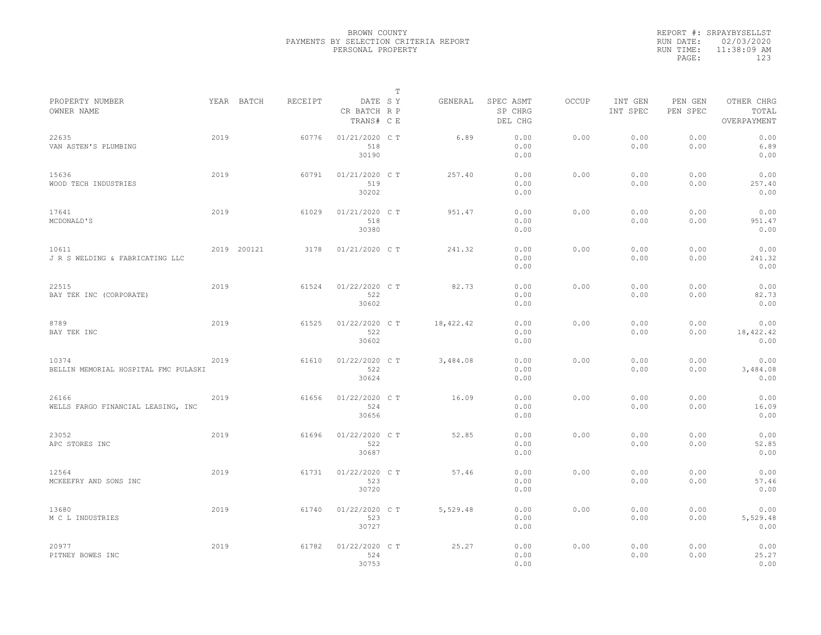|           | REPORT #: SRPAYBYSELLST |
|-----------|-------------------------|
|           | RUN DATE: 02/03/2020    |
| RUN TIME: | 11:38:09 AM             |
| PAGE:     | 123                     |
|           |                         |

|                                               |      |             |         |                                       | T |           |                                 |              |                     |                     |                                    |  |
|-----------------------------------------------|------|-------------|---------|---------------------------------------|---|-----------|---------------------------------|--------------|---------------------|---------------------|------------------------------------|--|
| PROPERTY NUMBER<br>OWNER NAME                 |      | YEAR BATCH  | RECEIPT | DATE SY<br>CR BATCH R P<br>TRANS# C E |   | GENERAL   | SPEC ASMT<br>SP CHRG<br>DEL CHG | <b>OCCUP</b> | INT GEN<br>INT SPEC | PEN GEN<br>PEN SPEC | OTHER CHRG<br>TOTAL<br>OVERPAYMENT |  |
| 22635<br>VAN ASTEN'S PLUMBING                 | 2019 |             | 60776   | 01/21/2020 C T<br>518<br>30190        |   | 6.89      | 0.00<br>0.00<br>0.00            | 0.00         | 0.00<br>0.00        | 0.00<br>0.00        | 0.00<br>6.89<br>0.00               |  |
| 15636<br>WOOD TECH INDUSTRIES                 | 2019 |             | 60791   | 01/21/2020 C T<br>519<br>30202        |   | 257.40    | 0.00<br>0.00<br>0.00            | 0.00         | 0.00<br>0.00        | 0.00<br>0.00        | 0.00<br>257.40<br>0.00             |  |
| 17641<br>MCDONALD'S                           | 2019 |             | 61029   | 01/21/2020 C T<br>518<br>30380        |   | 951.47    | 0.00<br>0.00<br>0.00            | 0.00         | 0.00<br>0.00        | 0.00<br>0.00        | 0.00<br>951.47<br>0.00             |  |
| 10611<br>J R S WELDING & FABRICATING LLC      |      | 2019 200121 | 3178    | 01/21/2020 C T                        |   | 241.32    | 0.00<br>0.00<br>0.00            | 0.00         | 0.00<br>0.00        | 0.00<br>0.00        | 0.00<br>241.32<br>0.00             |  |
| 22515<br>BAY TEK INC (CORPORATE)              | 2019 |             | 61524   | 01/22/2020 C T<br>522<br>30602        |   | 82.73     | 0.00<br>0.00<br>0.00            | 0.00         | 0.00<br>0.00        | 0.00<br>0.00        | 0.00<br>82.73<br>0.00              |  |
| 8789<br>BAY TEK INC                           | 2019 |             | 61525   | 01/22/2020 C T<br>522<br>30602        |   | 18,422.42 | 0.00<br>0.00<br>0.00            | 0.00         | 0.00<br>0.00        | 0.00<br>0.00        | 0.00<br>18,422.42<br>0.00          |  |
| 10374<br>BELLIN MEMORIAL HOSPITAL FMC PULASKI | 2019 |             | 61610   | 01/22/2020 C T<br>522<br>30624        |   | 3,484.08  | 0.00<br>0.00<br>0.00            | 0.00         | 0.00<br>0.00        | 0.00<br>0.00        | 0.00<br>3,484.08<br>0.00           |  |
| 26166<br>WELLS FARGO FINANCIAL LEASING, INC   | 2019 |             | 61656   | 01/22/2020 C T<br>524<br>30656        |   | 16.09     | 0.00<br>0.00<br>0.00            | 0.00         | 0.00<br>0.00        | 0.00<br>0.00        | 0.00<br>16.09<br>0.00              |  |
| 23052<br>APC STORES INC                       | 2019 |             | 61696   | 01/22/2020 C T<br>522<br>30687        |   | 52.85     | 0.00<br>0.00<br>0.00            | 0.00         | 0.00<br>0.00        | 0.00<br>0.00        | 0.00<br>52.85<br>0.00              |  |
| 12564<br>MCKEEFRY AND SONS INC                | 2019 |             | 61731   | 01/22/2020 C T<br>523<br>30720        |   | 57.46     | 0.00<br>0.00<br>0.00            | 0.00         | 0.00<br>0.00        | 0.00<br>0.00        | 0.00<br>57.46<br>0.00              |  |
| 13680<br>M C L INDUSTRIES                     | 2019 |             | 61740   | 01/22/2020 C T<br>523<br>30727        |   | 5,529.48  | 0.00<br>0.00<br>0.00            | 0.00         | 0.00<br>0.00        | 0.00<br>0.00        | 0.00<br>5,529.48<br>0.00           |  |
| 20977<br>PITNEY BOWES INC                     | 2019 |             | 61782   | 01/22/2020 CT<br>524<br>30753         |   | 25.27     | 0.00<br>0.00<br>0.00            | 0.00         | 0.00<br>0.00        | 0.00<br>0.00        | 0.00<br>25.27<br>0.00              |  |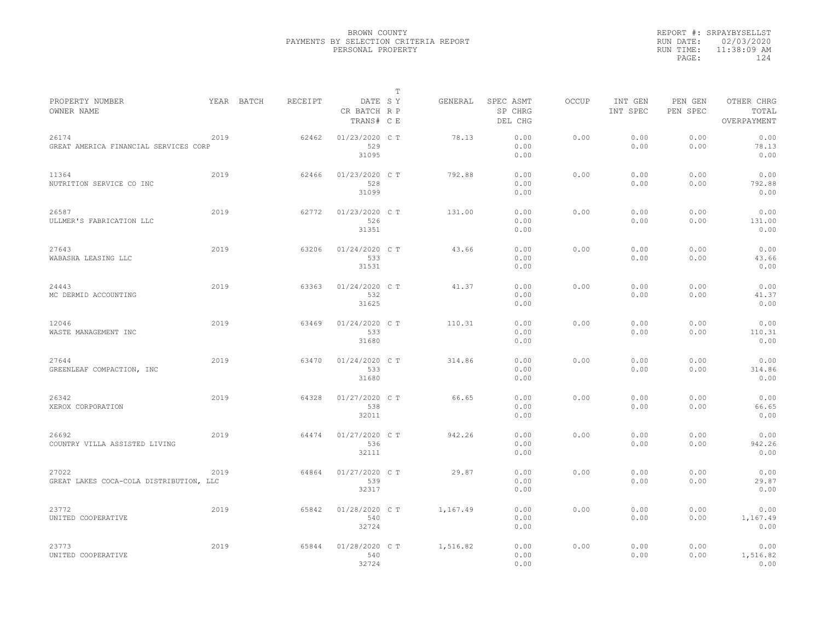|           | REPORT #: SRPAYBYSELLST |
|-----------|-------------------------|
|           | RUN DATE: 02/03/2020    |
| RUN TIME: | 11:38:09 AM             |
| PAGE:     | 124                     |
|           |                         |

|                                                  |      |            |         |                                       | $\mathbb T$ |          |                                 |              |                     |                     |                                    |
|--------------------------------------------------|------|------------|---------|---------------------------------------|-------------|----------|---------------------------------|--------------|---------------------|---------------------|------------------------------------|
| PROPERTY NUMBER<br>OWNER NAME                    |      | YEAR BATCH | RECEIPT | DATE SY<br>CR BATCH R P<br>TRANS# C E |             | GENERAL  | SPEC ASMT<br>SP CHRG<br>DEL CHG | <b>OCCUP</b> | INT GEN<br>INT SPEC | PEN GEN<br>PEN SPEC | OTHER CHRG<br>TOTAL<br>OVERPAYMENT |
| 26174<br>GREAT AMERICA FINANCIAL SERVICES CORP   | 2019 |            | 62462   | 01/23/2020 C T<br>529<br>31095        |             | 78.13    | 0.00<br>0.00<br>0.00            | 0.00         | 0.00<br>0.00        | 0.00<br>0.00        | 0.00<br>78.13<br>0.00              |
| 11364<br>NUTRITION SERVICE CO INC                | 2019 |            | 62466   | 01/23/2020 C T<br>528<br>31099        |             | 792.88   | 0.00<br>0.00<br>0.00            | 0.00         | 0.00<br>0.00        | 0.00<br>0.00        | 0.00<br>792.88<br>0.00             |
| 26587<br>ULLMER'S FABRICATION LLC                | 2019 |            | 62772   | 01/23/2020 C T<br>526<br>31351        |             | 131.00   | 0.00<br>0.00<br>0.00            | 0.00         | 0.00<br>0.00        | 0.00<br>0.00        | 0.00<br>131.00<br>0.00             |
| 27643<br>WABASHA LEASING LLC                     | 2019 |            | 63206   | 01/24/2020 C T<br>533<br>31531        |             | 43.66    | 0.00<br>0.00<br>0.00            | 0.00         | 0.00<br>0.00        | 0.00<br>0.00        | 0.00<br>43.66<br>0.00              |
| 24443<br>MC DERMID ACCOUNTING                    | 2019 |            | 63363   | 01/24/2020 C T<br>532<br>31625        |             | 41.37    | 0.00<br>0.00<br>0.00            | 0.00         | 0.00<br>0.00        | 0.00<br>0.00        | 0.00<br>41.37<br>0.00              |
| 12046<br>WASTE MANAGEMENT INC                    | 2019 |            | 63469   | 01/24/2020 C T<br>533<br>31680        |             | 110.31   | 0.00<br>0.00<br>0.00            | 0.00         | 0.00<br>0.00        | 0.00<br>0.00        | 0.00<br>110.31<br>0.00             |
| 27644<br>GREENLEAF COMPACTION, INC               | 2019 |            | 63470   | 01/24/2020 C T<br>533<br>31680        |             | 314.86   | 0.00<br>0.00<br>0.00            | 0.00         | 0.00<br>0.00        | 0.00<br>0.00        | 0.00<br>314.86<br>0.00             |
| 26342<br>XEROX CORPORATION                       | 2019 |            | 64328   | 01/27/2020 C T<br>538<br>32011        |             | 66.65    | 0.00<br>0.00<br>0.00            | 0.00         | 0.00<br>0.00        | 0.00<br>0.00        | 0.00<br>66.65<br>0.00              |
| 26692<br>COUNTRY VILLA ASSISTED LIVING           | 2019 |            | 64474   | 01/27/2020 C T<br>536<br>32111        |             | 942.26   | 0.00<br>0.00<br>0.00            | 0.00         | 0.00<br>0.00        | 0.00<br>0.00        | 0.00<br>942.26<br>0.00             |
| 27022<br>GREAT LAKES COCA-COLA DISTRIBUTION, LLC | 2019 |            | 64864   | 01/27/2020 C T<br>539<br>32317        |             | 29.87    | 0.00<br>0.00<br>0.00            | 0.00         | 0.00<br>0.00        | 0.00<br>0.00        | 0.00<br>29.87<br>0.00              |
| 23772<br>UNITED COOPERATIVE                      | 2019 |            | 65842   | 01/28/2020 C T<br>540<br>32724        |             | 1,167.49 | 0.00<br>0.00<br>0.00            | 0.00         | 0.00<br>0.00        | 0.00<br>0.00        | 0.00<br>1,167.49<br>0.00           |
| 23773<br>UNITED COOPERATIVE                      | 2019 |            | 65844   | 01/28/2020 C T<br>540<br>32724        |             | 1,516.82 | 0.00<br>0.00<br>0.00            | 0.00         | 0.00<br>0.00        | 0.00<br>0.00        | 0.00<br>1,516.82<br>0.00           |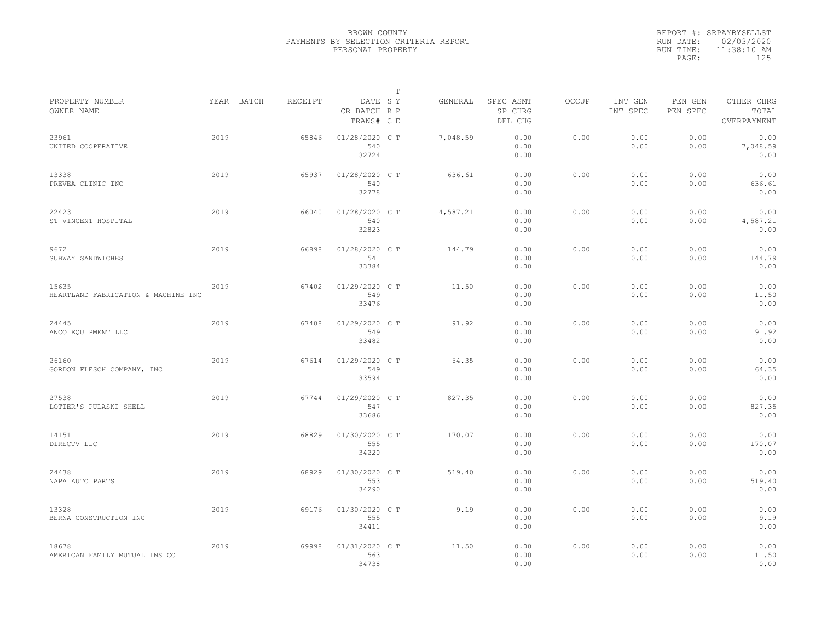|           | REPORT #: SRPAYBYSELLST |
|-----------|-------------------------|
|           | RUN DATE: 02/03/2020    |
| RUN TIME: | $11:38:10$ AM           |
| PAGE:     | 125                     |
|           |                         |

|                                              |      |            |         |                                       | $\mathbb T$ |          |                                 |              |                     |                     |                                    |
|----------------------------------------------|------|------------|---------|---------------------------------------|-------------|----------|---------------------------------|--------------|---------------------|---------------------|------------------------------------|
| PROPERTY NUMBER<br>OWNER NAME                |      | YEAR BATCH | RECEIPT | DATE SY<br>CR BATCH R P<br>TRANS# C E |             | GENERAL  | SPEC ASMT<br>SP CHRG<br>DEL CHG | <b>OCCUP</b> | INT GEN<br>INT SPEC | PEN GEN<br>PEN SPEC | OTHER CHRG<br>TOTAL<br>OVERPAYMENT |
| 23961<br>UNITED COOPERATIVE                  | 2019 |            | 65846   | 01/28/2020 C T<br>540<br>32724        |             | 7,048.59 | 0.00<br>0.00<br>0.00            | 0.00         | 0.00<br>0.00        | 0.00<br>0.00        | 0.00<br>7,048.59<br>0.00           |
| 13338<br>PREVEA CLINIC INC                   | 2019 |            | 65937   | 01/28/2020 C T<br>540<br>32778        |             | 636.61   | 0.00<br>0.00<br>0.00            | 0.00         | 0.00<br>0.00        | 0.00<br>0.00        | 0.00<br>636.61<br>0.00             |
| 22423<br>ST VINCENT HOSPITAL                 | 2019 |            | 66040   | 01/28/2020 C T<br>540<br>32823        |             | 4,587.21 | 0.00<br>0.00<br>0.00            | 0.00         | 0.00<br>0.00        | 0.00<br>0.00        | 0.00<br>4,587.21<br>0.00           |
| 9672<br>SUBWAY SANDWICHES                    | 2019 |            | 66898   | 01/28/2020 C T<br>541<br>33384        |             | 144.79   | 0.00<br>0.00<br>0.00            | 0.00         | 0.00<br>0.00        | 0.00<br>0.00        | 0.00<br>144.79<br>0.00             |
| 15635<br>HEARTLAND FABRICATION & MACHINE INC | 2019 |            | 67402   | 01/29/2020 C T<br>549<br>33476        |             | 11.50    | 0.00<br>0.00<br>0.00            | 0.00         | 0.00<br>0.00        | 0.00<br>0.00        | 0.00<br>11.50<br>0.00              |
| 24445<br>ANCO EQUIPMENT LLC                  | 2019 |            | 67408   | 01/29/2020 C T<br>549<br>33482        |             | 91.92    | 0.00<br>0.00<br>0.00            | 0.00         | 0.00<br>0.00        | 0.00<br>0.00        | 0.00<br>91.92<br>0.00              |
| 26160<br>GORDON FLESCH COMPANY, INC          | 2019 |            | 67614   | 01/29/2020 C T<br>549<br>33594        |             | 64.35    | 0.00<br>0.00<br>0.00            | 0.00         | 0.00<br>0.00        | 0.00<br>0.00        | 0.00<br>64.35<br>0.00              |
| 27538<br>LOTTER'S PULASKI SHELL              | 2019 |            | 67744   | 01/29/2020 CT<br>547<br>33686         |             | 827.35   | 0.00<br>0.00<br>0.00            | 0.00         | 0.00<br>0.00        | 0.00<br>0.00        | 0.00<br>827.35<br>0.00             |
| 14151<br>DIRECTV LLC                         | 2019 |            | 68829   | 01/30/2020 C T<br>555<br>34220        |             | 170.07   | 0.00<br>0.00<br>0.00            | 0.00         | 0.00<br>0.00        | 0.00<br>0.00        | 0.00<br>170.07<br>0.00             |
| 24438<br>NAPA AUTO PARTS                     | 2019 |            | 68929   | 01/30/2020 C T<br>553<br>34290        |             | 519.40   | 0.00<br>0.00<br>0.00            | 0.00         | 0.00<br>0.00        | 0.00<br>0.00        | 0.00<br>519.40<br>0.00             |
| 13328<br>BERNA CONSTRUCTION INC              | 2019 |            | 69176   | 01/30/2020 C T<br>555<br>34411        |             | 9.19     | 0.00<br>0.00<br>0.00            | 0.00         | 0.00<br>0.00        | 0.00<br>0.00        | 0.00<br>9.19<br>0.00               |
| 18678<br>AMERICAN FAMILY MUTUAL INS CO       | 2019 |            | 69998   | 01/31/2020 C T<br>563<br>34738        |             | 11.50    | 0.00<br>0.00<br>0.00            | 0.00         | 0.00<br>0.00        | 0.00<br>0.00        | 0.00<br>11.50<br>0.00              |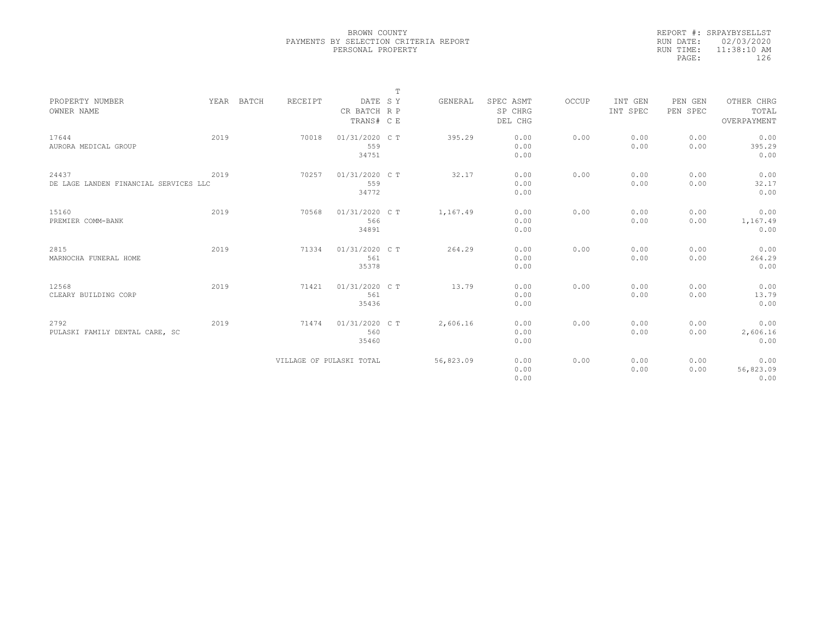|           | REPORT #: SRPAYBYSELLST |
|-----------|-------------------------|
|           | RUN DATE: 02/03/2020    |
| RUN TIME: | $11:38:10$ AM           |
| PAGE:     | 126                     |
|           |                         |

|                                                |      |            |                          |                                       | $\mathbb T$ |           |                                 |       |                     |                     |                                    |
|------------------------------------------------|------|------------|--------------------------|---------------------------------------|-------------|-----------|---------------------------------|-------|---------------------|---------------------|------------------------------------|
| PROPERTY NUMBER<br>OWNER NAME                  |      | YEAR BATCH | RECEIPT                  | DATE SY<br>CR BATCH R P<br>TRANS# C E |             | GENERAL   | SPEC ASMT<br>SP CHRG<br>DEL CHG | OCCUP | INT GEN<br>INT SPEC | PEN GEN<br>PEN SPEC | OTHER CHRG<br>TOTAL<br>OVERPAYMENT |
| 17644<br>AURORA MEDICAL GROUP                  | 2019 |            | 70018                    | 01/31/2020 C T<br>559<br>34751        |             | 395.29    | 0.00<br>0.00<br>0.00            | 0.00  | 0.00<br>0.00        | 0.00<br>0.00        | 0.00<br>395.29<br>0.00             |
| 24437<br>DE LAGE LANDEN FINANCIAL SERVICES LLC | 2019 |            | 70257                    | 01/31/2020 C T<br>559<br>34772        |             | 32.17     | 0.00<br>0.00<br>0.00            | 0.00  | 0.00<br>0.00        | 0.00<br>0.00        | 0.00<br>32.17<br>0.00              |
| 15160<br>PREMIER COMM-BANK                     | 2019 |            | 70568                    | 01/31/2020 C T<br>566<br>34891        |             | 1,167.49  | 0.00<br>0.00<br>0.00            | 0.00  | 0.00<br>0.00        | 0.00<br>0.00        | 0.00<br>1,167.49<br>0.00           |
| 2815<br>MARNOCHA FUNERAL HOME                  | 2019 |            | 71334                    | 01/31/2020 C T<br>561<br>35378        |             | 264.29    | 0.00<br>0.00<br>0.00            | 0.00  | 0.00<br>0.00        | 0.00<br>0.00        | 0.00<br>264.29<br>0.00             |
| 12568<br>CLEARY BUILDING CORP                  | 2019 |            | 71421                    | 01/31/2020 C T<br>561<br>35436        |             | 13.79     | 0.00<br>0.00<br>0.00            | 0.00  | 0.00<br>0.00        | 0.00<br>0.00        | 0.00<br>13.79<br>0.00              |
| 2792<br>PULASKI FAMILY DENTAL CARE, SC         | 2019 |            | 71474                    | 01/31/2020 C T<br>560<br>35460        |             | 2,606.16  | 0.00<br>0.00<br>0.00            | 0.00  | 0.00<br>0.00        | 0.00<br>0.00        | 0.00<br>2,606.16<br>0.00           |
|                                                |      |            | VILLAGE OF PULASKI TOTAL |                                       |             | 56,823.09 | 0.00<br>0.00<br>0.00            | 0.00  | 0.00<br>0.00        | 0.00<br>0.00        | 0.00<br>56,823.09<br>0.00          |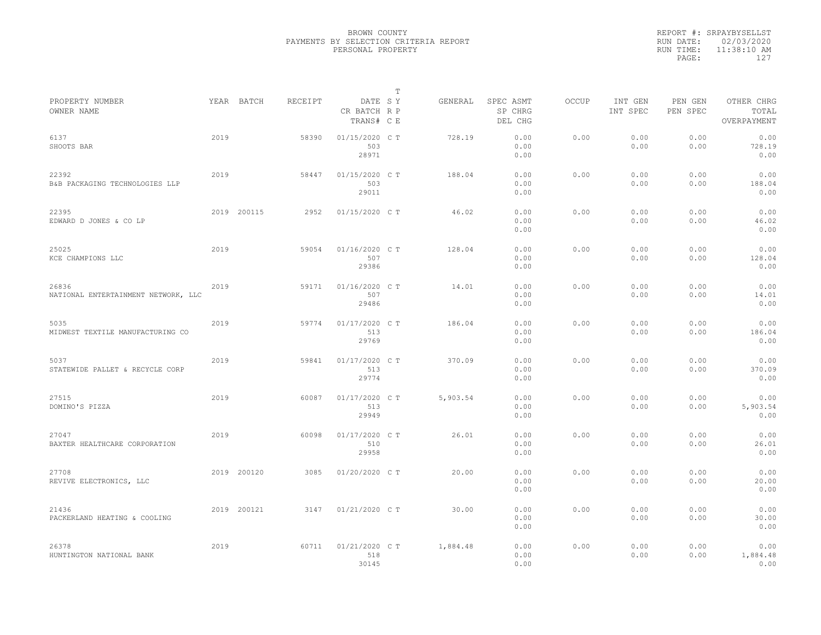|           | REPORT #: SRPAYBYSELLST |
|-----------|-------------------------|
|           | RUN DATE: 02/03/2020    |
| RUN TIME: | $11:38:10$ AM           |
| PAGE:     | 127                     |
|           |                         |

|                                              |      |             |         |                                       | T |          |                                 |              |                     |                     |                                    |
|----------------------------------------------|------|-------------|---------|---------------------------------------|---|----------|---------------------------------|--------------|---------------------|---------------------|------------------------------------|
| PROPERTY NUMBER<br>OWNER NAME                |      | YEAR BATCH  | RECEIPT | DATE SY<br>CR BATCH R P<br>TRANS# C E |   | GENERAL  | SPEC ASMT<br>SP CHRG<br>DEL CHG | <b>OCCUP</b> | INT GEN<br>INT SPEC | PEN GEN<br>PEN SPEC | OTHER CHRG<br>TOTAL<br>OVERPAYMENT |
| 6137<br>SHOOTS BAR                           | 2019 |             | 58390   | 01/15/2020 C T<br>503<br>28971        |   | 728.19   | 0.00<br>0.00<br>0.00            | 0.00         | 0.00<br>0.00        | 0.00<br>0.00        | 0.00<br>728.19<br>0.00             |
| 22392<br>B&B PACKAGING TECHNOLOGIES LLP      | 2019 |             | 58447   | 01/15/2020 C T<br>503<br>29011        |   | 188.04   | 0.00<br>0.00<br>0.00            | 0.00         | 0.00<br>0.00        | 0.00<br>0.00        | 0.00<br>188.04<br>0.00             |
| 22395<br>EDWARD D JONES & CO LP              |      | 2019 200115 | 2952    | 01/15/2020 C T                        |   | 46.02    | 0.00<br>0.00<br>0.00            | 0.00         | 0.00<br>0.00        | 0.00<br>0.00        | 0.00<br>46.02<br>0.00              |
| 25025<br>KCE CHAMPIONS LLC                   | 2019 |             | 59054   | 01/16/2020 C T<br>507<br>29386        |   | 128.04   | 0.00<br>0.00<br>0.00            | 0.00         | 0.00<br>0.00        | 0.00<br>0.00        | 0.00<br>128.04<br>0.00             |
| 26836<br>NATIONAL ENTERTAINMENT NETWORK, LLC | 2019 |             | 59171   | 01/16/2020 C T<br>507<br>29486        |   | 14.01    | 0.00<br>0.00<br>0.00            | 0.00         | 0.00<br>0.00        | 0.00<br>0.00        | 0.00<br>14.01<br>0.00              |
| 5035<br>MIDWEST TEXTILE MANUFACTURING CO     | 2019 |             | 59774   | $01/17/2020$ C T<br>513<br>29769      |   | 186.04   | 0.00<br>0.00<br>0.00            | 0.00         | 0.00<br>0.00        | 0.00<br>0.00        | 0.00<br>186.04<br>0.00             |
| 5037<br>STATEWIDE PALLET & RECYCLE CORP      | 2019 |             | 59841   | 01/17/2020 C T<br>513<br>29774        |   | 370.09   | 0.00<br>0.00<br>0.00            | 0.00         | 0.00<br>0.00        | 0.00<br>0.00        | 0.00<br>370.09<br>0.00             |
| 27515<br>DOMINO'S PIZZA                      | 2019 |             | 60087   | 01/17/2020 C T<br>513<br>29949        |   | 5,903.54 | 0.00<br>0.00<br>0.00            | 0.00         | 0.00<br>0.00        | 0.00<br>0.00        | 0.00<br>5,903.54<br>0.00           |
| 27047<br>BAXTER HEALTHCARE CORPORATION       | 2019 |             | 60098   | 01/17/2020 C T<br>510<br>29958        |   | 26.01    | 0.00<br>0.00<br>0.00            | 0.00         | 0.00<br>0.00        | 0.00<br>0.00        | 0.00<br>26.01<br>0.00              |
| 27708<br>REVIVE ELECTRONICS, LLC             |      | 2019 200120 | 3085    | 01/20/2020 C T                        |   | 20.00    | 0.00<br>0.00<br>0.00            | 0.00         | 0.00<br>0.00        | 0.00<br>0.00        | 0.00<br>20.00<br>0.00              |
| 21436<br>PACKERLAND HEATING & COOLING        |      | 2019 200121 | 3147    | 01/21/2020 C T                        |   | 30.00    | 0.00<br>0.00<br>0.00            | 0.00         | 0.00<br>0.00        | 0.00<br>0.00        | 0.00<br>30.00<br>0.00              |
| 26378<br>HUNTINGTON NATIONAL BANK            | 2019 |             | 60711   | 01/21/2020 C T<br>518<br>30145        |   | 1,884.48 | 0.00<br>0.00<br>0.00            | 0.00         | 0.00<br>0.00        | 0.00<br>0.00        | 0.00<br>1,884.48<br>0.00           |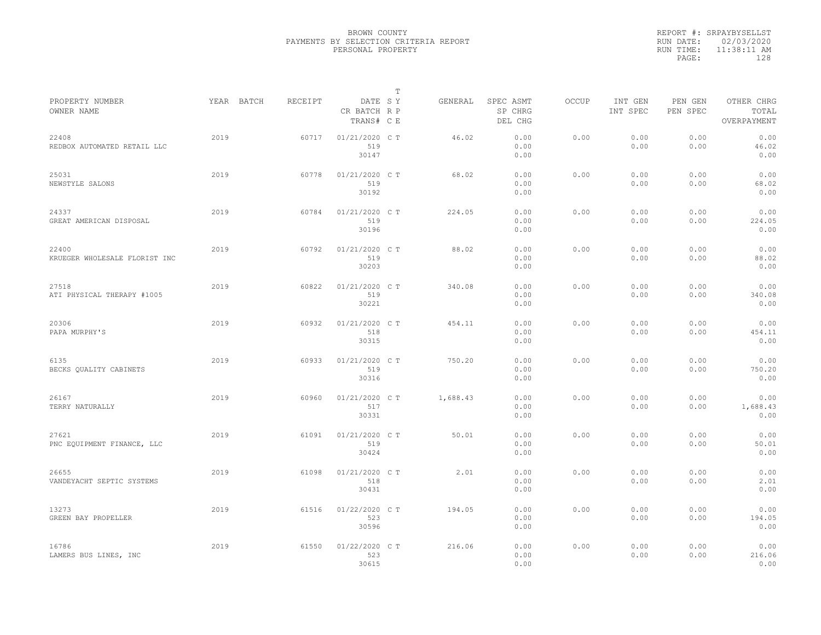|           | REPORT #: SRPAYBYSELLST |
|-----------|-------------------------|
|           | RUN DATE: 02/03/2020    |
| RUN TIME: | $11:38:11$ AM           |
| PAGE:     | 128                     |
|           |                         |

|                                        |            |         |                                       | $\mathbb T$ |          |                                 |              |                     |                     |                                    |
|----------------------------------------|------------|---------|---------------------------------------|-------------|----------|---------------------------------|--------------|---------------------|---------------------|------------------------------------|
| PROPERTY NUMBER<br>OWNER NAME          | YEAR BATCH | RECEIPT | DATE SY<br>CR BATCH R P<br>TRANS# C E |             | GENERAL  | SPEC ASMT<br>SP CHRG<br>DEL CHG | <b>OCCUP</b> | INT GEN<br>INT SPEC | PEN GEN<br>PEN SPEC | OTHER CHRG<br>TOTAL<br>OVERPAYMENT |
| 22408<br>REDBOX AUTOMATED RETAIL LLC   | 2019       | 60717   | 01/21/2020 C T<br>519<br>30147        |             | 46.02    | 0.00<br>0.00<br>0.00            | 0.00         | 0.00<br>0.00        | 0.00<br>0.00        | 0.00<br>46.02<br>0.00              |
| 25031<br>NEWSTYLE SALONS               | 2019       | 60778   | 01/21/2020 C T<br>519<br>30192        |             | 68.02    | 0.00<br>0.00<br>0.00            | 0.00         | 0.00<br>0.00        | 0.00<br>0.00        | 0.00<br>68.02<br>0.00              |
| 24337<br>GREAT AMERICAN DISPOSAL       | 2019       | 60784   | 01/21/2020 C T<br>519<br>30196        |             | 224.05   | 0.00<br>0.00<br>0.00            | 0.00         | 0.00<br>0.00        | 0.00<br>0.00        | 0.00<br>224.05<br>0.00             |
| 22400<br>KRUEGER WHOLESALE FLORIST INC | 2019       | 60792   | 01/21/2020 C T<br>519<br>30203        |             | 88.02    | 0.00<br>0.00<br>0.00            | 0.00         | 0.00<br>0.00        | 0.00<br>0.00        | 0.00<br>88.02<br>0.00              |
| 27518<br>ATI PHYSICAL THERAPY #1005    | 2019       | 60822   | 01/21/2020 C T<br>519<br>30221        |             | 340.08   | 0.00<br>0.00<br>0.00            | 0.00         | 0.00<br>0.00        | 0.00<br>0.00        | 0.00<br>340.08<br>0.00             |
| 20306<br>PAPA MURPHY'S                 | 2019       | 60932   | 01/21/2020 C T<br>518<br>30315        |             | 454.11   | 0.00<br>0.00<br>0.00            | 0.00         | 0.00<br>0.00        | 0.00<br>0.00        | 0.00<br>454.11<br>0.00             |
| 6135<br>BECKS OUALITY CABINETS         | 2019       | 60933   | 01/21/2020 C T<br>519<br>30316        |             | 750.20   | 0.00<br>0.00<br>0.00            | 0.00         | 0.00<br>0.00        | 0.00<br>0.00        | 0.00<br>750.20<br>0.00             |
| 26167<br>TERRY NATURALLY               | 2019       | 60960   | 01/21/2020 C T<br>517<br>30331        |             | 1,688.43 | 0.00<br>0.00<br>0.00            | 0.00         | 0.00<br>0.00        | 0.00<br>0.00        | 0.00<br>1,688.43<br>0.00           |
| 27621<br>PNC EQUIPMENT FINANCE, LLC    | 2019       | 61091   | 01/21/2020 C T<br>519<br>30424        |             | 50.01    | 0.00<br>0.00<br>0.00            | 0.00         | 0.00<br>0.00        | 0.00<br>0.00        | 0.00<br>50.01<br>0.00              |
| 26655<br>VANDEYACHT SEPTIC SYSTEMS     | 2019       | 61098   | 01/21/2020 C T<br>518<br>30431        |             | 2.01     | 0.00<br>0.00<br>0.00            | 0.00         | 0.00<br>0.00        | 0.00<br>0.00        | 0.00<br>2.01<br>0.00               |
| 13273<br>GREEN BAY PROPELLER           | 2019       | 61516   | 01/22/2020 C T<br>523<br>30596        |             | 194.05   | 0.00<br>0.00<br>0.00            | 0.00         | 0.00<br>0.00        | 0.00<br>0.00        | 0.00<br>194.05<br>0.00             |
| 16786<br>LAMERS BUS LINES, INC         | 2019       | 61550   | 01/22/2020 C T<br>523<br>30615        |             | 216.06   | 0.00<br>0.00<br>0.00            | 0.00         | 0.00<br>0.00        | 0.00<br>0.00        | 0.00<br>216.06<br>0.00             |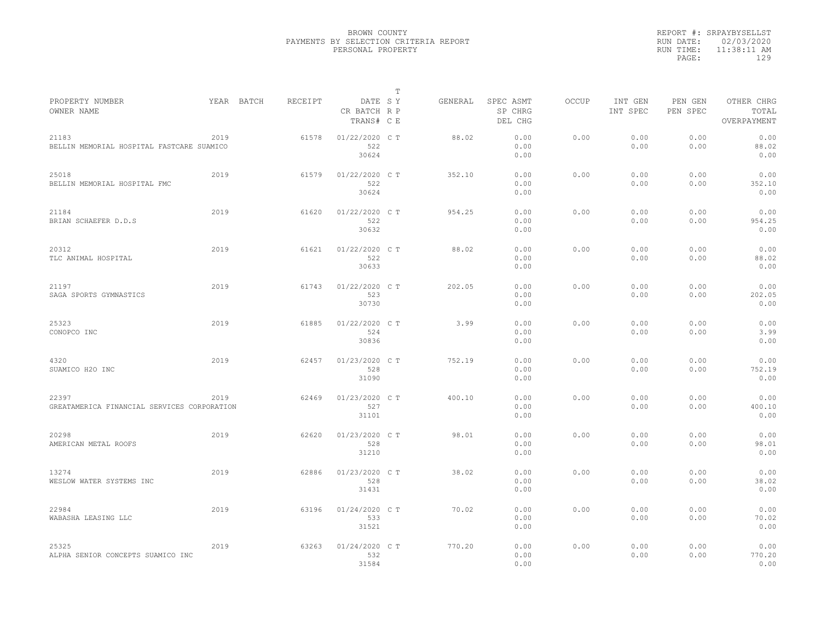|           | REPORT #: SRPAYBYSELLST |
|-----------|-------------------------|
|           | RUN DATE: 02/03/2020    |
| RUN TIME: | 11:38:11 AM             |
| PAGE:     | 129                     |
|           |                         |

|                                                      |      |            |         |                                       | $\mathbb T$ |         |                                 |              |                     |                     |                                    |
|------------------------------------------------------|------|------------|---------|---------------------------------------|-------------|---------|---------------------------------|--------------|---------------------|---------------------|------------------------------------|
| PROPERTY NUMBER<br>OWNER NAME                        |      | YEAR BATCH | RECEIPT | DATE SY<br>CR BATCH R P<br>TRANS# C E |             | GENERAL | SPEC ASMT<br>SP CHRG<br>DEL CHG | <b>OCCUP</b> | INT GEN<br>INT SPEC | PEN GEN<br>PEN SPEC | OTHER CHRG<br>TOTAL<br>OVERPAYMENT |
| 21183<br>BELLIN MEMORIAL HOSPITAL FASTCARE SUAMICO   | 2019 |            | 61578   | $01/22/2020$ C T<br>522<br>30624      |             | 88.02   | 0.00<br>0.00<br>0.00            | 0.00         | 0.00<br>0.00        | 0.00<br>0.00        | 0.00<br>88.02<br>0.00              |
| 25018<br>BELLIN MEMORIAL HOSPITAL FMC                | 2019 |            | 61579   | 01/22/2020 C T<br>522<br>30624        |             | 352.10  | 0.00<br>0.00<br>0.00            | 0.00         | 0.00<br>0.00        | 0.00<br>0.00        | 0.00<br>352.10<br>0.00             |
| 21184<br>BRIAN SCHAEFER D.D.S                        | 2019 |            | 61620   | 01/22/2020 C T<br>522<br>30632        |             | 954.25  | 0.00<br>0.00<br>0.00            | 0.00         | 0.00<br>0.00        | 0.00<br>0.00        | 0.00<br>954.25<br>0.00             |
| 20312<br>TLC ANIMAL HOSPITAL                         | 2019 |            | 61621   | 01/22/2020 C T<br>522<br>30633        |             | 88.02   | 0.00<br>0.00<br>0.00            | 0.00         | 0.00<br>0.00        | 0.00<br>0.00        | 0.00<br>88.02<br>0.00              |
| 21197<br>SAGA SPORTS GYMNASTICS                      | 2019 |            | 61743   | 01/22/2020 CT<br>523<br>30730         |             | 202.05  | 0.00<br>0.00<br>0.00            | 0.00         | 0.00<br>0.00        | 0.00<br>0.00        | 0.00<br>202.05<br>0.00             |
| 25323<br>CONOPCO INC                                 | 2019 |            | 61885   | 01/22/2020 CT<br>524<br>30836         |             | 3.99    | 0.00<br>0.00<br>0.00            | 0.00         | 0.00<br>0.00        | 0.00<br>0.00        | 0.00<br>3.99<br>0.00               |
| 4320<br>SUAMICO H2O INC                              | 2019 |            | 62457   | 01/23/2020 C T<br>528<br>31090        |             | 752.19  | 0.00<br>0.00<br>0.00            | 0.00         | 0.00<br>0.00        | 0.00<br>0.00        | 0.00<br>752.19<br>0.00             |
| 22397<br>GREATAMERICA FINANCIAL SERVICES CORPORATION | 2019 |            | 62469   | 01/23/2020 C T<br>527<br>31101        |             | 400.10  | 0.00<br>0.00<br>0.00            | 0.00         | 0.00<br>0.00        | 0.00<br>0.00        | 0.00<br>400.10<br>0.00             |
| 20298<br>AMERICAN METAL ROOFS                        | 2019 |            | 62620   | 01/23/2020 C T<br>528<br>31210        |             | 98.01   | 0.00<br>0.00<br>0.00            | 0.00         | 0.00<br>0.00        | 0.00<br>0.00        | 0.00<br>98.01<br>0.00              |
| 13274<br>WESLOW WATER SYSTEMS INC                    | 2019 |            | 62886   | 01/23/2020 C T<br>528<br>31431        |             | 38.02   | 0.00<br>0.00<br>0.00            | 0.00         | 0.00<br>0.00        | 0.00<br>0.00        | 0.00<br>38.02<br>0.00              |
| 22984<br>WABASHA LEASING LLC                         | 2019 |            | 63196   | 01/24/2020 C T<br>533<br>31521        |             | 70.02   | 0.00<br>0.00<br>0.00            | 0.00         | 0.00<br>0.00        | 0.00<br>0.00        | 0.00<br>70.02<br>0.00              |
| 25325<br>ALPHA SENIOR CONCEPTS SUAMICO INC           | 2019 |            | 63263   | 01/24/2020 C T<br>532<br>31584        |             | 770.20  | 0.00<br>0.00<br>0.00            | 0.00         | 0.00<br>0.00        | 0.00<br>0.00        | 0.00<br>770.20<br>0.00             |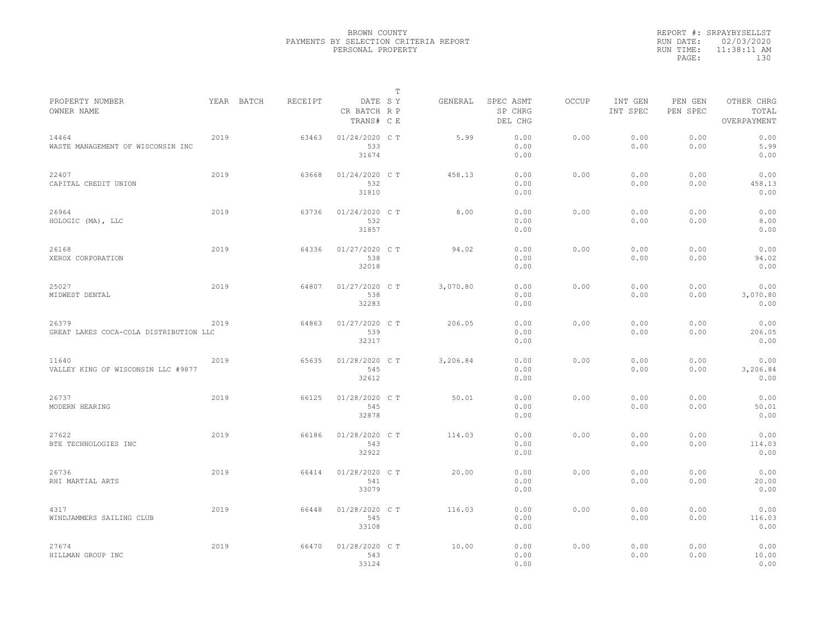|           | REPORT #: SRPAYBYSELLST |
|-----------|-------------------------|
|           | RUN DATE: 02/03/2020    |
| RUN TIME: | $11:38:11$ AM           |
| PAGE:     | 130                     |
|           |                         |

|                                                 |      |            |         |                                       | $\mathbb T$ |          |                                 |              |                     |                     |                                    |
|-------------------------------------------------|------|------------|---------|---------------------------------------|-------------|----------|---------------------------------|--------------|---------------------|---------------------|------------------------------------|
| PROPERTY NUMBER<br>OWNER NAME                   |      | YEAR BATCH | RECEIPT | DATE SY<br>CR BATCH R P<br>TRANS# C E |             | GENERAL  | SPEC ASMT<br>SP CHRG<br>DEL CHG | <b>OCCUP</b> | INT GEN<br>INT SPEC | PEN GEN<br>PEN SPEC | OTHER CHRG<br>TOTAL<br>OVERPAYMENT |
| 14464<br>WASTE MANAGEMENT OF WISCONSIN INC      | 2019 |            | 63463   | $01/24/2020$ C T<br>533<br>31674      |             | 5.99     | 0.00<br>0.00<br>0.00            | 0.00         | 0.00<br>0.00        | 0.00<br>0.00        | 0.00<br>5.99<br>0.00               |
| 22407<br>CAPITAL CREDIT UNION                   | 2019 |            | 63668   | 01/24/2020 C T<br>532<br>31810        |             | 458.13   | 0.00<br>0.00<br>0.00            | 0.00         | 0.00<br>0.00        | 0.00<br>0.00        | 0.00<br>458.13<br>0.00             |
| 26964<br>HOLOGIC (MA), LLC                      | 2019 |            | 63736   | 01/24/2020 C T<br>532<br>31857        |             | 8.00     | 0.00<br>0.00<br>0.00            | 0.00         | 0.00<br>0.00        | 0.00<br>0.00        | 0.00<br>8.00<br>0.00               |
| 26168<br>XEROX CORPORATION                      | 2019 |            | 64336   | 01/27/2020 C T<br>538<br>32018        |             | 94.02    | 0.00<br>0.00<br>0.00            | 0.00         | 0.00<br>0.00        | 0.00<br>0.00        | 0.00<br>94.02<br>0.00              |
| 25027<br>MIDWEST DENTAL                         | 2019 |            | 64807   | 01/27/2020 C T<br>538<br>32283        |             | 3,070.80 | 0.00<br>0.00<br>0.00            | 0.00         | 0.00<br>0.00        | 0.00<br>0.00        | 0.00<br>3,070.80<br>0.00           |
| 26379<br>GREAT LAKES COCA-COLA DISTRIBUTION LLC | 2019 |            | 64863   | 01/27/2020 C T<br>539<br>32317        |             | 206.05   | 0.00<br>0.00<br>0.00            | 0.00         | 0.00<br>0.00        | 0.00<br>0.00        | 0.00<br>206.05<br>0.00             |
| 11640<br>VALLEY KING OF WISCONSIN LLC #9877     | 2019 |            | 65635   | 01/28/2020 C T<br>545<br>32612        |             | 3,206.84 | 0.00<br>0.00<br>0.00            | 0.00         | 0.00<br>0.00        | 0.00<br>0.00        | 0.00<br>3,206.84<br>0.00           |
| 26737<br>MODERN HEARING                         | 2019 |            | 66125   | 01/28/2020 C T<br>545<br>32878        |             | 50.01    | 0.00<br>0.00<br>0.00            | 0.00         | 0.00<br>0.00        | 0.00<br>0.00        | 0.00<br>50.01<br>0.00              |
| 27622<br>BTE TECHNOLOGIES INC                   | 2019 |            | 66186   | 01/28/2020 C T<br>543<br>32922        |             | 114.03   | 0.00<br>0.00<br>0.00            | 0.00         | 0.00<br>0.00        | 0.00<br>0.00        | 0.00<br>114.03<br>0.00             |
| 26736<br>RHI MARTIAL ARTS                       | 2019 |            | 66414   | 01/28/2020 CT<br>541<br>33079         |             | 20.00    | 0.00<br>0.00<br>0.00            | 0.00         | 0.00<br>0.00        | 0.00<br>0.00        | 0.00<br>20.00<br>0.00              |
| 4317<br>WINDJAMMERS SAILING CLUB                | 2019 |            | 66448   | 01/28/2020 C T<br>545<br>33108        |             | 116.03   | 0.00<br>0.00<br>0.00            | 0.00         | 0.00<br>0.00        | 0.00<br>0.00        | 0.00<br>116.03<br>0.00             |
| 27674<br>HILLMAN GROUP INC                      | 2019 |            | 66470   | 01/28/2020 C T<br>543<br>33124        |             | 10.00    | 0.00<br>0.00<br>0.00            | 0.00         | 0.00<br>0.00        | 0.00<br>0.00        | 0.00<br>10.00<br>0.00              |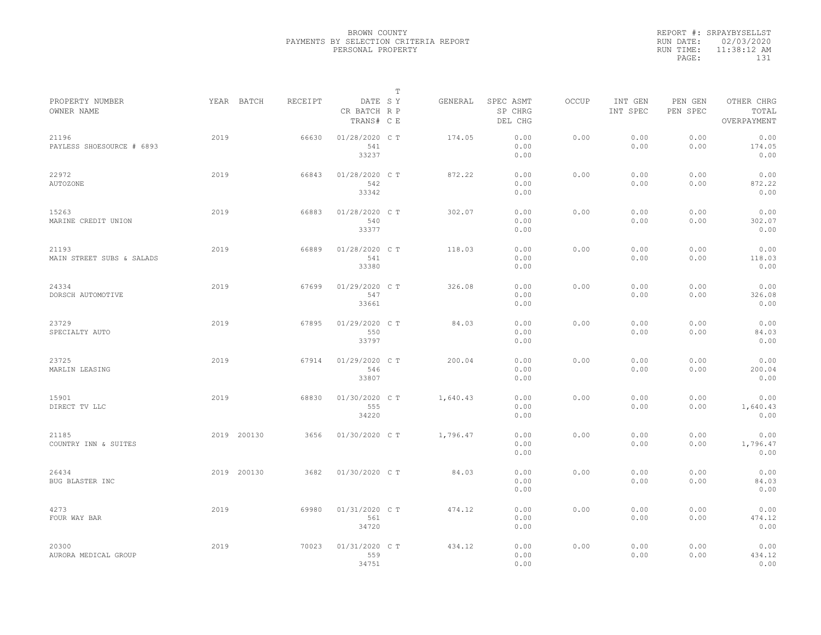|           | REPORT #: SRPAYBYSELLST |
|-----------|-------------------------|
|           | RUN DATE: 02/03/2020    |
| RUN TIME: | $11:38:12$ AM           |
| PAGE:     | 131                     |
|           |                         |

| PROPERTY NUMBER                    | YEAR BATCH  | RECEIPT | DATE SY                        | T | GENERAL  | SPEC ASMT            | OCCUP | INT GEN      | PEN GEN      | OTHER CHRG               |  |
|------------------------------------|-------------|---------|--------------------------------|---|----------|----------------------|-------|--------------|--------------|--------------------------|--|
| OWNER NAME                         |             |         | CR BATCH R P<br>TRANS# C E     |   |          | SP CHRG<br>DEL CHG   |       | INT SPEC     | PEN SPEC     | TOTAL<br>OVERPAYMENT     |  |
| 21196<br>PAYLESS SHOESOURCE # 6893 | 2019        | 66630   | 01/28/2020 C T<br>541<br>33237 |   | 174.05   | 0.00<br>0.00<br>0.00 | 0.00  | 0.00<br>0.00 | 0.00<br>0.00 | 0.00<br>174.05<br>0.00   |  |
| 22972<br><b>AUTOZONE</b>           | 2019        | 66843   | 01/28/2020 C T<br>542<br>33342 |   | 872.22   | 0.00<br>0.00<br>0.00 | 0.00  | 0.00<br>0.00 | 0.00<br>0.00 | 0.00<br>872.22<br>0.00   |  |
| 15263<br>MARINE CREDIT UNION       | 2019        | 66883   | 01/28/2020 C T<br>540<br>33377 |   | 302.07   | 0.00<br>0.00<br>0.00 | 0.00  | 0.00<br>0.00 | 0.00<br>0.00 | 0.00<br>302.07<br>0.00   |  |
| 21193<br>MAIN STREET SUBS & SALADS | 2019        | 66889   | 01/28/2020 C T<br>541<br>33380 |   | 118.03   | 0.00<br>0.00<br>0.00 | 0.00  | 0.00<br>0.00 | 0.00<br>0.00 | 0.00<br>118.03<br>0.00   |  |
| 24334<br>DORSCH AUTOMOTIVE         | 2019        | 67699   | 01/29/2020 C T<br>547<br>33661 |   | 326.08   | 0.00<br>0.00<br>0.00 | 0.00  | 0.00<br>0.00 | 0.00<br>0.00 | 0.00<br>326.08<br>0.00   |  |
| 23729<br>SPECIALTY AUTO            | 2019        | 67895   | 01/29/2020 C T<br>550<br>33797 |   | 84.03    | 0.00<br>0.00<br>0.00 | 0.00  | 0.00<br>0.00 | 0.00<br>0.00 | 0.00<br>84.03<br>0.00    |  |
| 23725<br>MARLIN LEASING            | 2019        | 67914   | 01/29/2020 C T<br>546<br>33807 |   | 200.04   | 0.00<br>0.00<br>0.00 | 0.00  | 0.00<br>0.00 | 0.00<br>0.00 | 0.00<br>200.04<br>0.00   |  |
| 15901<br>DIRECT TV LLC             | 2019        | 68830   | 01/30/2020 C T<br>555<br>34220 |   | 1,640.43 | 0.00<br>0.00<br>0.00 | 0.00  | 0.00<br>0.00 | 0.00<br>0.00 | 0.00<br>1,640.43<br>0.00 |  |
| 21185<br>COUNTRY INN & SUITES      | 2019 200130 | 3656    | 01/30/2020 C T                 |   | 1,796.47 | 0.00<br>0.00<br>0.00 | 0.00  | 0.00<br>0.00 | 0.00<br>0.00 | 0.00<br>1,796.47<br>0.00 |  |
| 26434<br>BUG BLASTER INC           | 2019 200130 | 3682    | 01/30/2020 C T                 |   | 84.03    | 0.00<br>0.00<br>0.00 | 0.00  | 0.00<br>0.00 | 0.00<br>0.00 | 0.00<br>84.03<br>0.00    |  |
| 4273<br>FOUR WAY BAR               | 2019        | 69980   | 01/31/2020 C T<br>561<br>34720 |   | 474.12   | 0.00<br>0.00<br>0.00 | 0.00  | 0.00<br>0.00 | 0.00<br>0.00 | 0.00<br>474.12<br>0.00   |  |
| 20300<br>AURORA MEDICAL GROUP      | 2019        | 70023   | 01/31/2020 C T<br>559<br>34751 |   | 434.12   | 0.00<br>0.00<br>0.00 | 0.00  | 0.00<br>0.00 | 0.00<br>0.00 | 0.00<br>434.12<br>0.00   |  |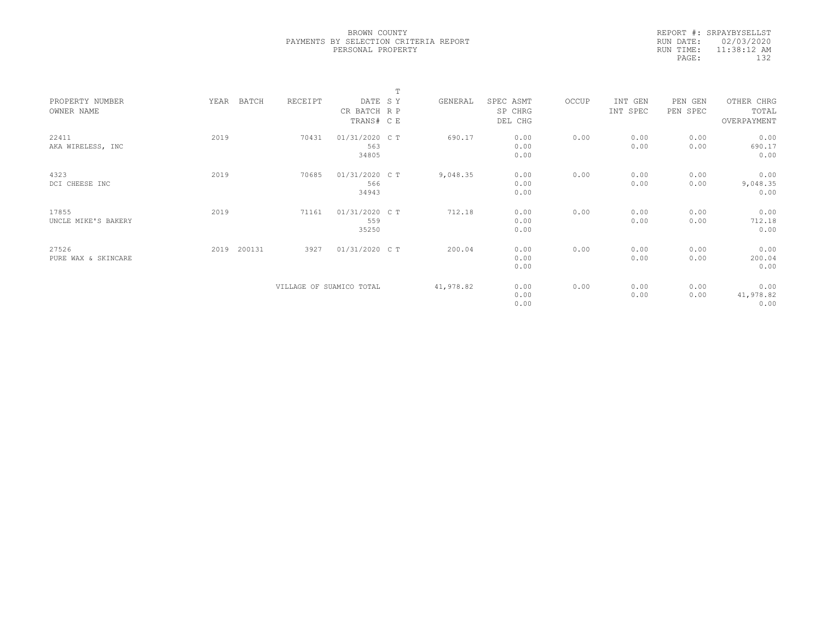|           | REPORT #: SRPAYBYSELLST |  |
|-----------|-------------------------|--|
|           | RUN DATE: 02/03/2020    |  |
| RUN TIME: | $11:38:12$ AM           |  |
| PAGE:     | 132                     |  |
|           |                         |  |

|                     |                |                          |                | $\mathbf{r}$ |           |           |       |          |          |             |  |
|---------------------|----------------|--------------------------|----------------|--------------|-----------|-----------|-------|----------|----------|-------------|--|
| PROPERTY NUMBER     | YEAR<br>BATCH  | RECEIPT                  | DATE SY        |              | GENERAL   | SPEC ASMT | OCCUP | INT GEN  | PEN GEN  | OTHER CHRG  |  |
| OWNER NAME          |                |                          | CR BATCH R P   |              |           | SP CHRG   |       | INT SPEC | PEN SPEC | TOTAL       |  |
|                     |                |                          | TRANS# C E     |              |           | DEL CHG   |       |          |          | OVERPAYMENT |  |
|                     |                |                          |                |              |           |           |       |          |          |             |  |
| 22411               | 2019           | 70431                    | 01/31/2020 C T |              | 690.17    | 0.00      | 0.00  | 0.00     | 0.00     | 0.00        |  |
| AKA WIRELESS, INC   |                |                          | 563            |              |           | 0.00      |       | 0.00     | 0.00     | 690.17      |  |
|                     |                |                          | 34805          |              |           | 0.00      |       |          |          | 0.00        |  |
| 4323                | 2019           | 70685                    | 01/31/2020 C T |              | 9,048.35  | 0.00      | 0.00  | 0.00     | 0.00     | 0.00        |  |
| DCI CHEESE INC      |                |                          | 566            |              |           | 0.00      |       | 0.00     | 0.00     | 9,048.35    |  |
|                     |                |                          | 34943          |              |           | 0.00      |       |          |          | 0.00        |  |
|                     |                |                          |                |              |           |           |       |          |          |             |  |
| 17855               | 2019           | 71161                    | 01/31/2020 C T |              | 712.18    | 0.00      | 0.00  | 0.00     | 0.00     | 0.00        |  |
| UNCLE MIKE'S BAKERY |                |                          | 559            |              |           | 0.00      |       | 0.00     | 0.00     | 712.18      |  |
|                     |                |                          | 35250          |              |           | 0.00      |       |          |          | 0.00        |  |
|                     |                |                          |                |              |           |           |       |          |          |             |  |
| 27526               | 200131<br>2019 | 3927                     | 01/31/2020 C T |              | 200.04    | 0.00      | 0.00  | 0.00     | 0.00     | 0.00        |  |
| PURE WAX & SKINCARE |                |                          |                |              |           | 0.00      |       | 0.00     | 0.00     | 200.04      |  |
|                     |                |                          |                |              |           | 0.00      |       |          |          | 0.00        |  |
|                     |                |                          |                |              |           |           |       |          |          |             |  |
|                     |                | VILLAGE OF SUAMICO TOTAL |                |              | 41,978.82 | 0.00      | 0.00  | 0.00     | 0.00     | 0.00        |  |
|                     |                |                          |                |              |           | 0.00      |       | 0.00     | 0.00     | 41,978.82   |  |
|                     |                |                          |                |              |           | 0.00      |       |          |          | 0.00        |  |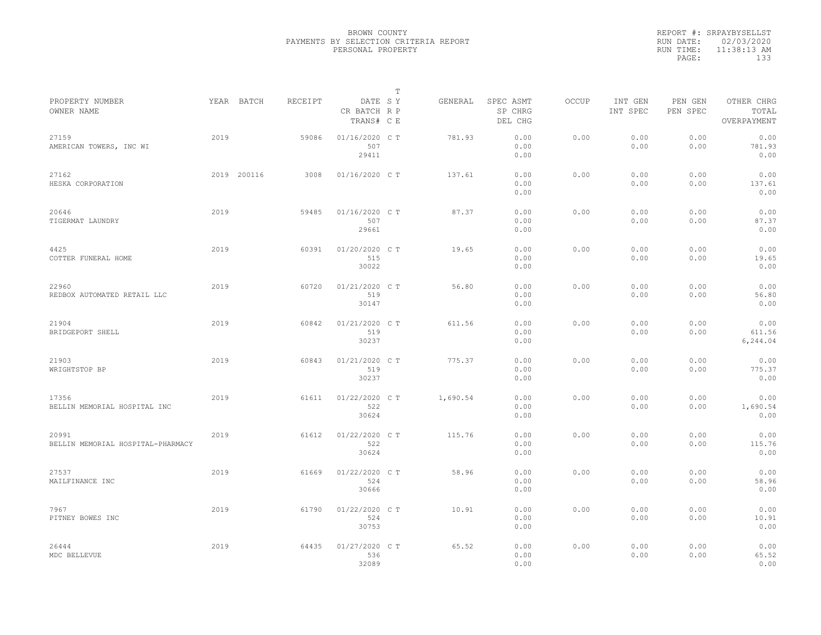|           | REPORT #: SRPAYBYSELLST |
|-----------|-------------------------|
|           | RUN DATE: 02/03/2020    |
| RUN TIME: | $11:38:13$ AM           |
| PAGE:     | 133                     |
|           |                         |

| PROPERTY NUMBER<br>OWNER NAME              |      | YEAR BATCH  | RECEIPT | DATE SY<br>CR BATCH R P        | Т | GENERAL  | SPEC ASMT<br>SP CHRG | OCCUP | INT GEN<br>INT SPEC | PEN GEN<br>PEN SPEC | OTHER CHRG<br>TOTAL        |  |
|--------------------------------------------|------|-------------|---------|--------------------------------|---|----------|----------------------|-------|---------------------|---------------------|----------------------------|--|
|                                            |      |             |         | TRANS# C E                     |   |          | DEL CHG              |       |                     |                     | OVERPAYMENT                |  |
| 27159<br>AMERICAN TOWERS, INC WI           | 2019 |             | 59086   | 01/16/2020 C T<br>507<br>29411 |   | 781.93   | 0.00<br>0.00<br>0.00 | 0.00  | 0.00<br>0.00        | 0.00<br>0.00        | 0.00<br>781.93<br>0.00     |  |
| 27162<br>HESKA CORPORATION                 |      | 2019 200116 | 3008    | 01/16/2020 C T                 |   | 137.61   | 0.00<br>0.00<br>0.00 | 0.00  | 0.00<br>0.00        | 0.00<br>0.00        | 0.00<br>137.61<br>0.00     |  |
| 20646<br>TIGERMAT LAUNDRY                  | 2019 |             | 59485   | 01/16/2020 C T<br>507<br>29661 |   | 87.37    | 0.00<br>0.00<br>0.00 | 0.00  | 0.00<br>0.00        | 0.00<br>0.00        | 0.00<br>87.37<br>0.00      |  |
| 4425<br>COTTER FUNERAL HOME                | 2019 |             | 60391   | 01/20/2020 C T<br>515<br>30022 |   | 19.65    | 0.00<br>0.00<br>0.00 | 0.00  | 0.00<br>0.00        | 0.00<br>0.00        | 0.00<br>19.65<br>0.00      |  |
| 22960<br>REDBOX AUTOMATED RETAIL LLC       | 2019 |             | 60720   | 01/21/2020 C T<br>519<br>30147 |   | 56.80    | 0.00<br>0.00<br>0.00 | 0.00  | 0.00<br>0.00        | 0.00<br>0.00        | 0.00<br>56.80<br>0.00      |  |
| 21904<br>BRIDGEPORT SHELL                  | 2019 |             | 60842   | 01/21/2020 C T<br>519<br>30237 |   | 611.56   | 0.00<br>0.00<br>0.00 | 0.00  | 0.00<br>0.00        | 0.00<br>0.00        | 0.00<br>611.56<br>6,244.04 |  |
| 21903<br>WRIGHTSTOP BP                     | 2019 |             | 60843   | 01/21/2020 C T<br>519<br>30237 |   | 775.37   | 0.00<br>0.00<br>0.00 | 0.00  | 0.00<br>0.00        | 0.00<br>0.00        | 0.00<br>775.37<br>0.00     |  |
| 17356<br>BELLIN MEMORIAL HOSPITAL INC      | 2019 |             | 61611   | 01/22/2020 CT<br>522<br>30624  |   | 1,690.54 | 0.00<br>0.00<br>0.00 | 0.00  | 0.00<br>0.00        | 0.00<br>0.00        | 0.00<br>1,690.54<br>0.00   |  |
| 20991<br>BELLIN MEMORIAL HOSPITAL-PHARMACY | 2019 |             | 61612   | 01/22/2020 C T<br>522<br>30624 |   | 115.76   | 0.00<br>0.00<br>0.00 | 0.00  | 0.00<br>0.00        | 0.00<br>0.00        | 0.00<br>115.76<br>0.00     |  |
| 27537<br>MAILFINANCE INC                   | 2019 |             | 61669   | 01/22/2020 C T<br>524<br>30666 |   | 58.96    | 0.00<br>0.00<br>0.00 | 0.00  | 0.00<br>0.00        | 0.00<br>0.00        | 0.00<br>58.96<br>0.00      |  |
| 7967<br>PITNEY BOWES INC                   | 2019 |             | 61790   | 01/22/2020 C T<br>524<br>30753 |   | 10.91    | 0.00<br>0.00<br>0.00 | 0.00  | 0.00<br>0.00        | 0.00<br>0.00        | 0.00<br>10.91<br>0.00      |  |
| 26444<br>MDC BELLEVUE                      | 2019 |             | 64435   | 01/27/2020 C T<br>536<br>32089 |   | 65.52    | 0.00<br>0.00<br>0.00 | 0.00  | 0.00<br>0.00        | 0.00<br>0.00        | 0.00<br>65.52<br>0.00      |  |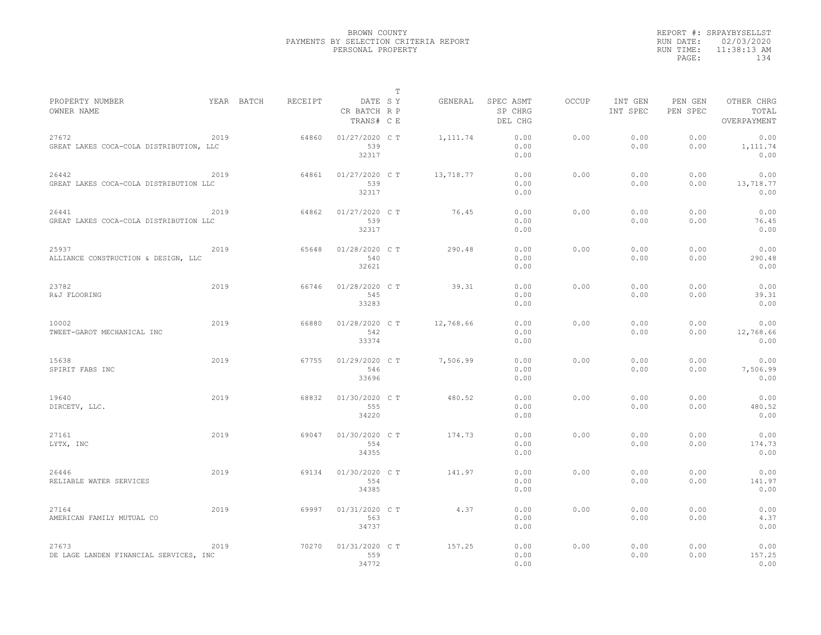|           | REPORT #: SRPAYBYSELLST |
|-----------|-------------------------|
|           | RUN DATE: 02/03/2020    |
| RUN TIME: | $11:38:13$ AM           |
| PAGE:     | 134                     |
|           |                         |

|                                                  |      |            |         |                                       | Т |           |                                 |       |                     |                     |                                    |
|--------------------------------------------------|------|------------|---------|---------------------------------------|---|-----------|---------------------------------|-------|---------------------|---------------------|------------------------------------|
| PROPERTY NUMBER<br>OWNER NAME                    |      | YEAR BATCH | RECEIPT | DATE SY<br>CR BATCH R P<br>TRANS# C E |   | GENERAL   | SPEC ASMT<br>SP CHRG<br>DEL CHG | OCCUP | INT GEN<br>INT SPEC | PEN GEN<br>PEN SPEC | OTHER CHRG<br>TOTAL<br>OVERPAYMENT |
| 27672<br>GREAT LAKES COCA-COLA DISTRIBUTION, LLC | 2019 |            | 64860   | 01/27/2020 C T<br>539<br>32317        |   | 1, 111.74 | 0.00<br>0.00<br>0.00            | 0.00  | 0.00<br>0.00        | 0.00<br>0.00        | 0.00<br>1, 111.74<br>0.00          |
| 26442<br>GREAT LAKES COCA-COLA DISTRIBUTION LLC  | 2019 |            | 64861   | 01/27/2020 C T<br>539<br>32317        |   | 13,718.77 | 0.00<br>0.00<br>0.00            | 0.00  | 0.00<br>0.00        | 0.00<br>0.00        | 0.00<br>13,718.77<br>0.00          |
| 26441<br>GREAT LAKES COCA-COLA DISTRIBUTION LLC  | 2019 |            | 64862   | 01/27/2020 C T<br>539<br>32317        |   | 76.45     | 0.00<br>0.00<br>0.00            | 0.00  | 0.00<br>0.00        | 0.00<br>0.00        | 0.00<br>76.45<br>0.00              |
| 25937<br>ALLIANCE CONSTRUCTION & DESIGN, LLC     | 2019 |            | 65648   | 01/28/2020 CT<br>540<br>32621         |   | 290.48    | 0.00<br>0.00<br>0.00            | 0.00  | 0.00<br>0.00        | 0.00<br>0.00        | 0.00<br>290.48<br>0.00             |
| 23782<br>R&J FLOORING                            | 2019 |            | 66746   | 01/28/2020 CT<br>545<br>33283         |   | 39.31     | 0.00<br>0.00<br>0.00            | 0.00  | 0.00<br>0.00        | 0.00<br>0.00        | 0.00<br>39.31<br>0.00              |
| 10002<br>TWEET-GAROT MECHANICAL INC              | 2019 |            | 66880   | 01/28/2020 CT<br>542<br>33374         |   | 12,768.66 | 0.00<br>0.00<br>0.00            | 0.00  | 0.00<br>0.00        | 0.00<br>0.00        | 0.00<br>12,768.66<br>0.00          |
| 15638<br>SPIRIT FABS INC                         | 2019 |            | 67755   | 01/29/2020 C T<br>546<br>33696        |   | 7,506.99  | 0.00<br>0.00<br>0.00            | 0.00  | 0.00<br>0.00        | 0.00<br>0.00        | 0.00<br>7,506.99<br>0.00           |
| 19640<br>DIRCETV, LLC.                           | 2019 |            | 68832   | 01/30/2020 C T<br>555<br>34220        |   | 480.52    | 0.00<br>0.00<br>0.00            | 0.00  | 0.00<br>0.00        | 0.00<br>0.00        | 0.00<br>480.52<br>0.00             |
| 27161<br>LYTX, INC                               | 2019 |            | 69047   | 01/30/2020 C T<br>554<br>34355        |   | 174.73    | 0.00<br>0.00<br>0.00            | 0.00  | 0.00<br>0.00        | 0.00<br>0.00        | 0.00<br>174.73<br>0.00             |
| 26446<br>RELIABLE WATER SERVICES                 | 2019 |            | 69134   | 01/30/2020 C T<br>554<br>34385        |   | 141.97    | 0.00<br>0.00<br>0.00            | 0.00  | 0.00<br>0.00        | 0.00<br>0.00        | 0.00<br>141.97<br>0.00             |
| 27164<br>AMERICAN FAMILY MUTUAL CO               | 2019 |            | 69997   | 01/31/2020 C T<br>563<br>34737        |   | 4.37      | 0.00<br>0.00<br>0.00            | 0.00  | 0.00<br>0.00        | 0.00<br>0.00        | 0.00<br>4.37<br>0.00               |
| 27673<br>DE LAGE LANDEN FINANCIAL SERVICES, INC  | 2019 |            | 70270   | 01/31/2020 C T<br>559<br>34772        |   | 157.25    | 0.00<br>0.00<br>0.00            | 0.00  | 0.00<br>0.00        | 0.00<br>0.00        | 0.00<br>157.25<br>0.00             |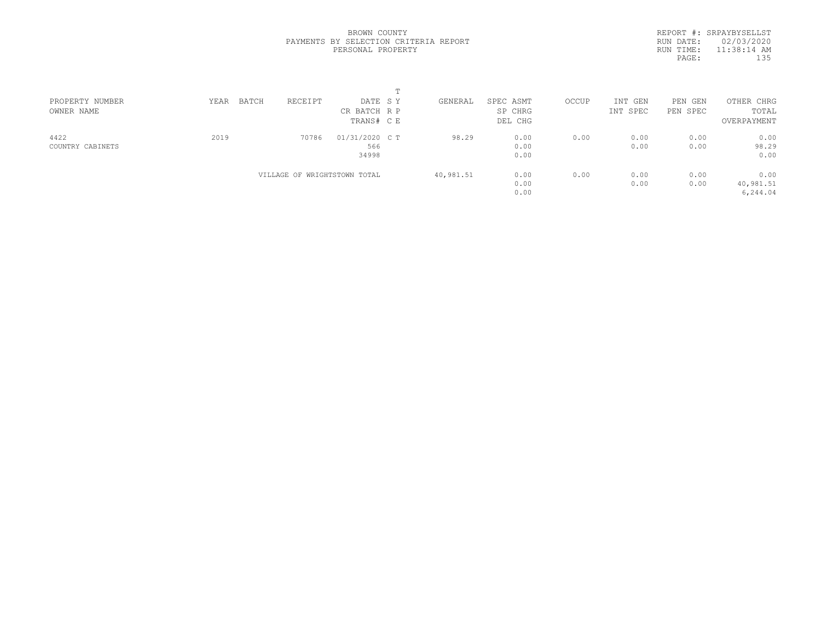REPORT #: SRPAYBYSELLST RUN DATE: 02/03/2020 RUN TIME: 11:38:14 AM PAGE: 135

| PROPERTY NUMBER  | BATCH<br>YEAR | RECEIPT                      | DATE SY        | GENERAL   | SPEC ASMT | OCCUP | INT GEN  | PEN GEN  | OTHER CHRG  |  |
|------------------|---------------|------------------------------|----------------|-----------|-----------|-------|----------|----------|-------------|--|
| OWNER NAME       |               |                              | CR BATCH R P   |           | SP CHRG   |       | INT SPEC | PEN SPEC | TOTAL       |  |
|                  |               |                              | TRANS# C E     |           | DEL CHG   |       |          |          | OVERPAYMENT |  |
| 4422             | 2019          | 70786                        | 01/31/2020 C T | 98.29     | 0.00      | 0.00  | 0.00     | 0.00     | 0.00        |  |
| COUNTRY CABINETS |               |                              | 566            |           | 0.00      |       | 0.00     | 0.00     | 98.29       |  |
|                  |               |                              | 34998          |           | 0.00      |       |          |          | 0.00        |  |
|                  |               | VILLAGE OF WRIGHTSTOWN TOTAL |                | 40,981.51 | 0.00      | 0.00  | 0.00     | 0.00     | 0.00        |  |
|                  |               |                              |                |           | 0.00      |       | 0.00     | 0.00     | 40,981.51   |  |
|                  |               |                              |                |           | 0.00      |       |          |          | 6,244.04    |  |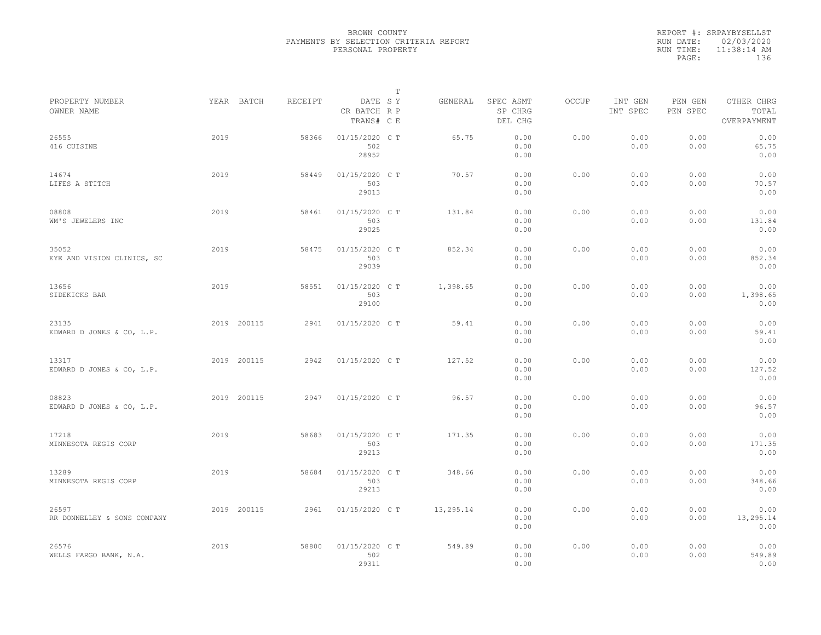|           | REPORT #: SRPAYBYSELLST |
|-----------|-------------------------|
|           | RUN DATE: 02/03/2020    |
| RUN TIME: | $11:38:14$ AM           |
| PAGE:     | 136                     |
|           |                         |

|                                      |      |             |         |                                       | Т |           |                                 |       |                     |                     |                                    |  |
|--------------------------------------|------|-------------|---------|---------------------------------------|---|-----------|---------------------------------|-------|---------------------|---------------------|------------------------------------|--|
| PROPERTY NUMBER<br>OWNER NAME        |      | YEAR BATCH  | RECEIPT | DATE SY<br>CR BATCH R P<br>TRANS# C E |   | GENERAL   | SPEC ASMT<br>SP CHRG<br>DEL CHG | OCCUP | INT GEN<br>INT SPEC | PEN GEN<br>PEN SPEC | OTHER CHRG<br>TOTAL<br>OVERPAYMENT |  |
| 26555<br>416 CUISINE                 | 2019 |             | 58366   | 01/15/2020 C T<br>502<br>28952        |   | 65.75     | 0.00<br>0.00<br>0.00            | 0.00  | 0.00<br>0.00        | 0.00<br>0.00        | 0.00<br>65.75<br>0.00              |  |
| 14674<br>LIFES A STITCH              | 2019 |             | 58449   | 01/15/2020 C T<br>503<br>29013        |   | 70.57     | 0.00<br>0.00<br>0.00            | 0.00  | 0.00<br>0.00        | 0.00<br>0.00        | 0.00<br>70.57<br>0.00              |  |
| 08808<br>WM'S JEWELERS INC           | 2019 |             | 58461   | 01/15/2020 C T<br>503<br>29025        |   | 131.84    | 0.00<br>0.00<br>0.00            | 0.00  | 0.00<br>0.00        | 0.00<br>0.00        | 0.00<br>131.84<br>0.00             |  |
| 35052<br>EYE AND VISION CLINICS, SC  | 2019 |             | 58475   | 01/15/2020 C T<br>503<br>29039        |   | 852.34    | 0.00<br>0.00<br>0.00            | 0.00  | 0.00<br>0.00        | 0.00<br>0.00        | 0.00<br>852.34<br>0.00             |  |
| 13656<br>SIDEKICKS BAR               | 2019 |             | 58551   | 01/15/2020 C T<br>503<br>29100        |   | 1,398.65  | 0.00<br>0.00<br>0.00            | 0.00  | 0.00<br>0.00        | 0.00<br>0.00        | 0.00<br>1,398.65<br>0.00           |  |
| 23135<br>EDWARD D JONES & CO, L.P.   |      | 2019 200115 | 2941    | 01/15/2020 C T                        |   | 59.41     | 0.00<br>0.00<br>0.00            | 0.00  | 0.00<br>0.00        | 0.00<br>0.00        | 0.00<br>59.41<br>0.00              |  |
| 13317<br>EDWARD D JONES & CO, L.P.   |      | 2019 200115 | 2942    | 01/15/2020 C T                        |   | 127.52    | 0.00<br>0.00<br>0.00            | 0.00  | 0.00<br>0.00        | 0.00<br>0.00        | 0.00<br>127.52<br>0.00             |  |
| 08823<br>EDWARD D JONES & CO, L.P.   |      | 2019 200115 | 2947    | 01/15/2020 C T                        |   | 96.57     | 0.00<br>0.00<br>0.00            | 0.00  | 0.00<br>0.00        | 0.00<br>0.00        | 0.00<br>96.57<br>0.00              |  |
| 17218<br>MINNESOTA REGIS CORP        | 2019 |             | 58683   | 01/15/2020 C T<br>503<br>29213        |   | 171.35    | 0.00<br>0.00<br>0.00            | 0.00  | 0.00<br>0.00        | 0.00<br>0.00        | 0.00<br>171.35<br>0.00             |  |
| 13289<br>MINNESOTA REGIS CORP        | 2019 |             | 58684   | 01/15/2020 C T<br>503<br>29213        |   | 348.66    | 0.00<br>0.00<br>0.00            | 0.00  | 0.00<br>0.00        | 0.00<br>0.00        | 0.00<br>348.66<br>0.00             |  |
| 26597<br>RR DONNELLEY & SONS COMPANY |      | 2019 200115 | 2961    | 01/15/2020 C T                        |   | 13,295.14 | 0.00<br>0.00<br>0.00            | 0.00  | 0.00<br>0.00        | 0.00<br>0.00        | 0.00<br>13,295.14<br>0.00          |  |
| 26576<br>WELLS FARGO BANK, N.A.      | 2019 |             | 58800   | 01/15/2020 C T<br>502<br>29311        |   | 549.89    | 0.00<br>0.00<br>0.00            | 0.00  | 0.00<br>0.00        | 0.00<br>0.00        | 0.00<br>549.89<br>0.00             |  |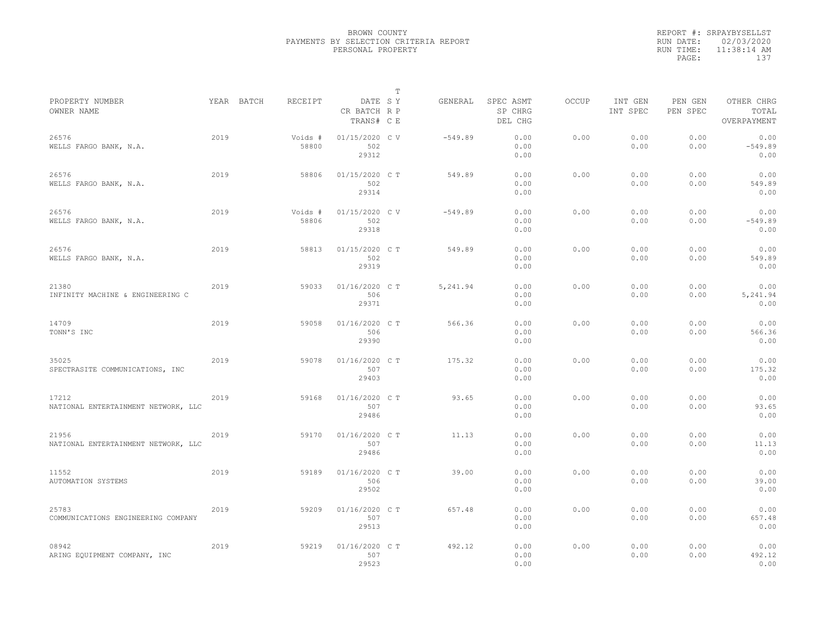|           | REPORT #: SRPAYBYSELLST |
|-----------|-------------------------|
|           | RUN DATE: 02/03/2020    |
| RUN TIME: | $11:38:14$ AM           |
| PAGE:     | 137                     |
|           |                         |

|                                              |      |                       |                                       | T |           |                                 |       |                     |                     |                                    |
|----------------------------------------------|------|-----------------------|---------------------------------------|---|-----------|---------------------------------|-------|---------------------|---------------------|------------------------------------|
| PROPERTY NUMBER<br>OWNER NAME                |      | RECEIPT<br>YEAR BATCH | DATE SY<br>CR BATCH R P<br>TRANS# C E |   | GENERAL   | SPEC ASMT<br>SP CHRG<br>DEL CHG | OCCUP | INT GEN<br>INT SPEC | PEN GEN<br>PEN SPEC | OTHER CHRG<br>TOTAL<br>OVERPAYMENT |
| 26576<br>WELLS FARGO BANK, N.A.              | 2019 | Voids #<br>58800      | 01/15/2020 C V<br>502<br>29312        |   | $-549.89$ | 0.00<br>0.00<br>0.00            | 0.00  | 0.00<br>0.00        | 0.00<br>0.00        | 0.00<br>$-549.89$<br>0.00          |
| 26576<br>WELLS FARGO BANK, N.A.              | 2019 | 58806                 | 01/15/2020 C T<br>502<br>29314        |   | 549.89    | 0.00<br>0.00<br>0.00            | 0.00  | 0.00<br>0.00        | 0.00<br>0.00        | 0.00<br>549.89<br>0.00             |
| 26576<br>WELLS FARGO BANK, N.A.              | 2019 | Voids #<br>58806      | 01/15/2020 C V<br>502<br>29318        |   | $-549.89$ | 0.00<br>0.00<br>0.00            | 0.00  | 0.00<br>0.00        | 0.00<br>0.00        | 0.00<br>$-549.89$<br>0.00          |
| 26576<br>WELLS FARGO BANK, N.A.              | 2019 | 58813                 | 01/15/2020 C T<br>502<br>29319        |   | 549.89    | 0.00<br>0.00<br>0.00            | 0.00  | 0.00<br>0.00        | 0.00<br>0.00        | 0.00<br>549.89<br>0.00             |
| 21380<br>INFINITY MACHINE & ENGINEERING C    | 2019 | 59033                 | 01/16/2020 C T<br>506<br>29371        |   | 5,241.94  | 0.00<br>0.00<br>0.00            | 0.00  | 0.00<br>0.00        | 0.00<br>0.00        | 0.00<br>5,241.94<br>0.00           |
| 14709<br>TONN'S INC                          | 2019 | 59058                 | 01/16/2020 C T<br>506<br>29390        |   | 566.36    | 0.00<br>0.00<br>0.00            | 0.00  | 0.00<br>0.00        | 0.00<br>0.00        | 0.00<br>566.36<br>0.00             |
| 35025<br>SPECTRASITE COMMUNICATIONS, INC     | 2019 | 59078                 | 01/16/2020 C T<br>507<br>29403        |   | 175.32    | 0.00<br>0.00<br>0.00            | 0.00  | 0.00<br>0.00        | 0.00<br>0.00        | 0.00<br>175.32<br>0.00             |
| 17212<br>NATIONAL ENTERTAINMENT NETWORK, LLC | 2019 | 59168                 | 01/16/2020 C T<br>507<br>29486        |   | 93.65     | 0.00<br>0.00<br>0.00            | 0.00  | 0.00<br>0.00        | 0.00<br>0.00        | 0.00<br>93.65<br>0.00              |
| 21956<br>NATIONAL ENTERTAINMENT NETWORK, LLC | 2019 | 59170                 | 01/16/2020 C T<br>507<br>29486        |   | 11.13     | 0.00<br>0.00<br>0.00            | 0.00  | 0.00<br>0.00        | 0.00<br>0.00        | 0.00<br>11.13<br>0.00              |
| 11552<br>AUTOMATION SYSTEMS                  | 2019 | 59189                 | 01/16/2020 C T<br>506<br>29502        |   | 39.00     | 0.00<br>0.00<br>0.00            | 0.00  | 0.00<br>0.00        | 0.00<br>0.00        | 0.00<br>39.00<br>0.00              |
| 25783<br>COMMUNICATIONS ENGINEERING COMPANY  | 2019 | 59209                 | 01/16/2020 C T<br>507<br>29513        |   | 657.48    | 0.00<br>0.00<br>0.00            | 0.00  | 0.00<br>0.00        | 0.00<br>0.00        | 0.00<br>657.48<br>0.00             |
| 08942<br>ARING EQUIPMENT COMPANY, INC        | 2019 | 59219                 | 01/16/2020 C T<br>507<br>29523        |   | 492.12    | 0.00<br>0.00<br>0.00            | 0.00  | 0.00<br>0.00        | 0.00<br>0.00        | 0.00<br>492.12<br>0.00             |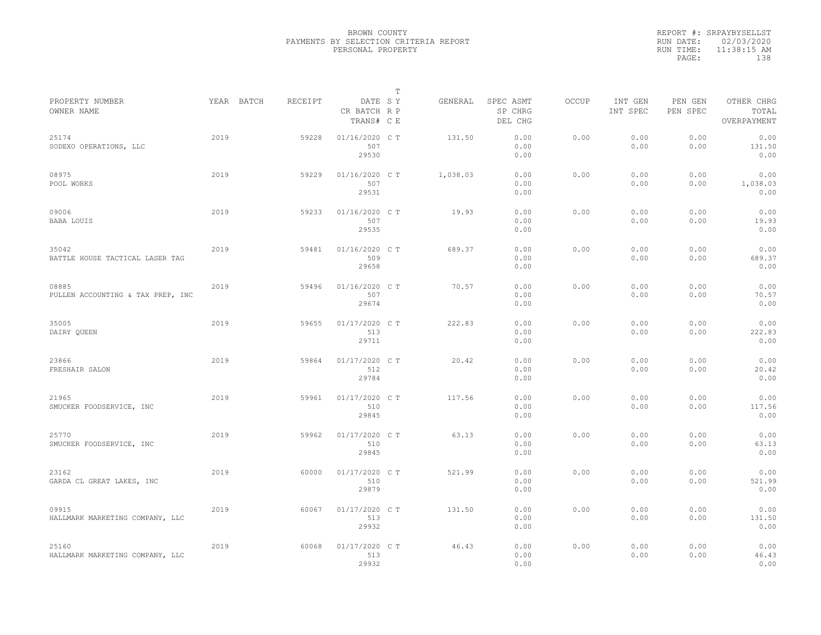|           | REPORT #: SRPAYBYSELLST |
|-----------|-------------------------|
|           | RUN DATE: 02/03/2020    |
| RUN TIME: | $11:38:15$ AM           |
| PAGE:     | 138                     |
|           |                         |

|                                            |      |            |         |                                       | Т |          |                                 |       |                     |                     |                                    |  |
|--------------------------------------------|------|------------|---------|---------------------------------------|---|----------|---------------------------------|-------|---------------------|---------------------|------------------------------------|--|
| PROPERTY NUMBER<br>OWNER NAME              |      | YEAR BATCH | RECEIPT | DATE SY<br>CR BATCH R P<br>TRANS# C E |   | GENERAL  | SPEC ASMT<br>SP CHRG<br>DEL CHG | OCCUP | INT GEN<br>INT SPEC | PEN GEN<br>PEN SPEC | OTHER CHRG<br>TOTAL<br>OVERPAYMENT |  |
| 25174<br>SODEXO OPERATIONS, LLC            | 2019 |            | 59228   | 01/16/2020 C T<br>507<br>29530        |   | 131.50   | 0.00<br>0.00<br>0.00            | 0.00  | 0.00<br>0.00        | 0.00<br>0.00        | 0.00<br>131.50<br>0.00             |  |
| 08975<br>POOL WORKS                        | 2019 |            | 59229   | 01/16/2020 C T<br>507<br>29531        |   | 1,038.03 | 0.00<br>0.00<br>0.00            | 0.00  | 0.00<br>0.00        | 0.00<br>0.00        | 0.00<br>1,038.03<br>0.00           |  |
| 09006<br><b>BABA LOUIS</b>                 | 2019 |            | 59233   | 01/16/2020 C T<br>507<br>29535        |   | 19.93    | 0.00<br>0.00<br>0.00            | 0.00  | 0.00<br>0.00        | 0.00<br>0.00        | 0.00<br>19.93<br>0.00              |  |
| 35042<br>BATTLE HOUSE TACTICAL LASER TAG   | 2019 |            | 59481   | 01/16/2020 C T<br>509<br>29658        |   | 689.37   | 0.00<br>0.00<br>0.00            | 0.00  | 0.00<br>0.00        | 0.00<br>0.00        | 0.00<br>689.37<br>0.00             |  |
| 08885<br>PULLEN ACCOUNTING & TAX PREP, INC | 2019 |            | 59496   | 01/16/2020 C T<br>507<br>29674        |   | 70.57    | 0.00<br>0.00<br>0.00            | 0.00  | 0.00<br>0.00        | 0.00<br>0.00        | 0.00<br>70.57<br>0.00              |  |
| 35005<br>DAIRY QUEEN                       | 2019 |            | 59655   | 01/17/2020 C T<br>513<br>29711        |   | 222.83   | 0.00<br>0.00<br>0.00            | 0.00  | 0.00<br>0.00        | 0.00<br>0.00        | 0.00<br>222.83<br>0.00             |  |
| 23866<br>FRESHAIR SALON                    | 2019 |            | 59864   | 01/17/2020 C T<br>512<br>29784        |   | 20.42    | 0.00<br>0.00<br>0.00            | 0.00  | 0.00<br>0.00        | 0.00<br>0.00        | 0.00<br>20.42<br>0.00              |  |
| 21965<br>SMUCKER FOODSERVICE, INC          | 2019 |            | 59961   | 01/17/2020 C T<br>510<br>29845        |   | 117.56   | 0.00<br>0.00<br>0.00            | 0.00  | 0.00<br>0.00        | 0.00<br>0.00        | 0.00<br>117.56<br>0.00             |  |
| 25770<br>SMUCKER FOODSERVICE, INC          | 2019 |            | 59962   | 01/17/2020 C T<br>510<br>29845        |   | 63.13    | 0.00<br>0.00<br>0.00            | 0.00  | 0.00<br>0.00        | 0.00<br>0.00        | 0.00<br>63.13<br>0.00              |  |
| 23162<br>GARDA CL GREAT LAKES, INC         | 2019 |            | 60000   | 01/17/2020 C T<br>510<br>29879        |   | 521.99   | 0.00<br>0.00<br>0.00            | 0.00  | 0.00<br>0.00        | 0.00<br>0.00        | 0.00<br>521.99<br>0.00             |  |
| 09915<br>HALLMARK MARKETING COMPANY, LLC   | 2019 |            | 60067   | 01/17/2020 C T<br>513<br>29932        |   | 131.50   | 0.00<br>0.00<br>0.00            | 0.00  | 0.00<br>0.00        | 0.00<br>0.00        | 0.00<br>131.50<br>0.00             |  |
| 25160<br>HALLMARK MARKETING COMPANY, LLC   | 2019 |            | 60068   | 01/17/2020 C T<br>513<br>29932        |   | 46.43    | 0.00<br>0.00<br>0.00            | 0.00  | 0.00<br>0.00        | 0.00<br>0.00        | 0.00<br>46.43<br>0.00              |  |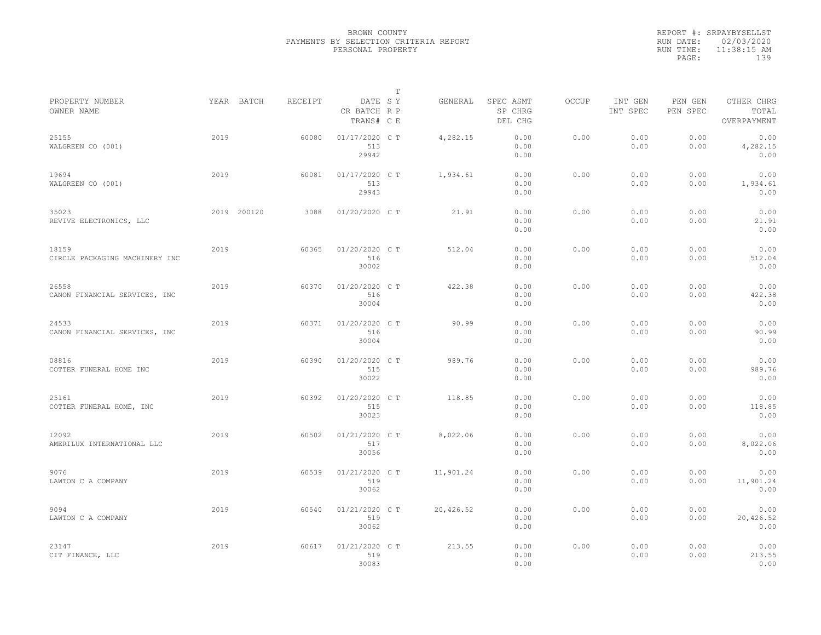|           | REPORT #: SRPAYBYSELLST |
|-----------|-------------------------|
|           | RUN DATE: 02/03/2020    |
| RUN TIME: | $11:38:15$ AM           |
| PAGE:     | 139                     |
|           |                         |

|                                         |      |             |         |                                       | т |           |                                 |       |                     |                     |                                    |  |
|-----------------------------------------|------|-------------|---------|---------------------------------------|---|-----------|---------------------------------|-------|---------------------|---------------------|------------------------------------|--|
| PROPERTY NUMBER<br>OWNER NAME           |      | YEAR BATCH  | RECEIPT | DATE SY<br>CR BATCH R P<br>TRANS# C E |   | GENERAL   | SPEC ASMT<br>SP CHRG<br>DEL CHG | OCCUP | INT GEN<br>INT SPEC | PEN GEN<br>PEN SPEC | OTHER CHRG<br>TOTAL<br>OVERPAYMENT |  |
| 25155<br>WALGREEN CO (001)              | 2019 |             | 60080   | 01/17/2020 C T<br>513<br>29942        |   | 4,282.15  | 0.00<br>0.00<br>0.00            | 0.00  | 0.00<br>0.00        | 0.00<br>0.00        | 0.00<br>4,282.15<br>0.00           |  |
| 19694<br>WALGREEN CO (001)              | 2019 |             | 60081   | 01/17/2020 C T<br>513<br>29943        |   | 1,934.61  | 0.00<br>0.00<br>0.00            | 0.00  | 0.00<br>0.00        | 0.00<br>0.00        | 0.00<br>1,934.61<br>0.00           |  |
| 35023<br>REVIVE ELECTRONICS, LLC        |      | 2019 200120 | 3088    | 01/20/2020 C T                        |   | 21.91     | 0.00<br>0.00<br>0.00            | 0.00  | 0.00<br>0.00        | 0.00<br>0.00        | 0.00<br>21.91<br>0.00              |  |
| 18159<br>CIRCLE PACKAGING MACHINERY INC | 2019 |             | 60365   | 01/20/2020 C T<br>516<br>30002        |   | 512.04    | 0.00<br>0.00<br>0.00            | 0.00  | 0.00<br>0.00        | 0.00<br>0.00        | 0.00<br>512.04<br>0.00             |  |
| 26558<br>CANON FINANCIAL SERVICES, INC  | 2019 |             | 60370   | 01/20/2020 C T<br>516<br>30004        |   | 422.38    | 0.00<br>0.00<br>0.00            | 0.00  | 0.00<br>0.00        | 0.00<br>0.00        | 0.00<br>422.38<br>0.00             |  |
| 24533<br>CANON FINANCIAL SERVICES, INC  | 2019 |             | 60371   | 01/20/2020 C T<br>516<br>30004        |   | 90.99     | 0.00<br>0.00<br>0.00            | 0.00  | 0.00<br>0.00        | 0.00<br>0.00        | 0.00<br>90.99<br>0.00              |  |
| 08816<br>COTTER FUNERAL HOME INC        | 2019 |             | 60390   | 01/20/2020 C T<br>515<br>30022        |   | 989.76    | 0.00<br>0.00<br>0.00            | 0.00  | 0.00<br>0.00        | 0.00<br>0.00        | 0.00<br>989.76<br>0.00             |  |
| 25161<br>COTTER FUNERAL HOME, INC       | 2019 |             | 60392   | 01/20/2020 C T<br>515<br>30023        |   | 118.85    | 0.00<br>0.00<br>0.00            | 0.00  | 0.00<br>0.00        | 0.00<br>0.00        | 0.00<br>118.85<br>0.00             |  |
| 12092<br>AMERILUX INTERNATIONAL LLC     | 2019 |             | 60502   | 01/21/2020 C T<br>517<br>30056        |   | 8,022.06  | 0.00<br>0.00<br>0.00            | 0.00  | 0.00<br>0.00        | 0.00<br>0.00        | 0.00<br>8,022.06<br>0.00           |  |
| 9076<br>LAWTON C A COMPANY              | 2019 |             | 60539   | 01/21/2020 C T<br>519<br>30062        |   | 11,901.24 | 0.00<br>0.00<br>0.00            | 0.00  | 0.00<br>0.00        | 0.00<br>0.00        | 0.00<br>11,901.24<br>0.00          |  |
| 9094<br>LAWTON C A COMPANY              | 2019 |             | 60540   | 01/21/2020 C T<br>519<br>30062        |   | 20,426.52 | 0.00<br>0.00<br>0.00            | 0.00  | 0.00<br>0.00        | 0.00<br>0.00        | 0.00<br>20,426.52<br>0.00          |  |
| 23147<br>CIT FINANCE, LLC               | 2019 |             | 60617   | 01/21/2020 C T<br>519<br>30083        |   | 213.55    | 0.00<br>0.00<br>0.00            | 0.00  | 0.00<br>0.00        | 0.00<br>0.00        | 0.00<br>213.55<br>0.00             |  |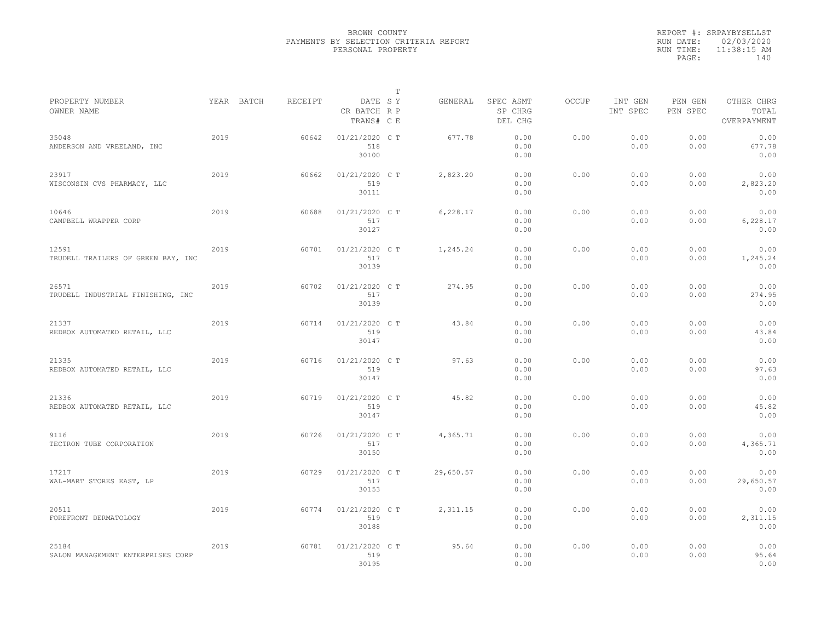|           | REPORT #: SRPAYBYSELLST |
|-----------|-------------------------|
|           | RUN DATE: 02/03/2020    |
| RUN TIME: | $11:38:15$ AM           |
| PAGE:     | 140                     |
|           |                         |

|                                             |            |         |                                       | T |           |                                 |              |                     |                     |                                    |
|---------------------------------------------|------------|---------|---------------------------------------|---|-----------|---------------------------------|--------------|---------------------|---------------------|------------------------------------|
| PROPERTY NUMBER<br>OWNER NAME               | YEAR BATCH | RECEIPT | DATE SY<br>CR BATCH R P<br>TRANS# C E |   | GENERAL   | SPEC ASMT<br>SP CHRG<br>DEL CHG | <b>OCCUP</b> | INT GEN<br>INT SPEC | PEN GEN<br>PEN SPEC | OTHER CHRG<br>TOTAL<br>OVERPAYMENT |
| 35048<br>ANDERSON AND VREELAND, INC         | 2019       | 60642   | 01/21/2020 C T<br>518<br>30100        |   | 677.78    | 0.00<br>0.00<br>0.00            | 0.00         | 0.00<br>0.00        | 0.00<br>0.00        | 0.00<br>677.78<br>0.00             |
| 23917<br>WISCONSIN CVS PHARMACY, LLC        | 2019       | 60662   | $01/21/2020$ C T<br>519<br>30111      |   | 2,823.20  | 0.00<br>0.00<br>0.00            | 0.00         | 0.00<br>0.00        | 0.00<br>0.00        | 0.00<br>2,823.20<br>0.00           |
| 10646<br>CAMPBELL WRAPPER CORP              | 2019       | 60688   | 01/21/2020 C T<br>517<br>30127        |   | 6,228.17  | 0.00<br>0.00<br>0.00            | 0.00         | 0.00<br>0.00        | 0.00<br>0.00        | 0.00<br>6,228.17<br>0.00           |
| 12591<br>TRUDELL TRAILERS OF GREEN BAY, INC | 2019       | 60701   | 01/21/2020 C T<br>517<br>30139        |   | 1,245.24  | 0.00<br>0.00<br>0.00            | 0.00         | 0.00<br>0.00        | 0.00<br>0.00        | 0.00<br>1,245.24<br>0.00           |
| 26571<br>TRUDELL INDUSTRIAL FINISHING, INC  | 2019       | 60702   | 01/21/2020 C T<br>517<br>30139        |   | 274.95    | 0.00<br>0.00<br>0.00            | 0.00         | 0.00<br>0.00        | 0.00<br>0.00        | 0.00<br>274.95<br>0.00             |
| 21337<br>REDBOX AUTOMATED RETAIL, LLC       | 2019       | 60714   | 01/21/2020 C T<br>519<br>30147        |   | 43.84     | 0.00<br>0.00<br>0.00            | 0.00         | 0.00<br>0.00        | 0.00<br>0.00        | 0.00<br>43.84<br>0.00              |
| 21335<br>REDBOX AUTOMATED RETAIL, LLC       | 2019       | 60716   | 01/21/2020 CT<br>519<br>30147         |   | 97.63     | 0.00<br>0.00<br>0.00            | 0.00         | 0.00<br>0.00        | 0.00<br>0.00        | 0.00<br>97.63<br>0.00              |
| 21336<br>REDBOX AUTOMATED RETAIL, LLC       | 2019       | 60719   | 01/21/2020 C T<br>519<br>30147        |   | 45.82     | 0.00<br>0.00<br>0.00            | 0.00         | 0.00<br>0.00        | 0.00<br>0.00        | 0.00<br>45.82<br>0.00              |
| 9116<br>TECTRON TUBE CORPORATION            | 2019       | 60726   | 01/21/2020 C T<br>517<br>30150        |   | 4,365.71  | 0.00<br>0.00<br>0.00            | 0.00         | 0.00<br>0.00        | 0.00<br>0.00        | 0.00<br>4,365.71<br>0.00           |
| 17217<br>WAL-MART STORES EAST, LP           | 2019       | 60729   | 01/21/2020 C T<br>517<br>30153        |   | 29,650.57 | 0.00<br>0.00<br>0.00            | 0.00         | 0.00<br>0.00        | 0.00<br>0.00        | 0.00<br>29,650.57<br>0.00          |
| 20511<br>FOREFRONT DERMATOLOGY              | 2019       | 60774   | 01/21/2020 C T<br>519<br>30188        |   | 2,311.15  | 0.00<br>0.00<br>0.00            | 0.00         | 0.00<br>0.00        | 0.00<br>0.00        | 0.00<br>2,311.15<br>0.00           |
| 25184<br>SALON MANAGEMENT ENTERPRISES CORP  | 2019       | 60781   | 01/21/2020 CT<br>519<br>30195         |   | 95.64     | 0.00<br>0.00<br>0.00            | 0.00         | 0.00<br>0.00        | 0.00<br>0.00        | 0.00<br>95.64<br>0.00              |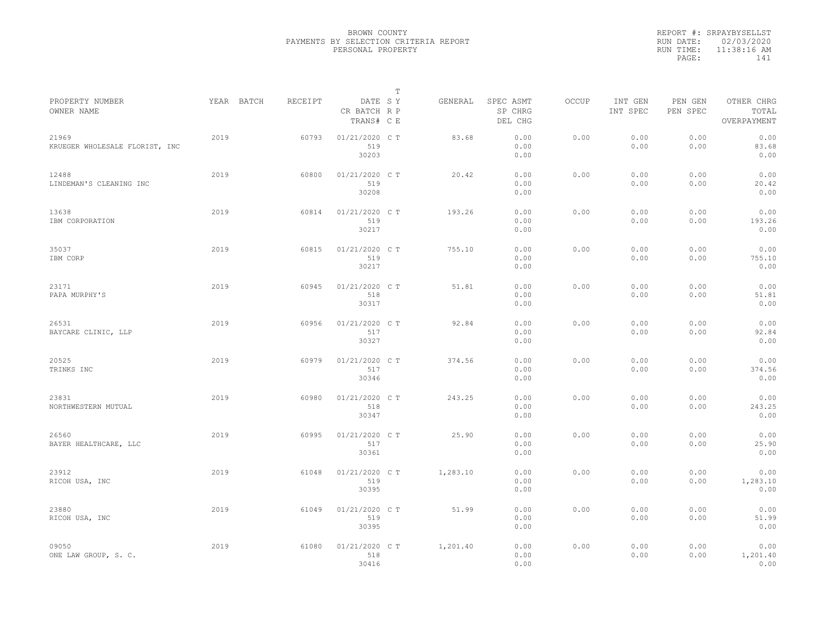|           | REPORT #: SRPAYBYSELLST |
|-----------|-------------------------|
|           | RUN DATE: 02/03/2020    |
| RUN TIME: | 11:38:16 AM             |
| PAGE:     | 141                     |
|           |                         |

|                                         |            |         |                                       | $\mathbb T$ |          |                                 |              |                     |                     |                                    |  |
|-----------------------------------------|------------|---------|---------------------------------------|-------------|----------|---------------------------------|--------------|---------------------|---------------------|------------------------------------|--|
| PROPERTY NUMBER<br>OWNER NAME           | YEAR BATCH | RECEIPT | DATE SY<br>CR BATCH R P<br>TRANS# C E |             | GENERAL  | SPEC ASMT<br>SP CHRG<br>DEL CHG | <b>OCCUP</b> | INT GEN<br>INT SPEC | PEN GEN<br>PEN SPEC | OTHER CHRG<br>TOTAL<br>OVERPAYMENT |  |
| 21969<br>KRUEGER WHOLESALE FLORIST, INC | 2019       | 60793   | 01/21/2020 C T<br>519<br>30203        |             | 83.68    | 0.00<br>0.00<br>0.00            | 0.00         | 0.00<br>0.00        | 0.00<br>0.00        | 0.00<br>83.68<br>0.00              |  |
| 12488<br>LINDEMAN'S CLEANING INC        | 2019       | 60800   | 01/21/2020 C T<br>519<br>30208        |             | 20.42    | 0.00<br>0.00<br>0.00            | 0.00         | 0.00<br>0.00        | 0.00<br>0.00        | 0.00<br>20.42<br>0.00              |  |
| 13638<br>IBM CORPORATION                | 2019       | 60814   | 01/21/2020 C T<br>519<br>30217        |             | 193.26   | 0.00<br>0.00<br>0.00            | 0.00         | 0.00<br>0.00        | 0.00<br>0.00        | 0.00<br>193.26<br>0.00             |  |
| 35037<br>IBM CORP                       | 2019       | 60815   | 01/21/2020 C T<br>519<br>30217        |             | 755.10   | 0.00<br>0.00<br>0.00            | 0.00         | 0.00<br>0.00        | 0.00<br>0.00        | 0.00<br>755.10<br>0.00             |  |
| 23171<br>PAPA MURPHY'S                  | 2019       | 60945   | 01/21/2020 C T<br>518<br>30317        |             | 51.81    | 0.00<br>0.00<br>0.00            | 0.00         | 0.00<br>0.00        | 0.00<br>0.00        | 0.00<br>51.81<br>0.00              |  |
| 26531<br>BAYCARE CLINIC, LLP            | 2019       | 60956   | 01/21/2020 C T<br>517<br>30327        |             | 92.84    | 0.00<br>0.00<br>0.00            | 0.00         | 0.00<br>0.00        | 0.00<br>0.00        | 0.00<br>92.84<br>0.00              |  |
| 20525<br>TRINKS INC                     | 2019       | 60979   | 01/21/2020 C T<br>517<br>30346        |             | 374.56   | 0.00<br>0.00<br>0.00            | 0.00         | 0.00<br>0.00        | 0.00<br>0.00        | 0.00<br>374.56<br>0.00             |  |
| 23831<br>NORTHWESTERN MUTUAL            | 2019       | 60980   | 01/21/2020 C T<br>518<br>30347        |             | 243.25   | 0.00<br>0.00<br>0.00            | 0.00         | 0.00<br>0.00        | 0.00<br>0.00        | 0.00<br>243.25<br>0.00             |  |
| 26560<br>BAYER HEALTHCARE, LLC          | 2019       | 60995   | 01/21/2020 C T<br>517<br>30361        |             | 25.90    | 0.00<br>0.00<br>0.00            | 0.00         | 0.00<br>0.00        | 0.00<br>0.00        | 0.00<br>25.90<br>0.00              |  |
| 23912<br>RICOH USA, INC                 | 2019       | 61048   | 01/21/2020 C T<br>519<br>30395        |             | 1,283.10 | 0.00<br>0.00<br>0.00            | 0.00         | 0.00<br>0.00        | 0.00<br>0.00        | 0.00<br>1,283.10<br>0.00           |  |
| 23880<br>RICOH USA, INC                 | 2019       | 61049   | 01/21/2020 CT<br>519<br>30395         |             | 51.99    | 0.00<br>0.00<br>0.00            | 0.00         | 0.00<br>0.00        | 0.00<br>0.00        | 0.00<br>51.99<br>0.00              |  |
| 09050<br>ONE LAW GROUP, S. C.           | 2019       | 61080   | 01/21/2020 C T<br>518<br>30416        |             | 1,201.40 | 0.00<br>0.00<br>0.00            | 0.00         | 0.00<br>0.00        | 0.00<br>0.00        | 0.00<br>1,201.40<br>0.00           |  |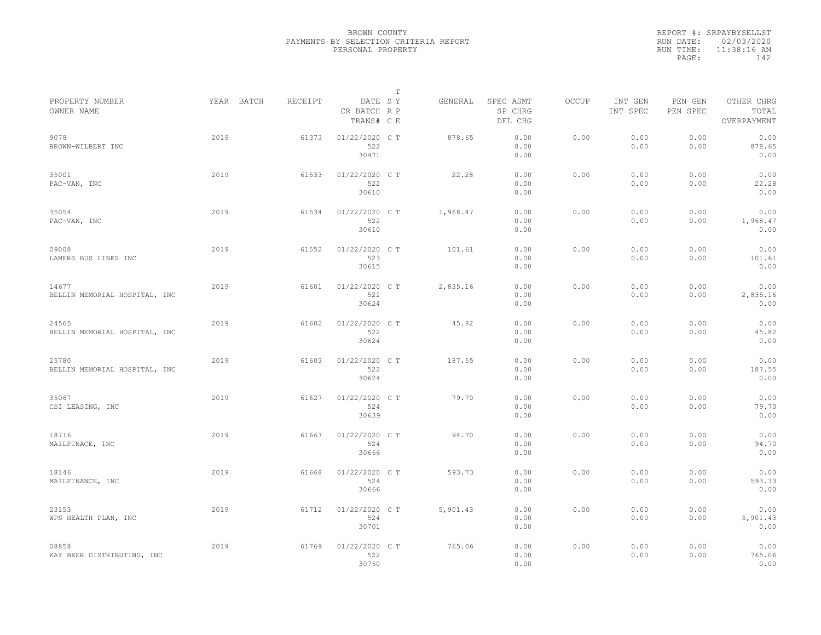|           | REPORT #: SRPAYBYSELLST |
|-----------|-------------------------|
|           | RUN DATE: 02/03/2020    |
| RUN TIME: | 11:38:16 AM             |
| PAGE:     | 142                     |
|           |                         |

| PROPERTY NUMBER                        |      | YEAR BATCH | RECEIPT | DATE SY                        | Т | GENERAL  | SPEC ASMT            | OCCUP | INT GEN      | PEN GEN      | OTHER CHRG               |  |
|----------------------------------------|------|------------|---------|--------------------------------|---|----------|----------------------|-------|--------------|--------------|--------------------------|--|
| OWNER NAME                             |      |            |         | CR BATCH R P<br>TRANS# C E     |   |          | SP CHRG<br>DEL CHG   |       | INT SPEC     | PEN SPEC     | TOTAL<br>OVERPAYMENT     |  |
| 9078<br>BROWN-WILBERT INC              | 2019 |            | 61373   | 01/22/2020 C T<br>522<br>30471 |   | 878.65   | 0.00<br>0.00<br>0.00 | 0.00  | 0.00<br>0.00 | 0.00<br>0.00 | 0.00<br>878.65<br>0.00   |  |
| 35001<br>PAC-VAN, INC                  | 2019 |            | 61533   | 01/22/2020 C T<br>522<br>30610 |   | 22.28    | 0.00<br>0.00<br>0.00 | 0.00  | 0.00<br>0.00 | 0.00<br>0.00 | 0.00<br>22.28<br>0.00    |  |
| 35054<br>PAC-VAN, INC                  | 2019 |            | 61534   | 01/22/2020 C T<br>522<br>30610 |   | 1,968.47 | 0.00<br>0.00<br>0.00 | 0.00  | 0.00<br>0.00 | 0.00<br>0.00 | 0.00<br>1,968.47<br>0.00 |  |
| 09008<br>LAMERS BUS LINES INC          | 2019 |            | 61552   | 01/22/2020 C T<br>523<br>30615 |   | 101.61   | 0.00<br>0.00<br>0.00 | 0.00  | 0.00<br>0.00 | 0.00<br>0.00 | 0.00<br>101.61<br>0.00   |  |
| 14677<br>BELLIN MEMORIAL HOSPITAL, INC | 2019 |            | 61601   | 01/22/2020 C T<br>522<br>30624 |   | 2,835.16 | 0.00<br>0.00<br>0.00 | 0.00  | 0.00<br>0.00 | 0.00<br>0.00 | 0.00<br>2,835.16<br>0.00 |  |
| 24565<br>BELLIN MEMORIAL HOSPITAL, INC | 2019 |            | 61602   | 01/22/2020 C T<br>522<br>30624 |   | 45.82    | 0.00<br>0.00<br>0.00 | 0.00  | 0.00<br>0.00 | 0.00<br>0.00 | 0.00<br>45.82<br>0.00    |  |
| 25780<br>BELLIN MEMORIAL HOSPITAL, INC | 2019 |            | 61603   | 01/22/2020 C T<br>522<br>30624 |   | 187.55   | 0.00<br>0.00<br>0.00 | 0.00  | 0.00<br>0.00 | 0.00<br>0.00 | 0.00<br>187.55<br>0.00   |  |
| 35067<br>CSI LEASING, INC              | 2019 |            | 61627   | 01/22/2020 C T<br>524<br>30639 |   | 79.70    | 0.00<br>0.00<br>0.00 | 0.00  | 0.00<br>0.00 | 0.00<br>0.00 | 0.00<br>79.70<br>0.00    |  |
| 18716<br>MAILFINACE, INC               | 2019 |            | 61667   | 01/22/2020 C T<br>524<br>30666 |   | 94.70    | 0.00<br>0.00<br>0.00 | 0.00  | 0.00<br>0.00 | 0.00<br>0.00 | 0.00<br>94.70<br>0.00    |  |
| 18146<br>MAILFINANCE, INC              | 2019 |            | 61668   | 01/22/2020 C T<br>524<br>30666 |   | 593.73   | 0.00<br>0.00<br>0.00 | 0.00  | 0.00<br>0.00 | 0.00<br>0.00 | 0.00<br>593.73<br>0.00   |  |
| 23153<br>WPS HEALTH PLAN, INC          | 2019 |            | 61712   | 01/22/2020 C T<br>524<br>30701 |   | 5,901.43 | 0.00<br>0.00<br>0.00 | 0.00  | 0.00<br>0.00 | 0.00<br>0.00 | 0.00<br>5,901.43<br>0.00 |  |
| 08858<br>KAY BEER DISTRIBUTING, INC    | 2019 |            | 61769   | 01/22/2020 C T<br>522<br>30750 |   | 765.06   | 0.00<br>0.00<br>0.00 | 0.00  | 0.00<br>0.00 | 0.00<br>0.00 | 0.00<br>765.06<br>0.00   |  |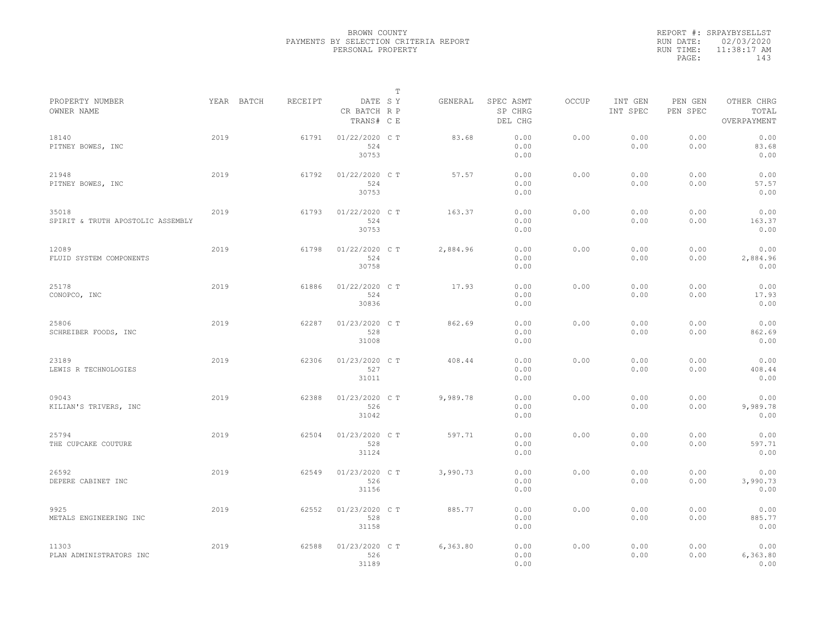|           | REPORT #: SRPAYBYSELLST |
|-----------|-------------------------|
|           | RUN DATE: 02/03/2020    |
| RUN TIME: | $11:38:17$ AM           |
| PAGE:     | 143                     |
|           |                         |

|                                            |      |            |         |                                       | $\mathbb T$ |          |                                 |              |                     |                     |                                    |
|--------------------------------------------|------|------------|---------|---------------------------------------|-------------|----------|---------------------------------|--------------|---------------------|---------------------|------------------------------------|
| PROPERTY NUMBER<br>OWNER NAME              |      | YEAR BATCH | RECEIPT | DATE SY<br>CR BATCH R P<br>TRANS# C E |             | GENERAL  | SPEC ASMT<br>SP CHRG<br>DEL CHG | <b>OCCUP</b> | INT GEN<br>INT SPEC | PEN GEN<br>PEN SPEC | OTHER CHRG<br>TOTAL<br>OVERPAYMENT |
| 18140<br>PITNEY BOWES, INC                 | 2019 |            | 61791   | 01/22/2020 C T<br>524<br>30753        |             | 83.68    | 0.00<br>0.00<br>0.00            | 0.00         | 0.00<br>0.00        | 0.00<br>0.00        | 0.00<br>83.68<br>0.00              |
| 21948<br>PITNEY BOWES, INC                 | 2019 |            | 61792   | 01/22/2020 C T<br>524<br>30753        |             | 57.57    | 0.00<br>0.00<br>0.00            | 0.00         | 0.00<br>0.00        | 0.00<br>0.00        | 0.00<br>57.57<br>0.00              |
| 35018<br>SPIRIT & TRUTH APOSTOLIC ASSEMBLY | 2019 |            | 61793   | 01/22/2020 C T<br>524<br>30753        |             | 163.37   | 0.00<br>0.00<br>0.00            | 0.00         | 0.00<br>0.00        | 0.00<br>0.00        | 0.00<br>163.37<br>0.00             |
| 12089<br>FLUID SYSTEM COMPONENTS           | 2019 |            | 61798   | 01/22/2020 C T<br>524<br>30758        |             | 2,884.96 | 0.00<br>0.00<br>0.00            | 0.00         | 0.00<br>0.00        | 0.00<br>0.00        | 0.00<br>2,884.96<br>0.00           |
| 25178<br>CONOPCO, INC                      | 2019 |            | 61886   | 01/22/2020 CT<br>524<br>30836         |             | 17.93    | 0.00<br>0.00<br>0.00            | 0.00         | 0.00<br>0.00        | 0.00<br>0.00        | 0.00<br>17.93<br>0.00              |
| 25806<br>SCHREIBER FOODS, INC              | 2019 |            | 62287   | 01/23/2020 C T<br>528<br>31008        |             | 862.69   | 0.00<br>0.00<br>0.00            | 0.00         | 0.00<br>0.00        | 0.00<br>0.00        | 0.00<br>862.69<br>0.00             |
| 23189<br>LEWIS R TECHNOLOGIES              | 2019 |            | 62306   | 01/23/2020 C T<br>527<br>31011        |             | 408.44   | 0.00<br>0.00<br>0.00            | 0.00         | 0.00<br>0.00        | 0.00<br>0.00        | 0.00<br>408.44<br>0.00             |
| 09043<br>KILIAN'S TRIVERS, INC             | 2019 |            | 62388   | 01/23/2020 C T<br>526<br>31042        |             | 9,989.78 | 0.00<br>0.00<br>0.00            | 0.00         | 0.00<br>0.00        | 0.00<br>0.00        | 0.00<br>9,989.78<br>0.00           |
| 25794<br>THE CUPCAKE COUTURE               | 2019 |            | 62504   | 01/23/2020 C T<br>528<br>31124        |             | 597.71   | 0.00<br>0.00<br>0.00            | 0.00         | 0.00<br>0.00        | 0.00<br>0.00        | 0.00<br>597.71<br>0.00             |
| 26592<br>DEPERE CABINET INC                | 2019 |            | 62549   | 01/23/2020 C T<br>526<br>31156        |             | 3,990.73 | 0.00<br>0.00<br>0.00            | 0.00         | 0.00<br>0.00        | 0.00<br>0.00        | 0.00<br>3,990.73<br>0.00           |
| 9925<br>METALS ENGINEERING INC             | 2019 |            | 62552   | 01/23/2020 C T<br>528<br>31158        |             | 885.77   | 0.00<br>0.00<br>0.00            | 0.00         | 0.00<br>0.00        | 0.00<br>0.00        | 0.00<br>885.77<br>0.00             |
| 11303<br>PLAN ADMINISTRATORS INC           | 2019 |            | 62588   | 01/23/2020 C T<br>526<br>31189        |             | 6,363.80 | 0.00<br>0.00<br>0.00            | 0.00         | 0.00<br>0.00        | 0.00<br>0.00        | 0.00<br>6,363.80<br>0.00           |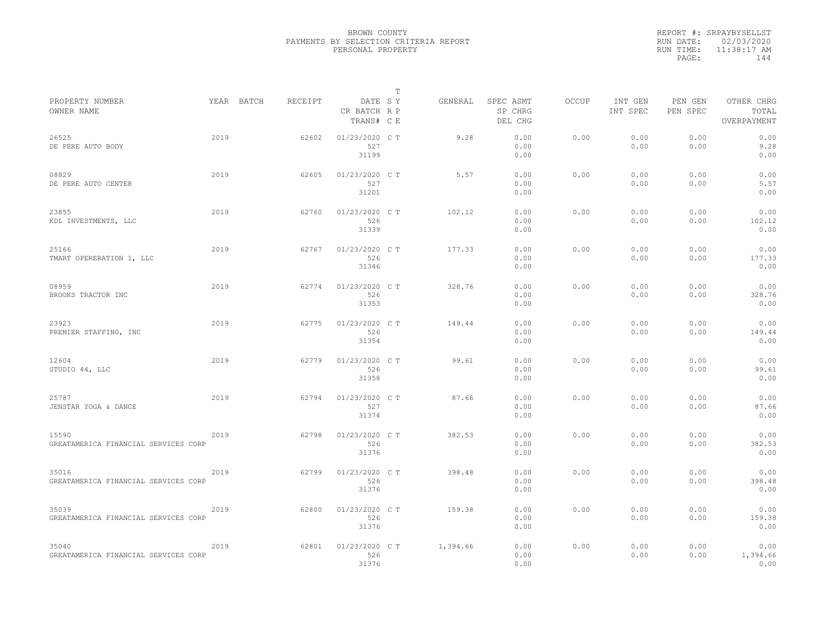|           | REPORT #: SRPAYBYSELLST |
|-----------|-------------------------|
|           | RUN DATE: 02/03/2020    |
| RUN TIME: | $11:38:17$ AM           |
| PAGE:     | 144                     |
|           |                         |

|                                               |      |            |         |                                       | $\mathbb T$ |          |                                 |              |                     |                     |                                    |  |
|-----------------------------------------------|------|------------|---------|---------------------------------------|-------------|----------|---------------------------------|--------------|---------------------|---------------------|------------------------------------|--|
| PROPERTY NUMBER<br>OWNER NAME                 |      | YEAR BATCH | RECEIPT | DATE SY<br>CR BATCH R P<br>TRANS# C E |             | GENERAL  | SPEC ASMT<br>SP CHRG<br>DEL CHG | <b>OCCUP</b> | INT GEN<br>INT SPEC | PEN GEN<br>PEN SPEC | OTHER CHRG<br>TOTAL<br>OVERPAYMENT |  |
| 26525<br>DE PERE AUTO BODY                    | 2019 |            | 62602   | 01/23/2020 C T<br>527<br>31199        |             | 9.28     | 0.00<br>0.00<br>0.00            | 0.00         | 0.00<br>0.00        | 0.00<br>0.00        | 0.00<br>9.28<br>0.00               |  |
| 08829<br>DE PERE AUTO CENTER                  | 2019 |            | 62605   | 01/23/2020 C T<br>527<br>31201        |             | 5.57     | 0.00<br>0.00<br>0.00            | 0.00         | 0.00<br>0.00        | 0.00<br>0.00        | 0.00<br>5.57<br>0.00               |  |
| 23855<br>KDL INVESTMENTS, LLC                 | 2019 |            | 62760   | 01/23/2020 C T<br>526<br>31339        |             | 102.12   | 0.00<br>0.00<br>0.00            | 0.00         | 0.00<br>0.00        | 0.00<br>0.00        | 0.00<br>102.12<br>0.00             |  |
| 25166<br>TMART OPERERATION 1, LLC             | 2019 |            | 62767   | 01/23/2020 C T<br>526<br>31346        |             | 177.33   | 0.00<br>0.00<br>0.00            | 0.00         | 0.00<br>0.00        | 0.00<br>0.00        | 0.00<br>177.33<br>0.00             |  |
| 08959<br>BROOKS TRACTOR INC                   | 2019 |            | 62774   | 01/23/2020 C T<br>526<br>31353        |             | 328.76   | 0.00<br>0.00<br>0.00            | 0.00         | 0.00<br>0.00        | 0.00<br>0.00        | 0.00<br>328.76<br>0.00             |  |
| 23923<br>PREMIER STAFFING, INC                | 2019 |            | 62775   | 01/23/2020 C T<br>526<br>31354        |             | 149.44   | 0.00<br>0.00<br>0.00            | 0.00         | 0.00<br>0.00        | 0.00<br>0.00        | 0.00<br>149.44<br>0.00             |  |
| 12604<br>STUDIO 44, LLC                       | 2019 |            | 62779   | 01/23/2020 C T<br>526<br>31358        |             | 99.61    | 0.00<br>0.00<br>0.00            | 0.00         | 0.00<br>0.00        | 0.00<br>0.00        | 0.00<br>99.61<br>0.00              |  |
| 25787<br>JENSTAR YOGA & DANCE                 | 2019 |            | 62794   | 01/23/2020 C T<br>527<br>31374        |             | 87.66    | 0.00<br>0.00<br>0.00            | 0.00         | 0.00<br>0.00        | 0.00<br>0.00        | 0.00<br>87.66<br>0.00              |  |
| 15590<br>GREATAMERICA FINANCIAL SERVICES CORP | 2019 |            | 62798   | 01/23/2020 C T<br>526<br>31376        |             | 382.53   | 0.00<br>0.00<br>0.00            | 0.00         | 0.00<br>0.00        | 0.00<br>0.00        | 0.00<br>382.53<br>0.00             |  |
| 35016<br>GREATAMERICA FINANCIAL SERVICES CORP | 2019 |            | 62799   | 01/23/2020 C T<br>526<br>31376        |             | 398.48   | 0.00<br>0.00<br>0.00            | 0.00         | 0.00<br>0.00        | 0.00<br>0.00        | 0.00<br>398.48<br>0.00             |  |
| 35039<br>GREATAMERICA FINANCIAL SERVICES CORP | 2019 |            | 62800   | 01/23/2020 C T<br>526<br>31376        |             | 159.38   | 0.00<br>0.00<br>0.00            | 0.00         | 0.00<br>0.00        | 0.00<br>0.00        | 0.00<br>159.38<br>0.00             |  |
| 35040<br>GREATAMERICA FINANCIAL SERVICES CORP | 2019 |            | 62801   | 01/23/2020 C T<br>526<br>31376        |             | 1,394.66 | 0.00<br>0.00<br>0.00            | 0.00         | 0.00<br>0.00        | 0.00<br>0.00        | 0.00<br>1,394.66<br>0.00           |  |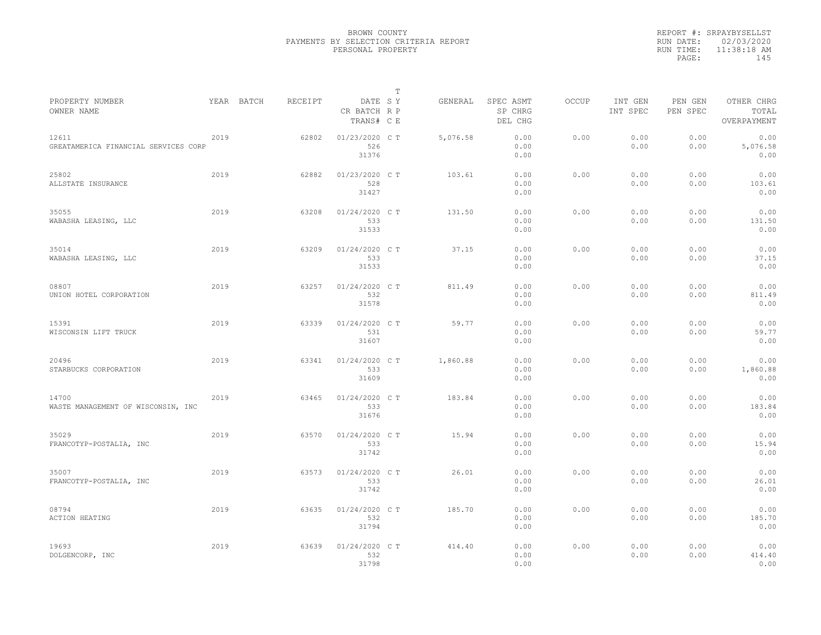|           | REPORT #: SRPAYBYSELLST |
|-----------|-------------------------|
|           | RUN DATE: 02/03/2020    |
| RUN TIME: | $11:38:18$ AM           |
| PAGE:     | 145                     |
|           |                         |

|                                               |      |            |         |                                       | $\mathbb T$ |          |                                 |              |                     |                     |                                    |
|-----------------------------------------------|------|------------|---------|---------------------------------------|-------------|----------|---------------------------------|--------------|---------------------|---------------------|------------------------------------|
| PROPERTY NUMBER<br>OWNER NAME                 |      | YEAR BATCH | RECEIPT | DATE SY<br>CR BATCH R P<br>TRANS# C E |             | GENERAL  | SPEC ASMT<br>SP CHRG<br>DEL CHG | <b>OCCUP</b> | INT GEN<br>INT SPEC | PEN GEN<br>PEN SPEC | OTHER CHRG<br>TOTAL<br>OVERPAYMENT |
| 12611<br>GREATAMERICA FINANCIAL SERVICES CORP | 2019 |            | 62802   | 01/23/2020 C T<br>526<br>31376        |             | 5,076.58 | 0.00<br>0.00<br>0.00            | 0.00         | 0.00<br>0.00        | 0.00<br>0.00        | 0.00<br>5,076.58<br>0.00           |
| 25802<br>ALLSTATE INSURANCE                   | 2019 |            | 62882   | 01/23/2020 C T<br>528<br>31427        |             | 103.61   | 0.00<br>0.00<br>0.00            | 0.00         | 0.00<br>0.00        | 0.00<br>0.00        | 0.00<br>103.61<br>0.00             |
| 35055<br>WABASHA LEASING, LLC                 | 2019 |            | 63208   | 01/24/2020 C T<br>533<br>31533        |             | 131.50   | 0.00<br>0.00<br>0.00            | 0.00         | 0.00<br>0.00        | 0.00<br>0.00        | 0.00<br>131.50<br>0.00             |
| 35014<br>WABASHA LEASING, LLC                 | 2019 |            | 63209   | 01/24/2020 C T<br>533<br>31533        |             | 37.15    | 0.00<br>0.00<br>0.00            | 0.00         | 0.00<br>0.00        | 0.00<br>0.00        | 0.00<br>37.15<br>0.00              |
| 08807<br>UNION HOTEL CORPORATION              | 2019 |            | 63257   | 01/24/2020 C T<br>532<br>31578        |             | 811.49   | 0.00<br>0.00<br>0.00            | 0.00         | 0.00<br>0.00        | 0.00<br>0.00        | 0.00<br>811.49<br>0.00             |
| 15391<br>WISCONSIN LIFT TRUCK                 | 2019 |            | 63339   | 01/24/2020 C T<br>531<br>31607        |             | 59.77    | 0.00<br>0.00<br>0.00            | 0.00         | 0.00<br>0.00        | 0.00<br>0.00        | 0.00<br>59.77<br>0.00              |
| 20496<br>STARBUCKS CORPORATION                | 2019 |            | 63341   | 01/24/2020 C T<br>533<br>31609        |             | 1,860.88 | 0.00<br>0.00<br>0.00            | 0.00         | 0.00<br>0.00        | 0.00<br>0.00        | 0.00<br>1,860.88<br>0.00           |
| 14700<br>WASTE MANAGEMENT OF WISCONSIN, INC   | 2019 |            | 63465   | 01/24/2020 C T<br>533<br>31676        |             | 183.84   | 0.00<br>0.00<br>0.00            | 0.00         | 0.00<br>0.00        | 0.00<br>0.00        | 0.00<br>183.84<br>0.00             |
| 35029<br>FRANCOTYP-POSTALIA, INC              | 2019 |            | 63570   | 01/24/2020 C T<br>533<br>31742        |             | 15.94    | 0.00<br>0.00<br>0.00            | 0.00         | 0.00<br>0.00        | 0.00<br>0.00        | 0.00<br>15.94<br>0.00              |
| 35007<br>FRANCOTYP-POSTALIA, INC              | 2019 |            | 63573   | 01/24/2020 C T<br>533<br>31742        |             | 26.01    | 0.00<br>0.00<br>0.00            | 0.00         | 0.00<br>0.00        | 0.00<br>0.00        | 0.00<br>26.01<br>0.00              |
| 08794<br><b>ACTION HEATING</b>                | 2019 |            | 63635   | 01/24/2020 C T<br>532<br>31794        |             | 185.70   | 0.00<br>0.00<br>0.00            | 0.00         | 0.00<br>0.00        | 0.00<br>0.00        | 0.00<br>185.70<br>0.00             |
| 19693<br>DOLGENCORP, INC                      | 2019 |            | 63639   | 01/24/2020 C T<br>532<br>31798        |             | 414.40   | 0.00<br>0.00<br>0.00            | 0.00         | 0.00<br>0.00        | 0.00<br>0.00        | 0.00<br>414.40<br>0.00             |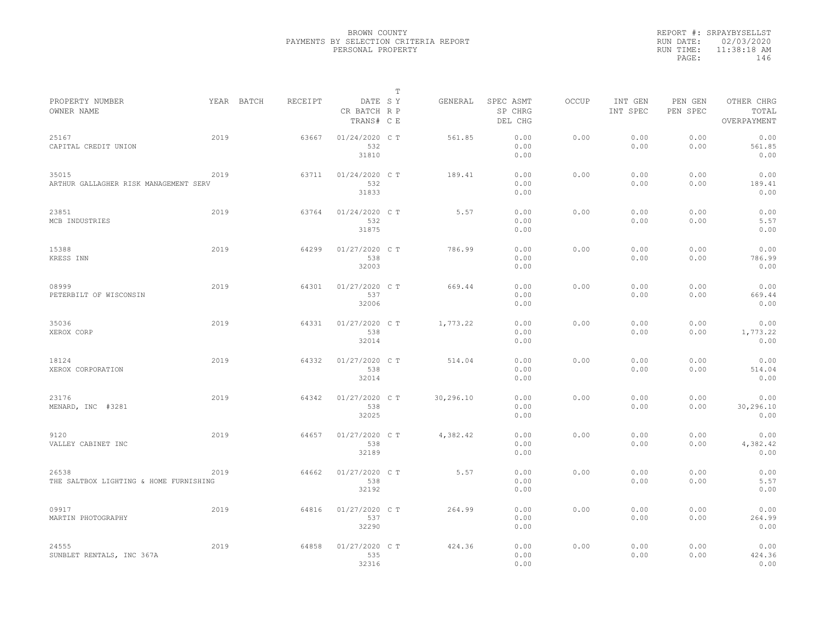|           | REPORT #: SRPAYBYSELLST |
|-----------|-------------------------|
|           | RUN DATE: 02/03/2020    |
| RUN TIME: | $11:38:18$ AM           |
| PAGE:     | 146                     |
|           |                         |

|                                                 |      |                       |       |                                       | $\mathbb T$ |           |                                 |              |                     |                     |                                    |
|-------------------------------------------------|------|-----------------------|-------|---------------------------------------|-------------|-----------|---------------------------------|--------------|---------------------|---------------------|------------------------------------|
| PROPERTY NUMBER<br>OWNER NAME                   |      | YEAR BATCH<br>RECEIPT |       | DATE SY<br>CR BATCH R P<br>TRANS# C E |             | GENERAL   | SPEC ASMT<br>SP CHRG<br>DEL CHG | <b>OCCUP</b> | INT GEN<br>INT SPEC | PEN GEN<br>PEN SPEC | OTHER CHRG<br>TOTAL<br>OVERPAYMENT |
| 25167<br>CAPITAL CREDIT UNION                   | 2019 |                       | 63667 | 01/24/2020 C T<br>532<br>31810        |             | 561.85    | 0.00<br>0.00<br>0.00            | 0.00         | 0.00<br>0.00        | 0.00<br>0.00        | 0.00<br>561.85<br>0.00             |
| 35015<br>ARTHUR GALLAGHER RISK MANAGEMENT SERV  | 2019 |                       | 63711 | 01/24/2020 C T<br>532<br>31833        |             | 189.41    | 0.00<br>0.00<br>0.00            | 0.00         | 0.00<br>0.00        | 0.00<br>0.00        | 0.00<br>189.41<br>0.00             |
| 23851<br>MCB INDUSTRIES                         | 2019 |                       | 63764 | 01/24/2020 C T<br>532<br>31875        |             | 5.57      | 0.00<br>0.00<br>0.00            | 0.00         | 0.00<br>0.00        | 0.00<br>0.00        | 0.00<br>5.57<br>0.00               |
| 15388<br>KRESS INN                              | 2019 |                       | 64299 | 01/27/2020 C T<br>538<br>32003        |             | 786.99    | 0.00<br>0.00<br>0.00            | 0.00         | 0.00<br>0.00        | 0.00<br>0.00        | 0.00<br>786.99<br>0.00             |
| 08999<br>PETERBILT OF WISCONSIN                 | 2019 |                       | 64301 | 01/27/2020 C T<br>537<br>32006        |             | 669.44    | 0.00<br>0.00<br>0.00            | 0.00         | 0.00<br>0.00        | 0.00<br>0.00        | 0.00<br>669.44<br>0.00             |
| 35036<br>XEROX CORP                             | 2019 |                       | 64331 | 01/27/2020 C T<br>538<br>32014        |             | 1,773.22  | 0.00<br>0.00<br>0.00            | 0.00         | 0.00<br>0.00        | 0.00<br>0.00        | 0.00<br>1,773.22<br>0.00           |
| 18124<br>XEROX CORPORATION                      | 2019 |                       | 64332 | 01/27/2020 C T<br>538<br>32014        |             | 514.04    | 0.00<br>0.00<br>0.00            | 0.00         | 0.00<br>0.00        | 0.00<br>0.00        | 0.00<br>514.04<br>0.00             |
| 23176<br>MENARD, INC #3281                      | 2019 |                       | 64342 | 01/27/2020 C T<br>538<br>32025        |             | 30,296.10 | 0.00<br>0.00<br>0.00            | 0.00         | 0.00<br>0.00        | 0.00<br>0.00        | 0.00<br>30,296.10<br>0.00          |
| 9120<br>VALLEY CABINET INC                      | 2019 |                       | 64657 | 01/27/2020 C T<br>538<br>32189        |             | 4,382.42  | 0.00<br>0.00<br>0.00            | 0.00         | 0.00<br>0.00        | 0.00<br>0.00        | 0.00<br>4,382.42<br>0.00           |
| 26538<br>THE SALTBOX LIGHTING & HOME FURNISHING | 2019 |                       | 64662 | 01/27/2020 C T<br>538<br>32192        |             | 5.57      | 0.00<br>0.00<br>0.00            | 0.00         | 0.00<br>0.00        | 0.00<br>0.00        | 0.00<br>5.57<br>0.00               |
| 09917<br>MARTIN PHOTOGRAPHY                     | 2019 |                       | 64816 | 01/27/2020 C T<br>537<br>32290        |             | 264.99    | 0.00<br>0.00<br>0.00            | 0.00         | 0.00<br>0.00        | 0.00<br>0.00        | 0.00<br>264.99<br>0.00             |
| 24555<br>SUNBLET RENTALS, INC 367A              | 2019 |                       | 64858 | 01/27/2020 C T<br>535<br>32316        |             | 424.36    | 0.00<br>0.00<br>0.00            | 0.00         | 0.00<br>0.00        | 0.00<br>0.00        | 0.00<br>424.36<br>0.00             |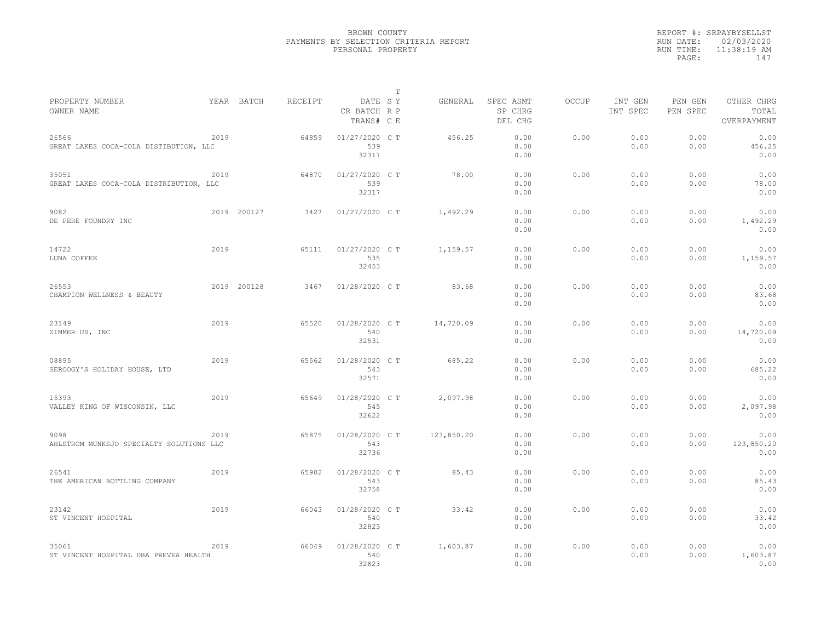|                                                  |      |             |         |                                       | $\mathbb T$ |            |                                 |              |                     |                     |                                    |
|--------------------------------------------------|------|-------------|---------|---------------------------------------|-------------|------------|---------------------------------|--------------|---------------------|---------------------|------------------------------------|
| PROPERTY NUMBER<br>OWNER NAME                    |      | YEAR BATCH  | RECEIPT | DATE SY<br>CR BATCH R P<br>TRANS# C E |             | GENERAL    | SPEC ASMT<br>SP CHRG<br>DEL CHG | <b>OCCUP</b> | INT GEN<br>INT SPEC | PEN GEN<br>PEN SPEC | OTHER CHRG<br>TOTAL<br>OVERPAYMENT |
| 26566<br>GREAT LAKES COCA-COLA DISTIBUTION, LLC  | 2019 |             | 64859   | 01/27/2020 C T<br>539<br>32317        |             | 456.25     | 0.00<br>0.00<br>0.00            | 0.00         | 0.00<br>0.00        | 0.00<br>0.00        | 0.00<br>456.25<br>0.00             |
| 35051<br>GREAT LAKES COCA-COLA DISTRIBUTION, LLC | 2019 |             | 64870   | 01/27/2020 C T<br>539<br>32317        |             | 78.00      | 0.00<br>0.00<br>0.00            | 0.00         | 0.00<br>0.00        | 0.00<br>0.00        | 0.00<br>78.00<br>0.00              |
| 9082<br>DE PERE FOUNDRY INC                      |      | 2019 200127 | 3427    | $01/27/2020$ C T                      |             | 1,492.29   | 0.00<br>0.00<br>0.00            | 0.00         | 0.00<br>0.00        | 0.00<br>0.00        | 0.00<br>1,492.29<br>0.00           |
| 14722<br>LUNA COFFEE                             | 2019 |             | 65111   | 01/27/2020 C T<br>535<br>32453        |             | 1,159.57   | 0.00<br>0.00<br>0.00            | 0.00         | 0.00<br>0.00        | 0.00<br>0.00        | 0.00<br>1,159.57<br>0.00           |
| 26553<br>CHAMPION WELLNESS & BEAUTY              |      | 2019 200128 | 3467    | 01/28/2020 C T                        |             | 83.68      | 0.00<br>0.00<br>0.00            | 0.00         | 0.00<br>0.00        | 0.00<br>0.00        | 0.00<br>83.68<br>0.00              |
| 23149<br>ZIMMER US, INC                          | 2019 |             | 65520   | 01/28/2020 C T<br>540<br>32531        |             | 14,720.09  | 0.00<br>0.00<br>0.00            | 0.00         | 0.00<br>0.00        | 0.00<br>0.00        | 0.00<br>14,720.09<br>0.00          |
| 08895<br>SEROOGY'S HOLIDAY HOUSE, LTD            | 2019 |             | 65562   | 01/28/2020 C T<br>543<br>32571        |             | 685.22     | 0.00<br>0.00<br>0.00            | 0.00         | 0.00<br>0.00        | 0.00<br>0.00        | 0.00<br>685.22<br>0.00             |
| 15393<br>VALLEY KING OF WISCONSIN, LLC           | 2019 |             | 65649   | 01/28/2020 C T<br>545<br>32622        |             | 2,097.98   | 0.00<br>0.00<br>0.00            | 0.00         | 0.00<br>0.00        | 0.00<br>0.00        | 0.00<br>2,097.98<br>0.00           |
| 9098<br>AHLSTROM MUNKSJO SPECIALTY SOLUTIONS LLC | 2019 |             | 65875   | 01/28/2020 C T<br>543<br>32736        |             | 123,850.20 | 0.00<br>0.00<br>0.00            | 0.00         | 0.00<br>0.00        | 0.00<br>0.00        | 0.00<br>123,850.20<br>0.00         |
| 26541<br>THE AMERICAN BOTTLING COMPANY           | 2019 |             | 65902   | 01/28/2020 C T<br>543<br>32758        |             | 85.43      | 0.00<br>0.00<br>0.00            | 0.00         | 0.00<br>0.00        | 0.00<br>0.00        | 0.00<br>85.43<br>0.00              |
| 23142<br>ST VINCENT HOSPITAL                     | 2019 |             | 66043   | 01/28/2020 C T<br>540<br>32823        |             | 33.42      | 0.00<br>0.00<br>0.00            | 0.00         | 0.00<br>0.00        | 0.00<br>0.00        | 0.00<br>33.42<br>0.00              |
| 35061<br>ST VINCENT HOSPITAL DBA PREVEA HEALTH   | 2019 |             | 66049   | 01/28/2020 C T<br>540<br>32823        |             | 1,603.87   | 0.00<br>0.00<br>0.00            | 0.00         | 0.00<br>0.00        | 0.00<br>0.00        | 0.00<br>1,603.87<br>0.00           |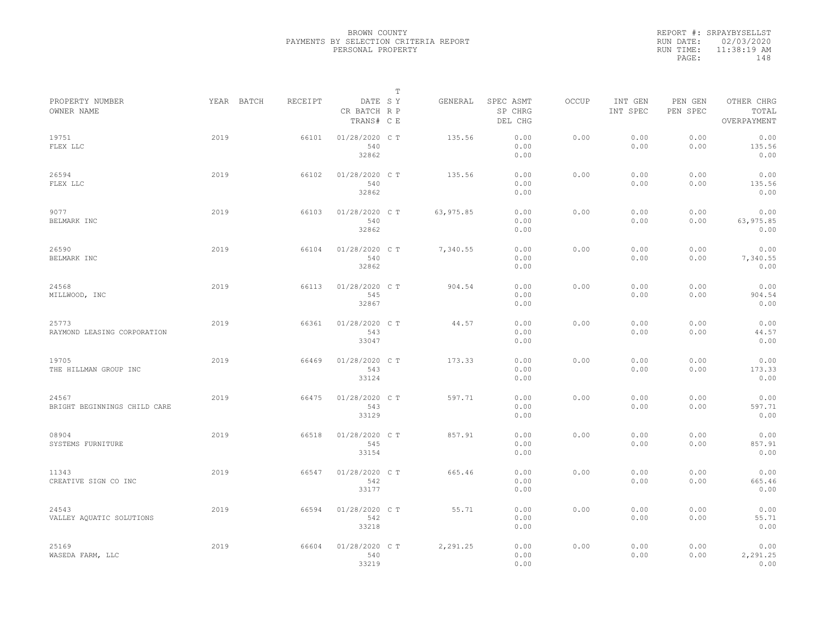|           | REPORT #: SRPAYBYSELLST |
|-----------|-------------------------|
|           | RUN DATE: 02/03/2020    |
| RUN TIME: | $11:38:19$ AM           |
| PAGE:     | 148                     |
|           |                         |

|                                       |            |         |                                       | Т          |                                 |       |                     |                     |                                    |
|---------------------------------------|------------|---------|---------------------------------------|------------|---------------------------------|-------|---------------------|---------------------|------------------------------------|
| PROPERTY NUMBER<br>OWNER NAME         | YEAR BATCH | RECEIPT | DATE SY<br>CR BATCH R P<br>TRANS# C E | GENERAL    | SPEC ASMT<br>SP CHRG<br>DEL CHG | OCCUP | INT GEN<br>INT SPEC | PEN GEN<br>PEN SPEC | OTHER CHRG<br>TOTAL<br>OVERPAYMENT |
| 19751<br>FLEX LLC                     | 2019       | 66101   | 01/28/2020 C T<br>540<br>32862        | 135.56     | 0.00<br>0.00<br>0.00            | 0.00  | 0.00<br>0.00        | 0.00<br>0.00        | 0.00<br>135.56<br>0.00             |
| 26594<br>FLEX LLC                     | 2019       | 66102   | 01/28/2020 C T<br>540<br>32862        | 135.56     | 0.00<br>0.00<br>0.00            | 0.00  | 0.00<br>0.00        | 0.00<br>0.00        | 0.00<br>135.56<br>0.00             |
| 9077<br>BELMARK INC                   | 2019       | 66103   | 01/28/2020 C T<br>540<br>32862        | 63, 975.85 | 0.00<br>0.00<br>0.00            | 0.00  | 0.00<br>0.00        | 0.00<br>0.00        | 0.00<br>63,975.85<br>0.00          |
| 26590<br>BELMARK INC                  | 2019       | 66104   | 01/28/2020 C T<br>540<br>32862        | 7,340.55   | 0.00<br>0.00<br>0.00            | 0.00  | 0.00<br>0.00        | 0.00<br>0.00        | 0.00<br>7,340.55<br>0.00           |
| 24568<br>MILLWOOD, INC                | 2019       | 66113   | 01/28/2020 C T<br>545<br>32867        | 904.54     | 0.00<br>0.00<br>0.00            | 0.00  | 0.00<br>0.00        | 0.00<br>0.00        | 0.00<br>904.54<br>0.00             |
| 25773<br>RAYMOND LEASING CORPORATION  | 2019       | 66361   | 01/28/2020 C T<br>543<br>33047        | 44.57      | 0.00<br>0.00<br>0.00            | 0.00  | 0.00<br>0.00        | 0.00<br>0.00        | 0.00<br>44.57<br>0.00              |
| 19705<br>THE HILLMAN GROUP INC        | 2019       | 66469   | 01/28/2020 C T<br>543<br>33124        | 173.33     | 0.00<br>0.00<br>0.00            | 0.00  | 0.00<br>0.00        | 0.00<br>0.00        | 0.00<br>173.33<br>0.00             |
| 24567<br>BRIGHT BEGINNINGS CHILD CARE | 2019       | 66475   | 01/28/2020 C T<br>543<br>33129        | 597.71     | 0.00<br>0.00<br>0.00            | 0.00  | 0.00<br>0.00        | 0.00<br>0.00        | 0.00<br>597.71<br>0.00             |
| 08904<br>SYSTEMS FURNITURE            | 2019       | 66518   | 01/28/2020 C T<br>545<br>33154        | 857.91     | 0.00<br>0.00<br>0.00            | 0.00  | 0.00<br>0.00        | 0.00<br>0.00        | 0.00<br>857.91<br>0.00             |
| 11343<br>CREATIVE SIGN CO INC         | 2019       | 66547   | 01/28/2020 C T<br>542<br>33177        | 665.46     | 0.00<br>0.00<br>0.00            | 0.00  | 0.00<br>0.00        | 0.00<br>0.00        | 0.00<br>665.46<br>0.00             |
| 24543<br>VALLEY AQUATIC SOLUTIONS     | 2019       | 66594   | 01/28/2020 C T<br>542<br>33218        | 55.71      | 0.00<br>0.00<br>0.00            | 0.00  | 0.00<br>0.00        | 0.00<br>0.00        | 0.00<br>55.71<br>0.00              |
| 25169<br>WASEDA FARM, LLC             | 2019       | 66604   | 01/28/2020 C T<br>540<br>33219        | 2,291.25   | 0.00<br>0.00<br>0.00            | 0.00  | 0.00<br>0.00        | 0.00<br>0.00        | 0.00<br>2,291.25<br>0.00           |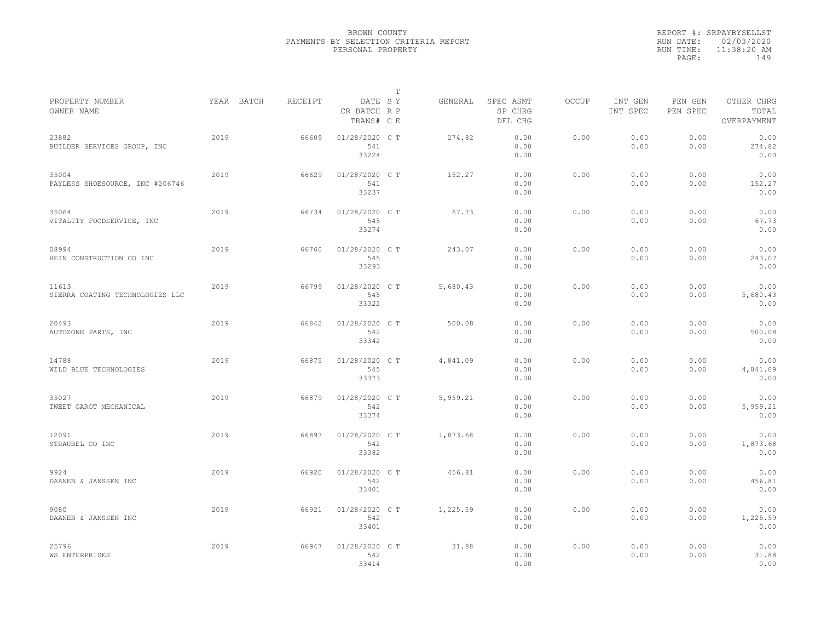|           | REPORT #: SRPAYBYSELLST |
|-----------|-------------------------|
|           | RUN DATE: 02/03/2020    |
| RUN TIME: | 11:38:20 AM             |
| PAGE:     | 149                     |
|           |                         |

|                                          |            |         |                                       | T |          |                                 |              |                     |                     |                                    |
|------------------------------------------|------------|---------|---------------------------------------|---|----------|---------------------------------|--------------|---------------------|---------------------|------------------------------------|
| PROPERTY NUMBER<br>OWNER NAME            | YEAR BATCH | RECEIPT | DATE SY<br>CR BATCH R P<br>TRANS# C E |   | GENERAL  | SPEC ASMT<br>SP CHRG<br>DEL CHG | <b>OCCUP</b> | INT GEN<br>INT SPEC | PEN GEN<br>PEN SPEC | OTHER CHRG<br>TOTAL<br>OVERPAYMENT |
| 23882<br>BUILDER SERVICES GROUP, INC     | 2019       | 66609   | 01/28/2020 C T<br>541<br>33224        |   | 274.82   | 0.00<br>0.00<br>0.00            | 0.00         | 0.00<br>0.00        | 0.00<br>0.00        | 0.00<br>274.82<br>0.00             |
| 35004<br>PAYLESS SHOESOURCE, INC #206746 | 2019       | 66629   | 01/28/2020 C T<br>541<br>33237        |   | 152.27   | 0.00<br>0.00<br>0.00            | 0.00         | 0.00<br>0.00        | 0.00<br>0.00        | 0.00<br>152.27<br>0.00             |
| 35064<br>VITALITY FOODSERVICE, INC       | 2019       | 66734   | 01/28/2020 C T<br>545<br>33274        |   | 67.73    | 0.00<br>0.00<br>0.00            | 0.00         | 0.00<br>0.00        | 0.00<br>0.00        | 0.00<br>67.73<br>0.00              |
| 08994<br>HEIN CONSTRUCTION CO INC        | 2019       | 66760   | 01/28/2020 C T<br>545<br>33293        |   | 243.07   | 0.00<br>0.00<br>0.00            | 0.00         | 0.00<br>0.00        | 0.00<br>0.00        | 0.00<br>243.07<br>0.00             |
| 11613<br>SIERRA COATING TECHNOLOGIES LLC | 2019       | 66799   | 01/28/2020 C T<br>545<br>33322        |   | 5,680.43 | 0.00<br>0.00<br>0.00            | 0.00         | 0.00<br>0.00        | 0.00<br>0.00        | 0.00<br>5,680.43<br>0.00           |
| 20493<br>AUTOZONE PARTS, INC             | 2019       | 66842   | 01/28/2020 C T<br>542<br>33342        |   | 500.08   | 0.00<br>0.00<br>0.00            | 0.00         | 0.00<br>0.00        | 0.00<br>0.00        | 0.00<br>500.08<br>0.00             |
| 14788<br>WILD BLUE TECHNOLOGIES          | 2019       | 66875   | 01/28/2020 C T<br>545<br>33373        |   | 4,841.09 | 0.00<br>0.00<br>0.00            | 0.00         | 0.00<br>0.00        | 0.00<br>0.00        | 0.00<br>4,841.09<br>0.00           |
| 35027<br>TWEET GAROT MECHANICAL          | 2019       | 66879   | 01/28/2020 C T<br>542<br>33374        |   | 5,959.21 | 0.00<br>0.00<br>0.00            | 0.00         | 0.00<br>0.00        | 0.00<br>0.00        | 0.00<br>5,959.21<br>0.00           |
| 12091<br>STRAUBEL CO INC                 | 2019       | 66893   | 01/28/2020 C T<br>542<br>33382        |   | 1,873.68 | 0.00<br>0.00<br>0.00            | 0.00         | 0.00<br>0.00        | 0.00<br>0.00        | 0.00<br>1,873.68<br>0.00           |
| 9924<br>DAANEN & JANSSEN INC             | 2019       | 66920   | 01/28/2020 C T<br>542<br>33401        |   | 456.81   | 0.00<br>0.00<br>0.00            | 0.00         | 0.00<br>0.00        | 0.00<br>0.00        | 0.00<br>456.81<br>0.00             |
| 9080<br>DAANEN & JANSSEN INC             | 2019       | 66921   | 01/28/2020 C T<br>542<br>33401        |   | 1,225.59 | 0.00<br>0.00<br>0.00            | 0.00         | 0.00<br>0.00        | 0.00<br>0.00        | 0.00<br>1,225.59<br>0.00           |
| 25796<br><b>WS ENTERPRISES</b>           | 2019       | 66947   | 01/28/2020 CT<br>542<br>33414         |   | 31.88    | 0.00<br>0.00<br>0.00            | 0.00         | 0.00<br>0.00        | 0.00<br>0.00        | 0.00<br>31.88<br>0.00              |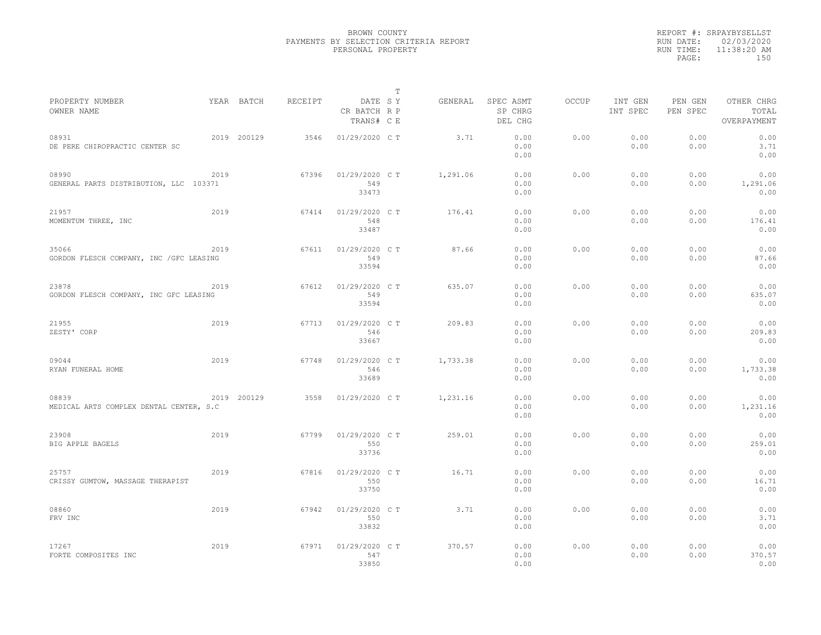|                                                   |      |             |         |                                       | $\mathbb{T}$ |          |                                 |              |                     |                     |                                    |
|---------------------------------------------------|------|-------------|---------|---------------------------------------|--------------|----------|---------------------------------|--------------|---------------------|---------------------|------------------------------------|
| PROPERTY NUMBER<br>OWNER NAME                     |      | YEAR BATCH  | RECEIPT | DATE SY<br>CR BATCH R P<br>TRANS# C E |              | GENERAL  | SPEC ASMT<br>SP CHRG<br>DEL CHG | <b>OCCUP</b> | INT GEN<br>INT SPEC | PEN GEN<br>PEN SPEC | OTHER CHRG<br>TOTAL<br>OVERPAYMENT |
| 08931<br>DE PERE CHIROPRACTIC CENTER SC           |      | 2019 200129 | 3546    | 01/29/2020 C T                        |              | 3.71     | 0.00<br>0.00<br>0.00            | 0.00         | 0.00<br>0.00        | 0.00<br>0.00        | 0.00<br>3.71<br>0.00               |
| 08990<br>GENERAL PARTS DISTRIBUTION, LLC 103371   | 2019 |             | 67396   | 01/29/2020 C T<br>549<br>33473        |              | 1,291.06 | 0.00<br>0.00<br>0.00            | 0.00         | 0.00<br>0.00        | 0.00<br>0.00        | 0.00<br>1,291.06<br>0.00           |
| 21957<br>MOMENTUM THREE, INC                      | 2019 |             | 67414   | 01/29/2020 C T<br>548<br>33487        |              | 176.41   | 0.00<br>0.00<br>0.00            | 0.00         | 0.00<br>0.00        | 0.00<br>0.00        | 0.00<br>176.41<br>0.00             |
| 35066<br>GORDON FLESCH COMPANY, INC / GFC LEASING | 2019 |             | 67611   | 01/29/2020 C T<br>549<br>33594        |              | 87.66    | 0.00<br>0.00<br>0.00            | 0.00         | 0.00<br>0.00        | 0.00<br>0.00        | 0.00<br>87.66<br>0.00              |
| 23878<br>GORDON FLESCH COMPANY, INC GFC LEASING   | 2019 |             | 67612   | 01/29/2020 C T<br>549<br>33594        |              | 635.07   | 0.00<br>0.00<br>0.00            | 0.00         | 0.00<br>0.00        | 0.00<br>0.00        | 0.00<br>635.07<br>0.00             |
| 21955<br>ZESTY' CORP                              | 2019 |             | 67713   | 01/29/2020 C T<br>546<br>33667        |              | 209.83   | 0.00<br>0.00<br>0.00            | 0.00         | 0.00<br>0.00        | 0.00<br>0.00        | 0.00<br>209.83<br>0.00             |
| 09044<br>RYAN FUNERAL HOME                        | 2019 |             | 67748   | 01/29/2020 C T<br>546<br>33689        |              | 1,733.38 | 0.00<br>0.00<br>0.00            | 0.00         | 0.00<br>0.00        | 0.00<br>0.00        | 0.00<br>1,733.38<br>0.00           |
| 08839<br>MEDICAL ARTS COMPLEX DENTAL CENTER, S.C  |      | 2019 200129 | 3558    | 01/29/2020 C T                        |              | 1,231.16 | 0.00<br>0.00<br>0.00            | 0.00         | 0.00<br>0.00        | 0.00<br>0.00        | 0.00<br>1,231.16<br>0.00           |
| 23908<br>BIG APPLE BAGELS                         | 2019 |             | 67799   | 01/29/2020 C T<br>550<br>33736        |              | 259.01   | 0.00<br>0.00<br>0.00            | 0.00         | 0.00<br>0.00        | 0.00<br>0.00        | 0.00<br>259.01<br>0.00             |
| 25757<br>CRISSY GUMTOW, MASSAGE THERAPIST         | 2019 |             | 67816   | 01/29/2020 C T<br>550<br>33750        |              | 16.71    | 0.00<br>0.00<br>0.00            | 0.00         | 0.00<br>0.00        | 0.00<br>0.00        | 0.00<br>16.71<br>0.00              |
| 08860<br>FRV INC                                  | 2019 |             | 67942   | 01/29/2020 C T<br>550<br>33832        |              | 3.71     | 0.00<br>0.00<br>0.00            | 0.00         | 0.00<br>0.00        | 0.00<br>0.00        | 0.00<br>3.71<br>0.00               |
| 17267<br>FORTE COMPOSITES INC                     | 2019 |             | 67971   | 01/29/2020 C T<br>547<br>33850        |              | 370.57   | 0.00<br>0.00<br>0.00            | 0.00         | 0.00<br>0.00        | 0.00<br>0.00        | 0.00<br>370.57<br>0.00             |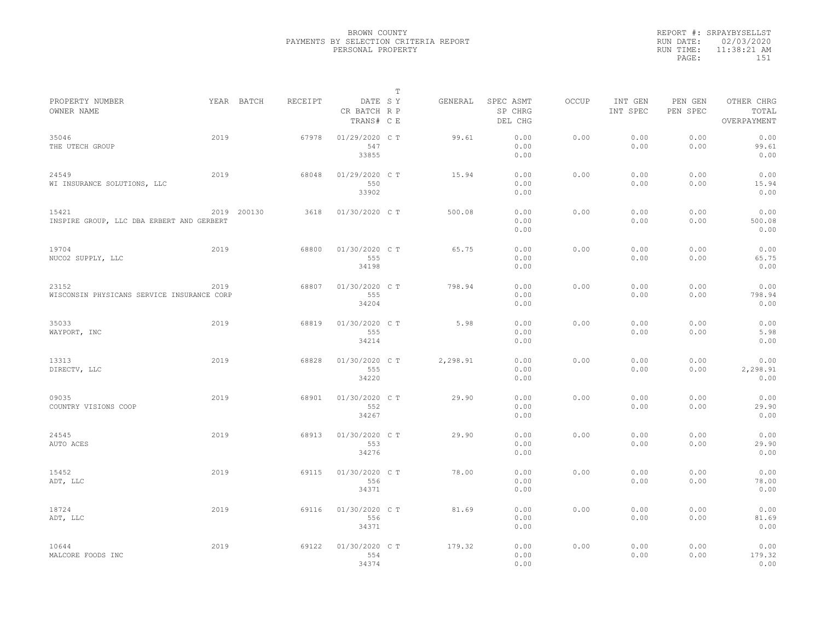|           | REPORT #: SRPAYBYSELLST |
|-----------|-------------------------|
|           | RUN DATE: 02/03/2020    |
| RUN TIME: | 11:38:21 AM             |
| PAGE:     | 1.51                    |
|           |                         |

|                                                     |      |             |         |                                       | Т |          |                                 |       |                     |                     |                                    |  |
|-----------------------------------------------------|------|-------------|---------|---------------------------------------|---|----------|---------------------------------|-------|---------------------|---------------------|------------------------------------|--|
| PROPERTY NUMBER<br>OWNER NAME                       |      | YEAR BATCH  | RECEIPT | DATE SY<br>CR BATCH R P<br>TRANS# C E |   | GENERAL  | SPEC ASMT<br>SP CHRG<br>DEL CHG | OCCUP | INT GEN<br>INT SPEC | PEN GEN<br>PEN SPEC | OTHER CHRG<br>TOTAL<br>OVERPAYMENT |  |
| 35046<br>THE UTECH GROUP                            | 2019 |             | 67978   | 01/29/2020 C T<br>547<br>33855        |   | 99.61    | 0.00<br>0.00<br>0.00            | 0.00  | 0.00<br>0.00        | 0.00<br>0.00        | 0.00<br>99.61<br>0.00              |  |
| 24549<br>WI INSURANCE SOLUTIONS, LLC                | 2019 |             | 68048   | 01/29/2020 C T<br>550<br>33902        |   | 15.94    | 0.00<br>0.00<br>0.00            | 0.00  | 0.00<br>0.00        | 0.00<br>0.00        | 0.00<br>15.94<br>0.00              |  |
| 15421<br>INSPIRE GROUP, LLC DBA ERBERT AND GERBERT  |      | 2019 200130 | 3618    | 01/30/2020 C T                        |   | 500.08   | 0.00<br>0.00<br>0.00            | 0.00  | 0.00<br>0.00        | 0.00<br>0.00        | 0.00<br>500.08<br>0.00             |  |
| 19704<br>NUCO2 SUPPLY, LLC                          | 2019 |             | 68800   | 01/30/2020 C T<br>555<br>34198        |   | 65.75    | 0.00<br>0.00<br>0.00            | 0.00  | 0.00<br>0.00        | 0.00<br>0.00        | 0.00<br>65.75<br>0.00              |  |
| 23152<br>WISCONSIN PHYSICANS SERVICE INSURANCE CORP | 2019 |             | 68807   | 01/30/2020 C T<br>555<br>34204        |   | 798.94   | 0.00<br>0.00<br>0.00            | 0.00  | 0.00<br>0.00        | 0.00<br>0.00        | 0.00<br>798.94<br>0.00             |  |
| 35033<br>WAYPORT, INC                               | 2019 |             | 68819   | 01/30/2020 C T<br>555<br>34214        |   | 5.98     | 0.00<br>0.00<br>0.00            | 0.00  | 0.00<br>0.00        | 0.00<br>0.00        | 0.00<br>5.98<br>0.00               |  |
| 13313<br>DIRECTV, LLC                               | 2019 |             | 68828   | 01/30/2020 C T<br>555<br>34220        |   | 2,298.91 | 0.00<br>0.00<br>0.00            | 0.00  | 0.00<br>0.00        | 0.00<br>0.00        | 0.00<br>2,298.91<br>0.00           |  |
| 09035<br>COUNTRY VISIONS COOP                       | 2019 |             | 68901   | 01/30/2020 C T<br>552<br>34267        |   | 29.90    | 0.00<br>0.00<br>0.00            | 0.00  | 0.00<br>0.00        | 0.00<br>0.00        | 0.00<br>29.90<br>0.00              |  |
| 24545<br>AUTO ACES                                  | 2019 |             | 68913   | 01/30/2020 C T<br>553<br>34276        |   | 29.90    | 0.00<br>0.00<br>0.00            | 0.00  | 0.00<br>0.00        | 0.00<br>0.00        | 0.00<br>29.90<br>0.00              |  |
| 15452<br>ADT, LLC                                   | 2019 |             | 69115   | 01/30/2020 C T<br>556<br>34371        |   | 78.00    | 0.00<br>0.00<br>0.00            | 0.00  | 0.00<br>0.00        | 0.00<br>0.00        | 0.00<br>78.00<br>0.00              |  |
| 18724<br>ADT, LLC                                   | 2019 |             | 69116   | 01/30/2020 C T<br>556<br>34371        |   | 81.69    | 0.00<br>0.00<br>0.00            | 0.00  | 0.00<br>0.00        | 0.00<br>0.00        | 0.00<br>81.69<br>0.00              |  |
| 10644<br>MALCORE FOODS INC                          | 2019 |             | 69122   | 01/30/2020 CT<br>554<br>34374         |   | 179.32   | 0.00<br>0.00<br>0.00            | 0.00  | 0.00<br>0.00        | 0.00<br>0.00        | 0.00<br>179.32<br>0.00             |  |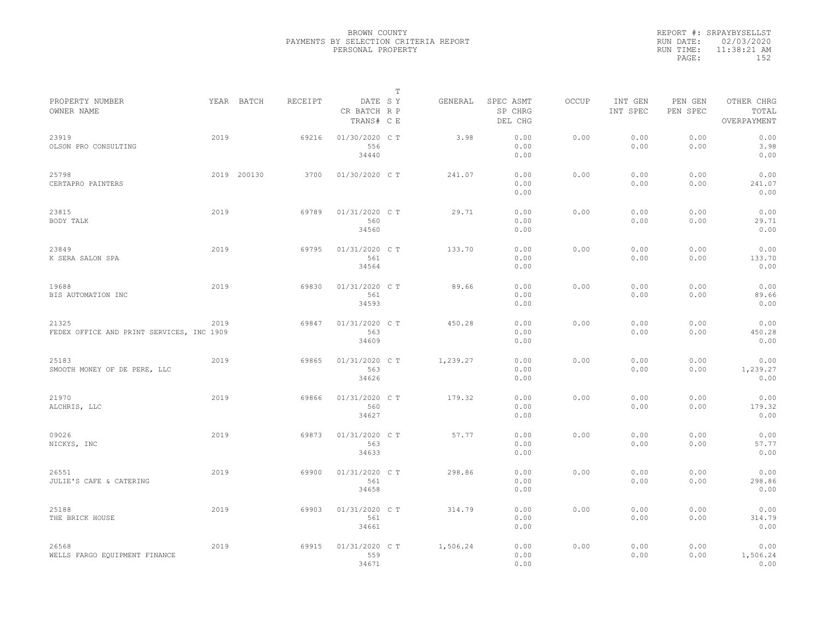|           | REPORT #: SRPAYBYSELLST |  |
|-----------|-------------------------|--|
|           | RUN DATE: 02/03/2020    |  |
| RUN TIME: | 11:38:21 AM             |  |
| PAGE:     | 152                     |  |
|           |                         |  |

|                                                    |      |             |         |                                       | $\mathbb T$ |          |                                 |              |                     |                     |                                    |
|----------------------------------------------------|------|-------------|---------|---------------------------------------|-------------|----------|---------------------------------|--------------|---------------------|---------------------|------------------------------------|
| PROPERTY NUMBER<br>OWNER NAME                      |      | YEAR BATCH  | RECEIPT | DATE SY<br>CR BATCH R P<br>TRANS# C E |             | GENERAL  | SPEC ASMT<br>SP CHRG<br>DEL CHG | <b>OCCUP</b> | INT GEN<br>INT SPEC | PEN GEN<br>PEN SPEC | OTHER CHRG<br>TOTAL<br>OVERPAYMENT |
| 23919<br>OLSON PRO CONSULTING                      | 2019 |             | 69216   | 01/30/2020 CT<br>556<br>34440         |             | 3.98     | 0.00<br>0.00<br>0.00            | 0.00         | 0.00<br>0.00        | 0.00<br>0.00        | 0.00<br>3.98<br>0.00               |
| 25798<br>CERTAPRO PAINTERS                         |      | 2019 200130 | 3700    | 01/30/2020 C T                        |             | 241.07   | 0.00<br>0.00<br>0.00            | 0.00         | 0.00<br>0.00        | 0.00<br>0.00        | 0.00<br>241.07<br>0.00             |
| 23815<br>BODY TALK                                 | 2019 |             | 69789   | 01/31/2020 C T<br>560<br>34560        |             | 29.71    | 0.00<br>0.00<br>0.00            | 0.00         | 0.00<br>0.00        | 0.00<br>0.00        | 0.00<br>29.71<br>0.00              |
| 23849<br>K SERA SALON SPA                          | 2019 |             | 69795   | 01/31/2020 C T<br>561<br>34564        |             | 133.70   | 0.00<br>0.00<br>0.00            | 0.00         | 0.00<br>0.00        | 0.00<br>0.00        | 0.00<br>133.70<br>0.00             |
| 19688<br>BIS AUTOMATION INC                        | 2019 |             | 69830   | 01/31/2020 C T<br>561<br>34593        |             | 89.66    | 0.00<br>0.00<br>0.00            | 0.00         | 0.00<br>0.00        | 0.00<br>0.00        | 0.00<br>89.66<br>0.00              |
| 21325<br>FEDEX OFFICE AND PRINT SERVICES, INC 1909 | 2019 |             | 69847   | 01/31/2020 C T<br>563<br>34609        |             | 450.28   | 0.00<br>0.00<br>0.00            | 0.00         | 0.00<br>0.00        | 0.00<br>0.00        | 0.00<br>450.28<br>0.00             |
| 25183<br>SMOOTH MONEY OF DE PERE, LLC              | 2019 |             | 69865   | 01/31/2020 C T<br>563<br>34626        |             | 1,239.27 | 0.00<br>0.00<br>0.00            | 0.00         | 0.00<br>0.00        | 0.00<br>0.00        | 0.00<br>1,239.27<br>0.00           |
| 21970<br>ALCHRIS, LLC                              | 2019 |             | 69866   | 01/31/2020 C T<br>560<br>34627        |             | 179.32   | 0.00<br>0.00<br>0.00            | 0.00         | 0.00<br>0.00        | 0.00<br>0.00        | 0.00<br>179.32<br>0.00             |
| 09026<br>NICKYS, INC                               | 2019 |             | 69873   | 01/31/2020 C T<br>563<br>34633        |             | 57.77    | 0.00<br>0.00<br>0.00            | 0.00         | 0.00<br>0.00        | 0.00<br>0.00        | 0.00<br>57.77<br>0.00              |
| 26551<br>JULIE'S CAFE & CATERING                   | 2019 |             | 69900   | 01/31/2020 C T<br>561<br>34658        |             | 298.86   | 0.00<br>0.00<br>0.00            | 0.00         | 0.00<br>0.00        | 0.00<br>0.00        | 0.00<br>298.86<br>0.00             |
| 25188<br>THE BRICK HOUSE                           | 2019 |             | 69903   | 01/31/2020 C T<br>561<br>34661        |             | 314.79   | 0.00<br>0.00<br>0.00            | 0.00         | 0.00<br>0.00        | 0.00<br>0.00        | 0.00<br>314.79<br>0.00             |
| 26568<br>WELLS FARGO EQUIPMENT FINANCE             | 2019 |             | 69915   | 01/31/2020 C T<br>559<br>34671        |             | 1,506.24 | 0.00<br>0.00<br>0.00            | 0.00         | 0.00<br>0.00        | 0.00<br>0.00        | 0.00<br>1,506.24<br>0.00           |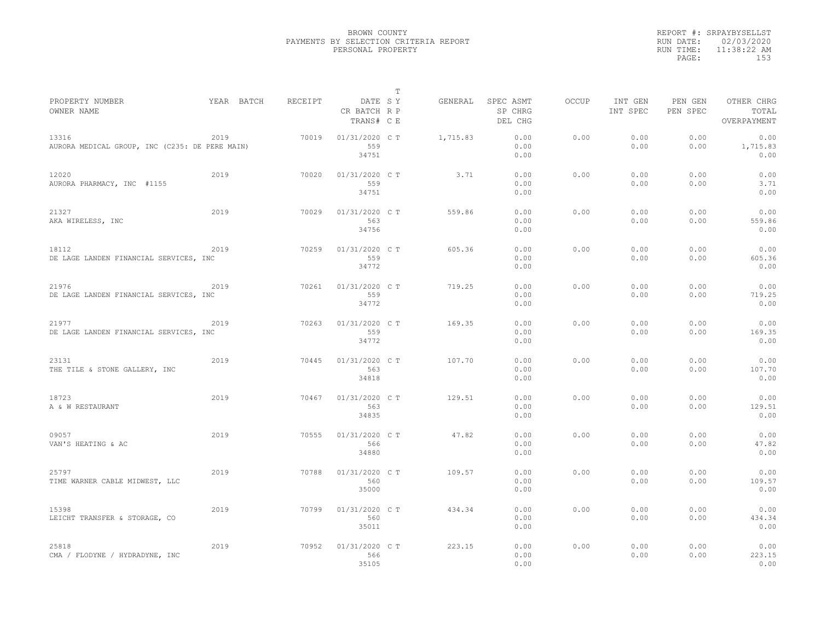|           | REPORT #: SRPAYBYSELLST |
|-----------|-------------------------|
|           | RUN DATE: 02/03/2020    |
| RUN TIME: | 11:38:22 AM             |
| PAGE:     | 153                     |
|           |                         |

|                                                         |            |         |                                       | Т |          |                                 |              |                     |                     |                                    |
|---------------------------------------------------------|------------|---------|---------------------------------------|---|----------|---------------------------------|--------------|---------------------|---------------------|------------------------------------|
| PROPERTY NUMBER<br>OWNER NAME                           | YEAR BATCH | RECEIPT | DATE SY<br>CR BATCH R P<br>TRANS# C E |   | GENERAL  | SPEC ASMT<br>SP CHRG<br>DEL CHG | <b>OCCUP</b> | INT GEN<br>INT SPEC | PEN GEN<br>PEN SPEC | OTHER CHRG<br>TOTAL<br>OVERPAYMENT |
| 13316<br>AURORA MEDICAL GROUP, INC (C235: DE PERE MAIN) | 2019       | 70019   | 01/31/2020 C T<br>559<br>34751        |   | 1,715.83 | 0.00<br>0.00<br>0.00            | 0.00         | 0.00<br>0.00        | 0.00<br>0.00        | 0.00<br>1,715.83<br>0.00           |
| 12020<br>AURORA PHARMACY, INC #1155                     | 2019       | 70020   | 01/31/2020 C T<br>559<br>34751        |   | 3.71     | 0.00<br>0.00<br>0.00            | 0.00         | 0.00<br>0.00        | 0.00<br>0.00        | 0.00<br>3.71<br>0.00               |
| 21327<br>AKA WIRELESS, INC                              | 2019       | 70029   | 01/31/2020 C T<br>563<br>34756        |   | 559.86   | 0.00<br>0.00<br>0.00            | 0.00         | 0.00<br>0.00        | 0.00<br>0.00        | 0.00<br>559.86<br>0.00             |
| 18112<br>DE LAGE LANDEN FINANCIAL SERVICES, INC         | 2019       | 70259   | 01/31/2020 C T<br>559<br>34772        |   | 605.36   | 0.00<br>0.00<br>0.00            | 0.00         | 0.00<br>0.00        | 0.00<br>0.00        | 0.00<br>605.36<br>0.00             |
| 21976<br>DE LAGE LANDEN FINANCIAL SERVICES, INC         | 2019       | 70261   | 01/31/2020 C T<br>559<br>34772        |   | 719.25   | 0.00<br>0.00<br>0.00            | 0.00         | 0.00<br>0.00        | 0.00<br>0.00        | 0.00<br>719.25<br>0.00             |
| 21977<br>DE LAGE LANDEN FINANCIAL SERVICES, INC         | 2019       | 70263   | 01/31/2020 C T<br>559<br>34772        |   | 169.35   | 0.00<br>0.00<br>0.00            | 0.00         | 0.00<br>0.00        | 0.00<br>0.00        | 0.00<br>169.35<br>0.00             |
| 23131<br>THE TILE & STONE GALLERY, INC                  | 2019       | 70445   | 01/31/2020 C T<br>563<br>34818        |   | 107.70   | 0.00<br>0.00<br>0.00            | 0.00         | 0.00<br>0.00        | 0.00<br>0.00        | 0.00<br>107.70<br>0.00             |
| 18723<br>A & W RESTAURANT                               | 2019       | 70467   | 01/31/2020 C T<br>563<br>34835        |   | 129.51   | 0.00<br>0.00<br>0.00            | 0.00         | 0.00<br>0.00        | 0.00<br>0.00        | 0.00<br>129.51<br>0.00             |
| 09057<br>VAN'S HEATING & AC                             | 2019       | 70555   | 01/31/2020 C T<br>566<br>34880        |   | 47.82    | 0.00<br>0.00<br>0.00            | 0.00         | 0.00<br>0.00        | 0.00<br>0.00        | 0.00<br>47.82<br>0.00              |
| 25797<br>TIME WARNER CABLE MIDWEST, LLC                 | 2019       | 70788   | 01/31/2020 C T<br>560<br>35000        |   | 109.57   | 0.00<br>0.00<br>0.00            | 0.00         | 0.00<br>0.00        | 0.00<br>0.00        | 0.00<br>109.57<br>0.00             |
| 15398<br>LEICHT TRANSFER & STORAGE, CO                  | 2019       | 70799   | 01/31/2020 C T<br>560<br>35011        |   | 434.34   | 0.00<br>0.00<br>0.00            | 0.00         | 0.00<br>0.00        | 0.00<br>0.00        | 0.00<br>434.34<br>0.00             |
| 25818<br>CMA / FLODYNE / HYDRADYNE, INC                 | 2019       | 70952   | 01/31/2020 C T<br>566<br>35105        |   | 223.15   | 0.00<br>0.00<br>0.00            | 0.00         | 0.00<br>0.00        | 0.00<br>0.00        | 0.00<br>223.15<br>0.00             |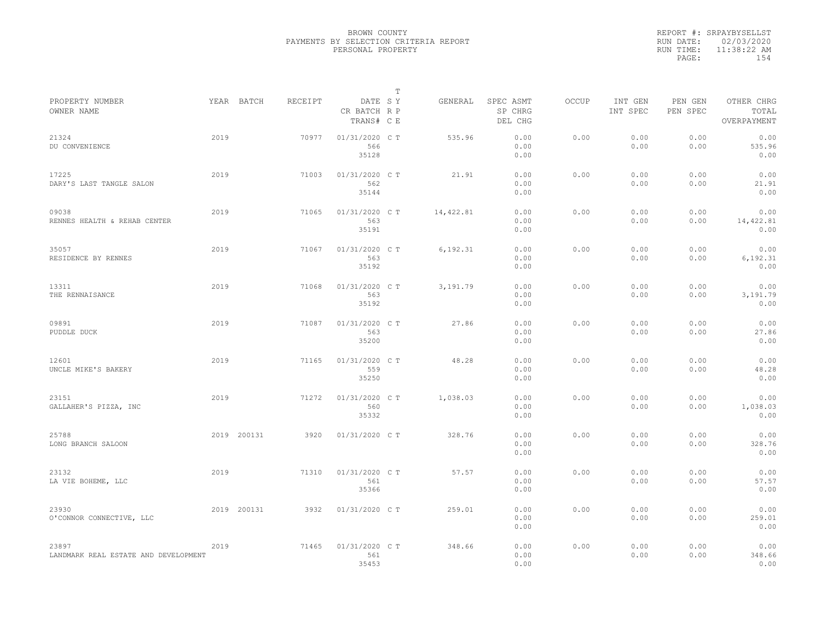|           | REPORT #: SRPAYBYSELLST |
|-----------|-------------------------|
|           | RUN DATE: 02/03/2020    |
| RUN TIME: | 11:38:22 AM             |
| PAGE:     | 154                     |
|           |                         |

|                                               |      |             |         |                                       | T |           |                                 |              |                     |                     |                                    |
|-----------------------------------------------|------|-------------|---------|---------------------------------------|---|-----------|---------------------------------|--------------|---------------------|---------------------|------------------------------------|
| PROPERTY NUMBER<br>OWNER NAME                 |      | YEAR BATCH  | RECEIPT | DATE SY<br>CR BATCH R P<br>TRANS# C E |   | GENERAL   | SPEC ASMT<br>SP CHRG<br>DEL CHG | <b>OCCUP</b> | INT GEN<br>INT SPEC | PEN GEN<br>PEN SPEC | OTHER CHRG<br>TOTAL<br>OVERPAYMENT |
| 21324<br>DU CONVENIENCE                       | 2019 |             | 70977   | 01/31/2020 C T<br>566<br>35128        |   | 535.96    | 0.00<br>0.00<br>0.00            | 0.00         | 0.00<br>0.00        | 0.00<br>0.00        | 0.00<br>535.96<br>0.00             |
| 17225<br>DARY'S LAST TANGLE SALON             | 2019 |             | 71003   | 01/31/2020 C T<br>562<br>35144        |   | 21.91     | 0.00<br>0.00<br>0.00            | 0.00         | 0.00<br>0.00        | 0.00<br>0.00        | 0.00<br>21.91<br>0.00              |
| 09038<br>RENNES HEALTH & REHAB CENTER         | 2019 |             | 71065   | 01/31/2020 C T<br>563<br>35191        |   | 14,422.81 | 0.00<br>0.00<br>0.00            | 0.00         | 0.00<br>0.00        | 0.00<br>0.00        | 0.00<br>14,422.81<br>0.00          |
| 35057<br>RESIDENCE BY RENNES                  | 2019 |             | 71067   | 01/31/2020 C T<br>563<br>35192        |   | 6,192.31  | 0.00<br>0.00<br>0.00            | 0.00         | 0.00<br>0.00        | 0.00<br>0.00        | 0.00<br>6,192.31<br>0.00           |
| 13311<br>THE RENNAISANCE                      | 2019 |             | 71068   | 01/31/2020 C T<br>563<br>35192        |   | 3,191.79  | 0.00<br>0.00<br>0.00            | 0.00         | 0.00<br>0.00        | 0.00<br>0.00        | 0.00<br>3,191.79<br>0.00           |
| 09891<br>PUDDLE DUCK                          | 2019 |             | 71087   | 01/31/2020 C T<br>563<br>35200        |   | 27.86     | 0.00<br>0.00<br>0.00            | 0.00         | 0.00<br>0.00        | 0.00<br>0.00        | 0.00<br>27.86<br>0.00              |
| 12601<br>UNCLE MIKE'S BAKERY                  | 2019 |             | 71165   | 01/31/2020 C T<br>559<br>35250        |   | 48.28     | 0.00<br>0.00<br>0.00            | 0.00         | 0.00<br>0.00        | 0.00<br>0.00        | 0.00<br>48.28<br>0.00              |
| 23151<br>GALLAHER'S PIZZA, INC                | 2019 |             | 71272   | 01/31/2020 C T<br>560<br>35332        |   | 1,038.03  | 0.00<br>0.00<br>0.00            | 0.00         | 0.00<br>0.00        | 0.00<br>0.00        | 0.00<br>1,038.03<br>0.00           |
| 25788<br>LONG BRANCH SALOON                   |      | 2019 200131 | 3920    | 01/31/2020 C T                        |   | 328.76    | 0.00<br>0.00<br>0.00            | 0.00         | 0.00<br>0.00        | 0.00<br>0.00        | 0.00<br>328.76<br>0.00             |
| 23132<br>LA VIE BOHEME, LLC                   | 2019 |             | 71310   | 01/31/2020 C T<br>561<br>35366        |   | 57.57     | 0.00<br>0.00<br>0.00            | 0.00         | 0.00<br>0.00        | 0.00<br>0.00        | 0.00<br>57.57<br>0.00              |
| 23930<br>O'CONNOR CONNECTIVE, LLC             |      | 2019 200131 | 3932    | 01/31/2020 C T                        |   | 259.01    | 0.00<br>0.00<br>0.00            | 0.00         | 0.00<br>0.00        | 0.00<br>0.00        | 0.00<br>259.01<br>0.00             |
| 23897<br>LANDMARK REAL ESTATE AND DEVELOPMENT | 2019 |             | 71465   | 01/31/2020 C T<br>561<br>35453        |   | 348.66    | 0.00<br>0.00<br>0.00            | 0.00         | 0.00<br>0.00        | 0.00<br>0.00        | 0.00<br>348.66<br>0.00             |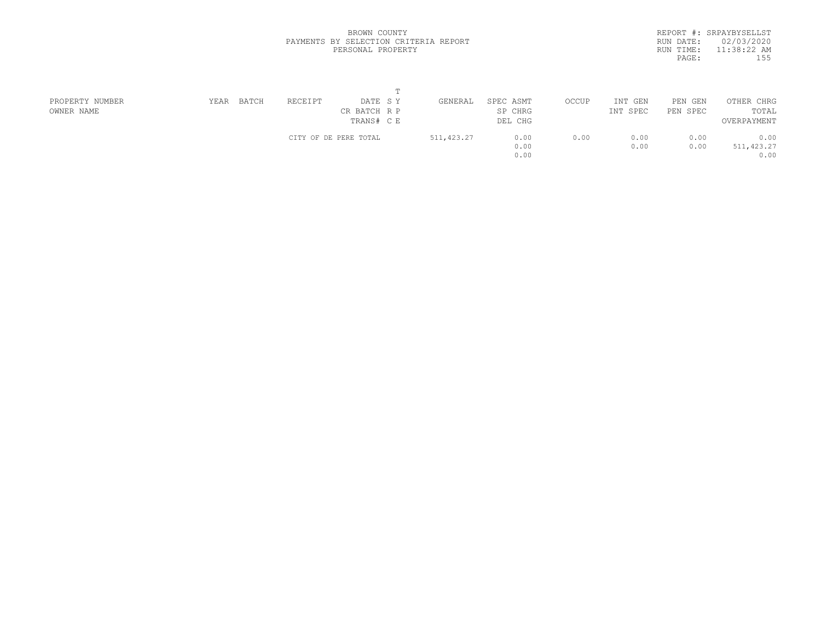|           | REPORT #: SRPAYBYSELLST |
|-----------|-------------------------|
| RUN DATE: | 02/03/2020              |
| RUN TIME: | $11:38:22$ AM           |
| PAGE:     | 155                     |
|           |                         |

| PROPERTY NUMBER | YEAR | BATCH | RECEIPT | DATE SY               | GENERAL     | SPEC ASMT | OCCUP | INT GEN  | PEN GEN  | OTHER CHRG  |  |
|-----------------|------|-------|---------|-----------------------|-------------|-----------|-------|----------|----------|-------------|--|
| OWNER NAME      |      |       |         | CR BATCH R P          |             | SP CHRG   |       | INT SPEC | PEN SPEC | TOTAL       |  |
|                 |      |       |         | TRANS# C E            |             | DEL CHG   |       |          |          | OVERPAYMENT |  |
|                 |      |       |         | CITY OF DE PERE TOTAL | 511, 423.27 | 0.00      | 0.00  | 0.00     | 0.00     | 0.00        |  |
|                 |      |       |         |                       |             | 0.00      |       | 0.00     | 0.00     | 511, 423.27 |  |
|                 |      |       |         |                       |             | 0.00      |       |          |          | 0.00        |  |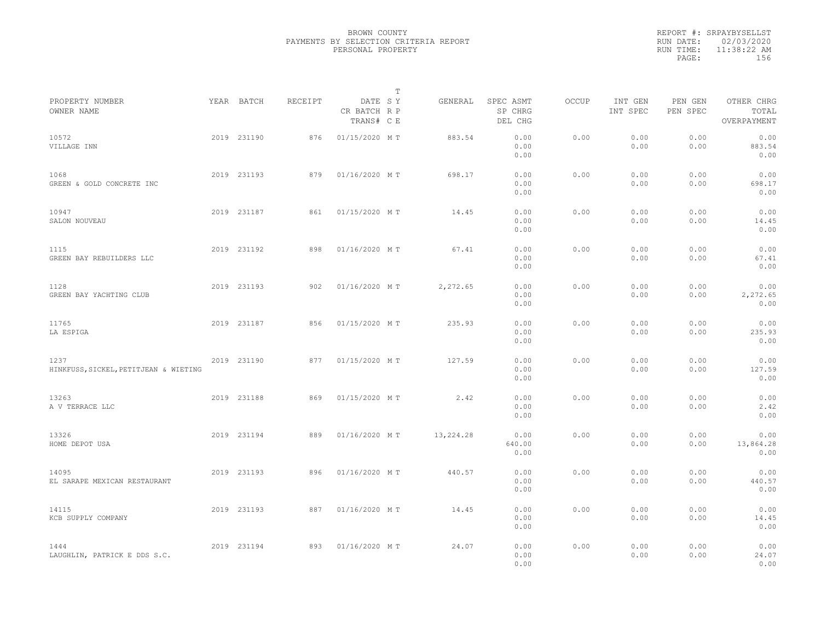|           | REPORT #: SRPAYBYSELLST |
|-----------|-------------------------|
|           | RUN DATE: 02/03/2020    |
| RUN TIME: | 11:38:22 AM             |
| PAGE:     | 156                     |
|           |                         |

|                                               |             |         |                                       | T |           |                                 |       |                     |                     |                                    |  |
|-----------------------------------------------|-------------|---------|---------------------------------------|---|-----------|---------------------------------|-------|---------------------|---------------------|------------------------------------|--|
| PROPERTY NUMBER<br>OWNER NAME                 | YEAR BATCH  | RECEIPT | DATE SY<br>CR BATCH R P<br>TRANS# C E |   | GENERAL   | SPEC ASMT<br>SP CHRG<br>DEL CHG | OCCUP | INT GEN<br>INT SPEC | PEN GEN<br>PEN SPEC | OTHER CHRG<br>TOTAL<br>OVERPAYMENT |  |
| 10572<br>VILLAGE INN                          | 2019 231190 | 876     | 01/15/2020 MT                         |   | 883.54    | 0.00<br>0.00<br>0.00            | 0.00  | 0.00<br>0.00        | 0.00<br>0.00        | 0.00<br>883.54<br>0.00             |  |
| 1068<br>GREEN & GOLD CONCRETE INC             | 2019 231193 | 879     | 01/16/2020 MT                         |   | 698.17    | 0.00<br>0.00<br>0.00            | 0.00  | 0.00<br>0.00        | 0.00<br>0.00        | 0.00<br>698.17<br>0.00             |  |
| 10947<br>SALON NOUVEAU                        | 2019 231187 | 861     | 01/15/2020 MT                         |   | 14.45     | 0.00<br>0.00<br>0.00            | 0.00  | 0.00<br>0.00        | 0.00<br>0.00        | 0.00<br>14.45<br>0.00              |  |
| 1115<br>GREEN BAY REBUILDERS LLC              | 2019 231192 | 898     | 01/16/2020 MT                         |   | 67.41     | 0.00<br>0.00<br>0.00            | 0.00  | 0.00<br>0.00        | 0.00<br>0.00        | 0.00<br>67.41<br>0.00              |  |
| 1128<br>GREEN BAY YACHTING CLUB               | 2019 231193 | 902     | 01/16/2020 MT                         |   | 2,272.65  | 0.00<br>0.00<br>0.00            | 0.00  | 0.00<br>0.00        | 0.00<br>0.00        | 0.00<br>2,272.65<br>0.00           |  |
| 11765<br>LA ESPIGA                            | 2019 231187 | 856     | 01/15/2020 MT                         |   | 235.93    | 0.00<br>0.00<br>0.00            | 0.00  | 0.00<br>0.00        | 0.00<br>0.00        | 0.00<br>235.93<br>0.00             |  |
| 1237<br>HINKFUSS, SICKEL, PETITJEAN & WIETING | 2019 231190 | 877     | 01/15/2020 MT                         |   | 127.59    | 0.00<br>0.00<br>0.00            | 0.00  | 0.00<br>0.00        | 0.00<br>0.00        | 0.00<br>127.59<br>0.00             |  |
| 13263<br>A V TERRACE LLC                      | 2019 231188 | 869     | 01/15/2020 MT                         |   | 2.42      | 0.00<br>0.00<br>0.00            | 0.00  | 0.00<br>0.00        | 0.00<br>0.00        | 0.00<br>2.42<br>0.00               |  |
| 13326<br>HOME DEPOT USA                       | 2019 231194 | 889     | 01/16/2020 MT                         |   | 13,224.28 | 0.00<br>640.00<br>0.00          | 0.00  | 0.00<br>0.00        | 0.00<br>0.00        | 0.00<br>13,864.28<br>0.00          |  |
| 14095<br>EL SARAPE MEXICAN RESTAURANT         | 2019 231193 | 896     | 01/16/2020 MT                         |   | 440.57    | 0.00<br>0.00<br>0.00            | 0.00  | 0.00<br>0.00        | 0.00<br>0.00        | 0.00<br>440.57<br>0.00             |  |
| 14115<br>KCB SUPPLY COMPANY                   | 2019 231193 | 887     | 01/16/2020 MT                         |   | 14.45     | 0.00<br>0.00<br>0.00            | 0.00  | 0.00<br>0.00        | 0.00<br>0.00        | 0.00<br>14.45<br>0.00              |  |
| 1444<br>LAUGHLIN, PATRICK E DDS S.C.          | 2019 231194 | 893     | 01/16/2020 MT                         |   | 24.07     | 0.00<br>0.00<br>0.00            | 0.00  | 0.00<br>0.00        | 0.00<br>0.00        | 0.00<br>24.07<br>0.00              |  |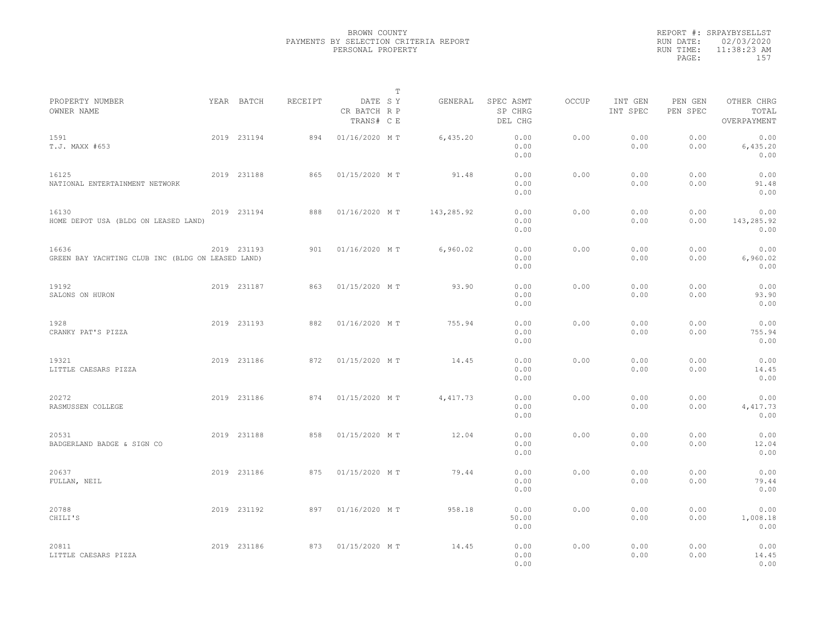|           | REPORT #: SRPAYBYSELLST |
|-----------|-------------------------|
|           | RUN DATE: 02/03/2020    |
| RUN TIME: | $11:38:23$ AM           |
| PAGE:     | 157                     |
|           |                         |

|                                                            |             |         |                                       | $\mathbb T$ |            |                                 |       |                     |                     |                                    |
|------------------------------------------------------------|-------------|---------|---------------------------------------|-------------|------------|---------------------------------|-------|---------------------|---------------------|------------------------------------|
| PROPERTY NUMBER<br>OWNER NAME                              | YEAR BATCH  | RECEIPT | DATE SY<br>CR BATCH R P<br>TRANS# C E |             | GENERAL    | SPEC ASMT<br>SP CHRG<br>DEL CHG | OCCUP | INT GEN<br>INT SPEC | PEN GEN<br>PEN SPEC | OTHER CHRG<br>TOTAL<br>OVERPAYMENT |
| 1591<br>T.J. MAXX #653                                     | 2019 231194 | 894     | 01/16/2020 MT                         |             | 6,435.20   | 0.00<br>0.00<br>0.00            | 0.00  | 0.00<br>0.00        | 0.00<br>0.00        | 0.00<br>6,435.20<br>0.00           |
| 16125<br>NATIONAL ENTERTAINMENT NETWORK                    | 2019 231188 | 865     | 01/15/2020 MT                         |             | 91.48      | 0.00<br>0.00<br>0.00            | 0.00  | 0.00<br>0.00        | 0.00<br>0.00        | 0.00<br>91.48<br>0.00              |
| 16130<br>HOME DEPOT USA (BLDG ON LEASED LAND)              | 2019 231194 | 888     | 01/16/2020 MT                         |             | 143,285.92 | 0.00<br>0.00<br>0.00            | 0.00  | 0.00<br>0.00        | 0.00<br>0.00        | 0.00<br>143,285.92<br>0.00         |
| 16636<br>GREEN BAY YACHTING CLUB INC (BLDG ON LEASED LAND) | 2019 231193 | 901     | 01/16/2020 MT                         |             | 6,960.02   | 0.00<br>0.00<br>0.00            | 0.00  | 0.00<br>0.00        | 0.00<br>0.00        | 0.00<br>6,960.02<br>0.00           |
| 19192<br>SALONS ON HURON                                   | 2019 231187 | 863     | 01/15/2020 MT                         |             | 93.90      | 0.00<br>0.00<br>0.00            | 0.00  | 0.00<br>0.00        | 0.00<br>0.00        | 0.00<br>93.90<br>0.00              |
| 1928<br>CRANKY PAT'S PIZZA                                 | 2019 231193 | 882     | 01/16/2020 MT                         |             | 755.94     | 0.00<br>0.00<br>0.00            | 0.00  | 0.00<br>0.00        | 0.00<br>0.00        | 0.00<br>755.94<br>0.00             |
| 19321<br>LITTLE CAESARS PIZZA                              | 2019 231186 | 872     | 01/15/2020 MT                         |             | 14.45      | 0.00<br>0.00<br>0.00            | 0.00  | 0.00<br>0.00        | 0.00<br>0.00        | 0.00<br>14.45<br>0.00              |
| 20272<br>RASMUSSEN COLLEGE                                 | 2019 231186 | 874     | 01/15/2020 MT                         |             | 4,417.73   | 0.00<br>0.00<br>0.00            | 0.00  | 0.00<br>0.00        | 0.00<br>0.00        | 0.00<br>4,417.73<br>0.00           |
| 20531<br>BADGERLAND BADGE & SIGN CO                        | 2019 231188 | 858     | 01/15/2020 MT                         |             | 12.04      | 0.00<br>0.00<br>0.00            | 0.00  | 0.00<br>0.00        | 0.00<br>0.00        | 0.00<br>12.04<br>0.00              |
| 20637<br>FULLAN, NEIL                                      | 2019 231186 | 875     | 01/15/2020 MT                         |             | 79.44      | 0.00<br>0.00<br>0.00            | 0.00  | 0.00<br>0.00        | 0.00<br>0.00        | 0.00<br>79.44<br>0.00              |
| 20788<br>CHILI'S                                           | 2019 231192 | 897     | 01/16/2020 MT                         |             | 958.18     | 0.00<br>50.00<br>0.00           | 0.00  | 0.00<br>0.00        | 0.00<br>0.00        | 0.00<br>1,008.18<br>0.00           |
| 20811<br>LITTLE CAESARS PIZZA                              | 2019 231186 | 873     | 01/15/2020 MT                         |             | 14.45      | 0.00<br>0.00<br>0.00            | 0.00  | 0.00<br>0.00        | 0.00<br>0.00        | 0.00<br>14.45<br>0.00              |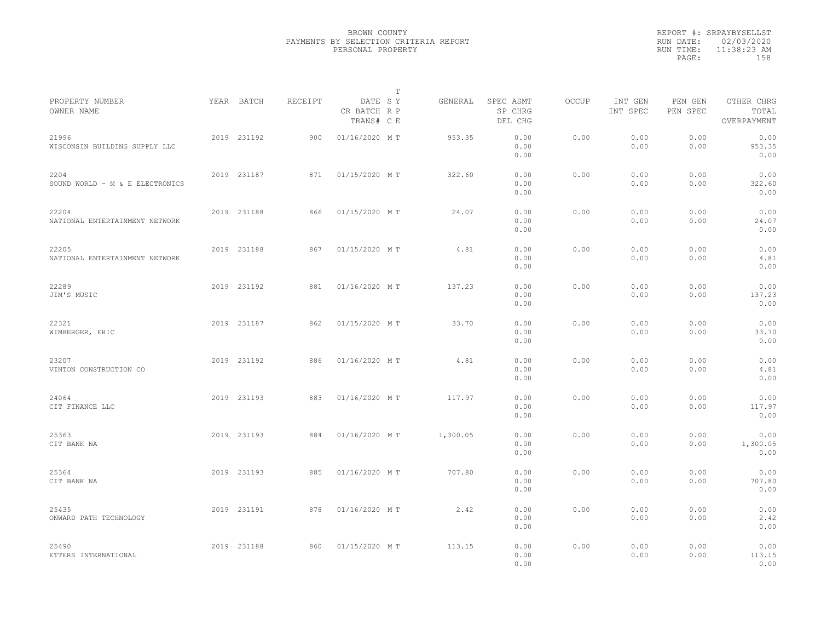|                                         |             |         |                                       | $\mathbb{T}$ |                                 |       |                     |                     |                                    |  |
|-----------------------------------------|-------------|---------|---------------------------------------|--------------|---------------------------------|-------|---------------------|---------------------|------------------------------------|--|
| PROPERTY NUMBER<br>OWNER NAME           | YEAR BATCH  | RECEIPT | DATE SY<br>CR BATCH R P<br>TRANS# C E | GENERAL      | SPEC ASMT<br>SP CHRG<br>DEL CHG | OCCUP | INT GEN<br>INT SPEC | PEN GEN<br>PEN SPEC | OTHER CHRG<br>TOTAL<br>OVERPAYMENT |  |
| 21996<br>WISCONSIN BUILDING SUPPLY LLC  | 2019 231192 | 900     | 01/16/2020 MT                         | 953.35       | 0.00<br>0.00<br>0.00            | 0.00  | 0.00<br>0.00        | 0.00<br>0.00        | 0.00<br>953.35<br>0.00             |  |
| 2204<br>SOUND WORLD - M & E ELECTRONICS | 2019 231187 | 871     | 01/15/2020 MT                         | 322.60       | 0.00<br>0.00<br>0.00            | 0.00  | 0.00<br>0.00        | 0.00<br>0.00        | 0.00<br>322.60<br>0.00             |  |
| 22204<br>NATIONAL ENTERTAINMENT NETWORK | 2019 231188 | 866     | 01/15/2020 MT                         | 24.07        | 0.00<br>0.00<br>0.00            | 0.00  | 0.00<br>0.00        | 0.00<br>0.00        | 0.00<br>24.07<br>0.00              |  |
| 22205<br>NATIONAL ENTERTAINMENT NETWORK | 2019 231188 | 867     | 01/15/2020 MT                         | 4.81         | 0.00<br>0.00<br>0.00            | 0.00  | 0.00<br>0.00        | 0.00<br>0.00        | 0.00<br>4.81<br>0.00               |  |
| 22289<br>JIM'S MUSIC                    | 2019 231192 | 881     | 01/16/2020 MT                         | 137.23       | 0.00<br>0.00<br>0.00            | 0.00  | 0.00<br>0.00        | 0.00<br>0.00        | 0.00<br>137.23<br>0.00             |  |
| 22321<br>WIMBERGER, ERIC                | 2019 231187 | 862     | 01/15/2020 MT                         | 33.70        | 0.00<br>0.00<br>0.00            | 0.00  | 0.00<br>0.00        | 0.00<br>0.00        | 0.00<br>33.70<br>0.00              |  |
| 23207<br>VINTON CONSTRUCTION CO         | 2019 231192 | 886     | 01/16/2020 MT                         | 4.81         | 0.00<br>0.00<br>0.00            | 0.00  | 0.00<br>0.00        | 0.00<br>0.00        | 0.00<br>4.81<br>0.00               |  |
| 24064<br>CIT FINANCE LLC                | 2019 231193 | 883     | 01/16/2020 MT                         | 117.97       | 0.00<br>0.00<br>0.00            | 0.00  | 0.00<br>0.00        | 0.00<br>0.00        | 0.00<br>117.97<br>0.00             |  |
| 25363<br>CIT BANK NA                    | 2019 231193 | 884     | 01/16/2020 MT                         | 1,300.05     | 0.00<br>0.00<br>0.00            | 0.00  | 0.00<br>0.00        | 0.00<br>0.00        | 0.00<br>1,300.05<br>0.00           |  |
| 25364<br>CIT BANK NA                    | 2019 231193 | 885     | 01/16/2020 MT                         | 707.80       | 0.00<br>0.00<br>0.00            | 0.00  | 0.00<br>0.00        | 0.00<br>0.00        | 0.00<br>707.80<br>0.00             |  |
| 25435<br>ONWARD PATH TECHNOLOGY         | 2019 231191 | 878     | 01/16/2020 MT                         | 2.42         | 0.00<br>0.00<br>0.00            | 0.00  | 0.00<br>0.00        | 0.00<br>0.00        | 0.00<br>2.42<br>0.00               |  |
| 25490<br>ETTERS INTERNATIONAL           | 2019 231188 | 860     | 01/15/2020 MT                         | 113.15       | 0.00<br>0.00<br>0.00            | 0.00  | 0.00<br>0.00        | 0.00<br>0.00        | 0.00<br>113.15<br>0.00             |  |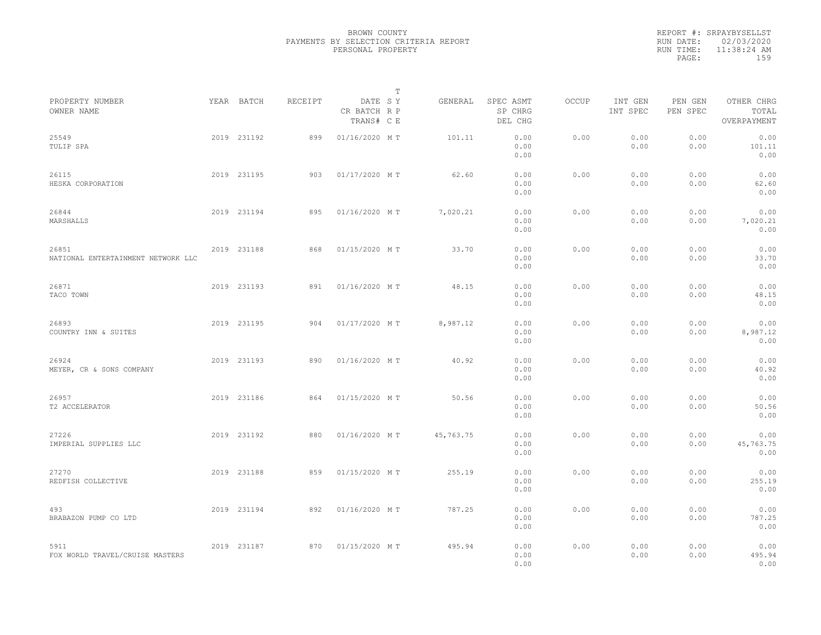|           | REPORT #: SRPAYBYSELLST |  |
|-----------|-------------------------|--|
|           | RUN DATE: 02/03/2020    |  |
| RUN TIME: | $11:38:24$ AM           |  |
| PAGE:     | 159                     |  |
|           |                         |  |

|                                             |             |         |                                       | $\mathbb T$ |           |                                 |       |                     |                     |                                    |  |
|---------------------------------------------|-------------|---------|---------------------------------------|-------------|-----------|---------------------------------|-------|---------------------|---------------------|------------------------------------|--|
| PROPERTY NUMBER<br>OWNER NAME               | YEAR BATCH  | RECEIPT | DATE SY<br>CR BATCH R P<br>TRANS# C E |             | GENERAL   | SPEC ASMT<br>SP CHRG<br>DEL CHG | OCCUP | INT GEN<br>INT SPEC | PEN GEN<br>PEN SPEC | OTHER CHRG<br>TOTAL<br>OVERPAYMENT |  |
| 25549<br>TULIP SPA                          | 2019 231192 | 899     | 01/16/2020 MT                         |             | 101.11    | 0.00<br>0.00<br>0.00            | 0.00  | 0.00<br>0.00        | 0.00<br>0.00        | 0.00<br>101.11<br>0.00             |  |
| 26115<br>HESKA CORPORATION                  | 2019 231195 | 903     | 01/17/2020 MT                         |             | 62.60     | 0.00<br>0.00<br>0.00            | 0.00  | 0.00<br>0.00        | 0.00<br>0.00        | 0.00<br>62.60<br>0.00              |  |
| 26844<br>MARSHALLS                          | 2019 231194 | 895     | 01/16/2020 MT                         |             | 7,020.21  | 0.00<br>0.00<br>0.00            | 0.00  | 0.00<br>0.00        | 0.00<br>0.00        | 0.00<br>7,020.21<br>0.00           |  |
| 26851<br>NATIONAL ENTERTAINMENT NETWORK LLC | 2019 231188 | 868     | 01/15/2020 MT                         |             | 33.70     | 0.00<br>0.00<br>0.00            | 0.00  | 0.00<br>0.00        | 0.00<br>0.00        | 0.00<br>33.70<br>0.00              |  |
| 26871<br>TACO TOWN                          | 2019 231193 | 891     | 01/16/2020 MT                         |             | 48.15     | 0.00<br>0.00<br>0.00            | 0.00  | 0.00<br>0.00        | 0.00<br>0.00        | 0.00<br>48.15<br>0.00              |  |
| 26893<br>COUNTRY INN & SUITES               | 2019 231195 | 904     | 01/17/2020 MT                         |             | 8,987.12  | 0.00<br>0.00<br>0.00            | 0.00  | 0.00<br>0.00        | 0.00<br>0.00        | 0.00<br>8,987.12<br>0.00           |  |
| 26924<br>MEYER, CR & SONS COMPANY           | 2019 231193 | 890     | 01/16/2020 MT                         |             | 40.92     | 0.00<br>0.00<br>0.00            | 0.00  | 0.00<br>0.00        | 0.00<br>0.00        | 0.00<br>40.92<br>0.00              |  |
| 26957<br>T2 ACCELERATOR                     | 2019 231186 | 864     | 01/15/2020 MT                         |             | 50.56     | 0.00<br>0.00<br>0.00            | 0.00  | 0.00<br>0.00        | 0.00<br>0.00        | 0.00<br>50.56<br>0.00              |  |
| 27226<br>IMPERIAL SUPPLIES LLC              | 2019 231192 | 880     | 01/16/2020 MT                         |             | 45,763.75 | 0.00<br>0.00<br>0.00            | 0.00  | 0.00<br>0.00        | 0.00<br>0.00        | 0.00<br>45,763.75<br>0.00          |  |
| 27270<br>REDFISH COLLECTIVE                 | 2019 231188 | 859     | 01/15/2020 MT                         |             | 255.19    | 0.00<br>0.00<br>0.00            | 0.00  | 0.00<br>0.00        | 0.00<br>0.00        | 0.00<br>255.19<br>0.00             |  |
| 493<br>BRABAZON PUMP CO LTD                 | 2019 231194 | 892     | 01/16/2020 MT                         |             | 787.25    | 0.00<br>0.00<br>0.00            | 0.00  | 0.00<br>0.00        | 0.00<br>0.00        | 0.00<br>787.25<br>0.00             |  |
| 5911<br>FOX WORLD TRAVEL/CRUISE MASTERS     | 2019 231187 | 870     | 01/15/2020 MT                         |             | 495.94    | 0.00<br>0.00<br>0.00            | 0.00  | 0.00<br>0.00        | 0.00<br>0.00        | 0.00<br>495.94<br>0.00             |  |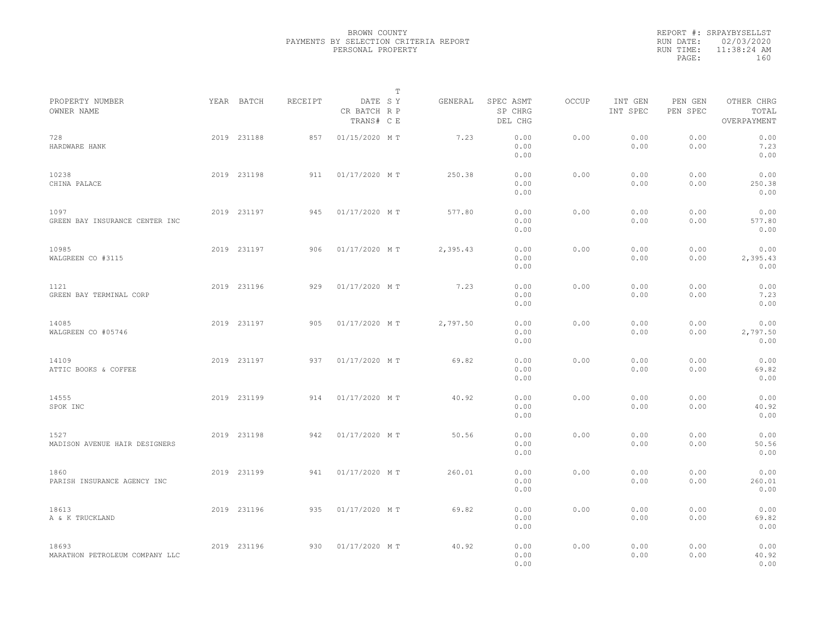|           | REPORT #: SRPAYBYSELLST |  |
|-----------|-------------------------|--|
|           | RUN DATE: 02/03/2020    |  |
| RUN TIME: | $11:38:24$ AM           |  |
| PAGE:     | 160                     |  |
|           |                         |  |

|                                         |             |         |                                       | $\mathbb T$ |          |                                 |       |                     |                     |                                    |  |
|-----------------------------------------|-------------|---------|---------------------------------------|-------------|----------|---------------------------------|-------|---------------------|---------------------|------------------------------------|--|
| PROPERTY NUMBER<br>OWNER NAME           | YEAR BATCH  | RECEIPT | DATE SY<br>CR BATCH R P<br>TRANS# C E |             | GENERAL  | SPEC ASMT<br>SP CHRG<br>DEL CHG | OCCUP | INT GEN<br>INT SPEC | PEN GEN<br>PEN SPEC | OTHER CHRG<br>TOTAL<br>OVERPAYMENT |  |
| 728<br>HARDWARE HANK                    | 2019 231188 | 857     | 01/15/2020 MT                         |             | 7.23     | 0.00<br>0.00<br>0.00            | 0.00  | 0.00<br>0.00        | 0.00<br>0.00        | 0.00<br>7.23<br>0.00               |  |
| 10238<br>CHINA PALACE                   | 2019 231198 | 911     | 01/17/2020 MT                         |             | 250.38   | 0.00<br>0.00<br>0.00            | 0.00  | 0.00<br>0.00        | 0.00<br>0.00        | 0.00<br>250.38<br>0.00             |  |
| 1097<br>GREEN BAY INSURANCE CENTER INC  | 2019 231197 | 945     | 01/17/2020 MT                         |             | 577.80   | 0.00<br>0.00<br>0.00            | 0.00  | 0.00<br>0.00        | 0.00<br>0.00        | 0.00<br>577.80<br>0.00             |  |
| 10985<br>WALGREEN CO #3115              | 2019 231197 | 906     | 01/17/2020 MT                         |             | 2,395.43 | 0.00<br>0.00<br>0.00            | 0.00  | 0.00<br>0.00        | 0.00<br>0.00        | 0.00<br>2,395.43<br>0.00           |  |
| 1121<br>GREEN BAY TERMINAL CORP         | 2019 231196 | 929     | 01/17/2020 MT                         |             | 7.23     | 0.00<br>0.00<br>0.00            | 0.00  | 0.00<br>0.00        | 0.00<br>0.00        | 0.00<br>7.23<br>0.00               |  |
| 14085<br>WALGREEN CO #05746             | 2019 231197 | 905     | 01/17/2020 MT                         |             | 2,797.50 | 0.00<br>0.00<br>0.00            | 0.00  | 0.00<br>0.00        | 0.00<br>0.00        | 0.00<br>2,797.50<br>0.00           |  |
| 14109<br>ATTIC BOOKS & COFFEE           | 2019 231197 | 937     | 01/17/2020 MT                         |             | 69.82    | 0.00<br>0.00<br>0.00            | 0.00  | 0.00<br>0.00        | 0.00<br>0.00        | 0.00<br>69.82<br>0.00              |  |
| 14555<br>SPOK INC                       | 2019 231199 | 914     | 01/17/2020 MT                         |             | 40.92    | 0.00<br>0.00<br>0.00            | 0.00  | 0.00<br>0.00        | 0.00<br>0.00        | 0.00<br>40.92<br>0.00              |  |
| 1527<br>MADISON AVENUE HAIR DESIGNERS   | 2019 231198 | 942     | 01/17/2020 MT                         |             | 50.56    | 0.00<br>0.00<br>0.00            | 0.00  | 0.00<br>0.00        | 0.00<br>0.00        | 0.00<br>50.56<br>0.00              |  |
| 1860<br>PARISH INSURANCE AGENCY INC     | 2019 231199 | 941     | 01/17/2020 MT                         |             | 260.01   | 0.00<br>0.00<br>0.00            | 0.00  | 0.00<br>0.00        | 0.00<br>0.00        | 0.00<br>260.01<br>0.00             |  |
| 18613<br>A & K TRUCKLAND                | 2019 231196 | 935     | 01/17/2020 MT                         |             | 69.82    | 0.00<br>0.00<br>0.00            | 0.00  | 0.00<br>0.00        | 0.00<br>0.00        | 0.00<br>69.82<br>0.00              |  |
| 18693<br>MARATHON PETROLEUM COMPANY LLC | 2019 231196 | 930     | 01/17/2020 MT                         |             | 40.92    | 0.00<br>0.00<br>0.00            | 0.00  | 0.00<br>0.00        | 0.00<br>0.00        | 0.00<br>40.92<br>0.00              |  |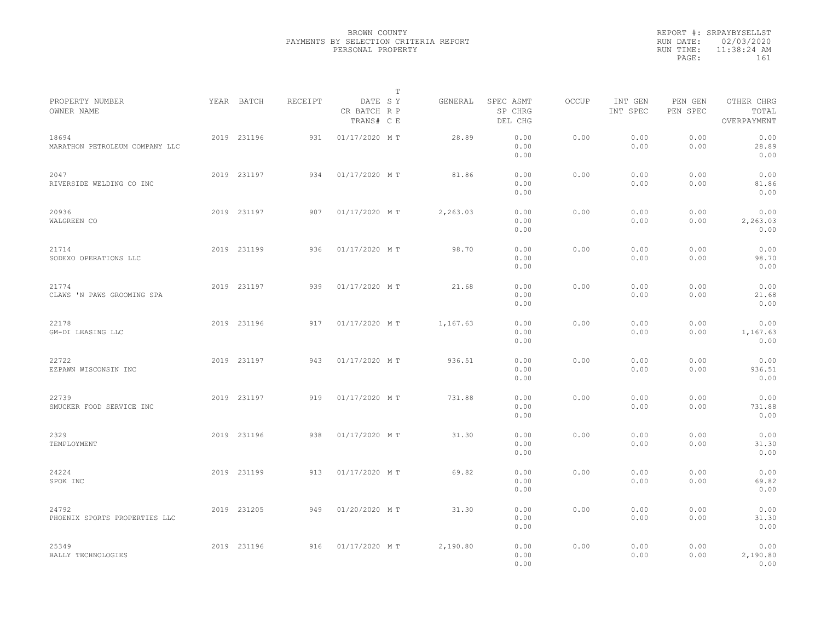|                                         |             |         |                                       | $\mathbb{T}$ |                                 |              |                     |                     |                                    |  |
|-----------------------------------------|-------------|---------|---------------------------------------|--------------|---------------------------------|--------------|---------------------|---------------------|------------------------------------|--|
| PROPERTY NUMBER<br>OWNER NAME           | YEAR BATCH  | RECEIPT | DATE SY<br>CR BATCH R P<br>TRANS# C E | GENERAL      | SPEC ASMT<br>SP CHRG<br>DEL CHG | <b>OCCUP</b> | INT GEN<br>INT SPEC | PEN GEN<br>PEN SPEC | OTHER CHRG<br>TOTAL<br>OVERPAYMENT |  |
| 18694<br>MARATHON PETROLEUM COMPANY LLC | 2019 231196 | 931     | 01/17/2020 MT                         | 28.89        | 0.00<br>0.00<br>0.00            | 0.00         | 0.00<br>0.00        | 0.00<br>0.00        | 0.00<br>28.89<br>0.00              |  |
| 2047<br>RIVERSIDE WELDING CO INC        | 2019 231197 | 934     | 01/17/2020 MT                         | 81.86        | 0.00<br>0.00<br>0.00            | 0.00         | 0.00<br>0.00        | 0.00<br>0.00        | 0.00<br>81.86<br>0.00              |  |
| 20936<br>WALGREEN CO                    | 2019 231197 | 907     | 01/17/2020 MT                         | 2,263.03     | 0.00<br>0.00<br>0.00            | 0.00         | 0.00<br>0.00        | 0.00<br>0.00        | 0.00<br>2,263.03<br>0.00           |  |
| 21714<br>SODEXO OPERATIONS LLC          | 2019 231199 | 936     | 01/17/2020 MT                         | 98.70        | 0.00<br>0.00<br>0.00            | 0.00         | 0.00<br>0.00        | 0.00<br>0.00        | 0.00<br>98.70<br>0.00              |  |
| 21774<br>CLAWS 'N PAWS GROOMING SPA     | 2019 231197 | 939     | 01/17/2020 MT                         | 21.68        | 0.00<br>0.00<br>0.00            | 0.00         | 0.00<br>0.00        | 0.00<br>0.00        | 0.00<br>21.68<br>0.00              |  |
| 22178<br>GM-DI LEASING LLC              | 2019 231196 | 917     | 01/17/2020 MT                         | 1,167.63     | 0.00<br>0.00<br>0.00            | 0.00         | 0.00<br>0.00        | 0.00<br>0.00        | 0.00<br>1,167.63<br>0.00           |  |
| 22722<br>EZPAWN WISCONSIN INC           | 2019 231197 | 943     | 01/17/2020 MT                         | 936.51       | 0.00<br>0.00<br>0.00            | 0.00         | 0.00<br>0.00        | 0.00<br>0.00        | 0.00<br>936.51<br>0.00             |  |
| 22739<br>SMUCKER FOOD SERVICE INC       | 2019 231197 | 919     | 01/17/2020 MT                         | 731.88       | 0.00<br>0.00<br>0.00            | 0.00         | 0.00<br>0.00        | 0.00<br>0.00        | 0.00<br>731.88<br>0.00             |  |
| 2329<br>TEMPLOYMENT                     | 2019 231196 | 938     | 01/17/2020 MT                         | 31.30        | 0.00<br>0.00<br>0.00            | 0.00         | 0.00<br>0.00        | 0.00<br>0.00        | 0.00<br>31.30<br>0.00              |  |
| 24224<br>SPOK INC                       | 2019 231199 | 913     | 01/17/2020 MT                         | 69.82        | 0.00<br>0.00<br>0.00            | 0.00         | 0.00<br>0.00        | 0.00<br>0.00        | 0.00<br>69.82<br>0.00              |  |
| 24792<br>PHOENIX SPORTS PROPERTIES LLC  | 2019 231205 | 949     | 01/20/2020 MT                         | 31.30        | 0.00<br>0.00<br>0.00            | 0.00         | 0.00<br>0.00        | 0.00<br>0.00        | 0.00<br>31.30<br>0.00              |  |
| 25349<br>BALLY TECHNOLOGIES             | 2019 231196 | 916     | 01/17/2020 MT                         | 2,190.80     | 0.00<br>0.00<br>0.00            | 0.00         | 0.00<br>0.00        | 0.00<br>0.00        | 0.00<br>2,190.80<br>0.00           |  |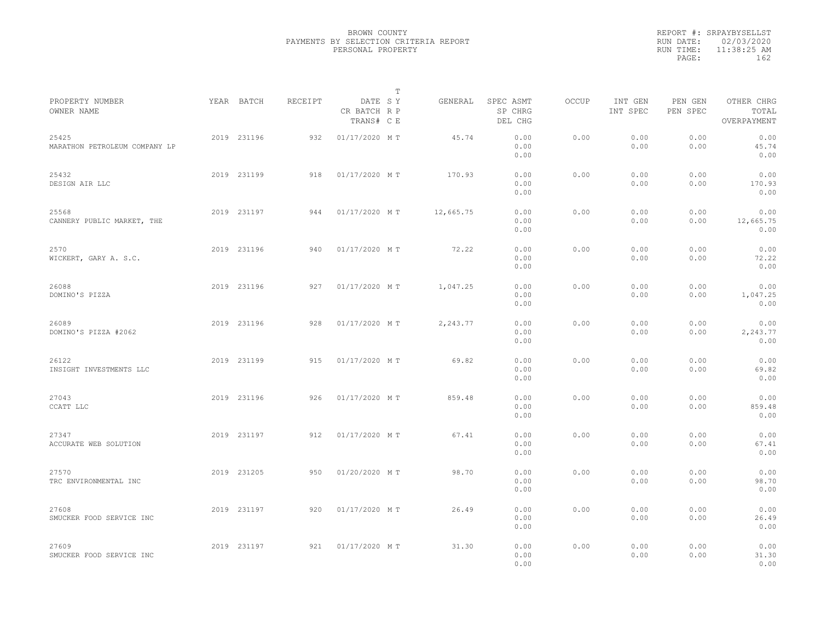|                                        |             |         | $\mathbb{T}$                          |           |                                 |       |                     |                     |                                    |  |
|----------------------------------------|-------------|---------|---------------------------------------|-----------|---------------------------------|-------|---------------------|---------------------|------------------------------------|--|
| PROPERTY NUMBER<br>OWNER NAME          | YEAR BATCH  | RECEIPT | DATE SY<br>CR BATCH R P<br>TRANS# C E | GENERAL   | SPEC ASMT<br>SP CHRG<br>DEL CHG | OCCUP | INT GEN<br>INT SPEC | PEN GEN<br>PEN SPEC | OTHER CHRG<br>TOTAL<br>OVERPAYMENT |  |
| 25425<br>MARATHON PETROLEUM COMPANY LP | 2019 231196 | 932     | 01/17/2020 MT                         | 45.74     | 0.00<br>0.00<br>0.00            | 0.00  | 0.00<br>0.00        | 0.00<br>0.00        | 0.00<br>45.74<br>0.00              |  |
| 25432<br>DESIGN AIR LLC                | 2019 231199 | 918     | 01/17/2020 MT                         | 170.93    | 0.00<br>0.00<br>0.00            | 0.00  | 0.00<br>0.00        | 0.00<br>0.00        | 0.00<br>170.93<br>0.00             |  |
| 25568<br>CANNERY PUBLIC MARKET, THE    | 2019 231197 | 944     | 01/17/2020 MT                         | 12,665.75 | 0.00<br>0.00<br>0.00            | 0.00  | 0.00<br>0.00        | 0.00<br>0.00        | 0.00<br>12,665.75<br>0.00          |  |
| 2570<br>WICKERT, GARY A. S.C.          | 2019 231196 | 940     | 01/17/2020 MT                         | 72.22     | 0.00<br>0.00<br>0.00            | 0.00  | 0.00<br>0.00        | 0.00<br>0.00        | 0.00<br>72.22<br>0.00              |  |
| 26088<br>DOMINO'S PIZZA                | 2019 231196 | 927     | 01/17/2020 MT                         | 1,047.25  | 0.00<br>0.00<br>0.00            | 0.00  | 0.00<br>0.00        | 0.00<br>0.00        | 0.00<br>1,047.25<br>0.00           |  |
| 26089<br>DOMINO'S PIZZA #2062          | 2019 231196 | 928     | 01/17/2020 MT                         | 2,243.77  | 0.00<br>0.00<br>0.00            | 0.00  | 0.00<br>0.00        | 0.00<br>0.00        | 0.00<br>2,243.77<br>0.00           |  |
| 26122<br>INSIGHT INVESTMENTS LLC       | 2019 231199 | 915     | 01/17/2020 MT                         | 69.82     | 0.00<br>0.00<br>0.00            | 0.00  | 0.00<br>0.00        | 0.00<br>0.00        | 0.00<br>69.82<br>0.00              |  |
| 27043<br>CCATT LLC                     | 2019 231196 | 926     | 01/17/2020 MT                         | 859.48    | 0.00<br>0.00<br>0.00            | 0.00  | 0.00<br>0.00        | 0.00<br>0.00        | 0.00<br>859.48<br>0.00             |  |
| 27347<br>ACCURATE WEB SOLUTION         | 2019 231197 | 912     | 01/17/2020 MT                         | 67.41     | 0.00<br>0.00<br>0.00            | 0.00  | 0.00<br>0.00        | 0.00<br>0.00        | 0.00<br>67.41<br>0.00              |  |
| 27570<br>TRC ENVIRONMENTAL INC         | 2019 231205 | 950     | 01/20/2020 MT                         | 98.70     | 0.00<br>0.00<br>0.00            | 0.00  | 0.00<br>0.00        | 0.00<br>0.00        | 0.00<br>98.70<br>0.00              |  |
| 27608<br>SMUCKER FOOD SERVICE INC      | 2019 231197 | 920     | 01/17/2020 MT                         | 26.49     | 0.00<br>0.00<br>0.00            | 0.00  | 0.00<br>0.00        | 0.00<br>0.00        | 0.00<br>26.49<br>0.00              |  |
| 27609<br>SMUCKER FOOD SERVICE INC      | 2019 231197 | 921     | 01/17/2020 MT                         | 31.30     | 0.00<br>0.00<br>0.00            | 0.00  | 0.00<br>0.00        | 0.00<br>0.00        | 0.00<br>31.30<br>0.00              |  |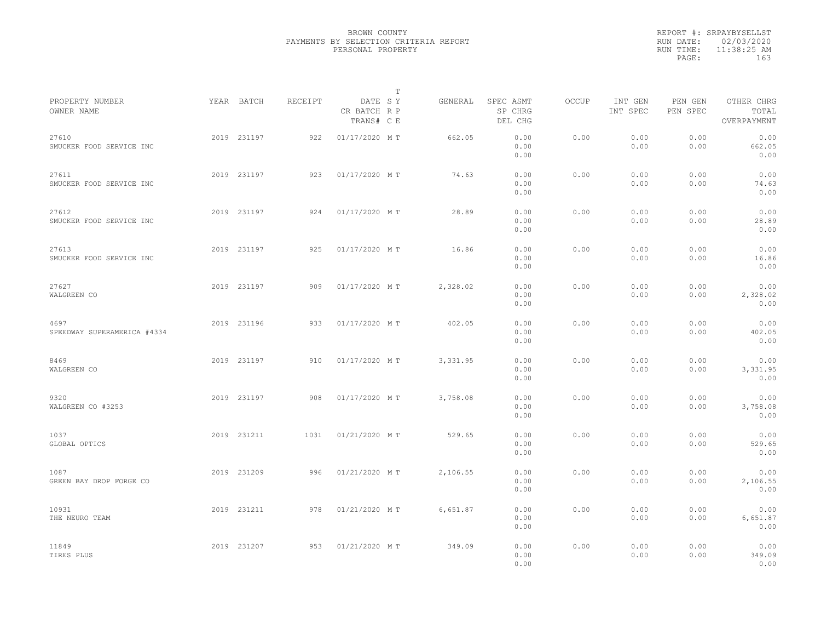|                                     |             |         |                                       | $\mathbb T$ |          |                                 |              |                     |                     |                                    |  |
|-------------------------------------|-------------|---------|---------------------------------------|-------------|----------|---------------------------------|--------------|---------------------|---------------------|------------------------------------|--|
| PROPERTY NUMBER<br>OWNER NAME       | YEAR BATCH  | RECEIPT | DATE SY<br>CR BATCH R P<br>TRANS# C E |             | GENERAL  | SPEC ASMT<br>SP CHRG<br>DEL CHG | <b>OCCUP</b> | INT GEN<br>INT SPEC | PEN GEN<br>PEN SPEC | OTHER CHRG<br>TOTAL<br>OVERPAYMENT |  |
| 27610<br>SMUCKER FOOD SERVICE INC   | 2019 231197 | 922     | 01/17/2020 MT                         |             | 662.05   | 0.00<br>0.00<br>0.00            | 0.00         | 0.00<br>0.00        | 0.00<br>0.00        | 0.00<br>662.05<br>0.00             |  |
| 27611<br>SMUCKER FOOD SERVICE INC   | 2019 231197 | 923     | 01/17/2020 MT                         |             | 74.63    | 0.00<br>0.00<br>0.00            | 0.00         | 0.00<br>0.00        | 0.00<br>0.00        | 0.00<br>74.63<br>0.00              |  |
| 27612<br>SMUCKER FOOD SERVICE INC   | 2019 231197 | 924     | 01/17/2020 MT                         |             | 28.89    | 0.00<br>0.00<br>0.00            | 0.00         | 0.00<br>0.00        | 0.00<br>0.00        | 0.00<br>28.89<br>0.00              |  |
| 27613<br>SMUCKER FOOD SERVICE INC   | 2019 231197 | 925     | 01/17/2020 MT                         |             | 16.86    | 0.00<br>0.00<br>0.00            | 0.00         | 0.00<br>0.00        | 0.00<br>0.00        | 0.00<br>16.86<br>0.00              |  |
| 27627<br>WALGREEN CO                | 2019 231197 | 909     | 01/17/2020 MT                         |             | 2,328.02 | 0.00<br>0.00<br>0.00            | 0.00         | 0.00<br>0.00        | 0.00<br>0.00        | 0.00<br>2,328.02<br>0.00           |  |
| 4697<br>SPEEDWAY SUPERAMERICA #4334 | 2019 231196 | 933     | 01/17/2020 MT                         |             | 402.05   | 0.00<br>0.00<br>0.00            | 0.00         | 0.00<br>0.00        | 0.00<br>0.00        | 0.00<br>402.05<br>0.00             |  |
| 8469<br>WALGREEN CO                 | 2019 231197 | 910     | 01/17/2020 MT                         |             | 3,331.95 | 0.00<br>0.00<br>0.00            | 0.00         | 0.00<br>0.00        | 0.00<br>0.00        | 0.00<br>3,331.95<br>0.00           |  |
| 9320<br>WALGREEN CO #3253           | 2019 231197 | 908     | 01/17/2020 MT                         |             | 3,758.08 | 0.00<br>0.00<br>0.00            | 0.00         | 0.00<br>0.00        | 0.00<br>0.00        | 0.00<br>3,758.08<br>0.00           |  |
| 1037<br>GLOBAL OPTICS               | 2019 231211 | 1031    | 01/21/2020 MT                         |             | 529.65   | 0.00<br>0.00<br>0.00            | 0.00         | 0.00<br>0.00        | 0.00<br>0.00        | 0.00<br>529.65<br>0.00             |  |
| 1087<br>GREEN BAY DROP FORGE CO     | 2019 231209 | 996     | 01/21/2020 MT                         |             | 2,106.55 | 0.00<br>0.00<br>0.00            | 0.00         | 0.00<br>0.00        | 0.00<br>0.00        | 0.00<br>2,106.55<br>0.00           |  |
| 10931<br>THE NEURO TEAM             | 2019 231211 | 978     | 01/21/2020 MT                         |             | 6,651.87 | 0.00<br>0.00<br>0.00            | 0.00         | 0.00<br>0.00        | 0.00<br>0.00        | 0.00<br>6,651.87<br>0.00           |  |
| 11849<br>TIRES PLUS                 | 2019 231207 | 953     | 01/21/2020 MT                         |             | 349.09   | 0.00<br>0.00<br>0.00            | 0.00         | 0.00<br>0.00        | 0.00<br>0.00        | 0.00<br>349.09<br>0.00             |  |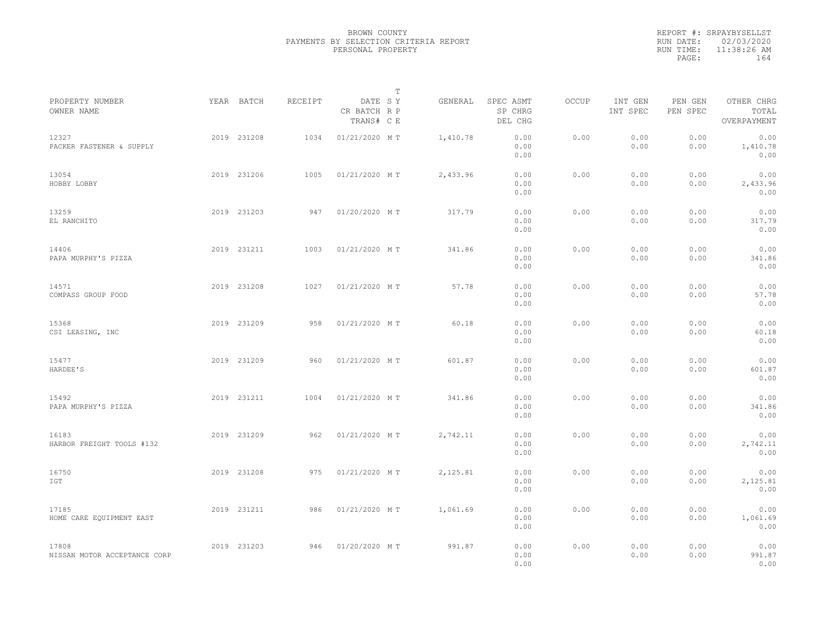|           | REPORT #: SRPAYBYSELLST |
|-----------|-------------------------|
|           | RUN DATE: 02/03/2020    |
| RUN TIME: | 11:38:26 AM             |
| PAGE:     | 164                     |
|           |                         |

|                                       |             |         |                                       | $\mathbb T$ |          |                                 |       |                     |                     |                                    |  |
|---------------------------------------|-------------|---------|---------------------------------------|-------------|----------|---------------------------------|-------|---------------------|---------------------|------------------------------------|--|
| PROPERTY NUMBER<br>OWNER NAME         | YEAR BATCH  | RECEIPT | DATE SY<br>CR BATCH R P<br>TRANS# C E |             | GENERAL  | SPEC ASMT<br>SP CHRG<br>DEL CHG | OCCUP | INT GEN<br>INT SPEC | PEN GEN<br>PEN SPEC | OTHER CHRG<br>TOTAL<br>OVERPAYMENT |  |
| 12327<br>PACKER FASTENER & SUPPLY     | 2019 231208 | 1034    | 01/21/2020 MT                         |             | 1,410.78 | 0.00<br>0.00<br>0.00            | 0.00  | 0.00<br>0.00        | 0.00<br>0.00        | 0.00<br>1,410.78<br>0.00           |  |
| 13054<br>HOBBY LOBBY                  | 2019 231206 | 1005    | 01/21/2020 MT                         |             | 2,433.96 | 0.00<br>0.00<br>0.00            | 0.00  | 0.00<br>0.00        | 0.00<br>0.00        | 0.00<br>2,433.96<br>0.00           |  |
| 13259<br>EL RANCHITO                  | 2019 231203 | 947     | 01/20/2020 MT                         |             | 317.79   | 0.00<br>0.00<br>0.00            | 0.00  | 0.00<br>0.00        | 0.00<br>0.00        | 0.00<br>317.79<br>0.00             |  |
| 14406<br>PAPA MURPHY'S PIZZA          | 2019 231211 | 1003    | 01/21/2020 MT                         |             | 341.86   | 0.00<br>0.00<br>0.00            | 0.00  | 0.00<br>0.00        | 0.00<br>0.00        | 0.00<br>341.86<br>0.00             |  |
| 14571<br>COMPASS GROUP FOOD           | 2019 231208 | 1027    | 01/21/2020 MT                         |             | 57.78    | 0.00<br>0.00<br>0.00            | 0.00  | 0.00<br>0.00        | 0.00<br>0.00        | 0.00<br>57.78<br>0.00              |  |
| 15368<br>CSI LEASING, INC             | 2019 231209 | 958     | 01/21/2020 MT                         |             | 60.18    | 0.00<br>0.00<br>0.00            | 0.00  | 0.00<br>0.00        | 0.00<br>0.00        | 0.00<br>60.18<br>0.00              |  |
| 15477<br>HARDEE'S                     | 2019 231209 | 960     | 01/21/2020 MT                         |             | 601.87   | 0.00<br>0.00<br>0.00            | 0.00  | 0.00<br>0.00        | 0.00<br>0.00        | 0.00<br>601.87<br>0.00             |  |
| 15492<br>PAPA MURPHY'S PIZZA          | 2019 231211 | 1004    | 01/21/2020 MT                         |             | 341.86   | 0.00<br>0.00<br>0.00            | 0.00  | 0.00<br>0.00        | 0.00<br>0.00        | 0.00<br>341.86<br>0.00             |  |
| 16183<br>HARBOR FREIGHT TOOLS #132    | 2019 231209 | 962     | 01/21/2020 MT                         |             | 2,742.11 | 0.00<br>0.00<br>0.00            | 0.00  | 0.00<br>0.00        | 0.00<br>0.00        | 0.00<br>2,742.11<br>0.00           |  |
| 16750<br>IGT                          | 2019 231208 | 975     | 01/21/2020 MT                         |             | 2,125.81 | 0.00<br>0.00<br>0.00            | 0.00  | 0.00<br>0.00        | 0.00<br>0.00        | 0.00<br>2,125.81<br>0.00           |  |
| 17185<br>HOME CARE EQUIPMENT EAST     | 2019 231211 | 986     | 01/21/2020 MT                         |             | 1,061.69 | 0.00<br>0.00<br>0.00            | 0.00  | 0.00<br>0.00        | 0.00<br>0.00        | 0.00<br>1,061.69<br>0.00           |  |
| 17808<br>NISSAN MOTOR ACCEPTANCE CORP | 2019 231203 | 946     | 01/20/2020 MT                         |             | 991.87   | 0.00<br>0.00<br>0.00            | 0.00  | 0.00<br>0.00        | 0.00<br>0.00        | 0.00<br>991.87<br>0.00             |  |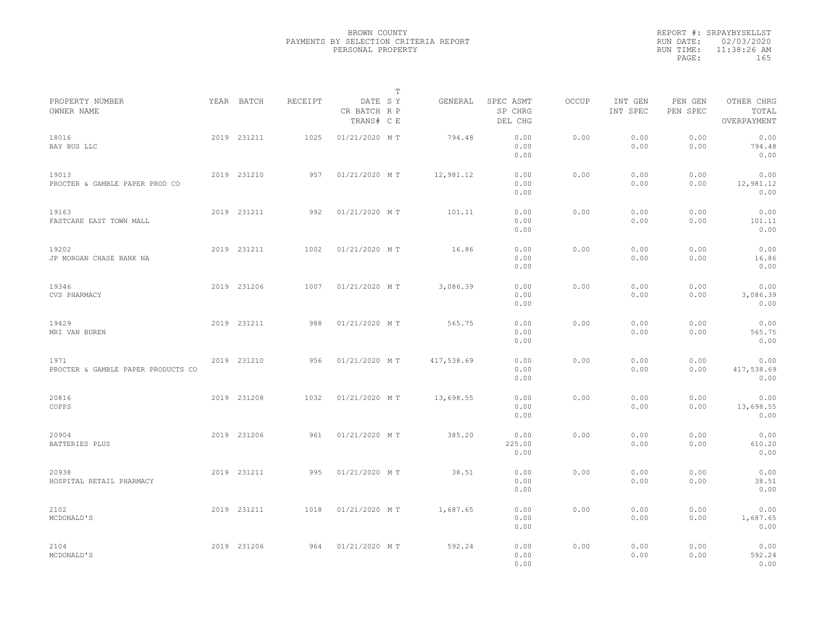|           | REPORT #: SRPAYBYSELLST |  |
|-----------|-------------------------|--|
|           | RUN DATE: 02/03/2020    |  |
| RUN TIME: | $11:38:26$ AM           |  |
| PAGE:     | 165                     |  |
|           |                         |  |

|                                            |             |         |                                       | $\mathbb T$ |            |                                 |       |                     |                     |                                    |  |
|--------------------------------------------|-------------|---------|---------------------------------------|-------------|------------|---------------------------------|-------|---------------------|---------------------|------------------------------------|--|
| PROPERTY NUMBER<br>OWNER NAME              | YEAR BATCH  | RECEIPT | DATE SY<br>CR BATCH R P<br>TRANS# C E |             | GENERAL    | SPEC ASMT<br>SP CHRG<br>DEL CHG | OCCUP | INT GEN<br>INT SPEC | PEN GEN<br>PEN SPEC | OTHER CHRG<br>TOTAL<br>OVERPAYMENT |  |
| 18016<br>BAY BUS LLC                       | 2019 231211 | 1025    | 01/21/2020 MT                         |             | 794.48     | 0.00<br>0.00<br>0.00            | 0.00  | 0.00<br>0.00        | 0.00<br>0.00        | 0.00<br>794.48<br>0.00             |  |
| 19013<br>PROCTER & GAMBLE PAPER PROD CO    | 2019 231210 | 957     | 01/21/2020 MT                         |             | 12,981.12  | 0.00<br>0.00<br>0.00            | 0.00  | 0.00<br>0.00        | 0.00<br>0.00        | 0.00<br>12,981.12<br>0.00          |  |
| 19163<br>FASTCARE EAST TOWN MALL           | 2019 231211 | 992     | 01/21/2020 MT                         |             | 101.11     | 0.00<br>0.00<br>0.00            | 0.00  | 0.00<br>0.00        | 0.00<br>0.00        | 0.00<br>101.11<br>0.00             |  |
| 19202<br>JP MORGAN CHASE BANK NA           | 2019 231211 | 1002    | 01/21/2020 MT                         |             | 16.86      | 0.00<br>0.00<br>0.00            | 0.00  | 0.00<br>0.00        | 0.00<br>0.00        | 0.00<br>16.86<br>0.00              |  |
| 19346<br>CVS PHARMACY                      | 2019 231206 | 1007    | 01/21/2020 MT                         |             | 3,086.39   | 0.00<br>0.00<br>0.00            | 0.00  | 0.00<br>0.00        | 0.00<br>0.00        | 0.00<br>3,086.39<br>0.00           |  |
| 19429<br>MRI VAN BUREN                     | 2019 231211 | 988     | 01/21/2020 MT                         |             | 565.75     | 0.00<br>0.00<br>0.00            | 0.00  | 0.00<br>0.00        | 0.00<br>0.00        | 0.00<br>565.75<br>0.00             |  |
| 1971<br>PROCTER & GAMBLE PAPER PRODUCTS CO | 2019 231210 | 956     | 01/21/2020 MT                         |             | 417,538.69 | 0.00<br>0.00<br>0.00            | 0.00  | 0.00<br>0.00        | 0.00<br>0.00        | 0.00<br>417,538.69<br>0.00         |  |
| 20816<br>COPPS                             | 2019 231208 | 1032    | 01/21/2020 MT                         |             | 13,698.55  | 0.00<br>0.00<br>0.00            | 0.00  | 0.00<br>0.00        | 0.00<br>0.00        | 0.00<br>13,698.55<br>0.00          |  |
| 20904<br>BATTERIES PLUS                    | 2019 231206 | 961     | 01/21/2020 MT                         |             | 385.20     | 0.00<br>225.00<br>0.00          | 0.00  | 0.00<br>0.00        | 0.00<br>0.00        | 0.00<br>610.20<br>0.00             |  |
| 20938<br>HOSPITAL RETAIL PHARMACY          | 2019 231211 | 995     | 01/21/2020 MT                         |             | 38.51      | 0.00<br>0.00<br>0.00            | 0.00  | 0.00<br>0.00        | 0.00<br>0.00        | 0.00<br>38.51<br>0.00              |  |
| 2102<br>MCDONALD'S                         | 2019 231211 | 1018    | 01/21/2020 MT                         |             | 1,687.65   | 0.00<br>0.00<br>0.00            | 0.00  | 0.00<br>0.00        | 0.00<br>0.00        | 0.00<br>1,687.65<br>0.00           |  |
| 2104<br>MCDONALD'S                         | 2019 231206 | 964     | 01/21/2020 MT                         |             | 592.24     | 0.00<br>0.00<br>0.00            | 0.00  | 0.00<br>0.00        | 0.00<br>0.00        | 0.00<br>592.24<br>0.00             |  |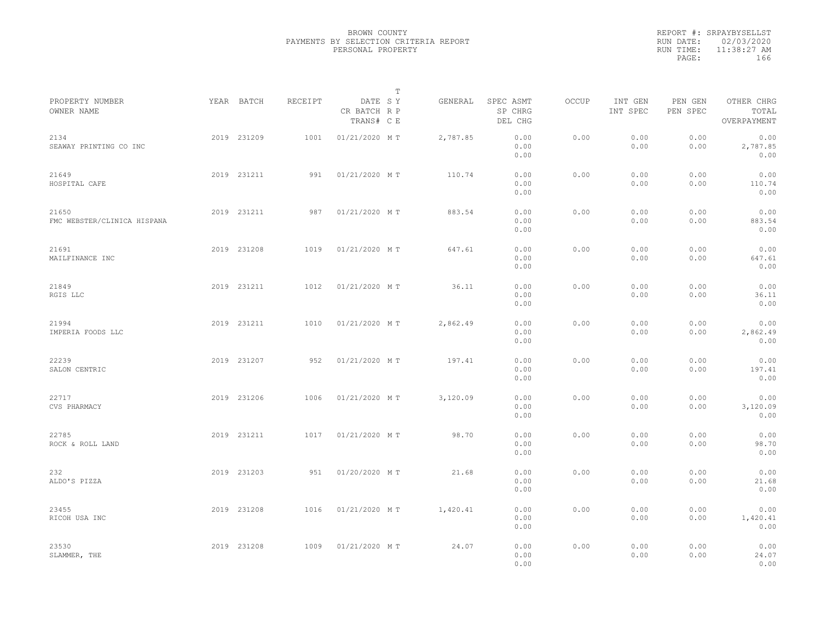|           | REPORT #: SRPAYBYSELLST |  |
|-----------|-------------------------|--|
|           | RUN DATE: 02/03/2020    |  |
| RUN TIME: | $11:38:27$ AM           |  |
| PAGE:     | 166                     |  |
|           |                         |  |

|                                      |             |             |         |                                       | $\mathbb T$ |          |                                 |       |                     |                     |                                    |  |
|--------------------------------------|-------------|-------------|---------|---------------------------------------|-------------|----------|---------------------------------|-------|---------------------|---------------------|------------------------------------|--|
| PROPERTY NUMBER<br>OWNER NAME        |             | YEAR BATCH  | RECEIPT | DATE SY<br>CR BATCH R P<br>TRANS# C E |             | GENERAL  | SPEC ASMT<br>SP CHRG<br>DEL CHG | OCCUP | INT GEN<br>INT SPEC | PEN GEN<br>PEN SPEC | OTHER CHRG<br>TOTAL<br>OVERPAYMENT |  |
| 2134<br>SEAWAY PRINTING CO INC       |             | 2019 231209 | 1001    | 01/21/2020 MT                         |             | 2,787.85 | 0.00<br>0.00<br>0.00            | 0.00  | 0.00<br>0.00        | 0.00<br>0.00        | 0.00<br>2,787.85<br>0.00           |  |
| 21649<br>HOSPITAL CAFE               |             | 2019 231211 | 991     | 01/21/2020 MT                         |             | 110.74   | 0.00<br>0.00<br>0.00            | 0.00  | 0.00<br>0.00        | 0.00<br>0.00        | 0.00<br>110.74<br>0.00             |  |
| 21650<br>FMC WEBSTER/CLINICA HISPANA |             | 2019 231211 | 987     | 01/21/2020 MT                         |             | 883.54   | 0.00<br>0.00<br>0.00            | 0.00  | 0.00<br>0.00        | 0.00<br>0.00        | 0.00<br>883.54<br>0.00             |  |
| 21691<br>MAILFINANCE INC             |             | 2019 231208 | 1019    | 01/21/2020 MT                         |             | 647.61   | 0.00<br>0.00<br>0.00            | 0.00  | 0.00<br>0.00        | 0.00<br>0.00        | 0.00<br>647.61<br>0.00             |  |
| 21849<br>RGIS LLC                    |             | 2019 231211 | 1012    | 01/21/2020 MT                         |             | 36.11    | 0.00<br>0.00<br>0.00            | 0.00  | 0.00<br>0.00        | 0.00<br>0.00        | 0.00<br>36.11<br>0.00              |  |
| 21994<br>IMPERIA FOODS LLC           |             | 2019 231211 | 1010    | 01/21/2020 MT                         |             | 2,862.49 | 0.00<br>0.00<br>0.00            | 0.00  | 0.00<br>0.00        | 0.00<br>0.00        | 0.00<br>2,862.49<br>0.00           |  |
| 22239<br>SALON CENTRIC               |             | 2019 231207 | 952     | 01/21/2020 MT                         |             | 197.41   | 0.00<br>0.00<br>0.00            | 0.00  | 0.00<br>0.00        | 0.00<br>0.00        | 0.00<br>197.41<br>0.00             |  |
| 22717<br>CVS PHARMACY                |             | 2019 231206 | 1006    | 01/21/2020 MT                         |             | 3,120.09 | 0.00<br>0.00<br>0.00            | 0.00  | 0.00<br>0.00        | 0.00<br>0.00        | 0.00<br>3,120.09<br>0.00           |  |
| 22785<br>ROCK & ROLL LAND            |             | 2019 231211 | 1017    | 01/21/2020 MT                         |             | 98.70    | 0.00<br>0.00<br>0.00            | 0.00  | 0.00<br>0.00        | 0.00<br>0.00        | 0.00<br>98.70<br>0.00              |  |
| 232<br>ALDO'S PIZZA                  |             | 2019 231203 | 951     | 01/20/2020 MT                         |             | 21.68    | 0.00<br>0.00<br>0.00            | 0.00  | 0.00<br>0.00        | 0.00<br>0.00        | 0.00<br>21.68<br>0.00              |  |
| 23455<br>RICOH USA INC               |             | 2019 231208 | 1016    | 01/21/2020 MT                         |             | 1,420.41 | 0.00<br>0.00<br>0.00            | 0.00  | 0.00<br>0.00        | 0.00<br>0.00        | 0.00<br>1,420.41<br>0.00           |  |
| 23530<br>SLAMMER, THE                | 2019 231208 |             | 1009    | 01/21/2020 MT                         |             | 24.07    | 0.00<br>0.00<br>0.00            | 0.00  | 0.00<br>0.00        | 0.00<br>0.00        | 0.00<br>24.07<br>0.00              |  |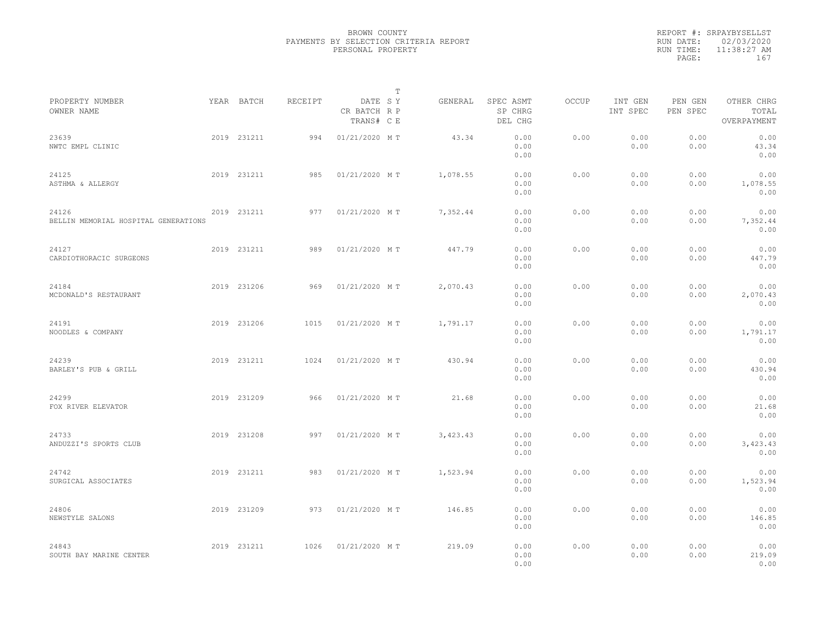|                                               |             |         |                                       | T |          |                                 |       |                     |                     |                                    |  |
|-----------------------------------------------|-------------|---------|---------------------------------------|---|----------|---------------------------------|-------|---------------------|---------------------|------------------------------------|--|
| PROPERTY NUMBER<br>OWNER NAME                 | YEAR BATCH  | RECEIPT | DATE SY<br>CR BATCH R P<br>TRANS# C E |   | GENERAL  | SPEC ASMT<br>SP CHRG<br>DEL CHG | OCCUP | INT GEN<br>INT SPEC | PEN GEN<br>PEN SPEC | OTHER CHRG<br>TOTAL<br>OVERPAYMENT |  |
| 23639<br>NWTC EMPL CLINIC                     | 2019 231211 | 994     | 01/21/2020 MT                         |   | 43.34    | 0.00<br>0.00<br>0.00            | 0.00  | 0.00<br>0.00        | 0.00<br>0.00        | 0.00<br>43.34<br>0.00              |  |
| 24125<br>ASTHMA & ALLERGY                     | 2019 231211 | 985     | 01/21/2020 MT                         |   | 1,078.55 | 0.00<br>0.00<br>0.00            | 0.00  | 0.00<br>0.00        | 0.00<br>0.00        | 0.00<br>1,078.55<br>0.00           |  |
| 24126<br>BELLIN MEMORIAL HOSPITAL GENERATIONS | 2019 231211 | 977     | 01/21/2020 MT                         |   | 7,352.44 | 0.00<br>0.00<br>0.00            | 0.00  | 0.00<br>0.00        | 0.00<br>0.00        | 0.00<br>7,352.44<br>0.00           |  |
| 24127<br>CARDIOTHORACIC SURGEONS              | 2019 231211 | 989     | 01/21/2020 MT                         |   | 447.79   | 0.00<br>0.00<br>0.00            | 0.00  | 0.00<br>0.00        | 0.00<br>0.00        | 0.00<br>447.79<br>0.00             |  |
| 24184<br>MCDONALD'S RESTAURANT                | 2019 231206 | 969     | 01/21/2020 MT                         |   | 2,070.43 | 0.00<br>0.00<br>0.00            | 0.00  | 0.00<br>0.00        | 0.00<br>0.00        | 0.00<br>2,070.43<br>0.00           |  |
| 24191<br>NOODLES & COMPANY                    | 2019 231206 | 1015    | 01/21/2020 MT                         |   | 1,791.17 | 0.00<br>0.00<br>0.00            | 0.00  | 0.00<br>0.00        | 0.00<br>0.00        | 0.00<br>1,791.17<br>0.00           |  |
| 24239<br>BARLEY'S PUB & GRILL                 | 2019 231211 | 1024    | 01/21/2020 MT                         |   | 430.94   | 0.00<br>0.00<br>0.00            | 0.00  | 0.00<br>0.00        | 0.00<br>0.00        | 0.00<br>430.94<br>0.00             |  |
| 24299<br>FOX RIVER ELEVATOR                   | 2019 231209 | 966     | 01/21/2020 MT                         |   | 21.68    | 0.00<br>0.00<br>0.00            | 0.00  | 0.00<br>0.00        | 0.00<br>0.00        | 0.00<br>21.68<br>0.00              |  |
| 24733<br>ANDUZZI'S SPORTS CLUB                | 2019 231208 | 997     | 01/21/2020 MT                         |   | 3,423.43 | 0.00<br>0.00<br>0.00            | 0.00  | 0.00<br>0.00        | 0.00<br>0.00        | 0.00<br>3,423.43<br>0.00           |  |
| 24742<br>SURGICAL ASSOCIATES                  | 2019 231211 | 983     | 01/21/2020 MT                         |   | 1,523.94 | 0.00<br>0.00<br>0.00            | 0.00  | 0.00<br>0.00        | 0.00<br>0.00        | 0.00<br>1,523.94<br>0.00           |  |
| 24806<br>NEWSTYLE SALONS                      | 2019 231209 | 973     | 01/21/2020 MT                         |   | 146.85   | 0.00<br>0.00<br>0.00            | 0.00  | 0.00<br>0.00        | 0.00<br>0.00        | 0.00<br>146.85<br>0.00             |  |
| 24843<br>SOUTH BAY MARINE CENTER              | 2019 231211 | 1026    | 01/21/2020 MT                         |   | 219.09   | 0.00<br>0.00<br>0.00            | 0.00  | 0.00<br>0.00        | 0.00<br>0.00        | 0.00<br>219.09<br>0.00             |  |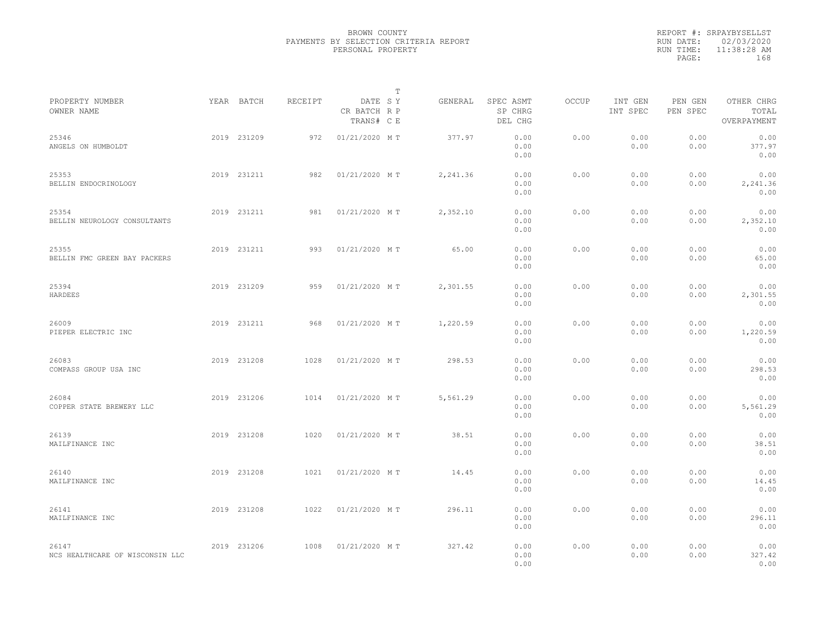|           | REPORT #: SRPAYBYSELLST |  |
|-----------|-------------------------|--|
|           | RUN DATE: 02/03/2020    |  |
| RUN TIME: | 11:38:28 AM             |  |
| PAGE:     | 168                     |  |
|           |                         |  |

|                                          |             |         |                                       | $\mathbb T$ |          |                                 |       |                     |                     |                                    |  |
|------------------------------------------|-------------|---------|---------------------------------------|-------------|----------|---------------------------------|-------|---------------------|---------------------|------------------------------------|--|
| PROPERTY NUMBER<br>OWNER NAME            | YEAR BATCH  | RECEIPT | DATE SY<br>CR BATCH R P<br>TRANS# C E |             | GENERAL  | SPEC ASMT<br>SP CHRG<br>DEL CHG | OCCUP | INT GEN<br>INT SPEC | PEN GEN<br>PEN SPEC | OTHER CHRG<br>TOTAL<br>OVERPAYMENT |  |
| 25346<br>ANGELS ON HUMBOLDT              | 2019 231209 | 972     | 01/21/2020 MT                         |             | 377.97   | 0.00<br>0.00<br>0.00            | 0.00  | 0.00<br>0.00        | 0.00<br>0.00        | 0.00<br>377.97<br>0.00             |  |
| 25353<br>BELLIN ENDOCRINOLOGY            | 2019 231211 | 982     | 01/21/2020 MT                         |             | 2,241.36 | 0.00<br>0.00<br>0.00            | 0.00  | 0.00<br>0.00        | 0.00<br>0.00        | 0.00<br>2,241.36<br>0.00           |  |
| 25354<br>BELLIN NEUROLOGY CONSULTANTS    | 2019 231211 | 981     | 01/21/2020 MT                         |             | 2,352.10 | 0.00<br>0.00<br>0.00            | 0.00  | 0.00<br>0.00        | 0.00<br>0.00        | 0.00<br>2,352.10<br>0.00           |  |
| 25355<br>BELLIN FMC GREEN BAY PACKERS    | 2019 231211 | 993     | 01/21/2020 MT                         |             | 65.00    | 0.00<br>0.00<br>0.00            | 0.00  | 0.00<br>0.00        | 0.00<br>0.00        | 0.00<br>65.00<br>0.00              |  |
| 25394<br>HARDEES                         | 2019 231209 | 959     | 01/21/2020 MT                         |             | 2,301.55 | 0.00<br>0.00<br>0.00            | 0.00  | 0.00<br>0.00        | 0.00<br>0.00        | 0.00<br>2,301.55<br>0.00           |  |
| 26009<br>PIEPER ELECTRIC INC             | 2019 231211 | 968     | 01/21/2020 MT                         |             | 1,220.59 | 0.00<br>0.00<br>0.00            | 0.00  | 0.00<br>0.00        | 0.00<br>0.00        | 0.00<br>1,220.59<br>0.00           |  |
| 26083<br>COMPASS GROUP USA INC           | 2019 231208 | 1028    | 01/21/2020 MT                         |             | 298.53   | 0.00<br>0.00<br>0.00            | 0.00  | 0.00<br>0.00        | 0.00<br>0.00        | 0.00<br>298.53<br>0.00             |  |
| 26084<br>COPPER STATE BREWERY LLC        | 2019 231206 | 1014    | 01/21/2020 MT                         |             | 5,561.29 | 0.00<br>0.00<br>0.00            | 0.00  | 0.00<br>0.00        | 0.00<br>0.00        | 0.00<br>5,561.29<br>0.00           |  |
| 26139<br>MAILFINANCE INC                 | 2019 231208 | 1020    | 01/21/2020 MT                         |             | 38.51    | 0.00<br>0.00<br>0.00            | 0.00  | 0.00<br>0.00        | 0.00<br>0.00        | 0.00<br>38.51<br>0.00              |  |
| 26140<br>MAILFINANCE INC                 | 2019 231208 | 1021    | 01/21/2020 MT                         |             | 14.45    | 0.00<br>0.00<br>0.00            | 0.00  | 0.00<br>0.00        | 0.00<br>0.00        | 0.00<br>14.45<br>0.00              |  |
| 26141<br>MAILFINANCE INC                 | 2019 231208 | 1022    | 01/21/2020 MT                         |             | 296.11   | 0.00<br>0.00<br>0.00            | 0.00  | 0.00<br>0.00        | 0.00<br>0.00        | 0.00<br>296.11<br>0.00             |  |
| 26147<br>NCS HEALTHCARE OF WISCONSIN LLC | 2019 231206 | 1008    | 01/21/2020 MT                         |             | 327.42   | 0.00<br>0.00<br>0.00            | 0.00  | 0.00<br>0.00        | 0.00<br>0.00        | 0.00<br>327.42<br>0.00             |  |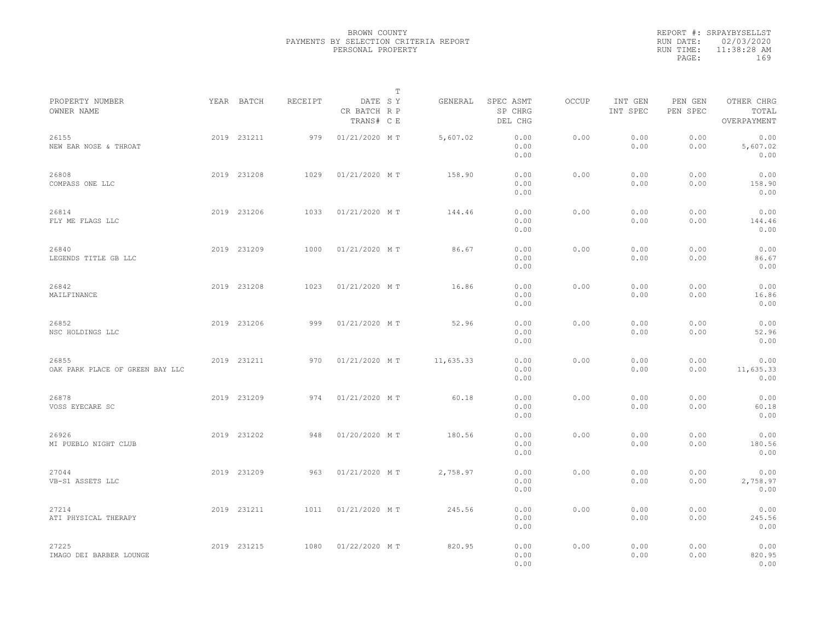|           | REPORT #: SRPAYBYSELLST |  |
|-----------|-------------------------|--|
|           | RUN DATE: 02/03/2020    |  |
| RUN TIME: | $11:38:28$ AM           |  |
| PAGE:     | 169                     |  |
|           |                         |  |

|                                          |             |         |                                       | T |           |                                 |       |                     |                     |                                    |  |
|------------------------------------------|-------------|---------|---------------------------------------|---|-----------|---------------------------------|-------|---------------------|---------------------|------------------------------------|--|
| PROPERTY NUMBER<br>OWNER NAME            | YEAR BATCH  | RECEIPT | DATE SY<br>CR BATCH R P<br>TRANS# C E |   | GENERAL   | SPEC ASMT<br>SP CHRG<br>DEL CHG | OCCUP | INT GEN<br>INT SPEC | PEN GEN<br>PEN SPEC | OTHER CHRG<br>TOTAL<br>OVERPAYMENT |  |
| 26155<br>NEW EAR NOSE & THROAT           | 2019 231211 | 979     | 01/21/2020 MT                         |   | 5,607.02  | 0.00<br>0.00<br>0.00            | 0.00  | 0.00<br>0.00        | 0.00<br>0.00        | 0.00<br>5,607.02<br>0.00           |  |
| 26808<br>COMPASS ONE LLC                 | 2019 231208 | 1029    | 01/21/2020 MT                         |   | 158.90    | 0.00<br>0.00<br>0.00            | 0.00  | 0.00<br>0.00        | 0.00<br>0.00        | 0.00<br>158.90<br>0.00             |  |
| 26814<br>FLY ME FLAGS LLC                | 2019 231206 | 1033    | 01/21/2020 MT                         |   | 144.46    | 0.00<br>0.00<br>0.00            | 0.00  | 0.00<br>0.00        | 0.00<br>0.00        | 0.00<br>144.46<br>0.00             |  |
| 26840<br>LEGENDS TITLE GB LLC            | 2019 231209 | 1000    | 01/21/2020 MT                         |   | 86.67     | 0.00<br>0.00<br>0.00            | 0.00  | 0.00<br>0.00        | 0.00<br>0.00        | 0.00<br>86.67<br>0.00              |  |
| 26842<br>MAILFINANCE                     | 2019 231208 | 1023    | 01/21/2020 MT                         |   | 16.86     | 0.00<br>0.00<br>0.00            | 0.00  | 0.00<br>0.00        | 0.00<br>0.00        | 0.00<br>16.86<br>0.00              |  |
| 26852<br>NSC HOLDINGS LLC                | 2019 231206 | 999     | 01/21/2020 MT                         |   | 52.96     | 0.00<br>0.00<br>0.00            | 0.00  | 0.00<br>0.00        | 0.00<br>0.00        | 0.00<br>52.96<br>0.00              |  |
| 26855<br>OAK PARK PLACE OF GREEN BAY LLC | 2019 231211 | 970     | 01/21/2020 MT                         |   | 11,635.33 | 0.00<br>0.00<br>0.00            | 0.00  | 0.00<br>0.00        | 0.00<br>0.00        | 0.00<br>11,635.33<br>0.00          |  |
| 26878<br>VOSS EYECARE SC                 | 2019 231209 | 974     | 01/21/2020 MT                         |   | 60.18     | 0.00<br>0.00<br>0.00            | 0.00  | 0.00<br>0.00        | 0.00<br>0.00        | 0.00<br>60.18<br>0.00              |  |
| 26926<br>MI PUEBLO NIGHT CLUB            | 2019 231202 | 948     | 01/20/2020 MT                         |   | 180.56    | 0.00<br>0.00<br>0.00            | 0.00  | 0.00<br>0.00        | 0.00<br>0.00        | 0.00<br>180.56<br>0.00             |  |
| 27044<br>VB-S1 ASSETS LLC                | 2019 231209 | 963     | 01/21/2020 MT                         |   | 2,758.97  | 0.00<br>0.00<br>0.00            | 0.00  | 0.00<br>0.00        | 0.00<br>0.00        | 0.00<br>2,758.97<br>0.00           |  |
| 27214<br>ATI PHYSICAL THERAPY            | 2019 231211 | 1011    | 01/21/2020 MT                         |   | 245.56    | 0.00<br>0.00<br>0.00            | 0.00  | 0.00<br>0.00        | 0.00<br>0.00        | 0.00<br>245.56<br>0.00             |  |
| 27225<br>IMAGO DEI BARBER LOUNGE         | 2019 231215 | 1080    | 01/22/2020 MT                         |   | 820.95    | 0.00<br>0.00<br>0.00            | 0.00  | 0.00<br>0.00        | 0.00<br>0.00        | 0.00<br>820.95<br>0.00             |  |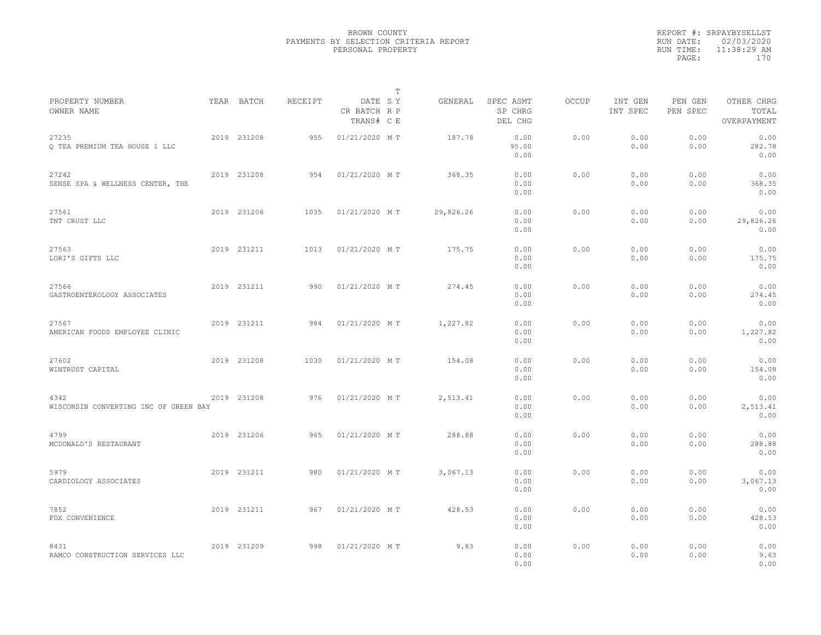|                                               |             |         | $\mathbb{T}$                          |           |                                 |              |                     |                     |                                    |  |
|-----------------------------------------------|-------------|---------|---------------------------------------|-----------|---------------------------------|--------------|---------------------|---------------------|------------------------------------|--|
| PROPERTY NUMBER<br>OWNER NAME                 | YEAR BATCH  | RECEIPT | DATE SY<br>CR BATCH R P<br>TRANS# C E | GENERAL   | SPEC ASMT<br>SP CHRG<br>DEL CHG | <b>OCCUP</b> | INT GEN<br>INT SPEC | PEN GEN<br>PEN SPEC | OTHER CHRG<br>TOTAL<br>OVERPAYMENT |  |
| 27235<br>Q TEA PREMIUM TEA HOUSE 1 LLC        | 2019 231208 | 955     | 01/21/2020 MT                         | 187.78    | 0.00<br>95.00<br>0.00           | 0.00         | 0.00<br>0.00        | 0.00<br>0.00        | 0.00<br>282.78<br>0.00             |  |
| 27242<br>SENSE SPA & WELLNESS CENTER, THE     | 2019 231208 | 954     | 01/21/2020 MT                         | 368.35    | 0.00<br>0.00<br>0.00            | 0.00         | 0.00<br>0.00        | 0.00<br>0.00        | 0.00<br>368.35<br>0.00             |  |
| 27561<br>TNT CRUST LLC                        | 2019 231206 | 1035    | 01/21/2020 MT                         | 29,826.26 | 0.00<br>0.00<br>0.00            | 0.00         | 0.00<br>0.00        | 0.00<br>0.00        | 0.00<br>29,826.26<br>0.00          |  |
| 27563<br>LORI'S GIFTS LLC                     | 2019 231211 | 1013    | 01/21/2020 MT                         | 175.75    | 0.00<br>0.00<br>0.00            | 0.00         | 0.00<br>0.00        | 0.00<br>0.00        | 0.00<br>175.75<br>0.00             |  |
| 27566<br>GASTROENTEROLOGY ASSOCIATES          | 2019 231211 | 990     | 01/21/2020 MT                         | 274.45    | 0.00<br>0.00<br>0.00            | 0.00         | 0.00<br>0.00        | 0.00<br>0.00        | 0.00<br>274.45<br>0.00             |  |
| 27567<br>AMERICAN FOODS EMPLOYEE CLINIC       | 2019 231211 | 984     | 01/21/2020 MT                         | 1,227.82  | 0.00<br>0.00<br>0.00            | 0.00         | 0.00<br>0.00        | 0.00<br>0.00        | 0.00<br>1,227.82<br>0.00           |  |
| 27602<br>WINTRUST CAPITAL                     | 2019 231208 | 1030    | 01/21/2020 MT                         | 154.08    | 0.00<br>0.00<br>0.00            | 0.00         | 0.00<br>0.00        | 0.00<br>0.00        | 0.00<br>154.08<br>0.00             |  |
| 4342<br>WISCONSIN CONVERTING INC OF GREEN BAY | 2019 231208 | 976     | 01/21/2020 MT                         | 2,513.41  | 0.00<br>0.00<br>0.00            | 0.00         | 0.00<br>0.00        | 0.00<br>0.00        | 0.00<br>2,513.41<br>0.00           |  |
| 4799<br>MCDONALD'S RESTAURANT                 | 2019 231206 | 965     | 01/21/2020 MT                         | 288.88    | 0.00<br>0.00<br>0.00            | 0.00         | 0.00<br>0.00        | 0.00<br>0.00        | 0.00<br>288.88<br>0.00             |  |
| 5979<br>CARDIOLOGY ASSOCIATES                 | 2019 231211 | 980     | 01/21/2020 MT                         | 3,067.13  | 0.00<br>0.00<br>0.00            | 0.00         | 0.00<br>0.00        | 0.00<br>0.00        | 0.00<br>3,067.13<br>0.00           |  |
| 7852<br>FOX CONVENIENCE                       | 2019 231211 | 967     | 01/21/2020 MT                         | 428.53    | 0.00<br>0.00<br>0.00            | 0.00         | 0.00<br>0.00        | 0.00<br>0.00        | 0.00<br>428.53<br>0.00             |  |
| 8431<br>RAMCO CONSTRUCTION SERVICES LLC       | 2019 231209 | 998     | 01/21/2020 MT                         | 9.63      | 0.00<br>0.00<br>0.00            | 0.00         | 0.00<br>0.00        | 0.00<br>0.00        | 0.00<br>9.63<br>0.00               |  |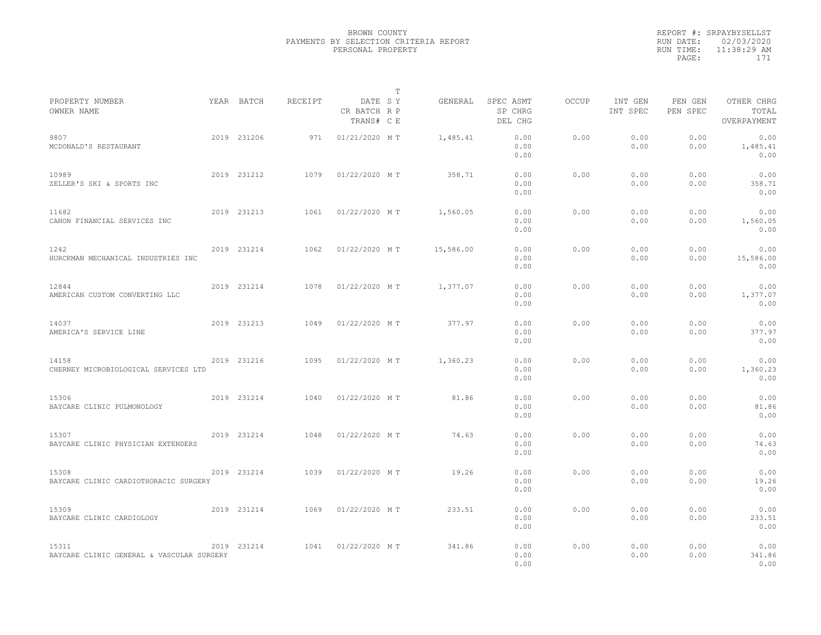|                                                    |             |         | $\mathbb{T}$                          |           |                                 |              |                     |                     |                                    |  |
|----------------------------------------------------|-------------|---------|---------------------------------------|-----------|---------------------------------|--------------|---------------------|---------------------|------------------------------------|--|
| PROPERTY NUMBER<br>OWNER NAME                      | YEAR BATCH  | RECEIPT | DATE SY<br>CR BATCH R P<br>TRANS# C E | GENERAL   | SPEC ASMT<br>SP CHRG<br>DEL CHG | <b>OCCUP</b> | INT GEN<br>INT SPEC | PEN GEN<br>PEN SPEC | OTHER CHRG<br>TOTAL<br>OVERPAYMENT |  |
| 9807<br>MCDONALD'S RESTAURANT                      | 2019 231206 | 971     | 01/21/2020 MT                         | 1,485.41  | 0.00<br>0.00<br>0.00            | 0.00         | 0.00<br>0.00        | 0.00<br>0.00        | 0.00<br>1,485.41<br>0.00           |  |
| 10989<br>ZELLER'S SKI & SPORTS INC                 | 2019 231212 | 1079    | 01/22/2020 MT                         | 358.71    | 0.00<br>0.00<br>0.00            | 0.00         | 0.00<br>0.00        | 0.00<br>0.00        | 0.00<br>358.71<br>0.00             |  |
| 11682<br>CANON FINANCIAL SERVICES INC              | 2019 231213 | 1061    | 01/22/2020 MT                         | 1,560.05  | 0.00<br>0.00<br>0.00            | 0.00         | 0.00<br>0.00        | 0.00<br>0.00        | 0.00<br>1,560.05<br>0.00           |  |
| 1242<br>HURCKMAN MECHANICAL INDUSTRIES INC         | 2019 231214 | 1062    | 01/22/2020 MT                         | 15,586.00 | 0.00<br>0.00<br>0.00            | 0.00         | 0.00<br>0.00        | 0.00<br>0.00        | 0.00<br>15,586.00<br>0.00          |  |
| 12844<br>AMERICAN CUSTOM CONVERTING LLC            | 2019 231214 | 1078    | 01/22/2020 MT                         | 1,377.07  | 0.00<br>0.00<br>0.00            | 0.00         | 0.00<br>0.00        | 0.00<br>0.00        | 0.00<br>1,377.07<br>0.00           |  |
| 14037<br>AMERICA'S SERVICE LINE                    | 2019 231213 | 1049    | 01/22/2020 MT                         | 377.97    | 0.00<br>0.00<br>0.00            | 0.00         | 0.00<br>0.00        | 0.00<br>0.00        | 0.00<br>377.97<br>0.00             |  |
| 14158<br>CHERNEY MICROBIOLOGICAL SERVICES LTD      | 2019 231216 | 1095    | 01/22/2020 MT                         | 1,360.23  | 0.00<br>0.00<br>0.00            | 0.00         | 0.00<br>0.00        | 0.00<br>0.00        | 0.00<br>1,360.23<br>0.00           |  |
| 15306<br>BAYCARE CLINIC PULMONOLOGY                | 2019 231214 | 1040    | 01/22/2020 MT                         | 81.86     | 0.00<br>0.00<br>0.00            | 0.00         | 0.00<br>0.00        | 0.00<br>0.00        | 0.00<br>81.86<br>0.00              |  |
| 15307<br>BAYCARE CLINIC PHYSICIAN EXTENDERS        | 2019 231214 | 1048    | 01/22/2020 MT                         | 74.63     | 0.00<br>0.00<br>0.00            | 0.00         | 0.00<br>0.00        | 0.00<br>0.00        | 0.00<br>74.63<br>0.00              |  |
| 15308<br>BAYCARE CLINIC CARDIOTHORACIC SURGERY     | 2019 231214 | 1039    | 01/22/2020 MT                         | 19.26     | 0.00<br>0.00<br>0.00            | 0.00         | 0.00<br>0.00        | 0.00<br>0.00        | 0.00<br>19.26<br>0.00              |  |
| 15309<br>BAYCARE CLINIC CARDIOLOGY                 | 2019 231214 | 1069    | 01/22/2020 MT                         | 233.51    | 0.00<br>0.00<br>0.00            | 0.00         | 0.00<br>0.00        | 0.00<br>0.00        | 0.00<br>233.51<br>0.00             |  |
| 15311<br>BAYCARE CLINIC GENERAL & VASCULAR SURGERY | 2019 231214 | 1041    | 01/22/2020 MT                         | 341.86    | 0.00<br>0.00<br>0.00            | 0.00         | 0.00<br>0.00        | 0.00<br>0.00        | 0.00<br>341.86<br>0.00             |  |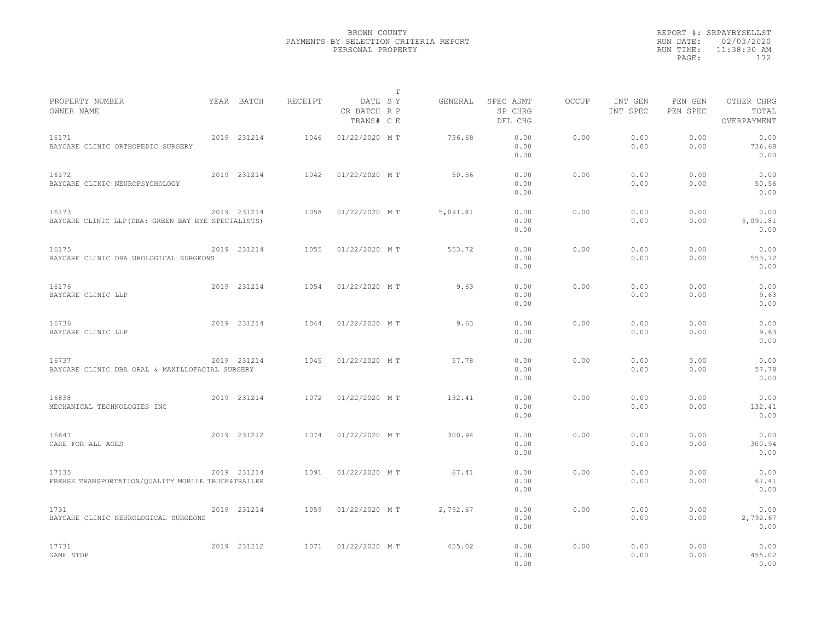|                                                              |             |         |                                       | $\mathbb T$ |          |                                 |              |                     |                     |                                    |  |
|--------------------------------------------------------------|-------------|---------|---------------------------------------|-------------|----------|---------------------------------|--------------|---------------------|---------------------|------------------------------------|--|
| PROPERTY NUMBER<br>OWNER NAME                                | YEAR BATCH  | RECEIPT | DATE SY<br>CR BATCH R P<br>TRANS# C E |             | GENERAL  | SPEC ASMT<br>SP CHRG<br>DEL CHG | <b>OCCUP</b> | INT GEN<br>INT SPEC | PEN GEN<br>PEN SPEC | OTHER CHRG<br>TOTAL<br>OVERPAYMENT |  |
| 16171<br>BAYCARE CLINIC ORTHOPEDIC SURGERY                   | 2019 231214 | 1046    | 01/22/2020 MT                         |             | 736.68   | 0.00<br>0.00<br>0.00            | 0.00         | 0.00<br>0.00        | 0.00<br>0.00        | 0.00<br>736.68<br>0.00             |  |
| 16172<br>BAYCARE CLINIC NEUROPSYCHOLOGY                      | 2019 231214 | 1042    | 01/22/2020 MT                         |             | 50.56    | 0.00<br>0.00<br>0.00            | 0.00         | 0.00<br>0.00        | 0.00<br>0.00        | 0.00<br>50.56<br>0.00              |  |
| 16173<br>BAYCARE CLINIC LLP (DBA: GREEN BAY EYE SPECIALISTS) | 2019 231214 | 1058    | 01/22/2020 MT                         |             | 5,091.81 | 0.00<br>0.00<br>0.00            | 0.00         | 0.00<br>0.00        | 0.00<br>0.00        | 0.00<br>5,091.81<br>0.00           |  |
| 16175<br>BAYCARE CLINIC DBA UROLOGICAL SURGEONS              | 2019 231214 | 1055    | 01/22/2020 MT                         |             | 553.72   | 0.00<br>0.00<br>0.00            | 0.00         | 0.00<br>0.00        | 0.00<br>0.00        | 0.00<br>553.72<br>0.00             |  |
| 16176<br>BAYCARE CLINIC LLP                                  | 2019 231214 | 1054    | 01/22/2020 MT                         |             | 9.63     | 0.00<br>0.00<br>0.00            | 0.00         | 0.00<br>0.00        | 0.00<br>0.00        | 0.00<br>9.63<br>0.00               |  |
| 16736<br>BAYCARE CLINIC LLP                                  | 2019 231214 | 1044    | 01/22/2020 MT                         |             | 9.63     | 0.00<br>0.00<br>0.00            | 0.00         | 0.00<br>0.00        | 0.00<br>0.00        | 0.00<br>9.63<br>0.00               |  |
| 16737<br>BAYCARE CLINIC DBA ORAL & MAXILLOFACIAL SURGERY     | 2019 231214 | 1045    | 01/22/2020 MT                         |             | 57.78    | 0.00<br>0.00<br>0.00            | 0.00         | 0.00<br>0.00        | 0.00<br>0.00        | 0.00<br>57.78<br>0.00              |  |
| 16838<br>MECHANICAL TECHNOLOGIES INC                         | 2019 231214 | 1072    | 01/22/2020 MT                         |             | 132.41   | 0.00<br>0.00<br>0.00            | 0.00         | 0.00<br>0.00        | 0.00<br>0.00        | 0.00<br>132.41<br>0.00             |  |
| 16847<br>CARE FOR ALL AGES                                   | 2019 231212 | 1074    | 01/22/2020 MT                         |             | 300.94   | 0.00<br>0.00<br>0.00            | 0.00         | 0.00<br>0.00        | 0.00<br>0.00        | 0.00<br>300.94<br>0.00             |  |
| 17135<br>FREHSE TRANSPORTATION/QUALITY MOBILE TRUCK&TRAILER  | 2019 231214 | 1091    | 01/22/2020 MT                         |             | 67.41    | 0.00<br>0.00<br>0.00            | 0.00         | 0.00<br>0.00        | 0.00<br>0.00        | 0.00<br>67.41<br>0.00              |  |
| 1731<br>BAYCARE CLINIC NEUROLOGICAL SURGEONS                 | 2019 231214 | 1059    | 01/22/2020 MT                         |             | 2,792.67 | 0.00<br>0.00<br>0.00            | 0.00         | 0.00<br>0.00        | 0.00<br>0.00        | 0.00<br>2,792.67<br>0.00           |  |
| 17731<br>GAME STOP                                           | 2019 231212 | 1071    | 01/22/2020 MT                         |             | 455.02   | 0.00<br>0.00<br>0.00            | 0.00         | 0.00<br>0.00        | 0.00<br>0.00        | 0.00<br>455.02<br>0.00             |  |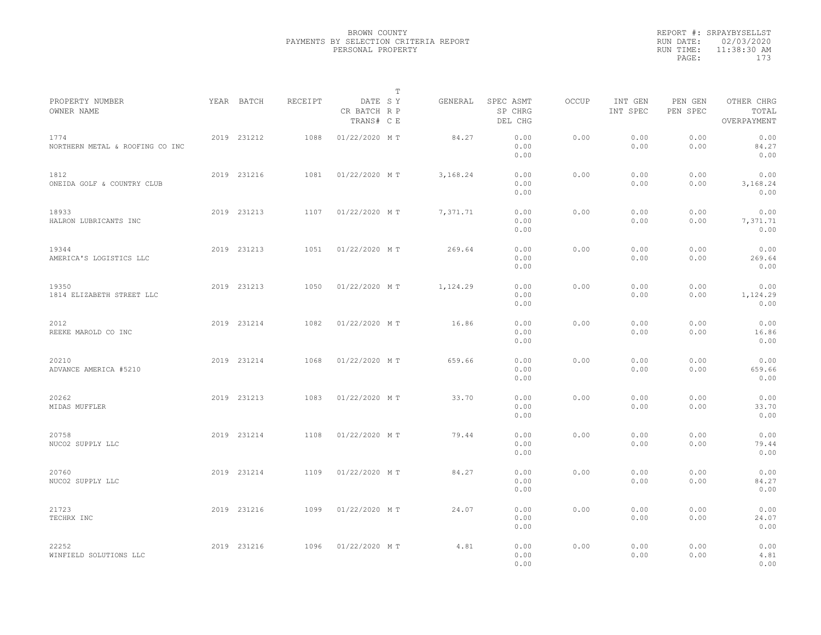|                                         |             |         |                                       | $\mathbb{T}$ |                                 |       |                     |                     |                                    |  |
|-----------------------------------------|-------------|---------|---------------------------------------|--------------|---------------------------------|-------|---------------------|---------------------|------------------------------------|--|
| PROPERTY NUMBER<br>OWNER NAME           | YEAR BATCH  | RECEIPT | DATE SY<br>CR BATCH R P<br>TRANS# C E | GENERAL      | SPEC ASMT<br>SP CHRG<br>DEL CHG | OCCUP | INT GEN<br>INT SPEC | PEN GEN<br>PEN SPEC | OTHER CHRG<br>TOTAL<br>OVERPAYMENT |  |
| 1774<br>NORTHERN METAL & ROOFING CO INC | 2019 231212 | 1088    | 01/22/2020 MT                         | 84.27        | 0.00<br>0.00<br>0.00            | 0.00  | 0.00<br>0.00        | 0.00<br>0.00        | 0.00<br>84.27<br>0.00              |  |
| 1812<br>ONEIDA GOLF & COUNTRY CLUB      | 2019 231216 | 1081    | 01/22/2020 MT                         | 3,168.24     | 0.00<br>0.00<br>0.00            | 0.00  | 0.00<br>0.00        | 0.00<br>0.00        | 0.00<br>3,168.24<br>0.00           |  |
| 18933<br>HALRON LUBRICANTS INC          | 2019 231213 | 1107    | 01/22/2020 MT                         | 7,371.71     | 0.00<br>0.00<br>0.00            | 0.00  | 0.00<br>0.00        | 0.00<br>0.00        | 0.00<br>7,371.71<br>0.00           |  |
| 19344<br>AMERICA'S LOGISTICS LLC        | 2019 231213 | 1051    | 01/22/2020 MT                         | 269.64       | 0.00<br>0.00<br>0.00            | 0.00  | 0.00<br>0.00        | 0.00<br>0.00        | 0.00<br>269.64<br>0.00             |  |
| 19350<br>1814 ELIZABETH STREET LLC      | 2019 231213 | 1050    | 01/22/2020 MT                         | 1,124.29     | 0.00<br>0.00<br>0.00            | 0.00  | 0.00<br>0.00        | 0.00<br>0.00        | 0.00<br>1,124.29<br>0.00           |  |
| 2012<br>REEKE MAROLD CO INC             | 2019 231214 | 1082    | 01/22/2020 MT                         | 16.86        | 0.00<br>0.00<br>0.00            | 0.00  | 0.00<br>0.00        | 0.00<br>0.00        | 0.00<br>16.86<br>0.00              |  |
| 20210<br>ADVANCE AMERICA #5210          | 2019 231214 | 1068    | 01/22/2020 MT                         | 659.66       | 0.00<br>0.00<br>0.00            | 0.00  | 0.00<br>0.00        | 0.00<br>0.00        | 0.00<br>659.66<br>0.00             |  |
| 20262<br>MIDAS MUFFLER                  | 2019 231213 | 1083    | 01/22/2020 MT                         | 33.70        | 0.00<br>0.00<br>0.00            | 0.00  | 0.00<br>0.00        | 0.00<br>0.00        | 0.00<br>33.70<br>0.00              |  |
| 20758<br>NUCO2 SUPPLY LLC               | 2019 231214 | 1108    | 01/22/2020 MT                         | 79.44        | 0.00<br>0.00<br>0.00            | 0.00  | 0.00<br>0.00        | 0.00<br>0.00        | 0.00<br>79.44<br>0.00              |  |
| 20760<br>NUCO2 SUPPLY LLC               | 2019 231214 | 1109    | 01/22/2020 MT                         | 84.27        | 0.00<br>0.00<br>0.00            | 0.00  | 0.00<br>0.00        | 0.00<br>0.00        | 0.00<br>84.27<br>0.00              |  |
| 21723<br>TECHRX INC                     | 2019 231216 | 1099    | 01/22/2020 MT                         | 24.07        | 0.00<br>0.00<br>0.00            | 0.00  | 0.00<br>0.00        | 0.00<br>0.00        | 0.00<br>24.07<br>0.00              |  |
| 22252<br>WINFIELD SOLUTIONS LLC         | 2019 231216 | 1096    | 01/22/2020 MT                         | 4.81         | 0.00<br>0.00<br>0.00            | 0.00  | 0.00<br>0.00        | 0.00<br>0.00        | 0.00<br>4.81<br>0.00               |  |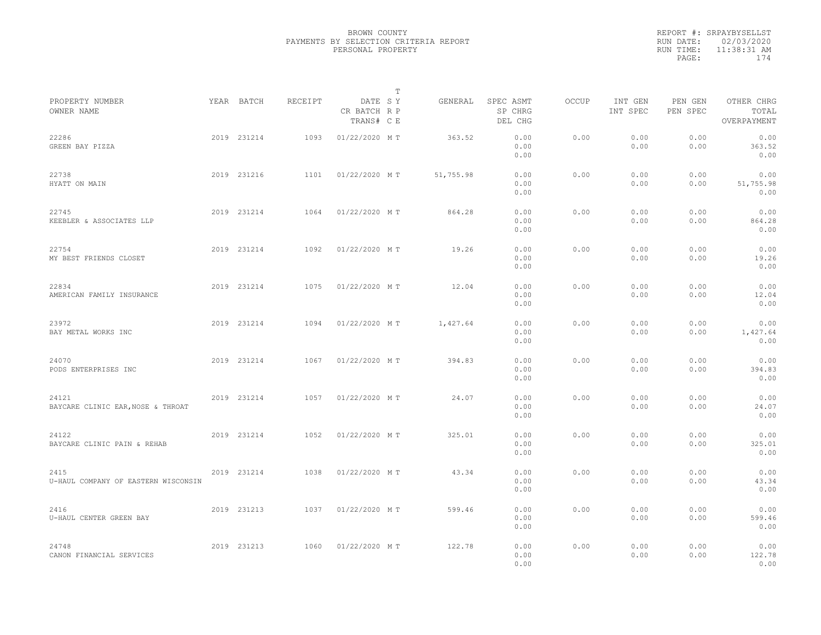|           | REPORT #: SRPAYBYSELLST |
|-----------|-------------------------|
|           | RUN DATE: 02/03/2020    |
| RUN TIME: | $11:38:31$ AM           |
| PAGE:     | 174                     |
|           |                         |

|                                             |             |         |                                       | $\mathbb T$ |           |                                 |       |                     |                     |                                    |  |
|---------------------------------------------|-------------|---------|---------------------------------------|-------------|-----------|---------------------------------|-------|---------------------|---------------------|------------------------------------|--|
| PROPERTY NUMBER<br>OWNER NAME               | YEAR BATCH  | RECEIPT | DATE SY<br>CR BATCH R P<br>TRANS# C E |             | GENERAL   | SPEC ASMT<br>SP CHRG<br>DEL CHG | OCCUP | INT GEN<br>INT SPEC | PEN GEN<br>PEN SPEC | OTHER CHRG<br>TOTAL<br>OVERPAYMENT |  |
| 22286<br>GREEN BAY PIZZA                    | 2019 231214 | 1093    | 01/22/2020 MT                         |             | 363.52    | 0.00<br>0.00<br>0.00            | 0.00  | 0.00<br>0.00        | 0.00<br>0.00        | 0.00<br>363.52<br>0.00             |  |
| 22738<br>HYATT ON MAIN                      | 2019 231216 | 1101    | 01/22/2020 MT                         |             | 51,755.98 | 0.00<br>0.00<br>0.00            | 0.00  | 0.00<br>0.00        | 0.00<br>0.00        | 0.00<br>51,755.98<br>0.00          |  |
| 22745<br>KEEBLER & ASSOCIATES LLP           | 2019 231214 | 1064    | 01/22/2020 MT                         |             | 864.28    | 0.00<br>0.00<br>0.00            | 0.00  | 0.00<br>0.00        | 0.00<br>0.00        | 0.00<br>864.28<br>0.00             |  |
| 22754<br>MY BEST FRIENDS CLOSET             | 2019 231214 | 1092    | 01/22/2020 MT                         |             | 19.26     | 0.00<br>0.00<br>0.00            | 0.00  | 0.00<br>0.00        | 0.00<br>0.00        | 0.00<br>19.26<br>0.00              |  |
| 22834<br>AMERICAN FAMILY INSURANCE          | 2019 231214 | 1075    | 01/22/2020 MT                         |             | 12.04     | 0.00<br>0.00<br>0.00            | 0.00  | 0.00<br>0.00        | 0.00<br>0.00        | 0.00<br>12.04<br>0.00              |  |
| 23972<br>BAY METAL WORKS INC                | 2019 231214 | 1094    | 01/22/2020 MT                         |             | 1,427.64  | 0.00<br>0.00<br>0.00            | 0.00  | 0.00<br>0.00        | 0.00<br>0.00        | 0.00<br>1,427.64<br>0.00           |  |
| 24070<br>PODS ENTERPRISES INC               | 2019 231214 | 1067    | 01/22/2020 MT                         |             | 394.83    | 0.00<br>0.00<br>0.00            | 0.00  | 0.00<br>0.00        | 0.00<br>0.00        | 0.00<br>394.83<br>0.00             |  |
| 24121<br>BAYCARE CLINIC EAR, NOSE & THROAT  | 2019 231214 | 1057    | 01/22/2020 MT                         |             | 24.07     | 0.00<br>0.00<br>0.00            | 0.00  | 0.00<br>0.00        | 0.00<br>0.00        | 0.00<br>24.07<br>0.00              |  |
| 24122<br>BAYCARE CLINIC PAIN & REHAB        | 2019 231214 | 1052    | 01/22/2020 MT                         |             | 325.01    | 0.00<br>0.00<br>0.00            | 0.00  | 0.00<br>0.00        | 0.00<br>0.00        | 0.00<br>325.01<br>0.00             |  |
| 2415<br>U-HAUL COMPANY OF EASTERN WISCONSIN | 2019 231214 | 1038    | 01/22/2020 MT                         |             | 43.34     | 0.00<br>0.00<br>0.00            | 0.00  | 0.00<br>0.00        | 0.00<br>0.00        | 0.00<br>43.34<br>0.00              |  |
| 2416<br>U-HAUL CENTER GREEN BAY             | 2019 231213 | 1037    | 01/22/2020 MT                         |             | 599.46    | 0.00<br>0.00<br>0.00            | 0.00  | 0.00<br>0.00        | 0.00<br>0.00        | 0.00<br>599.46<br>0.00             |  |
| 24748<br>CANON FINANCIAL SERVICES           | 2019 231213 | 1060    | 01/22/2020 MT                         |             | 122.78    | 0.00<br>0.00<br>0.00            | 0.00  | 0.00<br>0.00        | 0.00<br>0.00        | 0.00<br>122.78<br>0.00             |  |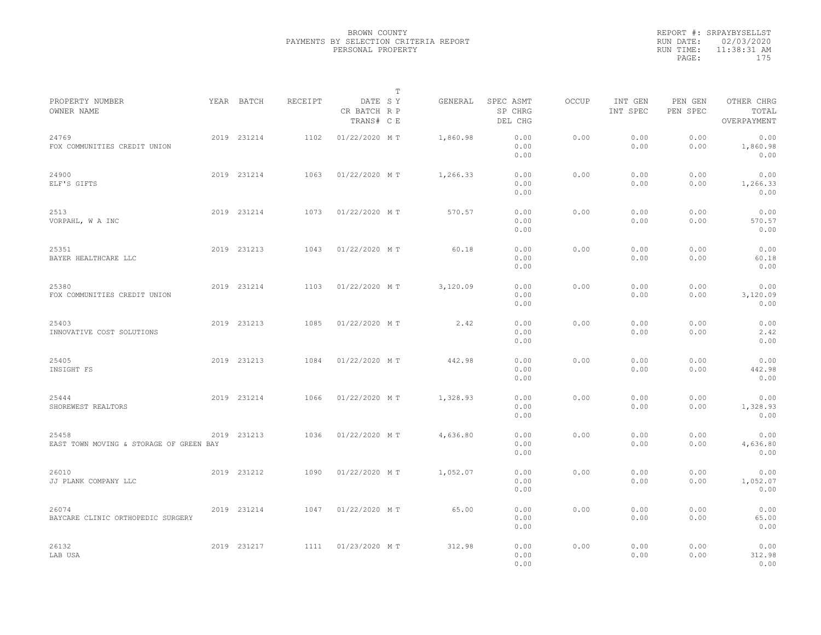|                                                  |             |         |                                       | $\mathbb T$ |          |                                 |              |                     |                     |                                    |  |
|--------------------------------------------------|-------------|---------|---------------------------------------|-------------|----------|---------------------------------|--------------|---------------------|---------------------|------------------------------------|--|
| PROPERTY NUMBER<br>OWNER NAME                    | YEAR BATCH  | RECEIPT | DATE SY<br>CR BATCH R P<br>TRANS# C E |             | GENERAL  | SPEC ASMT<br>SP CHRG<br>DEL CHG | <b>OCCUP</b> | INT GEN<br>INT SPEC | PEN GEN<br>PEN SPEC | OTHER CHRG<br>TOTAL<br>OVERPAYMENT |  |
| 24769<br>FOX COMMUNITIES CREDIT UNION            | 2019 231214 | 1102    | 01/22/2020 MT                         |             | 1,860.98 | 0.00<br>0.00<br>0.00            | 0.00         | 0.00<br>0.00        | 0.00<br>0.00        | 0.00<br>1,860.98<br>0.00           |  |
| 24900<br>ELF'S GIFTS                             | 2019 231214 | 1063    | 01/22/2020 MT                         |             | 1,266.33 | 0.00<br>0.00<br>0.00            | 0.00         | 0.00<br>0.00        | 0.00<br>0.00        | 0.00<br>1,266.33<br>0.00           |  |
| 2513<br>VORPAHL, W A INC                         | 2019 231214 | 1073    | 01/22/2020 MT                         |             | 570.57   | 0.00<br>0.00<br>0.00            | 0.00         | 0.00<br>0.00        | 0.00<br>0.00        | 0.00<br>570.57<br>0.00             |  |
| 25351<br>BAYER HEALTHCARE LLC                    | 2019 231213 | 1043    | 01/22/2020 MT                         |             | 60.18    | 0.00<br>0.00<br>0.00            | 0.00         | 0.00<br>0.00        | 0.00<br>0.00        | 0.00<br>60.18<br>0.00              |  |
| 25380<br>FOX COMMUNITIES CREDIT UNION            | 2019 231214 | 1103    | 01/22/2020 MT                         |             | 3,120.09 | 0.00<br>0.00<br>0.00            | 0.00         | 0.00<br>0.00        | 0.00<br>0.00        | 0.00<br>3,120.09<br>0.00           |  |
| 25403<br>INNOVATIVE COST SOLUTIONS               | 2019 231213 | 1085    | 01/22/2020 MT                         |             | 2.42     | 0.00<br>0.00<br>0.00            | 0.00         | 0.00<br>0.00        | 0.00<br>0.00        | 0.00<br>2.42<br>0.00               |  |
| 25405<br>INSIGHT FS                              | 2019 231213 | 1084    | 01/22/2020 MT                         |             | 442.98   | 0.00<br>0.00<br>0.00            | 0.00         | 0.00<br>0.00        | 0.00<br>0.00        | 0.00<br>442.98<br>0.00             |  |
| 25444<br>SHOREWEST REALTORS                      | 2019 231214 | 1066    | 01/22/2020 MT                         |             | 1,328.93 | 0.00<br>0.00<br>0.00            | 0.00         | 0.00<br>0.00        | 0.00<br>0.00        | 0.00<br>1,328.93<br>0.00           |  |
| 25458<br>EAST TOWN MOVING & STORAGE OF GREEN BAY | 2019 231213 | 1036    | 01/22/2020 MT                         |             | 4,636.80 | 0.00<br>0.00<br>0.00            | 0.00         | 0.00<br>0.00        | 0.00<br>0.00        | 0.00<br>4,636.80<br>0.00           |  |
| 26010<br>JJ PLANK COMPANY LLC                    | 2019 231212 | 1090    | 01/22/2020 MT                         |             | 1,052.07 | 0.00<br>0.00<br>0.00            | 0.00         | 0.00<br>0.00        | 0.00<br>0.00        | 0.00<br>1,052.07<br>0.00           |  |
| 26074<br>BAYCARE CLINIC ORTHOPEDIC SURGERY       | 2019 231214 | 1047    | 01/22/2020 MT                         |             | 65.00    | 0.00<br>0.00<br>0.00            | 0.00         | 0.00<br>0.00        | 0.00<br>0.00        | 0.00<br>65.00<br>0.00              |  |
| 26132<br>LAB USA                                 | 2019 231217 | 1111    | 01/23/2020 MT                         |             | 312.98   | 0.00<br>0.00<br>0.00            | 0.00         | 0.00<br>0.00        | 0.00<br>0.00        | 0.00<br>312.98<br>0.00             |  |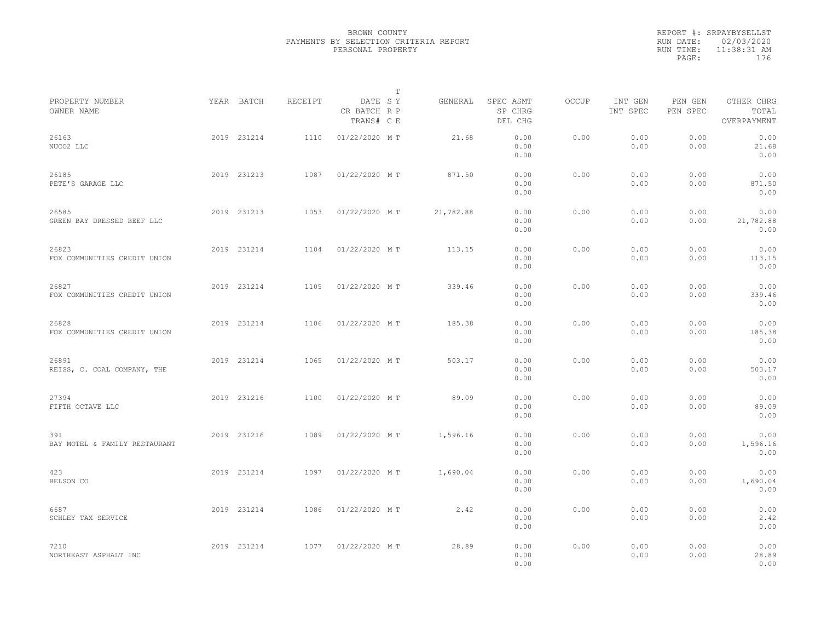|           | REPORT #: SRPAYBYSELLST |
|-----------|-------------------------|
|           | RUN DATE: 02/03/2020    |
| RUN TIME: | $11:38:31$ AM           |
| PAGE:     | 176                     |
|           |                         |

|                                       |             |         |                                       | T |           |                                 |       |                     |                     |                                    |  |
|---------------------------------------|-------------|---------|---------------------------------------|---|-----------|---------------------------------|-------|---------------------|---------------------|------------------------------------|--|
| PROPERTY NUMBER<br>OWNER NAME         | YEAR BATCH  | RECEIPT | DATE SY<br>CR BATCH R P<br>TRANS# C E |   | GENERAL   | SPEC ASMT<br>SP CHRG<br>DEL CHG | OCCUP | INT GEN<br>INT SPEC | PEN GEN<br>PEN SPEC | OTHER CHRG<br>TOTAL<br>OVERPAYMENT |  |
| 26163<br>NUCO2 LLC                    | 2019 231214 | 1110    | 01/22/2020 MT                         |   | 21.68     | 0.00<br>0.00<br>0.00            | 0.00  | 0.00<br>0.00        | 0.00<br>0.00        | 0.00<br>21.68<br>0.00              |  |
| 26185<br>PETE'S GARAGE LLC            | 2019 231213 | 1087    | 01/22/2020 MT                         |   | 871.50    | 0.00<br>0.00<br>0.00            | 0.00  | 0.00<br>0.00        | 0.00<br>0.00        | 0.00<br>871.50<br>0.00             |  |
| 26585<br>GREEN BAY DRESSED BEEF LLC   | 2019 231213 | 1053    | 01/22/2020 MT                         |   | 21,782.88 | 0.00<br>0.00<br>0.00            | 0.00  | 0.00<br>0.00        | 0.00<br>0.00        | 0.00<br>21,782.88<br>0.00          |  |
| 26823<br>FOX COMMUNITIES CREDIT UNION | 2019 231214 | 1104    | 01/22/2020 MT                         |   | 113.15    | 0.00<br>0.00<br>0.00            | 0.00  | 0.00<br>0.00        | 0.00<br>0.00        | 0.00<br>113.15<br>0.00             |  |
| 26827<br>FOX COMMUNITIES CREDIT UNION | 2019 231214 | 1105    | 01/22/2020 MT                         |   | 339.46    | 0.00<br>0.00<br>0.00            | 0.00  | 0.00<br>0.00        | 0.00<br>0.00        | 0.00<br>339.46<br>0.00             |  |
| 26828<br>FOX COMMUNITIES CREDIT UNION | 2019 231214 | 1106    | 01/22/2020 MT                         |   | 185.38    | 0.00<br>0.00<br>0.00            | 0.00  | 0.00<br>0.00        | 0.00<br>0.00        | 0.00<br>185.38<br>0.00             |  |
| 26891<br>REISS, C. COAL COMPANY, THE  | 2019 231214 | 1065    | 01/22/2020 MT                         |   | 503.17    | 0.00<br>0.00<br>0.00            | 0.00  | 0.00<br>0.00        | 0.00<br>0.00        | 0.00<br>503.17<br>0.00             |  |
| 27394<br>FIFTH OCTAVE LLC             | 2019 231216 | 1100    | 01/22/2020 MT                         |   | 89.09     | 0.00<br>0.00<br>0.00            | 0.00  | 0.00<br>0.00        | 0.00<br>0.00        | 0.00<br>89.09<br>0.00              |  |
| 391<br>BAY MOTEL & FAMILY RESTAURANT  | 2019 231216 | 1089    | 01/22/2020 MT                         |   | 1,596.16  | 0.00<br>0.00<br>0.00            | 0.00  | 0.00<br>0.00        | 0.00<br>0.00        | 0.00<br>1,596.16<br>0.00           |  |
| 423<br>BELSON CO                      | 2019 231214 | 1097    | 01/22/2020 MT                         |   | 1,690.04  | 0.00<br>0.00<br>0.00            | 0.00  | 0.00<br>0.00        | 0.00<br>0.00        | 0.00<br>1,690.04<br>0.00           |  |
| 6687<br>SCHLEY TAX SERVICE            | 2019 231214 | 1086    | 01/22/2020 MT                         |   | 2.42      | 0.00<br>0.00<br>0.00            | 0.00  | 0.00<br>0.00        | 0.00<br>0.00        | 0.00<br>2.42<br>0.00               |  |
| 7210<br>NORTHEAST ASPHALT INC         | 2019 231214 | 1077    | 01/22/2020 MT                         |   | 28.89     | 0.00<br>0.00<br>0.00            | 0.00  | 0.00<br>0.00        | 0.00<br>0.00        | 0.00<br>28.89<br>0.00              |  |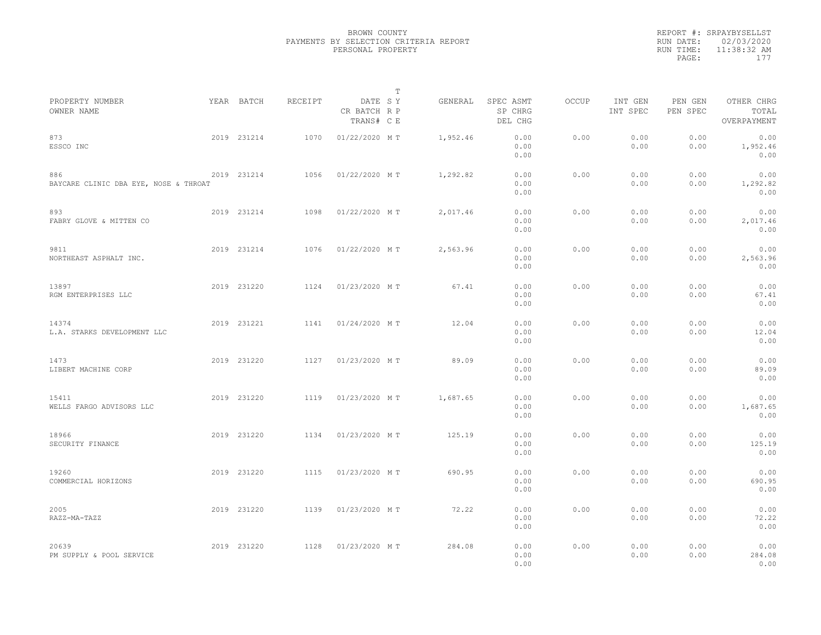|           | REPORT #: SRPAYBYSELLST |  |
|-----------|-------------------------|--|
|           | RUN DATE: 02/03/2020    |  |
| RUN TIME: | $11:38:32$ AM           |  |
| PAGE:     | 177                     |  |
|           |                         |  |

|                                              |             |         |                                       | $\mathbb T$ |          |                                 |       |                     |                     |                                    |
|----------------------------------------------|-------------|---------|---------------------------------------|-------------|----------|---------------------------------|-------|---------------------|---------------------|------------------------------------|
| PROPERTY NUMBER<br>OWNER NAME                | YEAR BATCH  | RECEIPT | DATE SY<br>CR BATCH R P<br>TRANS# C E |             | GENERAL  | SPEC ASMT<br>SP CHRG<br>DEL CHG | OCCUP | INT GEN<br>INT SPEC | PEN GEN<br>PEN SPEC | OTHER CHRG<br>TOTAL<br>OVERPAYMENT |
| 873<br>ESSCO INC                             | 2019 231214 | 1070    | 01/22/2020 MT                         |             | 1,952.46 | 0.00<br>0.00<br>0.00            | 0.00  | 0.00<br>0.00        | 0.00<br>0.00        | 0.00<br>1,952.46<br>0.00           |
| 886<br>BAYCARE CLINIC DBA EYE, NOSE & THROAT | 2019 231214 | 1056    | 01/22/2020 MT                         |             | 1,292.82 | 0.00<br>0.00<br>0.00            | 0.00  | 0.00<br>0.00        | 0.00<br>0.00        | 0.00<br>1,292.82<br>0.00           |
| 893<br>FABRY GLOVE & MITTEN CO               | 2019 231214 | 1098    | 01/22/2020 MT                         |             | 2,017.46 | 0.00<br>0.00<br>0.00            | 0.00  | 0.00<br>0.00        | 0.00<br>0.00        | 0.00<br>2,017.46<br>0.00           |
| 9811<br>NORTHEAST ASPHALT INC.               | 2019 231214 | 1076    | 01/22/2020 MT                         |             | 2,563.96 | 0.00<br>0.00<br>0.00            | 0.00  | 0.00<br>0.00        | 0.00<br>0.00        | 0.00<br>2,563.96<br>0.00           |
| 13897<br>RGM ENTERPRISES LLC                 | 2019 231220 | 1124    | 01/23/2020 MT                         |             | 67.41    | 0.00<br>0.00<br>0.00            | 0.00  | 0.00<br>0.00        | 0.00<br>0.00        | 0.00<br>67.41<br>0.00              |
| 14374<br>L.A. STARKS DEVELOPMENT LLC         | 2019 231221 | 1141    | 01/24/2020 MT                         |             | 12.04    | 0.00<br>0.00<br>0.00            | 0.00  | 0.00<br>0.00        | 0.00<br>0.00        | 0.00<br>12.04<br>0.00              |
| 1473<br>LIBERT MACHINE CORP                  | 2019 231220 | 1127    | 01/23/2020 MT                         |             | 89.09    | 0.00<br>0.00<br>0.00            | 0.00  | 0.00<br>0.00        | 0.00<br>0.00        | 0.00<br>89.09<br>0.00              |
| 15411<br>WELLS FARGO ADVISORS LLC            | 2019 231220 | 1119    | 01/23/2020 MT                         |             | 1,687.65 | 0.00<br>0.00<br>0.00            | 0.00  | 0.00<br>0.00        | 0.00<br>0.00        | 0.00<br>1,687.65<br>0.00           |
| 18966<br>SECURITY FINANCE                    | 2019 231220 | 1134    | 01/23/2020 MT                         |             | 125.19   | 0.00<br>0.00<br>0.00            | 0.00  | 0.00<br>0.00        | 0.00<br>0.00        | 0.00<br>125.19<br>0.00             |
| 19260<br>COMMERCIAL HORIZONS                 | 2019 231220 | 1115    | 01/23/2020 MT                         |             | 690.95   | 0.00<br>0.00<br>0.00            | 0.00  | 0.00<br>0.00        | 0.00<br>0.00        | 0.00<br>690.95<br>0.00             |
| 2005<br>RAZZ-MA-TAZZ                         | 2019 231220 | 1139    | 01/23/2020 MT                         |             | 72.22    | 0.00<br>0.00<br>0.00            | 0.00  | 0.00<br>0.00        | 0.00<br>0.00        | 0.00<br>72.22<br>0.00              |
| 20639<br>PM SUPPLY & POOL SERVICE            | 2019 231220 | 1128    | 01/23/2020 MT                         |             | 284.08   | 0.00<br>0.00<br>0.00            | 0.00  | 0.00<br>0.00        | 0.00<br>0.00        | 0.00<br>284.08<br>0.00             |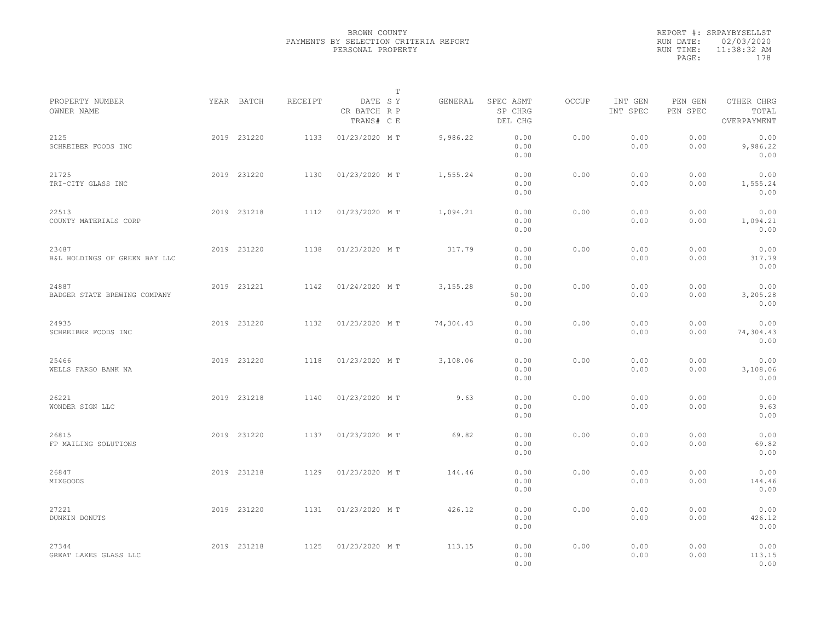|           | REPORT #: SRPAYBYSELLST |
|-----------|-------------------------|
|           | RUN DATE: 02/03/2020    |
| RUN TIME: | 11:38:32 AM             |
| PAGE:     | 178                     |
|           |                         |

|                                        |             |         | T                                     |           |                                 |              |                     |                     |                                    |  |
|----------------------------------------|-------------|---------|---------------------------------------|-----------|---------------------------------|--------------|---------------------|---------------------|------------------------------------|--|
| PROPERTY NUMBER<br>OWNER NAME          | YEAR BATCH  | RECEIPT | DATE SY<br>CR BATCH R P<br>TRANS# C E | GENERAL   | SPEC ASMT<br>SP CHRG<br>DEL CHG | <b>OCCUP</b> | INT GEN<br>INT SPEC | PEN GEN<br>PEN SPEC | OTHER CHRG<br>TOTAL<br>OVERPAYMENT |  |
| 2125<br>SCHREIBER FOODS INC            | 2019 231220 | 1133    | 01/23/2020 MT                         | 9,986.22  | 0.00<br>0.00<br>0.00            | 0.00         | 0.00<br>0.00        | 0.00<br>0.00        | 0.00<br>9,986.22<br>0.00           |  |
| 21725<br>TRI-CITY GLASS INC            | 2019 231220 | 1130    | 01/23/2020 MT                         | 1,555.24  | 0.00<br>0.00<br>0.00            | 0.00         | 0.00<br>0.00        | 0.00<br>0.00        | 0.00<br>1,555.24<br>0.00           |  |
| 22513<br>COUNTY MATERIALS CORP         | 2019 231218 | 1112    | 01/23/2020 MT                         | 1,094.21  | 0.00<br>0.00<br>0.00            | 0.00         | 0.00<br>0.00        | 0.00<br>0.00        | 0.00<br>1,094.21<br>0.00           |  |
| 23487<br>B&L HOLDINGS OF GREEN BAY LLC | 2019 231220 | 1138    | 01/23/2020 MT                         | 317.79    | 0.00<br>0.00<br>0.00            | 0.00         | 0.00<br>0.00        | 0.00<br>0.00        | 0.00<br>317.79<br>0.00             |  |
| 24887<br>BADGER STATE BREWING COMPANY  | 2019 231221 | 1142    | 01/24/2020 MT                         | 3, 155.28 | 0.00<br>50.00<br>0.00           | 0.00         | 0.00<br>0.00        | 0.00<br>0.00        | 0.00<br>3,205.28<br>0.00           |  |
| 24935<br>SCHREIBER FOODS INC           | 2019 231220 | 1132    | 01/23/2020 MT                         | 74,304.43 | 0.00<br>0.00<br>0.00            | 0.00         | 0.00<br>0.00        | 0.00<br>0.00        | 0.00<br>74,304.43<br>0.00          |  |
| 25466<br>WELLS FARGO BANK NA           | 2019 231220 | 1118    | 01/23/2020 MT                         | 3,108.06  | 0.00<br>0.00<br>0.00            | 0.00         | 0.00<br>0.00        | 0.00<br>0.00        | 0.00<br>3,108.06<br>0.00           |  |
| 26221<br>WONDER SIGN LLC               | 2019 231218 | 1140    | 01/23/2020 MT                         | 9.63      | 0.00<br>0.00<br>0.00            | 0.00         | 0.00<br>0.00        | 0.00<br>0.00        | 0.00<br>9.63<br>0.00               |  |
| 26815<br>FP MAILING SOLUTIONS          | 2019 231220 | 1137    | 01/23/2020 MT                         | 69.82     | 0.00<br>0.00<br>0.00            | 0.00         | 0.00<br>0.00        | 0.00<br>0.00        | 0.00<br>69.82<br>0.00              |  |
| 26847<br>MIXGOODS                      | 2019 231218 | 1129    | 01/23/2020 MT                         | 144.46    | 0.00<br>0.00<br>0.00            | 0.00         | 0.00<br>0.00        | 0.00<br>0.00        | 0.00<br>144.46<br>0.00             |  |
| 27221<br>DUNKIN DONUTS                 | 2019 231220 | 1131    | 01/23/2020 MT                         | 426.12    | 0.00<br>0.00<br>0.00            | 0.00         | 0.00<br>0.00        | 0.00<br>0.00        | 0.00<br>426.12<br>0.00             |  |
| 27344<br>GREAT LAKES GLASS LLC         | 2019 231218 | 1125    | 01/23/2020 MT                         | 113.15    | 0.00<br>0.00<br>0.00            | 0.00         | 0.00<br>0.00        | 0.00<br>0.00        | 0.00<br>113.15<br>0.00             |  |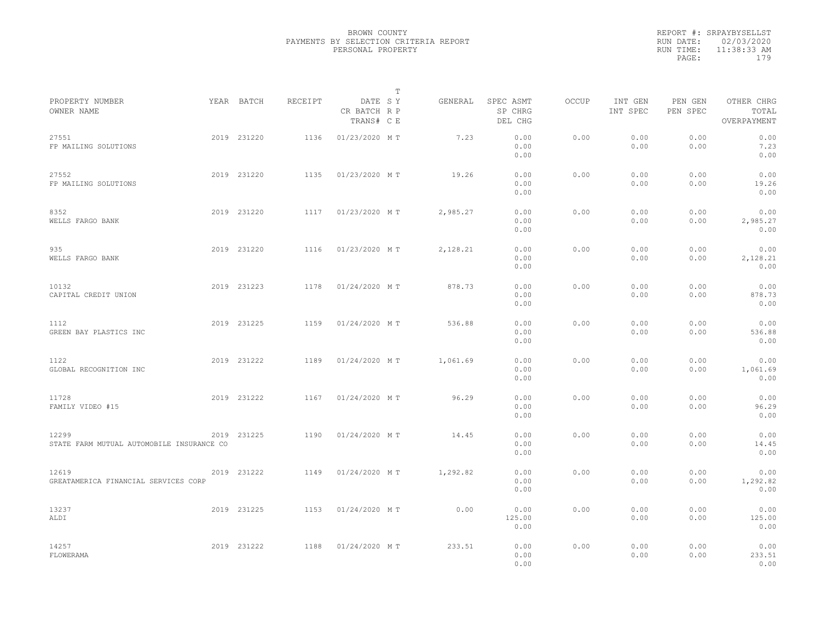|                                                    |             |         |                                       | T |          |                                 |              |                     |                     |                                    |  |
|----------------------------------------------------|-------------|---------|---------------------------------------|---|----------|---------------------------------|--------------|---------------------|---------------------|------------------------------------|--|
| PROPERTY NUMBER<br>OWNER NAME                      | YEAR BATCH  | RECEIPT | DATE SY<br>CR BATCH R P<br>TRANS# C E |   | GENERAL  | SPEC ASMT<br>SP CHRG<br>DEL CHG | <b>OCCUP</b> | INT GEN<br>INT SPEC | PEN GEN<br>PEN SPEC | OTHER CHRG<br>TOTAL<br>OVERPAYMENT |  |
| 27551<br>FP MAILING SOLUTIONS                      | 2019 231220 | 1136    | 01/23/2020 MT                         |   | 7.23     | 0.00<br>0.00<br>0.00            | 0.00         | 0.00<br>0.00        | 0.00<br>0.00        | 0.00<br>7.23<br>0.00               |  |
| 27552<br>FP MAILING SOLUTIONS                      | 2019 231220 | 1135    | 01/23/2020 MT                         |   | 19.26    | 0.00<br>0.00<br>0.00            | 0.00         | 0.00<br>0.00        | 0.00<br>0.00        | 0.00<br>19.26<br>0.00              |  |
| 8352<br>WELLS FARGO BANK                           | 2019 231220 | 1117    | 01/23/2020 MT                         |   | 2,985.27 | 0.00<br>0.00<br>0.00            | 0.00         | 0.00<br>0.00        | 0.00<br>0.00        | 0.00<br>2,985.27<br>0.00           |  |
| 935<br>WELLS FARGO BANK                            | 2019 231220 | 1116    | 01/23/2020 MT                         |   | 2,128.21 | 0.00<br>0.00<br>0.00            | 0.00         | 0.00<br>0.00        | 0.00<br>0.00        | 0.00<br>2,128.21<br>0.00           |  |
| 10132<br>CAPITAL CREDIT UNION                      | 2019 231223 | 1178    | 01/24/2020 MT                         |   | 878.73   | 0.00<br>0.00<br>0.00            | 0.00         | 0.00<br>0.00        | 0.00<br>0.00        | 0.00<br>878.73<br>0.00             |  |
| 1112<br>GREEN BAY PLASTICS INC                     | 2019 231225 | 1159    | 01/24/2020 MT                         |   | 536.88   | 0.00<br>0.00<br>0.00            | 0.00         | 0.00<br>0.00        | 0.00<br>0.00        | 0.00<br>536.88<br>0.00             |  |
| 1122<br>GLOBAL RECOGNITION INC                     | 2019 231222 | 1189    | 01/24/2020 MT                         |   | 1,061.69 | 0.00<br>0.00<br>0.00            | 0.00         | 0.00<br>0.00        | 0.00<br>0.00        | 0.00<br>1,061.69<br>0.00           |  |
| 11728<br>FAMILY VIDEO #15                          | 2019 231222 | 1167    | 01/24/2020 MT                         |   | 96.29    | 0.00<br>0.00<br>0.00            | 0.00         | 0.00<br>0.00        | 0.00<br>0.00        | 0.00<br>96.29<br>0.00              |  |
| 12299<br>STATE FARM MUTUAL AUTOMOBILE INSURANCE CO | 2019 231225 | 1190    | 01/24/2020 MT                         |   | 14.45    | 0.00<br>0.00<br>0.00            | 0.00         | 0.00<br>0.00        | 0.00<br>0.00        | 0.00<br>14.45<br>0.00              |  |
| 12619<br>GREATAMERICA FINANCIAL SERVICES CORP      | 2019 231222 | 1149    | 01/24/2020 MT                         |   | 1,292.82 | 0.00<br>0.00<br>0.00            | 0.00         | 0.00<br>0.00        | 0.00<br>0.00        | 0.00<br>1,292.82<br>0.00           |  |
| 13237<br>ALDI                                      | 2019 231225 | 1153    | 01/24/2020 MT                         |   | 0.00     | 0.00<br>125.00<br>0.00          | 0.00         | 0.00<br>0.00        | 0.00<br>0.00        | 0.00<br>125.00<br>0.00             |  |
| 14257<br>FLOWERAMA                                 | 2019 231222 | 1188    | 01/24/2020 MT                         |   | 233.51   | 0.00<br>0.00<br>0.00            | 0.00         | 0.00<br>0.00        | 0.00<br>0.00        | 0.00<br>233.51<br>0.00             |  |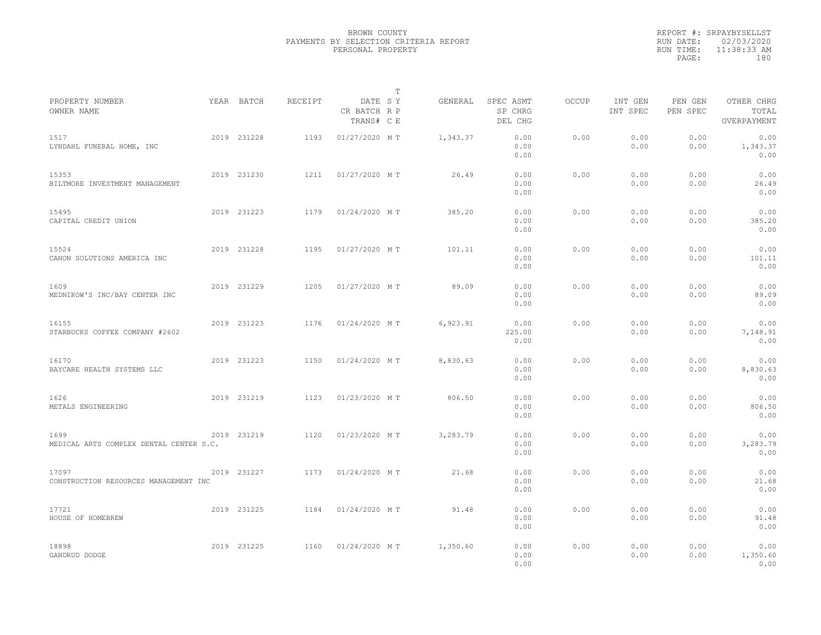|           | REPORT #: SRPAYBYSELLST |  |
|-----------|-------------------------|--|
|           | RUN DATE: 02/03/2020    |  |
| RUN TIME: | 11:38:33 AM             |  |
| PAGE:     | 180                     |  |
|           |                         |  |

|                                                 |             |         |                                       | т |          |                                 |       |                     |                     |                                    |  |
|-------------------------------------------------|-------------|---------|---------------------------------------|---|----------|---------------------------------|-------|---------------------|---------------------|------------------------------------|--|
| PROPERTY NUMBER<br>OWNER NAME                   | YEAR BATCH  | RECEIPT | DATE SY<br>CR BATCH R P<br>TRANS# C E |   | GENERAL  | SPEC ASMT<br>SP CHRG<br>DEL CHG | OCCUP | INT GEN<br>INT SPEC | PEN GEN<br>PEN SPEC | OTHER CHRG<br>TOTAL<br>OVERPAYMENT |  |
| 1517<br>LYNDAHL FUNERAL HOME, INC               | 2019 231228 | 1193    | 01/27/2020 MT                         |   | 1,343.37 | 0.00<br>0.00<br>0.00            | 0.00  | 0.00<br>0.00        | 0.00<br>0.00        | 0.00<br>1,343.37<br>0.00           |  |
| 15353<br>BILTMORE INVESTMENT MANAGEMENT         | 2019 231230 | 1211    | 01/27/2020 MT                         |   | 26.49    | 0.00<br>0.00<br>0.00            | 0.00  | 0.00<br>0.00        | 0.00<br>0.00        | 0.00<br>26.49<br>0.00              |  |
| 15495<br>CAPITAL CREDIT UNION                   | 2019 231223 | 1179    | 01/24/2020 MT                         |   | 385.20   | 0.00<br>0.00<br>0.00            | 0.00  | 0.00<br>0.00        | 0.00<br>0.00        | 0.00<br>385.20<br>0.00             |  |
| 15524<br>CANON SOLUTIONS AMERICA INC            | 2019 231228 | 1195    | 01/27/2020 MT                         |   | 101.11   | 0.00<br>0.00<br>0.00            | 0.00  | 0.00<br>0.00        | 0.00<br>0.00        | 0.00<br>101.11<br>0.00             |  |
| 1609<br>MEDNIKOW'S INC/BAY CENTER INC           | 2019 231229 | 1205    | 01/27/2020 MT                         |   | 89.09    | 0.00<br>0.00<br>0.00            | 0.00  | 0.00<br>0.00        | 0.00<br>0.00        | 0.00<br>89.09<br>0.00              |  |
| 16155<br>STARBUCKS COFFEE COMPANY #2602         | 2019 231223 | 1176    | 01/24/2020 MT                         |   | 6,923.91 | 0.00<br>225.00<br>0.00          | 0.00  | 0.00<br>0.00        | 0.00<br>0.00        | 0.00<br>7,148.91<br>0.00           |  |
| 16170<br>BAYCARE HEALTH SYSTEMS LLC             | 2019 231223 | 1150    | 01/24/2020 MT                         |   | 8,830.63 | 0.00<br>0.00<br>0.00            | 0.00  | 0.00<br>0.00        | 0.00<br>0.00        | 0.00<br>8,830.63<br>0.00           |  |
| 1626<br>METALS ENGINEERING                      | 2019 231219 | 1123    | 01/23/2020 MT                         |   | 806.50   | 0.00<br>0.00<br>0.00            | 0.00  | 0.00<br>0.00        | 0.00<br>0.00        | 0.00<br>806.50<br>0.00             |  |
| 1699<br>MEDICAL ARTS COMPLEX DENTAL CENTER S.C. | 2019 231219 | 1120    | 01/23/2020 MT                         |   | 3,283.79 | 0.00<br>0.00<br>0.00            | 0.00  | 0.00<br>0.00        | 0.00<br>0.00        | 0.00<br>3,283.79<br>0.00           |  |
| 17097<br>CONSTRUCTION RESOURCES MANAGEMENT INC  | 2019 231227 | 1173    | 01/24/2020 MT                         |   | 21.68    | 0.00<br>0.00<br>0.00            | 0.00  | 0.00<br>0.00        | 0.00<br>0.00        | 0.00<br>21.68<br>0.00              |  |
| 17721<br>HOUSE OF HOMEBREW                      | 2019 231225 | 1184    | 01/24/2020 MT                         |   | 91.48    | 0.00<br>0.00<br>0.00            | 0.00  | 0.00<br>0.00        | 0.00<br>0.00        | 0.00<br>91.48<br>0.00              |  |
| 2019 231225<br>18898<br>GANDRUD DODGE           |             | 1160    | 01/24/2020 MT                         |   | 1,350.60 | 0.00<br>0.00<br>0.00            | 0.00  | 0.00<br>0.00        | 0.00<br>0.00        | 0.00<br>1,350.60<br>0.00           |  |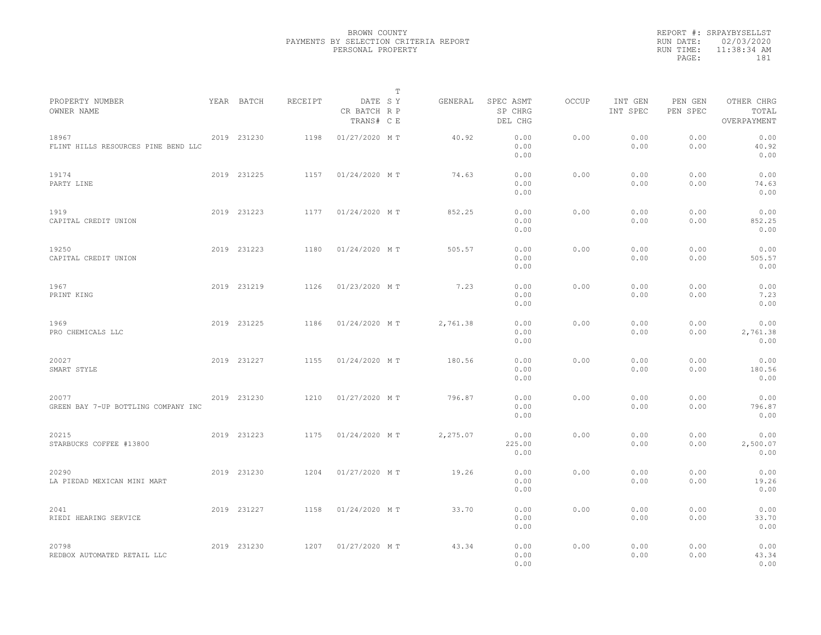|           | REPORT #: SRPAYBYSELLST |
|-----------|-------------------------|
|           | RUN DATE: 02/03/2020    |
| RUN TIME: | 11:38:34 AM             |
| PAGE:     | 181                     |
|           |                         |

|                                              |             |         |                                       | Т |          |                                 |       |                     |                     |                                    |  |
|----------------------------------------------|-------------|---------|---------------------------------------|---|----------|---------------------------------|-------|---------------------|---------------------|------------------------------------|--|
| PROPERTY NUMBER<br>OWNER NAME                | YEAR BATCH  | RECEIPT | DATE SY<br>CR BATCH R P<br>TRANS# C E |   | GENERAL  | SPEC ASMT<br>SP CHRG<br>DEL CHG | OCCUP | INT GEN<br>INT SPEC | PEN GEN<br>PEN SPEC | OTHER CHRG<br>TOTAL<br>OVERPAYMENT |  |
| 18967<br>FLINT HILLS RESOURCES PINE BEND LLC | 2019 231230 | 1198    | 01/27/2020 MT                         |   | 40.92    | 0.00<br>0.00<br>0.00            | 0.00  | 0.00<br>0.00        | 0.00<br>0.00        | 0.00<br>40.92<br>0.00              |  |
| 19174<br>PARTY LINE                          | 2019 231225 | 1157    | 01/24/2020 MT                         |   | 74.63    | 0.00<br>0.00<br>0.00            | 0.00  | 0.00<br>0.00        | 0.00<br>0.00        | 0.00<br>74.63<br>0.00              |  |
| 1919<br>CAPITAL CREDIT UNION                 | 2019 231223 | 1177    | 01/24/2020 MT                         |   | 852.25   | 0.00<br>0.00<br>0.00            | 0.00  | 0.00<br>0.00        | 0.00<br>0.00        | 0.00<br>852.25<br>0.00             |  |
| 19250<br>CAPITAL CREDIT UNION                | 2019 231223 | 1180    | 01/24/2020 MT                         |   | 505.57   | 0.00<br>0.00<br>0.00            | 0.00  | 0.00<br>0.00        | 0.00<br>0.00        | 0.00<br>505.57<br>0.00             |  |
| 1967<br>PRINT KING                           | 2019 231219 | 1126    | 01/23/2020 MT                         |   | 7.23     | 0.00<br>0.00<br>0.00            | 0.00  | 0.00<br>0.00        | 0.00<br>0.00        | 0.00<br>7.23<br>0.00               |  |
| 1969<br>PRO CHEMICALS LLC                    | 2019 231225 | 1186    | 01/24/2020 MT                         |   | 2,761.38 | 0.00<br>0.00<br>0.00            | 0.00  | 0.00<br>0.00        | 0.00<br>0.00        | 0.00<br>2,761.38<br>0.00           |  |
| 20027<br>SMART STYLE                         | 2019 231227 | 1155    | 01/24/2020 MT                         |   | 180.56   | 0.00<br>0.00<br>0.00            | 0.00  | 0.00<br>0.00        | 0.00<br>0.00        | 0.00<br>180.56<br>0.00             |  |
| 20077<br>GREEN BAY 7-UP BOTTLING COMPANY INC | 2019 231230 | 1210    | 01/27/2020 MT                         |   | 796.87   | 0.00<br>0.00<br>0.00            | 0.00  | 0.00<br>0.00        | 0.00<br>0.00        | 0.00<br>796.87<br>0.00             |  |
| 20215<br>STARBUCKS COFFEE #13800             | 2019 231223 | 1175    | 01/24/2020 MT                         |   | 2,275.07 | 0.00<br>225.00<br>0.00          | 0.00  | 0.00<br>0.00        | 0.00<br>0.00        | 0.00<br>2,500.07<br>0.00           |  |
| 20290<br>LA PIEDAD MEXICAN MINI MART         | 2019 231230 | 1204    | 01/27/2020 MT                         |   | 19.26    | 0.00<br>0.00<br>0.00            | 0.00  | 0.00<br>0.00        | 0.00<br>0.00        | 0.00<br>19.26<br>0.00              |  |
| 2041<br>RIEDI HEARING SERVICE                | 2019 231227 | 1158    | 01/24/2020 MT                         |   | 33.70    | 0.00<br>0.00<br>0.00            | 0.00  | 0.00<br>0.00        | 0.00<br>0.00        | 0.00<br>33.70<br>0.00              |  |
| 20798<br>REDBOX AUTOMATED RETAIL LLC         | 2019 231230 | 1207    | 01/27/2020 MT                         |   | 43.34    | 0.00<br>0.00<br>0.00            | 0.00  | 0.00<br>0.00        | 0.00<br>0.00        | 0.00<br>43.34<br>0.00              |  |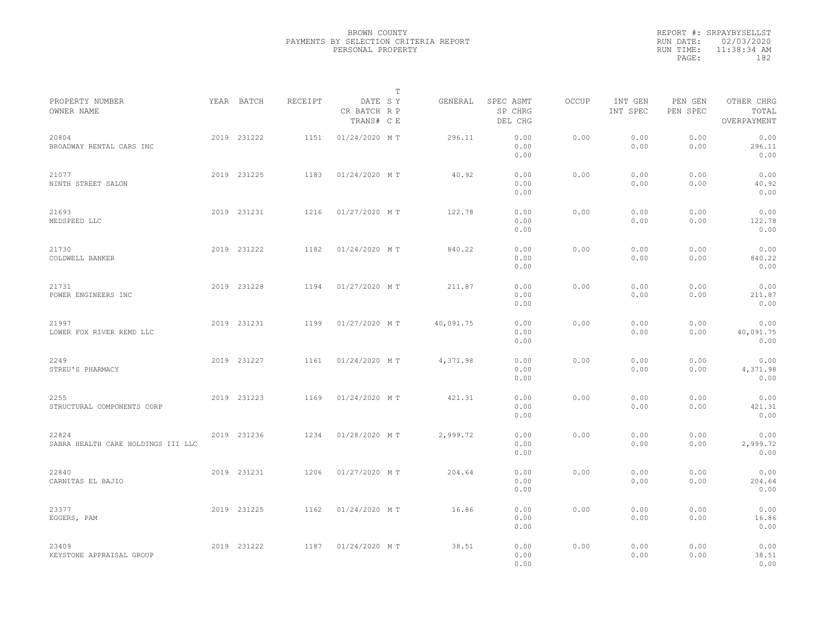|                                             |             |         | $\mathbb{T}$                          |           |                                 |       |                     |                     |                                    |  |
|---------------------------------------------|-------------|---------|---------------------------------------|-----------|---------------------------------|-------|---------------------|---------------------|------------------------------------|--|
| PROPERTY NUMBER<br>OWNER NAME               | YEAR BATCH  | RECEIPT | DATE SY<br>CR BATCH R P<br>TRANS# C E | GENERAL   | SPEC ASMT<br>SP CHRG<br>DEL CHG | OCCUP | INT GEN<br>INT SPEC | PEN GEN<br>PEN SPEC | OTHER CHRG<br>TOTAL<br>OVERPAYMENT |  |
| 20804<br>BROADWAY RENTAL CARS INC           | 2019 231222 | 1151    | 01/24/2020 MT                         | 296.11    | 0.00<br>0.00<br>0.00            | 0.00  | 0.00<br>0.00        | 0.00<br>0.00        | 0.00<br>296.11<br>0.00             |  |
| 21077<br>NINTH STREET SALON                 | 2019 231225 | 1183    | 01/24/2020 MT                         | 40.92     | 0.00<br>0.00<br>0.00            | 0.00  | 0.00<br>0.00        | 0.00<br>0.00        | 0.00<br>40.92<br>0.00              |  |
| 21693<br>MEDSPEED LLC                       | 2019 231231 | 1216    | 01/27/2020 MT                         | 122.78    | 0.00<br>0.00<br>0.00            | 0.00  | 0.00<br>0.00        | 0.00<br>0.00        | 0.00<br>122.78<br>0.00             |  |
| 21730<br>COLDWELL BANKER                    | 2019 231222 | 1182    | 01/24/2020 MT                         | 840.22    | 0.00<br>0.00<br>0.00            | 0.00  | 0.00<br>0.00        | 0.00<br>0.00        | 0.00<br>840.22<br>0.00             |  |
| 21731<br>POWER ENGINEERS INC                | 2019 231228 | 1194    | 01/27/2020 MT                         | 211.87    | 0.00<br>0.00<br>0.00            | 0.00  | 0.00<br>0.00        | 0.00<br>0.00        | 0.00<br>211.87<br>0.00             |  |
| 21997<br>LOWER FOX RIVER REMD LLC           | 2019 231231 | 1199    | 01/27/2020 MT                         | 40,091.75 | 0.00<br>0.00<br>0.00            | 0.00  | 0.00<br>0.00        | 0.00<br>0.00        | 0.00<br>40,091.75<br>0.00          |  |
| 2249<br>STREU'S PHARMACY                    | 2019 231227 | 1161    | 01/24/2020 MT                         | 4,371.98  | 0.00<br>0.00<br>0.00            | 0.00  | 0.00<br>0.00        | 0.00<br>0.00        | 0.00<br>4,371.98<br>0.00           |  |
| 2255<br>STRUCTURAL COMPONENTS CORP          | 2019 231223 | 1169    | 01/24/2020 MT                         | 421.31    | 0.00<br>0.00<br>0.00            | 0.00  | 0.00<br>0.00        | 0.00<br>0.00        | 0.00<br>421.31<br>0.00             |  |
| 22824<br>SABRA HEALTH CARE HOLDINGS III LLC | 2019 231236 | 1234    | 01/28/2020 MT                         | 2,999.72  | 0.00<br>0.00<br>0.00            | 0.00  | 0.00<br>0.00        | 0.00<br>0.00        | 0.00<br>2,999.72<br>0.00           |  |
| 22840<br>CARNITAS EL BAJIO                  | 2019 231231 | 1206    | 01/27/2020 MT                         | 204.64    | 0.00<br>0.00<br>0.00            | 0.00  | 0.00<br>0.00        | 0.00<br>0.00        | 0.00<br>204.64<br>0.00             |  |
| 23377<br>EGGERS, PAM                        | 2019 231225 | 1162    | 01/24/2020 MT                         | 16.86     | 0.00<br>0.00<br>0.00            | 0.00  | 0.00<br>0.00        | 0.00<br>0.00        | 0.00<br>16.86<br>0.00              |  |
| 23409<br>KEYSTONE APPRAISAL GROUP           | 2019 231222 | 1187    | 01/24/2020 MT                         | 38.51     | 0.00<br>0.00<br>0.00            | 0.00  | 0.00<br>0.00        | 0.00<br>0.00        | 0.00<br>38.51<br>0.00              |  |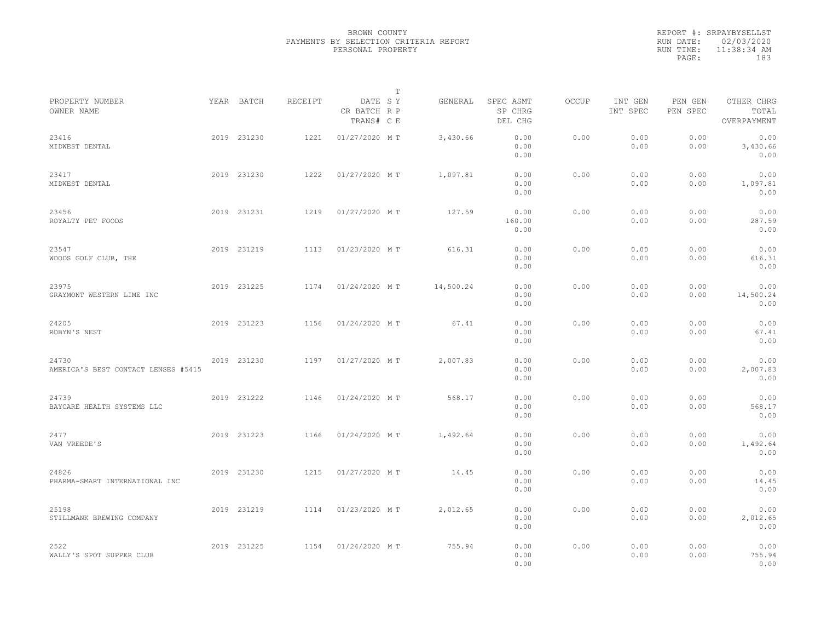|           | REPORT #: SRPAYBYSELLST |  |
|-----------|-------------------------|--|
|           | RUN DATE: 02/03/2020    |  |
| RUN TIME: | $11:38:34$ AM           |  |
| PAGE:     | 183                     |  |
|           |                         |  |

|                                              |             |         |                                       | $\mathbb T$ |           |                                 |       |                     |                     |                                    |
|----------------------------------------------|-------------|---------|---------------------------------------|-------------|-----------|---------------------------------|-------|---------------------|---------------------|------------------------------------|
| PROPERTY NUMBER<br>OWNER NAME                | YEAR BATCH  | RECEIPT | DATE SY<br>CR BATCH R P<br>TRANS# C E |             | GENERAL   | SPEC ASMT<br>SP CHRG<br>DEL CHG | OCCUP | INT GEN<br>INT SPEC | PEN GEN<br>PEN SPEC | OTHER CHRG<br>TOTAL<br>OVERPAYMENT |
| 23416<br>MIDWEST DENTAL                      | 2019 231230 | 1221    | 01/27/2020 MT                         |             | 3,430.66  | 0.00<br>0.00<br>0.00            | 0.00  | 0.00<br>0.00        | 0.00<br>0.00        | 0.00<br>3,430.66<br>0.00           |
| 23417<br>MIDWEST DENTAL                      | 2019 231230 | 1222    | 01/27/2020 MT                         |             | 1,097.81  | 0.00<br>0.00<br>0.00            | 0.00  | 0.00<br>0.00        | 0.00<br>0.00        | 0.00<br>1,097.81<br>0.00           |
| 23456<br>ROYALTY PET FOODS                   | 2019 231231 | 1219    | 01/27/2020 MT                         |             | 127.59    | 0.00<br>160.00<br>0.00          | 0.00  | 0.00<br>0.00        | 0.00<br>0.00        | 0.00<br>287.59<br>0.00             |
| 23547<br>WOODS GOLF CLUB, THE                | 2019 231219 | 1113    | 01/23/2020 MT                         |             | 616.31    | 0.00<br>0.00<br>0.00            | 0.00  | 0.00<br>0.00        | 0.00<br>0.00        | 0.00<br>616.31<br>0.00             |
| 23975<br>GRAYMONT WESTERN LIME INC           | 2019 231225 | 1174    | 01/24/2020 MT                         |             | 14,500.24 | 0.00<br>0.00<br>0.00            | 0.00  | 0.00<br>0.00        | 0.00<br>0.00        | 0.00<br>14,500.24<br>0.00          |
| 24205<br>ROBYN'S NEST                        | 2019 231223 | 1156    | 01/24/2020 MT                         |             | 67.41     | 0.00<br>0.00<br>0.00            | 0.00  | 0.00<br>0.00        | 0.00<br>0.00        | 0.00<br>67.41<br>0.00              |
| 24730<br>AMERICA'S BEST CONTACT LENSES #5415 | 2019 231230 | 1197    | 01/27/2020 MT                         |             | 2,007.83  | 0.00<br>0.00<br>0.00            | 0.00  | 0.00<br>0.00        | 0.00<br>0.00        | 0.00<br>2,007.83<br>0.00           |
| 24739<br>BAYCARE HEALTH SYSTEMS LLC          | 2019 231222 | 1146    | 01/24/2020 MT                         |             | 568.17    | 0.00<br>0.00<br>0.00            | 0.00  | 0.00<br>0.00        | 0.00<br>0.00        | 0.00<br>568.17<br>0.00             |
| 2477<br>VAN VREEDE'S                         | 2019 231223 | 1166    | 01/24/2020 MT                         |             | 1,492.64  | 0.00<br>0.00<br>0.00            | 0.00  | 0.00<br>0.00        | 0.00<br>0.00        | 0.00<br>1,492.64<br>0.00           |
| 24826<br>PHARMA-SMART INTERNATIONAL INC      | 2019 231230 | 1215    | 01/27/2020 MT                         |             | 14.45     | 0.00<br>0.00<br>0.00            | 0.00  | 0.00<br>0.00        | 0.00<br>0.00        | 0.00<br>14.45<br>0.00              |
| 25198<br>STILLMANK BREWING COMPANY           | 2019 231219 | 1114    | 01/23/2020 MT                         |             | 2,012.65  | 0.00<br>0.00<br>0.00            | 0.00  | 0.00<br>0.00        | 0.00<br>0.00        | 0.00<br>2,012.65<br>0.00           |
| 2522<br>WALLY'S SPOT SUPPER CLUB             | 2019 231225 | 1154    | 01/24/2020 MT                         |             | 755.94    | 0.00<br>0.00<br>0.00            | 0.00  | 0.00<br>0.00        | 0.00<br>0.00        | 0.00<br>755.94<br>0.00             |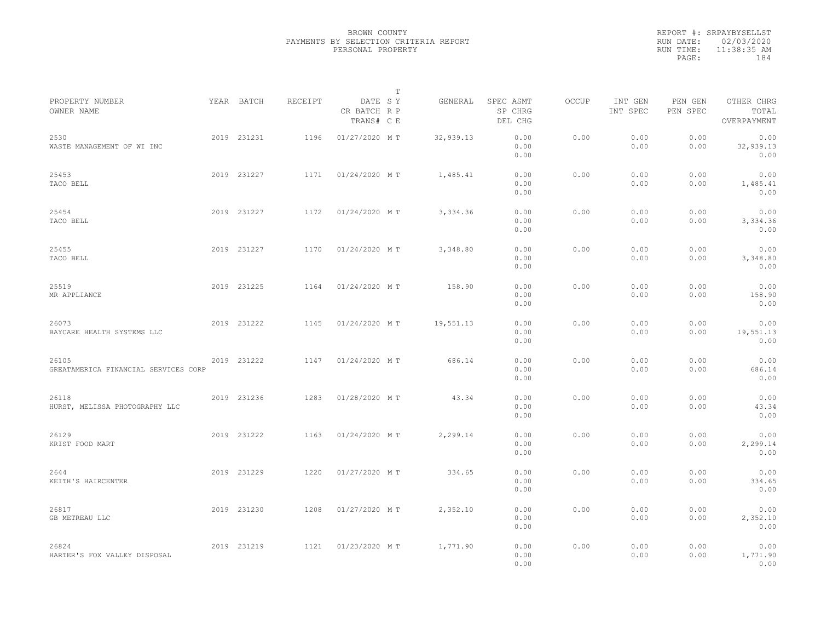|           | REPORT #: SRPAYBYSELLST |  |
|-----------|-------------------------|--|
|           | RUN DATE: 02/03/2020    |  |
| RUN TIME: | 11:38:35 AM             |  |
| PAGE:     | 184                     |  |
|           |                         |  |

|                                               |             |         |                                       | $\mathbb T$ |           |                                 |       |                     |                     |                                    |
|-----------------------------------------------|-------------|---------|---------------------------------------|-------------|-----------|---------------------------------|-------|---------------------|---------------------|------------------------------------|
| PROPERTY NUMBER<br>OWNER NAME                 | YEAR BATCH  | RECEIPT | DATE SY<br>CR BATCH R P<br>TRANS# C E |             | GENERAL   | SPEC ASMT<br>SP CHRG<br>DEL CHG | OCCUP | INT GEN<br>INT SPEC | PEN GEN<br>PEN SPEC | OTHER CHRG<br>TOTAL<br>OVERPAYMENT |
| 2530<br>WASTE MANAGEMENT OF WI INC            | 2019 231231 | 1196    | 01/27/2020 MT                         |             | 32,939.13 | 0.00<br>0.00<br>0.00            | 0.00  | 0.00<br>0.00        | 0.00<br>0.00        | 0.00<br>32,939.13<br>0.00          |
| 25453<br>TACO BELL                            | 2019 231227 | 1171    | 01/24/2020 MT                         |             | 1,485.41  | 0.00<br>0.00<br>0.00            | 0.00  | 0.00<br>0.00        | 0.00<br>0.00        | 0.00<br>1,485.41<br>0.00           |
| 25454<br>TACO BELL                            | 2019 231227 | 1172    | 01/24/2020 MT                         |             | 3,334.36  | 0.00<br>0.00<br>0.00            | 0.00  | 0.00<br>0.00        | 0.00<br>0.00        | 0.00<br>3,334.36<br>0.00           |
| 25455<br>TACO BELL                            | 2019 231227 | 1170    | 01/24/2020 MT                         |             | 3,348.80  | 0.00<br>0.00<br>0.00            | 0.00  | 0.00<br>0.00        | 0.00<br>0.00        | 0.00<br>3,348.80<br>0.00           |
| 25519<br>MR APPLIANCE                         | 2019 231225 | 1164    | 01/24/2020 MT                         |             | 158.90    | 0.00<br>0.00<br>0.00            | 0.00  | 0.00<br>0.00        | 0.00<br>0.00        | 0.00<br>158.90<br>0.00             |
| 26073<br>BAYCARE HEALTH SYSTEMS LLC           | 2019 231222 | 1145    | 01/24/2020 MT                         |             | 19,551.13 | 0.00<br>0.00<br>0.00            | 0.00  | 0.00<br>0.00        | 0.00<br>0.00        | 0.00<br>19,551.13<br>0.00          |
| 26105<br>GREATAMERICA FINANCIAL SERVICES CORP | 2019 231222 | 1147    | 01/24/2020 MT                         |             | 686.14    | 0.00<br>0.00<br>0.00            | 0.00  | 0.00<br>0.00        | 0.00<br>0.00        | 0.00<br>686.14<br>0.00             |
| 26118<br>HURST, MELISSA PHOTOGRAPHY LLC       | 2019 231236 | 1283    | 01/28/2020 MT                         |             | 43.34     | 0.00<br>0.00<br>0.00            | 0.00  | 0.00<br>0.00        | 0.00<br>0.00        | 0.00<br>43.34<br>0.00              |
| 26129<br>KRIST FOOD MART                      | 2019 231222 | 1163    | 01/24/2020 MT                         |             | 2,299.14  | 0.00<br>0.00<br>0.00            | 0.00  | 0.00<br>0.00        | 0.00<br>0.00        | 0.00<br>2,299.14<br>0.00           |
| 2644<br>KEITH'S HAIRCENTER                    | 2019 231229 | 1220    | 01/27/2020 MT                         |             | 334.65    | 0.00<br>0.00<br>0.00            | 0.00  | 0.00<br>0.00        | 0.00<br>0.00        | 0.00<br>334.65<br>0.00             |
| 26817<br>GB METREAU LLC                       | 2019 231230 | 1208    | 01/27/2020 MT                         |             | 2,352.10  | 0.00<br>0.00<br>0.00            | 0.00  | 0.00<br>0.00        | 0.00<br>0.00        | 0.00<br>2,352.10<br>0.00           |
| 26824<br>HARTER'S FOX VALLEY DISPOSAL         | 2019 231219 | 1121    | 01/23/2020 MT                         |             | 1,771.90  | 0.00<br>0.00<br>0.00            | 0.00  | 0.00<br>0.00        | 0.00<br>0.00        | 0.00<br>1,771.90<br>0.00           |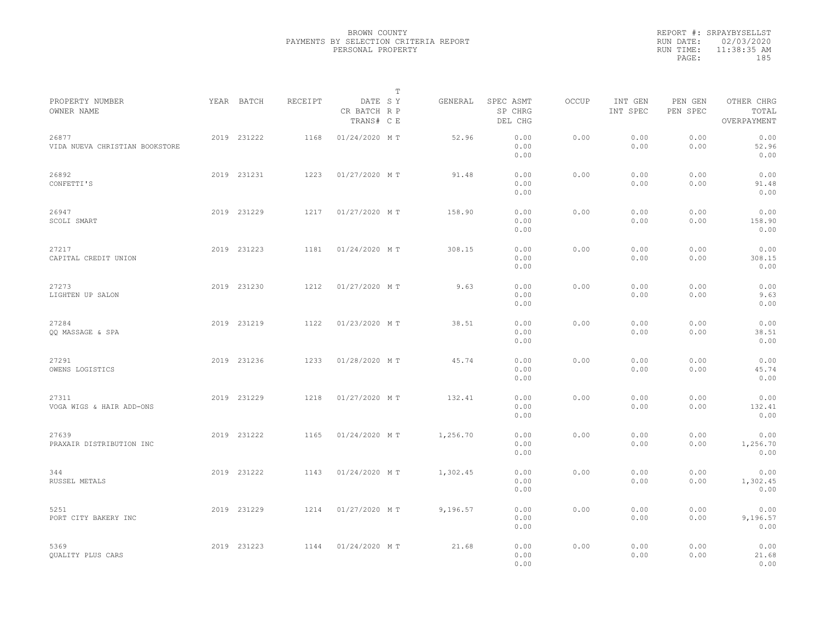|                                         |             |         |                                       | $\mathbb T$ |          |                                 |              |                     |                     |                                    |  |
|-----------------------------------------|-------------|---------|---------------------------------------|-------------|----------|---------------------------------|--------------|---------------------|---------------------|------------------------------------|--|
| PROPERTY NUMBER<br>OWNER NAME           | YEAR BATCH  | RECEIPT | DATE SY<br>CR BATCH R P<br>TRANS# C E |             | GENERAL  | SPEC ASMT<br>SP CHRG<br>DEL CHG | <b>OCCUP</b> | INT GEN<br>INT SPEC | PEN GEN<br>PEN SPEC | OTHER CHRG<br>TOTAL<br>OVERPAYMENT |  |
| 26877<br>VIDA NUEVA CHRISTIAN BOOKSTORE | 2019 231222 | 1168    | 01/24/2020 MT                         |             | 52.96    | 0.00<br>0.00<br>0.00            | 0.00         | 0.00<br>0.00        | 0.00<br>0.00        | 0.00<br>52.96<br>0.00              |  |
| 26892<br>CONFETTI'S                     | 2019 231231 | 1223    | 01/27/2020 MT                         |             | 91.48    | 0.00<br>0.00<br>0.00            | 0.00         | 0.00<br>0.00        | 0.00<br>0.00        | 0.00<br>91.48<br>0.00              |  |
| 26947<br>SCOLI SMART                    | 2019 231229 | 1217    | 01/27/2020 MT                         |             | 158.90   | 0.00<br>0.00<br>0.00            | 0.00         | 0.00<br>0.00        | 0.00<br>0.00        | 0.00<br>158.90<br>0.00             |  |
| 27217<br>CAPITAL CREDIT UNION           | 2019 231223 | 1181    | 01/24/2020 MT                         |             | 308.15   | 0.00<br>0.00<br>0.00            | 0.00         | 0.00<br>0.00        | 0.00<br>0.00        | 0.00<br>308.15<br>0.00             |  |
| 27273<br>LIGHTEN UP SALON               | 2019 231230 | 1212    | 01/27/2020 MT                         |             | 9.63     | 0.00<br>0.00<br>0.00            | 0.00         | 0.00<br>0.00        | 0.00<br>0.00        | 0.00<br>9.63<br>0.00               |  |
| 27284<br>QQ MASSAGE & SPA               | 2019 231219 | 1122    | 01/23/2020 MT                         |             | 38.51    | 0.00<br>0.00<br>0.00            | 0.00         | 0.00<br>0.00        | 0.00<br>0.00        | 0.00<br>38.51<br>0.00              |  |
| 27291<br>OWENS LOGISTICS                | 2019 231236 | 1233    | 01/28/2020 MT                         |             | 45.74    | 0.00<br>0.00<br>0.00            | 0.00         | 0.00<br>0.00        | 0.00<br>0.00        | 0.00<br>45.74<br>0.00              |  |
| 27311<br>VOGA WIGS & HAIR ADD-ONS       | 2019 231229 | 1218    | 01/27/2020 MT                         |             | 132.41   | 0.00<br>0.00<br>0.00            | 0.00         | 0.00<br>0.00        | 0.00<br>0.00        | 0.00<br>132.41<br>0.00             |  |
| 27639<br>PRAXAIR DISTRIBUTION INC       | 2019 231222 | 1165    | 01/24/2020 MT                         |             | 1,256.70 | 0.00<br>0.00<br>0.00            | 0.00         | 0.00<br>0.00        | 0.00<br>0.00        | 0.00<br>1,256.70<br>0.00           |  |
| 344<br>RUSSEL METALS                    | 2019 231222 | 1143    | 01/24/2020 MT                         |             | 1,302.45 | 0.00<br>0.00<br>0.00            | 0.00         | 0.00<br>0.00        | 0.00<br>0.00        | 0.00<br>1,302.45<br>0.00           |  |
| 5251<br>PORT CITY BAKERY INC            | 2019 231229 | 1214    | 01/27/2020 MT                         |             | 9,196.57 | 0.00<br>0.00<br>0.00            | 0.00         | 0.00<br>0.00        | 0.00<br>0.00        | 0.00<br>9,196.57<br>0.00           |  |
| 5369<br>QUALITY PLUS CARS               | 2019 231223 | 1144    | 01/24/2020 MT                         |             | 21.68    | 0.00<br>0.00<br>0.00            | 0.00         | 0.00<br>0.00        | 0.00<br>0.00        | 0.00<br>21.68<br>0.00              |  |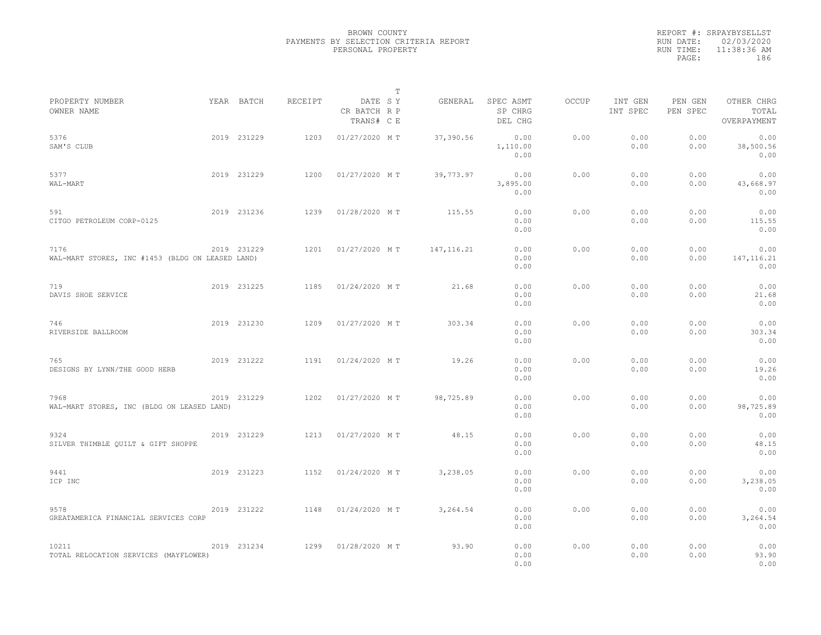|           | REPORT #: SRPAYBYSELLST |  |
|-----------|-------------------------|--|
|           | RUN DATE: 02/03/2020    |  |
| RUN TIME: | $11:38:36$ AM           |  |
| PAGE:     | 186                     |  |
|           |                         |  |

|                                                          |             |         |                                       | т |             |                                 |       |                     |                     |                                    |  |
|----------------------------------------------------------|-------------|---------|---------------------------------------|---|-------------|---------------------------------|-------|---------------------|---------------------|------------------------------------|--|
| PROPERTY NUMBER<br>OWNER NAME                            | YEAR BATCH  | RECEIPT | DATE SY<br>CR BATCH R P<br>TRANS# C E |   | GENERAL     | SPEC ASMT<br>SP CHRG<br>DEL CHG | OCCUP | INT GEN<br>INT SPEC | PEN GEN<br>PEN SPEC | OTHER CHRG<br>TOTAL<br>OVERPAYMENT |  |
| 5376<br>SAM'S CLUB                                       | 2019 231229 | 1203    | 01/27/2020 MT                         |   | 37,390.56   | 0.00<br>1,110.00<br>0.00        | 0.00  | 0.00<br>0.00        | 0.00<br>0.00        | 0.00<br>38,500.56<br>0.00          |  |
| 5377<br>WAL-MART                                         | 2019 231229 | 1200    | 01/27/2020 MT                         |   | 39,773.97   | 0.00<br>3,895.00<br>0.00        | 0.00  | 0.00<br>0.00        | 0.00<br>0.00        | 0.00<br>43,668.97<br>0.00          |  |
| 591<br>CITGO PETROLEUM CORP-0125                         | 2019 231236 | 1239    | 01/28/2020 MT                         |   | 115.55      | 0.00<br>0.00<br>0.00            | 0.00  | 0.00<br>0.00        | 0.00<br>0.00        | 0.00<br>115.55<br>0.00             |  |
| 7176<br>WAL-MART STORES, INC #1453 (BLDG ON LEASED LAND) | 2019 231229 | 1201    | 01/27/2020 MT                         |   | 147, 116.21 | 0.00<br>0.00<br>0.00            | 0.00  | 0.00<br>0.00        | 0.00<br>0.00        | 0.00<br>147, 116.21<br>0.00        |  |
| 719<br>DAVIS SHOE SERVICE                                | 2019 231225 | 1185    | 01/24/2020 MT                         |   | 21.68       | 0.00<br>0.00<br>0.00            | 0.00  | 0.00<br>0.00        | 0.00<br>0.00        | 0.00<br>21.68<br>0.00              |  |
| 746<br>RIVERSIDE BALLROOM                                | 2019 231230 | 1209    | 01/27/2020 MT                         |   | 303.34      | 0.00<br>0.00<br>0.00            | 0.00  | 0.00<br>0.00        | 0.00<br>0.00        | 0.00<br>303.34<br>0.00             |  |
| 765<br>DESIGNS BY LYNN/THE GOOD HERB                     | 2019 231222 | 1191    | 01/24/2020 MT                         |   | 19.26       | 0.00<br>0.00<br>0.00            | 0.00  | 0.00<br>0.00        | 0.00<br>0.00        | 0.00<br>19.26<br>0.00              |  |
| 7968<br>WAL-MART STORES, INC (BLDG ON LEASED LAND)       | 2019 231229 | 1202    | 01/27/2020 MT                         |   | 98,725.89   | 0.00<br>0.00<br>0.00            | 0.00  | 0.00<br>0.00        | 0.00<br>0.00        | 0.00<br>98,725.89<br>0.00          |  |
| 9324<br>SILVER THIMBLE QUILT & GIFT SHOPPE               | 2019 231229 | 1213    | 01/27/2020 MT                         |   | 48.15       | 0.00<br>0.00<br>0.00            | 0.00  | 0.00<br>0.00        | 0.00<br>0.00        | 0.00<br>48.15<br>0.00              |  |
| 9441<br>ICP INC                                          | 2019 231223 | 1152    | 01/24/2020 MT                         |   | 3,238.05    | 0.00<br>0.00<br>0.00            | 0.00  | 0.00<br>0.00        | 0.00<br>0.00        | 0.00<br>3,238.05<br>0.00           |  |
| 9578<br>GREATAMERICA FINANCIAL SERVICES CORP             | 2019 231222 | 1148    | 01/24/2020 MT                         |   | 3,264.54    | 0.00<br>0.00<br>0.00            | 0.00  | 0.00<br>0.00        | 0.00<br>0.00        | 0.00<br>3,264.54<br>0.00           |  |
| 10211<br>TOTAL RELOCATION SERVICES (MAYFLOWER)           | 2019 231234 | 1299    | 01/28/2020 MT                         |   | 93.90       | 0.00<br>0.00<br>0.00            | 0.00  | 0.00<br>0.00        | 0.00<br>0.00        | 0.00<br>93.90<br>0.00              |  |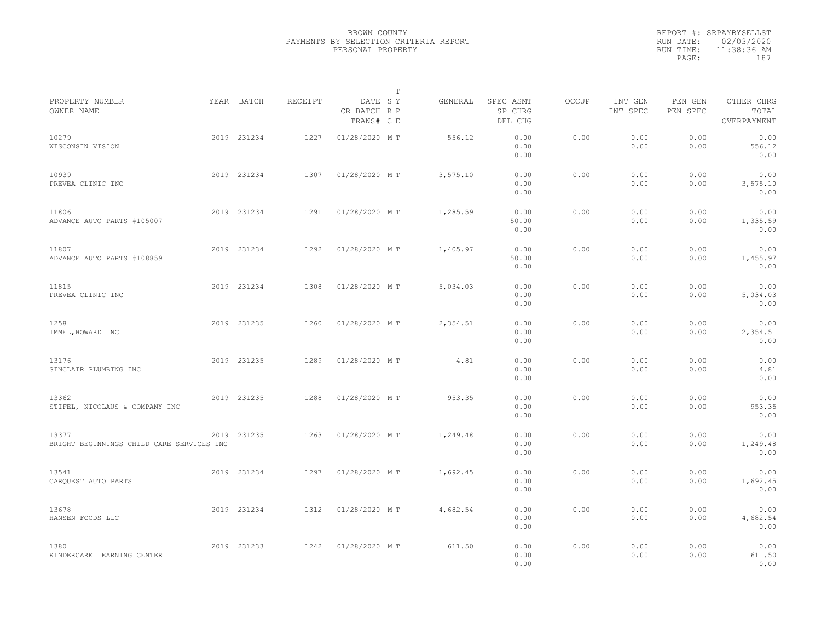|                                                    |             |         |                                       | $\mathbb T$ |          |                                 |              |                     |                     |                                    |  |
|----------------------------------------------------|-------------|---------|---------------------------------------|-------------|----------|---------------------------------|--------------|---------------------|---------------------|------------------------------------|--|
| PROPERTY NUMBER<br>OWNER NAME                      | YEAR BATCH  | RECEIPT | DATE SY<br>CR BATCH R P<br>TRANS# C E |             | GENERAL  | SPEC ASMT<br>SP CHRG<br>DEL CHG | <b>OCCUP</b> | INT GEN<br>INT SPEC | PEN GEN<br>PEN SPEC | OTHER CHRG<br>TOTAL<br>OVERPAYMENT |  |
| 10279<br>WISCONSIN VISION                          | 2019 231234 | 1227    | 01/28/2020 MT                         |             | 556.12   | 0.00<br>0.00<br>0.00            | 0.00         | 0.00<br>0.00        | 0.00<br>0.00        | 0.00<br>556.12<br>0.00             |  |
| 10939<br>PREVEA CLINIC INC                         | 2019 231234 | 1307    | 01/28/2020 MT                         |             | 3,575.10 | 0.00<br>0.00<br>0.00            | 0.00         | 0.00<br>0.00        | 0.00<br>0.00        | 0.00<br>3,575.10<br>0.00           |  |
| 11806<br>ADVANCE AUTO PARTS #105007                | 2019 231234 | 1291    | 01/28/2020 MT                         |             | 1,285.59 | 0.00<br>50.00<br>0.00           | 0.00         | 0.00<br>0.00        | 0.00<br>0.00        | 0.00<br>1,335.59<br>0.00           |  |
| 11807<br>ADVANCE AUTO PARTS #108859                | 2019 231234 | 1292    | 01/28/2020 MT                         |             | 1,405.97 | 0.00<br>50.00<br>0.00           | 0.00         | 0.00<br>0.00        | 0.00<br>0.00        | 0.00<br>1,455.97<br>0.00           |  |
| 11815<br>PREVEA CLINIC INC                         | 2019 231234 | 1308    | 01/28/2020 MT                         |             | 5,034.03 | 0.00<br>0.00<br>0.00            | 0.00         | 0.00<br>0.00        | 0.00<br>0.00        | 0.00<br>5,034.03<br>0.00           |  |
| 1258<br>IMMEL, HOWARD INC                          | 2019 231235 | 1260    | 01/28/2020 MT                         |             | 2,354.51 | 0.00<br>0.00<br>0.00            | 0.00         | 0.00<br>0.00        | 0.00<br>0.00        | 0.00<br>2,354.51<br>0.00           |  |
| 13176<br>SINCLAIR PLUMBING INC                     | 2019 231235 | 1289    | 01/28/2020 MT                         |             | 4.81     | 0.00<br>0.00<br>0.00            | 0.00         | 0.00<br>0.00        | 0.00<br>0.00        | 0.00<br>4.81<br>0.00               |  |
| 13362<br>STIFEL, NICOLAUS & COMPANY INC            | 2019 231235 | 1288    | 01/28/2020 MT                         |             | 953.35   | 0.00<br>0.00<br>0.00            | 0.00         | 0.00<br>0.00        | 0.00<br>0.00        | 0.00<br>953.35<br>0.00             |  |
| 13377<br>BRIGHT BEGINNINGS CHILD CARE SERVICES INC | 2019 231235 | 1263    | 01/28/2020 MT                         |             | 1,249.48 | 0.00<br>0.00<br>0.00            | 0.00         | 0.00<br>0.00        | 0.00<br>0.00        | 0.00<br>1,249.48<br>0.00           |  |
| 13541<br>CARQUEST AUTO PARTS                       | 2019 231234 | 1297    | 01/28/2020 MT                         |             | 1,692.45 | 0.00<br>0.00<br>0.00            | 0.00         | 0.00<br>0.00        | 0.00<br>0.00        | 0.00<br>1,692.45<br>0.00           |  |
| 13678<br>HANSEN FOODS LLC                          | 2019 231234 | 1312    | 01/28/2020 MT                         |             | 4,682.54 | 0.00<br>0.00<br>0.00            | 0.00         | 0.00<br>0.00        | 0.00<br>0.00        | 0.00<br>4,682.54<br>0.00           |  |
| 1380<br>KINDERCARE LEARNING CENTER                 | 2019 231233 | 1242    | 01/28/2020 MT                         |             | 611.50   | 0.00<br>0.00<br>0.00            | 0.00         | 0.00<br>0.00        | 0.00<br>0.00        | 0.00<br>611.50<br>0.00             |  |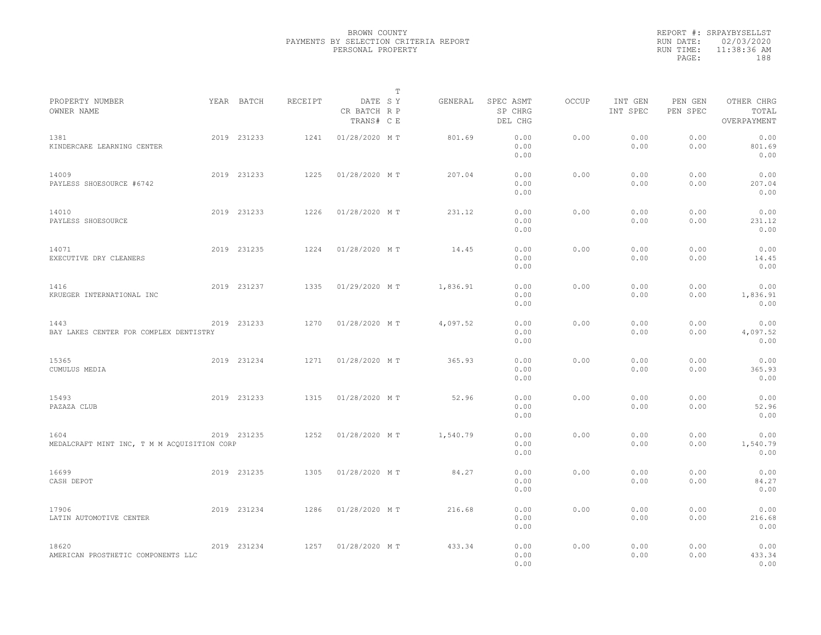|                                                     |             |         |                                       | T |          |                                 |              |                     |                     |                                    |  |
|-----------------------------------------------------|-------------|---------|---------------------------------------|---|----------|---------------------------------|--------------|---------------------|---------------------|------------------------------------|--|
| PROPERTY NUMBER<br>OWNER NAME                       | YEAR BATCH  | RECEIPT | DATE SY<br>CR BATCH R P<br>TRANS# C E |   | GENERAL  | SPEC ASMT<br>SP CHRG<br>DEL CHG | <b>OCCUP</b> | INT GEN<br>INT SPEC | PEN GEN<br>PEN SPEC | OTHER CHRG<br>TOTAL<br>OVERPAYMENT |  |
| 1381<br>KINDERCARE LEARNING CENTER                  | 2019 231233 | 1241    | 01/28/2020 MT                         |   | 801.69   | 0.00<br>0.00<br>0.00            | 0.00         | 0.00<br>0.00        | 0.00<br>0.00        | 0.00<br>801.69<br>0.00             |  |
| 14009<br>PAYLESS SHOESOURCE #6742                   | 2019 231233 | 1225    | 01/28/2020 MT                         |   | 207.04   | 0.00<br>0.00<br>0.00            | 0.00         | 0.00<br>0.00        | 0.00<br>0.00        | 0.00<br>207.04<br>0.00             |  |
| 14010<br>PAYLESS SHOESOURCE                         | 2019 231233 | 1226    | 01/28/2020 MT                         |   | 231.12   | 0.00<br>0.00<br>0.00            | 0.00         | 0.00<br>0.00        | 0.00<br>0.00        | 0.00<br>231.12<br>0.00             |  |
| 14071<br>EXECUTIVE DRY CLEANERS                     | 2019 231235 | 1224    | 01/28/2020 MT                         |   | 14.45    | 0.00<br>0.00<br>0.00            | 0.00         | 0.00<br>0.00        | 0.00<br>0.00        | 0.00<br>14.45<br>0.00              |  |
| 1416<br>KRUEGER INTERNATIONAL INC                   | 2019 231237 | 1335    | 01/29/2020 MT                         |   | 1,836.91 | 0.00<br>0.00<br>0.00            | 0.00         | 0.00<br>0.00        | 0.00<br>0.00        | 0.00<br>1,836.91<br>0.00           |  |
| 1443<br>BAY LAKES CENTER FOR COMPLEX DENTISTRY      | 2019 231233 | 1270    | 01/28/2020 MT                         |   | 4,097.52 | 0.00<br>0.00<br>0.00            | 0.00         | 0.00<br>0.00        | 0.00<br>0.00        | 0.00<br>4,097.52<br>0.00           |  |
| 15365<br>CUMULUS MEDIA                              | 2019 231234 | 1271    | 01/28/2020 MT                         |   | 365.93   | 0.00<br>0.00<br>0.00            | 0.00         | 0.00<br>0.00        | 0.00<br>0.00        | 0.00<br>365.93<br>0.00             |  |
| 15493<br>PAZAZA CLUB                                | 2019 231233 | 1315    | 01/28/2020 MT                         |   | 52.96    | 0.00<br>0.00<br>0.00            | 0.00         | 0.00<br>0.00        | 0.00<br>0.00        | 0.00<br>52.96<br>0.00              |  |
| 1604<br>MEDALCRAFT MINT INC, T M M ACQUISITION CORP | 2019 231235 | 1252    | 01/28/2020 MT                         |   | 1,540.79 | 0.00<br>0.00<br>0.00            | 0.00         | 0.00<br>0.00        | 0.00<br>0.00        | 0.00<br>1,540.79<br>0.00           |  |
| 16699<br>CASH DEPOT                                 | 2019 231235 | 1305    | 01/28/2020 MT                         |   | 84.27    | 0.00<br>0.00<br>0.00            | 0.00         | 0.00<br>0.00        | 0.00<br>0.00        | 0.00<br>84.27<br>0.00              |  |
| 17906<br>LATIN AUTOMOTIVE CENTER                    | 2019 231234 | 1286    | 01/28/2020 MT                         |   | 216.68   | 0.00<br>0.00<br>0.00            | 0.00         | 0.00<br>0.00        | 0.00<br>0.00        | 0.00<br>216.68<br>0.00             |  |
| 18620<br>AMERICAN PROSTHETIC COMPONENTS LLC         | 2019 231234 | 1257    | 01/28/2020 MT                         |   | 433.34   | 0.00<br>0.00<br>0.00            | 0.00         | 0.00<br>0.00        | 0.00<br>0.00        | 0.00<br>433.34<br>0.00             |  |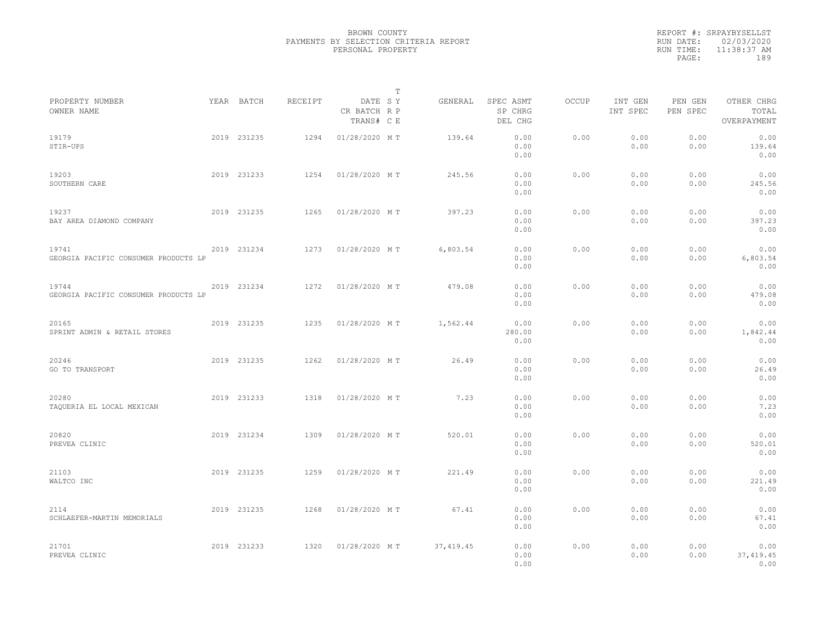|           | REPORT #: SRPAYBYSELLST |
|-----------|-------------------------|
|           | RUN DATE: 02/03/2020    |
| RUN TIME: | 11:38:37 AM             |
| PAGE:     | 189                     |
|           |                         |

|                                               |             |         |                                       | $\mathbb T$ |            |                                 |              |                     |                     |                                    |
|-----------------------------------------------|-------------|---------|---------------------------------------|-------------|------------|---------------------------------|--------------|---------------------|---------------------|------------------------------------|
| PROPERTY NUMBER<br>OWNER NAME                 | YEAR BATCH  | RECEIPT | DATE SY<br>CR BATCH R P<br>TRANS# C E |             | GENERAL    | SPEC ASMT<br>SP CHRG<br>DEL CHG | <b>OCCUP</b> | INT GEN<br>INT SPEC | PEN GEN<br>PEN SPEC | OTHER CHRG<br>TOTAL<br>OVERPAYMENT |
| 19179<br>STIR-UPS                             | 2019 231235 | 1294    | 01/28/2020 MT                         |             | 139.64     | 0.00<br>0.00<br>0.00            | 0.00         | 0.00<br>0.00        | 0.00<br>0.00        | 0.00<br>139.64<br>0.00             |
| 19203<br>SOUTHERN CARE                        | 2019 231233 | 1254    | 01/28/2020 MT                         |             | 245.56     | 0.00<br>0.00<br>0.00            | 0.00         | 0.00<br>0.00        | 0.00<br>0.00        | 0.00<br>245.56<br>0.00             |
| 19237<br>BAY AREA DIAMOND COMPANY             | 2019 231235 | 1265    | 01/28/2020 MT                         |             | 397.23     | 0.00<br>0.00<br>0.00            | 0.00         | 0.00<br>0.00        | 0.00<br>0.00        | 0.00<br>397.23<br>0.00             |
| 19741<br>GEORGIA PACIFIC CONSUMER PRODUCTS LP | 2019 231234 | 1273    | 01/28/2020 MT                         |             | 6,803.54   | 0.00<br>0.00<br>0.00            | 0.00         | 0.00<br>0.00        | 0.00<br>0.00        | 0.00<br>6,803.54<br>0.00           |
| 19744<br>GEORGIA PACIFIC CONSUMER PRODUCTS LP | 2019 231234 | 1272    | 01/28/2020 MT                         |             | 479.08     | 0.00<br>0.00<br>0.00            | 0.00         | 0.00<br>0.00        | 0.00<br>0.00        | 0.00<br>479.08<br>0.00             |
| 20165<br>SPRINT ADMIN & RETAIL STORES         | 2019 231235 | 1235    | 01/28/2020 MT                         |             | 1,562.44   | 0.00<br>280.00<br>0.00          | 0.00         | 0.00<br>0.00        | 0.00<br>0.00        | 0.00<br>1,842.44<br>0.00           |
| 20246<br>GO TO TRANSPORT                      | 2019 231235 | 1262    | 01/28/2020 MT                         |             | 26.49      | 0.00<br>0.00<br>0.00            | 0.00         | 0.00<br>0.00        | 0.00<br>0.00        | 0.00<br>26.49<br>0.00              |
| 20280<br>TAQUERIA EL LOCAL MEXICAN            | 2019 231233 | 1318    | 01/28/2020 MT                         |             | 7.23       | 0.00<br>0.00<br>0.00            | 0.00         | 0.00<br>0.00        | 0.00<br>0.00        | 0.00<br>7.23<br>0.00               |
| 20820<br>PREVEA CLINIC                        | 2019 231234 | 1309    | 01/28/2020 MT                         |             | 520.01     | 0.00<br>0.00<br>0.00            | 0.00         | 0.00<br>0.00        | 0.00<br>0.00        | 0.00<br>520.01<br>0.00             |
| 21103<br>WALTCO INC                           | 2019 231235 | 1259    | 01/28/2020 MT                         |             | 221.49     | 0.00<br>0.00<br>0.00            | 0.00         | 0.00<br>0.00        | 0.00<br>0.00        | 0.00<br>221.49<br>0.00             |
| 2114<br>SCHLAEFER-MARTIN MEMORIALS            | 2019 231235 | 1268    | 01/28/2020 MT                         |             | 67.41      | 0.00<br>0.00<br>0.00            | 0.00         | 0.00<br>0.00        | 0.00<br>0.00        | 0.00<br>67.41<br>0.00              |
| 21701<br>PREVEA CLINIC                        | 2019 231233 | 1320    | 01/28/2020 MT                         |             | 37, 419.45 | 0.00<br>0.00<br>0.00            | 0.00         | 0.00<br>0.00        | 0.00<br>0.00        | 0.00<br>37, 419.45<br>0.00         |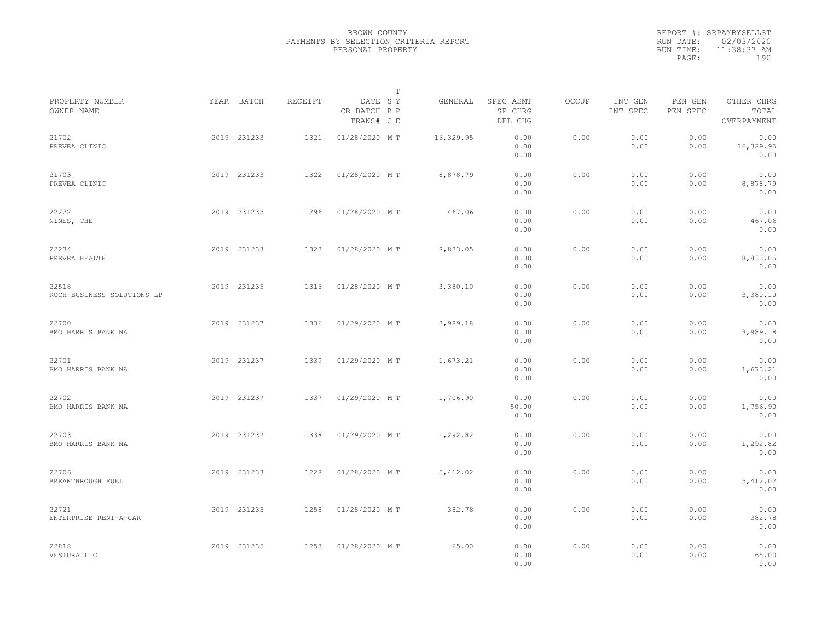|           | REPORT #: SRPAYBYSELLST |  |
|-----------|-------------------------|--|
|           | RUN DATE: 02/03/2020    |  |
| RUN TIME: | $11:38:37$ AM           |  |
| PAGE:     | 190                     |  |
|           |                         |  |

|                                     |             |         |                                       | T |           |                                 |       |                     |                     |                                    |  |
|-------------------------------------|-------------|---------|---------------------------------------|---|-----------|---------------------------------|-------|---------------------|---------------------|------------------------------------|--|
| PROPERTY NUMBER<br>OWNER NAME       | YEAR BATCH  | RECEIPT | DATE SY<br>CR BATCH R P<br>TRANS# C E |   | GENERAL   | SPEC ASMT<br>SP CHRG<br>DEL CHG | OCCUP | INT GEN<br>INT SPEC | PEN GEN<br>PEN SPEC | OTHER CHRG<br>TOTAL<br>OVERPAYMENT |  |
| 21702<br>PREVEA CLINIC              | 2019 231233 | 1321    | 01/28/2020 MT                         |   | 16,329.95 | 0.00<br>0.00<br>0.00            | 0.00  | 0.00<br>0.00        | 0.00<br>0.00        | 0.00<br>16,329.95<br>0.00          |  |
| 21703<br>PREVEA CLINIC              | 2019 231233 | 1322    | 01/28/2020 MT                         |   | 8,878.79  | 0.00<br>0.00<br>0.00            | 0.00  | 0.00<br>0.00        | 0.00<br>0.00        | 0.00<br>8,878.79<br>0.00           |  |
| 22222<br>NINES, THE                 | 2019 231235 | 1296    | 01/28/2020 MT                         |   | 467.06    | 0.00<br>0.00<br>0.00            | 0.00  | 0.00<br>0.00        | 0.00<br>0.00        | 0.00<br>467.06<br>0.00             |  |
| 22234<br>PREVEA HEALTH              | 2019 231233 | 1323    | 01/28/2020 MT                         |   | 8,833.05  | 0.00<br>0.00<br>0.00            | 0.00  | 0.00<br>0.00        | 0.00<br>0.00        | 0.00<br>8,833.05<br>0.00           |  |
| 22518<br>KOCH BUSINESS SOLUTIONS LP | 2019 231235 | 1316    | 01/28/2020 MT                         |   | 3,380.10  | 0.00<br>0.00<br>0.00            | 0.00  | 0.00<br>0.00        | 0.00<br>0.00        | 0.00<br>3,380.10<br>0.00           |  |
| 22700<br>BMO HARRIS BANK NA         | 2019 231237 | 1336    | 01/29/2020 MT                         |   | 3,989.18  | 0.00<br>0.00<br>0.00            | 0.00  | 0.00<br>0.00        | 0.00<br>0.00        | 0.00<br>3,989.18<br>0.00           |  |
| 22701<br>BMO HARRIS BANK NA         | 2019 231237 | 1339    | 01/29/2020 MT                         |   | 1,673.21  | 0.00<br>0.00<br>0.00            | 0.00  | 0.00<br>0.00        | 0.00<br>0.00        | 0.00<br>1,673.21<br>0.00           |  |
| 22702<br>BMO HARRIS BANK NA         | 2019 231237 | 1337    | 01/29/2020 MT                         |   | 1,706.90  | 0.00<br>50.00<br>0.00           | 0.00  | 0.00<br>0.00        | 0.00<br>0.00        | 0.00<br>1,756.90<br>0.00           |  |
| 22703<br>BMO HARRIS BANK NA         | 2019 231237 | 1338    | 01/29/2020 MT                         |   | 1,292.82  | 0.00<br>0.00<br>0.00            | 0.00  | 0.00<br>0.00        | 0.00<br>0.00        | 0.00<br>1,292.82<br>0.00           |  |
| 22706<br>BREAKTHROUGH FUEL          | 2019 231233 | 1228    | 01/28/2020 MT                         |   | 5,412.02  | 0.00<br>0.00<br>0.00            | 0.00  | 0.00<br>0.00        | 0.00<br>0.00        | 0.00<br>5,412.02<br>0.00           |  |
| 22721<br>ENTERPRISE RENT-A-CAR      | 2019 231235 | 1258    | 01/28/2020 MT                         |   | 382.78    | 0.00<br>0.00<br>0.00            | 0.00  | 0.00<br>0.00        | 0.00<br>0.00        | 0.00<br>382.78<br>0.00             |  |
| 22818<br>VESTURA LLC                | 2019 231235 | 1253    | 01/28/2020 MT                         |   | 65.00     | 0.00<br>0.00<br>0.00            | 0.00  | 0.00<br>0.00        | 0.00<br>0.00        | 0.00<br>65.00<br>0.00              |  |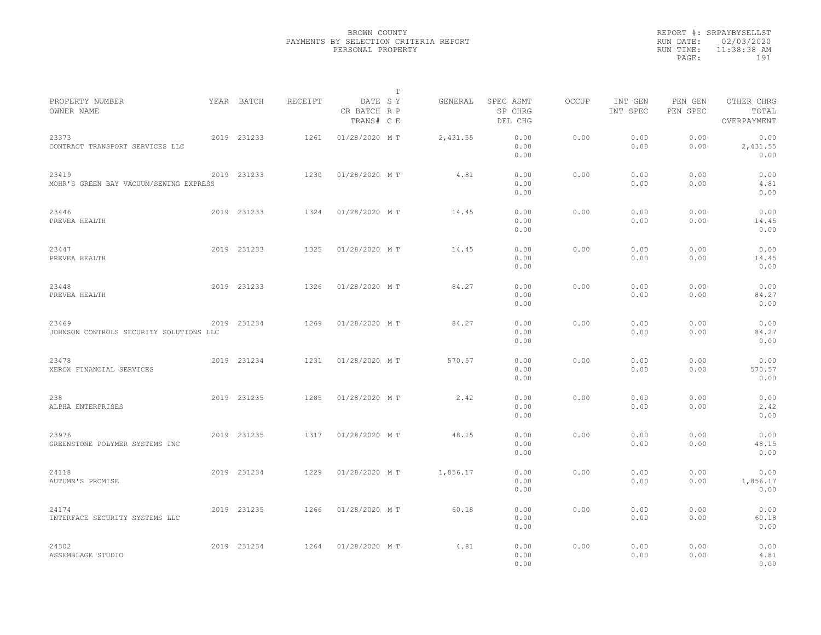|                                                  |             |         | $\mathbb T$                           |          |                                 |              |                     |                     |                                    |  |
|--------------------------------------------------|-------------|---------|---------------------------------------|----------|---------------------------------|--------------|---------------------|---------------------|------------------------------------|--|
| PROPERTY NUMBER<br>OWNER NAME                    | YEAR BATCH  | RECEIPT | DATE SY<br>CR BATCH R P<br>TRANS# C E | GENERAL  | SPEC ASMT<br>SP CHRG<br>DEL CHG | <b>OCCUP</b> | INT GEN<br>INT SPEC | PEN GEN<br>PEN SPEC | OTHER CHRG<br>TOTAL<br>OVERPAYMENT |  |
| 23373<br>CONTRACT TRANSPORT SERVICES LLC         | 2019 231233 | 1261    | 01/28/2020 MT                         | 2,431.55 | 0.00<br>0.00<br>0.00            | 0.00         | 0.00<br>0.00        | 0.00<br>0.00        | 0.00<br>2,431.55<br>0.00           |  |
| 23419<br>MOHR'S GREEN BAY VACUUM/SEWING EXPRESS  | 2019 231233 | 1230    | 01/28/2020 MT                         | 4.81     | 0.00<br>0.00<br>0.00            | 0.00         | 0.00<br>0.00        | 0.00<br>0.00        | 0.00<br>4.81<br>0.00               |  |
| 23446<br>PREVEA HEALTH                           | 2019 231233 | 1324    | 01/28/2020 MT                         | 14.45    | 0.00<br>0.00<br>0.00            | 0.00         | 0.00<br>0.00        | 0.00<br>0.00        | 0.00<br>14.45<br>0.00              |  |
| 23447<br>PREVEA HEALTH                           | 2019 231233 | 1325    | 01/28/2020 MT                         | 14.45    | 0.00<br>0.00<br>0.00            | 0.00         | 0.00<br>0.00        | 0.00<br>0.00        | 0.00<br>14.45<br>0.00              |  |
| 23448<br>PREVEA HEALTH                           | 2019 231233 | 1326    | 01/28/2020 MT                         | 84.27    | 0.00<br>0.00<br>0.00            | 0.00         | 0.00<br>0.00        | 0.00<br>0.00        | 0.00<br>84.27<br>0.00              |  |
| 23469<br>JOHNSON CONTROLS SECURITY SOLUTIONS LLC | 2019 231234 | 1269    | 01/28/2020 MT                         | 84.27    | 0.00<br>0.00<br>0.00            | 0.00         | 0.00<br>0.00        | 0.00<br>0.00        | 0.00<br>84.27<br>0.00              |  |
| 23478<br>XEROX FINANCIAL SERVICES                | 2019 231234 | 1231    | 01/28/2020 MT                         | 570.57   | 0.00<br>0.00<br>0.00            | 0.00         | 0.00<br>0.00        | 0.00<br>0.00        | 0.00<br>570.57<br>0.00             |  |
| 238<br>ALPHA ENTERPRISES                         | 2019 231235 | 1285    | 01/28/2020 MT                         | 2.42     | 0.00<br>0.00<br>0.00            | 0.00         | 0.00<br>0.00        | 0.00<br>0.00        | 0.00<br>2.42<br>0.00               |  |
| 23976<br>GREENSTONE POLYMER SYSTEMS INC          | 2019 231235 | 1317    | 01/28/2020 MT                         | 48.15    | 0.00<br>0.00<br>0.00            | 0.00         | 0.00<br>0.00        | 0.00<br>0.00        | 0.00<br>48.15<br>0.00              |  |
| 24118<br>AUTUMN'S PROMISE                        | 2019 231234 | 1229    | 01/28/2020 MT                         | 1,856.17 | 0.00<br>0.00<br>0.00            | 0.00         | 0.00<br>0.00        | 0.00<br>0.00        | 0.00<br>1,856.17<br>0.00           |  |
| 24174<br>INTERFACE SECURITY SYSTEMS LLC          | 2019 231235 | 1266    | 01/28/2020 MT                         | 60.18    | 0.00<br>0.00<br>0.00            | 0.00         | 0.00<br>0.00        | 0.00<br>0.00        | 0.00<br>60.18<br>0.00              |  |
| 24302<br>ASSEMBLAGE STUDIO                       | 2019 231234 | 1264    | 01/28/2020 MT                         | 4.81     | 0.00<br>0.00<br>0.00            | 0.00         | 0.00<br>0.00        | 0.00<br>0.00        | 0.00<br>4.81<br>0.00               |  |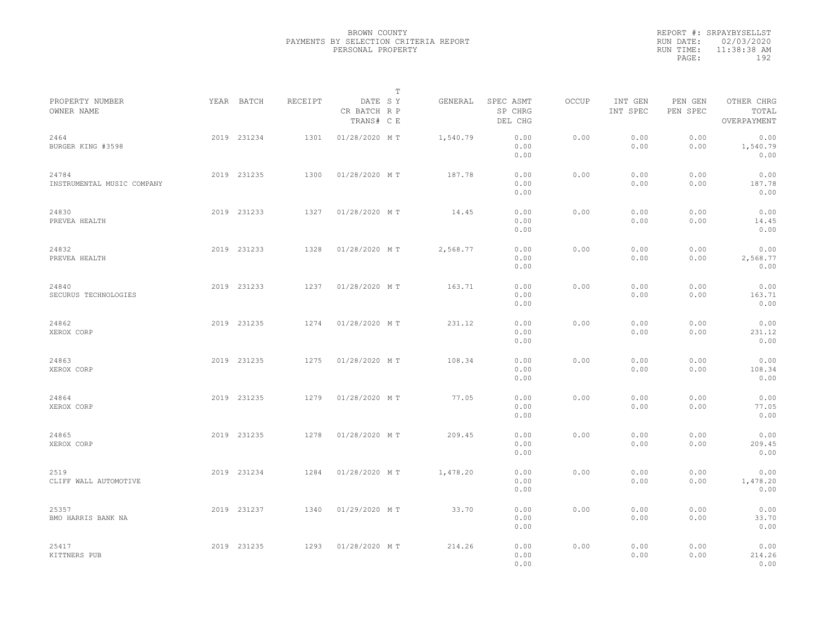|           | REPORT #: SRPAYBYSELLST |
|-----------|-------------------------|
|           | RUN DATE: 02/03/2020    |
| RUN TIME: | 11:38:38 AM             |
| PAGE:     | 192                     |
|           |                         |

|                                     |             |         |                                       | $\mathbb T$ |          |                                 |       |                     |                     |                                    |  |
|-------------------------------------|-------------|---------|---------------------------------------|-------------|----------|---------------------------------|-------|---------------------|---------------------|------------------------------------|--|
| PROPERTY NUMBER<br>OWNER NAME       | YEAR BATCH  | RECEIPT | DATE SY<br>CR BATCH R P<br>TRANS# C E |             | GENERAL  | SPEC ASMT<br>SP CHRG<br>DEL CHG | OCCUP | INT GEN<br>INT SPEC | PEN GEN<br>PEN SPEC | OTHER CHRG<br>TOTAL<br>OVERPAYMENT |  |
| 2464<br>BURGER KING #3598           | 2019 231234 | 1301    | 01/28/2020 MT                         |             | 1,540.79 | 0.00<br>0.00<br>0.00            | 0.00  | 0.00<br>0.00        | 0.00<br>0.00        | 0.00<br>1,540.79<br>0.00           |  |
| 24784<br>INSTRUMENTAL MUSIC COMPANY | 2019 231235 | 1300    | 01/28/2020 MT                         |             | 187.78   | 0.00<br>0.00<br>0.00            | 0.00  | 0.00<br>0.00        | 0.00<br>0.00        | 0.00<br>187.78<br>0.00             |  |
| 24830<br>PREVEA HEALTH              | 2019 231233 | 1327    | 01/28/2020 MT                         |             | 14.45    | 0.00<br>0.00<br>0.00            | 0.00  | 0.00<br>0.00        | 0.00<br>0.00        | 0.00<br>14.45<br>0.00              |  |
| 24832<br>PREVEA HEALTH              | 2019 231233 | 1328    | 01/28/2020 MT                         |             | 2,568.77 | 0.00<br>0.00<br>0.00            | 0.00  | 0.00<br>0.00        | 0.00<br>0.00        | 0.00<br>2,568.77<br>0.00           |  |
| 24840<br>SECURUS TECHNOLOGIES       | 2019 231233 | 1237    | 01/28/2020 MT                         |             | 163.71   | 0.00<br>0.00<br>0.00            | 0.00  | 0.00<br>0.00        | 0.00<br>0.00        | 0.00<br>163.71<br>0.00             |  |
| 24862<br>XEROX CORP                 | 2019 231235 | 1274    | 01/28/2020 MT                         |             | 231.12   | 0.00<br>0.00<br>0.00            | 0.00  | 0.00<br>0.00        | 0.00<br>0.00        | 0.00<br>231.12<br>0.00             |  |
| 24863<br>XEROX CORP                 | 2019 231235 | 1275    | 01/28/2020 MT                         |             | 108.34   | 0.00<br>0.00<br>0.00            | 0.00  | 0.00<br>0.00        | 0.00<br>0.00        | 0.00<br>108.34<br>0.00             |  |
| 24864<br>XEROX CORP                 | 2019 231235 | 1279    | 01/28/2020 MT                         |             | 77.05    | 0.00<br>0.00<br>0.00            | 0.00  | 0.00<br>0.00        | 0.00<br>0.00        | 0.00<br>77.05<br>0.00              |  |
| 24865<br>XEROX CORP                 | 2019 231235 | 1278    | 01/28/2020 MT                         |             | 209.45   | 0.00<br>0.00<br>0.00            | 0.00  | 0.00<br>0.00        | 0.00<br>0.00        | 0.00<br>209.45<br>0.00             |  |
| 2519<br>CLIFF WALL AUTOMOTIVE       | 2019 231234 | 1284    | 01/28/2020 MT                         |             | 1,478.20 | 0.00<br>0.00<br>0.00            | 0.00  | 0.00<br>0.00        | 0.00<br>0.00        | 0.00<br>1,478.20<br>0.00           |  |
| 25357<br>BMO HARRIS BANK NA         | 2019 231237 | 1340    | 01/29/2020 MT                         |             | 33.70    | 0.00<br>0.00<br>0.00            | 0.00  | 0.00<br>0.00        | 0.00<br>0.00        | 0.00<br>33.70<br>0.00              |  |
| 25417<br>KITTNERS PUB               | 2019 231235 | 1293    | 01/28/2020 MT                         |             | 214.26   | 0.00<br>0.00<br>0.00            | 0.00  | 0.00<br>0.00        | 0.00<br>0.00        | 0.00<br>214.26<br>0.00             |  |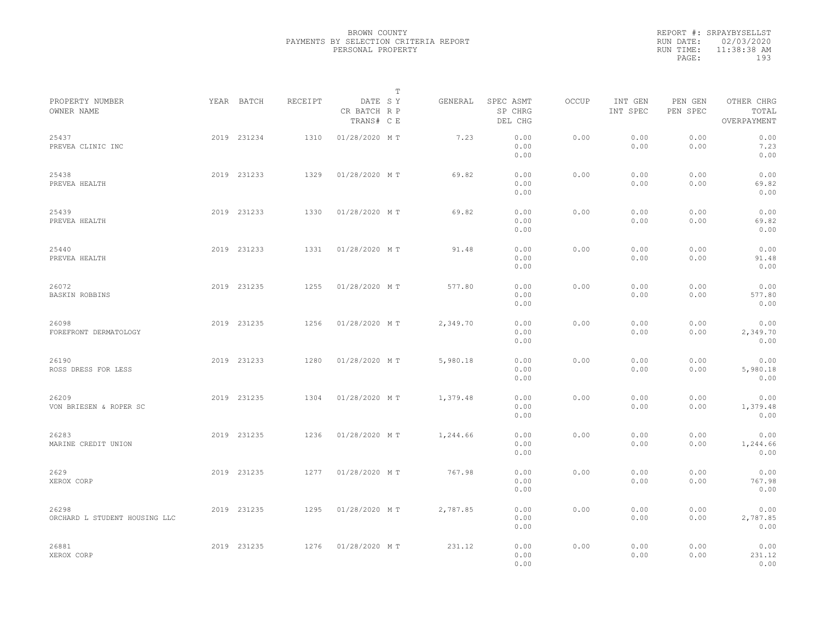|           | REPORT #: SRPAYBYSELLST |  |
|-----------|-------------------------|--|
|           | RUN DATE: 02/03/2020    |  |
| RUN TIME: | 11:38:38 AM             |  |
| PAGE:     | 193                     |  |
|           |                         |  |

|                                        |             |         |                                       | $\mathbb T$ |          |                                 |       |                     |                     |                                    |  |
|----------------------------------------|-------------|---------|---------------------------------------|-------------|----------|---------------------------------|-------|---------------------|---------------------|------------------------------------|--|
| PROPERTY NUMBER<br>OWNER NAME          | YEAR BATCH  | RECEIPT | DATE SY<br>CR BATCH R P<br>TRANS# C E |             | GENERAL  | SPEC ASMT<br>SP CHRG<br>DEL CHG | OCCUP | INT GEN<br>INT SPEC | PEN GEN<br>PEN SPEC | OTHER CHRG<br>TOTAL<br>OVERPAYMENT |  |
| 25437<br>PREVEA CLINIC INC             | 2019 231234 | 1310    | 01/28/2020 MT                         |             | 7.23     | 0.00<br>0.00<br>0.00            | 0.00  | 0.00<br>0.00        | 0.00<br>0.00        | 0.00<br>7.23<br>0.00               |  |
| 25438<br>PREVEA HEALTH                 | 2019 231233 | 1329    | 01/28/2020 MT                         |             | 69.82    | 0.00<br>0.00<br>0.00            | 0.00  | 0.00<br>0.00        | 0.00<br>0.00        | 0.00<br>69.82<br>0.00              |  |
| 25439<br>PREVEA HEALTH                 | 2019 231233 | 1330    | 01/28/2020 MT                         |             | 69.82    | 0.00<br>0.00<br>0.00            | 0.00  | 0.00<br>0.00        | 0.00<br>0.00        | 0.00<br>69.82<br>0.00              |  |
| 25440<br>PREVEA HEALTH                 | 2019 231233 | 1331    | 01/28/2020 MT                         |             | 91.48    | 0.00<br>0.00<br>0.00            | 0.00  | 0.00<br>0.00        | 0.00<br>0.00        | 0.00<br>91.48<br>0.00              |  |
| 26072<br><b>BASKIN ROBBINS</b>         | 2019 231235 | 1255    | 01/28/2020 MT                         |             | 577.80   | 0.00<br>0.00<br>0.00            | 0.00  | 0.00<br>0.00        | 0.00<br>0.00        | 0.00<br>577.80<br>0.00             |  |
| 26098<br>FOREFRONT DERMATOLOGY         | 2019 231235 | 1256    | 01/28/2020 MT                         |             | 2,349.70 | 0.00<br>0.00<br>0.00            | 0.00  | 0.00<br>0.00        | 0.00<br>0.00        | 0.00<br>2,349.70<br>0.00           |  |
| 26190<br>ROSS DRESS FOR LESS           | 2019 231233 | 1280    | 01/28/2020 MT                         |             | 5,980.18 | 0.00<br>0.00<br>0.00            | 0.00  | 0.00<br>0.00        | 0.00<br>0.00        | 0.00<br>5,980.18<br>0.00           |  |
| 26209<br>VON BRIESEN & ROPER SC        | 2019 231235 | 1304    | 01/28/2020 MT                         |             | 1,379.48 | 0.00<br>0.00<br>0.00            | 0.00  | 0.00<br>0.00        | 0.00<br>0.00        | 0.00<br>1,379.48<br>0.00           |  |
| 26283<br>MARINE CREDIT UNION           | 2019 231235 | 1236    | 01/28/2020 MT                         |             | 1,244.66 | 0.00<br>0.00<br>0.00            | 0.00  | 0.00<br>0.00        | 0.00<br>0.00        | 0.00<br>1,244.66<br>0.00           |  |
| 2629<br>XEROX CORP                     | 2019 231235 | 1277    | 01/28/2020 MT                         |             | 767.98   | 0.00<br>0.00<br>0.00            | 0.00  | 0.00<br>0.00        | 0.00<br>0.00        | 0.00<br>767.98<br>0.00             |  |
| 26298<br>ORCHARD L STUDENT HOUSING LLC | 2019 231235 | 1295    | 01/28/2020 MT                         |             | 2,787.85 | 0.00<br>0.00<br>0.00            | 0.00  | 0.00<br>0.00        | 0.00<br>0.00        | 0.00<br>2,787.85<br>0.00           |  |
| 26881<br>XEROX CORP                    | 2019 231235 | 1276    | 01/28/2020 MT                         |             | 231.12   | 0.00<br>0.00<br>0.00            | 0.00  | 0.00<br>0.00        | 0.00<br>0.00        | 0.00<br>231.12<br>0.00             |  |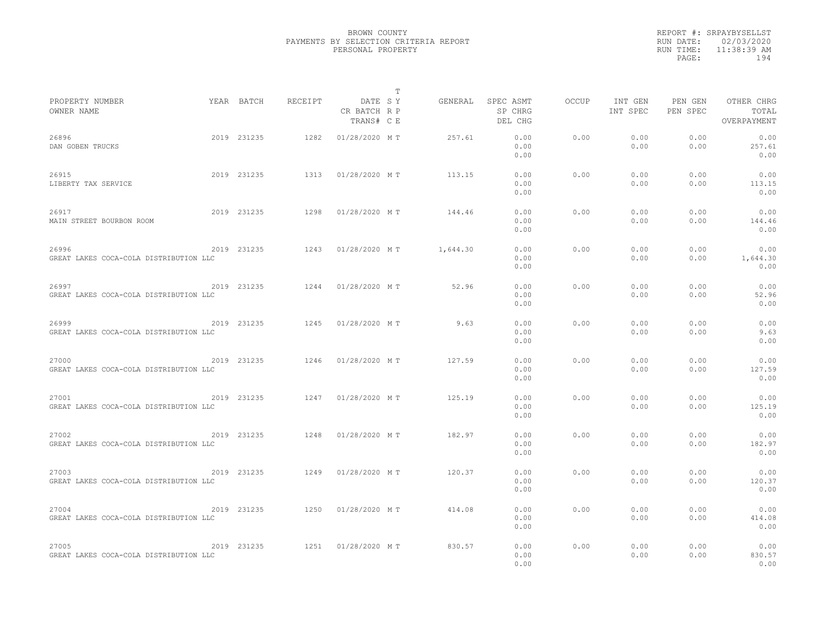|                                                 |             |                |                                       | T        |                                 |              |                     |                     |                                    |  |
|-------------------------------------------------|-------------|----------------|---------------------------------------|----------|---------------------------------|--------------|---------------------|---------------------|------------------------------------|--|
| PROPERTY NUMBER<br>OWNER NAME                   | YEAR BATCH  | <b>RECEIPT</b> | DATE SY<br>CR BATCH R P<br>TRANS# C E | GENERAL  | SPEC ASMT<br>SP CHRG<br>DEL CHG | <b>OCCUP</b> | INT GEN<br>INT SPEC | PEN GEN<br>PEN SPEC | OTHER CHRG<br>TOTAL<br>OVERPAYMENT |  |
| 26896<br>DAN GOBEN TRUCKS                       | 2019 231235 | 1282           | 01/28/2020 MT                         | 257.61   | 0.00<br>0.00<br>0.00            | 0.00         | 0.00<br>0.00        | 0.00<br>0.00        | 0.00<br>257.61<br>0.00             |  |
| 26915<br>LIBERTY TAX SERVICE                    | 2019 231235 | 1313           | 01/28/2020 MT                         | 113.15   | 0.00<br>0.00<br>0.00            | 0.00         | 0.00<br>0.00        | 0.00<br>0.00        | 0.00<br>113.15<br>0.00             |  |
| 26917<br>MAIN STREET BOURBON ROOM               | 2019 231235 | 1298           | 01/28/2020 MT                         | 144.46   | 0.00<br>0.00<br>0.00            | 0.00         | 0.00<br>0.00        | 0.00<br>0.00        | 0.00<br>144.46<br>0.00             |  |
| 26996<br>GREAT LAKES COCA-COLA DISTRIBUTION LLC | 2019 231235 | 1243           | 01/28/2020 MT                         | 1,644.30 | 0.00<br>0.00<br>0.00            | 0.00         | 0.00<br>0.00        | 0.00<br>0.00        | 0.00<br>1,644.30<br>0.00           |  |
| 26997<br>GREAT LAKES COCA-COLA DISTRIBUTION LLC | 2019 231235 | 1244           | 01/28/2020 MT                         | 52.96    | 0.00<br>0.00<br>0.00            | 0.00         | 0.00<br>0.00        | 0.00<br>0.00        | 0.00<br>52.96<br>0.00              |  |
| 26999<br>GREAT LAKES COCA-COLA DISTRIBUTION LLC | 2019 231235 | 1245           | 01/28/2020 MT                         | 9.63     | 0.00<br>0.00<br>0.00            | 0.00         | 0.00<br>0.00        | 0.00<br>0.00        | 0.00<br>9.63<br>0.00               |  |
| 27000<br>GREAT LAKES COCA-COLA DISTRIBUTION LLC | 2019 231235 | 1246           | 01/28/2020 MT                         | 127.59   | 0.00<br>0.00<br>0.00            | 0.00         | 0.00<br>0.00        | 0.00<br>0.00        | 0.00<br>127.59<br>0.00             |  |
| 27001<br>GREAT LAKES COCA-COLA DISTRIBUTION LLC | 2019 231235 | 1247           | 01/28/2020 MT                         | 125.19   | 0.00<br>0.00<br>0.00            | 0.00         | 0.00<br>0.00        | 0.00<br>0.00        | 0.00<br>125.19<br>0.00             |  |
| 27002<br>GREAT LAKES COCA-COLA DISTRIBUTION LLC | 2019 231235 | 1248           | 01/28/2020 MT                         | 182.97   | 0.00<br>0.00<br>0.00            | 0.00         | 0.00<br>0.00        | 0.00<br>0.00        | 0.00<br>182.97<br>0.00             |  |
| 27003<br>GREAT LAKES COCA-COLA DISTRIBUTION LLC | 2019 231235 | 1249           | 01/28/2020 MT                         | 120.37   | 0.00<br>0.00<br>0.00            | 0.00         | 0.00<br>0.00        | 0.00<br>0.00        | 0.00<br>120.37<br>0.00             |  |
| 27004<br>GREAT LAKES COCA-COLA DISTRIBUTION LLC | 2019 231235 | 1250           | 01/28/2020 MT                         | 414.08   | 0.00<br>0.00<br>0.00            | 0.00         | 0.00<br>0.00        | 0.00<br>0.00        | 0.00<br>414.08<br>0.00             |  |
| 27005<br>GREAT LAKES COCA-COLA DISTRIBUTION LLC | 2019 231235 | 1251           | 01/28/2020 MT                         | 830.57   | 0.00<br>0.00<br>0.00            | 0.00         | 0.00<br>0.00        | 0.00<br>0.00        | 0.00<br>830.57<br>0.00             |  |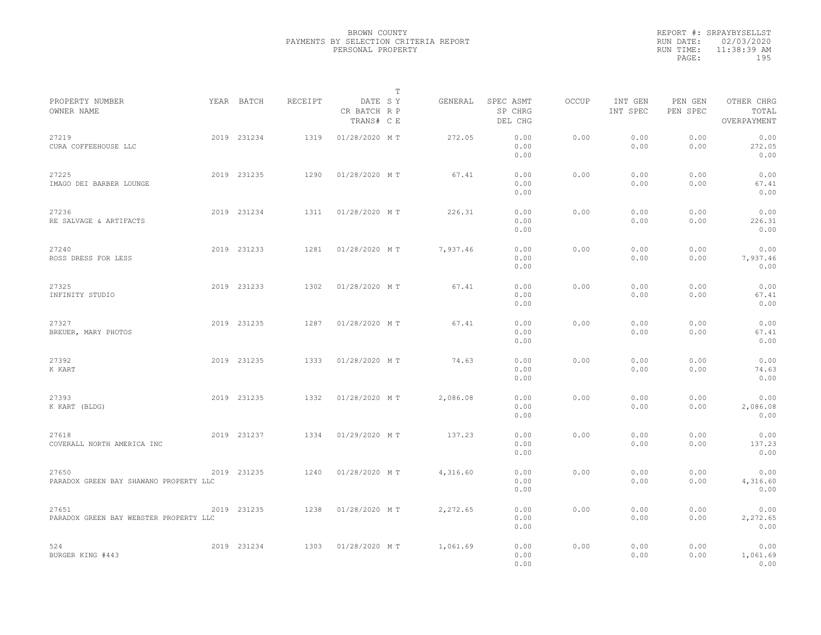|                                                 |             |         |                                       | $\mathbb{T}$ |                                 |              |                     |                     |                                    |
|-------------------------------------------------|-------------|---------|---------------------------------------|--------------|---------------------------------|--------------|---------------------|---------------------|------------------------------------|
| PROPERTY NUMBER<br>OWNER NAME                   | YEAR BATCH  | RECEIPT | DATE SY<br>CR BATCH R P<br>TRANS# C E | GENERAL      | SPEC ASMT<br>SP CHRG<br>DEL CHG | <b>OCCUP</b> | INT GEN<br>INT SPEC | PEN GEN<br>PEN SPEC | OTHER CHRG<br>TOTAL<br>OVERPAYMENT |
| 27219<br>CURA COFFEEHOUSE LLC                   | 2019 231234 | 1319    | 01/28/2020 MT                         | 272.05       | 0.00<br>0.00<br>0.00            | 0.00         | 0.00<br>0.00        | 0.00<br>0.00        | 0.00<br>272.05<br>0.00             |
| 27225<br>IMAGO DEI BARBER LOUNGE                | 2019 231235 | 1290    | 01/28/2020 MT                         | 67.41        | 0.00<br>0.00<br>0.00            | 0.00         | 0.00<br>0.00        | 0.00<br>0.00        | 0.00<br>67.41<br>0.00              |
| 27236<br>RE SALVAGE & ARTIFACTS                 | 2019 231234 | 1311    | 01/28/2020 MT                         | 226.31       | 0.00<br>0.00<br>0.00            | 0.00         | 0.00<br>0.00        | 0.00<br>0.00        | 0.00<br>226.31<br>0.00             |
| 27240<br>ROSS DRESS FOR LESS                    | 2019 231233 | 1281    | 01/28/2020 MT                         | 7,937.46     | 0.00<br>0.00<br>0.00            | 0.00         | 0.00<br>0.00        | 0.00<br>0.00        | 0.00<br>7,937.46<br>0.00           |
| 27325<br>INFINITY STUDIO                        | 2019 231233 | 1302    | 01/28/2020 MT                         | 67.41        | 0.00<br>0.00<br>0.00            | 0.00         | 0.00<br>0.00        | 0.00<br>0.00        | 0.00<br>67.41<br>0.00              |
| 27327<br>BREUER, MARY PHOTOS                    | 2019 231235 | 1287    | 01/28/2020 MT                         | 67.41        | 0.00<br>0.00<br>0.00            | 0.00         | 0.00<br>0.00        | 0.00<br>0.00        | 0.00<br>67.41<br>0.00              |
| 27392<br>K KART                                 | 2019 231235 | 1333    | 01/28/2020 MT                         | 74.63        | 0.00<br>0.00<br>0.00            | 0.00         | 0.00<br>0.00        | 0.00<br>0.00        | 0.00<br>74.63<br>0.00              |
| 27393<br>K KART (BLDG)                          | 2019 231235 | 1332    | 01/28/2020 MT                         | 2,086.08     | 0.00<br>0.00<br>0.00            | 0.00         | 0.00<br>0.00        | 0.00<br>0.00        | 0.00<br>2,086.08<br>0.00           |
| 27618<br>COVERALL NORTH AMERICA INC             | 2019 231237 | 1334    | 01/29/2020 MT                         | 137.23       | 0.00<br>0.00<br>0.00            | 0.00         | 0.00<br>0.00        | 0.00<br>0.00        | 0.00<br>137.23<br>0.00             |
| 27650<br>PARADOX GREEN BAY SHAWANO PROPERTY LLC | 2019 231235 | 1240    | 01/28/2020 MT                         | 4,316.60     | 0.00<br>0.00<br>0.00            | 0.00         | 0.00<br>0.00        | 0.00<br>0.00        | 0.00<br>4,316.60<br>0.00           |
| 27651<br>PARADOX GREEN BAY WEBSTER PROPERTY LLC | 2019 231235 | 1238    | 01/28/2020 MT                         | 2,272.65     | 0.00<br>0.00<br>0.00            | 0.00         | 0.00<br>0.00        | 0.00<br>0.00        | 0.00<br>2,272.65<br>0.00           |
| 524<br>BURGER KING #443                         | 2019 231234 | 1303    | 01/28/2020 MT                         | 1,061.69     | 0.00<br>0.00<br>0.00            | 0.00         | 0.00<br>0.00        | 0.00<br>0.00        | 0.00<br>1,061.69<br>0.00           |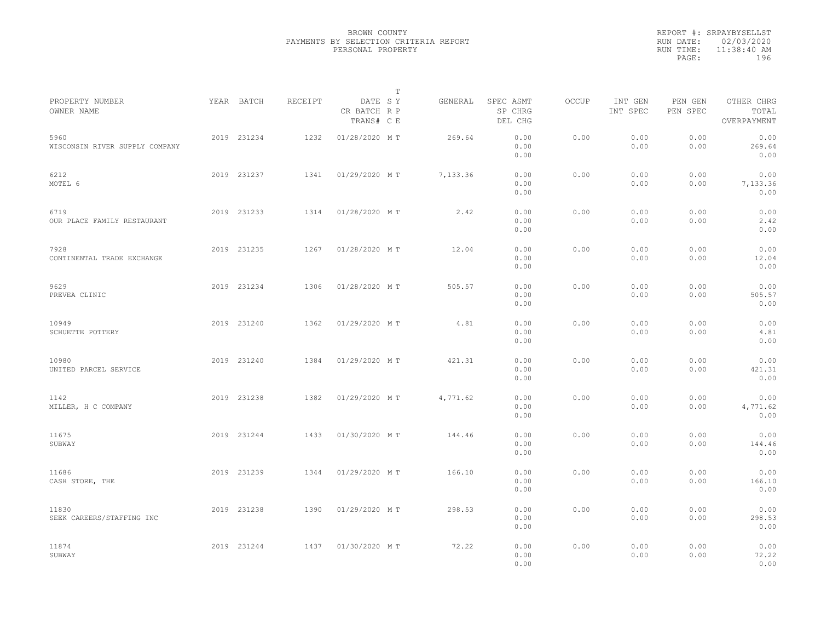|                                        |             |         |                                       | T |          |                                 |              |                     |                     |                                    |  |
|----------------------------------------|-------------|---------|---------------------------------------|---|----------|---------------------------------|--------------|---------------------|---------------------|------------------------------------|--|
| PROPERTY NUMBER<br>OWNER NAME          | YEAR BATCH  | RECEIPT | DATE SY<br>CR BATCH R P<br>TRANS# C E |   | GENERAL  | SPEC ASMT<br>SP CHRG<br>DEL CHG | <b>OCCUP</b> | INT GEN<br>INT SPEC | PEN GEN<br>PEN SPEC | OTHER CHRG<br>TOTAL<br>OVERPAYMENT |  |
| 5960<br>WISCONSIN RIVER SUPPLY COMPANY | 2019 231234 | 1232    | 01/28/2020 MT                         |   | 269.64   | 0.00<br>0.00<br>0.00            | 0.00         | 0.00<br>0.00        | 0.00<br>0.00        | 0.00<br>269.64<br>0.00             |  |
| 6212<br>MOTEL 6                        | 2019 231237 | 1341    | 01/29/2020 MT                         |   | 7,133.36 | 0.00<br>0.00<br>0.00            | 0.00         | 0.00<br>0.00        | 0.00<br>0.00        | 0.00<br>7,133.36<br>0.00           |  |
| 6719<br>OUR PLACE FAMILY RESTAURANT    | 2019 231233 | 1314    | 01/28/2020 MT                         |   | 2.42     | 0.00<br>0.00<br>0.00            | 0.00         | 0.00<br>0.00        | 0.00<br>0.00        | 0.00<br>2.42<br>0.00               |  |
| 7928<br>CONTINENTAL TRADE EXCHANGE     | 2019 231235 | 1267    | 01/28/2020 MT                         |   | 12.04    | 0.00<br>0.00<br>0.00            | 0.00         | 0.00<br>0.00        | 0.00<br>0.00        | 0.00<br>12.04<br>0.00              |  |
| 9629<br>PREVEA CLINIC                  | 2019 231234 | 1306    | 01/28/2020 MT                         |   | 505.57   | 0.00<br>0.00<br>0.00            | 0.00         | 0.00<br>0.00        | 0.00<br>0.00        | 0.00<br>505.57<br>0.00             |  |
| 10949<br>SCHUETTE POTTERY              | 2019 231240 | 1362    | 01/29/2020 MT                         |   | 4.81     | 0.00<br>0.00<br>0.00            | 0.00         | 0.00<br>0.00        | 0.00<br>0.00        | 0.00<br>4.81<br>0.00               |  |
| 10980<br>UNITED PARCEL SERVICE         | 2019 231240 | 1384    | 01/29/2020 MT                         |   | 421.31   | 0.00<br>0.00<br>0.00            | 0.00         | 0.00<br>0.00        | 0.00<br>0.00        | 0.00<br>421.31<br>0.00             |  |
| 1142<br>MILLER, H C COMPANY            | 2019 231238 | 1382    | 01/29/2020 MT                         |   | 4,771.62 | 0.00<br>0.00<br>0.00            | 0.00         | 0.00<br>0.00        | 0.00<br>0.00        | 0.00<br>4,771.62<br>0.00           |  |
| 11675<br>SUBWAY                        | 2019 231244 | 1433    | 01/30/2020 MT                         |   | 144.46   | 0.00<br>0.00<br>0.00            | 0.00         | 0.00<br>0.00        | 0.00<br>0.00        | 0.00<br>144.46<br>0.00             |  |
| 11686<br>CASH STORE, THE               | 2019 231239 | 1344    | 01/29/2020 MT                         |   | 166.10   | 0.00<br>0.00<br>0.00            | 0.00         | 0.00<br>0.00        | 0.00<br>0.00        | 0.00<br>166.10<br>0.00             |  |
| 11830<br>SEEK CAREERS/STAFFING INC     | 2019 231238 | 1390    | 01/29/2020 MT                         |   | 298.53   | 0.00<br>0.00<br>0.00            | 0.00         | 0.00<br>0.00        | 0.00<br>0.00        | 0.00<br>298.53<br>0.00             |  |
| 11874<br>SUBWAY                        | 2019 231244 | 1437    | 01/30/2020 MT                         |   | 72.22    | 0.00<br>0.00<br>0.00            | 0.00         | 0.00<br>0.00        | 0.00<br>0.00        | 0.00<br>72.22<br>0.00              |  |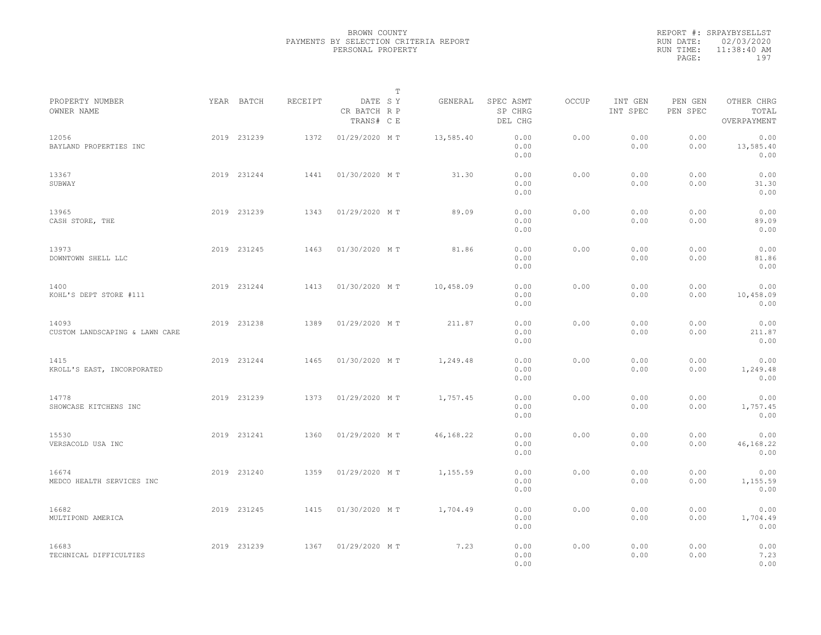|           | REPORT #: SRPAYBYSELLST |
|-----------|-------------------------|
|           | RUN DATE: 02/03/2020    |
| RUN TIME: | $11:38:40$ AM           |
| PAGE:     | 197                     |
|           |                         |

|                                         |             |         |                                       | T |           |                                 |       |                     |                     |                                    |  |
|-----------------------------------------|-------------|---------|---------------------------------------|---|-----------|---------------------------------|-------|---------------------|---------------------|------------------------------------|--|
| PROPERTY NUMBER<br>OWNER NAME           | YEAR BATCH  | RECEIPT | DATE SY<br>CR BATCH R P<br>TRANS# C E |   | GENERAL   | SPEC ASMT<br>SP CHRG<br>DEL CHG | OCCUP | INT GEN<br>INT SPEC | PEN GEN<br>PEN SPEC | OTHER CHRG<br>TOTAL<br>OVERPAYMENT |  |
| 12056<br>BAYLAND PROPERTIES INC         | 2019 231239 | 1372    | 01/29/2020 MT                         |   | 13,585.40 | 0.00<br>0.00<br>0.00            | 0.00  | 0.00<br>0.00        | 0.00<br>0.00        | 0.00<br>13,585.40<br>0.00          |  |
| 13367<br>SUBWAY                         | 2019 231244 | 1441    | 01/30/2020 MT                         |   | 31.30     | 0.00<br>0.00<br>0.00            | 0.00  | 0.00<br>0.00        | 0.00<br>0.00        | 0.00<br>31.30<br>0.00              |  |
| 13965<br>CASH STORE, THE                | 2019 231239 | 1343    | 01/29/2020 MT                         |   | 89.09     | 0.00<br>0.00<br>0.00            | 0.00  | 0.00<br>0.00        | 0.00<br>0.00        | 0.00<br>89.09<br>0.00              |  |
| 13973<br>DOWNTOWN SHELL LLC             | 2019 231245 | 1463    | 01/30/2020 MT                         |   | 81.86     | 0.00<br>0.00<br>0.00            | 0.00  | 0.00<br>0.00        | 0.00<br>0.00        | 0.00<br>81.86<br>0.00              |  |
| 1400<br>KOHL'S DEPT STORE #111          | 2019 231244 | 1413    | 01/30/2020 MT                         |   | 10,458.09 | 0.00<br>0.00<br>0.00            | 0.00  | 0.00<br>0.00        | 0.00<br>0.00        | 0.00<br>10,458.09<br>0.00          |  |
| 14093<br>CUSTOM LANDSCAPING & LAWN CARE | 2019 231238 | 1389    | 01/29/2020 MT                         |   | 211.87    | 0.00<br>0.00<br>0.00            | 0.00  | 0.00<br>0.00        | 0.00<br>0.00        | 0.00<br>211.87<br>0.00             |  |
| 1415<br>KROLL'S EAST, INCORPORATED      | 2019 231244 | 1465    | 01/30/2020 MT                         |   | 1,249.48  | 0.00<br>0.00<br>0.00            | 0.00  | 0.00<br>0.00        | 0.00<br>0.00        | 0.00<br>1,249.48<br>0.00           |  |
| 14778<br>SHOWCASE KITCHENS INC          | 2019 231239 | 1373    | 01/29/2020 MT                         |   | 1,757.45  | 0.00<br>0.00<br>0.00            | 0.00  | 0.00<br>0.00        | 0.00<br>0.00        | 0.00<br>1,757.45<br>0.00           |  |
| 15530<br>VERSACOLD USA INC              | 2019 231241 | 1360    | 01/29/2020 MT                         |   | 46,168.22 | 0.00<br>0.00<br>0.00            | 0.00  | 0.00<br>0.00        | 0.00<br>0.00        | 0.00<br>46,168.22<br>0.00          |  |
| 16674<br>MEDCO HEALTH SERVICES INC      | 2019 231240 | 1359    | 01/29/2020 MT                         |   | 1,155.59  | 0.00<br>0.00<br>0.00            | 0.00  | 0.00<br>0.00        | 0.00<br>0.00        | 0.00<br>1,155.59<br>0.00           |  |
| 16682<br>MULTIPOND AMERICA              | 2019 231245 | 1415    | 01/30/2020 MT                         |   | 1,704.49  | 0.00<br>0.00<br>0.00            | 0.00  | 0.00<br>0.00        | 0.00<br>0.00        | 0.00<br>1,704.49<br>0.00           |  |
| 16683<br>TECHNICAL DIFFICULTIES         | 2019 231239 | 1367    | 01/29/2020 MT                         |   | 7.23      | 0.00<br>0.00<br>0.00            | 0.00  | 0.00<br>0.00        | 0.00<br>0.00        | 0.00<br>7.23<br>0.00               |  |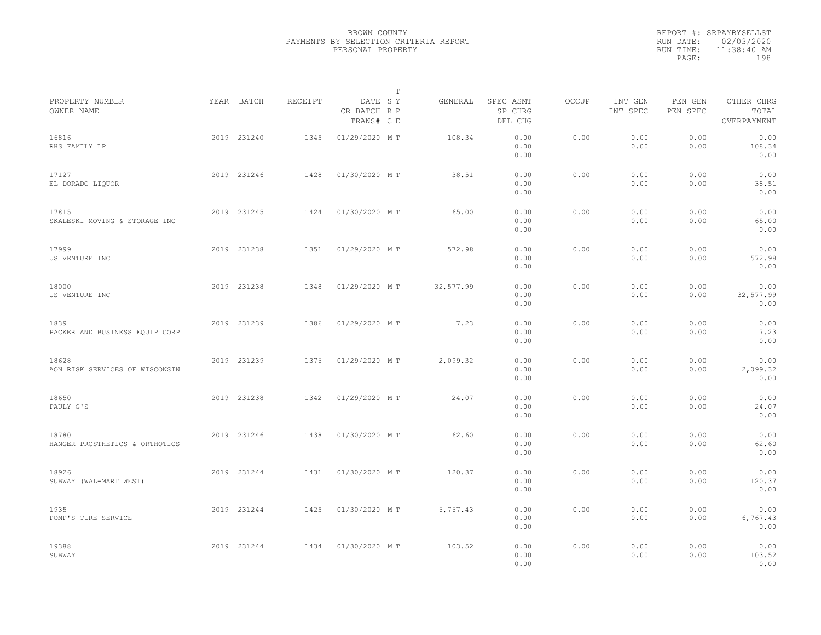|           | REPORT #: SRPAYBYSELLST |
|-----------|-------------------------|
|           | RUN DATE: 02/03/2020    |
| RUN TIME: | $11:38:40$ AM           |
| PAGE:     | 198                     |
|           |                         |

|                                         |             |         |                                       | $\mathbb T$ |           |                                 |       |                     |                     |                                    |  |
|-----------------------------------------|-------------|---------|---------------------------------------|-------------|-----------|---------------------------------|-------|---------------------|---------------------|------------------------------------|--|
| PROPERTY NUMBER<br>OWNER NAME           | YEAR BATCH  | RECEIPT | DATE SY<br>CR BATCH R P<br>TRANS# C E |             | GENERAL   | SPEC ASMT<br>SP CHRG<br>DEL CHG | OCCUP | INT GEN<br>INT SPEC | PEN GEN<br>PEN SPEC | OTHER CHRG<br>TOTAL<br>OVERPAYMENT |  |
| 16816<br>RHS FAMILY LP                  | 2019 231240 | 1345    | 01/29/2020 MT                         |             | 108.34    | 0.00<br>0.00<br>0.00            | 0.00  | 0.00<br>0.00        | 0.00<br>0.00        | 0.00<br>108.34<br>0.00             |  |
| 17127<br>EL DORADO LIQUOR               | 2019 231246 | 1428    | 01/30/2020 MT                         |             | 38.51     | 0.00<br>0.00<br>0.00            | 0.00  | 0.00<br>0.00        | 0.00<br>0.00        | 0.00<br>38.51<br>0.00              |  |
| 17815<br>SKALESKI MOVING & STORAGE INC  | 2019 231245 | 1424    | 01/30/2020 MT                         |             | 65.00     | 0.00<br>0.00<br>0.00            | 0.00  | 0.00<br>0.00        | 0.00<br>0.00        | 0.00<br>65.00<br>0.00              |  |
| 17999<br>US VENTURE INC                 | 2019 231238 | 1351    | 01/29/2020 MT                         |             | 572.98    | 0.00<br>0.00<br>0.00            | 0.00  | 0.00<br>0.00        | 0.00<br>0.00        | 0.00<br>572.98<br>0.00             |  |
| 18000<br>US VENTURE INC                 | 2019 231238 | 1348    | 01/29/2020 MT                         |             | 32,577.99 | 0.00<br>0.00<br>0.00            | 0.00  | 0.00<br>0.00        | 0.00<br>0.00        | 0.00<br>32,577.99<br>0.00          |  |
| 1839<br>PACKERLAND BUSINESS EQUIP CORP  | 2019 231239 | 1386    | 01/29/2020 MT                         |             | 7.23      | 0.00<br>0.00<br>0.00            | 0.00  | 0.00<br>0.00        | 0.00<br>0.00        | 0.00<br>7.23<br>0.00               |  |
| 18628<br>AON RISK SERVICES OF WISCONSIN | 2019 231239 | 1376    | 01/29/2020 MT                         |             | 2,099.32  | 0.00<br>0.00<br>0.00            | 0.00  | 0.00<br>0.00        | 0.00<br>0.00        | 0.00<br>2,099.32<br>0.00           |  |
| 18650<br>PAULY G'S                      | 2019 231238 | 1342    | 01/29/2020 MT                         |             | 24.07     | 0.00<br>0.00<br>0.00            | 0.00  | 0.00<br>0.00        | 0.00<br>0.00        | 0.00<br>24.07<br>0.00              |  |
| 18780<br>HANGER PROSTHETICS & ORTHOTICS | 2019 231246 | 1438    | 01/30/2020 MT                         |             | 62.60     | 0.00<br>0.00<br>0.00            | 0.00  | 0.00<br>0.00        | 0.00<br>0.00        | 0.00<br>62.60<br>0.00              |  |
| 18926<br>SUBWAY (WAL-MART WEST)         | 2019 231244 | 1431    | 01/30/2020 MT                         |             | 120.37    | 0.00<br>0.00<br>0.00            | 0.00  | 0.00<br>0.00        | 0.00<br>0.00        | 0.00<br>120.37<br>0.00             |  |
| 1935<br>POMP'S TIRE SERVICE             | 2019 231244 | 1425    | 01/30/2020 MT                         |             | 6,767.43  | 0.00<br>0.00<br>0.00            | 0.00  | 0.00<br>0.00        | 0.00<br>0.00        | 0.00<br>6,767.43<br>0.00           |  |
| 19388<br>SUBWAY                         | 2019 231244 | 1434    | 01/30/2020 MT                         |             | 103.52    | 0.00<br>0.00<br>0.00            | 0.00  | 0.00<br>0.00        | 0.00<br>0.00        | 0.00<br>103.52<br>0.00             |  |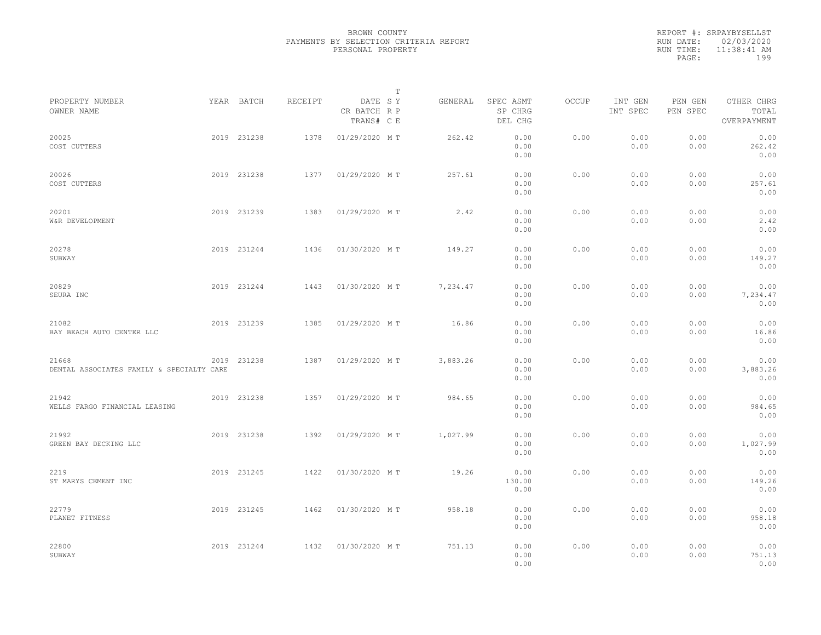|                                                    |             |         |                                       | T |          |                                 |              |                     |                     |                                    |  |
|----------------------------------------------------|-------------|---------|---------------------------------------|---|----------|---------------------------------|--------------|---------------------|---------------------|------------------------------------|--|
| PROPERTY NUMBER<br>OWNER NAME                      | YEAR BATCH  | RECEIPT | DATE SY<br>CR BATCH R P<br>TRANS# C E |   | GENERAL  | SPEC ASMT<br>SP CHRG<br>DEL CHG | <b>OCCUP</b> | INT GEN<br>INT SPEC | PEN GEN<br>PEN SPEC | OTHER CHRG<br>TOTAL<br>OVERPAYMENT |  |
| 20025<br>COST CUTTERS                              | 2019 231238 | 1378    | 01/29/2020 MT                         |   | 262.42   | 0.00<br>0.00<br>0.00            | 0.00         | 0.00<br>0.00        | 0.00<br>0.00        | 0.00<br>262.42<br>0.00             |  |
| 20026<br>COST CUTTERS                              | 2019 231238 | 1377    | 01/29/2020 MT                         |   | 257.61   | 0.00<br>0.00<br>0.00            | 0.00         | 0.00<br>0.00        | 0.00<br>0.00        | 0.00<br>257.61<br>0.00             |  |
| 20201<br>W&R DEVELOPMENT                           | 2019 231239 | 1383    | 01/29/2020 MT                         |   | 2.42     | 0.00<br>0.00<br>0.00            | 0.00         | 0.00<br>0.00        | 0.00<br>0.00        | 0.00<br>2.42<br>0.00               |  |
| 20278<br>SUBWAY                                    | 2019 231244 | 1436    | 01/30/2020 MT                         |   | 149.27   | 0.00<br>0.00<br>0.00            | 0.00         | 0.00<br>0.00        | 0.00<br>0.00        | 0.00<br>149.27<br>0.00             |  |
| 20829<br>SEURA INC                                 | 2019 231244 | 1443    | 01/30/2020 MT                         |   | 7,234.47 | 0.00<br>0.00<br>0.00            | 0.00         | 0.00<br>0.00        | 0.00<br>0.00        | 0.00<br>7,234.47<br>0.00           |  |
| 21082<br>BAY BEACH AUTO CENTER LLC                 | 2019 231239 | 1385    | 01/29/2020 MT                         |   | 16.86    | 0.00<br>0.00<br>0.00            | 0.00         | 0.00<br>0.00        | 0.00<br>0.00        | 0.00<br>16.86<br>0.00              |  |
| 21668<br>DENTAL ASSOCIATES FAMILY & SPECIALTY CARE | 2019 231238 | 1387    | 01/29/2020 MT                         |   | 3,883.26 | 0.00<br>0.00<br>0.00            | 0.00         | 0.00<br>0.00        | 0.00<br>0.00        | 0.00<br>3,883.26<br>0.00           |  |
| 21942<br>WELLS FARGO FINANCIAL LEASING             | 2019 231238 | 1357    | 01/29/2020 MT                         |   | 984.65   | 0.00<br>0.00<br>0.00            | 0.00         | 0.00<br>0.00        | 0.00<br>0.00        | 0.00<br>984.65<br>0.00             |  |
| 21992<br>GREEN BAY DECKING LLC                     | 2019 231238 | 1392    | 01/29/2020 MT                         |   | 1,027.99 | 0.00<br>0.00<br>0.00            | 0.00         | 0.00<br>0.00        | 0.00<br>0.00        | 0.00<br>1,027.99<br>0.00           |  |
| 2219<br>ST MARYS CEMENT INC                        | 2019 231245 | 1422    | 01/30/2020 MT                         |   | 19.26    | 0.00<br>130.00<br>0.00          | 0.00         | 0.00<br>0.00        | 0.00<br>0.00        | 0.00<br>149.26<br>0.00             |  |
| 22779<br>PLANET FITNESS                            | 2019 231245 | 1462    | 01/30/2020 MT                         |   | 958.18   | 0.00<br>0.00<br>0.00            | 0.00         | 0.00<br>0.00        | 0.00<br>0.00        | 0.00<br>958.18<br>0.00             |  |
| 22800<br>SUBWAY                                    | 2019 231244 | 1432    | 01/30/2020 MT                         |   | 751.13   | 0.00<br>0.00<br>0.00            | 0.00         | 0.00<br>0.00        | 0.00<br>0.00        | 0.00<br>751.13<br>0.00             |  |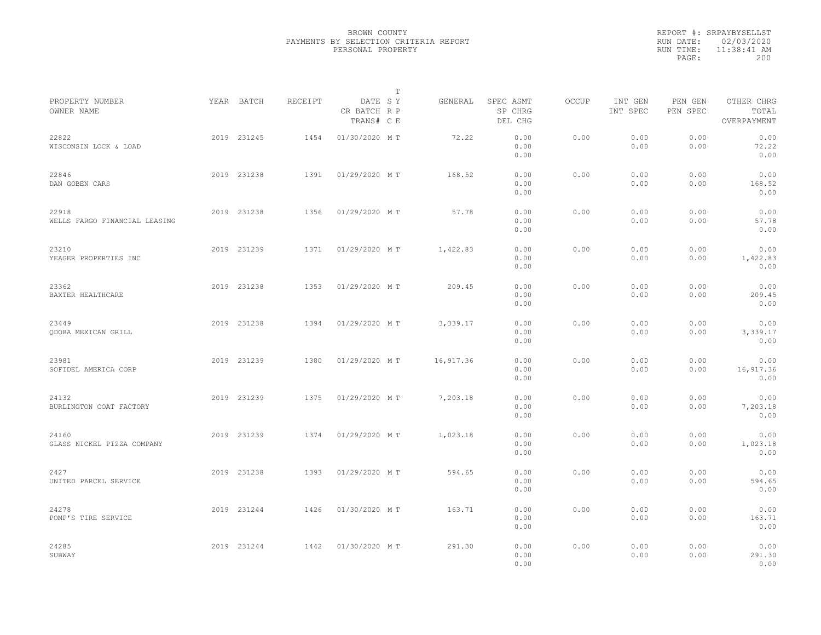|                                        |             |         |                                       | $\mathbb T$ |           |                                 |              |                     |                     |                                    |  |
|----------------------------------------|-------------|---------|---------------------------------------|-------------|-----------|---------------------------------|--------------|---------------------|---------------------|------------------------------------|--|
| PROPERTY NUMBER<br>OWNER NAME          | YEAR BATCH  | RECEIPT | DATE SY<br>CR BATCH R P<br>TRANS# C E |             | GENERAL   | SPEC ASMT<br>SP CHRG<br>DEL CHG | <b>OCCUP</b> | INT GEN<br>INT SPEC | PEN GEN<br>PEN SPEC | OTHER CHRG<br>TOTAL<br>OVERPAYMENT |  |
| 22822<br>WISCONSIN LOCK & LOAD         | 2019 231245 | 1454    | 01/30/2020 MT                         |             | 72.22     | 0.00<br>0.00<br>0.00            | 0.00         | 0.00<br>0.00        | 0.00<br>0.00        | 0.00<br>72.22<br>0.00              |  |
| 22846<br>DAN GOBEN CARS                | 2019 231238 | 1391    | 01/29/2020 MT                         |             | 168.52    | 0.00<br>0.00<br>0.00            | 0.00         | 0.00<br>0.00        | 0.00<br>0.00        | 0.00<br>168.52<br>0.00             |  |
| 22918<br>WELLS FARGO FINANCIAL LEASING | 2019 231238 | 1356    | 01/29/2020 MT                         |             | 57.78     | 0.00<br>0.00<br>0.00            | 0.00         | 0.00<br>0.00        | 0.00<br>0.00        | 0.00<br>57.78<br>0.00              |  |
| 23210<br>YEAGER PROPERTIES INC         | 2019 231239 | 1371    | 01/29/2020 MT                         |             | 1,422.83  | 0.00<br>0.00<br>0.00            | 0.00         | 0.00<br>0.00        | 0.00<br>0.00        | 0.00<br>1,422.83<br>0.00           |  |
| 23362<br>BAXTER HEALTHCARE             | 2019 231238 | 1353    | 01/29/2020 MT                         |             | 209.45    | 0.00<br>0.00<br>0.00            | 0.00         | 0.00<br>0.00        | 0.00<br>0.00        | 0.00<br>209.45<br>0.00             |  |
| 23449<br>ODOBA MEXICAN GRILL           | 2019 231238 | 1394    | 01/29/2020 MT                         |             | 3,339.17  | 0.00<br>0.00<br>0.00            | 0.00         | 0.00<br>0.00        | 0.00<br>0.00        | 0.00<br>3,339.17<br>0.00           |  |
| 23981<br>SOFIDEL AMERICA CORP          | 2019 231239 | 1380    | 01/29/2020 MT                         |             | 16,917.36 | 0.00<br>0.00<br>0.00            | 0.00         | 0.00<br>0.00        | 0.00<br>0.00        | 0.00<br>16,917.36<br>0.00          |  |
| 24132<br>BURLINGTON COAT FACTORY       | 2019 231239 | 1375    | 01/29/2020 MT                         |             | 7,203.18  | 0.00<br>0.00<br>0.00            | 0.00         | 0.00<br>0.00        | 0.00<br>0.00        | 0.00<br>7,203.18<br>0.00           |  |
| 24160<br>GLASS NICKEL PIZZA COMPANY    | 2019 231239 | 1374    | 01/29/2020 MT                         |             | 1,023.18  | 0.00<br>0.00<br>0.00            | 0.00         | 0.00<br>0.00        | 0.00<br>0.00        | 0.00<br>1,023.18<br>0.00           |  |
| 2427<br>UNITED PARCEL SERVICE          | 2019 231238 | 1393    | 01/29/2020 MT                         |             | 594.65    | 0.00<br>0.00<br>0.00            | 0.00         | 0.00<br>0.00        | 0.00<br>0.00        | 0.00<br>594.65<br>0.00             |  |
| 24278<br>POMP'S TIRE SERVICE           | 2019 231244 | 1426    | 01/30/2020 MT                         |             | 163.71    | 0.00<br>0.00<br>0.00            | 0.00         | 0.00<br>0.00        | 0.00<br>0.00        | 0.00<br>163.71<br>0.00             |  |
| 24285<br>SUBWAY                        | 2019 231244 | 1442    | 01/30/2020 MT                         |             | 291.30    | 0.00<br>0.00<br>0.00            | 0.00         | 0.00<br>0.00        | 0.00<br>0.00        | 0.00<br>291.30<br>0.00             |  |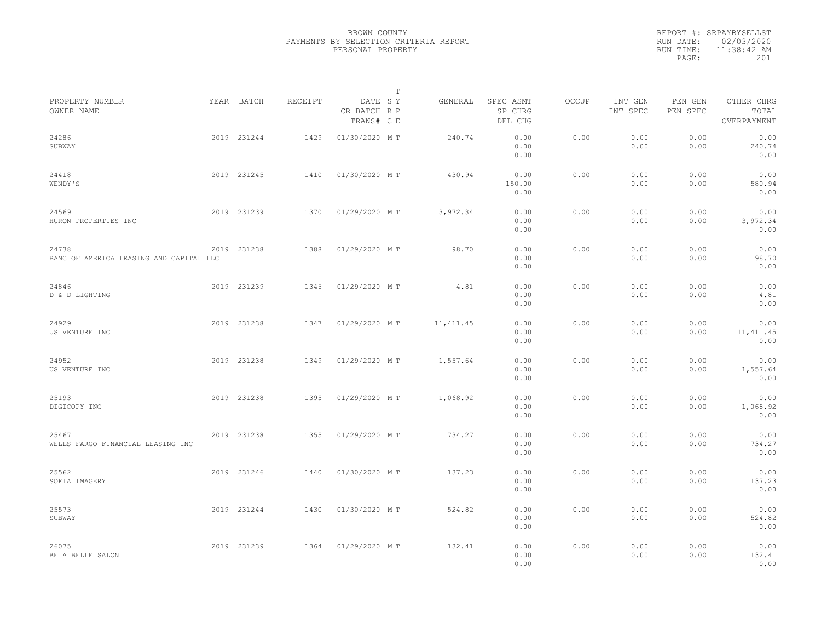|           | REPORT #: SRPAYBYSELLST |
|-----------|-------------------------|
|           | RUN DATE: 02/03/2020    |
| RUN TIME: | $11:38:42$ AM           |
| PAGE:     | 201                     |
|           |                         |

|                                                  |             |         |                                       | $\mathbb T$ |            |                                 |       |                     |                     |                                    |  |
|--------------------------------------------------|-------------|---------|---------------------------------------|-------------|------------|---------------------------------|-------|---------------------|---------------------|------------------------------------|--|
| PROPERTY NUMBER<br>OWNER NAME                    | YEAR BATCH  | RECEIPT | DATE SY<br>CR BATCH R P<br>TRANS# C E |             | GENERAL    | SPEC ASMT<br>SP CHRG<br>DEL CHG | OCCUP | INT GEN<br>INT SPEC | PEN GEN<br>PEN SPEC | OTHER CHRG<br>TOTAL<br>OVERPAYMENT |  |
| 24286<br>SUBWAY                                  | 2019 231244 | 1429    | 01/30/2020 MT                         |             | 240.74     | 0.00<br>0.00<br>0.00            | 0.00  | 0.00<br>0.00        | 0.00<br>0.00        | 0.00<br>240.74<br>0.00             |  |
| 24418<br>WENDY'S                                 | 2019 231245 | 1410    | 01/30/2020 MT                         |             | 430.94     | 0.00<br>150.00<br>0.00          | 0.00  | 0.00<br>0.00        | 0.00<br>0.00        | 0.00<br>580.94<br>0.00             |  |
| 24569<br>HURON PROPERTIES INC                    | 2019 231239 | 1370    | 01/29/2020 MT                         |             | 3,972.34   | 0.00<br>0.00<br>0.00            | 0.00  | 0.00<br>0.00        | 0.00<br>0.00        | 0.00<br>3,972.34<br>0.00           |  |
| 24738<br>BANC OF AMERICA LEASING AND CAPITAL LLC | 2019 231238 | 1388    | 01/29/2020 MT                         |             | 98.70      | 0.00<br>0.00<br>0.00            | 0.00  | 0.00<br>0.00        | 0.00<br>0.00        | 0.00<br>98.70<br>0.00              |  |
| 24846<br>D & D LIGHTING                          | 2019 231239 | 1346    | 01/29/2020 MT                         |             | 4.81       | 0.00<br>0.00<br>0.00            | 0.00  | 0.00<br>0.00        | 0.00<br>0.00        | 0.00<br>4.81<br>0.00               |  |
| 24929<br>US VENTURE INC                          | 2019 231238 | 1347    | 01/29/2020 MT                         |             | 11, 411.45 | 0.00<br>0.00<br>0.00            | 0.00  | 0.00<br>0.00        | 0.00<br>0.00        | 0.00<br>11, 411.45<br>0.00         |  |
| 24952<br>US VENTURE INC                          | 2019 231238 | 1349    | 01/29/2020 MT                         |             | 1,557.64   | 0.00<br>0.00<br>0.00            | 0.00  | 0.00<br>0.00        | 0.00<br>0.00        | 0.00<br>1,557.64<br>0.00           |  |
| 25193<br>DIGICOPY INC                            | 2019 231238 | 1395    | 01/29/2020 MT                         |             | 1,068.92   | 0.00<br>0.00<br>0.00            | 0.00  | 0.00<br>0.00        | 0.00<br>0.00        | 0.00<br>1,068.92<br>0.00           |  |
| 25467<br>WELLS FARGO FINANCIAL LEASING INC       | 2019 231238 | 1355    | 01/29/2020 MT                         |             | 734.27     | 0.00<br>0.00<br>0.00            | 0.00  | 0.00<br>0.00        | 0.00<br>0.00        | 0.00<br>734.27<br>0.00             |  |
| 25562<br>SOFIA IMAGERY                           | 2019 231246 | 1440    | 01/30/2020 MT                         |             | 137.23     | 0.00<br>0.00<br>0.00            | 0.00  | 0.00<br>0.00        | 0.00<br>0.00        | 0.00<br>137.23<br>0.00             |  |
| 25573<br>SUBWAY                                  | 2019 231244 | 1430    | 01/30/2020 MT                         |             | 524.82     | 0.00<br>0.00<br>0.00            | 0.00  | 0.00<br>0.00        | 0.00<br>0.00        | 0.00<br>524.82<br>0.00             |  |
| 26075<br>BE A BELLE SALON                        | 2019 231239 | 1364    | 01/29/2020 MT                         |             | 132.41     | 0.00<br>0.00<br>0.00            | 0.00  | 0.00<br>0.00        | 0.00<br>0.00        | 0.00<br>132.41<br>0.00             |  |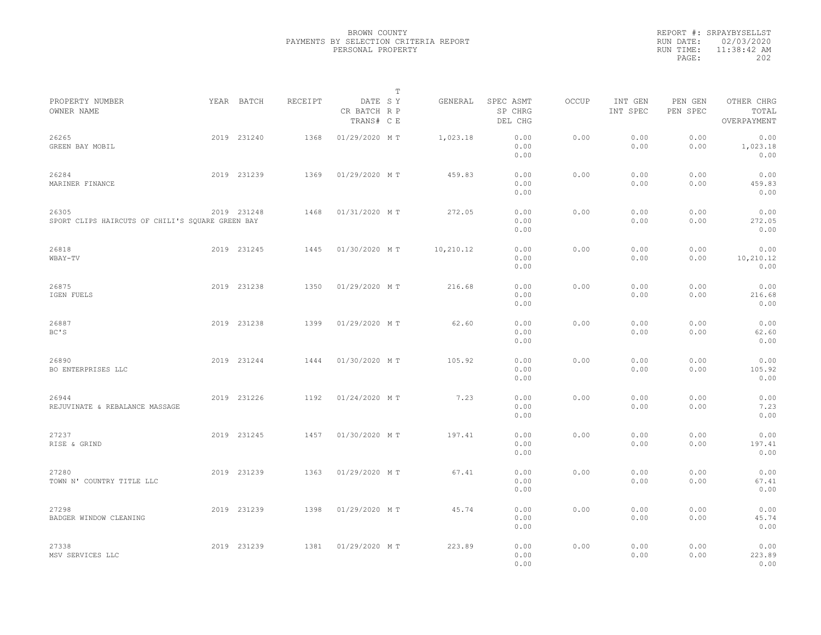|           | REPORT #: SRPAYBYSELLST |
|-----------|-------------------------|
|           | RUN DATE: 02/03/2020    |
| RUN TIME: | $11:38:42$ AM           |
| PAGE:     | 202                     |
|           |                         |

|                                                           |             |         |                                       | T |           |                                 |       |                     |                     |                                    |  |
|-----------------------------------------------------------|-------------|---------|---------------------------------------|---|-----------|---------------------------------|-------|---------------------|---------------------|------------------------------------|--|
| PROPERTY NUMBER<br>OWNER NAME                             | YEAR BATCH  | RECEIPT | DATE SY<br>CR BATCH R P<br>TRANS# C E |   | GENERAL   | SPEC ASMT<br>SP CHRG<br>DEL CHG | OCCUP | INT GEN<br>INT SPEC | PEN GEN<br>PEN SPEC | OTHER CHRG<br>TOTAL<br>OVERPAYMENT |  |
| 26265<br>GREEN BAY MOBIL                                  | 2019 231240 | 1368    | 01/29/2020 MT                         |   | 1,023.18  | 0.00<br>0.00<br>0.00            | 0.00  | 0.00<br>0.00        | 0.00<br>0.00        | 0.00<br>1,023.18<br>0.00           |  |
| 26284<br>MARINER FINANCE                                  | 2019 231239 | 1369    | 01/29/2020 MT                         |   | 459.83    | 0.00<br>0.00<br>0.00            | 0.00  | 0.00<br>0.00        | 0.00<br>0.00        | 0.00<br>459.83<br>0.00             |  |
| 26305<br>SPORT CLIPS HAIRCUTS OF CHILI'S SOUARE GREEN BAY | 2019 231248 | 1468    | 01/31/2020 MT                         |   | 272.05    | 0.00<br>0.00<br>0.00            | 0.00  | 0.00<br>0.00        | 0.00<br>0.00        | 0.00<br>272.05<br>0.00             |  |
| 26818<br>WBAY-TV                                          | 2019 231245 | 1445    | 01/30/2020 MT                         |   | 10,210.12 | 0.00<br>0.00<br>0.00            | 0.00  | 0.00<br>0.00        | 0.00<br>0.00        | 0.00<br>10,210.12<br>0.00          |  |
| 26875<br>IGEN FUELS                                       | 2019 231238 | 1350    | 01/29/2020 MT                         |   | 216.68    | 0.00<br>0.00<br>0.00            | 0.00  | 0.00<br>0.00        | 0.00<br>0.00        | 0.00<br>216.68<br>0.00             |  |
| 26887<br>BC'S                                             | 2019 231238 | 1399    | 01/29/2020 MT                         |   | 62.60     | 0.00<br>0.00<br>0.00            | 0.00  | 0.00<br>0.00        | 0.00<br>0.00        | 0.00<br>62.60<br>0.00              |  |
| 26890<br>BO ENTERPRISES LLC                               | 2019 231244 | 1444    | 01/30/2020 MT                         |   | 105.92    | 0.00<br>0.00<br>0.00            | 0.00  | 0.00<br>0.00        | 0.00<br>0.00        | 0.00<br>105.92<br>0.00             |  |
| 26944<br>REJUVINATE & REBALANCE MASSAGE                   | 2019 231226 | 1192    | 01/24/2020 MT                         |   | 7.23      | 0.00<br>0.00<br>0.00            | 0.00  | 0.00<br>0.00        | 0.00<br>0.00        | 0.00<br>7.23<br>0.00               |  |
| 27237<br>RISE & GRIND                                     | 2019 231245 | 1457    | 01/30/2020 MT                         |   | 197.41    | 0.00<br>0.00<br>0.00            | 0.00  | 0.00<br>0.00        | 0.00<br>0.00        | 0.00<br>197.41<br>0.00             |  |
| 27280<br>TOWN N' COUNTRY TITLE LLC                        | 2019 231239 | 1363    | 01/29/2020 MT                         |   | 67.41     | 0.00<br>0.00<br>0.00            | 0.00  | 0.00<br>0.00        | 0.00<br>0.00        | 0.00<br>67.41<br>0.00              |  |
| 27298<br>BADGER WINDOW CLEANING                           | 2019 231239 | 1398    | 01/29/2020 MT                         |   | 45.74     | 0.00<br>0.00<br>0.00            | 0.00  | 0.00<br>0.00        | 0.00<br>0.00        | 0.00<br>45.74<br>0.00              |  |
| 27338<br>MSV SERVICES LLC                                 | 2019 231239 | 1381    | 01/29/2020 MT                         |   | 223.89    | 0.00<br>0.00<br>0.00            | 0.00  | 0.00<br>0.00        | 0.00<br>0.00        | 0.00<br>223.89<br>0.00             |  |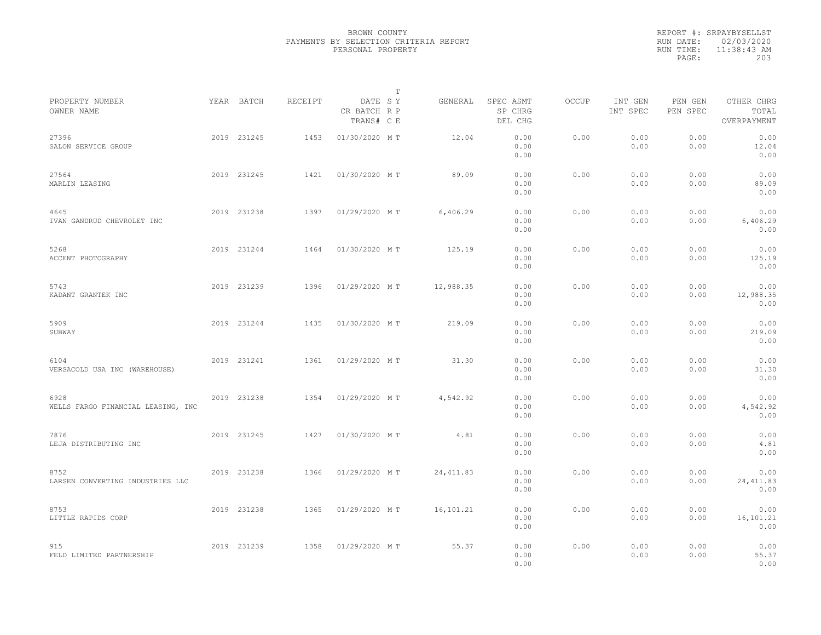|           | REPORT #: SRPAYBYSELLST |  |
|-----------|-------------------------|--|
|           | RUN DATE: 02/03/2020    |  |
| RUN TIME: | $11:38:43$ AM           |  |
| PAGE:     | 203                     |  |
|           |                         |  |

|                                            |             |         |                                       | $\mathbb T$ |            |                                 |       |                     |                     |                                    |  |
|--------------------------------------------|-------------|---------|---------------------------------------|-------------|------------|---------------------------------|-------|---------------------|---------------------|------------------------------------|--|
| PROPERTY NUMBER<br>OWNER NAME              | YEAR BATCH  | RECEIPT | DATE SY<br>CR BATCH R P<br>TRANS# C E |             | GENERAL    | SPEC ASMT<br>SP CHRG<br>DEL CHG | OCCUP | INT GEN<br>INT SPEC | PEN GEN<br>PEN SPEC | OTHER CHRG<br>TOTAL<br>OVERPAYMENT |  |
| 27396<br>SALON SERVICE GROUP               | 2019 231245 | 1453    | 01/30/2020 MT                         |             | 12.04      | 0.00<br>0.00<br>0.00            | 0.00  | 0.00<br>0.00        | 0.00<br>0.00        | 0.00<br>12.04<br>0.00              |  |
| 27564<br>MARLIN LEASING                    | 2019 231245 | 1421    | 01/30/2020 MT                         |             | 89.09      | 0.00<br>0.00<br>0.00            | 0.00  | 0.00<br>0.00        | 0.00<br>0.00        | 0.00<br>89.09<br>0.00              |  |
| 4645<br>IVAN GANDRUD CHEVROLET INC         | 2019 231238 | 1397    | 01/29/2020 MT                         |             | 6,406.29   | 0.00<br>0.00<br>0.00            | 0.00  | 0.00<br>0.00        | 0.00<br>0.00        | 0.00<br>6,406.29<br>0.00           |  |
| 5268<br>ACCENT PHOTOGRAPHY                 | 2019 231244 | 1464    | 01/30/2020 MT                         |             | 125.19     | 0.00<br>0.00<br>0.00            | 0.00  | 0.00<br>0.00        | 0.00<br>0.00        | 0.00<br>125.19<br>0.00             |  |
| 5743<br>KADANT GRANTEK INC                 | 2019 231239 | 1396    | 01/29/2020 MT                         |             | 12,988.35  | 0.00<br>0.00<br>0.00            | 0.00  | 0.00<br>0.00        | 0.00<br>0.00        | 0.00<br>12,988.35<br>0.00          |  |
| 5909<br>SUBWAY                             | 2019 231244 | 1435    | 01/30/2020 MT                         |             | 219.09     | 0.00<br>0.00<br>0.00            | 0.00  | 0.00<br>0.00        | 0.00<br>0.00        | 0.00<br>219.09<br>0.00             |  |
| 6104<br>VERSACOLD USA INC (WAREHOUSE)      | 2019 231241 | 1361    | 01/29/2020 MT                         |             | 31.30      | 0.00<br>0.00<br>0.00            | 0.00  | 0.00<br>0.00        | 0.00<br>0.00        | 0.00<br>31.30<br>0.00              |  |
| 6928<br>WELLS FARGO FINANCIAL LEASING, INC | 2019 231238 | 1354    | 01/29/2020 MT                         |             | 4,542.92   | 0.00<br>0.00<br>0.00            | 0.00  | 0.00<br>0.00        | 0.00<br>0.00        | 0.00<br>4,542.92<br>0.00           |  |
| 7876<br>LEJA DISTRIBUTING INC              | 2019 231245 | 1427    | 01/30/2020 MT                         |             | 4.81       | 0.00<br>0.00<br>0.00            | 0.00  | 0.00<br>0.00        | 0.00<br>0.00        | 0.00<br>4.81<br>0.00               |  |
| 8752<br>LARSEN CONVERTING INDUSTRIES LLC   | 2019 231238 | 1366    | 01/29/2020 MT                         |             | 24, 411.83 | 0.00<br>0.00<br>0.00            | 0.00  | 0.00<br>0.00        | 0.00<br>0.00        | 0.00<br>24, 411.83<br>0.00         |  |
| 8753<br>LITTLE RAPIDS CORP                 | 2019 231238 | 1365    | 01/29/2020 MT                         |             | 16,101.21  | 0.00<br>0.00<br>0.00            | 0.00  | 0.00<br>0.00        | 0.00<br>0.00        | 0.00<br>16,101.21<br>0.00          |  |
| 915<br>FELD LIMITED PARTNERSHIP            | 2019 231239 | 1358    | 01/29/2020 MT                         |             | 55.37      | 0.00<br>0.00<br>0.00            | 0.00  | 0.00<br>0.00        | 0.00<br>0.00        | 0.00<br>55.37<br>0.00              |  |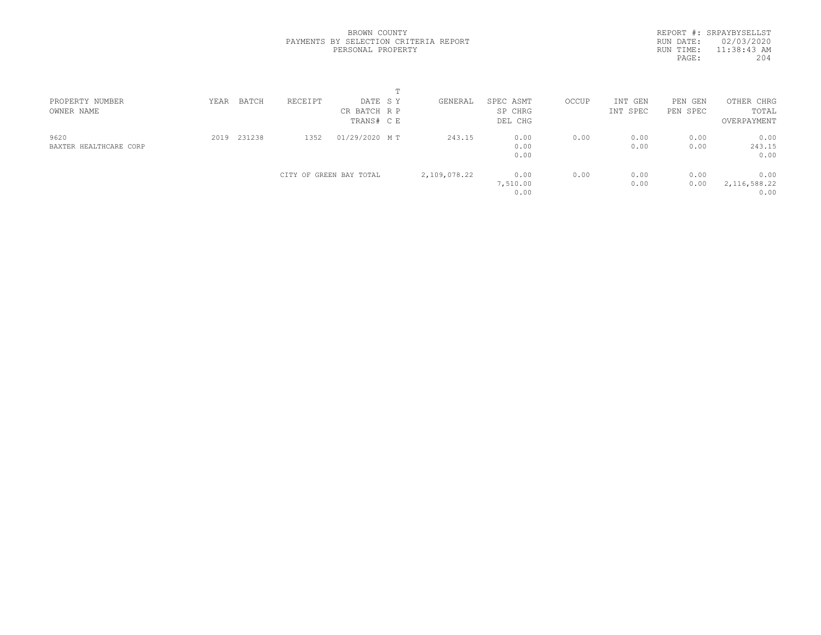REPORT #: SRPAYBYSELLST RUN DATE: 02/03/2020 RUN TIME: 11:38:43 AM<br>PAGE: 204 PAGE:

| PROPERTY NUMBER<br>OWNER NAME  | YEAR | BATCH  | RECEIPT | DATE SY<br>CR BATCH R P<br>TRANS# CE | GENERAL      | SPEC ASMT<br>SP CHRG<br>DEL CHG | OCCUP | INT GEN<br>INT SPEC | PEN<br>GEN<br>PEN SPEC | OTHER CHRG<br>TOTAL<br>OVERPAYMENT |  |
|--------------------------------|------|--------|---------|--------------------------------------|--------------|---------------------------------|-------|---------------------|------------------------|------------------------------------|--|
| 9620<br>BAXTER HEALTHCARE CORP | 2019 | 231238 | 1352    | 01/29/2020 MT                        | 243.15       | 0.00<br>0.00<br>0.00            | 0.00  | 0.00<br>0.00        | 0.00<br>0.00           | 0.00<br>243.15<br>0.00             |  |
|                                |      |        |         | CITY OF GREEN BAY TOTAL              | 2,109,078.22 | 0.00<br>7,510.00<br>0.00        | 0.00  | 0.00<br>0.00        | 0.00<br>0.00           | 0.00<br>2, 116, 588.22<br>0.00     |  |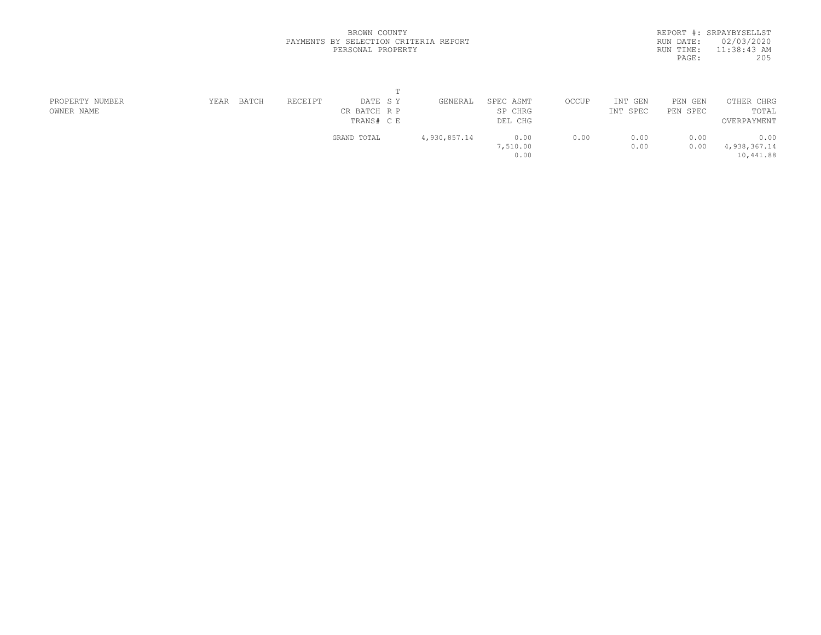|           | REPORT #: SRPAYBYSELLST |
|-----------|-------------------------|
| RUN DATE: | 02/03/2020              |
| RUN TIME: | $11:38:43$ AM           |
| PAGE:     | 205                     |
|           |                         |

| PROPERTY NUMBER | YEAR | BATCH | RECEIPT | DATE SY      | GENERAL      | SPEC ASMT | OCCUP | INT GEN  | PEN GEN  | OTHER CHRG   |
|-----------------|------|-------|---------|--------------|--------------|-----------|-------|----------|----------|--------------|
| OWNER NAME      |      |       |         | CR BATCH R P |              | SP CHRG   |       | INT SPEC | PEN SPEC | TOTAL        |
|                 |      |       |         | TRANS# C E   |              | DEL CHG   |       |          |          | OVERPAYMENT  |
|                 |      |       |         | GRAND TOTAL  | 4,930,857.14 | 0.00      | 0.00  | 0.00     | 0.00     | 0.00         |
|                 |      |       |         |              |              | 7,510.00  |       | 0.00     | 0.00     | 4,938,367.14 |
|                 |      |       |         |              |              | 0.00      |       |          |          | 10,441.88    |